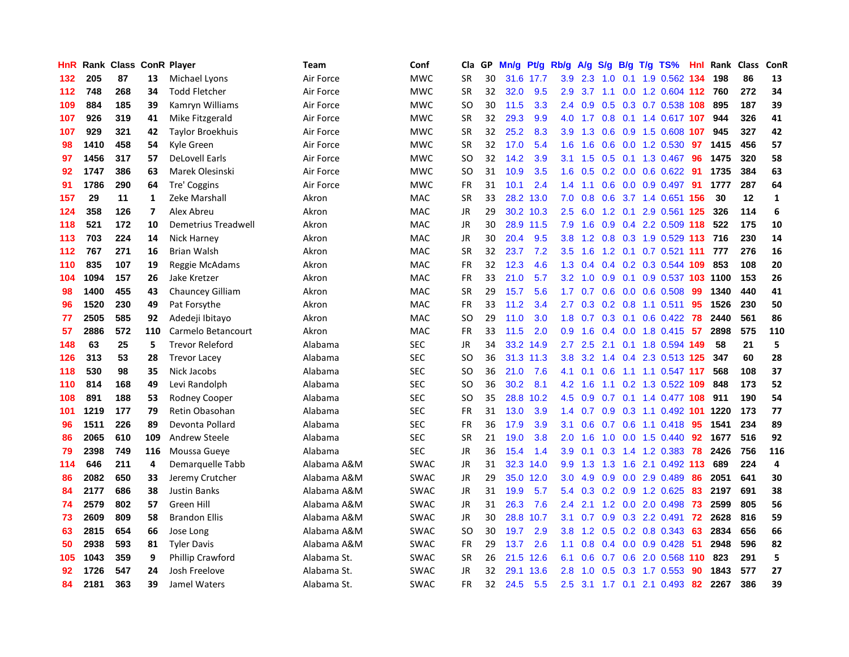| HnR | Rank | <b>Class ConR Player</b> |                         |                         | Team        | Conf        | Cla.          | <b>GP</b> | Mn/g | <b>Pt/g</b> | Rb/g             | A/g | S/g           |     | B/g T/g TS%                  | Hnl | Rank | <b>Class</b> | <b>ConR</b>    |
|-----|------|--------------------------|-------------------------|-------------------------|-------------|-------------|---------------|-----------|------|-------------|------------------|-----|---------------|-----|------------------------------|-----|------|--------------|----------------|
| 132 | 205  | 87                       | 13                      | Michael Lyons           | Air Force   | <b>MWC</b>  | <b>SR</b>     | 30        |      | 31.6 17.7   | 3.9 <sup>°</sup> | 2.3 | 1.0           |     | 0.1 1.9 0.562 134            |     | 198  | 86           | 13             |
| 112 | 748  | 268                      | 34                      | <b>Todd Fletcher</b>    | Air Force   | <b>MWC</b>  | <b>SR</b>     | 32        | 32.0 | 9.5         | 2.9              | 3.7 |               |     | 1.1 0.0 1.2 0.604 112 760    |     |      | 272          | 34             |
| 109 | 884  | 185                      | 39                      | Kamryn Williams         | Air Force   | <b>MWC</b>  | SO            | 30        | 11.5 | 3.3         | 2.4              | 0.9 |               |     | $0.5$ 0.3 0.7 0.538 108      |     | 895  | 187          | 39             |
| 107 | 926  | 319                      | 41                      | Mike Fitzgerald         | Air Force   | <b>MWC</b>  | <b>SR</b>     | 32        | 29.3 | 9.9         | 4.0              | 1.7 |               |     | 0.8 0.1 1.4 0.617 107        |     | 944  | 326          | 41             |
| 107 | 929  | 321                      | 42                      | <b>Taylor Broekhuis</b> | Air Force   | <b>MWC</b>  | <b>SR</b>     | 32        | 25.2 | 8.3         | 3.9 <sup>°</sup> | 1.3 | 0.6           |     | 0.9 1.5 0.608 107            |     | 945  | 327          | 42             |
| 98  | 1410 | 458                      | 54                      | Kyle Green              | Air Force   | <b>MWC</b>  | <b>SR</b>     | 32        | 17.0 | 5.4         | 1.6              | 1.6 |               |     | 0.6 0.0 1.2 0.530            | 97  | 1415 | 456          | 57             |
| 97  | 1456 | 317                      | 57                      | <b>DeLovell Earls</b>   | Air Force   | <b>MWC</b>  | SO.           | 32        | 14.2 | 3.9         | 3.1              | 1.5 | 0.5           |     | $0.1$ 1.3 0.467              | -96 | 1475 | 320          | 58             |
| 92  | 1747 | 386                      | 63                      | Marek Olesinski         | Air Force   | <b>MWC</b>  | SO.           | 31        | 10.9 | 3.5         | 1.6              | 0.5 |               |     | 0.2 0.0 0.6 0.622 91         |     | 1735 | 384          | 63             |
| 91  | 1786 | 290                      | 64                      | Tre' Coggins            | Air Force   | <b>MWC</b>  | <b>FR</b>     | 31        | 10.1 | 2.4         | 1.4              | 1.1 | 0.6           |     | 0.0 0.9 0.497 91             |     | 1777 | 287          | 64             |
| 157 | 29   | 11                       | 1                       | Zeke Marshall           | Akron       | <b>MAC</b>  | <b>SR</b>     | 33        |      | 28.2 13.0   | 7.0              | 0.8 |               |     | 0.6 3.7 1.4 0.651 156        |     | 30   | 12           | 1              |
| 124 | 358  | 126                      | $\overline{\mathbf{z}}$ | Alex Abreu              | Akron       | <b>MAC</b>  | JR            | 29        |      | 30.2 10.3   | $2.5^{\circ}$    | 6.0 |               |     | 1.2 0.1 2.9 0.561 125        |     | 326  | 114          | 6              |
| 118 | 521  | 172                      | 10                      | Demetrius Treadwell     | Akron       | MAC         | JR            | 30        | 28.9 | 11.5        | 7.9              | 1.6 |               |     | $0.9$ 0.4 2.2 0.509 118      |     | 522  | 175          | 10             |
| 113 | 703  | 224                      | 14                      | Nick Harney             | Akron       | <b>MAC</b>  | JR            | 30        | 20.4 | 9.5         | 3.8              | 1.2 | 0.8           |     | 0.3 1.9 0.529 113            |     | 716  | 230          | 14             |
| 112 | 767  | 271                      | 16                      | <b>Brian Walsh</b>      | Akron       | MAC         | <b>SR</b>     | 32        | 23.7 | 7.2         | 3.5              | 1.6 |               |     | 1.2 0.1 0.7 0.521 111        |     | 777  | 276          | 16             |
| 110 | 835  | 107                      | 19                      | Reggie McAdams          | Akron       | <b>MAC</b>  | <b>FR</b>     | 32        | 12.3 | 4.6         | 1.3              | 0.4 | 0.4           |     | 0.2 0.3 0.544 109            |     | 853  | 108          | 20             |
| 104 | 1094 | 157                      | 26                      | Jake Kretzer            | Akron       | <b>MAC</b>  | <b>FR</b>     | 33        | 21.0 | 5.7         | 3.2              | 1.0 | 0.9           | 0.1 | 0.9 0.537 103 1100           |     |      | 153          | 26             |
| 98  | 1400 | 455                      | 43                      | <b>Chauncey Gilliam</b> | Akron       | <b>MAC</b>  | <b>SR</b>     | 29        | 15.7 | 5.6         | $1.7^{\circ}$    | 0.7 | 0.6           |     | $0.0$ 0.6 0.508              | 99  | 1340 | 440          | 41             |
| 96  | 1520 | 230                      | 49                      | Pat Forsythe            | Akron       | <b>MAC</b>  | <b>FR</b>     | 33        | 11.2 | 3.4         | $2.7^{\circ}$    | 0.3 |               |     | $0.2$ $0.8$ 1.1 $0.511$      | -95 | 1526 | 230          | 50             |
| 77  | 2505 | 585                      | 92                      | Adedeji Ibitayo         | Akron       | <b>MAC</b>  | <sub>SO</sub> | 29        | 11.0 | 3.0         |                  |     |               |     | 1.8 0.7 0.3 0.1 0.6 0.422 78 |     | 2440 | 561          | 86             |
| 57  | 2886 | 572                      | 110                     | Carmelo Betancourt      | Akron       | <b>MAC</b>  | <b>FR</b>     | 33        | 11.5 | 2.0         | 0.9 <sub>0</sub> | 1.6 |               |     | $0.4$ 0.0 1.8 0.415 57       |     | 2898 | 575          | 110            |
| 148 | 63   | 25                       | 5                       | <b>Trevor Releford</b>  | Alabama     | <b>SEC</b>  | JR            | 34        | 33.2 | 14.9        | $2.7^{\circ}$    | 2.5 |               |     | 2.1 0.1 1.8 0.594 149        |     | 58   | 21           | 5              |
| 126 | 313  | 53                       | 28                      | <b>Trevor Lacey</b>     | Alabama     | <b>SEC</b>  | SO            | 36        | 31.3 | 11.3        | 3.8              | 3.2 | $1.4^{\circ}$ |     | 0.4 2.3 0.513 125            |     | 347  | 60           | 28             |
| 118 | 530  | 98                       | 35                      | Nick Jacobs             | Alabama     | <b>SEC</b>  | SO.           | 36        | 21.0 | 7.6         | 4.1              | 0.1 | 0.6           |     | 1.1 1.1 0.547 117            |     | 568  | 108          | 37             |
| 110 | 814  | 168                      | 49                      | Levi Randolph           | Alabama     | <b>SEC</b>  | SO.           | 36        | 30.2 | 8.1         | 4.2              | 1.6 | 1.1           |     | 0.2 1.3 0.522 109            |     | 848  | 173          | 52             |
| 108 | 891  | 188                      | 53                      | Rodney Cooper           | Alabama     | <b>SEC</b>  | SO            | 35        | 28.8 | 10.2        | 4.5              | 0.9 |               |     | 0.7 0.1 1.4 0.477 108        |     | 911  | 190          | 54             |
| 101 | 1219 | 177                      | 79                      | Retin Obasohan          | Alabama     | <b>SEC</b>  | <b>FR</b>     | 31        | 13.0 | 3.9         | 1.4              | 0.7 |               |     | 0.9 0.3 1.1 0.492 101 1220   |     |      | 173          | 77             |
| 96  | 1511 | 226                      | 89                      | Devonta Pollard         | Alabama     | <b>SEC</b>  | <b>FR</b>     | 36        | 17.9 | 3.9         | 3.1              | 0.6 |               |     | 0.7 0.6 1.1 0.418 95         |     | 1541 | 234          | 89             |
| 86  | 2065 | 610                      | 109                     | Andrew Steele           | Alabama     | <b>SEC</b>  | <b>SR</b>     | 21        | 19.0 | 3.8         | $2.0^{\circ}$    | 1.6 |               |     | 1.0 0.0 1.5 0.440            | -92 | 1677 | 516          | 92             |
| 79  | 2398 | 749                      | 116                     | Moussa Gueye            | Alabama     | <b>SEC</b>  | <b>JR</b>     | 36        | 15.4 | 1.4         | 3.9              | 0.1 | 0.3           |     | 1.4 1.2 0.383 78             |     | 2426 | 756          | 116            |
| 114 | 646  | 211                      | 4                       | Demarquelle Tabb        | Alabama A&M | <b>SWAC</b> | <b>JR</b>     | 31        | 32.3 | 14.0        | 9.9              | 1.3 | 1.3           | 1.6 | 2.1 0.492 113                |     | 689  | 224          | $\overline{a}$ |
| 86  | 2082 | 650                      | 33                      | Jeremy Crutcher         | Alabama A&M | <b>SWAC</b> | JR            | 29        | 35.0 | 12.0        | 3.0 <sub>2</sub> | 4.9 | 0.9           |     | $0.0$ 2.9 $0.489$            | 86  | 2051 | 641          | 30             |
| 84  | 2177 | 686                      | 38                      | <b>Justin Banks</b>     | Alabama A&M | <b>SWAC</b> | JR            | 31        | 19.9 | 5.7         | 5.4              | 0.3 | 0.2           |     | 0.9 1.2 0.625                | 83  | 2197 | 691          | 38             |
| 74  | 2579 | 802                      | 57                      | Green Hill              | Alabama A&M | <b>SWAC</b> | JR            | 31        | 26.3 | 7.6         | $2.4^{\circ}$    | 2.1 | 1.2           |     | $0.0$ 2.0 $0.498$            | 73  | 2599 | 805          | 56             |
| 73  | 2609 | 809                      | 58                      | <b>Brandon Ellis</b>    | Alabama A&M | <b>SWAC</b> | <b>JR</b>     | 30        | 28.8 | 10.7        | 3.1              | 0.7 | 0.9           |     | 0.3 2.2 0.491                | 72  | 2628 | 816          | 59             |
| 63  | 2815 | 654                      | 66                      | Jose Long               | Alabama A&M | <b>SWAC</b> | <sub>SO</sub> | 30        | 19.7 | 2.9         | 3.8              | 1.2 |               |     | $0.5$ 0.2 0.8 0.343          | 63  | 2834 | 656          | 66             |
| 50  | 2938 | 593                      | 81                      | <b>Tyler Davis</b>      | Alabama A&M | <b>SWAC</b> | <b>FR</b>     | 29        | 13.7 | 2.6         | 1.1              | 0.8 |               |     | 0.4 0.0 0.9 0.428 51         |     | 2948 | 596          | 82             |
| 105 | 1043 | 359                      | 9                       | Phillip Crawford        | Alabama St. | <b>SWAC</b> | <b>SR</b>     | 26        | 21.5 | 12.6        | 6.1              | 0.6 |               |     | $0.7$ $0.6$ 2.0 $0.568$ 110  |     | 823  | 291          | 5              |
| 92  | 1726 | 547                      | 24                      | Josh Freelove           | Alabama St. | <b>SWAC</b> | <b>JR</b>     | 32        | 29.1 | 13.6        | 2.8              | 1.0 | 0.5           |     | $0.3$ 1.7 0.553              | 90  | 1843 | 577          | 27             |
| 84  | 2181 | 363                      | 39                      | Jamel Waters            | Alabama St. | <b>SWAC</b> | FR            | 32        | 24.5 | 5.5         | 2.5              |     |               |     | 3.1 1.7 0.1 2.1 0.493        | 82  | 2267 | 386          | 39             |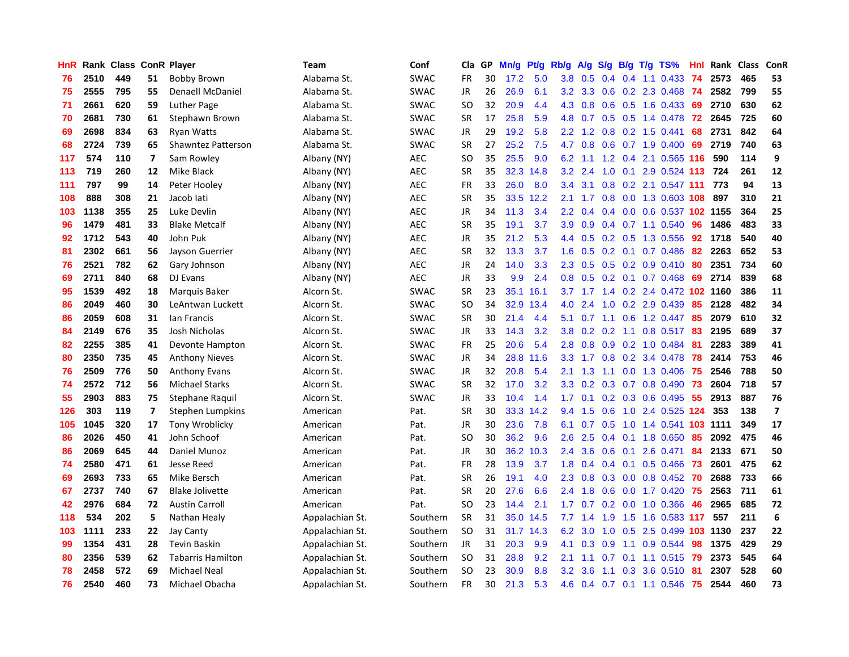| <b>HnR</b> |      | Rank Class ConR Player |    |                          | Team            | Conf        | Cla       | GP | Mn/g | <b>Pt/g</b> | Rb/g             | A/g             | S/g           |     | $B/g$ T/g TS%              | Hnl | Rank | Class | ConR                    |
|------------|------|------------------------|----|--------------------------|-----------------|-------------|-----------|----|------|-------------|------------------|-----------------|---------------|-----|----------------------------|-----|------|-------|-------------------------|
| 76         | 2510 | 449                    | 51 | <b>Bobby Brown</b>       | Alabama St.     | <b>SWAC</b> | <b>FR</b> | 30 | 17.2 | 5.0         | 3.8              | 0.5             | 0.4           |     | $0.4$ 1.1 0.433            | -74 | 2573 | 465   | 53                      |
| 75         | 2555 | 795                    | 55 | Denaell McDaniel         | Alabama St.     | <b>SWAC</b> | JR        | 26 | 26.9 | 6.1         |                  | $3.2$ $3.3$     |               |     | 0.6 0.2 2.3 0.468 74       |     | 2582 | 799   | 55                      |
| 71         | 2661 | 620                    | 59 | <b>Luther Page</b>       | Alabama St.     | <b>SWAC</b> | <b>SO</b> | 32 | 20.9 | 4.4         | 4.3              | 0.8             |               |     | $0.6$ $0.5$ 1.6 $0.433$    | -69 | 2710 | 630   | 62                      |
| 70         | 2681 | 730                    | 61 | Stephawn Brown           | Alabama St.     | <b>SWAC</b> | <b>SR</b> | 17 | 25.8 | 5.9         | 4.8              | 0.7             |               |     | $0.5$ $0.5$ 1.4 $0.478$    | 72  | 2645 | 725   | 60                      |
| 69         | 2698 | 834                    | 63 | <b>Ryan Watts</b>        | Alabama St.     | <b>SWAC</b> | <b>JR</b> | 29 | 19.2 | 5.8         | $2.2\phantom{0}$ | 1.2             | 0.8           |     | 0.2 1.5 0.441              | 68  | 2731 | 842   | 64                      |
| 68         | 2724 | 739                    | 65 | Shawntez Patterson       | Alabama St.     | <b>SWAC</b> | <b>SR</b> | 27 | 25.2 | 7.5         | 4.7              | 0.8             |               |     | $0.6$ 0.7 1.9 0.400        | 69  | 2719 | 740   | 63                      |
| 117        | 574  | 110                    | 7  | Sam Rowley               | Albany (NY)     | <b>AEC</b>  | <b>SO</b> | 35 | 25.5 | 9.0         | 6.2              | 1.1             | 1.2           |     | 0.4 2.1 0.565 116          |     | 590  | 114   | 9                       |
| 113        | 719  | 260                    | 12 | Mike Black               | Albany (NY)     | <b>AEC</b>  | <b>SR</b> | 35 | 32.3 | 14.8        | 3.2              | 2.4             | 1.0           | 0.1 | 2.9 0.524 113              |     | 724  | 261   | 12                      |
| 111        | 797  | 99                     | 14 | Peter Hooley             | Albany (NY)     | <b>AEC</b>  | FR        | 33 | 26.0 | 8.0         | $3.4^{\circ}$    | 3.1             | 0.8           |     | 0.2 2.1 0.547 111          |     | 773  | 94    | 13                      |
| 108        | 888  | 308                    | 21 | Jacob lati               | Albany (NY)     | <b>AEC</b>  | <b>SR</b> | 35 | 33.5 | 12.2        | 2.1              | 1.7             |               |     | 0.8 0.0 1.3 0.603 108      |     | 897  | 310   | 21                      |
| 103        | 1138 | 355                    | 25 | Luke Devlin              | Albany (NY)     | <b>AEC</b>  | JR        | 34 | 11.3 | 3.4         | $2.2^{\circ}$    | 0.4             |               |     | 0.4 0.0 0.6 0.537 102 1155 |     |      | 364   | 25                      |
| 96         | 1479 | 481                    | 33 | <b>Blake Metcalf</b>     | Albany (NY)     | <b>AEC</b>  | <b>SR</b> | 35 | 19.1 | 3.7         | 3.9 <sub>2</sub> | 0.9             |               |     | $0.4$ 0.7 1.1 0.540        | 96  | 1486 | 483   | 33                      |
| 92         | 1712 | 543                    | 40 | John Puk                 | Albany (NY)     | <b>AEC</b>  | JR        | 35 | 21.2 | 5.3         | $4.4^{\circ}$    | 0.5             |               |     | 0.2 0.5 1.3 0.556          | 92  | 1718 | 540   | 40                      |
| 81         | 2302 | 661                    | 56 | Jayson Guerrier          | Albany (NY)     | <b>AEC</b>  | <b>SR</b> | 32 | 13.3 | 3.7         | 1.6              | 0.5             |               |     | $0.2$ 0.1 0.7 0.486        | 82  | 2263 | 652   | 53                      |
| 76         | 2521 | 782                    | 62 | Gary Johnson             | Albany (NY)     | <b>AEC</b>  | JR        | 24 | 14.0 | 3.3         | 2.3              | 0.5             |               |     | $0.5$ 0.2 0.9 0.410        | 80  | 2351 | 734   | 60                      |
| 69         | 2711 | 840                    | 68 | DJ Evans                 | Albany (NY)     | <b>AEC</b>  | JR        | 33 | 9.9  | 2.4         | 0.8              | 0.5             | 0.2           |     | $0.1$ 0.7 0.468            | 69  | 2714 | 839   | 68                      |
| 95         | 1539 | 492                    | 18 | Marquis Baker            | Alcorn St.      | <b>SWAC</b> | <b>SR</b> | 23 | 35.1 | 16.1        |                  | $3.7 \quad 1.7$ | $1.4^{\circ}$ |     | 0.2 2.4 0.472 102 1160     |     |      | 386   | 11                      |
| 86         | 2049 | 460                    | 30 | LeAntwan Luckett         | Alcorn St.      | <b>SWAC</b> | <b>SO</b> | 34 | 32.9 | 13.4        | 4.0              | 2.4             | 1.0           |     | 0.2 2.9 0.439              | 85  | 2128 | 482   | 34                      |
| 86         | 2059 | 608                    | 31 | lan Francis              | Alcorn St.      | <b>SWAC</b> | <b>SR</b> | 30 | 21.4 | 4.4         | 5.1              | 0.7             |               |     | 1.1 0.6 1.2 0.447          | -85 | 2079 | 610   | 32                      |
| 84         | 2149 | 676                    | 35 | Josh Nicholas            | Alcorn St.      | <b>SWAC</b> | <b>JR</b> | 33 | 14.3 | 3.2         | 3.8 <sub>2</sub> | 0.2             |               |     | 0.2 1.1 0.8 0.517 83       |     | 2195 | 689   | 37                      |
| 82         | 2255 | 385                    | 41 | Devonte Hampton          | Alcorn St.      | <b>SWAC</b> | FR        | 25 | 20.6 | 5.4         | 2.8              | 0.8             |               |     | $0.9$ 0.2 1.0 0.484        | 81  | 2283 | 389   | 41                      |
| 80         | 2350 | 735                    | 45 | <b>Anthony Nieves</b>    | Alcorn St.      | <b>SWAC</b> | JR        | 34 | 28.8 | 11.6        | 3.3              | 1.7             | 0.8           |     | 0.2 3.4 0.478              | 78  | 2414 | 753   | 46                      |
| 76         | 2509 | 776                    | 50 | <b>Anthony Evans</b>     | Alcorn St.      | <b>SWAC</b> | JR        | 32 | 20.8 | 5.4         | 2.1              | 1.3             | 1.1           |     | $0.0$ 1.3 0.406            | 75  | 2546 | 788   | 50                      |
| 74         | 2572 | 712                    | 56 | <b>Michael Starks</b>    | Alcorn St.      | <b>SWAC</b> | <b>SR</b> | 32 | 17.0 | 3.2         | 3.3              | 0.2             | 0.3           |     | $0.7$ 0.8 0.490            | 73  | 2604 | 718   | 57                      |
| 55         | 2903 | 883                    | 75 | Stephane Raquil          | Alcorn St.      | <b>SWAC</b> | JR        | 33 | 10.4 | 1.4         | 1.7 <sub>2</sub> | 0.1             | 0.2           |     | 0.3 0.6 0.495              | 55  | 2913 | 887   | 76                      |
| 126        | 303  | 119                    | 7  | Stephen Lumpkins         | American        | Pat.        | <b>SR</b> | 30 |      | 33.3 14.2   | 9.4              | 1.5             | 0.6           |     | 1.0 2.4 0.525 124          |     | 353  | 138   | $\overline{\mathbf{z}}$ |
| 105        | 1045 | 320                    | 17 | <b>Tony Wroblicky</b>    | American        | Pat.        | JR        | 30 | 23.6 | 7.8         | 6.1              | 0.7             |               |     | 0.5 1.0 1.4 0.541 103 1111 |     |      | 349   | 17                      |
| 86         | 2026 | 450                    | 41 | John Schoof              | American        | Pat.        | <b>SO</b> | 30 | 36.2 | 9.6         | 2.6              | 2.5             |               |     | $0.4$ 0.1 1.8 0.650        | -85 | 2092 | 475   | 46                      |
| 86         | 2069 | 645                    | 44 | Daniel Munoz             | American        | Pat.        | JR        | 30 | 36.2 | 10.3        | 2.4              | 3.6             | 0.6           | 0.1 | 2.6 0.471                  | 84  | 2133 | 671   | 50                      |
| 74         | 2580 | 471                    | 61 | Jesse Reed               | American        | Pat.        | <b>FR</b> | 28 | 13.9 | 3.7         | 1.8              | 0.4             |               |     | $0.4$ 0.1 0.5 0.466        | 73  | 2601 | 475   | 62                      |
| 69         | 2693 | 733                    | 65 | Mike Bersch              | American        | Pat.        | <b>SR</b> | 26 | 19.1 | 4.0         | 2.3              | 0.8             | 0.3           |     | $0.0$ 0.8 0.452            | 70  | 2688 | 733   | 66                      |
| 67         | 2737 | 740                    | 67 | <b>Blake Jolivette</b>   | American        | Pat.        | <b>SR</b> | 20 | 27.6 | 6.6         | 2.4              | 1.8             | 0.6           |     | $0.0$ 1.7 $0.420$          | 75  | 2563 | 711   | 61                      |
| 42         | 2976 | 684                    | 72 | <b>Austin Carroll</b>    | American        | Pat.        | <b>SO</b> | 23 | 14.4 | 2.1         | 1.7 <sub>2</sub> | 0.7             | 0.2           |     | $0.0$ 1.0 $0.366$          | -46 | 2965 | 685   | 72                      |
| 118        | 534  | 202                    | 5  | Nathan Healy             | Appalachian St. | Southern    | <b>SR</b> | 31 | 35.0 | 14.5        | 7.7              | 1.4             | 1.9           |     | 1.5 1.6 0.583 117          |     | 557  | 211   | 6                       |
| 103        | 1111 | 233                    | 22 | Jay Canty                | Appalachian St. | Southern    | <b>SO</b> | 31 |      | 31.7 14.3   | 6.2              | 3.0             | 1.0           |     | 0.5 2.5 0.499 103 1130     |     |      | 237   | 22                      |
| 99         | 1354 | 431                    | 28 | <b>Tevin Baskin</b>      | Appalachian St. | Southern    | JR        | 31 | 20.3 | 9.9         | 4.1              | 0.3             | 0.9           |     | 1.1 0.9 0.544              | 98  | 1375 | 429   | 29                      |
| 80         | 2356 | 539                    | 62 | <b>Tabarris Hamilton</b> | Appalachian St. | Southern    | <b>SO</b> | 31 | 28.8 | 9.2         | 2.1              | 1.1             | 0.7           |     | $0.1$ 1.1 0.515            | -79 | 2373 | 545   | 64                      |
| 78         | 2458 | 572                    | 69 | <b>Michael Neal</b>      | Appalachian St. | Southern    | <b>SO</b> | 23 | 30.9 | 8.8         | 3.2              | 3.6             | 1.1           | 0.3 | 3.6 0.510                  | 81  | 2307 | 528   | 60                      |
| 76         | 2540 | 460                    | 73 | Michael Obacha           | Appalachian St. | Southern    | <b>FR</b> | 30 | 21.3 | 5.3         | 4.6              |                 |               |     | 0.4 0.7 0.1 1.1 0.546      | -75 | 2544 | 460   | 73                      |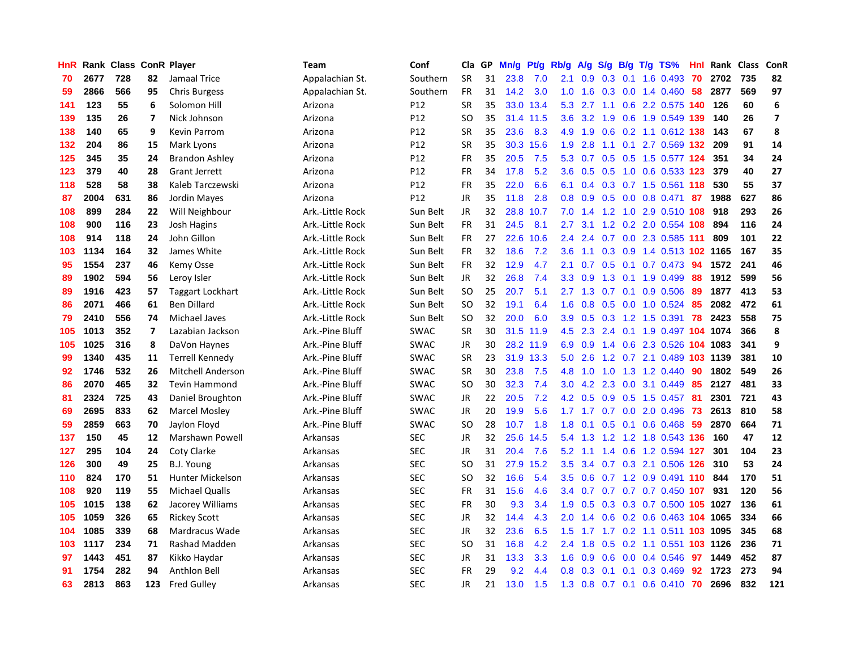| HnR |      | Rank Class ConR Player |                |                         | <b>Team</b>      | Conf        | Cla           | GP | Mn/g | <b>Pt/g</b> | Rb/g          | A/g | S/g |     | $B/g$ T/g TS%                     | Hnl |      | Rank Class | ConR                    |
|-----|------|------------------------|----------------|-------------------------|------------------|-------------|---------------|----|------|-------------|---------------|-----|-----|-----|-----------------------------------|-----|------|------------|-------------------------|
| 70  | 2677 | 728                    | 82             | Jamaal Trice            | Appalachian St.  | Southern    | <b>SR</b>     | 31 | 23.8 | 7.0         | 2.1           | 0.9 | 0.3 | 0.1 | 1.6 0.493                         | 70  | 2702 | 735        | 82                      |
| 59  | 2866 | 566                    | 95             | <b>Chris Burgess</b>    | Appalachian St.  | Southern    | FR            | 31 | 14.2 | 3.0         | 1.0           | 1.6 |     |     | $0.3$ 0.0 1.4 0.460               | 58  | 2877 | 569        | 97                      |
| 141 | 123  | 55                     | 6              | Solomon Hill            | Arizona          | P12         | <b>SR</b>     | 35 |      | 33.0 13.4   | 5.3           |     |     |     | 2.7 1.1 0.6 2.2 0.575 140 126     |     |      | 60         | 6                       |
| 139 | 135  | 26                     | $\overline{7}$ | Nick Johnson            | Arizona          | P12         | SO            | 35 |      | 31.4 11.5   | 3.6           |     |     |     | 3.2 1.9 0.6 1.9 0.549 139         |     | 140  | 26         | $\overline{\mathbf{z}}$ |
| 138 | 140  | 65                     | 9              | Kevin Parrom            | Arizona          | P12         | <b>SR</b>     | 35 | 23.6 | 8.3         | 4.9           | 1.9 | 0.6 |     | 0.2 1.1 0.612 138                 |     | 143  | 67         | 8                       |
| 132 | 204  | 86                     | 15             | Mark Lyons              | Arizona          | P12         | <b>SR</b>     | 35 | 30.3 | 15.6        | 1.9           | 2.8 | 1.1 |     | $0.1$ 2.7 0.569 132               |     | 209  | 91         | 14                      |
| 125 | 345  | 35                     | 24             | <b>Brandon Ashley</b>   | Arizona          | P12         | FR            | 35 | 20.5 | 7.5         | 5.3           | 0.7 |     |     | 0.5 0.5 1.5 0.577 124             |     | 351  | 34         | 24                      |
| 123 | 379  | 40                     | 28             | <b>Grant Jerrett</b>    | Arizona          | P12         | <b>FR</b>     | 34 | 17.8 | 5.2         | 3.6           | 0.5 |     |     | 0.5 1.0 0.6 0.533 123             |     | 379  | 40         | 27                      |
| 118 | 528  | 58                     | 38             | Kaleb Tarczewski        | Arizona          | P12         | FR            | 35 | 22.0 | 6.6         | 6.1           | 0.4 | 0.3 |     | 0.7 1.5 0.561 118                 |     | 530  | 55         | 37                      |
| 87  | 2004 | 631                    | 86             | Jordin Mayes            | Arizona          | P12         | JR            | 35 | 11.8 | 2.8         | 0.8           | 0.9 |     |     | 0.5 0.0 0.8 0.471                 | 87  | 1988 | 627        | 86                      |
| 108 | 899  | 284                    | 22             | Will Neighbour          | Ark.-Little Rock | Sun Belt    | JR            | 32 | 28.8 | 10.7        |               |     |     |     | 7.0 1.4 1.2 1.0 2.9 0.510 108 918 |     |      | 293        | 26                      |
| 108 | 900  | 116                    | 23             | <b>Josh Hagins</b>      | Ark.-Little Rock | Sun Belt    | <b>FR</b>     | 31 | 24.5 | 8.1         | 2.7           | 3.1 |     |     | 1.2 0.2 2.0 0.554 108             |     | 894  | 116        | 24                      |
| 108 | 914  | 118                    | 24             | John Gillon             | Ark.-Little Rock | Sun Belt    | FR            | 27 | 22.6 | 10.6        | 2.4           | 2.4 |     |     | 0.7 0.0 2.3 0.585 111             |     | 809  | 101        | 22                      |
| 103 | 1134 | 164                    | 32             | James White             | Ark.-Little Rock | Sun Belt    | <b>FR</b>     | 32 | 18.6 | 7.2         | 3.6           | 1.1 | 0.3 |     | 0.9 1.4 0.513 102 1165            |     |      | 167        | 35                      |
| 95  | 1554 | 237                    | 46             | <b>Kemy Osse</b>        | Ark.-Little Rock | Sun Belt    | FR            | 32 | 12.9 | 4.7         | 2.1           | 0.7 | 0.5 |     | $0.1$ 0.7 0.473                   | -94 | 1572 | 241        | 46                      |
| 89  | 1902 | 594                    | 56             | Leroy Isler             | Ark.-Little Rock | Sun Belt    | JR            | 32 | 26.8 | 7.4         | 3.3           | 0.9 | 1.3 |     | $0.1$ 1.9 0.499                   | 88  | 1912 | 599        | 56                      |
| 89  | 1916 | 423                    | 57             | <b>Taggart Lockhart</b> | Ark.-Little Rock | Sun Belt    | <b>SO</b>     | 25 | 20.7 | 5.1         | 2.7           | 1.3 | 0.7 |     | $0.1$ 0.9 0.506                   | -89 | 1877 | 413        | 53                      |
| 86  | 2071 | 466                    | 61             | <b>Ben Dillard</b>      | Ark.-Little Rock | Sun Belt    | <b>SO</b>     | 32 | 19.1 | 6.4         | 1.6           | 0.8 | 0.5 |     | $0.0$ 1.0 0.524                   | 85  | 2082 | 472        | 61                      |
| 79  | 2410 | 556                    | 74             | <b>Michael Javes</b>    | Ark.-Little Rock | Sun Belt    | <b>SO</b>     | 32 | 20.0 | 6.0         | 3.9           | 0.5 |     |     | 0.3 1.2 1.5 0.391                 | 78  | 2423 | 558        | 75                      |
| 105 | 1013 | 352                    | $\overline{7}$ | Lazabian Jackson        | Ark.-Pine Bluff  | <b>SWAC</b> | <b>SR</b>     | 30 |      | 31.5 11.9   | 4.5           | 2.3 |     |     | 2.4 0.1 1.9 0.497 104 1074        |     |      | 366        | 8                       |
| 105 | 1025 | 316                    | 8              | DaVon Haynes            | Ark.-Pine Bluff  | <b>SWAC</b> | JR            | 30 |      | 28.2 11.9   | 6.9           | 0.9 |     |     | 1.4 0.6 2.3 0.526 104 1083        |     |      | 341        | 9                       |
| 99  | 1340 | 435                    | 11             | <b>Terrell Kennedy</b>  | Ark.-Pine Bluff  | <b>SWAC</b> | <b>SR</b>     | 23 | 31.9 | 13.3        | 5.0           | 2.6 |     |     | 1.2 0.7 2.1 0.489 103 1139        |     |      | 381        | 10                      |
| 92  | 1746 | 532                    | 26             | Mitchell Anderson       | Ark.-Pine Bluff  | <b>SWAC</b> | <b>SR</b>     | 30 | 23.8 | 7.5         | 4.8           | 1.0 | 1.0 |     | 1.3 1.2 0.440                     | 90  | 1802 | 549        | 26                      |
| 86  | 2070 | 465                    | 32             | <b>Tevin Hammond</b>    | Ark.-Pine Bluff  | <b>SWAC</b> | <b>SO</b>     | 30 | 32.3 | 7.4         | 3.0           | 4.2 | 2.3 |     | 0.0 3.1 0.449                     | 85  | 2127 | 481        | 33                      |
| 81  | 2324 | 725                    | 43             | Daniel Broughton        | Ark.-Pine Bluff  | <b>SWAC</b> | JR            | 22 | 20.5 | 7.2         | 4.2           | 0.5 | 0.9 |     | $0.5$ 1.5 0.457                   | 81  | 2301 | 721        | 43                      |
| 69  | 2695 | 833                    | 62             | <b>Marcel Mosley</b>    | Ark.-Pine Bluff  | <b>SWAC</b> | <b>JR</b>     | 20 | 19.9 | 5.6         | 1.7           | 1.7 | 0.7 |     | $0.0$ 2.0 $0.496$                 | 73  | 2613 | 810        | 58                      |
| 59  | 2859 | 663                    | 70             | Jaylon Floyd            | Ark.-Pine Bluff  | <b>SWAC</b> | <sub>SO</sub> | 28 | 10.7 | 1.8         | 1.8           | 0.1 |     |     | 0.5 0.1 0.6 0.468 59              |     | 2870 | 664        | 71                      |
| 137 | 150  | 45                     | 12             | Marshawn Powell         | Arkansas         | <b>SEC</b>  | JR            | 32 | 25.6 | 14.5        | 5.4           |     |     |     | 1.3 1.2 1.2 1.8 0.543 136         |     | 160  | 47         | 12                      |
| 127 | 295  | 104                    | 24             | Coty Clarke             | Arkansas         | <b>SEC</b>  | JR            | 31 | 20.4 | 7.6         | 5.2           | 1.1 |     |     | 1.4 0.6 1.2 0.594 127             |     | 301  | 104        | 23                      |
| 126 | 300  | 49                     | 25             | B.J. Young              | Arkansas         | <b>SEC</b>  | <b>SO</b>     | 31 | 27.9 | 15.2        | 3.5           | 3.4 |     |     | 0.7 0.3 2.1 0.506 126             |     | 310  | 53         | 24                      |
| 110 | 824  | 170                    | 51             | Hunter Mickelson        | Arkansas         | <b>SEC</b>  | <b>SO</b>     | 32 | 16.6 | 5.4         | 3.5           | 0.6 | 0.7 |     | 1.2 0.9 0.491 110                 |     | 844  | 170        | 51                      |
| 108 | 920  | 119                    | 55             | <b>Michael Qualls</b>   | Arkansas         | <b>SEC</b>  | FR            | 31 | 15.6 | 4.6         | 3.4           | 0.7 |     |     | 0.7 0.7 0.7 0.450 107             |     | 931  | 120        | 56                      |
| 105 | 1015 | 138                    | 62             | Jacorey Williams        | Arkansas         | <b>SEC</b>  | <b>FR</b>     | 30 | 9.3  | 3.4         | 1.9           | 0.5 | 0.3 |     | 0.3 0.7 0.500 105 1027            |     |      | 136        | 61                      |
| 105 | 1059 | 326                    | 65             | <b>Rickey Scott</b>     | Arkansas         | <b>SEC</b>  | <b>JR</b>     | 32 | 14.4 | 4.3         | 2.0           | 1.4 | 0.6 |     | 0.2 0.6 0.463 104 1065            |     |      | 334        | 66                      |
| 104 | 1085 | 339                    | 68             | <b>Mardracus Wade</b>   | Arkansas         | <b>SEC</b>  | <b>JR</b>     | 32 | 23.6 | 6.5         | 1.5           | 1.7 |     |     | 1.7 0.2 1.1 0.511 103 1095        |     |      | 345        | 68                      |
| 103 | 1117 | 234                    | 71             | Rashad Madden           | Arkansas         | <b>SEC</b>  | <sub>SO</sub> | 31 | 16.8 | 4.2         | $2.4^{\circ}$ | 1.8 |     |     | 0.5 0.2 1.1 0.551 103 1126        |     |      | 236        | 71                      |
| 97  | 1443 | 451                    | 87             | Kikko Haydar            | Arkansas         | <b>SEC</b>  | JR            | 31 | 13.3 | 3.3         | 1.6           | 0.9 | 0.6 |     | $0.0$ 0.4 0.546                   | 97  | 1449 | 452        | 87                      |
| 91  | 1754 | 282                    | 94             | <b>Anthlon Bell</b>     | Arkansas         | <b>SEC</b>  | FR            | 29 | 9.2  | 4.4         | 0.8           | 0.3 | 0.1 | 0.1 | 0.3 0.469                         | 92  | 1723 | 273        | 94                      |
| 63  | 2813 | 863                    | 123            | <b>Fred Gulley</b>      | Arkansas         | <b>SEC</b>  | <b>JR</b>     | 21 | 13.0 | 1.5         | 1.3           |     |     |     | 0.8 0.7 0.1 0.6 0.410 70          |     | 2696 | 832        | 121                     |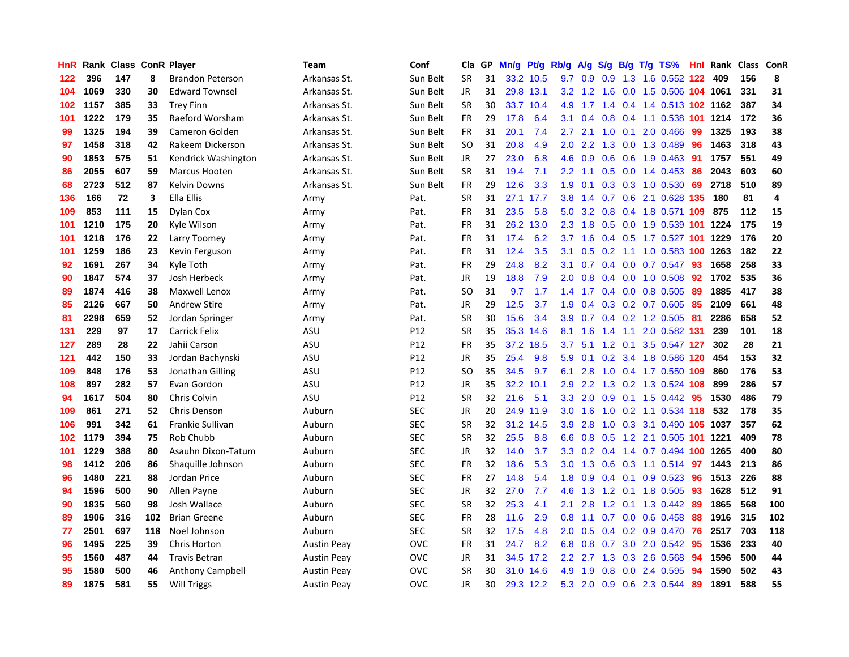| HnR |      | Rank Class ConR Player |     |                         | Team               | Conf            | Cla       | GP. | Mn/g | Pt/g      | Rb/g             | A/g | S/g              |                 | $B/g$ T/g TS%                      | Hnl | Rank | <b>Class</b> | <b>ConR</b> |
|-----|------|------------------------|-----|-------------------------|--------------------|-----------------|-----------|-----|------|-----------|------------------|-----|------------------|-----------------|------------------------------------|-----|------|--------------|-------------|
| 122 | 396  | 147                    | 8   | <b>Brandon Peterson</b> | Arkansas St.       | Sun Belt        | <b>SR</b> | 31  |      | 33.2 10.5 | 9.7              | 0.9 | 0.9              |                 | 1.3 1.6 0.552 122                  |     | 409  | 156          | 8           |
| 104 | 1069 | 330                    | 30  | <b>Edward Townsel</b>   | Arkansas St.       | Sun Belt        | JR        | 31  |      | 29.8 13.1 |                  |     |                  |                 | 3.2 1.2 1.6 0.0 1.5 0.506 104 1061 |     |      | 331          | 31          |
| 102 | 1157 | 385                    | 33  | <b>Trey Finn</b>        | Arkansas St.       | Sun Belt        | <b>SR</b> | 30  |      | 33.7 10.4 | 4.9              | 1.7 |                  |                 | 1.4 0.4 1.4 0.513 102 1162         |     |      | 387          | 34          |
| 101 | 1222 | 179                    | 35  | Raeford Worsham         | Arkansas St.       | Sun Belt        | FR        | 29  | 17.8 | 6.4       | 3.1              | 0.4 | 0.8              |                 | 0.4 1.1 0.538 101 1214             |     |      | 172          | 36          |
| 99  | 1325 | 194                    | 39  | <b>Cameron Golden</b>   | Arkansas St.       | Sun Belt        | <b>FR</b> | 31  | 20.1 | 7.4       | 2.7              | 2.1 | 1.0              | 0.1             | 2.0 0.466                          | 99  | 1325 | 193          | 38          |
| 97  | 1458 | 318                    | 42  | Rakeem Dickerson        | Arkansas St.       | Sun Belt        | <b>SO</b> | 31  | 20.8 | 4.9       | 2.0              | 2.2 | 1.3              |                 | $0.0$ 1.3 0.489                    | 96  | 1463 | 318          | 43          |
| 90  | 1853 | 575                    | 51  | Kendrick Washington     | Arkansas St.       | Sun Belt        | JR.       | 27  | 23.0 | 6.8       | 4.6              | 0.9 | 0.6              |                 | $0.6$ 1.9 0.463                    | 91  | 1757 | 551          | 49          |
| 86  | 2055 | 607                    | 59  | Marcus Hooten           | Arkansas St.       | Sun Belt        | <b>SR</b> | 31  | 19.4 | 7.1       | 2.2              | 1.1 | 0.5              |                 | $0.0$ 1.4 $0.453$                  | 86  | 2043 | 603          | 60          |
| 68  | 2723 | 512                    | 87  | <b>Kelvin Downs</b>     | Arkansas St.       | Sun Belt        | <b>FR</b> | 29  | 12.6 | 3.3       | 1.9              | 0.1 | 0.3              |                 | 0.3 1.0 0.530                      | 69  | 2718 | 510          | 89          |
| 136 | 166  | 72                     | 3   | Ella Ellis              | Army               | Pat.            | <b>SR</b> | 31  |      | 27.1 17.7 | 3.8 <sub>2</sub> | 1.4 |                  |                 | 0.7 0.6 2.1 0.628 135              |     | 180  | 81           | 4           |
| 109 | 853  | 111                    | 15  | Dylan Cox               | Army               | Pat.            | <b>FR</b> | 31  | 23.5 | 5.8       | 5.0              | 3.2 |                  |                 | 0.8 0.4 1.8 0.571 109 875          |     |      | 112          | 15          |
| 101 | 1210 | 175                    | 20  | Kyle Wilson             | Army               | Pat.            | FR        | 31  | 26.2 | 13.0      | $2.3^{\circ}$    | 1.8 |                  |                 | 0.5 0.0 1.9 0.539 101 1224         |     |      | 175          | 19          |
| 101 | 1218 | 176                    | 22  | Larry Toomey            | Army               | Pat.            | <b>FR</b> | 31  | 17.4 | 6.2       | 3.7              | 1.6 |                  |                 | 0.4 0.5 1.7 0.527 101 1229         |     |      | 176          | 20          |
| 101 | 1259 | 186                    | 23  | Kevin Ferguson          | Army               | Pat.            | <b>FR</b> | 31  | 12.4 | 3.5       | 3.1              | 0.5 | 0.2              |                 | 1.1 1.0 0.583 100 1263             |     |      | 182          | 22          |
| 92  | 1691 | 267                    | 34  | Kyle Toth               | Army               | Pat.            | <b>FR</b> | 29  | 24.8 | 8.2       | 3.1              | 0.7 | $0.4^{\circ}$    |                 | $0.0$ 0.7 0.547                    | 93  | 1658 | 258          | 33          |
| 90  | 1847 | 574                    | 37  | Josh Herbeck            | Army               | Pat.            | JR        | 19  | 18.8 | 7.9       | $2.0^{\circ}$    | 0.8 |                  |                 | $0.4$ 0.0 1.0 0.508                | 92  | 1702 | 535          | 36          |
| 89  | 1874 | 416                    | 38  | Maxwell Lenox           | Army               | Pat.            | SO        | 31  | 9.7  | 1.7       | 1.4              | 1.7 | $0.4^{\circ}$    |                 | 0.0 0.8 0.505                      | 89  | 1885 | 417          | 38          |
| 85  | 2126 | 667                    | 50  | <b>Andrew Stire</b>     | Army               | Pat.            | <b>JR</b> | 29  | 12.5 | 3.7       | 1.9              | 0.4 |                  |                 | 0.3 0.2 0.7 0.605 85               |     | 2109 | 661          | 48          |
| 81  | 2298 | 659                    | 52  | Jordan Springer         | Army               | Pat.            | <b>SR</b> | 30  | 15.6 | 3.4       | 3.9 <sup>°</sup> | 0.7 |                  |                 | $0.4$ 0.2 1.2 0.505 81             |     | 2286 | 658          | 52          |
| 131 | 229  | 97                     | 17  | <b>Carrick Felix</b>    | ASU                | P <sub>12</sub> | <b>SR</b> | 35  | 35.3 | 14.6      | 8.1              | 1.6 |                  |                 | 1.4 1.1 2.0 0.582 131              |     | 239  | 101          | 18          |
| 127 | 289  | 28                     | 22  | Jahii Carson            | ASU                | P <sub>12</sub> | <b>FR</b> | 35  | 37.2 | 18.5      | 3.7              | 5.1 | 1.2              |                 | 0.1 3.5 0.547 127                  |     | 302  | 28           | 21          |
| 121 | 442  | 150                    | 33  | Jordan Bachynski        | ASU                | P <sub>12</sub> | JR        | 35  | 25.4 | 9.8       | 5.9              | 0.1 | 0.2 <sub>0</sub> |                 | 3.4 1.8 0.586 120                  |     | 454  | 153          | 32          |
| 109 | 848  | 176                    | 53  | Jonathan Gilling        | ASU                | P <sub>12</sub> | SO        | 35  | 34.5 | 9.7       | 6.1              | 2.8 | 1.0              |                 | $0.4$ 1.7 0.550                    | 109 | 860  | 176          | 53          |
| 108 | 897  | 282                    | 57  | Evan Gordon             | ASU                | P12             | JR        | 35  | 32.2 | 10.1      | 2.9              | 2.2 | 1.3              |                 | 0.2 1.3 0.524 108                  |     | 899  | 286          | 57          |
| 94  | 1617 | 504                    | 80  | Chris Colvin            | ASU                | P12             | <b>SR</b> | 32  | 21.6 | 5.1       | 3.3 <sub>2</sub> | 2.0 | 0.9              |                 | $0.1$ 1.5 0.442                    | -95 | 1530 | 486          | 79          |
| 109 | 861  | 271                    | 52  | Chris Denson            | Auburn             | <b>SEC</b>      | JR        | 20  |      | 24.9 11.9 | 3.0 <sub>2</sub> | 1.6 | 1.0              |                 | 0.2 1.1 0.534 118                  |     | 532  | 178          | 35          |
| 106 | 991  | 342                    | 61  | Frankie Sullivan        | Auburn             | <b>SEC</b>      | <b>SR</b> | 32  | 31.2 | 14.5      | 3.9 <sup>°</sup> | 2.8 |                  |                 | 1.0 0.3 3.1 0.490 105 1037         |     |      | 357          | 62          |
| 102 | 1179 | 394                    | 75  | Rob Chubb               | Auburn             | <b>SEC</b>      | <b>SR</b> | 32  | 25.5 | 8.8       | 6.6              | 0.8 |                  |                 | 0.5 1.2 2.1 0.505 101 1221         |     |      | 409          | 78          |
| 101 | 1229 | 388                    | 80  | Asauhn Dixon-Tatum      | Auburn             | <b>SEC</b>      | <b>JR</b> | 32  | 14.0 | 3.7       | 3.3 <sub>2</sub> | 0.2 |                  |                 | 0.4 1.4 0.7 0.494 100 1265         |     |      | 400          | 80          |
| 98  | 1412 | 206                    | 86  | Shaquille Johnson       | Auburn             | <b>SEC</b>      | FR        | 32  | 18.6 | 5.3       | 3.0              | 1.3 | 0.6              |                 | $0.3$ 1.1 0.514                    | 97  | 1443 | 213          | 86          |
| 96  | 1480 | 221                    | 88  | Jordan Price            | Auburn             | <b>SEC</b>      | FR        | 27  | 14.8 | 5.4       | 1.8              | 0.9 |                  | $0.4 \quad 0.1$ | $0.9$ 0.523                        | -96 | 1513 | 226          | 88          |
| 94  | 1596 | 500                    | 90  | Allen Payne             | Auburn             | <b>SEC</b>      | JR        | 32  | 27.0 | 7.7       | 4.6              | 1.3 | 1.2              |                 | $0.1$ 1.8 0.505                    | -93 | 1628 | 512          | 91          |
| 90  | 1835 | 560                    | 98  | Josh Wallace            | Auburn             | <b>SEC</b>      | <b>SR</b> | 32  | 25.3 | 4.1       | 2.1              | 2.8 | 1.2              |                 | 0.1 1.3 0.442                      | -89 | 1865 | 568          | 100         |
| 89  | 1906 | 316                    | 102 | <b>Brian Greene</b>     | Auburn             | <b>SEC</b>      | FR        | 28  | 11.6 | 2.9       | 0.8              | 1.1 |                  |                 | $0.7$ 0.0 0.6 0.458                | 88  | 1916 | 315          | 102         |
| 77  | 2501 | 697                    | 118 | Noel Johnson            | Auburn             | <b>SEC</b>      | <b>SR</b> | 32  | 17.5 | 4.8       | 2.0              | 0.5 |                  |                 | 0.4 0.2 0.9 0.470 76               |     | 2517 | 703          | 118         |
| 96  | 1495 | 225                    | 39  | Chris Horton            | <b>Austin Peay</b> | <b>OVC</b>      | <b>FR</b> | 31  | 24.7 | 8.2       | 6.8              | 0.8 | 0.7              |                 | 3.0 2.0 0.542                      | -95 | 1536 | 233          | 40          |
| 95  | 1560 | 487                    | 44  | <b>Travis Betran</b>    | <b>Austin Peay</b> | <b>OVC</b>      | JR        | 31  |      | 34.5 17.2 | $2.2^{\circ}$    | 2.7 | 1.3              |                 | 0.3 2.6 0.568                      | -94 | 1596 | 500          | 44          |
| 95  | 1580 | 500                    | 46  | <b>Anthony Campbell</b> | <b>Austin Peay</b> | <b>OVC</b>      | <b>SR</b> | 30  | 31.0 | 14.6      | 4.9              | 1.9 | 0.8              | 0.0             | 2.4 0.595                          | 94  | 1590 | 502          | 43          |
| 89  | 1875 | 581                    | 55  | <b>Will Triggs</b>      | <b>Austin Peay</b> | <b>OVC</b>      | JR        | 30  |      | 29.3 12.2 |                  |     |                  |                 | 5.3 2.0 0.9 0.6 2.3 0.544          | 89  | 1891 | 588          | 55          |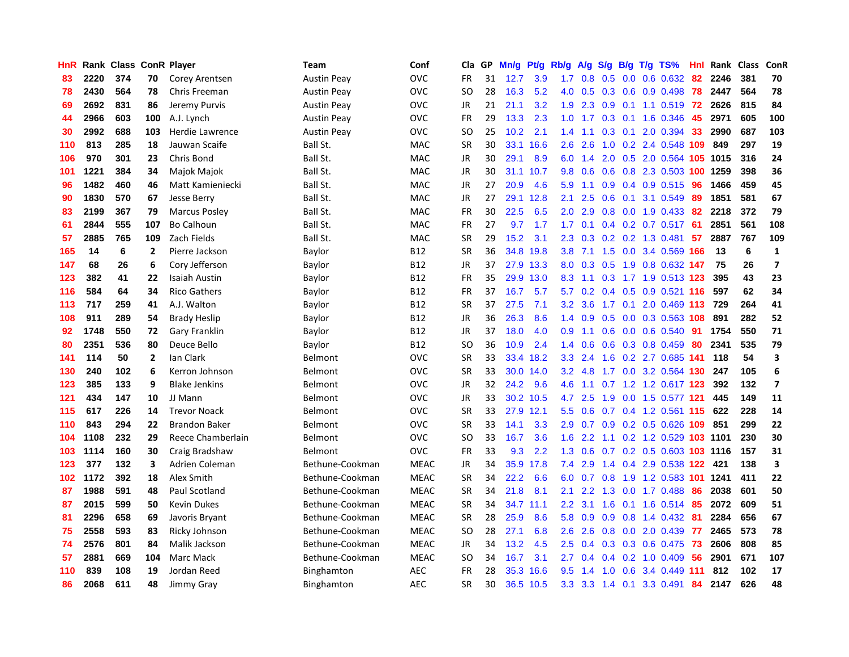| HnR |      | Rank Class |                | <b>ConR Player</b>   | Team               | Conf        | Cla       | <b>GP</b> | Mn/g | <b>Pt/g</b> | Rb/g             | A/g | S/g              | B/g | $T/g$ TS%                  | Hnl | Rank | <b>Class</b> | <b>ConR</b>             |
|-----|------|------------|----------------|----------------------|--------------------|-------------|-----------|-----------|------|-------------|------------------|-----|------------------|-----|----------------------------|-----|------|--------------|-------------------------|
| 83  | 2220 | 374        | 70             | Corey Arentsen       | <b>Austin Peay</b> | OVC         | FR        | 31        | 12.7 | 3.9         | 1.7              | 0.8 | 0.5              |     | $0.0$ 0.6 0.632            | -82 | 2246 | 381          | 70                      |
| 78  | 2430 | 564        | 78             | Chris Freeman        | Austin Peay        | OVC         | SO.       | 28        | 16.3 | 5.2         | 4.0              | 0.5 |                  |     | $0.3$ 0.6 0.9 0.498        | -78 | 2447 | 564          | 78                      |
| 69  | 2692 | 831        | 86             | Jeremy Purvis        | Austin Peay        | OVC         | JR        | 21        | 21.1 | 3.2         | 1.9              | 2.3 | 0.9              |     | $0.1$ 1.1 0.519            | 72  | 2626 | 815          | 84                      |
| 44  | 2966 | 603        | 100            | A.J. Lynch           | <b>Austin Peay</b> | OVC         | FR        | 29        | 13.3 | 2.3         | 1.0              | 1.7 | 0.3              |     | 0.1 1.6 0.346              | 45  | 2971 | 605          | 100                     |
| 30  | 2992 | 688        | 103            | Herdie Lawrence      | <b>Austin Peay</b> | OVC         | <b>SO</b> | 25        | 10.2 | 2.1         | 1.4              | 1.1 | 0.3              | 0.1 | 2.0 0.394                  | 33  | 2990 | 687          | 103                     |
| 110 | 813  | 285        | 18             | Jauwan Scaife        | Ball St.           | MAC         | SR        | 30        | 33.1 | 16.6        | 2.6              | 2.6 | 1.0              |     | 0.2 2.4 0.548 109          |     | 849  | 297          | 19                      |
| 106 | 970  | 301        | 23             | Chris Bond           | Ball St.           | <b>MAC</b>  | JR        | 30        | 29.1 | 8.9         | 6.0              | 1.4 | 2.0              |     | 0.5 2.0 0.564 105 1015     |     |      | 316          | 24                      |
| 101 | 1221 | 384        | 34             | Majok Majok          | Ball St.           | <b>MAC</b>  | JR        | 30        | 31.1 | 10.7        | 9.8              | 0.6 | 0.6              |     | 0.8 2.3 0.503 100 1259     |     |      | 398          | 36                      |
| 96  | 1482 | 460        | 46             | Matt Kamieniecki     | Ball St.           | <b>MAC</b>  | JR        | 27        | 20.9 | 4.6         | 5.9              | 1.1 | 0.9 <sub>0</sub> |     | $0.4$ 0.9 0.515            | -96 | 1466 | 459          | 45                      |
| 90  | 1830 | 570        | 67             | Jesse Berry          | Ball St.           | <b>MAC</b>  | JR        | 27        | 29.1 | 12.8        | 2.1              | 2.5 |                  |     | 0.6 0.1 3.1 0.549          | -89 | 1851 | 581          | 67                      |
| 83  | 2199 | 367        | 79             | <b>Marcus Posley</b> | Ball St.           | <b>MAC</b>  | <b>FR</b> | 30        | 22.5 | 6.5         | 2.0              | 2.9 |                  |     | $0.8$ 0.0 1.9 0.433        | -82 | 2218 | 372          | 79                      |
| 61  | 2844 | 555        | 107            | <b>Bo Calhoun</b>    | Ball St.           | <b>MAC</b>  | FR        | 27        | 9.7  | 1.7         | 1.7              | 0.1 |                  |     | 0.4 0.2 0.7 0.517 61       |     | 2851 | 561          | 108                     |
| 57  | 2885 | 765        | 109            | Zach Fields          | Ball St.           | <b>MAC</b>  | <b>SR</b> | 29        | 15.2 | 3.1         | 2.3              | 0.3 |                  |     | $0.2$ 0.2 1.3 0.481        | 57  | 2887 | 767          | 109                     |
| 165 | 14   | 6          | $\overline{2}$ | Pierre Jackson       | Baylor             | <b>B12</b>  | <b>SR</b> | 36        | 34.8 | 19.8        | 3.8              | 7.1 |                  |     | 1.5 0.0 3.4 0.569 166      |     | 13   | 6            | $\mathbf{1}$            |
| 147 | 68   | 26         | 6              | Cory Jefferson       | Baylor             | <b>B12</b>  | JR        | 37        | 27.9 | 13.3        | 8.0              | 0.3 |                  |     | 0.5 1.9 0.8 0.632 147      |     | 75   | 26           | $\overline{\mathbf{z}}$ |
| 123 | 382  | 41         | 22             | <b>Isaiah Austin</b> | Baylor             | <b>B12</b>  | FR        | 35        | 29.9 | 13.0        | 8.3              | 1.1 | 0.3              |     | 1.7 1.9 0.513 123          |     | 395  | 43           | 23                      |
| 116 | 584  | 64         | 34             | <b>Rico Gathers</b>  | Baylor             | <b>B12</b>  | <b>FR</b> | 37        | 16.7 | 5.7         | 5.7              | 0.2 | $0.4^{\circ}$    |     | 0.5 0.9 0.521 116          |     | 597  | 62           | 34                      |
| 113 | 717  | 259        | 41             | A.J. Walton          | Baylor             | <b>B12</b>  | <b>SR</b> | 37        | 27.5 | 7.1         | 3.2              | 3.6 |                  |     | 1.7 0.1 2.0 0.469 113 729  |     |      | 264          | 41                      |
| 108 | 911  | 289        | 54             | <b>Brady Heslip</b>  | Baylor             | <b>B12</b>  | JR        | 36        | 26.3 | 8.6         | $1.4^{\circ}$    | 0.9 |                  |     | 0.5 0.0 0.3 0.563 108      |     | 891  | 282          | 52                      |
| 92  | 1748 | 550        | 72             | Gary Franklin        | Baylor             | <b>B12</b>  | JR        | 37        | 18.0 | 4.0         | 0.9              | 1.1 |                  |     | $0.6$ 0.0 0.6 0.540        | 91  | 1754 | 550          | 71                      |
| 80  | 2351 | 536        | 80             | Deuce Bello          | Baylor             | <b>B12</b>  | <b>SO</b> | 36        | 10.9 | 2.4         | 1.4              | 0.6 | 0.6              |     | 0.3 0.8 0.459              | 80  | 2341 | 535          | 79                      |
| 141 | 114  | 50         | $\overline{2}$ | lan Clark            | Belmont            | OVC         | <b>SR</b> | 33        | 33.4 | 18.2        | 3.3              | 2.4 | 1.6              |     | 0.2 2.7 0.685 141          |     | 118  | 54           | $\overline{\mathbf{3}}$ |
| 130 | 240  | 102        | 6              | Kerron Johnson       | Belmont            | OVC         | <b>SR</b> | 33        | 30.0 | 14.0        | 3.2              | 4.8 |                  |     | 1.7 0.0 3.2 0.564 130      |     | 247  | 105          | 6                       |
| 123 | 385  | 133        | 9              | <b>Blake Jenkins</b> | Belmont            | OVC         | JR        | 32        | 24.2 | 9.6         | 4.6              | 1.1 |                  |     | 0.7 1.2 1.2 0.617 123      |     | 392  | 132          | $\overline{\mathbf{z}}$ |
| 121 | 434  | 147        | 10             | JJ Mann              | Belmont            | OVC         | <b>JR</b> | 33        | 30.2 | 10.5        | 4.7              | 2.5 | 1.9              |     | 0.0 1.5 0.577 121          |     | 445  | 149          | 11                      |
| 115 | 617  | 226        | 14             | <b>Trevor Noack</b>  | Belmont            | OVC         | <b>SR</b> | 33        | 27.9 | 12.1        | 5.5              | 0.6 |                  |     | $0.7$ 0.4 1.2 0.561 115    |     | 622  | 228          | 14                      |
| 110 | 843  | 294        | 22             | <b>Brandon Baker</b> | Belmont            | OVC         | <b>SR</b> | 33        | 14.1 | 3.3         | 2.9              |     |                  |     | 0.7 0.9 0.2 0.5 0.626 109  |     | 851  | 299          | 22                      |
| 104 | 1108 | 232        | 29             | Reece Chamberlain    | Belmont            | OVC         | <b>SO</b> | 33        | 16.7 | 3.6         | 1.6              | 2.2 |                  |     | 1.1 0.2 1.2 0.529 103 1101 |     |      | 230          | 30                      |
| 103 | 1114 | 160        | 30             | Craig Bradshaw       | Belmont            | OVC         | FR        | 33        | 9.3  | 2.2         | 1.3              | 0.6 |                  |     | 0.7 0.2 0.5 0.603 103 1116 |     |      | 157          | 31                      |
| 123 | 377  | 132        | 3              | Adrien Coleman       | Bethune-Cookman    | <b>MEAC</b> | JR        | 34        | 35.9 | 17.8        | 7.4              | 2.9 | $1.4^{\circ}$    |     | 0.4 2.9 0.538 122          |     | 421  | 138          | 3                       |
| 102 | 1172 | 392        | 18             | Alex Smith           | Bethune-Cookman    | <b>MEAC</b> | <b>SR</b> | 34        | 22.2 | 6.6         | 6.0              | 0.7 | 0.8              |     | 1.9 1.2 0.583 101          |     | 1241 | 411          | 22                      |
| 87  | 1988 | 591        | 48             | Paul Scotland        | Bethune-Cookman    | <b>MEAC</b> | <b>SR</b> | 34        | 21.8 | 8.1         | 2.1              | 2.2 | 1.3              |     | $0.0$ 1.7 $0.488$          | 86  | 2038 | 601          | 50                      |
| 87  | 2015 | 599        | 50             | <b>Kevin Dukes</b>   | Bethune-Cookman    | <b>MEAC</b> | <b>SR</b> | 34        | 34.7 | 11.1        | $2.2\phantom{0}$ | 3.1 | 1.6              |     | $0.1$ 1.6 0.514            | 85  | 2072 | 609          | 51                      |
| 81  | 2296 | 658        | 69             | Javoris Bryant       | Bethune-Cookman    | <b>MEAC</b> | <b>SR</b> | 28        | 25.9 | 8.6         | 5.8              | 0.9 | 0.9              |     | 0.8 1.4 0.432 81           |     | 2284 | 656          | 67                      |
| 75  | 2558 | 593        | 83             | Ricky Johnson        | Bethune-Cookman    | <b>MEAC</b> | <b>SO</b> | 28        | 27.1 | 6.8         | 2.6              | 2.6 |                  |     | 0.8 0.0 2.0 0.439 77       |     | 2465 | 573          | 78                      |
| 74  | 2576 | 801        | 84             | Malik Jackson        | Bethune-Cookman    | <b>MEAC</b> | JR        | 34        | 13.2 | 4.5         | 2.5              | 0.4 |                  |     | 0.3 0.3 0.6 0.475 73       |     | 2606 | 808          | 85                      |
| 57  | 2881 | 669        | 104            | Marc Mack            | Bethune-Cookman    | <b>MEAC</b> | <b>SO</b> | 34        | 16.7 | 3.1         | $2.7^{\circ}$    | 0.4 |                  |     | $0.4$ 0.2 1.0 0.409        | 56  | 2901 | 671          | 107                     |
| 110 | 839  | 108        | 19             | Jordan Reed          | Binghamton         | <b>AEC</b>  | FR        | 28        | 35.3 | 16.6        | 9.5              | 1.4 | 1.0              | 0.6 | 3.4 0.449 111              |     | 812  | 102          | 17                      |
| 86  | 2068 | 611        | 48             | Jimmy Gray           | Binghamton         | <b>AEC</b>  | SR        | 30        |      | 36.5 10.5   |                  |     |                  |     | 3.3 3.3 1.4 0.1 3.3 0.491  | 84  | 2147 | 626          | 48                      |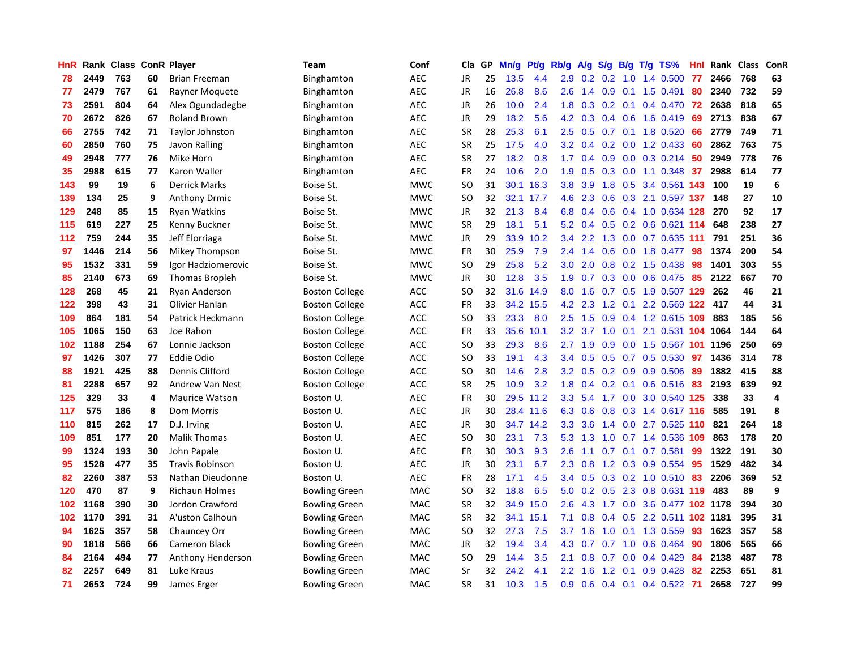| HnR |      | Rank Class ConR Player |    |                        | Team                  | Conf       | Cla           | <b>GP</b> | Mn/g | Pt/g      | Rb/g             | A/g |     |     | $S/g$ B/g T/g TS%          | Hnl | Rank | <b>Class</b> | ConR                    |
|-----|------|------------------------|----|------------------------|-----------------------|------------|---------------|-----------|------|-----------|------------------|-----|-----|-----|----------------------------|-----|------|--------------|-------------------------|
| 78  | 2449 | 763                    | 60 | <b>Brian Freeman</b>   | Binghamton            | <b>AEC</b> | JR            | 25        | 13.5 | 4.4       | 2.9              | 0.2 | 0.2 | 1.0 | 1.4 0.500                  | -77 | 2466 | 768          | 63                      |
| 77  | 2479 | 767                    | 61 | Rayner Moquete         | Binghamton            | <b>AEC</b> | JR            | 16        | 26.8 | 8.6       | 2.6              |     |     |     | 1.4 0.9 0.1 1.5 0.491      | 80  | 2340 | 732          | 59                      |
| 73  | 2591 | 804                    | 64 | Alex Ogundadegbe       | Binghamton            | <b>AEC</b> | JR            | 26        | 10.0 | 2.4       | 1.8              | 0.3 |     |     | 0.2 0.1 0.4 0.470 72       |     | 2638 | 818          | 65                      |
| 70  | 2672 | 826                    | 67 | <b>Roland Brown</b>    | Binghamton            | <b>AEC</b> | <b>JR</b>     | 29        | 18.2 | 5.6       | 4.2              | 0.3 |     |     | $0.4$ 0.6 1.6 0.419        | 69  | 2713 | 838          | 67                      |
| 66  | 2755 | 742                    | 71 | Taylor Johnston        | Binghamton            | <b>AEC</b> | <b>SR</b>     | 28        | 25.3 | 6.1       | 2.5              | 0.5 |     |     | 0.7 0.1 1.8 0.520          | 66  | 2779 | 749          | 71                      |
| 60  | 2850 | 760                    | 75 | Javon Ralling          | Binghamton            | <b>AEC</b> | <b>SR</b>     | 25        | 17.5 | 4.0       | 3.2              | 0.4 |     |     | $0.2$ $0.0$ 1.2 0.433      | 60  | 2862 | 763          | 75                      |
| 49  | 2948 | 777                    | 76 | Mike Horn              | Binghamton            | <b>AEC</b> | <b>SR</b>     | 27        | 18.2 | 0.8       | 1.7              | 0.4 |     |     | 0.9 0.0 0.3 0.214          | 50  | 2949 | 778          | 76                      |
| 35  | 2988 | 615                    | 77 | Karon Waller           | Binghamton            | <b>AEC</b> | <b>FR</b>     | 24        | 10.6 | 2.0       | 1.9              | 0.5 | 0.3 |     | $0.0$ 1.1 0.348            | 37  | 2988 | 614          | 77                      |
| 143 | 99   | 19                     | 6  | <b>Derrick Marks</b>   | Boise St.             | <b>MWC</b> | <sub>SO</sub> | 31        | 30.1 | 16.3      | 3.8 <sub>2</sub> | 3.9 | 1.8 |     | 0.5 3.4 0.561 143          |     | 100  | 19           | $\bf 6$                 |
| 139 | 134  | 25                     | 9  | <b>Anthony Drmic</b>   | Boise St.             | <b>MWC</b> | <sub>SO</sub> | 32        |      | 32.1 17.7 | 4.6              | 2.3 |     |     | 0.6 0.3 2.1 0.597 137      |     | 148  | 27           | 10                      |
| 129 | 248  | 85                     | 15 | Ryan Watkins           | Boise St.             | <b>MWC</b> | <b>JR</b>     | 32        | 21.3 | 8.4       | 6.8              | 0.4 |     |     | 0.6 0.4 1.0 0.634 128      |     | 270  | 92           | 17                      |
| 115 | 619  | 227                    | 25 | Kenny Buckner          | Boise St.             | <b>MWC</b> | <b>SR</b>     | 29        | 18.1 | 5.1       | 5.2              | 0.4 |     |     | $0.5$ 0.2 0.6 0.621 114    |     | 648  | 238          | 27                      |
| 112 | 759  | 244                    | 35 | Jeff Elorriaga         | Boise St.             | <b>MWC</b> | <b>JR</b>     | 29        | 33.9 | 10.2      | $3.4^{\circ}$    | 2.2 |     |     | 1.3 0.0 0.7 0.635 111      |     | 791  | 251          | 36                      |
| 97  | 1446 | 214                    | 56 | Mikey Thompson         | Boise St.             | <b>MWC</b> | <b>FR</b>     | 30        | 25.9 | 7.9       | 2.4              | 1.4 | 0.6 |     | 0.0 1.8 0.477              | 98  | 1374 | 200          | 54                      |
| 95  | 1532 | 331                    | 59 | Igor Hadziomerovic     | Boise St.             | <b>MWC</b> | <b>SO</b>     | 29        | 25.8 | 5.2       | 3.0              | 2.0 | 0.8 |     | 0.2 1.5 0.438              | 98  | 1401 | 303          | 55                      |
| 85  | 2140 | 673                    | 69 | <b>Thomas Bropleh</b>  | Boise St.             | <b>MWC</b> | <b>JR</b>     | 30        | 12.8 | 3.5       | 1.9              | 0.7 | 0.3 |     | $0.0$ 0.6 0.475            | 85  | 2122 | 667          | 70                      |
| 128 | 268  | 45                     | 21 | Ryan Anderson          | <b>Boston College</b> | <b>ACC</b> | SO            | 32        | 31.6 | 14.9      | 8.0              | 1.6 |     |     | 0.7 0.5 1.9 0.507 129      |     | 262  | 46           | 21                      |
| 122 | 398  | 43                     | 31 | Olivier Hanlan         | <b>Boston College</b> | <b>ACC</b> | <b>FR</b>     | 33        |      | 34.2 15.5 | 4.2              | 2.3 | 1.2 | 0.1 | 2.2 0.569 122 417          |     |      | 44           | 31                      |
| 109 | 864  | 181                    | 54 | Patrick Heckmann       | <b>Boston College</b> | <b>ACC</b> | SO            | 33        | 23.3 | 8.0       | 2.5              | 1.5 |     |     | 0.9 0.4 1.2 0.615 109 883  |     |      | 185          | 56                      |
| 105 | 1065 | 150                    | 63 | Joe Rahon              | <b>Boston College</b> | <b>ACC</b> | <b>FR</b>     | 33        | 35.6 | 10.1      | 3.2              | 3.7 |     |     | 1.0 0.1 2.1 0.531 104 1064 |     |      | 144          | 64                      |
| 102 | 1188 | 254                    | 67 | Lonnie Jackson         | <b>Boston College</b> | <b>ACC</b> | SO            | 33        | 29.3 | 8.6       | 2.7              | 1.9 |     |     | 0.9 0.0 1.5 0.567 101 1196 |     |      | 250          | 69                      |
| 97  | 1426 | 307                    | 77 | <b>Eddie Odio</b>      | <b>Boston College</b> | <b>ACC</b> | <b>SO</b>     | 33        | 19.1 | 4.3       | 3.4              | 0.5 | 0.5 |     | $0.7$ 0.5 0.530            | 97  | 1436 | 314          | 78                      |
| 88  | 1921 | 425                    | 88 | Dennis Clifford        | <b>Boston College</b> | <b>ACC</b> | SO            | 30        | 14.6 | 2.8       | 3.2              | 0.5 |     |     | $0.2$ 0.9 0.9 0.506        | -89 | 1882 | 415          | 88                      |
| 81  | 2288 | 657                    | 92 | <b>Andrew Van Nest</b> | <b>Boston College</b> | ACC        | <b>SR</b>     | 25        | 10.9 | 3.2       | 1.8              | 0.4 | 0.2 |     | $0.1$ 0.6 0.516            | -83 | 2193 | 639          | 92                      |
| 125 | 329  | 33                     | 4  | <b>Maurice Watson</b>  | Boston U.             | <b>AEC</b> | <b>FR</b>     | 30        | 29.5 | 11.2      | 3.3 <sub>2</sub> | 5.4 | 1.7 |     | 0.0 3.0 0.540 125          |     | 338  | 33           | $\overline{\mathbf{4}}$ |
| 117 | 575  | 186                    | 8  | Dom Morris             | Boston U.             | <b>AEC</b> | <b>JR</b>     | 30        |      | 28.4 11.6 | 6.3              | 0.6 | 0.8 |     | 0.3 1.4 0.617 116          |     | 585  | 191          | 8                       |
| 110 | 815  | 262                    | 17 | D.J. Irving            | Boston U.             | <b>AEC</b> | JR            | 30        |      | 34.7 14.2 | 3.3 <sub>2</sub> | 3.6 |     |     | 1.4 0.0 2.7 0.525 110 821  |     |      | 264          | 18                      |
| 109 | 851  | 177                    | 20 | <b>Malik Thomas</b>    | Boston U.             | <b>AEC</b> | <sub>SO</sub> | 30        | 23.1 | 7.3       | 5.3              | 1.3 |     |     | 1.0 0.7 1.4 0.536 109      |     | 863  | 178          | 20                      |
| 99  | 1324 | 193                    | 30 | John Papale            | Boston U.             | <b>AEC</b> | <b>FR</b>     | 30        | 30.3 | 9.3       | 2.6              | 1.1 |     |     | 0.7 0.1 0.7 0.581          | 99  | 1322 | 191          | 30                      |
| 95  | 1528 | 477                    | 35 | <b>Travis Robinson</b> | Boston U.             | <b>AEC</b> | JR            | 30        | 23.1 | 6.7       | 2.3              | 0.8 |     |     | 1.2 0.3 0.9 0.554          | -95 | 1529 | 482          | 34                      |
| 82  | 2260 | 387                    | 53 | Nathan Dieudonne       | Boston U.             | <b>AEC</b> | <b>FR</b>     | 28        | 17.1 | 4.5       | $3.4^{\circ}$    | 0.5 |     |     | $0.3$ 0.2 1.0 0.510        | 83  | 2206 | 369          | 52                      |
| 120 | 470  | 87                     | 9  | <b>Richaun Holmes</b>  | <b>Bowling Green</b>  | <b>MAC</b> | SO.           | 32        | 18.8 | 6.5       | 5.0              | 0.2 | 0.5 |     | 2.3 0.8 0.631 119          |     | 483  | 89           | 9                       |
| 102 | 1168 | 390                    | 30 | Jordon Crawford        | <b>Bowling Green</b>  | <b>MAC</b> | <b>SR</b>     | 32        | 34.9 | 15.0      | 2.6              | 4.3 | 1.7 |     | 0.0 3.6 0.477 102 1178     |     |      | 394          | 30                      |
| 102 | 1170 | 391                    | 31 | A'uston Calhoun        | <b>Bowling Green</b>  | <b>MAC</b> | <b>SR</b>     | 32        | 34.1 | 15.1      | 7.1              | 0.8 | 0.4 |     | 0.5 2.2 0.511 102 1181     |     |      | 395          | 31                      |
| 94  | 1625 | 357                    | 58 | Chauncey Orr           | <b>Bowling Green</b>  | <b>MAC</b> | SO            | 32        | 27.3 | 7.5       | 3.7              | 1.6 | 1.0 |     | $0.1$ 1.3 0.559            | 93  | 1623 | 357          | 58                      |
| 90  | 1818 | 566                    | 66 | <b>Cameron Black</b>   | <b>Bowling Green</b>  | <b>MAC</b> | JR            | 32        | 19.4 | 3.4       | 4.3              | 0.7 |     |     | 0.7 1.0 0.6 0.464          | 90  | 1806 | 565          | 66                      |
| 84  | 2164 | 494                    | 77 | Anthony Henderson      | <b>Bowling Green</b>  | <b>MAC</b> | <sub>SO</sub> | 29        | 14.4 | 3.5       | 2.1              | 0.8 |     |     | $0.7$ 0.0 0.4 0.429        | 84  | 2138 | 487          | 78                      |
| 82  | 2257 | 649                    | 81 | Luke Kraus             | <b>Bowling Green</b>  | <b>MAC</b> | Sr            | 32        | 24.2 | 4.1       | 2.2              | 1.6 | 1.2 | 0.1 | $0.9$ 0.428                | 82  | 2253 | 651          | 81                      |
| 71  | 2653 | 724                    | 99 | James Erger            | <b>Bowling Green</b>  | <b>MAC</b> | <b>SR</b>     | 31        | 10.3 | 1.5       | 0.9              | 0.6 |     |     | 0.4 0.1 0.4 0.522 71       |     | 2658 | 727          | 99                      |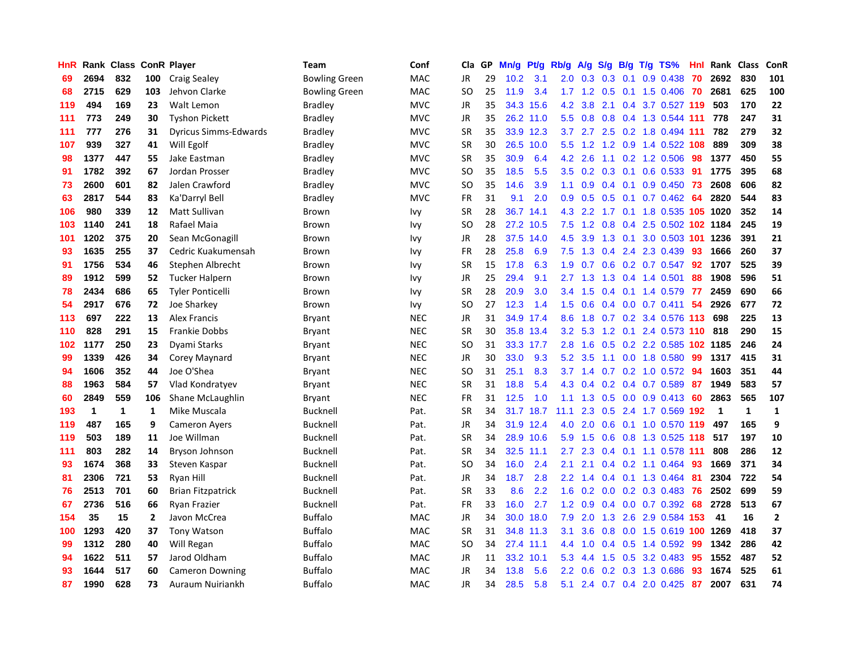| HnR |      | Rank Class |              | <b>ConR Player</b>           | Team                 | Conf       | Cla           | <b>GP</b> | Mn/g | <b>Pt/g</b> | Rb/g             | A/g       | S/g              | B/g             | $T/g$ TS%                    | Hnl | Rank        | <b>Class</b> | ConR        |
|-----|------|------------|--------------|------------------------------|----------------------|------------|---------------|-----------|------|-------------|------------------|-----------|------------------|-----------------|------------------------------|-----|-------------|--------------|-------------|
| 69  | 2694 | 832        | 100          | <b>Craig Sealey</b>          | <b>Bowling Green</b> | MAC        | JR            | 29        | 10.2 | 3.1         | 2.0 <sub>1</sub> | 0.3       | 0.3              | 0.1             | $0.9$ 0.438                  | -70 | 2692        | 830          | 101         |
| 68  | 2715 | 629        | 103          | Jehvon Clarke                | <b>Bowling Green</b> | MAC        | SO            | 25        | 11.9 | 3.4         |                  |           |                  |                 | 1.7 1.2 0.5 0.1 1.5 0.406 70 |     | 2681        | 625          | 100         |
| 119 | 494  | 169        | 23           | Walt Lemon                   | Bradley              | <b>MVC</b> | JR            | 35        | 34.3 | 15.6        | 4.2              | 3.8       |                  |                 | 2.1 0.4 3.7 0.527 119        |     | 503         | 170          | 22          |
| 111 | 773  | 249        | 30           | <b>Tyshon Pickett</b>        | <b>Bradley</b>       | <b>MVC</b> | JR            | 35        |      | 26.2 11.0   | 5.5              | 0.8       | 0.8              |                 | 0.4 1.3 0.544 111            |     | 778         | 247          | 31          |
| 111 | 777  | 276        | 31           | <b>Dyricus Simms-Edwards</b> | <b>Bradley</b>       | <b>MVC</b> | <b>SR</b>     | 35        |      | 33.9 12.3   | 3.7              | 2.7       | 2.5              |                 | 0.2 1.8 0.494 111            |     | 782         | 279          | 32          |
| 107 | 939  | 327        | 41           | Will Egolf                   | <b>Bradley</b>       | <b>MVC</b> | <b>SR</b>     | 30        | 26.5 | 10.0        | 5.5              | 1.2       |                  |                 | 1.2 0.9 1.4 0.522 108        |     | 889         | 309          | 38          |
| 98  | 1377 | 447        | 55           | Jake Eastman                 | <b>Bradley</b>       | <b>MVC</b> | <b>SR</b>     | 35        | 30.9 | 6.4         | 4.2              | 2.6       | 1.1              |                 | $0.2$ 1.2 0.506              | 98  | 1377        | 450          | 55          |
| 91  | 1782 | 392        | 67           | Jordan Prosser               | <b>Bradley</b>       | <b>MVC</b> | SO            | 35        | 18.5 | 5.5         | 3.5              | 0.2       | 0.3              | 0.1             | 0.6 0.533                    | -91 | 1775        | 395          | 68          |
| 73  | 2600 | 601        | 82           | Jalen Crawford               | <b>Bradley</b>       | <b>MVC</b> | <b>SO</b>     | 35        | 14.6 | 3.9         | 1.1              | 0.9       |                  | $0.4 \quad 0.1$ | $0.9$ 0.450                  | 73  | 2608        | 606          | 82          |
| 63  | 2817 | 544        | 83           | Ka'Darryl Bell               | <b>Bradley</b>       | <b>MVC</b> | FR            | 31        | 9.1  | 2.0         | 0.9              | 0.5       |                  |                 | 0.5 0.1 0.7 0.462 64         |     | 2820        | 544          | 83          |
| 106 | 980  | 339        | 12           | Matt Sullivan                | Brown                | Ivy        | <b>SR</b>     | 28        | 36.7 | 14.1        | 4.3              | 2.2       |                  |                 | 1.7 0.1 1.8 0.535 105 1020   |     |             | 352          | 14          |
| 103 | 1140 | 241        | 18           | Rafael Maia                  | Brown                | Ivy        | SO            | 28        | 27.2 | 10.5        | 7.5              | 1.2       | 0.8              |                 | 0.4 2.5 0.502 102 1184       |     |             | 245          | 19          |
| 101 | 1202 | 375        | 20           | Sean McGonagill              | Brown                | Ivy        | JR            | 28        | 37.5 | 14.0        | 4.5              | 3.9       | 1.3              | 0.1             | 3.0 0.503 101                |     | 1236        | 391          | 21          |
| 93  | 1635 | 255        | 37           | Cedric Kuakumensah           | Brown                | Ivy        | FR            | 28        | 25.8 | 6.9         | 7.5              | 1.3       | 0.4              |                 | 2.4 2.3 0.439                | 93  | 1666        | 260          | 37          |
| 91  | 1756 | 534        | 46           | Stephen Albrecht             | Brown                | Ivy        | <b>SR</b>     | 15        | 17.8 | 6.3         | 1.9              | 0.7       | 0.6              |                 | $0.2$ 0.7 0.547              | 92  | 1707        | 525          | 39          |
| 89  | 1912 | 599        | 52           | Tucker Halpern               | Brown                | Ivy        | JR            | 25        | 29.4 | 9.1         |                  | $2.7$ 1.3 | 1.3              |                 | $0.4$ 1.4 0.501              | 88  | 1908        | 596          | 51          |
| 78  | 2434 | 686        | 65           | <b>Tyler Ponticelli</b>      | Brown                | Ivy        | <b>SR</b>     | 28        | 20.9 | 3.0         | 3.4              | 1.5       | 0.4              |                 | 0.1 1.4 0.579                | -77 | 2459        | 690          | 66          |
| 54  | 2917 | 676        | 72           | Joe Sharkey                  | Brown                | Ivy        | SO            | 27        | 12.3 | 1.4         | 1.5              | 0.6       |                  |                 | $0.4$ 0.0 0.7 0.411          | 54  | 2926        | 677          | 72          |
| 113 | 697  | 222        | 13           | <b>Alex Francis</b>          | Bryant               | <b>NEC</b> | JR            | 31        |      | 34.9 17.4   | 8.6              | 1.8       |                  |                 | 0.7 0.2 3.4 0.576 113        |     | 698         | 225          | 13          |
| 110 | 828  | 291        | 15           | <b>Frankie Dobbs</b>         | Bryant               | <b>NEC</b> | <b>SR</b>     | 30        |      | 35.8 13.4   | 3.2              | 5.3       |                  |                 | 1.2 0.1 2.4 0.573 110 818    |     |             | 290          | 15          |
| 102 | 1177 | 250        | 23           | Dyami Starks                 | Bryant               | <b>NEC</b> | <sub>SO</sub> | 31        | 33.3 | 17.7        | 2.8              | 1.6       | 0.5              |                 | 0.2 2.2 0.585                |     | 102 1185    | 246          | 24          |
| 99  | 1339 | 426        | 34           | Corey Maynard                | Bryant               | <b>NEC</b> | JR            | 30        | 33.0 | 9.3         | 5.2              | 3.5       |                  |                 | 1.1 0.0 1.8 0.580            | 99  | 1317        | 415          | 31          |
| 94  | 1606 | 352        | 44           | Joe O'Shea                   | Bryant               | <b>NEC</b> | <sub>SO</sub> | 31        | 25.1 | 8.3         | 3.7              | 1.4       | 0.7              |                 | $0.2$ 1.0 0.572              | -94 | 1603        | 351          | 44          |
| 88  | 1963 | 584        | 57           | Vlad Kondratyev              | Bryant               | <b>NEC</b> | SR            | 31        | 18.8 | 5.4         | 4.3              | 0.4       | 0.2              |                 | 0.4 0.7 0.589                | 87  | 1949        | 583          | 57          |
| 60  | 2849 | 559        | 106          | Shane McLaughlin             | Bryant               | <b>NEC</b> | FR            | 31        | 12.5 | 1.0         | 1.1              | 1.3       | 0.5              |                 | $0.0$ $0.9$ $0.413$          | -60 | 2863        | 565          | 107         |
| 193 | 1    | 1          | 1            | Mike Muscala                 | <b>Bucknell</b>      | Pat.       | <b>SR</b>     | 34        |      | 31.7 18.7   | 11.1             | 2.3       |                  |                 | 0.5 2.4 1.7 0.569 192        |     | $\mathbf 1$ | $\mathbf 1$  | 1           |
| 119 | 487  | 165        | 9            | <b>Cameron Ayers</b>         | <b>Bucknell</b>      | Pat.       | JR            | 34        |      | 31.9 12.4   | 4.0              | 2.0       |                  |                 | 0.6 0.1 1.0 0.570 119        |     | 497         | 165          | 9           |
| 119 | 503  | 189        | 11           | Joe Willman                  | <b>Bucknell</b>      | Pat.       | <b>SR</b>     | 34        |      | 28.9 10.6   | 5.9              | 1.5       |                  |                 | $0.6$ $0.8$ 1.3 $0.525$ 118  |     | 517         | 197          | 10          |
| 111 | 803  | 282        | 14           | Bryson Johnson               | <b>Bucknell</b>      | Pat.       | <b>SR</b>     | 34        | 32.5 | 11.1        | $2.7^{\circ}$    | 2.3       |                  |                 | 0.4 0.1 1.1 0.578 111        |     | 808         | 286          | 12          |
| 93  | 1674 | 368        | 33           | Steven Kaspar                | <b>Bucknell</b>      | Pat.       | <b>SO</b>     | 34        | 16.0 | 2.4         | 2.1              | 2.1       | 0.4              |                 | 0.2 1.1 0.464                | -93 | 1669        | 371          | 34          |
| 81  | 2306 | 721        | 53           | Ryan Hill                    | <b>Bucknell</b>      | Pat.       | JR            | 34        | 18.7 | 2.8         | 2.2              | 1.4       |                  |                 | 0.4 0.1 1.3 0.464            | -81 | 2304        | 722          | 54          |
| 76  | 2513 | 701        | 60           | <b>Brian Fitzpatrick</b>     | <b>Bucknell</b>      | Pat.       | <b>SR</b>     | 33        | 8.6  | 2.2         | 1.6              | 0.2       | 0.0 <sub>1</sub> |                 | $0.2$ $0.3$ $0.483$          | 76  | 2502        | 699          | 59          |
| 67  | 2736 | 516        | 66           | <b>Ryan Frazier</b>          | <b>Bucknell</b>      | Pat.       | FR            | 33        | 16.0 | 2.7         | 1.2              | 0.9       |                  |                 | 0.4 0.0 0.7 0.392            | 68  | 2728        | 513          | 67          |
| 154 | 35   | 15         | $\mathbf{2}$ | Javon McCrea                 | <b>Buffalo</b>       | <b>MAC</b> | <b>JR</b>     | 34        | 30.0 | 18.0        | 7.9              | 2.0       |                  |                 | 1.3 2.6 2.9 0.584 153        |     | 41          | 16           | $\mathbf 2$ |
| 100 | 1293 | 420        | 37           | <b>Tony Watson</b>           | <b>Buffalo</b>       | <b>MAC</b> | <b>SR</b>     | 31        |      | 34.8 11.3   | 3.1              | 3.6       |                  |                 | 0.8 0.0 1.5 0.619 100 1269   |     |             | 418          | 37          |
| 99  | 1312 | 280        | 40           | Will Regan                   | <b>Buffalo</b>       | <b>MAC</b> | <sub>SO</sub> | 34        |      | 27.4 11.1   | 4.4              | 1.0       |                  |                 | $0.4$ 0.5 1.4 0.592          | 99  | 1342        | 286          | 42          |
| 94  | 1622 | 511        | 57           | Jarod Oldham                 | <b>Buffalo</b>       | <b>MAC</b> | JR            | 11        | 33.2 | 10.1        | 5.3              | 4.4       | 1.5              |                 | 0.5 3.2 0.483                | 95  | 1552        | 487          | 52          |
| 93  | 1644 | 517        | 60           | <b>Cameron Downing</b>       | <b>Buffalo</b>       | <b>MAC</b> | JR            | 34        | 13.8 | 5.6         | $2.2\phantom{0}$ | 0.6       | 0.2              |                 | 0.3 1.3 0.686                | 93  | 1674        | 525          | 61          |
| 87  | 1990 | 628        | 73           | Auraum Nuiriankh             | <b>Buffalo</b>       | <b>MAC</b> | JR            | 34        | 28.5 | 5.8         | 5.1              |           |                  |                 | 2.4 0.7 0.4 2.0 0.425        | 87  | 2007        | 631          | 74          |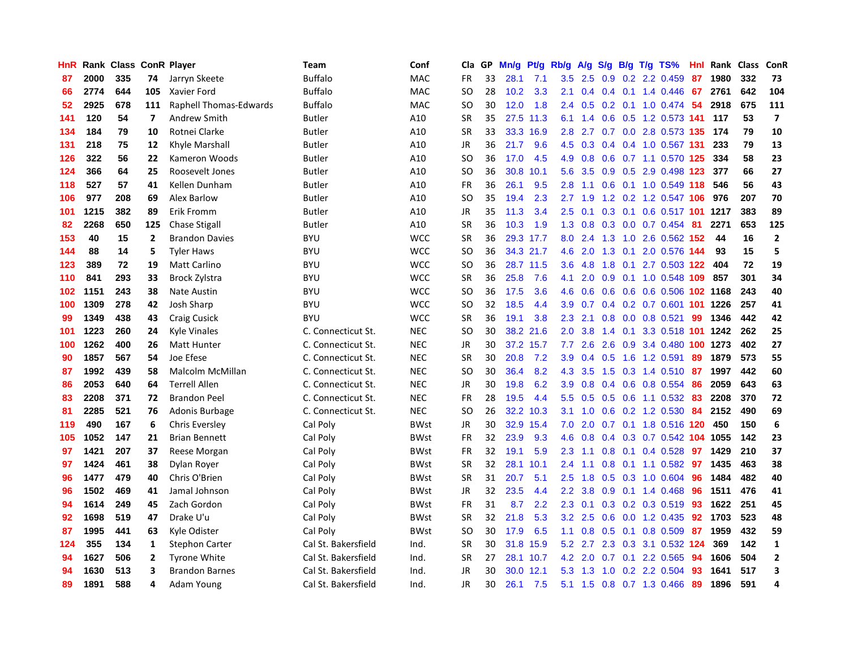| HnR |      | Rank Class ConR Player |                |                        | Team                | Conf        | Cla           | <b>GP</b> | Mn/g | Pt/g      | Rb/g             | A/g           | S/g              |  | B/g T/g TS%                 | Hnl | Rank | <b>Class</b> | ConR                    |
|-----|------|------------------------|----------------|------------------------|---------------------|-------------|---------------|-----------|------|-----------|------------------|---------------|------------------|--|-----------------------------|-----|------|--------------|-------------------------|
| 87  | 2000 | 335                    | 74             | Jarryn Skeete          | <b>Buffalo</b>      | <b>MAC</b>  | <b>FR</b>     | 33        | 28.1 | 7.1       | $3.5^{\circ}$    | 2.5           |                  |  | $0.9$ $0.2$ 2.2 $0.459$     | 87  | 1980 | 332          | 73                      |
| 66  | 2774 | 644                    | 105            | Xavier Ford            | <b>Buffalo</b>      | <b>MAC</b>  | SO            | 28        | 10.2 | 3.3       | 2.1              | $0.4^{\circ}$ |                  |  | $0.4$ 0.1 1.4 0.446 67      |     | 2761 | 642          | 104                     |
| 52  | 2925 | 678                    | 111            | Raphell Thomas-Edwards | Buffalo             | <b>MAC</b>  | SO            | 30        | 12.0 | 1.8       | $2.4^{\circ}$    | 0.5           |                  |  | 0.2 0.1 1.0 0.474 54        |     | 2918 | 675          | 111                     |
| 141 | 120  | 54                     | $\overline{7}$ | Andrew Smith           | <b>Butler</b>       | A10         | <b>SR</b>     | 35        | 27.5 | 11.3      | 6.1              | 1.4           |                  |  | $0.6$ $0.5$ 1.2 $0.573$ 141 |     | 117  | 53           | $\overline{7}$          |
| 134 | 184  | 79                     | 10             | Rotnei Clarke          | <b>Butler</b>       | A10         | <b>SR</b>     | 33        | 33.3 | 16.9      | 2.8              | 2.7           |                  |  | 0.7 0.0 2.8 0.573 135       |     | 174  | 79           | 10                      |
| 131 | 218  | 75                     | 12             | Khyle Marshall         | Butler              | A10         | JR            | 36        | 21.7 | 9.6       | 4.5              | 0.3           |                  |  | 0.4 0.4 1.0 0.567 131       |     | 233  | 79           | 13                      |
| 126 | 322  | 56                     | 22             | Kameron Woods          | <b>Butler</b>       | A10         | SO.           | 36        | 17.0 | 4.5       | 4.9              | 0.8           | 0.6              |  | 0.7 1.1 0.570               | 125 | 334  | 58           | 23                      |
| 124 | 366  | 64                     | 25             | Roosevelt Jones        | Butler              | A10         | SO            | 36        | 30.8 | 10.1      | 5.6              | 3.5           | 0.9 <sup>°</sup> |  | 0.5 2.9 0.498 123           |     | 377  | 66           | 27                      |
| 118 | 527  | 57                     | 41             | Kellen Dunham          | Butler              | A10         | <b>FR</b>     | 36        | 26.1 | 9.5       | 2.8              | 1.1           | 0.6              |  | 0.1 1.0 0.549 118           |     | 546  | 56           | 43                      |
| 106 | 977  | 208                    | 69             | Alex Barlow            | Butler              | A10         | SO            | 35        | 19.4 | 2.3       | 2.7              | 1.9           |                  |  | 1.2 0.2 1.2 0.547 106 976   |     |      | 207          | 70                      |
| 101 | 1215 | 382                    | 89             | <b>Erik Fromm</b>      | Butler              | A10         | JR            | 35        | 11.3 | 3.4       | $2.5^{\circ}$    | 0.1           |                  |  | 0.3 0.1 0.6 0.517 101 1217  |     |      | 383          | 89                      |
| 82  | 2268 | 650                    | 125            | <b>Chase Stigall</b>   | <b>Butler</b>       | A10         | <b>SR</b>     | 36        | 10.3 | 1.9       | 1.3              | 0.8           |                  |  | 0.3 0.0 0.7 0.454 81        |     | 2271 | 653          | 125                     |
| 153 | 40   | 15                     | $\overline{2}$ | <b>Brandon Davies</b>  | <b>BYU</b>          | <b>WCC</b>  | <b>SR</b>     | 36        |      | 29.3 17.7 | 8.0              | 2.4           | 1.3              |  | 1.0 2.6 0.562 152           |     | 44   | 16           | $\overline{2}$          |
| 144 | 88   | 14                     | 5              | <b>Tyler Haws</b>      | <b>BYU</b>          | <b>WCC</b>  | <b>SO</b>     | 36        |      | 34.3 21.7 | 4.6              | 2.0           | 1.3              |  | 0.1 2.0 0.576 144           |     | 93   | 15           | 5                       |
| 123 | 389  | 72                     | 19             | <b>Matt Carlino</b>    | <b>BYU</b>          | <b>WCC</b>  | <b>SO</b>     | 36        |      | 28.7 11.5 | 3.6              | 4.8           | 1.8              |  | 0.1 2.7 0.503 122           |     | 404  | 72           | 19                      |
| 110 | 841  | 293                    | 33             | <b>Brock Zylstra</b>   | <b>BYU</b>          | <b>WCC</b>  | <b>SR</b>     | 36        | 25.8 | 7.6       | 4.1              | 2.0           | 0.9 <sup>°</sup> |  | 0.1 1.0 0.548 109           |     | 857  | 301          | 34                      |
| 102 | 1151 | 243                    | 38             | <b>Nate Austin</b>     | <b>BYU</b>          | <b>WCC</b>  | <sub>SO</sub> | 36        | 17.5 | 3.6       | 4.6              | 0.6           | 0.6              |  | 0.6 0.6 0.506 102 1168      |     |      | 243          | 40                      |
| 100 | 1309 | 278                    | 42             | <b>Josh Sharp</b>      | <b>BYU</b>          | <b>WCC</b>  | <sub>SO</sub> | 32        | 18.5 | 4.4       | 3.9 <sup>°</sup> | 0.7           |                  |  | 0.4 0.2 0.7 0.601 101 1226  |     |      | 257          | 41                      |
| 99  | 1349 | 438                    | 43             | <b>Craig Cusick</b>    | <b>BYU</b>          | <b>WCC</b>  | <b>SR</b>     | 36        | 19.1 | 3.8       | 2.3              | 2.1           |                  |  | $0.8$ 0.0 0.8 0.521         | -99 | 1346 | 442          | 42                      |
| 101 | 1223 | 260                    | 24             | <b>Kyle Vinales</b>    | C. Connecticut St.  | <b>NEC</b>  | <sub>SO</sub> | 30        |      | 38.2 21.6 | $2.0^{\circ}$    | 3.8           |                  |  | 1.4 0.1 3.3 0.518 101 1242  |     |      | 262          | 25                      |
| 100 | 1262 | 400                    | 26             | Matt Hunter            | C. Connecticut St.  | <b>NEC</b>  | JR            | 30        | 37.2 | 15.7      | 7.7              | 2.6           | 2.6              |  | 0.9 3.4 0.480 100 1273      |     |      | 402          | 27                      |
| 90  | 1857 | 567                    | 54             | Joe Efese              | C. Connecticut St.  | <b>NEC</b>  | <b>SR</b>     | 30        | 20.8 | 7.2       | 3.9              | 0.4           | 0.5              |  | 1.6 1.2 0.591               | 89  | 1879 | 573          | 55                      |
| 87  | 1992 | 439                    | 58             | Malcolm McMillan       | C. Connecticut St.  | <b>NEC</b>  | SO            | 30        | 36.4 | 8.2       | 4.3              | 3.5           | 1.5              |  | $0.3$ 1.4 $0.510$           | -87 | 1997 | 442          | 60                      |
| 86  | 2053 | 640                    | 64             | <b>Terrell Allen</b>   | C. Connecticut St.  | <b>NEC</b>  | JR            | 30        | 19.8 | 6.2       | 3.9              | 0.8           | 0.4              |  | 0.6 0.8 0.554               | -86 | 2059 | 643          | 63                      |
| 83  | 2208 | 371                    | 72             | <b>Brandon Peel</b>    | C. Connecticut St.  | <b>NEC</b>  | FR            | 28        | 19.5 | 4.4       | 5.5              | 0.5           | 0.5              |  | $0.6$ 1.1 0.532             | -83 | 2208 | 370          | 72                      |
| 81  | 2285 | 521                    | 76             | Adonis Burbage         | C. Connecticut St.  | <b>NEC</b>  | SO            | 26        |      | 32.2 10.3 | 3.1              | 1.0           | 0.6              |  | $0.2$ 1.2 0.530             | -84 | 2152 | 490          | 69                      |
| 119 | 490  | 167                    | 6              | <b>Chris Eversley</b>  | Cal Poly            | <b>BWst</b> | JR            | 30        |      | 32.9 15.4 | 7.0              | 2.0           |                  |  | 0.7 0.1 1.8 0.516 120       |     | 450  | 150          | $\bf 6$                 |
| 105 | 1052 | 147                    | 21             | <b>Brian Bennett</b>   | Cal Poly            | <b>BWst</b> | <b>FR</b>     | 32        | 23.9 | 9.3       | 4.6              | 0.8           |                  |  | 0.4 0.3 0.7 0.542 104 1055  |     |      | 142          | 23                      |
| 97  | 1421 | 207                    | 37             | Reese Morgan           | Cal Poly            | BWst        | <b>FR</b>     | 32        | 19.1 | 5.9       | 2.3              | 1.1           |                  |  | $0.8$ 0.1 0.4 0.528         | -97 | 1429 | 210          | 37                      |
| 97  | 1424 | 461                    | 38             | Dylan Royer            | Cal Poly            | <b>BWst</b> | <b>SR</b>     | 32        | 28.1 | 10.1      | 2.4              | 1.1           | 0.8              |  | 0.1 1.1 0.582 97            |     | 1435 | 463          | 38                      |
| 96  | 1477 | 479                    | 40             | Chris O'Brien          | Cal Poly            | <b>BWst</b> | <b>SR</b>     | 31        | 20.7 | 5.1       | $2.5^{\circ}$    | 1.8           | 0.5              |  | $0.3$ 1.0 0.604             | -96 | 1484 | 482          | 40                      |
| 96  | 1502 | 469                    | 41             | Jamal Johnson          | Cal Poly            | <b>BWst</b> | JR            | 32        | 23.5 | 4.4       | 2.2              | 3.8           | 0.9              |  | $0.1$ 1.4 0.468             | -96 | 1511 | 476          | 41                      |
| 94  | 1614 | 249                    | 45             | Zach Gordon            | Cal Poly            | <b>BWst</b> | <b>FR</b>     | 31        | 8.7  | 2.2       | 2.3              | 0.1           | 0.3              |  | $0.2$ 0.3 0.519             | 93  | 1622 | 251          | 45                      |
| 92  | 1698 | 519                    | 47             | Drake U'u              | Cal Poly            | <b>BWst</b> | <b>SR</b>     | 32        | 21.8 | 5.3       | 3.2              | 2.5           | 0.6              |  | 0.0 1.2 0.435               | 92  | 1703 | 523          | 48                      |
| 87  | 1995 | 441                    | 63             | Kyle Odister           | Cal Poly            | <b>BWst</b> | SO            | 30        | 17.9 | 6.5       | 1.1              | 0.8           |                  |  | $0.5$ 0.1 0.8 0.509         | -87 | 1959 | 432          | 59                      |
| 124 | 355  | 134                    | 1              | <b>Stephon Carter</b>  | Cal St. Bakersfield | Ind.        | <b>SR</b>     | 30        | 31.8 | 15.9      |                  | 5.2 2.7       |                  |  | 2.3 0.3 3.1 0.532 124       |     | 369  | 142          | $\mathbf{1}$            |
| 94  | 1627 | 506                    | $\mathbf{2}$   | <b>Tyrone White</b>    | Cal St. Bakersfield | Ind.        | <b>SR</b>     | 27        |      | 28.1 10.7 | 4.2              | 2.0           |                  |  | $0.7$ $0.1$ $2.2$ $0.565$   | -94 | 1606 | 504          | $\overline{2}$          |
| 94  | 1630 | 513                    | 3              | <b>Brandon Barnes</b>  | Cal St. Bakersfield | Ind.        | <b>JR</b>     | 30        | 30.0 | 12.1      | 5.3              | 1.3           | 1.0              |  | $0.2$ 2.2 0.504             | 93  | 1641 | 517          | $\overline{\mathbf{3}}$ |
| 89  | 1891 | 588                    | 4              | Adam Young             | Cal St. Bakersfield | Ind.        | JR            | 30        | 26.1 | 7.5       | 5.1              | 1.5           |                  |  | 0.8 0.7 1.3 0.466           | -89 | 1896 | 591          | 4                       |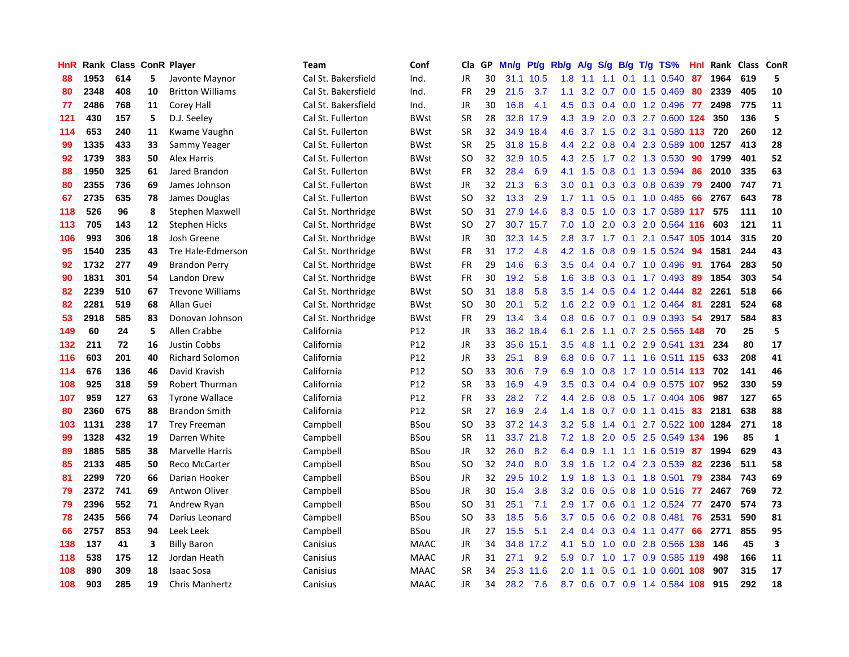| HnR |      | Rank Class ConR Player |    |                         | <b>Team</b>         | Conf        | Cla       | GP | Mn/g | Pt/g      | Rb/g | A/g             | S/g |     | $B/g$ T/g TS%              | Hnl | Rank     | Class | <b>ConR</b>  |
|-----|------|------------------------|----|-------------------------|---------------------|-------------|-----------|----|------|-----------|------|-----------------|-----|-----|----------------------------|-----|----------|-------|--------------|
| 88  | 1953 | 614                    | 5  | Javonte Maynor          | Cal St. Bakersfield | Ind.        | <b>JR</b> | 30 | 31.1 | 10.5      | 1.8  | 1.1             | 1.1 | 0.1 | 1.1 0.540                  | 87  | 1964     | 619   | 5            |
| 80  | 2348 | 408                    | 10 | <b>Britton Williams</b> | Cal St. Bakersfield | Ind.        | FR        | 29 | 21.5 | 3.7       | 1.1  | 3.2             |     |     | 0.7 0.0 1.5 0.469          | 80  | 2339     | 405   | 10           |
| 77  | 2486 | 768                    | 11 | Corey Hall              | Cal St. Bakersfield | Ind.        | JR        | 30 | 16.8 | 4.1       | 4.5  | 0.3             |     |     | 0.4 0.0 1.2 0.496 77       |     | 2498     | 775   | 11           |
| 121 | 430  | 157                    | 5  | D.J. Seeley             | Cal St. Fullerton   | <b>BWst</b> | SR        | 28 |      | 32.8 17.9 | 4.3  | 3.9             |     |     | 2.0 0.3 2.7 0.600 124      |     | 350      | 136   | 5            |
| 114 | 653  | 240                    | 11 | Kwame Vaughn            | Cal St. Fullerton   | <b>BWst</b> | <b>SR</b> | 32 |      | 34.9 18.4 | 4.6  | $3.7 \quad 1.5$ |     |     | 0.2 3.1 0.580 113 720      |     |          | 260   | 12           |
| 99  | 1335 | 433                    | 33 | Sammy Yeager            | Cal St. Fullerton   | <b>BWst</b> | <b>SR</b> | 25 | 31.8 | 15.8      | 4.4  | 2.2             | 0.8 |     | 0.4 2.3 0.589              |     | 100 1257 | 413   | 28           |
| 92  | 1739 | 383                    | 50 | Alex Harris             | Cal St. Fullerton   | BWst        | SO        | 32 | 32.9 | 10.5      | 4.3  | 2.5             |     |     | 1.7 0.2 1.3 0.530          | 90  | 1799     | 401   | 52           |
| 88  | 1950 | 325                    | 61 | Jared Brandon           | Cal St. Fullerton   | <b>BWst</b> | <b>FR</b> | 32 | 28.4 | 6.9       | 4.1  | 1.5             | 0.8 |     | 0.1 1.3 0.594              | 86  | 2010     | 335   | 63           |
| 80  | 2355 | 736                    | 69 | James Johnson           | Cal St. Fullerton   | BWst        | <b>JR</b> | 32 | 21.3 | 6.3       | 3.0  | 0.1             | 0.3 |     | 0.3 0.8 0.639              | 79  | 2400     | 747   | ${\bf 71}$   |
| 67  | 2735 | 635                    | 78 | James Douglas           | Cal St. Fullerton   | <b>BWst</b> | <b>SO</b> | 32 | 13.3 | 2.9       | 1.7  | 1.1             | 0.5 |     | $0.1$ 1.0 0.485            | 66  | 2767     | 643   | 78           |
| 118 | 526  | 96                     | 8  | <b>Stephen Maxwell</b>  | Cal St. Northridge  | BWst        | <b>SO</b> | 31 |      | 27.9 14.6 | 8.3  | 0.5             |     |     | 1.0 0.3 1.7 0.589 117      |     | 575      | 111   | 10           |
| 113 | 705  | 143                    | 12 | <b>Stephen Hicks</b>    | Cal St. Northridge  | <b>BWst</b> | <b>SO</b> | 27 |      | 30.7 15.7 | 7.0  | 1.0             |     |     | 2.0 0.3 2.0 0.564 116      |     | 603      | 121   | 11           |
| 106 | 993  | 306                    | 18 | Josh Greene             | Cal St. Northridge  | <b>BWst</b> | JR        | 30 | 32.3 | 14.5      | 2.8  | 3.7             |     |     | 1.7 0.1 2.1 0.547 105 1014 |     |          | 315   | 20           |
| 95  | 1540 | 235                    | 43 | Tre Hale-Edmerson       | Cal St. Northridge  | <b>BWst</b> | <b>FR</b> | 31 | 17.2 | 4.8       | 4.2  | 1.6             | 0.8 |     | 0.9 1.5 0.524              | 94  | 1581     | 244   | 43           |
| 92  | 1732 | 277                    | 49 | <b>Brandon Perry</b>    | Cal St. Northridge  | <b>BWst</b> | FR        | 29 | 14.6 | 6.3       | 3.5  | 0.4             |     |     | 0.4 0.7 1.0 0.496          | -91 | 1764     | 283   | 50           |
| 90  | 1831 | 301                    | 54 | Landon Drew             | Cal St. Northridge  | <b>BWst</b> | <b>FR</b> | 30 | 19.2 | 5.8       | 1.6  | 3.8             | 0.3 |     | $0.1$ 1.7 0.493            | -89 | 1854     | 303   | 54           |
| 82  | 2239 | 510                    | 67 | <b>Trevone Williams</b> | Cal St. Northridge  | <b>BWst</b> | SO        | 31 | 18.8 | 5.8       | 3.5  | 1.4             | 0.5 |     | 0.4 1.2 0.444              | 82  | 2261     | 518   | 66           |
| 82  | 2281 | 519                    | 68 | Allan Guei              | Cal St. Northridge  | <b>BWst</b> | SO        | 30 | 20.1 | 5.2       | 1.6  | 2.2             | 0.9 |     | $0.1$ 1.2 0.464            | -81 | 2281     | 524   | 68           |
| 53  | 2918 | 585                    | 83 | Donovan Johnson         | Cal St. Northridge  | <b>BWst</b> | FR        | 29 | 13.4 | 3.4       | 0.8  | 0.6             |     |     | $0.7$ 0.1 0.9 0.393        | -54 | 2917     | 584   | 83           |
| 149 | 60   | 24                     | 5  | Allen Crabbe            | California          | P12         | JR        | 33 | 36.2 | 18.4      | 6.1  | 2.6             |     |     | 1.1 0.7 2.5 0.565 148      |     | 70       | 25    | 5            |
| 132 | 211  | 72                     | 16 | Justin Cobbs            | California          | P12         | JR        | 33 | 35.6 | 15.1      | 3.5  | 4.8             |     |     | 1.1 0.2 2.9 0.541 131      |     | 234      | 80    | 17           |
| 116 | 603  | 201                    | 40 | <b>Richard Solomon</b>  | California          | P12         | JR        | 33 | 25.1 | 8.9       | 6.8  | 0.6             | 0.7 |     | 1.1 1.6 0.511 115          |     | 633      | 208   | 41           |
| 114 | 676  | 136                    | 46 | David Kravish           | California          | P12         | <b>SO</b> | 33 | 30.6 | 7.9       | 6.9  | 1.0             | 0.8 |     | 1.7 1.0 0.514 113          |     | 702      | 141   | 46           |
| 108 | 925  | 318                    | 59 | <b>Robert Thurman</b>   | California          | P12         | <b>SR</b> | 33 | 16.9 | 4.9       | 3.5  | 0.3             | 0.4 |     | 0.4 0.9 0.575              | 107 | 952      | 330   | 59           |
| 107 | 959  | 127                    | 63 | <b>Tyrone Wallace</b>   | California          | P12         | <b>FR</b> | 33 | 28.2 | 7.2       | 4.4  | 2.6             | 0.8 |     | 0.5 1.7 0.404 106          |     | 987      | 127   | 65           |
| 80  | 2360 | 675                    | 88 | <b>Brandon Smith</b>    | California          | P12         | <b>SR</b> | 27 | 16.9 | 2.4       | 1.4  | 1.8             | 0.7 |     | $0.0$ 1.1 $0.415$          | -83 | 2181     | 638   | 88           |
| 103 | 1131 | 238                    | 17 | <b>Trey Freeman</b>     | Campbell            | BSou        | <b>SO</b> | 33 |      | 37.2 14.3 | 3.2  | 5.8             |     |     | 1.4 0.1 2.7 0.522 100 1284 |     |          | 271   | 18           |
| 99  | 1328 | 432                    | 19 | Darren White            | Campbell            | <b>BSou</b> | <b>SR</b> | 11 |      | 33.7 21.8 | 7.2  | 1.8             |     |     | 2.0 0.5 2.5 0.549 134      |     | 196      | 85    | $\mathbf{1}$ |
| 89  | 1885 | 585                    | 38 | Marvelle Harris         | Campbell            | BSou        | JR        | 32 | 26.0 | 8.2       | 6.4  | 0.9             |     |     | 1.1 1.1 1.6 0.519 87       |     | 1994     | 629   | 43           |
| 85  | 2133 | 485                    | 50 | <b>Reco McCarter</b>    | Campbell            | BSou        | <b>SO</b> | 32 | 24.0 | 8.0       | 3.9  | 1.6             |     |     | 1.2 0.4 2.3 0.539          | 82  | 2236     | 511   | 58           |
| 81  | 2299 | 720                    | 66 | Darian Hooker           | Campbell            | <b>BSou</b> | JR        | 32 | 29.5 | 10.2      | 1.9  | 1.8             | 1.3 |     | $0.1$ 1.8 0.501            | 79  | 2384     | 743   | 69           |
| 79  | 2372 | 741                    | 69 | Antwon Oliver           | Campbell            | <b>BSou</b> | <b>JR</b> | 30 | 15.4 | 3.8       | 3.2  | 0.6             | 0.5 |     | 0.8 1.0 0.516              | -77 | 2467     | 769   | 72           |
| 79  | 2396 | 552                    | 71 | Andrew Ryan             | Campbell            | <b>BSou</b> | <b>SO</b> | 31 | 25.1 | 7.1       | 2.9  | 1.7             | 0.6 |     | $0.1$ 1.2 0.524            | 77  | 2470     | 574   | 73           |
| 78  | 2435 | 566                    | 74 | Darius Leonard          | Campbell            | <b>BSou</b> | <b>SO</b> | 33 | 18.5 | 5.6       | 3.7  | 0.5             | 0.6 |     | 0.2 0.8 0.481              | 76  | 2531     | 590   | 81           |
| 66  | 2757 | 853                    | 94 | Leek Leek               | Campbell            | <b>BSou</b> | <b>JR</b> | 27 | 15.5 | 5.1       | 2.4  | 0.4             |     |     | $0.3$ 0.4 1.1 0.477        | 66  | 2771     | 855   | 95           |
| 138 | 137  | 41                     | 3  | <b>Billy Baron</b>      | Canisius            | <b>MAAC</b> | <b>JR</b> | 34 |      | 34.8 17.2 | 4.1  | 5.0             |     |     | 1.0 0.0 2.8 0.566 138      |     | 146      | 45    | 3            |
| 118 | 538  | 175                    | 12 | Jordan Heath            | Canisius            | <b>MAAC</b> | <b>JR</b> | 31 | 27.1 | 9.2       | 5.9  | 0.7             | 1.0 |     | 1.7 0.9 0.585 119          |     | 498      | 166   | 11           |
| 108 | 890  | 309                    | 18 | <b>Isaac Sosa</b>       | Canisius            | <b>MAAC</b> | <b>SR</b> | 34 | 25.3 | 11.6      | 2.0  | 1.1             | 0.5 | 0.1 | 1.0 0.601 108              |     | 907      | 315   | 17           |
| 108 | 903  | 285                    | 19 | <b>Chris Manhertz</b>   | Canisius            | <b>MAAC</b> | JR        | 34 | 28.2 | 7.6       | 8.7  | 0.6             |     |     | 0.7 0.9 1.4 0.584 108      |     | 915      | 292   | 18           |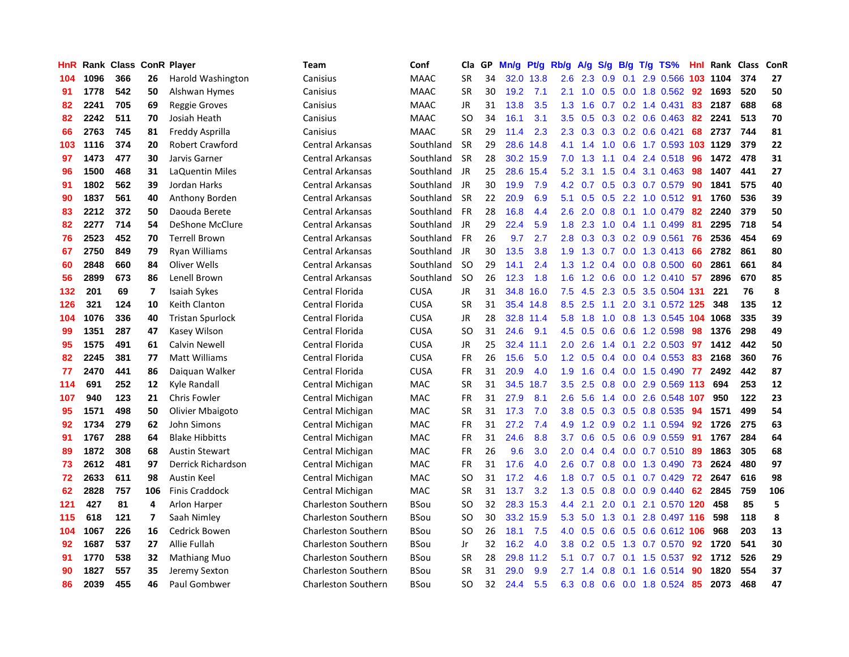| HnR |      | Rank Class ConR Player |                |                         | Team                       | Conf        | Cla       | GP | Mn/g | <b>Pt/g</b> | Rb/g             | A/g           | S/g           |     | $B/g$ T/g TS%              | Hnl | Rank     | <b>Class</b> | <b>ConR</b> |
|-----|------|------------------------|----------------|-------------------------|----------------------------|-------------|-----------|----|------|-------------|------------------|---------------|---------------|-----|----------------------------|-----|----------|--------------|-------------|
| 104 | 1096 | 366                    | 26             | Harold Washington       | Canisius                   | <b>MAAC</b> | <b>SR</b> | 34 |      | 32.0 13.8   | 2.6              | 2.3           | 0.9           | 0.1 | 2.9 0.566                  |     | 103 1104 | 374          | 27          |
| 91  | 1778 | 542                    | 50             | Alshwan Hymes           | Canisius                   | <b>MAAC</b> | <b>SR</b> | 30 | 19.2 | 7.1         | 2.1              |               |               |     | 1.0 0.5 0.0 1.8 0.562 92   |     | 1693     | 520          | 50          |
| 82  | 2241 | 705                    | 69             | <b>Reggie Groves</b>    | Canisius                   | <b>MAAC</b> | JR        | 31 | 13.8 | 3.5         | 1.3              | 1.6           |               |     | $0.7$ $0.2$ 1.4 $0.431$    | 83  | 2187     | 688          | 68          |
| 82  | 2242 | 511                    | 70             | Josiah Heath            | Canisius                   | MAAC        | <b>SO</b> | 34 | 16.1 | 3.1         | 3.5              | 0.5           |               |     | $0.3$ 0.2 0.6 0.463        | 82  | 2241     | 513          | 70          |
| 66  | 2763 | 745                    | 81             | Freddy Asprilla         | Canisius                   | <b>MAAC</b> | <b>SR</b> | 29 | 11.4 | 2.3         | 2.3              | 0.3           |               |     | $0.3$ 0.2 0.6 0.421        | 68  | 2737     | 744          | 81          |
| 103 | 1116 | 374                    | 20             | <b>Robert Crawford</b>  | Central Arkansas           | Southland   | <b>SR</b> | 29 | 28.6 | 14.8        | 4.1              | 1.4           | 1.0           |     | 0.6 1.7 0.593 103 1129     |     |          | 379          | 22          |
| 97  | 1473 | 477                    | 30             | Jarvis Garner           | Central Arkansas           | Southland   | <b>SR</b> | 28 | 30.2 | 15.9        | 7.0              | 1.3           |               |     | 1.1 0.4 2.4 0.518          | 96  | 1472     | 478          | 31          |
| 96  | 1500 | 468                    | 31             | LaQuentin Miles         | <b>Central Arkansas</b>    | Southland   | JR        | 25 | 28.6 | 15.4        | 5.2              | 3.1           | 1.5           |     | $0.4$ 3.1 0.463            | 98  | 1407     | 441          | 27          |
| 91  | 1802 | 562                    | 39             | Jordan Harks            | <b>Central Arkansas</b>    | Southland   | <b>JR</b> | 30 | 19.9 | 7.9         | 4.2              | 0.7           | 0.5           |     | 0.3 0.7 0.579              | 90  | 1841     | 575          | 40          |
| 90  | 1837 | 561                    | 40             | Anthony Borden          | <b>Central Arkansas</b>    | Southland   | <b>SR</b> | 22 | 20.9 | 6.9         | 5.1              | 0.5           |               |     | 0.5 2.2 1.0 0.512 91       |     | 1760     | 536          | 39          |
| 83  | 2212 | 372                    | 50             | Daouda Berete           | <b>Central Arkansas</b>    | Southland   | <b>FR</b> | 28 | 16.8 | 4.4         | 2.6              | 2.0           |               |     | 0.8 0.1 1.0 0.479 82       |     | 2240     | 379          | 50          |
| 82  | 2277 | 714                    | 54             | DeShone McClure         | <b>Central Arkansas</b>    | Southland   | JR        | 29 | 22.4 | 5.9         | 1.8              | 2.3           |               |     | 1.0 0.4 1.1 0.499          | -81 | 2295     | 718          | 54          |
| 76  | 2523 | 452                    | 70             | <b>Terrell Brown</b>    | <b>Central Arkansas</b>    | Southland   | <b>FR</b> | 26 | 9.7  | 2.7         | 2.8              | 0.3           |               |     | $0.3$ 0.2 0.9 0.561        | 76  | 2536     | 454          | 69          |
| 67  | 2750 | 849                    | 79             | <b>Ryan Williams</b>    | <b>Central Arkansas</b>    | Southland   | JR        | 30 | 13.5 | 3.8         | 1.9              | 1.3           |               |     | $0.7$ $0.0$ $1.3$ $0.413$  | 66  | 2782     | 861          | 80          |
| 60  | 2848 | 660                    | 84             | Oliver Wells            | <b>Central Arkansas</b>    | Southland   | -SO       | 29 | 14.1 | 2.4         | 1.3              | 1.2           | $0.4^{\circ}$ |     | $0.0$ 0.8 0.500            | 60  | 2861     | 661          | 84          |
| 56  | 2899 | 673                    | 86             | Lenell Brown            | <b>Central Arkansas</b>    | Southland   | -SO       | 26 | 12.3 | 1.8         | 1.6              | 1.2           | 0.6           |     | $0.0$ 1.2 0.410            | -57 | 2896     | 670          | 85          |
| 132 | 201  | 69                     | $\overline{7}$ | Isaiah Sykes            | Central Florida            | <b>CUSA</b> | <b>JR</b> | 31 | 34.8 | 16.0        | 7.5              | 4.5           | 2.3           |     | 0.5 3.5 0.504 131          |     | 221      | 76           | 8           |
| 126 | 321  | 124                    | 10             | Keith Clanton           | Central Florida            | <b>CUSA</b> | <b>SR</b> | 31 | 35.4 | 14.8        | 8.5              | 2.5           | 1.1           |     | 2.0 3.1 0.572 125          |     | 348      | 135          | 12          |
| 104 | 1076 | 336                    | 40             | <b>Tristan Spurlock</b> | Central Florida            | <b>CUSA</b> | JR        | 28 |      | 32.8 11.4   | 5.8              | 1.8           |               |     | 1.0 0.8 1.3 0.545 104 1068 |     |          | 335          | 39          |
| 99  | 1351 | 287                    | 47             | Kasey Wilson            | Central Florida            | <b>CUSA</b> | <b>SO</b> | 31 | 24.6 | 9.1         | 4.5              | 0.5           |               |     | $0.6$ $0.6$ 1.2 0.598      | -98 | 1376     | 298          | 49          |
| 95  | 1575 | 491                    | 61             | Calvin Newell           | Central Florida            | <b>CUSA</b> | JR        | 25 | 32.4 | 11.1        | 2.0              | 2.6           |               |     | 1.4 0.1 2.2 0.503          | 97  | 1412     | 442          | 50          |
| 82  | 2245 | 381                    | 77             | Matt Williams           | Central Florida            | <b>CUSA</b> | <b>FR</b> | 26 | 15.6 | 5.0         | 1.2              | 0.5           | $0.4^{\circ}$ |     | $0.0$ 0.4 0.553            | -83 | 2168     | 360          | 76          |
| 77  | 2470 | 441                    | 86             | Daiguan Walker          | Central Florida            | <b>CUSA</b> | <b>FR</b> | 31 | 20.9 | 4.0         | 1.9              | 1.6           |               |     | $0.4$ 0.0 1.5 0.490        | 77  | 2492     | 442          | 87          |
| 114 | 691  | 252                    | 12             | Kyle Randall            | Central Michigan           | <b>MAC</b>  | <b>SR</b> | 31 | 34.5 | 18.7        | 3.5              | 2.5           | 0.8           |     | $0.0$ 2.9 $0.569$          | 113 | 694      | 253          | 12          |
| 107 | 940  | 123                    | 21             | <b>Chris Fowler</b>     | Central Michigan           | MAC         | <b>FR</b> | 31 | 27.9 | 8.1         | 2.6              | 5.6           | $1.4^{\circ}$ |     | 0.0 2.6 0.548 107          |     | 950      | 122          | 23          |
| 95  | 1571 | 498                    | 50             | Olivier Mbaigoto        | Central Michigan           | <b>MAC</b>  | <b>SR</b> | 31 | 17.3 | 7.0         | 3.8              | 0.5           | 0.3           |     | 0.5 0.8 0.535              | -94 | 1571     | 499          | 54          |
| 92  | 1734 | 279                    | 62             | John Simons             | Central Michigan           | MAC         | <b>FR</b> | 31 | 27.2 | 7.4         | 4.9              |               |               |     | 1.2 0.9 0.2 1.1 0.594 92   |     | 1726     | 275          | 63          |
| 91  | 1767 | 288                    | 64             | <b>Blake Hibbitts</b>   | Central Michigan           | <b>MAC</b>  | <b>FR</b> | 31 | 24.6 | 8.8         | 3.7              | 0.6           |               |     | $0.5$ 0.6 0.9 0.559        | -91 | 1767     | 284          | 64          |
| 89  | 1872 | 308                    | 68             | <b>Austin Stewart</b>   | Central Michigan           | <b>MAC</b>  | FR        | 26 | 9.6  | 3.0         | 2.0 <sub>2</sub> | $0.4^{\circ}$ |               |     | $0.4$ 0.0 0.7 0.510        | -89 | 1863     | 305          | 68          |
| 73  | 2612 | 481                    | 97             | Derrick Richardson      | Central Michigan           | MAC         | FR        | 31 | 17.6 | 4.0         | 2.6              | 0.7           | 0.8           |     | 0.0 1.3 0.490              | 73  | 2624     | 480          | 97          |
| 72  | 2633 | 611                    | 98             | Austin Keel             | Central Michigan           | <b>MAC</b>  | SO.       | 31 | 17.2 | 4.6         | 1.8              | 0.7           | 0.5           |     | $0.1$ 0.7 0.429            | 72  | 2647     | 616          | 98          |
| 62  | 2828 | 757                    | 106            | Finis Craddock          | Central Michigan           | <b>MAC</b>  | SR        | 31 | 13.7 | 3.2         | 1.3              | 0.5           | 0.8           |     | $0.0$ 0.9 0.440            | 62  | 2845     | 759          | 106         |
| 121 | 427  | 81                     | 4              | Arlon Harper            | Charleston Southern        | <b>BSou</b> | <b>SO</b> | 32 | 28.3 | 15.3        | 4.4              | 2.1           | 2.0           | 0.1 | 2.1 0.570                  | 120 | 458      | 85           | 5           |
| 115 | 618  | 121                    | 7              | Saah Nimley             | <b>Charleston Southern</b> | <b>BSou</b> | SO        | 30 | 33.2 | 15.9        | 5.3              | 5.0           | 1.3           | 0.1 | 2.8 0.497 116              |     | 598      | 118          | 8           |
| 104 | 1067 | 226                    | 16             | <b>Cedrick Bowen</b>    | <b>Charleston Southern</b> | <b>BSou</b> | SO        | 26 | 18.1 | 7.5         | 4.0              | 0.5           | 0.6           |     | 0.5 0.6 0.612 106          |     | 968      | 203          | 13          |
| 92  | 1687 | 537                    | 27             | Allie Fullah            | <b>Charleston Southern</b> | <b>BSou</b> | Jr        | 32 | 16.2 | 4.0         | 3.8              | 0.2           | 0.5           |     | 1.3 0.7 0.570 92           |     | 1720     | 541          | 30          |
| 91  | 1770 | 538                    | 32             | <b>Mathiang Muo</b>     | <b>Charleston Southern</b> | <b>BSou</b> | <b>SR</b> | 28 | 29.8 | 11.2        | 5.1              | 0.7           | 0.7           |     | $0.1$ 1.5 0.537            | 92  | 1712     | 526          | 29          |
| 90  | 1827 | 557                    | 35             | Jeremy Sexton           | <b>Charleston Southern</b> | <b>BSou</b> | <b>SR</b> | 31 | 29.0 | 9.9         | 2.7              | 1.4           | 0.8           | 0.1 | 1.6 0.514                  | 90  | 1820     | 554          | 37          |
| 86  | 2039 | 455                    | 46             | Paul Gombwer            | <b>Charleston Southern</b> | <b>BSou</b> | SO        | 32 | 24.4 | 5.5         | 6.3              | 0.8           |               |     | 0.6 0.0 1.8 0.524 85       |     | 2073     | 468          | 47          |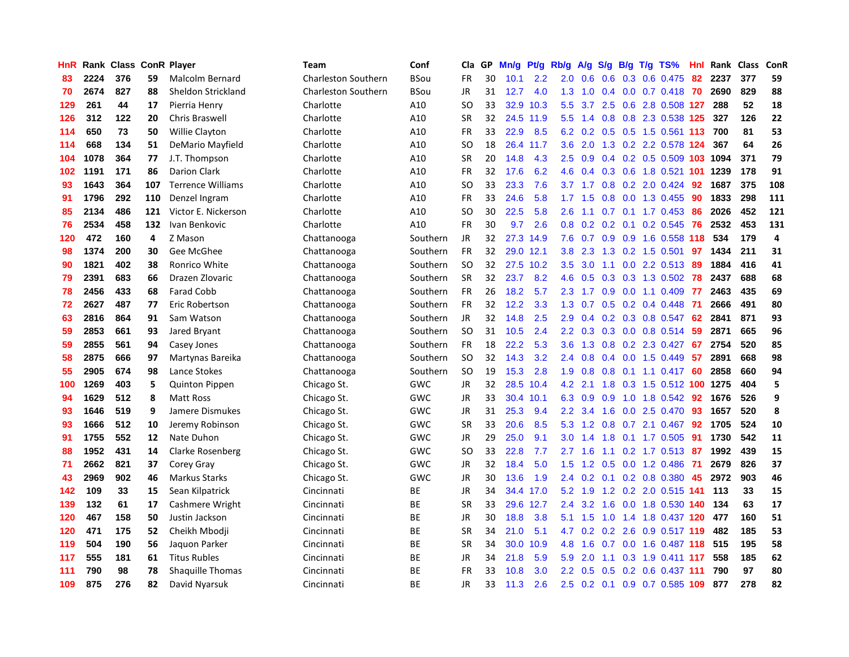| HnR |      | Rank Class ConR Player |     |                          | Team                       | Conf        | Cla       | <b>GP</b> | Mn/g              | <b>Pt/g</b> | Rb/g             | A/g             | S/g              |  | B/g T/g TS%                  | Hnl | Rank | <b>Class</b> | <b>ConR</b>    |
|-----|------|------------------------|-----|--------------------------|----------------------------|-------------|-----------|-----------|-------------------|-------------|------------------|-----------------|------------------|--|------------------------------|-----|------|--------------|----------------|
| 83  | 2224 | 376                    | 59  | Malcolm Bernard          | <b>Charleston Southern</b> | <b>BSou</b> | FR        | 30        | 10.1              | 2.2         | 2.0              | 0.6             | 0.6              |  | 0.3 0.6 0.475                | 82  | 2237 | 377          | 59             |
| 70  | 2674 | 827                    | 88  | Sheldon Strickland       | <b>Charleston Southern</b> | BSou        | <b>JR</b> | 31        | 12.7              | 4.0         |                  |                 |                  |  | 1.3 1.0 0.4 0.0 0.7 0.418 70 |     | 2690 | 829          | 88             |
| 129 | 261  | 44                     | 17  | Pierria Henry            | Charlotte                  | A10         | SO.       | 33        | 32.9              | 10.3        | 5.5              | $3.7^{\circ}$   |                  |  | 2.5 0.6 2.8 0.508 127        |     | 288  | 52           | 18             |
| 126 | 312  | 122                    | 20  | Chris Braswell           | Charlotte                  | A10         | <b>SR</b> | 32        | 24.5              | 11.9        | 5.5              | 1.4             |                  |  | 0.8 0.8 2.3 0.538 125        |     | 327  | 126          | 22             |
| 114 | 650  | 73                     | 50  | <b>Willie Clayton</b>    | Charlotte                  | A10         | <b>FR</b> | 33        | 22.9              | 8.5         | 6.2              | 0.2             |                  |  | 0.5 0.5 1.5 0.561 113        |     | 700  | 81           | 53             |
| 114 | 668  | 134                    | 51  | DeMario Mayfield         | Charlotte                  | A10         | SO        | 18        | 26.4              | 11.7        | 3.6              | 2.0             |                  |  | 1.3 0.2 2.2 0.578 124        |     | 367  | 64           | 26             |
| 104 | 1078 | 364                    | 77  | J.T. Thompson            | Charlotte                  | A10         | <b>SR</b> | 20        | 14.8              | 4.3         | 2.5              | 0.9             |                  |  | $0.4$ 0.2 0.5 0.509 103      |     | 1094 | 371          | 79             |
| 102 | 1191 | 171                    | 86  | <b>Darion Clark</b>      | Charlotte                  | A10         | FR        | 32        | 17.6              | 6.2         | 4.6              | 0.4             | 0.3              |  | 0.6 1.8 0.521 101            |     | 1239 | 178          | 91             |
| 93  | 1643 | 364                    | 107 | <b>Terrence Williams</b> | Charlotte                  | A10         | SO        | 33        | 23.3              | 7.6         |                  | $3.7 \quad 1.7$ | 0.8              |  | 0.2 2.0 0.424                | 92  | 1687 | 375          | 108            |
| 91  | 1796 | 292                    | 110 | Denzel Ingram            | Charlotte                  | A10         | FR        | 33        | 24.6              | 5.8         | 1.7 <sub>z</sub> | 1.5             |                  |  | $0.8$ 0.0 1.3 0.455          | -90 | 1833 | 298          | 111            |
| 85  | 2134 | 486                    | 121 | Victor E. Nickerson      | Charlotte                  | A10         | SO        | 30        | 22.5              | 5.8         | 2.6              |                 |                  |  | 1.1 0.7 0.1 1.7 0.453 86     |     | 2026 | 452          | 121            |
| 76  | 2534 | 458                    | 132 | Ivan Benkovic            | Charlotte                  | A10         | FR        | 30        | 9.7               | 2.6         | 0.8              | 0.2             |                  |  | 0.2 0.1 0.2 0.545 76         |     | 2532 | 453          | 131            |
| 120 | 472  | 160                    | 4   | Z Mason                  | Chattanooga                | Southern    | <b>JR</b> | 32        | 27.3              | 14.9        | 7.6              | 0.7             |                  |  | 0.9 0.9 1.6 0.558 118        |     | 534  | 179          | $\overline{a}$ |
| 98  | 1374 | 200                    | 30  | Gee McGhee               | Chattanooga                | Southern    | <b>FR</b> | 32        | 29.0              | 12.1        | 3.8              | 2.3             |                  |  | 1.3 0.2 1.5 0.501            | 97  | 1434 | 211          | 31             |
| 90  | 1821 | 402                    | 38  | Ronrico White            | Chattanooga                | Southern    | <b>SO</b> | 32        | 27.5              | 10.2        | 3.5              | 3.0             |                  |  | 1.1 0.0 2.2 0.513            | -89 | 1884 | 416          | 41             |
| 79  | 2391 | 683                    | 66  | Drazen Zlovaric          | Chattanooga                | Southern    | <b>SR</b> | 32        | 23.7              | 8.2         | 4.6              | 0.5             |                  |  | 0.3 0.3 1.3 0.502            | 78  | 2437 | 688          | 68             |
| 78  | 2456 | 433                    | 68  | <b>Farad Cobb</b>        | Chattanooga                | Southern    | <b>FR</b> | 26        | 18.2              | 5.7         | 2.3              | 1.7             | 0.9 <sub>0</sub> |  | $0.0$ 1.1 $0.409$            | -77 | 2463 | 435          | 69             |
| 72  | 2627 | 487                    | 77  | Eric Robertson           | Chattanooga                | Southern    | <b>FR</b> | 32        | 12.2              | 3.3         | 1.3              | 0.7             | 0.5              |  | $0.2$ 0.4 0.448              | -71 | 2666 | 491          | 80             |
| 63  | 2816 | 864                    | 91  | Sam Watson               | Chattanooga                | Southern    | <b>JR</b> | 32        | 14.8              | 2.5         | 2.9              | 0.4             |                  |  | 0.2 0.3 0.8 0.547            | 62  | 2841 | 871          | 93             |
| 59  | 2853 | 661                    | 93  | Jared Bryant             | Chattanooga                | Southern    | <b>SO</b> | 31        | 10.5              | 2.4         | $2.2\phantom{0}$ | 0.3             |                  |  | $0.3$ 0.0 0.8 0.514          | -59 | 2871 | 665          | 96             |
| 59  | 2855 | 561                    | 94  | Casey Jones              | Chattanooga                | Southern    | FR        | 18        | 22.2              | 5.3         | 3.6              | 1.3             |                  |  | 0.8 0.2 2.3 0.427            | 67  | 2754 | 520          | 85             |
| 58  | 2875 | 666                    | 97  | Martynas Bareika         | Chattanooga                | Southern    | <b>SO</b> | 32        | 14.3              | 3.2         | 2.4              | 0.8             | 0.4              |  | $0.0$ 1.5 0.449              | -57 | 2891 | 668          | 98             |
| 55  | 2905 | 674                    | 98  | Lance Stokes             | Chattanooga                | Southern    | <b>SO</b> | 19        | 15.3              | 2.8         | 1.9              | 0.8             | 0.8              |  | $0.1$ 1.1 0.417              | 60  | 2858 | 660          | 94             |
| 100 | 1269 | 403                    | 5   | <b>Quinton Pippen</b>    | Chicago St.                | GWC         | JR        | 32        | 28.5              | 10.4        | 4.2              | 2.1             | 1.8              |  | 0.3 1.5 0.512 100            |     | 1275 | 404          | 5              |
| 94  | 1629 | 512                    | 8   | <b>Matt Ross</b>         | Chicago St.                | GWC         | JR        | 33        | 30.4              | 10.1        | 6.3              | 0.9             | 0.9              |  | 1.0 1.8 0.542                | 92  | 1676 | 526          | 9              |
| 93  | 1646 | 519                    | 9   | Jamere Dismukes          | Chicago St.                | GWC         | JR        | 31        | 25.3              | 9.4         | 2.2              | 3.4             | 1.6              |  | $0.0$ 2.5 $0.470$            | 93  | 1657 | 520          | 8              |
| 93  | 1666 | 512                    | 10  | Jeremy Robinson          | Chicago St.                | GWC         | SR        | 33        | 20.6              | 8.5         | 5.3              | 1.2             |                  |  | $0.8$ 0.7 2.1 0.467          | 92  | 1705 | 524          | 10             |
| 91  | 1755 | 552                    | 12  | Nate Duhon               | Chicago St.                | <b>GWC</b>  | JR        | 29        | 25.0              | 9.1         | 3.0 <sub>2</sub> | 1.4             |                  |  | 1.8 0.1 1.7 0.505 91         |     | 1730 | 542          | 11             |
| 88  | 1952 | 431                    | 14  | Clarke Rosenberg         | Chicago St.                | GWC         | SO        | 33        | 22.8              | 7.7         | $2.7^{\circ}$    | 1.6             |                  |  | 1.1 0.2 1.7 0.513 87         |     | 1992 | 439          | 15             |
| 71  | 2662 | 821                    | 37  | Corey Gray               | Chicago St.                | <b>GWC</b>  | <b>JR</b> | 32        | 18.4              | 5.0         | 1.5              | 1.2             |                  |  | 0.5 0.0 1.2 0.486            | -71 | 2679 | 826          | 37             |
| 43  | 2969 | 902                    | 46  | <b>Markus Starks</b>     | Chicago St.                | <b>GWC</b>  | JR        | 30        | 13.6              | 1.9         | $2.4^{\circ}$    | 0.2             |                  |  | 0.1 0.2 0.8 0.380            | 45  | 2972 | 903          | 46             |
| 142 | 109  | 33                     | 15  | Sean Kilpatrick          | Cincinnati                 | ВE          | <b>JR</b> | 34        | 34.4              | 17.0        | 5.2              | 1.9             |                  |  | 1.2 0.2 2.0 0.515 141        |     | 113  | 33           | 15             |
| 139 | 132  | 61                     | 17  | Cashmere Wright          | Cincinnati                 | <b>BE</b>   | <b>SR</b> | 33        | 29.6              | 12.7        | $2.4^{\circ}$    | 3.2             | 1.6              |  | 0.0 1.8 0.530                | 140 | 134  | 63           | 17             |
| 120 | 467  | 158                    | 50  | Justin Jackson           | Cincinnati                 | <b>BE</b>   | <b>JR</b> | 30        | 18.8              | 3.8         |                  | $5.1 \quad 1.5$ | 1.0              |  | 1.4 1.8 0.437 120            |     | 477  | 160          | 51             |
| 120 | 471  | 175                    | 52  | Cheikh Mbodji            | Cincinnati                 | ВE          | <b>SR</b> | 34        | 21.0              | 5.1         | 4.7              | 0.2             |                  |  | $0.2$ 2.6 0.9 0.517 119      |     | 482  | 185          | 53             |
| 119 | 504  | 190                    | 56  | Jaquon Parker            | Cincinnati                 | ВE          | <b>SR</b> | 34        | 30.0 <sub>1</sub> | 10.9        | 4.8              | 1.6             |                  |  | 0.7 0.0 1.6 0.487 118 515    |     |      | 195          | 58             |
| 117 | 555  | 181                    | 61  | <b>Titus Rubles</b>      | Cincinnati                 | ВE          | JR        | 34        | 21.8              | 5.9         | 5.9              | 2.0             |                  |  | 1.1 0.3 1.9 0.411 117        |     | 558  | 185          | 62             |
| 111 | 790  | 98                     | 78  | <b>Shaquille Thomas</b>  | Cincinnati                 | <b>BE</b>   | FR        | 33        | 10.8              | 3.0         | $2.2^{\circ}$    | 0.5             |                  |  | $0.5$ 0.2 0.6 0.437 111      |     | 790  | 97           | 80             |
| 109 | 875  | 276                    | 82  | David Nyarsuk            | Cincinnati                 | <b>BE</b>   | <b>JR</b> | 33        | 11.3              | 2.6         | 2.5              |                 |                  |  | 0.2 0.1 0.9 0.7 0.585 109    |     | 877  | 278          | 82             |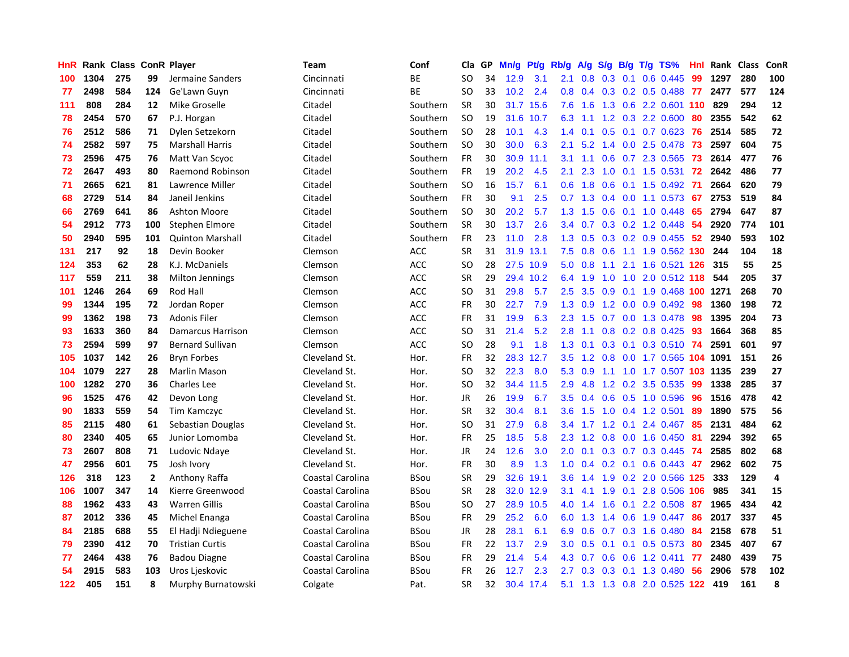| HnR |      | Rank Class ConR Player |                |                         | Team             | Conf        | Cla           | GP | Mn/g | <b>Pt/g</b> | Rb/g          | A/g     | S/g |     | $B/g$ T/g TS%                     | Hnl | Rank Class |     | ConR                    |
|-----|------|------------------------|----------------|-------------------------|------------------|-------------|---------------|----|------|-------------|---------------|---------|-----|-----|-----------------------------------|-----|------------|-----|-------------------------|
| 100 | 1304 | 275                    | 99             | Jermaine Sanders        | Cincinnati       | ВE          | <b>SO</b>     | 34 | 12.9 | 3.1         | 2.1           | 0.8     | 0.3 | 0.1 | $0.6$ $0.445$                     | 99  | 1297       | 280 | 100                     |
| 77  | 2498 | 584                    | 124            | Ge'Lawn Guyn            | Cincinnati       | <b>BE</b>   | SO            | 33 | 10.2 | 2.4         |               |         |     |     | 0.8 0.4 0.3 0.2 0.5 0.488 77 2477 |     |            | 577 | 124                     |
| 111 | 808  | 284                    | 12             | Mike Groselle           | Citadel          | Southern    | <b>SR</b>     | 30 |      | 31.7 15.6   | 7.6           | 1.6     |     |     | 1.3 0.6 2.2 0.601 110             |     | 829        | 294 | 12                      |
| 78  | 2454 | 570                    | 67             | P.J. Horgan             | Citadel          | Southern    | <b>SO</b>     | 19 | 31.6 | 10.7        | 6.3           | 1.1     |     |     | 1.2 0.3 2.2 0.600                 | 80  | 2355       | 542 | 62                      |
| 76  | 2512 | 586                    | 71             | Dylen Setzekorn         | Citadel          | Southern    | <b>SO</b>     | 28 | 10.1 | 4.3         | 1.4           | 0.1     | 0.5 |     | $0.1$ 0.7 0.623                   | -76 | 2514       | 585 | 72                      |
| 74  | 2582 | 597                    | 75             | <b>Marshall Harris</b>  | Citadel          | Southern    | <b>SO</b>     | 30 | 30.0 | 6.3         | 2.1           | 5.2     |     |     | 1.4 0.0 2.5 0.478                 | 73  | 2597       | 604 | 75                      |
| 73  | 2596 | 475                    | 76             | Matt Van Scyoc          | Citadel          | Southern    | <b>FR</b>     | 30 | 30.9 | 11.1        | 3.1           | 1.1     | 0.6 |     | $0.7$ 2.3 $0.565$                 | 73  | 2614       | 477 | 76                      |
| 72  | 2647 | 493                    | 80             | Raemond Robinson        | Citadel          | Southern    | FR            | 19 | 20.2 | 4.5         | 2.1           | 2.3     | 1.0 |     | $0.1$ 1.5 0.531                   | 72  | 2642       | 486 | 77                      |
| 71  | 2665 | 621                    | 81             | Lawrence Miller         | Citadel          | Southern    | <b>SO</b>     | 16 | 15.7 | 6.1         | 0.6           | 1.8     | 0.6 |     | $0.1$ 1.5 0.492                   | -71 | 2664       | 620 | 79                      |
| 68  | 2729 | 514                    | 84             | Janeil Jenkins          | Citadel          | Southern    | FR            | 30 | 9.1  | 2.5         | 0.7           | 1.3     |     |     | $0.4$ 0.0 1.1 0.573               | 67  | 2753       | 519 | 84                      |
| 66  | 2769 | 641                    | 86             | <b>Ashton Moore</b>     | Citadel          | Southern    | <b>SO</b>     | 30 | 20.2 | 5.7         | 1.3           | 1.5     |     |     | $0.6$ $0.1$ $1.0$ $0.448$         | -65 | 2794       | 647 | 87                      |
| 54  | 2912 | 773                    | 100            | Stephen Elmore          | Citadel          | Southern    | <b>SR</b>     | 30 | 13.7 | 2.6         | $3.4^{\circ}$ | 0.7     |     |     | $0.3$ 0.2 1.2 0.448               | -54 | 2920       | 774 | 101                     |
| 50  | 2940 | 595                    | 101            | <b>Quinton Marshall</b> | Citadel          | Southern    | <b>FR</b>     | 23 | 11.0 | 2.8         | 1.3           | 0.5     |     |     | $0.3$ 0.2 0.9 0.455               | 52  | 2940       | 593 | 102                     |
| 131 | 217  | 92                     | 18             | Devin Booker            | Clemson          | <b>ACC</b>  | <b>SR</b>     | 31 | 31.9 | 13.1        | 7.5           | 0.8     | 0.6 |     | 1.1 1.9 0.562 130                 |     | 244        | 104 | 18                      |
| 124 | 353  | 62                     | 28             | K.J. McDaniels          | Clemson          | <b>ACC</b>  | <b>SO</b>     | 28 | 27.5 | 10.9        | 5.0           | 0.8     | 1.1 |     | 2.1 1.6 0.521 126                 |     | 315        | 55  | 25                      |
| 117 | 559  | 211                    | 38             | Milton Jennings         | Clemson          | <b>ACC</b>  | <b>SR</b>     | 29 | 29.4 | 10.2        | 6.4           | 1.9     | 1.0 | 1.0 | 2.0 0.512 118                     |     | 544        | 205 | 37                      |
| 101 | 1246 | 264                    | 69             | Rod Hall                | Clemson          | <b>ACC</b>  | <b>SO</b>     | 31 | 29.8 | 5.7         | 2.5           | 3.5     | 0.9 |     | 0.1 1.9 0.468 100 1271            |     |            | 268 | 70                      |
| 99  | 1344 | 195                    | 72             | Jordan Roper            | Clemson          | <b>ACC</b>  | <b>FR</b>     | 30 | 22.7 | 7.9         | 1.3           | 0.9     |     |     | 1.2 0.0 0.9 0.492 98              |     | 1360       | 198 | 72                      |
| 99  | 1362 | 198                    | 73             | <b>Adonis Filer</b>     | Clemson          | <b>ACC</b>  | <b>FR</b>     | 31 | 19.9 | 6.3         | 2.3           | 1.5     |     |     | 0.7 0.0 1.3 0.478 98              |     | 1395       | 204 | 73                      |
| 93  | 1633 | 360                    | 84             | Damarcus Harrison       | Clemson          | <b>ACC</b>  | <b>SO</b>     | 31 | 21.4 | 5.2         | 2.8           | 1.1     |     |     | $0.8$ 0.2 0.8 0.425               | -93 | 1664       | 368 | 85                      |
| 73  | 2594 | 599                    | 97             | <b>Bernard Sullivan</b> | Clemson          | <b>ACC</b>  | <sub>SO</sub> | 28 | 9.1  | 1.8         | 1.3           | 0.1     | 0.3 |     | 0.1 0.3 0.510 74                  |     | 2591       | 601 | 97                      |
| 105 | 1037 | 142                    | 26             | <b>Bryn Forbes</b>      | Cleveland St.    | Hor.        | <b>FR</b>     | 32 | 28.3 | 12.7        | 3.5           | 1.2     | 0.8 |     | 0.0 1.7 0.565 104                 |     | 1091       | 151 | 26                      |
| 104 | 1079 | 227                    | 28             | <b>Marlin Mason</b>     | Cleveland St.    | Hor.        | <b>SO</b>     | 32 | 22.3 | 8.0         |               | 5.3 0.9 | 1.1 |     | 1.0 1.7 0.507 103 1135            |     |            | 239 | 27                      |
| 100 | 1282 | 270                    | 36             | <b>Charles Lee</b>      | Cleveland St.    | Hor.        | <b>SO</b>     | 32 | 34.4 | 11.5        | 2.9           | 4.8     | 1.2 |     | 0.2 3.5 0.535                     | 99  | 1338       | 285 | 37                      |
| 96  | 1525 | 476                    | 42             | Devon Long              | Cleveland St.    | Hor.        | JR            | 26 | 19.9 | 6.7         | 3.5           | 0.4     | 0.6 |     | 0.5 1.0 0.596                     | 96  | 1516       | 478 | 42                      |
| 90  | 1833 | 559                    | 54             | Tim Kamczyc             | Cleveland St.    | Hor.        | <b>SR</b>     | 32 | 30.4 | 8.1         | 3.6           | 1.5     | 1.0 |     | $0.4$ 1.2 0.501                   | 89  | 1890       | 575 | 56                      |
| 85  | 2115 | 480                    | 61             | Sebastian Douglas       | Cleveland St.    | Hor.        | <sub>SO</sub> | 31 | 27.9 | 6.8         | $3.4^{\circ}$ |         |     |     | 1.7 1.2 0.1 2.4 0.467 85          |     | 2131       | 484 | 62                      |
| 80  | 2340 | 405                    | 65             | Junior Lomomba          | Cleveland St.    | Hor.        | <b>FR</b>     | 25 | 18.5 | 5.8         | 2.3           | 1.2     |     |     | $0.8$ 0.0 1.6 0.450               | -81 | 2294       | 392 | 65                      |
| 73  | 2607 | 808                    | 71             | Ludovic Ndaye           | Cleveland St.    | Hor.        | JR            | 24 | 12.6 | 3.0         | 2.0           | 0.1     |     |     | 0.3 0.7 0.3 0.445                 | -74 | 2585       | 802 | 68                      |
| 47  | 2956 | 601                    | 75             | Josh Ivory              | Cleveland St.    | Hor.        | <b>FR</b>     | 30 | 8.9  | 1.3         | 1.0           | 0.4     | 0.2 |     | $0.1$ 0.6 0.443                   | 47  | 2962       | 602 | 75                      |
| 126 | 318  | 123                    | $\overline{2}$ | Anthony Raffa           | Coastal Carolina | BSou        | <b>SR</b>     | 29 | 32.6 | 19.1        | 3.6           | 1.4     | 1.9 |     | 0.2 2.0 0.566 125                 |     | 333        | 129 | $\overline{\mathbf{4}}$ |
| 106 | 1007 | 347                    | 14             | Kierre Greenwood        | Coastal Carolina | <b>BSou</b> | <b>SR</b>     | 28 | 32.0 | 12.9        | 3.1           | 4.1     | 1.9 | 0.1 | 2.8 0.506                         | 106 | 985        | 341 | 15                      |
| 88  | 1962 | 433                    | 43             | <b>Warren Gillis</b>    | Coastal Carolina | BSou        | <sub>SO</sub> | 27 | 28.9 | 10.5        | 4.0           | 1.4     | 1.6 | 0.1 | 2.2 0.508                         | -87 | 1965       | 434 | 42                      |
| 87  | 2012 | 336                    | 45             | Michel Enanga           | Coastal Carolina | BSou        | <b>FR</b>     | 29 | 25.2 | 6.0         | 6.0           | 1.3     | 1.4 |     | 0.6 1.9 0.447                     | 86  | 2017       | 337 | 45                      |
| 84  | 2185 | 688                    | 55             | El Hadji Ndieguene      | Coastal Carolina | BSou        | JR            | 28 | 28.1 | 6.1         | 6.9           | 0.6     |     |     | 0.7 0.3 1.6 0.480                 | -84 | 2158       | 678 | 51                      |
| 79  | 2390 | 412                    | 70             | <b>Tristian Curtis</b>  | Coastal Carolina | <b>BSou</b> | <b>FR</b>     | 22 | 13.7 | 2.9         | 3.0           | 0.5     |     |     | $0.1$ 0.1 0.5 0.573               | -80 | 2345       | 407 | 67                      |
| 77  | 2464 | 438                    | 76             | <b>Badou Diagne</b>     | Coastal Carolina | BSou        | FR            | 29 | 21.4 | 5.4         | 4.3           | 0.7     | 0.6 |     | $0.6$ 1.2 0.411                   | 77  | 2480       | 439 | 75                      |
| 54  | 2915 | 583                    | 103            | Uros Ljeskovic          | Coastal Carolina | <b>BSou</b> | <b>FR</b>     | 26 | 12.7 | 2.3         | 2.7           | 0.3     | 0.3 | 0.1 | 1.3 0.480                         | 56  | 2906       | 578 | 102                     |
| 122 | 405  | 151                    | 8              | Murphy Burnatowski      | Colgate          | Pat.        | <b>SR</b>     | 32 |      | 30.4 17.4   | 5.1           | 1.3     |     |     | 1.3 0.8 2.0 0.525 122             |     | 419        | 161 | 8                       |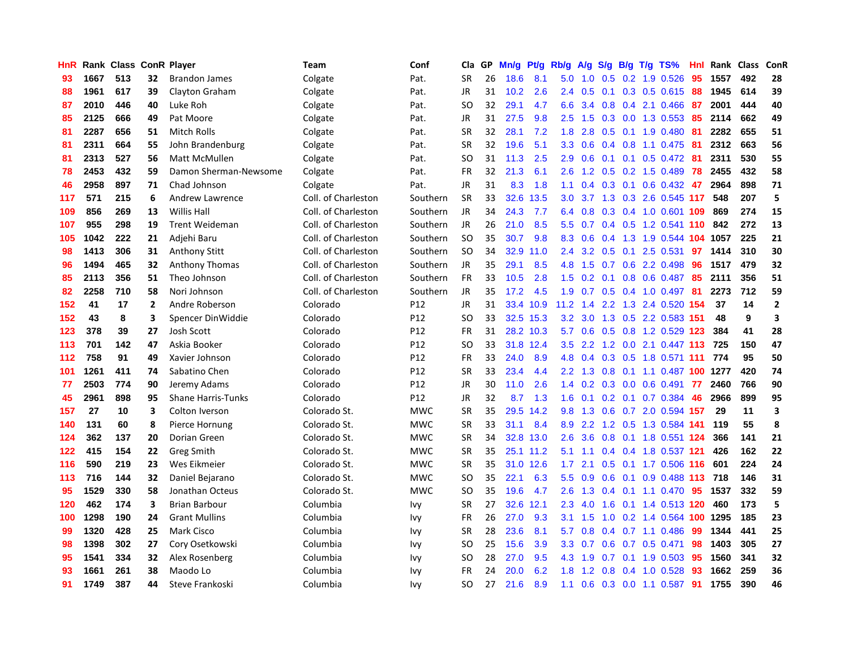| HnR |      | Rank Class ConR Player |              |                           | Team                | Conf            | Cla           | <b>GP</b> | Mn/g | Pt/g      | Rb/g             | A/g    | S/g              |     | B/g T/g TS%               | Hnl | Rank | <b>Class</b> | <b>ConR</b>    |
|-----|------|------------------------|--------------|---------------------------|---------------------|-----------------|---------------|-----------|------|-----------|------------------|--------|------------------|-----|---------------------------|-----|------|--------------|----------------|
| 93  | 1667 | 513                    | 32           | <b>Brandon James</b>      | Colgate             | Pat.            | <b>SR</b>     | 26        | 18.6 | 8.1       | 5.0              | 1.0    |                  |     | $0.5$ 0.2 1.9 0.526       | 95  | 1557 | 492          | 28             |
| 88  | 1961 | 617                    | 39           | Clayton Graham            | Colgate             | Pat.            | <b>JR</b>     | 31        | 10.2 | 2.6       | 2.4              | 0.5    |                  |     | 0.1 0.3 0.5 0.615 88      |     | 1945 | 614          | 39             |
| 87  | 2010 | 446                    | 40           | Luke Roh                  | Colgate             | Pat.            | SO            | 32        | 29.1 | 4.7       | 6.6              | 3.4    |                  |     | $0.8$ 0.4 2.1 0.466       | -87 | 2001 | 444          | 40             |
| 85  | 2125 | 666                    | 49           | Pat Moore                 | Colgate             | Pat.            | <b>JR</b>     | 31        | 27.5 | 9.8       | 2.5              | 1.5    |                  |     | $0.3$ 0.0 1.3 0.553       | -85 | 2114 | 662          | 49             |
| 81  | 2287 | 656                    | 51           | Mitch Rolls               | Colgate             | Pat.            | <b>SR</b>     | 32        | 28.1 | 7.2       | 1.8              | 2.8    | 0.5              |     | $0.1$ 1.9 0.480           | -81 | 2282 | 655          | 51             |
| 81  | 2311 | 664                    | 55           | John Brandenburg          | Colgate             | Pat.            | <b>SR</b>     | 32        | 19.6 | 5.1       | 3.3 <sub>2</sub> | 0.6    |                  |     | $0.4$ 0.8 1.1 0.475       | -81 | 2312 | 663          | 56             |
| 81  | 2313 | 527                    | 56           | <b>Matt McMullen</b>      | Colgate             | Pat.            | <b>SO</b>     | 31        | 11.3 | 2.5       | 2.9              | 0.6    | 0.1              |     | $0.1$ 0.5 0.472           | -81 | 2311 | 530          | 55             |
| 78  | 2453 | 432                    | 59           | Damon Sherman-Newsome     | Colgate             | Pat.            | <b>FR</b>     | 32        | 21.3 | 6.1       | 2.6              | 1.2    | 0.5              |     | 0.2 1.5 0.489             | 78  | 2455 | 432          | 58             |
| 46  | 2958 | 897                    | 71           | Chad Johnson              | Colgate             | Pat.            | <b>JR</b>     | 31        | 8.3  | 1.8       | 1.1              | 0.4    |                  |     | $0.3$ 0.1 0.6 0.432       | 47  | 2964 | 898          | 71             |
| 117 | 571  | 215                    | 6            | <b>Andrew Lawrence</b>    | Coll. of Charleston | Southern        | <b>SR</b>     | 33        | 32.6 | 13.5      | 3.0 <sub>2</sub> | 3.7    |                  |     | 1.3 0.3 2.6 0.545 117     |     | 548  | 207          | 5              |
| 109 | 856  | 269                    | 13           | Willis Hall               | Coll. of Charleston | Southern        | JR.           | 34        | 24.3 | 7.7       | 6.4              | 0.8    |                  |     | 0.3 0.4 1.0 0.601 109     |     | 869  | 274          | 15             |
| 107 | 955  | 298                    | 19           | <b>Trent Weideman</b>     | Coll. of Charleston | Southern        | <b>JR</b>     | 26        | 21.0 | 8.5       | 5.5 <sub>1</sub> | 0.7    |                  |     | 0.4 0.5 1.2 0.541 110 842 |     |      | 272          | 13             |
| 105 | 1042 | 222                    | 21           | Adjehi Baru               | Coll. of Charleston | Southern        | <b>SO</b>     | 35        | 30.7 | 9.8       | 8.3              | 0.6    | 0.4              |     | 1.3 1.9 0.544 104         |     | 1057 | 225          | 21             |
| 98  | 1413 | 306                    | 31           | <b>Anthony Stitt</b>      | Coll. of Charleston | Southern        | <b>SO</b>     | 34        | 32.9 | 11.0      | 2.4              | 3.2    | 0.5              | 0.1 | 2.5 0.531                 | 97  | 1414 | 310          | 30             |
| 96  | 1494 | 465                    | 32           | <b>Anthony Thomas</b>     | Coll. of Charleston | Southern        | <b>JR</b>     | 35        | 29.1 | 8.5       | 4.8              | 1.5    | 0.7              |     | 0.6 2.2 0.498             | 96  | 1517 | 479          | 32             |
| 85  | 2113 | 356                    | 51           | Theo Johnson              | Coll. of Charleston | Southern        | <b>FR</b>     | 33        | 10.5 | 2.8       | $1.5^{\circ}$    | 0.2    | 0.1              |     | 0.8 0.6 0.487             | 85  | 2111 | 356          | 51             |
| 82  | 2258 | 710                    | 58           | Nori Johnson              | Coll. of Charleston | Southern        | <b>JR</b>     | 35        | 17.2 | 4.5       | 1.9              | 0.7    | 0.5              |     | $0.4$ 1.0 0.497           | 81  | 2273 | 712          | 59             |
| 152 | 41   | 17                     | $\mathbf{2}$ | Andre Roberson            | Colorado            | P <sub>12</sub> | <b>JR</b>     | 31        | 33.4 | 10.9      | 11.2             | 1.4    |                  |     | 2.2 1.3 2.4 0.520 154     |     | 37   | 14           | $\overline{2}$ |
| 152 | 43   | 8                      | 3            | Spencer DinWiddie         | Colorado            | P12             | <sub>SO</sub> | 33        |      | 32.5 15.3 | 3.2              | 3.0    |                  |     | 1.3 0.5 2.2 0.583 151     |     | 48   | 9            | 3              |
| 123 | 378  | 39                     | 27           | <b>Josh Scott</b>         | Colorado            | P <sub>12</sub> | <b>FR</b>     | 31        |      | 28.2 10.3 | 5.7              | 0.6    |                  |     | 0.5 0.8 1.2 0.529 123     |     | 384  | 41           | 28             |
| 113 | 701  | 142                    | 47           | Askia Booker              | Colorado            | P <sub>12</sub> | <sub>SO</sub> | 33        | 31.8 | 12.4      | 3.5              | 2.2    |                  |     | 1.2 0.0 2.1 0.447 113 725 |     |      | 150          | 47             |
| 112 | 758  | 91                     | 49           | Xavier Johnson            | Colorado            | P12             | <b>FR</b>     | 33        | 24.0 | 8.9       | 4.8              | 0.4    |                  |     | 0.3 0.5 1.8 0.571 111     |     | 774  | 95           | 50             |
| 101 | 1261 | 411                    | 74           | Sabatino Chen             | Colorado            | P12             | <b>SR</b>     | 33        | 23.4 | 4.4       | 2.2              | 1.3    | 0.8              |     | 0.1 1.1 0.487 100         |     | 1277 | 420          | 74             |
| 77  | 2503 | 774                    | 90           | Jeremy Adams              | Colorado            | P12             | JR            | 30        | 11.0 | 2.6       | 1.4              | 0.2    | 0.3              |     | $0.0 \t0.6 \t0.491$       | -77 | 2460 | 766          | 90             |
| 45  | 2961 | 898                    | 95           | <b>Shane Harris-Tunks</b> | Colorado            | P12             | <b>JR</b>     | 32        | 8.7  | 1.3       | 1.6              | 0.1    | 0.2              |     | $0.1$ 0.7 0.384           | -46 | 2966 | 899          | 95             |
| 157 | 27   | 10                     | 3            | Colton Iverson            | Colorado St.        | <b>MWC</b>      | <b>SR</b>     | 35        | 29.5 | 14.2      | 9.8              | 1.3    |                  |     | 0.6 0.7 2.0 0.594 157     |     | 29   | 11           | 3              |
| 140 | 131  | 60                     | 8            | Pierce Hornung            | Colorado St.        | <b>MWC</b>      | <b>SR</b>     | 33        | 31.1 | 8.4       | 8.9              | 2.2    |                  |     | 1.2 0.5 1.3 0.584 141     |     | 119  | 55           | 8              |
| 124 | 362  | 137                    | 20           | Dorian Green              | Colorado St.        | <b>MWC</b>      | <b>SR</b>     | 34        | 32.8 | 13.0      | 2.6              | 3.6    |                  |     | 0.8 0.1 1.8 0.551 124     |     | 366  | 141          | 21             |
| 122 | 415  | 154                    | 22           | <b>Greg Smith</b>         | Colorado St.        | <b>MWC</b>      | <b>SR</b>     | 35        |      | 25.1 11.2 | 5.1              | 1.1    |                  |     | 0.4 0.4 1.8 0.537 121     |     | 426  | 162          | 22             |
| 116 | 590  | 219                    | 23           | Wes Eikmeier              | Colorado St.        | <b>MWC</b>      | <b>SR</b>     | 35        | 31.0 | 12.6      | 1.7              | 2.1    | 0.5 <sub>0</sub> |     | $0.1$ 1.7 $0.506$         | 116 | 601  | 224          | 24             |
| 113 | 716  | 144                    | 32           | Daniel Bejarano           | Colorado St.        | <b>MWC</b>      | SO            | 35        | 22.1 | 6.3       | 5.5 <sub>1</sub> | 0.9    | 0.6              |     | $0.1$ 0.9 0.488 113       |     | 718  | 146          | 31             |
| 95  | 1529 | 330                    | 58           | Jonathan Octeus           | Colorado St.        | <b>MWC</b>      | <b>SO</b>     | 35        | 19.6 | 4.7       | 2.6              | 1.3    | 0.4              |     | $0.1$ 1.1 0.470           | 95  | 1537 | 332          | 59             |
| 120 | 462  | 174                    | 3            | <b>Brian Barbour</b>      | Columbia            | <b>Ivy</b>      | SR            | 27        | 32.6 | 12.1      | 2.3              | 4.0    | 1.6              |     | 0.1 1.4 0.513 120         |     | 460  | 173          | 5              |
| 100 | 1298 | 190                    | 24           | <b>Grant Mullins</b>      | Columbia            | Ivy             | <b>FR</b>     | 26        | 27.0 | 9.3       | 3.1              | 1.5    | 1.0              |     | 0.2 1.4 0.564 100 1295    |     |      | 185          | 23             |
| 99  | 1320 | 428                    | 25           | <b>Mark Cisco</b>         | Columbia            | Ivy             | <b>SR</b>     | 28        | 23.6 | 8.1       | 5.7              | 0.8    |                  |     | $0.4$ 0.7 1.1 0.486       | -99 | 1344 | 441          | 25             |
| 98  | 1398 | 302                    | 27           | Cory Osetkowski           | Columbia            | Ivy             | <sub>SO</sub> | 25        | 15.6 | 3.9       | 3.3 <sub>2</sub> | 0.7    |                  |     | $0.6$ 0.7 0.5 0.471       | 98  | 1403 | 305          | 27             |
| 95  | 1541 | 334                    | 32           | Alex Rosenberg            | Columbia            | Ivy             | SO            | 28        | 27.0 | 9.5       | 4.3              | $-1.9$ |                  |     | $0.7$ 0.1 1.9 0.503       | -95 | 1560 | 341          | 32             |
| 93  | 1661 | 261                    | 38           | Maodo Lo                  | Columbia            | Ivy             | <b>FR</b>     | 24        | 20.0 | 6.2       | 1.8              | 1.2    | 0.8              |     | 0.4 1.0 0.528             | 93  | 1662 | 259          | 36             |
| 91  | 1749 | 387                    | 44           | Steve Frankoski           | Columbia            | Ivy             | SO            | 27        | 21.6 | 8.9       | 1.1              | 0.6    |                  |     | 0.3 0.0 1.1 0.587         | 91  | 1755 | 390          | 46             |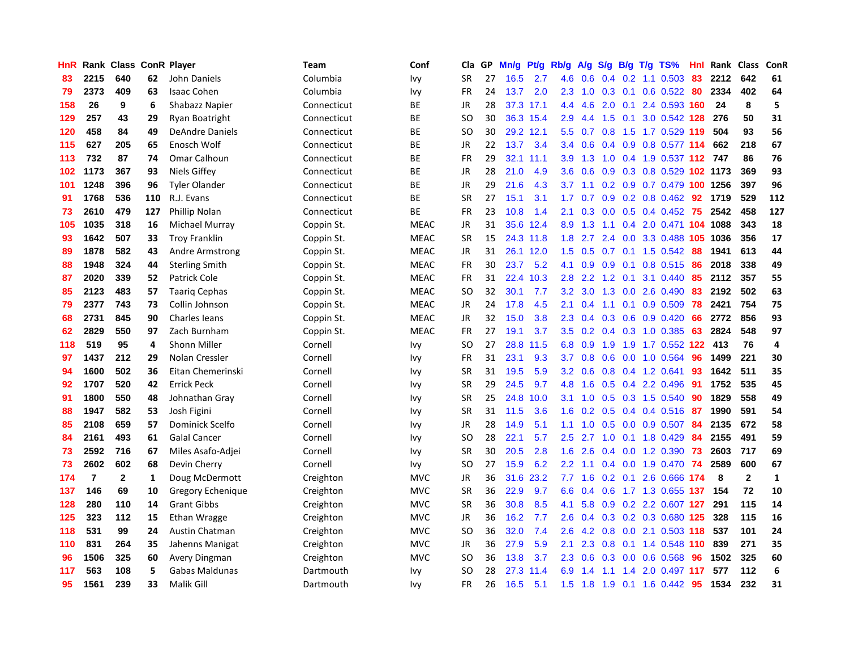| HnR |                | Rank Class   |              | <b>ConR Player</b>     | Team        | Conf        | Cla           | <b>GP</b> | Mn/g      | <b>Pt/g</b> | Rb/g          | A/g | S/g           |                 | B/g T/g TS%                  | Hnl | Rank | <b>Class</b>   | <b>ConR</b>  |
|-----|----------------|--------------|--------------|------------------------|-------------|-------------|---------------|-----------|-----------|-------------|---------------|-----|---------------|-----------------|------------------------------|-----|------|----------------|--------------|
| 83  | 2215           | 640          | 62           | John Daniels           | Columbia    | Ivy         | SR            | 27        | 16.5      | 2.7         | 4.6           | 0.6 |               |                 | $0.4$ 0.2 1.1 0.503          | 83  | 2212 | 642            | 61           |
| 79  | 2373           | 409          | 63           | <b>Isaac Cohen</b>     | Columbia    | Ivy         | <b>FR</b>     | 24        | 13.7      | 2.0         | 2.3           | 1.0 |               |                 | 0.3 0.1 0.6 0.522 80         |     | 2334 | 402            | 64           |
| 158 | 26             | 9            | 6            | Shabazz Napier         | Connecticut | ВE          | JR            | 28        | 37.3 17.1 |             | 4.4           | 4.6 | 2.0           |                 | 0.1 2.4 0.593 160            |     | 24   | 8              | 5            |
| 129 | 257            | 43           | 29           | Ryan Boatright         | Connecticut | ВE          | <sub>SO</sub> | 30        |           | 36.3 15.4   | 2.9           | 4.4 | 1.5           | 0.1             | 3.0 0.542 128                |     | 276  | 50             | 31           |
| 120 | 458            | 84           | 49           | <b>DeAndre Daniels</b> | Connecticut | ВE          | <sub>SO</sub> | 30        | 29.2 12.1 |             | 5.5           | 0.7 | 0.8           |                 | 1.5 1.7 0.529 119            |     | 504  | 93             | 56           |
| 115 | 627            | 205          | 65           | Enosch Wolf            | Connecticut | ВE          | JR            | 22        | 13.7      | 3.4         | $3.4^{\circ}$ | 0.6 |               |                 | 0.4 0.9 0.8 0.577 114        |     | 662  | 218            | 67           |
| 113 | 732            | 87           | 74           | Omar Calhoun           | Connecticut | ВE          | <b>FR</b>     | 29        | 32.1      | 11.1        | 3.9           | 1.3 | 1.0           |                 | 0.4 1.9 0.537 112 747        |     |      | 86             | 76           |
| 102 | 1173           | 367          | 93           | <b>Niels Giffey</b>    | Connecticut | ВE          | JR            | 28        | 21.0      | 4.9         | 3.6           | 0.6 | 0.9           |                 | 0.3 0.8 0.529 102 1173       |     |      | 369            | 93           |
| 101 | 1248           | 396          | 96           | <b>Tyler Olander</b>   | Connecticut | ВE          | JR            | 29        | 21.6      | 4.3         | 3.7           | 1.1 |               |                 | 0.2 0.9 0.7 0.479 100 1256   |     |      | 397            | 96           |
| 91  | 1768           | 536          | 110          | R.J. Evans             | Connecticut | ВE          | <b>SR</b>     | 27        | 15.1      | 3.1         | 1.7           | 0.7 |               |                 | $0.9$ 0.2 0.8 0.462 92       |     | 1719 | 529            | 112          |
| 73  | 2610           | 479          | 127          | Phillip Nolan          | Connecticut | <b>BE</b>   | <b>FR</b>     | 23        | 10.8      | 1.4         | 2.1           | 0.3 |               |                 | $0.0$ $0.5$ $0.4$ $0.452$ 75 |     | 2542 | 458            | 127          |
| 105 | 1035           | 318          | 16           | Michael Murray         | Coppin St.  | <b>MEAC</b> | JR            | 31        | 35.6      | 12.4        | 8.9           | 1.3 |               |                 | 1.1 0.4 2.0 0.471 104 1088   |     |      | 343            | 18           |
| 93  | 1642           | 507          | 33           | <b>Troy Franklin</b>   | Coppin St.  | <b>MEAC</b> | <b>SR</b>     | 15        |           | 24.3 11.8   | 1.8           | 2.7 | $2.4^{\circ}$ |                 | 0.0 3.3 0.488 105 1036       |     |      | 356            | 17           |
| 89  | 1878           | 582          | 43           | Andre Armstrong        | Coppin St.  | <b>MEAC</b> | JR            | 31        |           | 26.1 12.0   | 1.5           | 0.5 | 0.7           |                 | $0.1$ 1.5 0.542              | -88 | 1941 | 613            | 44           |
| 88  | 1948           | 324          | 44           | <b>Sterling Smith</b>  | Coppin St.  | <b>MEAC</b> | <b>FR</b>     | 30        | 23.7      | 5.2         | 4.1           | 0.9 | 0.9           | 0.1             | 0.8 0.515                    | -86 | 2018 | 338            | 49           |
| 87  | 2020           | 339          | 52           | Patrick Cole           | Coppin St.  | <b>MEAC</b> | FR            | 31        | 22.4      | 10.3        | 2.8           | 2.2 | 1.2           | 0.1             | 3.1 0.440                    | 85  | 2112 | 357            | 55           |
| 85  | 2123           | 483          | 57           | <b>Taarig Cephas</b>   | Coppin St.  | <b>MEAC</b> | <sub>SO</sub> | 32        | 30.1      | 7.7         | 3.2           | 3.0 | 1.3           |                 | $0.0$ 2.6 $0.490$            | 83  | 2192 | 502            | 63           |
| 79  | 2377           | 743          | 73           | Collin Johnson         | Coppin St.  | <b>MEAC</b> | JR            | 24        | 17.8      | 4.5         | 2.1           | 0.4 |               |                 | 1.1 0.1 0.9 0.509            | 78  | 2421 | 754            | 75           |
| 68  | 2731           | 845          | 90           | Charles leans          | Coppin St.  | <b>MEAC</b> | JR            | 32        | 15.0      | 3.8         | 2.3           | 0.4 |               |                 | 0.3 0.6 0.9 0.420            | 66  | 2772 | 856            | 93           |
| 62  | 2829           | 550          | 97           | Zach Burnham           | Coppin St.  | <b>MEAC</b> | FR            | 27        | 19.1      | 3.7         | 3.5           | 0.2 |               |                 | $0.4$ 0.3 1.0 0.385          | 63  | 2824 | 548            | 97           |
| 118 | 519            | 95           | 4            | <b>Shonn Miller</b>    | Cornell     | Ivy         | <sub>SO</sub> | 27        | 28.8      | 11.5        | 6.8           | 0.9 | 1.9           |                 | 1.9 1.7 0.552                | 122 | 413  | 76             | 4            |
| 97  | 1437           | 212          | 29           | Nolan Cressler         | Cornell     | Ivy         | FR            | 31        | 23.1      | 9.3         | 3.7           | 0.8 | 0.6           |                 | $0.0$ 1.0 0.564              | 96  | 1499 | 221            | 30           |
| 94  | 1600           | 502          | 36           | Eitan Chemerinski      | Cornell     | Ivy         | <b>SR</b>     | 31        | 19.5      | 5.9         | 3.2           | 0.6 | 0.8           |                 | 0.4 1.2 0.641                | 93  | 1642 | 511            | 35           |
| 92  | 1707           | 520          | 42           | <b>Errick Peck</b>     | Cornell     | Ivy         | <b>SR</b>     | 29        | 24.5      | 9.7         | 4.8           | 1.6 | 0.5           |                 | 0.4 2.2 0.496                | -91 | 1752 | 535            | 45           |
| 91  | 1800           | 550          | 48           | Johnathan Gray         | Cornell     | Ivy         | <b>SR</b>     | 25        | 24.8      | 10.0        | 3.1           | 1.0 | 0.5           |                 | 0.3 1.5 0.540                | 90  | 1829 | 558            | 49           |
| 88  | 1947           | 582          | 53           | Josh Figini            | Cornell     | Ivy         | <b>SR</b>     | 31        | 11.5      | 3.6         | 1.6           | 0.2 |               |                 | 0.5 0.4 0.4 0.516 87         |     | 1990 | 591            | 54           |
| 85  | 2108           | 659          | 57           | Dominick Scelfo        | Cornell     | Ivy         | JR            | 28        | 14.9      | 5.1         | 1.1           | 1.0 |               |                 | 0.5 0.0 0.9 0.507 84         |     | 2135 | 672            | 58           |
| 84  | 2161           | 493          | 61           | <b>Galal Cancer</b>    | Cornell     | Ivy         | SO            | 28        | 22.1      | 5.7         | $2.5\,$       | 2.7 |               |                 | 1.0 0.1 1.8 0.429            | 84  | 2155 | 491            | 59           |
| 73  | 2592           | 716          | 67           | Miles Asafo-Adjei      | Cornell     | Ivy         | <b>SR</b>     | 30        | 20.5      | 2.8         | 1.6           | 2.6 |               |                 | 0.4 0.0 1.2 0.390            | 73  | 2603 | 717            | 69           |
| 73  | 2602           | 602          | 68           | Devin Cherry           | Cornell     | Ivy         | <b>SO</b>     | 27        | 15.9      | 6.2         | 2.2           | 1.1 |               |                 | 0.4 0.0 1.9 0.470            | 74  | 2589 | 600            | 67           |
| 174 | $\overline{7}$ | $\mathbf{2}$ | $\mathbf{1}$ | Doug McDermott         | Creighton   | <b>MVC</b>  | JR            | 36        | 31.6      | 23.2        | 7.7           | 1.6 |               | $0.2 \quad 0.1$ | 2.6 0.666 174                |     | 8    | $\overline{2}$ | $\mathbf{1}$ |
| 137 | 146            | 69           | 10           | Gregory Echenique      | Creighton   | <b>MVC</b>  | <b>SR</b>     | 36        | 22.9      | 9.7         | 6.6           | 0.4 | 0.6           |                 | 1.7 1.3 0.655 137            |     | 154  | 72             | 10           |
| 128 | 280            | 110          | 14           | <b>Grant Gibbs</b>     | Creighton   | <b>MVC</b>  | <b>SR</b>     | 36        | 30.8      | 8.5         | 4.1           | 5.8 | 0.9           |                 | 0.2 2.2 0.607 127            |     | 291  | 115            | 14           |
| 125 | 323            | 112          | 15           | Ethan Wragge           | Creighton   | <b>MVC</b>  | JR            | 36        | 16.2      | 7.7         | 2.6           | 0.4 |               |                 | 0.3 0.2 0.3 0.680 125        |     | 328  | 115            | 16           |
| 118 | 531            | 99           | 24           | Austin Chatman         | Creighton   | <b>MVC</b>  | <sub>SO</sub> | 36        | 32.0      | 7.4         | 2.6           |     |               |                 | 4.2 0.8 0.0 2.1 0.503 118    |     | 537  | 101            | 24           |
| 110 | 831            | 264          | 35           | Jahenns Manigat        | Creighton   | <b>MVC</b>  | <b>JR</b>     | 36        | 27.9      | 5.9         | 2.1           | 2.3 |               |                 | 0.8 0.1 1.4 0.548 110        |     | 839  | 271            | 35           |
| 96  | 1506           | 325          | 60           | Avery Dingman          | Creighton   | <b>MVC</b>  | SO            | 36        | 13.8      | 3.7         | 2.3           | 0.6 | 0.3           |                 | $0.0$ 0.6 0.568              | -96 | 1502 | 325            | 60           |
| 117 | 563            | 108          | 5            | Gabas Maldunas         | Dartmouth   | Ivy         | <sub>SO</sub> | 28        | 27.3      | 11.4        | 6.9           | 1.4 | 1.1           | 1.4             | 2.0 0.497 117                |     | 577  | 112            | 6            |
| 95  | 1561           | 239          | 33           | Malik Gill             | Dartmouth   | Ivy         | <b>FR</b>     | 26        | 16.5      | 5.1         | 1.5           | 1.8 | 1.9           |                 | $0.1$ 1.6 0.442              | 95  | 1534 | 232            | 31           |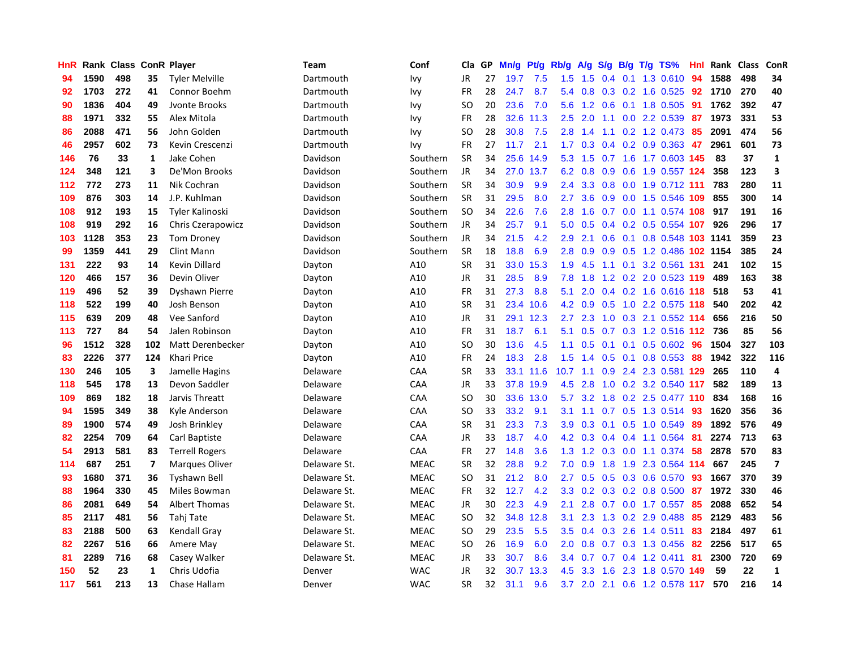| HnR |      | Rank Class |                | <b>ConR Player</b>    | Team         | Conf        | Cla           | <b>GP</b> | Mn/g | <b>Pt/g</b> | Rb/g             | A/g | S/g | B/g | $T/g$ TS%                     | Hnl | Rank | <b>Class</b> | <b>ConR</b>             |
|-----|------|------------|----------------|-----------------------|--------------|-------------|---------------|-----------|------|-------------|------------------|-----|-----|-----|-------------------------------|-----|------|--------------|-------------------------|
| 94  | 1590 | 498        | 35             | <b>Tyler Melville</b> | Dartmouth    | Ivy         | JR            | 27        | 19.7 | 7.5         | 1.5              | 1.5 |     |     | $0.4$ 0.1 1.3 0.610           | 94  | 1588 | 498          | 34                      |
| 92  | 1703 | 272        | 41             | Connor Boehm          | Dartmouth    | Ivy         | FR            | 28        | 24.7 | 8.7         | 5.4              | 0.8 |     |     | 0.3 0.2 1.6 0.525 92          |     | 1710 | 270          | 40                      |
| 90  | 1836 | 404        | 49             | Jvonte Brooks         | Dartmouth    | Ivy         | SO            | 20        | 23.6 | 7.0         | 5.6              | 1.2 |     |     | $0.6$ 0.1 1.8 0.505           | 91  | 1762 | 392          | 47                      |
| 88  | 1971 | 332        | 55             | Alex Mitola           | Dartmouth    | Ivy         | FR            | 28        | 32.6 | 11.3        | 2.5              | 2.0 |     |     | 1.1 0.0 2.2 0.539             | 87  | 1973 | 331          | 53                      |
| 86  | 2088 | 471        | 56             | John Golden           | Dartmouth    | Ivy         | <b>SO</b>     | 28        | 30.8 | 7.5         | 2.8              | 1.4 | 1.1 |     | 0.2 1.2 0.473                 | 85  | 2091 | 474          | 56                      |
| 46  | 2957 | 602        | 73             | Kevin Crescenzi       | Dartmouth    | Ivy         | FR            | 27        | 11.7 | 2.1         | 1.7              | 0.3 |     |     | $0.4$ 0.2 0.9 0.363           | 47  | 2961 | 601          | 73                      |
| 146 | 76   | 33         | 1              | Jake Cohen            | Davidson     | Southern    | <b>SR</b>     | 34        | 25.6 | 14.9        | 5.3              | 1.5 | 0.7 |     | 1.6 1.7 0.603 145             |     | 83   | 37           | $\mathbf{1}$            |
| 124 | 348  | 121        | 3              | De'Mon Brooks         | Davidson     | Southern    | <b>JR</b>     | 34        | 27.0 | 13.7        | 6.2              | 0.8 | 0.9 |     | 0.6 1.9 0.557 124             |     | 358  | 123          | 3                       |
| 112 | 772  | 273        | 11             | Nik Cochran           | Davidson     | Southern    | <b>SR</b>     | 34        | 30.9 | 9.9         | 2.4              | 3.3 | 0.8 |     | 0.0 1.9 0.712 111             |     | 783  | 280          | 11                      |
| 109 | 876  | 303        | 14             | J.P. Kuhlman          | Davidson     | Southern    | <b>SR</b>     | 31        | 29.5 | 8.0         | $2.7^{\circ}$    | 3.6 |     |     | 0.9 0.0 1.5 0.546 109         |     | 855  | 300          | 14                      |
| 108 | 912  | 193        | 15             | Tyler Kalinoski       | Davidson     | Southern    | <b>SO</b>     | 34        | 22.6 | 7.6         | 2.8              | 1.6 |     |     | 0.7 0.0 1.1 0.574 108 917     |     |      | 191          | 16                      |
| 108 | 919  | 292        | 16             | Chris Czerapowicz     | Davidson     | Southern    | <b>JR</b>     | 34        | 25.7 | 9.1         | 5.0              | 0.5 |     |     | 0.4 0.2 0.5 0.554 107         |     | 926  | 296          | 17                      |
| 103 | 1128 | 353        | 23             | <b>Tom Droney</b>     | Davidson     | Southern    | <b>JR</b>     | 34        | 21.5 | 4.2         | 2.9              | 2.1 | 0.6 |     | 0.1 0.8 0.548 103 1141        |     |      | 359          | 23                      |
| 99  | 1359 | 441        | 29             | Clint Mann            | Davidson     | Southern    | <b>SR</b>     | 18        | 18.8 | 6.9         | 2.8              | 0.9 | 0.9 |     | 0.5 1.2 0.486 102 1154        |     |      | 385          | 24                      |
| 131 | 222  | 93         | 14             | <b>Kevin Dillard</b>  | Dayton       | A10         | <b>SR</b>     | 31        | 33.0 | 15.3        | 1.9              | 4.5 | 1.1 | 0.1 | 3.2 0.561 131                 |     | 241  | 102          | 15                      |
| 120 | 466  | 157        | 36             | Devin Oliver          | Dayton       | A10         | JR            | 31        | 28.5 | 8.9         | 7.8              | 1.8 | 1.2 |     | 0.2 2.0 0.523 119             |     | 489  | 163          | 38                      |
| 119 | 496  | 52         | 39             | Dyshawn Pierre        | Dayton       | A10         | <b>FR</b>     | 31        | 27.3 | 8.8         | 5.1              | 2.0 |     |     | 0.4 0.2 1.6 0.616 118         |     | 518  | 53           | 41                      |
| 118 | 522  | 199        | 40             | Josh Benson           | Dayton       | A10         | <b>SR</b>     | 31        | 23.4 | 10.6        | 4.2              | 0.9 | 0.5 |     | 1.0 2.2 0.575 118             |     | 540  | 202          | 42                      |
| 115 | 639  | 209        | 48             | Vee Sanford           | Dayton       | A10         | JR            | 31        | 29.1 | 12.3        | $2.7^{\circ}$    | 2.3 |     |     | 1.0 0.3 2.1 0.552 114         |     | 656  | 216          | 50                      |
| 113 | 727  | 84         | 54             | Jalen Robinson        | Dayton       | A10         | FR            | 31        | 18.7 | 6.1         | 5.1              | 0.5 |     |     | 0.7 0.3 1.2 0.516 112 736     |     |      | 85           | 56                      |
| 96  | 1512 | 328        | 102            | Matt Derenbecker      | Dayton       | A10         | <b>SO</b>     | 30        | 13.6 | 4.5         | 1.1              | 0.5 | 0.1 |     | $0.1$ 0.5 0.602               | -96 | 1504 | 327          | 103                     |
| 83  | 2226 | 377        | 124            | Khari Price           | Dayton       | A10         | FR            | 24        | 18.3 | 2.8         | 1.5              | 1.4 | 0.5 |     | $0.1$ 0.8 0.553               | 88  | 1942 | 322          | 116                     |
| 130 | 246  | 105        | 3              | Jamelle Hagins        | Delaware     | CAA         | <b>SR</b>     | 33        | 33.1 | 11.6        | 10.7             | 1.1 | 0.9 |     | 2.4 2.3 0.581 129             |     | 265  | 110          | 4                       |
| 118 | 545  | 178        | 13             | Devon Saddler         | Delaware     | CAA         | JR            | 33        | 37.8 | 19.9        | 4.5              | 2.8 | 1.0 |     | 0.2 3.2 0.540 117             |     | 582  | 189          | 13                      |
| 109 | 869  | 182        | 18             | Jarvis Threatt        | Delaware     | CAA         | <sub>SO</sub> | 30        | 33.6 | 13.0        | 5.7              | 3.2 | 1.8 |     | 0.2 2.5 0.477 110             |     | 834  | 168          | 16                      |
| 94  | 1595 | 349        | 38             | Kyle Anderson         | Delaware     | CAA         | <b>SO</b>     | 33        | 33.2 | 9.1         | 3.1              | 1.1 |     |     | 0.7 0.5 1.3 0.514 93          |     | 1620 | 356          | 36                      |
| 89  | 1900 | 574        | 49             | Josh Brinkley         | Delaware     | CAA         | <b>SR</b>     | 31        | 23.3 | 7.3         | 3.9 <sub>2</sub> | 0.3 |     |     | $0.1$ $0.5$ $1.0$ $0.549$     | -89 | 1892 | 576          | 49                      |
| 82  | 2254 | 709        | 64             | Carl Baptiste         | Delaware     | CAA         | JR            | 33        | 18.7 | 4.0         | 4.2              | 0.3 |     |     | $0.4$ 0.4 1.1 0.564           | -81 | 2274 | 713          | 63                      |
| 54  | 2913 | 581        | 83             | <b>Terrell Rogers</b> | Delaware     | CAA         | <b>FR</b>     | 27        | 14.8 | 3.6         | 1.3              | 1.2 |     |     | 0.3 0.0 1.1 0.374             | -58 | 2878 | 570          | 83                      |
| 114 | 687  | 251        | $\overline{7}$ | Marques Oliver        | Delaware St. | <b>MEAC</b> | <b>SR</b>     | 32        | 28.8 | 9.2         | 7.0              | 0.9 | 1.8 |     | 1.9 2.3 0.564 114             |     | 667  | 245          | $\overline{\mathbf{z}}$ |
| 93  | 1680 | 371        | 36             | <b>Tyshawn Bell</b>   | Delaware St. | <b>MEAC</b> | <b>SO</b>     | 31        | 21.2 | 8.0         | 2.7              | 0.5 | 0.5 |     | 0.3 0.6 0.570                 | 93  | 1667 | 370          | 39                      |
| 88  | 1964 | 330        | 45             | Miles Bowman          | Delaware St. | <b>MEAC</b> | <b>FR</b>     | 32        | 12.7 | 4.2         | 3.3              | 0.2 | 0.3 |     | $0.2$ 0.8 0.500               | 87  | 1972 | 330          | 46                      |
| 86  | 2081 | 649        | 54             | <b>Albert Thomas</b>  | Delaware St. | <b>MEAC</b> | <b>JR</b>     | 30        | 22.3 | 4.9         | 2.1              | 2.8 | 0.7 |     | $0.0$ 1.7 $0.557$             | 85  | 2088 | 652          | 54                      |
| 85  | 2117 | 481        | 56             | Tahj Tate             | Delaware St. | <b>MEAC</b> | <b>SO</b>     | 32        | 34.8 | 12.8        | 3.1              | 2.3 |     |     | 1.3 0.2 2.9 0.488             | 85  | 2129 | 483          | 56                      |
| 83  | 2188 | 500        | 63             | Kendall Gray          | Delaware St. | <b>MEAC</b> | <b>SO</b>     | 29        | 23.5 | 5.5         | 3.5              | 0.4 |     |     | $0.3$ 2.6 1.4 0.511           | 83  | 2184 | 497          | 61                      |
| 82  | 2267 | 516        | 66             | Amere May             | Delaware St. | <b>MEAC</b> | <b>SO</b>     | 26        | 16.9 | 6.0         | 2.0              | 0.8 |     |     | 0.7 0.3 1.3 0.456             | -82 | 2256 | 517          | 65                      |
| 81  | 2289 | 716        | 68             | Casey Walker          | Delaware St. | <b>MEAC</b> | JR            | 33        | 30.7 | 8.6         | $3.4^{\circ}$    | 0.7 |     |     | 0.7 0.4 1.2 0.411             | 81  | 2300 | 720          | 69                      |
| 150 | 52   | 23         | $\mathbf{1}$   | Chris Udofia          | Denver       | <b>WAC</b>  | JR            | 32        | 30.7 | 13.3        | 4.5              | 3.3 | 1.6 |     | 2.3 1.8 0.570                 | 149 | 59   | 22           | $\mathbf{1}$            |
| 117 | 561  | 213        | 13             | Chase Hallam          | Denver       | <b>WAC</b>  | SR            | 32        | 31.1 | 9.6         |                  |     |     |     | 3.7 2.0 2.1 0.6 1.2 0.578 117 |     | 570  | 216          | 14                      |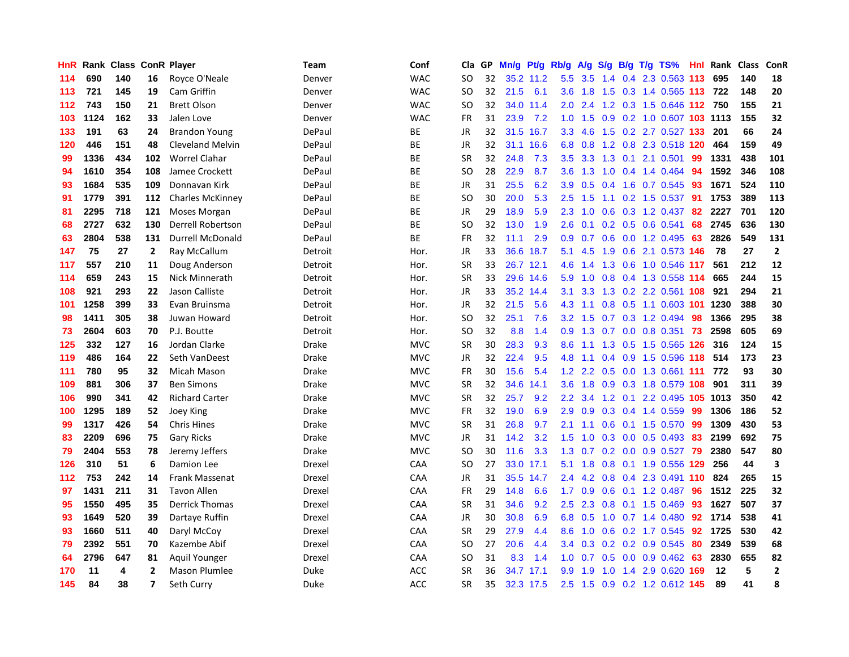| HnR | Rank | <b>Class</b> |                         | <b>ConR Player</b>      | Team    | Conf       | Cla           | <b>GP</b> | Mn/g | Pt/g      | Rb/g             | A/g    |     |     | S/g B/g T/g TS%            | Hnl | Rank    | <b>Class</b> | <b>ConR</b>    |
|-----|------|--------------|-------------------------|-------------------------|---------|------------|---------------|-----------|------|-----------|------------------|--------|-----|-----|----------------------------|-----|---------|--------------|----------------|
| 114 | 690  | 140          | 16                      | Royce O'Neale           | Denver  | <b>WAC</b> | <b>SO</b>     | 32        |      | 35.2 11.2 | 5.5              | 3.5    |     |     | 1.4 0.4 2.3 0.563 113      |     | 695     | 140          | 18             |
| 113 | 721  | 145          | 19                      | Cam Griffin             | Denver  | <b>WAC</b> | SO.           | 32        | 21.5 | 6.1       | 3.6              | $-1.8$ |     |     | 1.5 0.3 1.4 0.565 113 722  |     |         | 148          | 20             |
| 112 | 743  | 150          | 21                      | <b>Brett Olson</b>      | Denver  | <b>WAC</b> | SO            | 32        |      | 34.0 11.4 | 2.0              | 2.4    |     |     | 1.2 0.3 1.5 0.646 112 750  |     |         | 155          | 21             |
| 103 | 1124 | 162          | 33                      | Jalen Love              | Denver  | <b>WAC</b> | FR            | 31        | 23.9 | 7.2       | 1.0              | 1.5    |     |     | 0.9 0.2 1.0 0.607 103 1113 |     |         | 155          | 32             |
| 133 | 191  | 63           | 24                      | <b>Brandon Young</b>    | DePaul  | BE         | JR            | 32        | 31.5 | 16.7      | 3.3              | 4.6    | 1.5 |     | 0.2 2.7 0.527 133          |     | 201     | 66           | 24             |
| 120 | 446  | 151          | 48                      | Cleveland Melvin        | DePaul  | BE         | JR            | 32        | 31.1 | 16.6      | 6.8              | 0.8    |     |     | 1.2 0.8 2.3 0.518 120      |     | 464     | 159          | 49             |
| 99  | 1336 | 434          | 102                     | <b>Worrel Clahar</b>    | DePaul  | <b>BE</b>  | <b>SR</b>     | 32        | 24.8 | 7.3       | 3.5              | 3.3    | 1.3 |     | $0.1$ 2.1 0.501            | 99  | 1331    | 438          | 101            |
| 94  | 1610 | 354          | 108                     | Jamee Crockett          | DePaul  | ВE         | SO            | 28        | 22.9 | 8.7       | 3.6              | 1.3    | 1.0 |     | 0.4 1.4 0.464              | -94 | 1592    | 346          | 108            |
| 93  | 1684 | 535          | 109                     | Donnavan Kirk           | DePaul  | ВE         | JR            | 31        | 25.5 | 6.2       | 3.9              | 0.5    |     |     | $0.4$ 1.6 0.7 0.545        | -93 | 1671    | 524          | 110            |
| 91  | 1779 | 391          | 112                     | <b>Charles McKinney</b> | DePaul  | ВE         | <sub>SO</sub> | 30        | 20.0 | 5.3       | 2.5              | 1.5    |     |     | 1.1 0.2 1.5 0.537 91       |     | 1753    | 389          | 113            |
| 81  | 2295 | 718          | 121                     | Moses Morgan            | DePaul  | <b>BE</b>  | JR            | 29        | 18.9 | 5.9       | 2.3              | 1.0    |     |     | 0.6 0.3 1.2 0.437 82       |     | 2227    | 701          | 120            |
| 68  | 2727 | 632          | 130                     | Derrell Robertson       | DePaul  | BE         | <sub>SO</sub> | 32        | 13.0 | 1.9       | 2.6              | 0.1    |     |     | $0.2$ 0.5 0.6 0.541        | 68  | 2745    | 636          | 130            |
| 63  | 2804 | 538          | 131                     | <b>Durrell McDonald</b> | DePaul  | BE         | FR            | 32        | 11.1 | 2.9       | 0.9              | 0.7    | 0.6 |     | 0.0 1.2 0.495              | 63  | 2826    | 549          | 131            |
| 147 | 75   | 27           | $\overline{2}$          | Ray McCallum            | Detroit | Hor.       | JR            | 33        |      | 36.6 18.7 | 5.1              | 4.5    | 1.9 |     | 0.6 2.1 0.573 146          |     | 78      | 27           | $\overline{2}$ |
| 117 | 557  | 210          | 11                      | Doug Anderson           | Detroit | Hor.       | <b>SR</b>     | 33        | 26.7 | 12.1      | 4.6              | 1.4    | 1.3 |     | 0.6 1.0 0.546 117          |     | 561     | 212          | 12             |
| 114 | 659  | 243          | 15                      | Nick Minnerath          | Detroit | Hor.       | <b>SR</b>     | 33        |      | 29.6 14.6 | 5.9              | 1.0    | 0.8 |     | 0.4 1.3 0.558 114          |     | 665     | 244          | 15             |
| 108 | 921  | 293          | 22                      | Jason Calliste          | Detroit | Hor.       | <b>JR</b>     | 33        | 35.2 | 14.4      | 3.1              | 3.3    | 1.3 |     | 0.2 2.2 0.561 108          |     | 921     | 294          | 21             |
| 101 | 1258 | 399          | 33                      | Evan Bruinsma           | Detroit | Hor.       | JR            | 32        | 21.5 | 5.6       | 4.3              | 1.1    |     |     | 0.8 0.5 1.1 0.603 101 1230 |     |         | 388          | 30             |
| 98  | 1411 | 305          | 38                      | Juwan Howard            | Detroit | Hor.       | <b>SO</b>     | 32        | 25.1 | 7.6       | 3.2              | 1.5    |     |     | 0.7 0.3 1.2 0.494 98       |     | 1366    | 295          | 38             |
| 73  | 2604 | 603          | 70                      | P.J. Boutte             | Detroit | Hor.       | SO            | 32        | 8.8  | 1.4       | 0.9              | 1.3    |     |     | 0.7 0.0 0.8 0.351 73       |     | 2598    | 605          | 69             |
| 125 | 332  | 127          | 16                      | Jordan Clarke           | Drake   | <b>MVC</b> | <b>SR</b>     | 30        | 28.3 | 9.3       | 8.6              | 1.1    |     |     | 1.3 0.5 1.5 0.565 126      |     | 316     | 124          | 15             |
| 119 | 486  | 164          | 22                      | Seth VanDeest           | Drake   | <b>MVC</b> | JR            | 32        | 22.4 | 9.5       | 4.8              | 1.1    |     |     | 0.4 0.9 1.5 0.596 118      |     | 514     | 173          | 23             |
| 111 | 780  | 95           | 32                      | Micah Mason             | Drake   | <b>MVC</b> | FR            | 30        | 15.6 | 5.4       | 1.2              | 2.2    |     |     | 0.5 0.0 1.3 0.661 111      |     | 772     | 93           | 30             |
| 109 | 881  | 306          | 37                      | <b>Ben Simons</b>       | Drake   | <b>MVC</b> | <b>SR</b>     | 32        | 34.6 | 14.1      | 3.6              | 1.8    | 0.9 |     | 0.3 1.8 0.579 108          |     | 901     | 311          | 39             |
| 106 | 990  | 341          | 42                      | <b>Richard Carter</b>   | Drake   | <b>MVC</b> | <b>SR</b>     | 32        | 25.7 | 9.2       | 2.2              | 3.4    | 1.2 | 0.1 | 2.2 0.495 105 1013         |     |         | 350          | 42             |
| 100 | 1295 | 189          | 52                      | Joey King               | Drake   | <b>MVC</b> | FR            | 32        | 19.0 | 6.9       | 2.9              | 0.9    |     |     | $0.3$ 0.4 1.4 0.559        | -99 | 1306    | 186          | 52             |
| 99  | 1317 | 426          | 54                      | <b>Chris Hines</b>      | Drake   | <b>MVC</b> | <b>SR</b>     | 31        | 26.8 | 9.7       | 2.1              |        |     |     | 1.1 0.6 0.1 1.5 0.570 99   |     | 1309    | 430          | 53             |
| 83  | 2209 | 696          | 75                      | <b>Gary Ricks</b>       | Drake   | <b>MVC</b> | JR            | 31        | 14.2 | 3.2       | 1.5              | 1.0    |     |     | $0.3$ 0.0 0.5 0.493        | -83 | 2199    | 692          | 75             |
| 79  | 2404 | 553          | 78                      | Jeremy Jeffers          | Drake   | <b>MVC</b> | <b>SO</b>     | 30        | 11.6 | 3.3       | 1.3              | 0.7    |     |     | 0.2 0.0 0.9 0.527 79       |     | 2380    | 547          | 80             |
| 126 | 310  | 51           | 6                       | Damion Lee              | Drexel  | CAA        | <b>SO</b>     | 27        | 33.0 | 17.1      | 5.1              | 1.8    | 0.8 |     | 0.1 1.9 0.556 129          |     | 256     | 44           | 3              |
| 112 | 753  | 242          | 14                      | Frank Massenat          | Drexel  | CAA        | JR            | 31        | 35.5 | 14.7      | 2.4              | 4.2    | 0.8 |     | 0.4 2.3 0.491 110          |     | 824     | 265          | 15             |
| 97  | 1431 | 211          | 31                      | <b>Tavon Allen</b>      | Drexel  | CAA        | <b>FR</b>     | 29        | 14.8 | 6.6       | 1.7 <sup>2</sup> | 0.9    | 0.6 |     | $0.1$ 1.2 0.487            | 96  | 1512    | 225          | 32             |
| 95  | 1550 | 495          | 35                      | <b>Derrick Thomas</b>   | Drexel  | CAA        | <b>SR</b>     | 31        | 34.6 | 9.2       | 2.5              | 2.3    | 0.8 |     | $0.1$ 1.5 0.469            | 93  | 1627    | 507          | 37             |
| 93  | 1649 | 520          | 39                      | Dartaye Ruffin          | Drexel  | CAA        | JR            | 30        | 30.8 | 6.9       | 6.8              | 0.5    |     |     | 1.0 0.7 1.4 0.480          | 92  | 1714    | 538          | 41             |
| 93  | 1660 | 511          | 40                      | Daryl McCoy             | Drexel  | CAA        | <b>SR</b>     | 29        | 27.9 | 4.4       | 8.6              |        |     |     | 1.0 0.6 0.2 1.7 0.545      |     | 92 1725 | 530          | 42             |
| 79  | 2392 | 551          | 70                      | Kazembe Abif            | Drexel  | CAA        | <b>SO</b>     | 27        | 20.6 | 4.4       | $3.4^{\circ}$    | 0.3    |     |     | $0.2$ 0.2 0.9 0.545        | 80  | 2349    | 539          | 68             |
| 64  | 2796 | 647          | 81                      | Aquil Younger           | Drexel  | CAA        | SO            | 31        | 8.3  | 1.4       | 1.0              | 0.7    |     |     | 0.5 0.0 0.9 0.462          | -63 | 2830    | 655          | 82             |
| 170 | 11   | 4            | $\mathbf{2}$            | Mason Plumlee           | Duke    | <b>ACC</b> | <b>SR</b>     | 36        | 34.7 | 17.1      | 9.9              | 1.9    | 1.0 |     | 1.4 2.9 0.620              | 169 | 12      | 5            | $\overline{2}$ |
| 145 | 84   | 38           | $\overline{\mathbf{z}}$ | Seth Curry              | Duke    | <b>ACC</b> | SR            | 35        |      | 32.3 17.5 | 2.5              | 1.5    |     |     | 0.9 0.2 1.2 0.612 145      |     | 89      | 41           | 8              |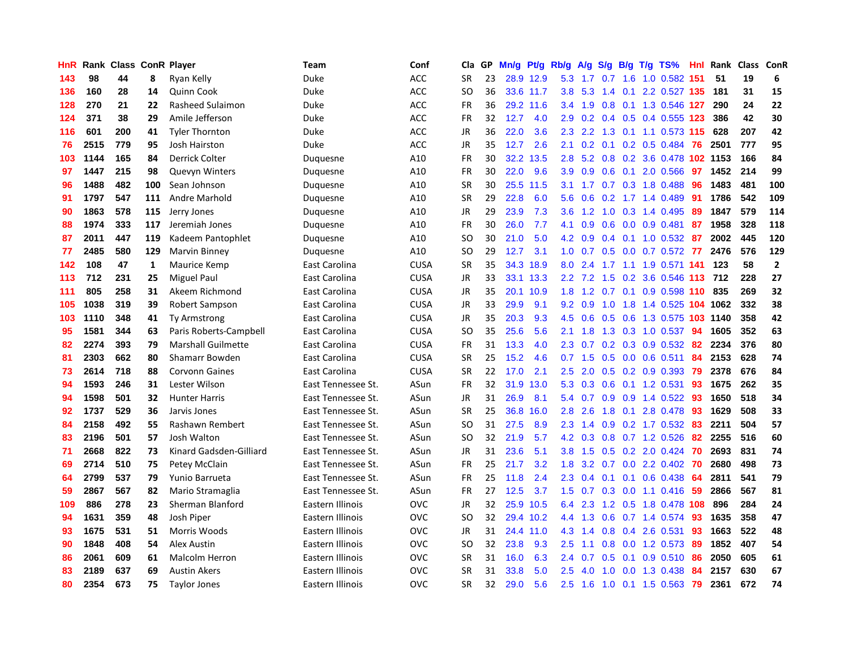| HnR |      | Rank Class ConR Player |              |                           | Team               | Conf        | Cla       | GP | Mn/g | Pt/g      | Rb/g             | A/g             | S/g           |     | $B/g$ T/g TS%                | Hnl | Rank | <b>Class</b> | <b>ConR</b>  |
|-----|------|------------------------|--------------|---------------------------|--------------------|-------------|-----------|----|------|-----------|------------------|-----------------|---------------|-----|------------------------------|-----|------|--------------|--------------|
| 143 | 98   | 44                     | 8            | Ryan Kelly                | Duke               | ACC         | <b>SR</b> | 23 |      | 28.9 12.9 | 5.3              |                 |               |     | 1.7 0.7 1.6 1.0 0.582 151    |     | 51   | 19           | 6            |
| 136 | 160  | 28                     | 14           | Quinn Cook                | Duke               | <b>ACC</b>  | SO.       | 36 |      | 33.6 11.7 | 3.8 <sup>°</sup> | 5.3             |               |     | 1.4 0.1 2.2 0.527 135        |     | 181  | 31           | 15           |
| 128 | 270  | 21                     | 22           | Rasheed Sulaimon          | Duke               | <b>ACC</b>  | <b>FR</b> | 36 |      | 29.2 11.6 | $3.4^{\circ}$    | 1.9             |               |     | 0.8 0.1 1.3 0.546 127        |     | 290  | 24           | 22           |
| 124 | 371  | 38                     | 29           | Amile Jefferson           | Duke               | <b>ACC</b>  | <b>FR</b> | 32 | 12.7 | 4.0       | 2.9 <sup>°</sup> | 0.2             |               |     | 0.4 0.5 0.4 0.555 123        |     | 386  | 42           | 30           |
| 116 | 601  | 200                    | 41           | <b>Tyler Thornton</b>     | Duke               | <b>ACC</b>  | JR        | 36 | 22.0 | 3.6       | 2.3              | 2.2             | 1.3           |     | $0.1$ 1.1 0.573 115          |     | 628  | 207          | 42           |
| 76  | 2515 | 779                    | 95           | <b>Josh Hairston</b>      | Duke               | <b>ACC</b>  | JR        | 35 | 12.7 | 2.6       | 2.1              | 0.2             |               |     | $0.1$ $0.2$ $0.5$ $0.484$    | -76 | 2501 | 777          | 95           |
| 103 | 1144 | 165                    | 84           | Derrick Colter            | Duquesne           | A10         | <b>FR</b> | 30 | 32.2 | 13.5      | 2.8              | 5.2             | 0.8           |     | 0.2 3.6 0.478 102 1153       |     |      | 166          | 84           |
| 97  | 1447 | 215                    | 98           | <b>Quevyn Winters</b>     | Duquesne           | A10         | <b>FR</b> | 30 | 22.0 | 9.6       | 3.9 <sup>°</sup> | 0.9             | 0.6           | 0.1 | 2.0 0.566                    | 97  | 1452 | 214          | 99           |
| 96  | 1488 | 482                    | 100          | Sean Johnson              | Duquesne           | A10         | <b>SR</b> | 30 | 25.5 | 11.5      | 3.1              | 1.7             | 0.7           |     | 0.3 1.8 0.488                | 96  | 1483 | 481          | 100          |
| 91  | 1797 | 547                    | 111          | Andre Marhold             | Duguesne           | A10         | <b>SR</b> | 29 | 22.8 | 6.0       | 5.6              | 0.6             |               |     | 0.2 1.7 1.4 0.489 91         |     | 1786 | 542          | 109          |
| 90  | 1863 | 578                    | 115          | Jerry Jones               | Duquesne           | A10         | <b>JR</b> | 29 | 23.9 | 7.3       | 3.6 <sup>°</sup> | 1.2             |               |     | 1.0 0.3 1.4 0.495            | -89 | 1847 | 579          | 114          |
| 88  | 1974 | 333                    | 117          | Jeremiah Jones            | Duguesne           | A10         | <b>FR</b> | 30 | 26.0 | 7.7       | 4.1              | 0.9             | 0.6           |     | $0.0$ $0.9$ $0.481$          | -87 | 1958 | 328          | 118          |
| 87  | 2011 | 447                    | 119          | Kadeem Pantophlet         | Duquesne           | A10         | <b>SO</b> | 30 | 21.0 | 5.0       | 4.2              | 0.9             | $0.4^{\circ}$ |     | $0.1$ 1.0 0.532              | -87 | 2002 | 445          | 120          |
| 77  | 2485 | 580                    | 129          | Marvin Binney             | Duquesne           | A10         | SO        | 29 | 12.7 | 3.1       | 1.0 <sub>1</sub> | 0.7             | 0.5           |     | $0.0$ 0.7 0.572              | -77 | 2476 | 576          | 129          |
| 142 | 108  | 47                     | $\mathbf{1}$ | Maurice Kemp              | East Carolina      | <b>CUSA</b> | <b>SR</b> | 35 | 34.3 | 18.9      | 8.0              | 2.4             | $1.7^{\circ}$ |     | 1.1 1.9 0.571                | 141 | 123  | 58           | $\mathbf{2}$ |
| 113 | 712  | 231                    | 25           | Miguel Paul               | East Carolina      | <b>CUSA</b> | <b>JR</b> | 33 |      | 33.1 13.3 |                  | $2.2$ 7.2       | 1.5           |     | 0.2 3.6 0.546 113            |     | 712  | 228          | 27           |
| 111 | 805  | 258                    | 31           | Akeem Richmond            | East Carolina      | <b>CUSA</b> | JR        | 35 | 20.1 | 10.9      | 1.8              | 1.2             | 0.7           | 0.1 | 0.9 0.598 110                |     | 835  | 269          | 32           |
| 105 | 1038 | 319                    | 39           | Robert Sampson            | East Carolina      | <b>CUSA</b> | <b>JR</b> | 33 | 29.9 | 9.1       | 9.2              | 0.9             | 1.0           |     | 1.8 1.4 0.525 104 1062       |     |      | 332          | 38           |
| 103 | 1110 | 348                    | 41           | Ty Armstrong              | East Carolina      | <b>CUSA</b> | <b>JR</b> | 35 | 20.3 | 9.3       |                  | $4.5\quad0.6$   |               |     | 0.5 0.6 1.3 0.575 103 1140   |     |      | 358          | 42           |
| 95  | 1581 | 344                    | 63           | Paris Roberts-Campbell    | East Carolina      | <b>CUSA</b> | SO        | 35 | 25.6 | 5.6       | 2.1              | 1.8             |               |     | 1.3 0.3 1.0 0.537            | -94 | 1605 | 352          | 63           |
| 82  | 2274 | 393                    | 79           | <b>Marshall Guilmette</b> | East Carolina      | <b>CUSA</b> | <b>FR</b> | 31 | 13.3 | 4.0       | $2.3^{\circ}$    | 0.7             |               |     | $0.2$ $0.3$ $0.9$ $0.532$ 82 |     | 2234 | 376          | 80           |
| 81  | 2303 | 662                    | 80           | Shamarr Bowden            | East Carolina      | <b>CUSA</b> | <b>SR</b> | 25 | 15.2 | 4.6       | 0.7              | 1.5             | 0.5           |     | $0.0$ 0.6 0.511              | 84  | 2153 | 628          | 74           |
| 73  | 2614 | 718                    | 88           | <b>Corvonn Gaines</b>     | East Carolina      | <b>CUSA</b> | <b>SR</b> | 22 | 17.0 | 2.1       | 2.5              | 2.0             | 0.5           |     | 0.2 0.9 0.393                | -79 | 2378 | 676          | 84           |
| 94  | 1593 | 246                    | 31           | Lester Wilson             | East Tennessee St. | ASun        | <b>FR</b> | 32 | 31.9 | 13.0      | 5.3              | 0.3             | 0.6           |     | $0.1$ 1.2 0.531              | 93  | 1675 | 262          | 35           |
| 94  | 1598 | 501                    | 32           | <b>Hunter Harris</b>      | East Tennessee St. | ASun        | <b>JR</b> | 31 | 26.9 | 8.1       | 5.4              | 0.7             | 0.9           |     | 0.9 1.4 0.522 93             |     | 1650 | 518          | 34           |
| 92  | 1737 | 529                    | 36           | Jarvis Jones              | East Tennessee St. | ASun        | <b>SR</b> | 25 | 36.8 | 16.0      | 2.8              | 2.6             | 1.8           |     | $0.1$ 2.8 0.478              | -93 | 1629 | 508          | 33           |
| 84  | 2158 | 492                    | 55           | Rashawn Rembert           | East Tennessee St. | ASun        | SO        | 31 | 27.5 | 8.9       | $2.3^{\circ}$    |                 |               |     | 1.4 0.9 0.2 1.7 0.532 83     |     | 2211 | 504          | 57           |
| 83  | 2196 | 501                    | 57           | Josh Walton               | East Tennessee St. | ASun        | <b>SO</b> | 32 | 21.9 | 5.7       |                  | $4.2 \quad 0.3$ |               |     | 0.8 0.7 1.2 0.526            | 82  | 2255 | 516          | 60           |
| 71  | 2668 | 822                    | 73           | Kinard Gadsden-Gilliard   | East Tennessee St. | ASun        | <b>JR</b> | 31 | 23.6 | 5.1       | 3.8              | 1.5             |               |     | 0.5 0.2 2.0 0.424 70         |     | 2693 | 831          | 74           |
| 69  | 2714 | 510                    | 75           | Petey McClain             | East Tennessee St. | ASun        | <b>FR</b> | 25 | 21.7 | 3.2       | 1.8              | 3.2             |               |     | $0.7$ $0.0$ 2.2 $0.402$      | -70 | 2680 | 498          | 73           |
| 64  | 2799 | 537                    | 79           | Yunio Barrueta            | East Tennessee St. | ASun        | <b>FR</b> | 25 | 11.8 | 2.4       | 2.3              | 0.4             | 0.1           |     | $0.1$ 0.6 0.438              | -64 | 2811 | 541          | 79           |
| 59  | 2867 | 567                    | 82           | Mario Stramaglia          | East Tennessee St. | ASun        | <b>FR</b> | 27 | 12.5 | 3.7       | 1.5              | 0.7             | 0.3           |     | $0.0$ 1.1 0.416              | 59  | 2866 | 567          | 81           |
| 109 | 886  | 278                    | 23           | Sherman Blanford          | Eastern Illinois   | <b>OVC</b>  | JR        | 32 | 25.9 | 10.5      | 6.4              | 2.3             | 1.2           |     | 0.5 1.8 0.478 108            |     | 896  | 284          | 24           |
| 94  | 1631 | 359                    | 48           | Josh Piper                | Eastern Illinois   | <b>OVC</b>  | <b>SO</b> | 32 |      | 29.4 10.2 | $4.4^{\circ}$    | 1.3             | 0.6           |     | $0.7$ 1.4 $0.574$            | 93  | 1635 | 358          | 47           |
| 93  | 1675 | 531                    | 51           | Morris Woods              | Eastern Illinois   | <b>OVC</b>  | JR        | 31 | 24.4 | 11.0      | 4.3              | 1.4             |               |     | 0.8 0.4 2.6 0.531            | -93 | 1663 | 522          | 48           |
| 90  | 1848 | 408                    | 54           | Alex Austin               | Eastern Illinois   | <b>OVC</b>  | <b>SO</b> | 32 | 23.8 | 9.3       | 2.5              | 1.1             |               |     | 0.8 0.0 1.2 0.573 89         |     | 1852 | 407          | 54           |
| 86  | 2061 | 609                    | 61           | Malcolm Herron            | Eastern Illinois   | <b>OVC</b>  | <b>SR</b> | 31 | 16.0 | 6.3       | $2.4^{\circ}$    | 0.7             | 0.5           |     | $0.1$ 0.9 0.510              | -86 | 2050 | 605          | 61           |
| 83  | 2189 | 637                    | 69           | <b>Austin Akers</b>       | Eastern Illinois   | <b>OVC</b>  | <b>SR</b> | 31 | 33.8 | 5.0       | 2.5              | 4.0             | 1.0           |     | 0.0 1.3 0.438                | -84 | 2157 | 630          | 67           |
| 80  | 2354 | 673                    | 75           | <b>Taylor Jones</b>       | Eastern Illinois   | <b>OVC</b>  | <b>SR</b> | 32 | 29.0 | 5.6       | 2.5              | 1.6             |               |     | 1.0 0.1 1.5 0.563 79         |     | 2361 | 672          | 74           |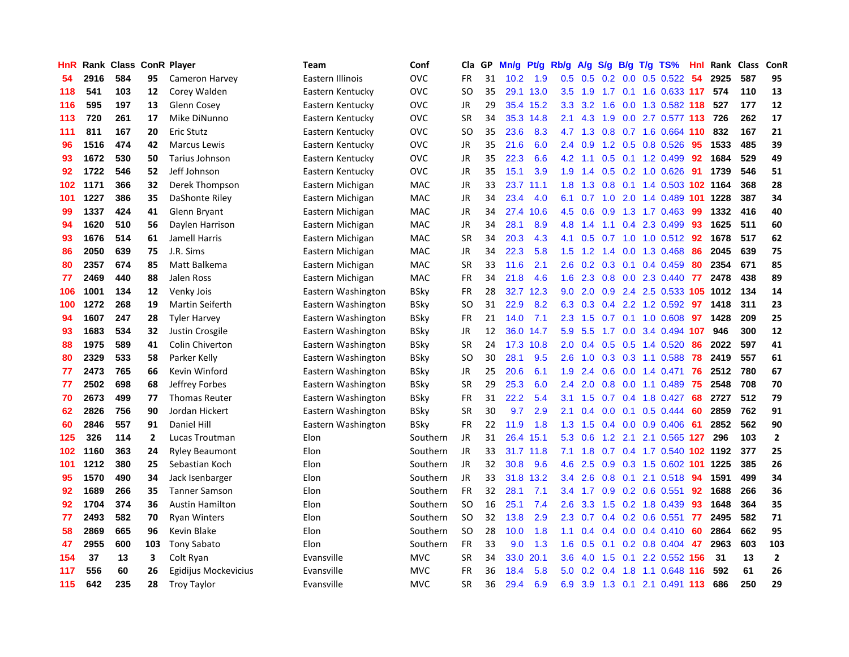| HnR | Rank | <b>Class</b> |                | <b>ConR Player</b>     | <b>Team</b>        | Conf        | Cla           | <b>GP</b> | Mn/g | <b>Pt/g</b> | Rb/g | A/g | S/g              | B/g           | $T/g$ TS%                  | Hnl | Rank | <b>Class</b> | ConR           |
|-----|------|--------------|----------------|------------------------|--------------------|-------------|---------------|-----------|------|-------------|------|-----|------------------|---------------|----------------------------|-----|------|--------------|----------------|
| 54  | 2916 | 584          | 95             | Cameron Harvey         | Eastern Illinois   | OVC         | <b>FR</b>     | 31        | 10.2 | 1.9         | 0.5  | 0.5 |                  |               | $0.2$ 0.0 0.5 0.522        | -54 | 2925 | 587          | 95             |
| 118 | 541  | 103          | 12             | Corey Walden           | Eastern Kentucky   | OVC         | <b>SO</b>     | 35        | 29.1 | 13.0        | 3.5  | 1.9 |                  |               | 1.7 0.1 1.6 0.633 117      |     | 574  | 110          | 13             |
| 116 | 595  | 197          | 13             | Glenn Cosey            | Eastern Kentucky   | OVC         | JR            | 29        | 35.4 | 15.2        | 3.3  | 3.2 | 1.6              |               | 0.0 1.3 0.582 118          |     | 527  | 177          | 12             |
| 113 | 720  | 261          | 17             | Mike DiNunno           | Eastern Kentucky   | OVC         | <b>SR</b>     | 34        | 35.3 | 14.8        | 2.1  | 4.3 | 1.9              |               | 0.0 2.7 0.577 113 726      |     |      | 262          | 17             |
| 111 | 811  | 167          | 20             | <b>Eric Stutz</b>      | Eastern Kentucky   | OVC         | <b>SO</b>     | 35        | 23.6 | 8.3         | 4.7  | 1.3 | 0.8              |               | 0.7 1.6 0.664 110          |     | 832  | 167          | 21             |
| 96  | 1516 | 474          | 42             | <b>Marcus Lewis</b>    | Eastern Kentucky   | OVC         | JR            | 35        | 21.6 | 6.0         | 2.4  | 0.9 |                  |               | 1.2 0.5 0.8 0.526          | 95  | 1533 | 485          | 39             |
| 93  | 1672 | 530          | 50             | Tarius Johnson         | Eastern Kentucky   | OVC         | JR            | 35        | 22.3 | 6.6         | 4.2  | 1.1 | 0.5              |               | 0.1 1.2 0.499              | 92  | 1684 | 529          | 49             |
| 92  | 1722 | 546          | 52             | Jeff Johnson           | Eastern Kentucky   | OVC         | JR            | 35        | 15.1 | 3.9         | 1.9  | 1.4 | 0.5              |               | $0.2$ 1.0 $0.626$          | 91  | 1739 | 546          | 51             |
| 102 | 1171 | 366          | 32             | Derek Thompson         | Eastern Michigan   | <b>MAC</b>  | JR            | 33        | 23.7 | 11.1        | 1.8  | 1.3 | 0.8              |               | 0.1 1.4 0.503 102 1164     |     |      | 368          | 28             |
| 101 | 1227 | 386          | 35             | DaShonte Riley         | Eastern Michigan   | <b>MAC</b>  | JR            | 34        | 23.4 | 4.0         | 6.1  | 0.7 |                  |               | 1.0 2.0 1.4 0.489 101 1228 |     |      | 387          | 34             |
| 99  | 1337 | 424          | 41             | Glenn Bryant           | Eastern Michigan   | <b>MAC</b>  | JR            | 34        | 27.4 | 10.6        | 4.5  | 0.6 |                  |               | 0.9 1.3 1.7 0.463          | -99 | 1332 | 416          | 40             |
| 94  | 1620 | 510          | 56             | Daylen Harrison        | Eastern Michigan   | MAC         | JR            | 34        | 28.1 | 8.9         | 4.8  | 1.4 |                  |               | $1.1$ 0.4 2.3 0.499        | -93 | 1625 | 511          | 60             |
| 93  | 1676 | 514          | 61             | <b>Jamell Harris</b>   | Eastern Michigan   | MAC         | <b>SR</b>     | 34        | 20.3 | 4.3         | 4.1  | 0.5 | 0.7              |               | 1.0 1.0 0.512 92           |     | 1678 | 517          | 62             |
| 86  | 2050 | 639          | 75             | J.R. Sims              | Eastern Michigan   | MAC         | JR            | 34        | 22.3 | 5.8         | 1.5  | 1.2 | 1.4              |               | 0.0 1.3 0.468              | 86  | 2045 | 639          | 75             |
| 80  | 2357 | 674          | 85             | Matt Balkema           | Eastern Michigan   | <b>MAC</b>  | <b>SR</b>     | 33        | 11.6 | 2.1         | 2.6  | 0.2 | 0.3              | 0.1           | 0.4 0.459                  | 80  | 2354 | 671          | 85             |
| 77  | 2469 | 440          | 88             | Jalen Ross             | Eastern Michigan   | <b>MAC</b>  | <b>FR</b>     | 34        | 21.8 | 4.6         | 1.6  | 2.3 | 0.8              |               | 0.0 2.3 0.440              | 77  | 2478 | 438          | 89             |
| 106 | 1001 | 134          | 12             | Venky Jois             | Eastern Washington | <b>BSky</b> | FR            | 28        | 32.7 | 12.3        | 9.0  | 2.0 | 0.9              |               | 2.4 2.5 0.533 105          |     | 1012 | 134          | 14             |
| 100 | 1272 | 268          | 19             | <b>Martin Seiferth</b> | Eastern Washington | <b>BSky</b> | <sub>SO</sub> | 31        | 22.9 | 8.2         | 6.3  | 0.3 | 0.4              |               | 2.2 1.2 0.592              | 97  | 1418 | 311          | 23             |
| 94  | 1607 | 247          | 28             | <b>Tyler Harvey</b>    | Eastern Washington | <b>BSky</b> | <b>FR</b>     | 21        | 14.0 | 7.1         | 2.3  | 1.5 |                  |               | 0.7 0.1 1.0 0.608          | 97  | 1428 | 209          | 25             |
| 93  | 1683 | 534          | 32             | Justin Crosgile        | Eastern Washington | <b>BSky</b> | JR            | 12        | 36.0 | 14.7        | 5.9  | 5.5 |                  |               | 1.7 0.0 3.4 0.494 107      |     | 946  | 300          | 12             |
| 88  | 1975 | 589          | 41             | Colin Chiverton        | Eastern Washington | <b>BSky</b> | <b>SR</b>     | 24        | 17.3 | 10.8        | 2.0  | 0.4 | 0.5              |               | $0.5$ 1.4 $0.520$          | 86  | 2022 | 597          | 41             |
| 80  | 2329 | 533          | 58             | Parker Kelly           | Eastern Washington | <b>BSky</b> | SO.           | 30        | 28.1 | 9.5         | 2.6  | 1.0 | 0.3              |               | $0.3$ 1.1 $0.588$          | 78  | 2419 | 557          | 61             |
| 77  | 2473 | 765          | 66             | Kevin Winford          | Eastern Washington | <b>BSky</b> | JR            | 25        | 20.6 | 6.1         | 1.9  | 2.4 | 0.6              |               | $0.0$ 1.4 $0.471$          | 76  | 2512 | 780          | 67             |
| 77  | 2502 | 698          | 68             | Jeffrey Forbes         | Eastern Washington | BSky        | <b>SR</b>     | 29        | 25.3 | 6.0         | 2.4  | 2.0 | 0.8              |               | $0.0$ 1.1 $0.489$          | 75  | 2548 | 708          | 70             |
| 70  | 2673 | 499          | 77             | <b>Thomas Reuter</b>   | Eastern Washington | <b>BSky</b> | <b>FR</b>     | 31        | 22.2 | 5.4         | 3.1  | 1.5 |                  |               | 0.7 0.4 1.8 0.427          | 68  | 2727 | 512          | 79             |
| 62  | 2826 | 756          | 90             | Jordan Hickert         | Eastern Washington | <b>BSky</b> | <b>SR</b>     | 30        | 9.7  | 2.9         | 2.1  | 0.4 | 0.0 <sub>1</sub> |               | $0.1$ 0.5 0.444            | -60 | 2859 | 762          | 91             |
| 60  | 2846 | 557          | 91             | <b>Daniel Hill</b>     | Eastern Washington | <b>BSky</b> | <b>FR</b>     | 22        | 11.9 | 1.8         | 1.3  | 1.5 |                  |               | $0.4$ 0.0 0.9 0.406        | -61 | 2852 | 562          | 90             |
| 125 | 326  | 114          | $\overline{2}$ | Lucas Troutman         | Elon               | Southern    | <b>JR</b>     | 31        | 26.4 | 15.1        | 5.3  | 0.6 | 1.2              |               | 2.1 2.1 0.565 127          |     | 296  | 103          | $\overline{2}$ |
| 102 | 1160 | 363          | 24             | <b>Ryley Beaumont</b>  | Elon               | Southern    | <b>JR</b>     | 33        | 31.7 | 11.8        | 7.1  | 1.8 |                  |               | 0.7 0.4 1.7 0.540 102 1192 |     |      | 377          | 25             |
| 101 | 1212 | 380          | 25             | Sebastian Koch         | Elon               | Southern    | <b>JR</b>     | 32        | 30.8 | 9.6         | 4.6  | 2.5 | 0.9              |               | 0.3 1.5 0.602 101          |     | 1225 | 385          | 26             |
| 95  | 1570 | 490          | 34             | Jack Isenbarger        | Elon               | Southern    | <b>JR</b>     | 33        | 31.8 | 13.2        | 3.4  | 2.6 | 0.8 <sub>0</sub> | 0.1           | 2.1 0.518                  | 94  | 1591 | 499          | 34             |
| 92  | 1689 | 266          | 35             | <b>Tanner Samson</b>   | Elon               | Southern    | <b>FR</b>     | 32        | 28.1 | 7.1         | 3.4  | 1.7 | 0.9              |               | $0.2$ 0.6 0.551            | 92  | 1688 | 266          | 36             |
| 92  | 1704 | 374          | 36             | <b>Austin Hamilton</b> | Elon               | Southern    | <b>SO</b>     | 16        | 25.1 | 7.4         | 2.6  | 3.3 | 1.5              |               | 0.2 1.8 0.439              | 93  | 1648 | 364          | 35             |
| 77  | 2493 | 582          | 70             | <b>Ryan Winters</b>    | Elon               | Southern    | <b>SO</b>     | 32        | 13.8 | 2.9         | 2.3  | 0.7 | $0.4^{\circ}$    |               | 0.2 0.6 0.551              | 77  | 2495 | 582          | 71             |
| 58  | 2869 | 665          | 96             | Kevin Blake            | Elon               | Southern    | <b>SO</b>     | 28        | 10.0 | 1.8         | 1.1  | 0.4 |                  |               | $0.4$ 0.0 0.4 0.410        | 60  | 2864 | 662          | 95             |
| 47  | 2955 | 600          | 103            | <b>Tony Sabato</b>     | Elon               | Southern    | <b>FR</b>     | 33        | 9.0  | 1.3         | 1.6  | 0.5 |                  |               | $0.1$ 0.2 0.8 0.404        | 47  | 2963 | 603          | 103            |
| 154 | 37   | 13           | 3              | Colt Ryan              | Evansville         | <b>MVC</b>  | <b>SR</b>     | 34        | 33.0 | 20.1        | 3.6  | 4.0 | 1.5              | 0.1           | 2.2 0.552 156              |     | 31   | 13           | $\overline{2}$ |
| 117 | 556  | 60           | 26             | Egidijus Mockevicius   | Evansville         | <b>MVC</b>  | FR            | 36        | 18.4 | 5.8         | 5.0  | 0.2 | 0.4              | 1.8           | 1.1 0.648 116              |     | 592  | 61           | 26             |
| 115 | 642  | 235          | 28             | <b>Troy Taylor</b>     | Evansville         | <b>MVC</b>  | SR            | 36        | 29.4 | 6.9         | 6.9  |     |                  | $3.9$ 1.3 0.1 | 2.1 0.491 113              |     | 686  | 250          | 29             |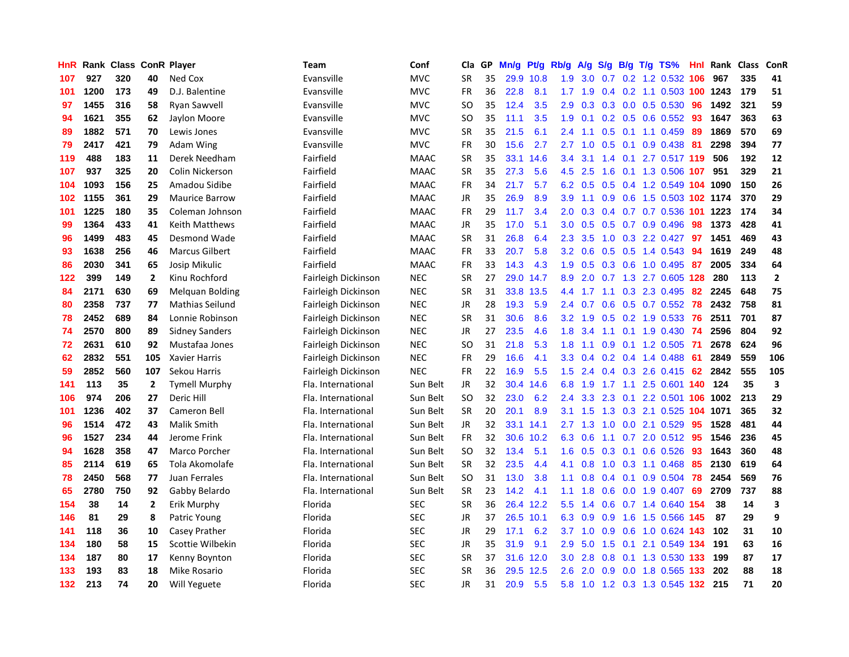| HnR |      | <b>Rank Class</b> |                | <b>ConR Player</b>     | <b>Team</b>         | Conf        | Cla           | <b>GP</b> | Mn/g | Pt/g | Rb/g             | A/g       | S/g              |     | B/g T/g TS%                | Hnl | Rank | <b>Class</b> | ConR                    |
|-----|------|-------------------|----------------|------------------------|---------------------|-------------|---------------|-----------|------|------|------------------|-----------|------------------|-----|----------------------------|-----|------|--------------|-------------------------|
| 107 | 927  | 320               | 40             | Ned Cox                | Evansville          | <b>MVC</b>  | <b>SR</b>     | 35        | 29.9 | 10.8 | 1.9              | 3.0       |                  |     | 0.7 0.2 1.2 0.532 106      |     | 967  | 335          | 41                      |
| 101 | 1200 | 173               | 49             | D.J. Balentine         | Evansville          | <b>MVC</b>  | <b>FR</b>     | 36        | 22.8 | 8.1  |                  | $1.7$ 1.9 |                  |     | 0.4 0.2 1.1 0.503 100 1243 |     |      | 179          | 51                      |
| 97  | 1455 | 316               | 58             | Ryan Sawvell           | Evansville          | <b>MVC</b>  | <b>SO</b>     | 35        | 12.4 | 3.5  | 2.9 <sup>°</sup> | 0.3       |                  |     | $0.3$ 0.0 0.5 0.530        | -96 | 1492 | 321          | 59                      |
| 94  | 1621 | 355               | 62             | Jaylon Moore           | Evansville          | <b>MVC</b>  | <b>SO</b>     | 35        | 11.1 | 3.5  | 1.9              | 0.1       |                  |     | 0.2 0.5 0.6 0.552 93       |     | 1647 | 363          | 63                      |
| 89  | 1882 | 571               | 70             | Lewis Jones            | Evansville          | <b>MVC</b>  | <b>SR</b>     | 35        | 21.5 | 6.1  | 2.4              | 1.1       | 0.5              |     | $0.1$ 1.1 0.459            | -89 | 1869 | 570          | 69                      |
| 79  | 2417 | 421               | 79             | Adam Wing              | Evansville          | <b>MVC</b>  | <b>FR</b>     | 30        | 15.6 | 2.7  | 2.7              | 1.0       | 0.5              |     | $0.1$ 0.9 0.438 81         |     | 2298 | 394          | 77                      |
| 119 | 488  | 183               | 11             | Derek Needham          | Fairfield           | <b>MAAC</b> | <b>SR</b>     | 35        | 33.1 | 14.6 | 3.4              | 3.1       | 1.4              |     | $0.1$ 2.7 $0.517$ 119      |     | 506  | 192          | 12                      |
| 107 | 937  | 325               | 20             | Colin Nickerson        | Fairfield           | <b>MAAC</b> | <b>SR</b>     | 35        | 27.3 | 5.6  | 4.5              | 2.5       | 1.6              |     | 0.1 1.3 0.506 107          |     | 951  | 329          | 21                      |
| 104 | 1093 | 156               | 25             | Amadou Sidibe          | Fairfield           | <b>MAAC</b> | <b>FR</b>     | 34        | 21.7 | 5.7  | 6.2              | 0.5       | 0.5              |     | 0.4 1.2 0.549 104 1090     |     |      | 150          | 26                      |
| 102 | 1155 | 361               | 29             | <b>Maurice Barrow</b>  | Fairfield           | <b>MAAC</b> | JR            | 35        | 26.9 | 8.9  | 3.9 <sup>°</sup> | $-1.1$    |                  |     | 0.9 0.6 1.5 0.503 102 1174 |     |      | 370          | 29                      |
| 101 | 1225 | 180               | 35             | Coleman Johnson        | Fairfield           | <b>MAAC</b> | <b>FR</b>     | 29        | 11.7 | 3.4  | 2.0              | 0.3       |                  |     | 0.4 0.7 0.7 0.536 101 1223 |     |      | 174          | 34                      |
| 99  | 1364 | 433               | 41             | <b>Keith Matthews</b>  | Fairfield           | <b>MAAC</b> | JR            | 35        | 17.0 | 5.1  | 3.0 <sub>2</sub> | 0.5       |                  |     | $0.5$ 0.7 0.9 0.496        | -98 | 1373 | 428          | 41                      |
| 96  | 1499 | 483               | 45             | Desmond Wade           | Fairfield           | <b>MAAC</b> | <b>SR</b>     | 31        | 26.8 | 6.4  | $2.3^{\circ}$    | 3.5       | 1.0              |     | $0.3$ 2.2 $0.427$          | 97  | 1451 | 469          | 43                      |
| 93  | 1638 | 256               | 46             | <b>Marcus Gilbert</b>  | Fairfield           | <b>MAAC</b> | <b>FR</b>     | 33        | 20.7 | 5.8  | 3.2              | 0.6       | 0.5              |     | $0.5$ 1.4 0.543            | -94 | 1619 | 249          | 48                      |
| 86  | 2030 | 341               | 65             | Josip Mikulic          | Fairfield           | <b>MAAC</b> | <b>FR</b>     | 33        | 14.3 | 4.3  | 1.9              | 0.5       |                  |     | $0.3$ 0.6 1.0 0.495        | 87  | 2005 | 334          | 64                      |
| 122 | 399  | 149               | $\overline{2}$ | Kinu Rochford          | Fairleigh Dickinson | <b>NEC</b>  | <b>SR</b>     | 27        | 29.0 | 14.7 | 8.9              | 2.0       |                  |     | 0.7 1.3 2.7 0.605 128      |     | 280  | 113          | $\overline{\mathbf{2}}$ |
| 84  | 2171 | 630               | 69             | <b>Melquan Bolding</b> | Fairleigh Dickinson | <b>NEC</b>  | SR            | 31        | 33.8 | 13.5 | 4.4              | 1.7       | 1.1              |     | 0.3 2.3 0.495              | 82  | 2245 | 648          | 75                      |
| 80  | 2358 | 737               | 77             | Mathias Seilund        | Fairleigh Dickinson | <b>NEC</b>  | JR            | 28        | 19.3 | 5.9  | $2.4^{\circ}$    | 0.7       | 0.6              |     | 0.5 0.7 0.552 78           |     | 2432 | 758          | 81                      |
| 78  | 2452 | 689               | 84             | Lonnie Robinson        | Fairleigh Dickinson | <b>NEC</b>  | <b>SR</b>     | 31        | 30.6 | 8.6  | 3.2              | 1.9       |                  |     | 0.5 0.2 1.9 0.533 76       |     | 2511 | 701          | 87                      |
| 74  | 2570 | 800               | 89             | <b>Sidney Sanders</b>  | Fairleigh Dickinson | <b>NEC</b>  | JR            | 27        | 23.5 | 4.6  | 1.8              | 3.4       |                  |     | 1.1 0.1 1.9 0.430 74       |     | 2596 | 804          | 92                      |
| 72  | 2631 | 610               | 92             | Mustafaa Jones         | Fairleigh Dickinson | <b>NEC</b>  | <b>SO</b>     | 31        | 21.8 | 5.3  | 1.8              | 1.1       | 0.9 <sup>°</sup> |     | $0.1$ 1.2 0.505            | -71 | 2678 | 624          | 96                      |
| 62  | 2832 | 551               | 105            | <b>Xavier Harris</b>   | Fairleigh Dickinson | <b>NEC</b>  | <b>FR</b>     | 29        | 16.6 | 4.1  | 3.3 <sub>2</sub> | 0.4       |                  |     | $0.2$ 0.4 1.4 0.488        | 61  | 2849 | 559          | 106                     |
| 59  | 2852 | 560               | 107            | Sekou Harris           | Fairleigh Dickinson | <b>NEC</b>  | <b>FR</b>     | 22        | 16.9 | 5.5  | 1.5              | 2.4       |                  |     | 0.4 0.3 2.6 0.415          | 62  | 2842 | 555          | 105                     |
| 141 | 113  | 35                | $\overline{2}$ | <b>Tymell Murphy</b>   | Fla. International  | Sun Belt    | <b>JR</b>     | 32        | 30.4 | 14.6 | 6.8              | 1.9       | 1.7              | 1.1 | 2.5 0.601 140              |     | 124  | 35           | $\overline{\mathbf{3}}$ |
| 106 | 974  | 206               | 27             | Deric Hill             | Fla. International  | Sun Belt    | <b>SO</b>     | 32        | 23.0 | 6.2  | $2.4^{\circ}$    | 3.3       | 2.3              | 0.1 | 2.2 0.501 106 1002         |     |      | 213          | 29                      |
| 101 | 1236 | 402               | 37             | Cameron Bell           | Fla. International  | Sun Belt    | <b>SR</b>     | 20        | 20.1 | 8.9  | 3.1              | 1.5       | 1.3              |     | 0.3 2.1 0.525 104 1071     |     |      | 365          | 32                      |
| 96  | 1514 | 472               | 43             | <b>Malik Smith</b>     | Fla. International  | Sun Belt    | <b>JR</b>     | 32        | 33.1 | 14.1 |                  | $2.7$ 1.3 |                  |     | 1.0 0.0 2.1 0.529          | 95  | 1528 | 481          | 44                      |
| 96  | 1527 | 234               | 44             | Jerome Frink           | Fla. International  | Sun Belt    | <b>FR</b>     | 32        | 30.6 | 10.2 | 6.3              | 0.6       |                  |     | 1.1 0.7 2.0 0.512 95       |     | 1546 | 236          | 45                      |
| 94  | 1628 | 358               | 47             | Marco Porcher          | Fla. International  | Sun Belt    | <sub>SO</sub> | 32        | 13.4 | 5.1  | 1.6              | 0.5       |                  |     | 0.3 0.1 0.6 0.526          | -93 | 1643 | 360          | 48                      |
| 85  | 2114 | 619               | 65             | Tola Akomolafe         | Fla. International  | Sun Belt    | <b>SR</b>     | 32        | 23.5 | 4.4  | 4.1              | 0.8       | 1.0              |     | 0.3 1.1 0.468              | -85 | 2130 | 619          | 64                      |
| 78  | 2450 | 568               | 77             | Juan Ferrales          | Fla. International  | Sun Belt    | SO            | 31        | 13.0 | 3.8  | 1.1              | 0.8       |                  |     | 0.4 0.1 0.9 0.504          | 78  | 2454 | 569          | 76                      |
| 65  | 2780 | 750               | 92             | Gabby Belardo          | Fla. International  | Sun Belt    | <b>SR</b>     | 23        | 14.2 | 4.1  | 1.1              | 1.8       | 0.6              |     | 0.0 1.9 0.407              | 69  | 2709 | 737          | 88                      |
| 154 | 38   | 14                | $\overline{2}$ | Erik Murphy            | Florida             | <b>SEC</b>  | <b>SR</b>     | 36        | 26.4 | 12.2 | 5.5              | 1.4       | 0.6              |     | 0.7 1.4 0.640 154          |     | 38   | 14           | 3                       |
| 146 | 81   | 29                | 8              | Patric Young           | Florida             | <b>SEC</b>  | <b>JR</b>     | 37        | 26.5 | 10.1 | 6.3              | 0.9       | 0.9 <sub>0</sub> |     | 1.6 1.5 0.566 145          |     | 87   | 29           | 9                       |
| 141 | 118  | 36                | 10             | Casey Prather          | Florida             | <b>SEC</b>  | JR            | 29        | 17.1 | 6.2  | 3.7              | 1.0       |                  |     | 0.9 0.6 1.0 0.624 143      |     | 102  | 31           | 10                      |
| 134 | 180  | 58                | 15             | Scottie Wilbekin       | Florida             | <b>SEC</b>  | <b>JR</b>     | 35        | 31.9 | 9.1  | 2.9              | 5.0       |                  |     | 1.5 0.1 2.1 0.549 134      |     | 191  | 63           | 16                      |
| 134 | 187  | 80                | 17             | Kenny Boynton          | Florida             | <b>SEC</b>  | <b>SR</b>     | 37        | 31.6 | 12.0 | 3.0 <sub>2</sub> | 2.8       | 0.8              |     | 0.1 1.3 0.530 133          |     | 199  | 87           | 17                      |
| 133 | 193  | 83                | 18             | Mike Rosario           | Florida             | <b>SEC</b>  | <b>SR</b>     | 36        | 29.5 | 12.5 | 2.6              | 2.0       | 0.9              |     | 0.0 1.8 0.565 133          |     | 202  | 88           | 18                      |
| 132 | 213  | 74                | 20             | Will Yeguete           | Florida             | <b>SEC</b>  | <b>JR</b>     | 31        | 20.9 | 5.5  | 5.8              |           |                  |     | 1.0 1.2 0.3 1.3 0.545 132  |     | 215  | 71           | 20                      |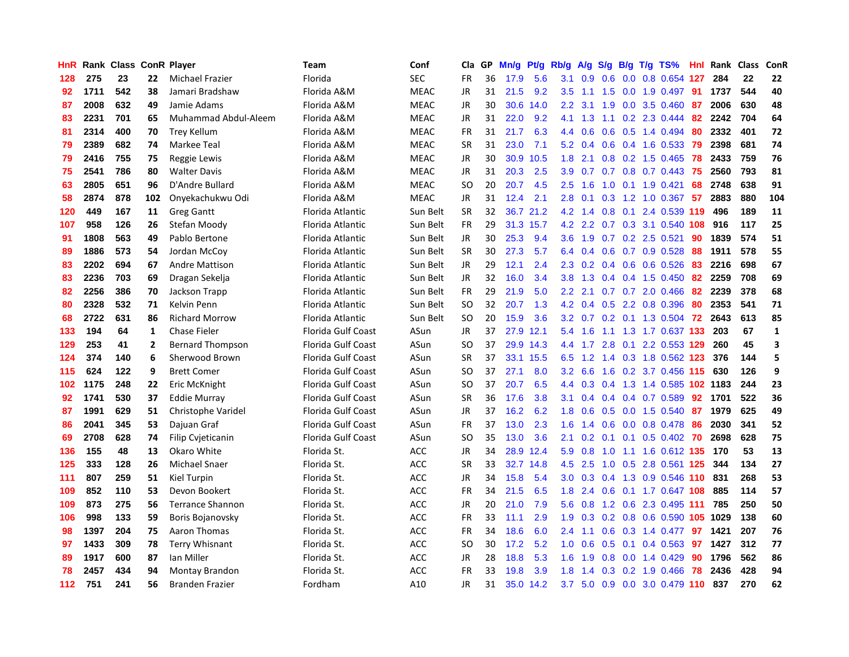| HnR |      | Rank Class ConR Player |                |                         | Team                      | Conf        | Cla           | <b>GP</b> | Mn/g | <b>Pt/g</b> | Rb/g             | A/g     | S/g           |     | B/g T/g TS%                   | Hnl | Rank | <b>Class</b> | ConR                    |
|-----|------|------------------------|----------------|-------------------------|---------------------------|-------------|---------------|-----------|------|-------------|------------------|---------|---------------|-----|-------------------------------|-----|------|--------------|-------------------------|
| 128 | 275  | 23                     | 22             | Michael Frazier         | Florida                   | <b>SEC</b>  | <b>FR</b>     | 36        | 17.9 | 5.6         | 3.1              | 0.9     | 0.6           |     | 0.0 0.8 0.654 127             |     | 284  | 22           | 22                      |
| 92  | 1711 | 542                    | 38             | Jamari Bradshaw         | Florida A&M               | <b>MEAC</b> | <b>JR</b>     | 31        | 21.5 | 9.2         | 3.5              |         |               |     | 1.1 1.5 0.0 1.9 0.497 91      |     | 1737 | 544          | 40                      |
| 87  | 2008 | 632                    | 49             | Jamie Adams             | Florida A&M               | <b>MEAC</b> | <b>JR</b>     | 30        | 30.6 | 14.0        | $2.2^{\circ}$    | 3.1     | 1.9           |     | $0.0$ 3.5 $0.460$             | -87 | 2006 | 630          | 48                      |
| 83  | 2231 | 701                    | 65             | Muhammad Abdul-Aleem    | Florida A&M               | <b>MEAC</b> | <b>JR</b>     | 31        | 22.0 | 9.2         | 4.1              | 1.3     |               |     | $1.1$ 0.2 2.3 0.444           | -82 | 2242 | 704          | 64                      |
| 81  | 2314 | 400                    | 70             | <b>Trey Kellum</b>      | Florida A&M               | <b>MEAC</b> | <b>FR</b>     | 31        | 21.7 | 6.3         | 4.4              | 0.6     | 0.6           |     | 0.5 1.4 0.494                 | 80  | 2332 | 401          | 72                      |
| 79  | 2389 | 682                    | 74             | Markee Teal             | Florida A&M               | <b>MEAC</b> | <b>SR</b>     | 31        | 23.0 | 7.1         | 5.2              | 0.4     |               |     | $0.6$ 0.4 1.6 0.533           | -79 | 2398 | 681          | 74                      |
| 79  | 2416 | 755                    | 75             | Reggie Lewis            | Florida A&M               | <b>MEAC</b> | JR            | 30        | 30.9 | 10.5        | 1.8              | 2.1     |               |     | $0.8$ 0.2 1.5 0.465           | 78  | 2433 | 759          | 76                      |
| 75  | 2541 | 786                    | 80             | <b>Walter Davis</b>     | Florida A&M               | <b>MEAC</b> | <b>JR</b>     | 31        | 20.3 | 2.5         | 3.9 <sup>°</sup> | 0.7     |               |     | $0.7$ $0.8$ $0.7$ $0.443$     | -75 | 2560 | 793          | 81                      |
| 63  | 2805 | 651                    | 96             | D'Andre Bullard         | Florida A&M               | <b>MEAC</b> | <sub>SO</sub> | 20        | 20.7 | 4.5         | 2.5              | 1.6     | 1.0           |     | $0.1$ 1.9 $0.421$             | 68  | 2748 | 638          | 91                      |
| 58  | 2874 | 878                    | 102            | Onyekachukwu Odi        | Florida A&M               | <b>MEAC</b> | JR            | 31        | 12.4 | 2.1         | 2.8              | 0.1     |               |     | 0.3 1.2 1.0 0.367 57          |     | 2883 | 880          | 104                     |
| 120 | 449  | 167                    | 11             | Greg Gantt              | Florida Atlantic          | Sun Belt    | <b>SR</b>     | 32        |      | 36.7 21.2   | 4.2              | 1.4     |               |     | 0.8 0.1 2.4 0.539 119 496     |     |      | 189          | 11                      |
| 107 | 958  | 126                    | 26             | Stefan Moody            | Florida Atlantic          | Sun Belt    | <b>FR</b>     | 29        | 31.3 | 15.7        | 4.2              | 2.2     |               |     | 0.7 0.3 3.1 0.540 108 916     |     |      | 117          | 25                      |
| 91  | 1808 | 563                    | 49             | Pablo Bertone           | Florida Atlantic          | Sun Belt    | JR.           | 30        | 25.3 | 9.4         | 3.6              | 1.9     |               |     | $0.7$ $0.2$ $2.5$ $0.521$     | 90  | 1839 | 574          | 51                      |
| 89  | 1886 | 573                    | 54             | Jordan McCoy            | Florida Atlantic          | Sun Belt    | <b>SR</b>     | 30        | 27.3 | 5.7         | 6.4              | 0.4     |               |     | $0.6$ 0.7 0.9 0.528           | -88 | 1911 | 578          | 55                      |
| 83  | 2202 | 694                    | 67             | Andre Mattison          | Florida Atlantic          | Sun Belt    | <b>JR</b>     | 29        | 12.1 | 2.4         | 2.3              | 0.2     |               |     | $0.4$ 0.6 0.6 0.526           | -83 | 2216 | 698          | 67                      |
| 83  | 2236 | 703                    | 69             | Dragan Sekelja          | Florida Atlantic          | Sun Belt    | <b>JR</b>     | 32        | 16.0 | 3.4         | 3.8 <sub>2</sub> | 1.3     |               |     | $0.4$ 0.4 1.5 0.450           | 82  | 2259 | 708          | 69                      |
| 82  | 2256 | 386                    | 70             | Jackson Trapp           | Florida Atlantic          | Sun Belt    | <b>FR</b>     | 29        | 21.9 | 5.0         | 2.2              | 2.1     |               |     | $0.7$ $0.7$ $2.0$ $0.466$     | 82  | 2239 | 378          | 68                      |
| 80  | 2328 | 532                    | 71             | Kelvin Penn             | Florida Atlantic          | Sun Belt    | <b>SO</b>     | 32        | 20.7 | 1.3         | 4.2              | 0.4     |               |     | 0.5 2.2 0.8 0.396             | 80  | 2353 | 541          | 71                      |
| 68  | 2722 | 631                    | 86             | <b>Richard Morrow</b>   | Florida Atlantic          | Sun Belt    | <b>SO</b>     | 20        | 15.9 | 3.6         |                  |         |               |     | 3.2 0.7 0.2 0.1 1.3 0.504 72  |     | 2643 | 613          | 85                      |
| 133 | 194  | 64                     | 1              | <b>Chase Fieler</b>     | Florida Gulf Coast        | ASun        | <b>JR</b>     | 37        |      | 27.9 12.1   | 5.4              | 1.6     |               |     | 1.1 1.3 1.7 0.637 133 203     |     |      | 67           | $\mathbf{1}$            |
| 129 | 253  | 41                     | $\overline{2}$ | <b>Bernard Thompson</b> | Florida Gulf Coast        | ASun        | <b>SO</b>     | 37        | 29.9 | 14.3        |                  | 4.4 1.7 | 2.8           | 0.1 | 2.2 0.553 129                 |     | 260  | 45           | $\overline{\mathbf{3}}$ |
| 124 | 374  | 140                    | 6              | Sherwood Brown          | Florida Gulf Coast        | ASun        | <b>SR</b>     | 37        | 33.1 | 15.5        | 6.5              | 1.2     |               |     | 1.4 0.3 1.8 0.562 123         |     | 376  | 144          | 5                       |
| 115 | 624  | 122                    | 9              | <b>Brett Comer</b>      | Florida Gulf Coast        | ASun        | SO.           | 37        | 27.1 | 8.0         | 3.2              | 6.6     |               |     | 1.6 0.2 3.7 0.456 115         |     | 630  | 126          | 9                       |
| 102 | 1175 | 248                    | 22             | Eric McKnight           | <b>Florida Gulf Coast</b> | ASun        | SO.           | 37        | 20.7 | 6.5         | 4.4              | 0.3     |               |     | 0.4 1.3 1.4 0.585 102 1183    |     |      | 244          | 23                      |
| 92  | 1741 | 530                    | 37             | Eddie Murray            | Florida Gulf Coast        | ASun        | SR            | 36        | 17.6 | 3.8         | 3.1              | 0.4     |               |     | 0.4 0.4 0.7 0.589             | 92  | 1701 | 522          | 36                      |
| 87  | 1991 | 629                    | 51             | Christophe Varidel      | Florida Gulf Coast        | ASun        | JR            | 37        | 16.2 | 6.2         | 1.8              | 0.6     |               |     | 0.5 0.0 1.5 0.540             | -87 | 1979 | 625          | 49                      |
| 86  | 2041 | 345                    | 53             | Dajuan Graf             | Florida Gulf Coast        | ASun        | <b>FR</b>     | 37        | 13.0 | 2.3         | 1.6              |         |               |     | 1.4 0.6 0.0 0.8 0.478 86      |     | 2030 | 341          | 52                      |
| 69  | 2708 | 628                    | 74             | Filip Cvjeticanin       | Florida Gulf Coast        | ASun        | <sub>SO</sub> | 35        | 13.0 | 3.6         | 2.1              | 0.2     |               |     | 0.1 0.1 0.5 0.402 70          |     | 2698 | 628          | 75                      |
| 136 | 155  | 48                     | 13             | Okaro White             | Florida St.               | <b>ACC</b>  | JR            | 34        | 28.9 | 12.4        | 5.9              | 0.8     | 1.0           |     | 1.1 1.6 0.612 135 170         |     |      | 53           | 13                      |
| 125 | 333  | 128                    | 26             | Michael Snaer           | Florida St.               | <b>ACC</b>  | <b>SR</b>     | 33        | 32.7 | 14.8        | 4.5              | 2.5     | 1.0           |     | 0.5 2.8 0.561 125             |     | 344  | 134          | 27                      |
| 111 | 807  | 259                    | 51             | Kiel Turpin             | Florida St.               | <b>ACC</b>  | JR            | 34        | 15.8 | 5.4         | 3.0 <sub>2</sub> | 0.3     | $0.4^{\circ}$ |     | 1.3 0.9 0.546 110             |     | 831  | 268          | 53                      |
| 109 | 852  | 110                    | 53             | Devon Bookert           | Florida St.               | <b>ACC</b>  | <b>FR</b>     | 34        | 21.5 | 6.5         | 1.8              | 2.4     | 0.6           |     | 0.1 1.7 0.647 108             |     | 885  | 114          | 57                      |
| 109 | 873  | 275                    | 56             | <b>Terrance Shannon</b> | Florida St.               | <b>ACC</b>  | JR            | 20        | 21.0 | 7.9         | 5.6              | 0.8     | 1.2           |     | 0.6 2.3 0.495 111             |     | 785  | 250          | 50                      |
| 106 | 998  | 133                    | 59             | Boris Bojanovsky        | Florida St.               | <b>ACC</b>  | <b>FR</b>     | 33        | 11.1 | 2.9         | 1.9              | 0.3     |               |     | 0.2 0.8 0.6 0.590 105 1029    |     |      | 138          | 60                      |
| 98  | 1397 | 204                    | 75             | Aaron Thomas            | Florida St.               | <b>ACC</b>  | <b>FR</b>     | 34        | 18.6 | 6.0         | 2.4              | 1.1     |               |     | 0.6 0.3 1.4 0.477 97          |     | 1421 | 207          | 76                      |
| 97  | 1433 | 309                    | 78             | <b>Terry Whisnant</b>   | Florida St.               | <b>ACC</b>  | <sub>SO</sub> | 30        | 17.2 | 5.2         | 1.0              | 0.6     |               |     | 0.5 0.1 0.4 0.563 97          |     | 1427 | 312          | 77                      |
| 89  | 1917 | 600                    | 87             | Ian Miller              | Florida St.               | <b>ACC</b>  | JR            | 28        | 18.8 | 5.3         | 1.6              | 1.9     |               |     | $0.8$ 0.0 1.4 0.429           | 90  | 1796 | 562          | 86                      |
| 78  | 2457 | 434                    | 94             | Montay Brandon          | Florida St.               | <b>ACC</b>  | <b>FR</b>     | 33        | 19.8 | 3.9         | 1.8              | 1.4     | 0.3           |     | 0.2 1.9 0.466                 | 78  | 2436 | 428          | 94                      |
| 112 | 751  | 241                    | 56             | <b>Branden Frazier</b>  | Fordham                   | A10         | JR            | 31        |      | 35.0 14.2   |                  |         |               |     | 3.7 5.0 0.9 0.0 3.0 0.479 110 |     | 837  | 270          | 62                      |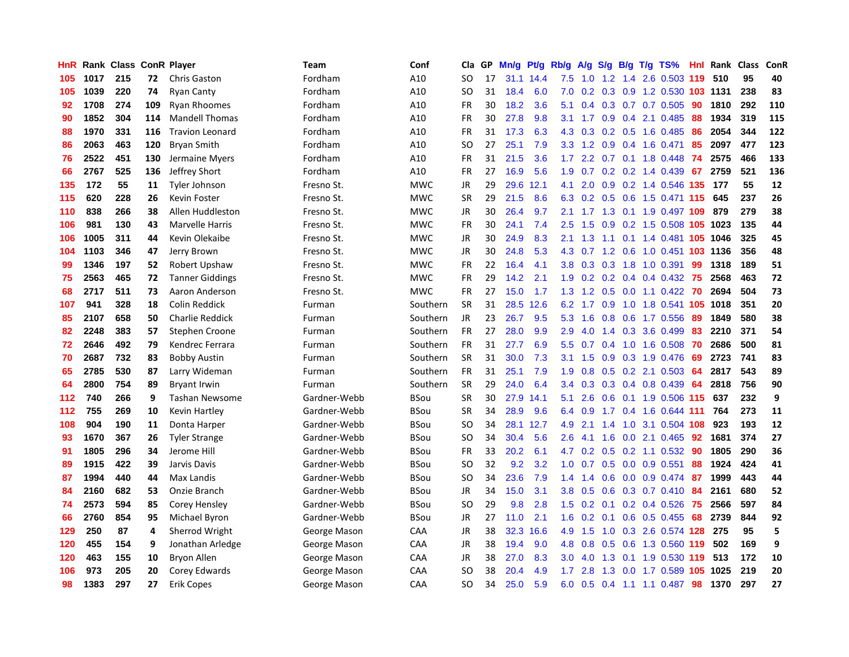| HnR |      | <b>Rank Class</b> |     | <b>ConR Player</b>     | Team         | Conf        | Cla       | <b>GP</b> | Mn/g | <b>Pt/g</b> | Rb/g             | A/g | S/g              | B/g | $T/g$ TS%                     | Hnl | Rank  | <b>Class</b> | ConR |
|-----|------|-------------------|-----|------------------------|--------------|-------------|-----------|-----------|------|-------------|------------------|-----|------------------|-----|-------------------------------|-----|-------|--------------|------|
| 105 | 1017 | 215               | 72  | <b>Chris Gaston</b>    | Fordham      | A10         | <b>SO</b> | 17        | 31.1 | 14.4        | 7.5              | 1.0 | 1.2              |     | 1.4 2.6 0.503 119             |     | 510   | 95           | 40   |
| 105 | 1039 | 220               | 74  | <b>Ryan Canty</b>      | Fordham      | A10         | SO.       | 31        | 18.4 | 6.0         | 7.0              | 0.2 |                  |     | 0.3 0.9 1.2 0.530 103 1131    |     |       | 238          | 83   |
| 92  | 1708 | 274               | 109 | <b>Ryan Rhoomes</b>    | Fordham      | A10         | <b>FR</b> | 30        | 18.2 | 3.6         | 5.1              | 0.4 |                  |     | $0.3$ 0.7 0.7 0.505           | 90  | 1810  | 292          | 110  |
| 90  | 1852 | 304               | 114 | <b>Mandell Thomas</b>  | Fordham      | A10         | <b>FR</b> | 30        | 27.8 | 9.8         | 3.1              | 1.7 |                  |     | $0.9$ 0.4 2.1 0.485           | 88  | 1934  | 319          | 115  |
| 88  | 1970 | 331               | 116 | <b>Travion Leonard</b> | Fordham      | A10         | <b>FR</b> | 31        | 17.3 | 6.3         | 4.3              | 0.3 |                  |     | 0.2 0.5 1.6 0.485             | 86  | 2054  | 344          | 122  |
| 86  | 2063 | 463               | 120 | <b>Bryan Smith</b>     | Fordham      | A10         | SO        | 27        | 25.1 | 7.9         | 3.3 <sub>2</sub> | 1.2 | 0.9              |     | $0.4$ 1.6 0.471               | 85  | 2097  | 477          | 123  |
| 76  | 2522 | 451               | 130 | Jermaine Myers         | Fordham      | A10         | <b>FR</b> | 31        | 21.5 | 3.6         | 1.7              | 2.2 | 0.7              |     | 0.1 1.8 0.448                 | 74  | 2575  | 466          | 133  |
| 66  | 2767 | 525               | 136 | Jeffrey Short          | Fordham      | A10         | <b>FR</b> | 27        | 16.9 | 5.6         | 1.9              | 0.7 |                  |     | $0.2$ 0.2 1.4 0.439           | 67  | 2759  | 521          | 136  |
| 135 | 172  | 55                | 11  | <b>Tyler Johnson</b>   | Fresno St.   | <b>MWC</b>  | JR        | 29        | 29.6 | 12.1        | 4.1              | 2.0 | 0.9 <sup>°</sup> |     | 0.2 1.4 0.546 135             |     | - 177 | 55           | 12   |
| 115 | 620  | 228               | 26  | Kevin Foster           | Fresno St.   | <b>MWC</b>  | <b>SR</b> | 29        | 21.5 | 8.6         | 6.3              |     |                  |     | 0.2 0.5 0.6 1.5 0.471 115 645 |     |       | 237          | 26   |
| 110 | 838  | 266               | 38  | Allen Huddleston       | Fresno St.   | <b>MWC</b>  | JR        | 30        | 26.4 | 9.7         | 2.1              |     |                  |     | 1.7 1.3 0.1 1.9 0.497 109     |     | 879   | 279          | 38   |
| 106 | 981  | 130               | 43  | Marvelle Harris        | Fresno St.   | <b>MWC</b>  | <b>FR</b> | 30        | 24.1 | 7.4         | 2.5              | 1.5 | 0.9              |     | 0.2 1.5 0.508 105 1023        |     |       | 135          | 44   |
| 106 | 1005 | 311               | 44  | Kevin Olekaibe         | Fresno St.   | <b>MWC</b>  | JR        | 30        | 24.9 | 8.3         | 2.1              | 1.3 | 1.1              |     | 0.1 1.4 0.481 105 1046        |     |       | 325          | 45   |
| 104 | 1103 | 346               | 47  | Jerry Brown            | Fresno St.   | <b>MWC</b>  | JR        | 30        | 24.8 | 5.3         | 4.3              | 0.7 |                  |     | 1.2 0.6 1.0 0.451 103 1136    |     |       | 356          | 48   |
| 99  | 1346 | 197               | 52  | Robert Upshaw          | Fresno St.   | <b>MWC</b>  | <b>FR</b> | 22        | 16.4 | 4.1         | 3.8              | 0.3 | 0.3 <sub>0</sub> |     | 1.8 1.0 0.391                 | 99  | 1318  | 189          | 51   |
| 75  | 2563 | 465               | 72  | <b>Tanner Giddings</b> | Fresno St.   | <b>MWC</b>  | <b>FR</b> | 29        | 14.2 | 2.1         | 1.9              | 0.2 | 0.2              |     | $0.4$ 0.4 0.432               | 75  | 2568  | 463          | 72   |
| 68  | 2717 | 511               | 73  | Aaron Anderson         | Fresno St.   | <b>MWC</b>  | <b>FR</b> | 27        | 15.0 | 1.7         | 1.3              | 1.2 | 0.5              |     | $0.0$ 1.1 $0.422$             | -70 | 2694  | 504          | 73   |
| 107 | 941  | 328               | 18  | Colin Reddick          | Furman       | Southern    | <b>SR</b> | 31        | 28.5 | 12.6        | 6.2              | 1.7 | 0.9              |     | 1.0 1.8 0.541 105 1018        |     |       | 351          | 20   |
| 85  | 2107 | 658               | 50  | <b>Charlie Reddick</b> | Furman       | Southern    | JR.       | 23        | 26.7 | 9.5         | 5.3              | 1.6 |                  |     | 0.8 0.6 1.7 0.556             | -89 | 1849  | 580          | 38   |
| 82  | 2248 | 383               | 57  | Stephen Croone         | Furman       | Southern    | <b>FR</b> | 27        | 28.0 | 9.9         | 2.9              | 4.0 |                  |     | 1.4 0.3 3.6 0.499             | 83  | 2210  | 371          | 54   |
| 72  | 2646 | 492               | 79  | Kendrec Ferrara        | Furman       | Southern    | <b>FR</b> | 31        | 27.7 | 6.9         | 5.5              | 0.7 |                  |     | 0.4 1.0 1.6 0.508             | -70 | 2686  | 500          | 81   |
| 70  | 2687 | 732               | 83  | <b>Bobby Austin</b>    | Furman       | Southern    | <b>SR</b> | 31        | 30.0 | 7.3         | 3.1              | 1.5 | 0.9 <sup>°</sup> |     | 0.3 1.9 0.476                 | 69  | 2723  | 741          | 83   |
| 65  | 2785 | 530               | 87  | Larry Wideman          | Furman       | Southern    | <b>FR</b> | 31        | 25.1 | 7.9         | 1.9              | 0.8 | 0.5              |     | 0.2 2.1 0.503                 | 64  | 2817  | 543          | 89   |
| 64  | 2800 | 754               | 89  | <b>Bryant Irwin</b>    | Furman       | Southern    | <b>SR</b> | 29        | 24.0 | 6.4         | $3.4^{\circ}$    | 0.3 | 0.3              |     | 0.4 0.8 0.439                 | 64  | 2818  | 756          | 90   |
| 112 | 740  | 266               | 9   | Tashan Newsome         | Gardner-Webb | <b>BSou</b> | <b>SR</b> | 30        | 27.9 | 14.1        | 5.1              | 2.6 | 0.6              |     | 0.1 1.9 0.506 115             |     | 637   | 232          | 9    |
| 112 | 755  | 269               | 10  | Kevin Hartley          | Gardner-Webb | <b>BSou</b> | <b>SR</b> | 34        | 28.9 | 9.6         | 6.4              | 0.9 |                  |     | 1.7 0.4 1.6 0.644 111         |     | 764   | 273          | 11   |
| 108 | 904  | 190               | 11  | Donta Harper           | Gardner-Webb | <b>BSou</b> | SO        | 34        | 28.1 | 12.7        | 4.9              | 2.1 |                  |     | 1.4 1.0 3.1 0.504 108         |     | 923   | 193          | 12   |
| 93  | 1670 | 367               | 26  | <b>Tyler Strange</b>   | Gardner-Webb | <b>BSou</b> | <b>SO</b> | 34        | 30.4 | 5.6         | 2.6              | 4.1 |                  |     | 1.6 0.0 2.1 0.465             | -92 | 1681  | 374          | 27   |
| 91  | 1805 | 296               | 34  | Jerome Hill            | Gardner-Webb | <b>BSou</b> | FR        | 33        | 20.2 | 6.1         | 4.7              | 0.2 |                  |     | 0.5 0.2 1.1 0.532 90          |     | 1805  | 290          | 36   |
| 89  | 1915 | 422               | 39  | Jarvis Davis           | Gardner-Webb | <b>BSou</b> | <b>SO</b> | 32        | 9.2  | 3.2         | 1.0              | 0.7 | 0.5              |     | $0.0$ 0.9 0.551               | 88  | 1924  | 424          | 41   |
| 87  | 1994 | 440               | 44  | Max Landis             | Gardner-Webb | BSou        | SO        | 34        | 23.6 | 7.9         | 1.4              | 1.4 | 0.6              |     | $0.0$ $0.9$ $0.474$           | -87 | 1999  | 443          | 44   |
| 84  | 2160 | 682               | 53  | Onzie Branch           | Gardner-Webb | <b>BSou</b> | JR        | 34        | 15.0 | 3.1         | 3.8              | 0.5 | 0.6              |     | 0.3 0.7 0.410                 | 84  | 2161  | 680          | 52   |
| 74  | 2573 | 594               | 85  | Corey Hensley          | Gardner-Webb | <b>BSou</b> | <b>SO</b> | 29        | 9.8  | 2.8         | 1.5              | 0.2 | 0.1              |     | $0.2$ 0.4 0.526               | 75  | 2566  | 597          | 84   |
| 66  | 2760 | 854               | 95  | Michael Byron          | Gardner-Webb | <b>BSou</b> | <b>JR</b> | 27        | 11.0 | 2.1         | 1.6              | 0.2 | 0.1              |     | $0.6$ $0.5$ $0.455$           | 68  | 2739  | 844          | 92   |
| 129 | 250  | 87                | 4   | Sherrod Wright         | George Mason | CAA         | JR        | 38        | 32.3 | 16.6        | 4.9              | 1.5 |                  |     | 1.0 0.3 2.6 0.574 128 275     |     |       | 95           | 5    |
| 120 | 455  | 154               | 9   | Jonathan Arledge       | George Mason | CAA         | JR        | 38        | 19.4 | 9.0         | 4.8              | 0.8 |                  |     | 0.5 0.6 1.3 0.560 119         |     | 502   | 169          | 9    |
| 120 | 463  | 155               | 10  | Bryon Allen            | George Mason | CAA         | JR        | 38        | 27.0 | 8.3         | 3.0 <sub>2</sub> | 4.0 | 1.3              |     | 0.1 1.9 0.530 119             |     | 513   | 172          | 10   |
| 106 | 973  | 205               | 20  | Corey Edwards          | George Mason | CAA         | <b>SO</b> | 38        | 20.4 | 4.9         | 1.7              | 2.8 | 1.3              |     | $0.0$ 1.7 $0.589$             | 105 | 1025  | 219          | 20   |
| 98  | 1383 | 297               | 27  | <b>Erik Copes</b>      | George Mason | CAA         | SO        | 34        | 25.0 | 5.9         | 6.0              | 0.5 |                  |     | $0.4$ 1.1 1.1 0.487           | 98  | 1370  | 297          | 27   |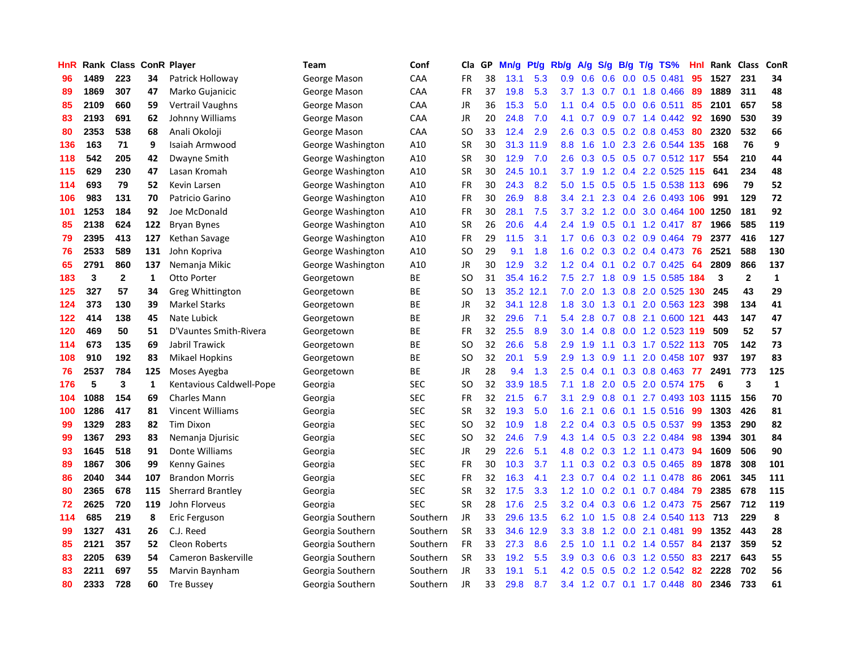| HnR | Rank | Class        |              | <b>ConR Player</b>       | Team              | Conf       | Cla           | <b>GP</b> | Mn/g | <b>Pt/g</b> | Rb/g             | A/g | S/g                        | B/g | $T/g$ TS%                  | Hnl | Rank | <b>Class</b>            | ConR         |
|-----|------|--------------|--------------|--------------------------|-------------------|------------|---------------|-----------|------|-------------|------------------|-----|----------------------------|-----|----------------------------|-----|------|-------------------------|--------------|
| 96  | 1489 | 223          | 34           | Patrick Holloway         | George Mason      | CAA        | <b>FR</b>     | 38        | 13.1 | 5.3         | 0.9 <sub>0</sub> | 0.6 | 0.6                        |     | $0.0$ 0.5 0.481            | 95  | 1527 | 231                     | 34           |
| 89  | 1869 | 307          | 47           | Marko Gujanicic          | George Mason      | CAA        | FR            | 37        | 19.8 | 5.3         | 3.7              | 1.3 |                            |     | $0.7$ $0.1$ 1.8 $0.466$    | 89  | 1889 | 311                     | 48           |
| 85  | 2109 | 660          | 59           | Vertrail Vaughns         | George Mason      | CAA        | JR            | 36        | 15.3 | 5.0         | 1.1              | 0.4 |                            |     | $0.5$ 0.0 0.6 0.511        | 85  | 2101 | 657                     | 58           |
| 83  | 2193 | 691          | 62           | Johnny Williams          | George Mason      | CAA        | <b>JR</b>     | 20        | 24.8 | 7.0         | 4.1              | 0.7 | 0.9 <sup>°</sup>           |     | $0.7$ 1.4 $0.442$          | 92  | 1690 | 530                     | 39           |
| 80  | 2353 | 538          | 68           | Anali Okoloji            | George Mason      | CAA        | <sub>SO</sub> | 33        | 12.4 | 2.9         | 2.6              | 0.3 | 0.5                        |     | $0.2$ 0.8 0.453            | 80  | 2320 | 532                     | 66           |
| 136 | 163  | 71           | 9            | Isaiah Armwood           | George Washington | A10        | <b>SR</b>     | 30        | 31.3 | 11.9        | 8.8              | 1.6 | 1.0                        |     | 2.3 2.6 0.544              | 135 | 168  | 76                      | 9            |
| 118 | 542  | 205          | 42           | Dwayne Smith             | George Washington | A10        | <b>SR</b>     | 30        | 12.9 | 7.0         | 2.6              | 0.3 | 0.5                        |     | $0.5$ 0.7 0.512            | 117 | 554  | 210                     | 44           |
| 115 | 629  | 230          | 47           | Lasan Kromah             | George Washington | A10        | <b>SR</b>     | 30        | 24.5 | 10.1        | 3.7              | 1.9 | 1.2                        |     | 0.4 2.2 0.525              | 115 | 641  | 234                     | 48           |
| 114 | 693  | 79           | 52           | Kevin Larsen             | George Washington | A10        | <b>FR</b>     | 30        | 24.3 | 8.2         | 5.0              | 1.5 | 0.5                        |     | 0.5 1.5 0.538 113          |     | 696  | 79                      | 52           |
| 106 | 983  | 131          | 70           | Patricio Garino          | George Washington | A10        | FR            | 30        | 26.9 | 8.8         | $3.4^{\circ}$    | 2.1 |                            |     | 2.3 0.4 2.6 0.493 106      |     | 991  | 129                     | 72           |
| 101 | 1253 | 184          | 92           | Joe McDonald             | George Washington | A10        | <b>FR</b>     | 30        | 28.1 | 7.5         | 3.7              | 3.2 |                            |     | 1.2 0.0 3.0 0.464 100 1250 |     |      | 181                     | 92           |
| 85  | 2138 | 624          | 122          | <b>Bryan Bynes</b>       | George Washington | A10        | <b>SR</b>     | 26        | 20.6 | 4.4         | 2.4              | 1.9 | 0.5                        |     | $0.1$ 1.2 0.417            | -87 | 1966 | 585                     | 119          |
| 79  | 2395 | 413          | 127          | Kethan Savage            | George Washington | A10        | <b>FR</b>     | 29        | 11.5 | 3.1         | 1.7              | 0.6 | 0.3                        |     | 0.2 0.9 0.464              | 79  | 2377 | 416                     | 127          |
| 76  | 2533 | 589          | 131          | John Kopriva             | George Washington | A10        | SO            | 29        | 9.1  | 1.8         | 1.6              | 0.2 |                            |     | $0.3$ 0.2 0.4 0.473        | 76  | 2521 | 588                     | 130          |
| 65  | 2791 | 860          | 137          | Nemanja Mikic            | George Washington | A10        | <b>JR</b>     | 30        | 12.9 | 3.2         | 1.2              | 0.4 | 0.1                        |     | $0.2$ 0.7 0.425            | 64  | 2809 | 866                     | 137          |
| 183 | 3    | $\mathbf{2}$ | 1            | <b>Otto Porter</b>       | Georgetown        | BE         | SO            | 31        | 35.4 | 16.2        | 7.5              | 2.7 | 1.8                        |     | 0.9 1.5 0.585              | 184 | 3    | $\overline{\mathbf{2}}$ | $\mathbf{1}$ |
| 125 | 327  | 57           | 34           | Greg Whittington         | Georgetown        | <b>BE</b>  | <sub>SO</sub> | 13        | 35.2 | 12.1        | 7.0              | 2.0 | 1.3                        |     | 0.8 2.0 0.525              | 130 | 245  | 43                      | 29           |
| 124 | 373  | 130          | 39           | <b>Markel Starks</b>     | Georgetown        | ВE         | <b>JR</b>     | 32        | 34.1 | 12.8        | 1.8              | 3.0 | 1.3                        |     | 0.1 2.0 0.563 123          |     | 398  | 134                     | 41           |
| 122 | 414  | 138          | 45           | Nate Lubick              | Georgetown        | <b>BE</b>  | <b>JR</b>     | 32        | 29.6 | 7.1         | 5.4              | 2.8 |                            |     | 0.7 0.8 2.1 0.600 121      |     | 443  | 147                     | 47           |
| 120 | 469  | 50           | 51           | D'Vauntes Smith-Rivera   | Georgetown        | <b>BE</b>  | <b>FR</b>     | 32        | 25.5 | 8.9         | 3.0              | 1.4 | 0.8                        |     | 0.0 1.2 0.523 119          |     | 509  | 52                      | 57           |
| 114 | 673  | 135          | 69           | Jabril Trawick           | Georgetown        | <b>BE</b>  | <sub>SO</sub> | 32        | 26.6 | 5.8         | 2.9              | 1.9 | 1.1                        |     | $0.3$ 1.7 $0.522$ 113      |     | 705  | 142                     | 73           |
| 108 | 910  | 192          | 83           | <b>Mikael Hopkins</b>    | Georgetown        | ВE         | SO            | 32        | 20.1 | 5.9         | 2.9              | 1.3 | 0.9                        | 1.1 | 2.0 0.458 107              |     | 937  | 197                     | 83           |
| 76  | 2537 | 784          | 125          | Moses Ayegba             | Georgetown        | BE         | JR            | 28        | 9.4  | 1.3         | 2.5              | 0.4 | 0.1                        |     | $0.3$ 0.8 0.463            | 77  | 2491 | 773                     | 125          |
| 176 | 5    | 3            | $\mathbf{1}$ | Kentavious Caldwell-Pope | Georgia           | <b>SEC</b> | SO            | 32        | 33.9 | 18.5        | 7.1              | 1.8 | 2.0                        | 0.5 | 2.0 0.574 175              |     | 6    | 3                       | $\mathbf{1}$ |
| 104 | 1088 | 154          | 69           | <b>Charles Mann</b>      | Georgia           | <b>SEC</b> | <b>FR</b>     | 32        | 21.5 | 6.7         | 3.1              | 2.9 | 0.8                        | 0.1 | 2.7 0.493                  | 103 | 1115 | 156                     | 70           |
| 100 | 1286 | 417          | 81           | <b>Vincent Williams</b>  | Georgia           | <b>SEC</b> | <b>SR</b>     | 32        | 19.3 | 5.0         | 1.6              | 2.1 | 0.6                        |     | $0.1$ 1.5 0.516            | -99 | 1303 | 426                     | 81           |
| 99  | 1329 | 283          | 82           | <b>Tim Dixon</b>         | Georgia           | <b>SEC</b> | <sub>SO</sub> | 32        | 10.9 | 1.8         | 2.2              | 0.4 |                            |     | $0.3$ $0.5$ $0.5$ $0.537$  | -99 | 1353 | 290                     | 82           |
| 99  | 1367 | 293          | 83           | Nemanja Djurisic         | Georgia           | <b>SEC</b> | <sub>SO</sub> | 32        | 24.6 | 7.9         | 4.3              | 1.4 |                            |     | 0.5 0.3 2.2 0.484          | 98  | 1394 | 301                     | 84           |
| 93  | 1645 | 518          | 91           | Donte Williams           | Georgia           | <b>SEC</b> | <b>JR</b>     | 29        | 22.6 | 5.1         | 4.8              | 0.2 |                            |     | $0.3$ 1.2 1.1 0.473        | 94  | 1609 | 506                     | 90           |
| 89  | 1867 | 306          | 99           | <b>Kenny Gaines</b>      | Georgia           | <b>SEC</b> | <b>FR</b>     | 30        | 10.3 | 3.7         | 1.1              | 0.3 |                            |     | $0.2$ 0.3 0.5 0.465        | -89 | 1878 | 308                     | 101          |
| 86  | 2040 | 344          | 107          | <b>Brandon Morris</b>    | Georgia           | <b>SEC</b> | <b>FR</b>     | 32        | 16.3 | 4.1         | 2.3              | 0.7 | $0.4^{\circ}$              |     | $0.2$ 1.1 0.478            | 86  | 2061 | 345                     | 111          |
| 80  | 2365 | 678          | 115          | <b>Sherrard Brantley</b> | Georgia           | <b>SEC</b> | <b>SR</b>     | 32        | 17.5 | 3.3         | 1.2              | 1.0 | $\overline{2}$<br>$\Omega$ | 0.1 | 0.7 0.484                  | 79  | 2385 | 678                     | 115          |
| 72  | 2625 | 720          | 119          | John Florveus            | Georgia           | <b>SEC</b> | <b>SR</b>     | 28        | 17.6 | 2.5         | 3.2              | 0.4 | 0.3                        |     | $0.6$ 1.2 0.473            | 75  | 2567 | 712                     | 119          |
| 114 | 685  | 219          | 8            | Eric Ferguson            | Georgia Southern  | Southern   | <b>JR</b>     | 33        | 29.6 | 13.5        | 6.2              | 1.0 | 1.5                        |     | 0.8 2.4 0.540              | 113 | 713  | 229                     | 8            |
| 99  | 1327 | 431          | 26           | C.J. Reed                | Georgia Southern  | Southern   | <b>SR</b>     | 33        | 34.6 | 12.9        | 3.3 <sub>2</sub> | 3.8 |                            |     | 1.2 0.0 2.1 0.481          | 99  | 1352 | 443                     | 28           |
| 85  | 2121 | 357          | 52           | <b>Cleon Roberts</b>     | Georgia Southern  | Southern   | <b>FR</b>     | 33        | 27.3 | 8.6         | 2.5              | 1.0 |                            |     | $1.1$ 0.2 1.4 0.557        | 84  | 2137 | 359                     | 52           |
| 83  | 2205 | 639          | 54           | Cameron Baskerville      | Georgia Southern  | Southern   | <b>SR</b>     | 33        | 19.2 | 5.5         | 3.9 <sup>°</sup> | 0.3 | 0.6                        |     | $0.3$ 1.2 $0.550$          | 83  | 2217 | 643                     | 55           |
| 83  | 2211 | 697          | 55           | Marvin Baynham           | Georgia Southern  | Southern   | <b>JR</b>     | 33        | 19.1 | 5.1         | 4.2              | 0.5 | 0.5                        |     | 0.2 1.2 0.542              | 82  | 2228 | 702                     | 56           |
| 80  | 2333 | 728          | 60           | <b>Tre Bussey</b>        | Georgia Southern  | Southern   | JR            | 33        | 29.8 | 8.7         | $3.4^{\circ}$    |     |                            |     | 1.2 0.7 0.1 1.7 0.448      | 80  | 2346 | 733                     | 61           |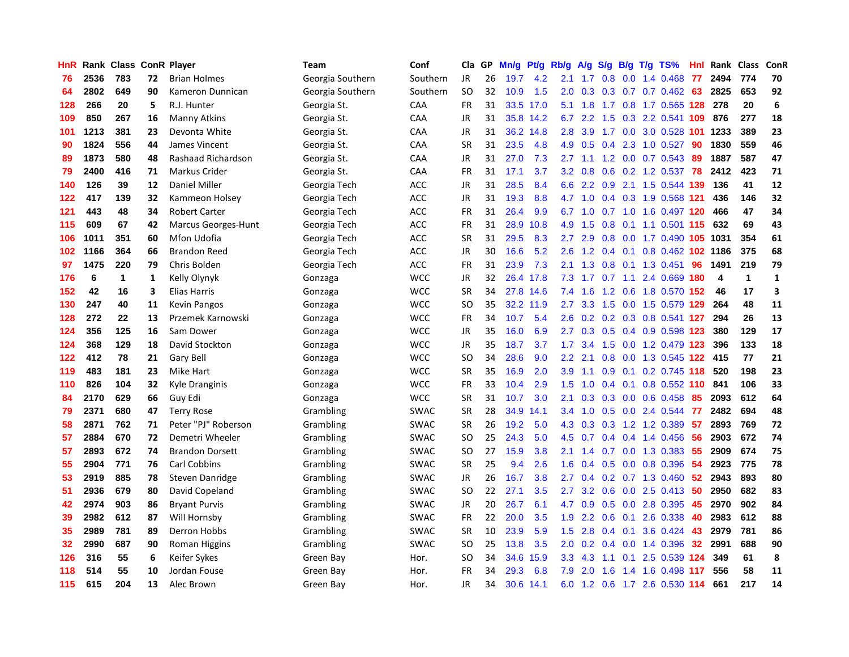| HnR |      | Rank Class |    | <b>ConR Player</b>         | <b>Team</b>      | Conf        | Cla       | <b>GP</b> | Mn/g | <b>Pt/g</b> | Rb/g             | A/g             |               |     | $S/g$ B/g T/g TS%          | Hnl | Rank | <b>Class</b> | ConR         |
|-----|------|------------|----|----------------------------|------------------|-------------|-----------|-----------|------|-------------|------------------|-----------------|---------------|-----|----------------------------|-----|------|--------------|--------------|
| 76  | 2536 | 783        | 72 | <b>Brian Holmes</b>        | Georgia Southern | Southern    | JR        | 26        | 19.7 | 4.2         | 2.1              | 1.7             | 0.8           | 0.0 | 1.4 0.468                  | 77  | 2494 | 774          | 70           |
| 64  | 2802 | 649        | 90 | Kameron Dunnican           | Georgia Southern | Southern    | <b>SO</b> | 32        | 10.9 | 1.5         | 2.0              | 0.3             |               |     | $0.3$ 0.7 0.7 0.462 63     |     | 2825 | 653          | 92           |
| 128 | 266  | 20         | 5  | R.J. Hunter                | Georgia St.      | CAA         | <b>FR</b> | 31        |      | 33.5 17.0   | 5.1              | 1.8             |               |     | 1.7 0.8 1.7 0.565 128 278  |     |      | 20           | 6            |
| 109 | 850  | 267        | 16 | <b>Manny Atkins</b>        | Georgia St.      | CAA         | JR        | 31        |      | 35.8 14.2   | 6.7              | 2.2             | 1.5           |     | 0.3 2.2 0.541 109          |     | 876  | 277          | 18           |
| 101 | 1213 | 381        | 23 | Devonta White              | Georgia St.      | CAA         | JR        | 31        | 36.2 | 14.8        | 2.8              | 3.9             |               |     | 1.7 0.0 3.0 0.528          | 101 | 1233 | 389          | 23           |
| 90  | 1824 | 556        | 44 | James Vincent              | Georgia St.      | CAA         | <b>SR</b> | 31        | 23.5 | 4.8         | 4.9              | 0.5             | 0.4           |     | 2.3 1.0 0.527              | 90  | 1830 | 559          | 46           |
| 89  | 1873 | 580        | 48 | Rashaad Richardson         | Georgia St.      | CAA         | JR        | 31        | 27.0 | 7.3         | 2.7              | 1.1             |               |     | 1.2 0.0 0.7 0.543          | 89  | 1887 | 587          | 47           |
| 79  | 2400 | 416        | 71 | Markus Crider              | Georgia St.      | CAA         | FR        | 31        | 17.1 | 3.7         | 3.2              | 0.8             | 0.6           |     | $0.2$ 1.2 0.537            | 78  | 2412 | 423          | 71           |
| 140 | 126  | 39         | 12 | <b>Daniel Miller</b>       | Georgia Tech     | ACC         | JR        | 31        | 28.5 | 8.4         | 6.6              | 2.2             | 0.9           |     | 2.1 1.5 0.544 139          |     | 136  | 41           | 12           |
| 122 | 417  | 139        | 32 | Kammeon Holsey             | Georgia Tech     | <b>ACC</b>  | JR        | 31        | 19.3 | 8.8         | 4.7              | 1.0             |               |     | 0.4 0.3 1.9 0.568 121      |     | 436  | 146          | 32           |
| 121 | 443  | 48         | 34 | <b>Robert Carter</b>       | Georgia Tech     | <b>ACC</b>  | FR        | 31        | 26.4 | 9.9         | 6.7              |                 |               |     | 1.0 0.7 1.0 1.6 0.497 120  |     | 466  | 47           | 34           |
| 115 | 609  | 67         | 42 | <b>Marcus Georges-Hunt</b> | Georgia Tech     | <b>ACC</b>  | FR        | 31        | 28.9 | 10.8        | 4.9              | 1.5             |               |     | 0.8 0.1 1.1 0.501 115      |     | 632  | 69           | 43           |
| 106 | 1011 | 351        | 60 | Mfon Udofia                | Georgia Tech     | <b>ACC</b>  | <b>SR</b> | 31        | 29.5 | 8.3         | 2.7              | 2.9             | 0.8           |     | 0.0 1.7 0.490 105 1031     |     |      | 354          | 61           |
| 102 | 1166 | 364        | 66 | <b>Brandon Reed</b>        | Georgia Tech     | <b>ACC</b>  | JR        | 30        | 16.6 | 5.2         | 2.6              | 1.2             |               |     | 0.4 0.1 0.8 0.462 102 1186 |     |      | 375          | 68           |
| 97  | 1475 | 220        | 79 | Chris Bolden               | Georgia Tech     | <b>ACC</b>  | <b>FR</b> | 31        | 23.9 | 7.3         | 2.1              | 1.3             | 0.8           |     | $0.1$ 1.3 0.451            | 96  | 1491 | 219          | 79           |
| 176 | 6    | 1          | 1  | Kelly Olynyk               | Gonzaga          | <b>WCC</b>  | JR        | 32        | 26.4 | 17.8        | 7.3              | 1.7             |               |     | 0.7 1.1 2.4 0.669 180      |     | 4    | $\mathbf{1}$ | $\mathbf{1}$ |
| 152 | 42   | 16         | 3  | Elias Harris               | Gonzaga          | <b>WCC</b>  | <b>SR</b> | 34        | 27.8 | 14.6        | 7.4              | 1.6             | 1.2           |     | 0.6 1.8 0.570              | 152 | 46   | 17           | 3            |
| 130 | 247  | 40         | 11 | <b>Kevin Pangos</b>        | Gonzaga          | <b>WCC</b>  | <b>SO</b> | 35        |      | 32.2 11.9   | 2.7              | 3.3             | 1.5           |     | 0.0 1.5 0.579 129          |     | 264  | 48           | 11           |
| 128 | 272  | 22         | 13 | Przemek Karnowski          | Gonzaga          | <b>WCC</b>  | FR        | 34        | 10.7 | 5.4         | 2.6              |                 |               |     | 0.2 0.2 0.3 0.8 0.541 127  |     | 294  | 26           | 13           |
| 124 | 356  | 125        | 16 | Sam Dower                  | Gonzaga          | <b>WCC</b>  | JR        | 35        | 16.0 | 6.9         | $2.7^{\circ}$    | 0.3             |               |     | 0.5 0.4 0.9 0.598 123      |     | 380  | 129          | 17           |
| 124 | 368  | 129        | 18 | David Stockton             | Gonzaga          | <b>WCC</b>  | <b>JR</b> | 35        | 18.7 | 3.7         | 1.7 <sub>z</sub> | 3.4             | 1.5           |     | 0.0 1.2 0.479 123          |     | 396  | 133          | 18           |
| 122 | 412  | 78         | 21 | Gary Bell                  | Gonzaga          | <b>WCC</b>  | <b>SO</b> | 34        | 28.6 | 9.0         | 2.2              | 2.1             | 0.8           |     | 0.0 1.3 0.545 122          |     | 415  | 77           | 21           |
| 119 | 483  | 181        | 23 | Mike Hart                  | Gonzaga          | <b>WCC</b>  | <b>SR</b> | 35        | 16.9 | 2.0         | 3.9              | 1.1             | 0.9           |     | $0.1$ 0.2 0.745 118        |     | 520  | 198          | 23           |
| 110 | 826  | 104        | 32 | Kyle Dranginis             | Gonzaga          | <b>WCC</b>  | <b>FR</b> | 33        | 10.4 | 2.9         | 1.5              | 1.0             | $0.4^{\circ}$ |     | 0.1 0.8 0.552 110          |     | 841  | 106          | 33           |
| 84  | 2170 | 629        | 66 | Guy Edi                    | Gonzaga          | <b>WCC</b>  | <b>SR</b> | 31        | 10.7 | 3.0         | 2.1              | 0.3             | 0.3           |     | $0.0$ 0.6 0.458            | 85  | 2093 | 612          | 64           |
| 79  | 2371 | 680        | 47 | <b>Terry Rose</b>          | Grambling        | <b>SWAC</b> | <b>SR</b> | 28        | 34.9 | 14.1        | $3.4^{\circ}$    | 1.0             |               |     | 0.5 0.0 2.4 0.544          | -77 | 2482 | 694          | 48           |
| 58  | 2871 | 762        | 71 | Peter "PJ" Roberson        | Grambling        | <b>SWAC</b> | <b>SR</b> | 26        | 19.2 | 5.0         | 4.3              |                 |               |     | 0.3 0.3 1.2 1.2 0.389      | -57 | 2893 | 769          | 72           |
| 57  | 2884 | 670        | 72 | Demetri Wheeler            | Grambling        | <b>SWAC</b> | <b>SO</b> | 25        | 24.3 | 5.0         | 4.5              | 0.7             |               |     | 0.4 0.4 1.4 0.456 56       |     | 2903 | 672          | 74           |
| 57  | 2893 | 672        | 74 | <b>Brandon Dorsett</b>     | Grambling        | <b>SWAC</b> | <b>SO</b> | 27        | 15.9 | 3.8         | 2.1              | 1.4             |               |     | 0.7 0.0 1.3 0.383          | 55  | 2909 | 674          | 75           |
| 55  | 2904 | 771        | 76 | Carl Cobbins               | Grambling        | <b>SWAC</b> | <b>SR</b> | 25        | 9.4  | 2.6         | 1.6              | 0.4             | 0.5           |     | $0.0$ $0.8$ $0.396$        | 54  | 2923 | 775          | 78           |
| 53  | 2919 | 885        | 78 | Steven Danridge            | Grambling        | <b>SWAC</b> | JR        | 26        | 16.7 | 3.8         | 2.7              | 0.4             |               |     | $0.2$ 0.7 1.3 0.460        | 52  | 2943 | 893          | 80           |
| 51  | 2936 | 679        | 80 | David Copeland             | Grambling        | <b>SWAC</b> | <b>SO</b> | 22        | 27.1 | 3.5         | 2.7              | 3.2             | 0.6           |     | $0.0$ 2.5 0.413            | -50 | 2950 | 682          | 83           |
| 42  | 2974 | 903        | 86 | <b>Bryant Purvis</b>       | Grambling        | <b>SWAC</b> | JR        | 20        | 26.7 | 6.1         | 4.7              | 0.9             | 0.5           |     | 0.0 2.8 0.395              | 45  | 2970 | 902          | 84           |
| 39  | 2982 | 612        | 87 | Will Hornsby               | Grambling        | <b>SWAC</b> | <b>FR</b> | 22        | 20.0 | 3.5         | 1.9              | 2.2             | 0.6           | 0.1 | 2.6 0.338                  | 40  | 2983 | 612          | 88           |
| 35  | 2989 | 781        | 89 | Derron Hobbs               | Grambling        | <b>SWAC</b> | <b>SR</b> | 10        | 23.9 | 5.9         | 1.5              | 2.8             |               |     | 0.4 0.1 3.6 0.424          | 43  | 2979 | 781          | 86           |
| 32  | 2990 | 687        | 90 | Roman Higgins              | Grambling        | <b>SWAC</b> | <b>SO</b> | 25        | 13.8 | 3.5         | 2.0              | 0.2             |               |     | $0.4$ 0.0 1.4 0.396        | 32  | 2991 | 688          | 90           |
| 126 | 316  | 55         | 6  | Keifer Sykes               | Green Bay        | Hor.        | SO        | 34        | 34.6 | 15.9        | 3.3              | 4.3             | 1.1           |     | 0.1 2.5 0.539 124          |     | 349  | 61           | 8            |
| 118 | 514  | 55         | 10 | Jordan Fouse               | Green Bay        | Hor.        | FR        | 34        | 29.3 | 6.8         | 7.9              | 2.0             | 1.6           | 1.4 | 1.6 0.498                  | 117 | 556  | 58           | 11           |
| 115 | 615  | 204        | 13 | Alec Brown                 | Green Bay        | Hor.        | JR        | 34        | 30.6 | 14.1        | 6.0              | $1.2 \quad 0.6$ |               |     | 1.7 2.6 0.530 114          |     | 661  | 217          | 14           |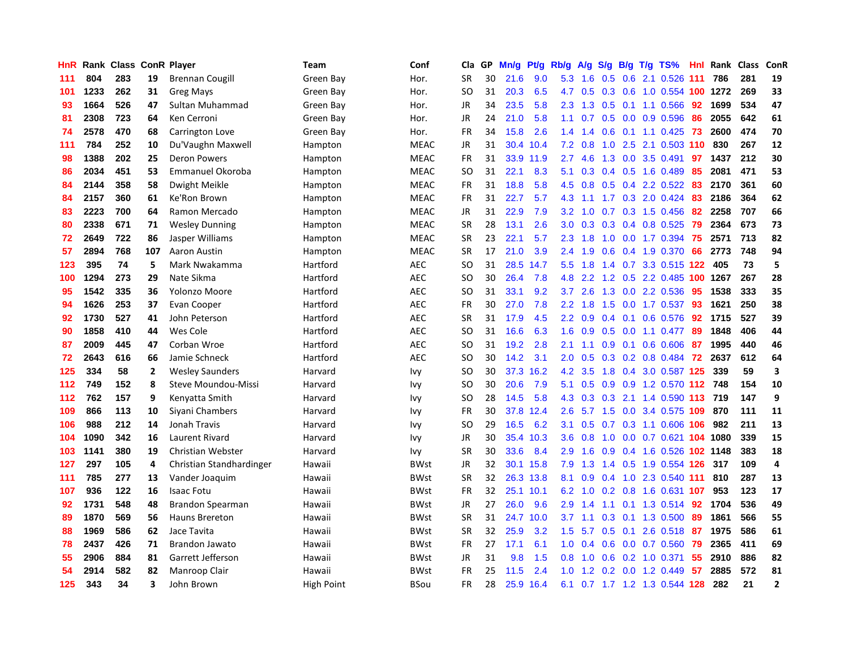| HnR | Rank |     |              | <b>Class ConR Player</b> | Team              | Conf        | Cla           | <b>GP</b> | Mn/g | <b>Pt/g</b> | Rb/g          | A/g    | S/g              | B/g | $T/g$ TS%                  | Hnl | Rank     | <b>Class</b> | <b>ConR</b>             |
|-----|------|-----|--------------|--------------------------|-------------------|-------------|---------------|-----------|------|-------------|---------------|--------|------------------|-----|----------------------------|-----|----------|--------------|-------------------------|
| 111 | 804  | 283 | 19           | <b>Brennan Cougill</b>   | Green Bay         | Hor.        | SR            | 30        | 21.6 | 9.0         | 5.3           | 1.6    | 0.5              |     | 0.6 2.1 0.526              | 111 | 786      | 281          | 19                      |
| 101 | 1233 | 262 | 31           | <b>Greg Mays</b>         | Green Bay         | Hor.        | SO            | 31        | 20.3 | 6.5         | 4.7           | 0.5    |                  |     | 0.3 0.6 1.0 0.554 100 1272 |     |          | 269          | 33                      |
| 93  | 1664 | 526 | 47           | Sultan Muhammad          | Green Bay         | Hor.        | JR            | 34        | 23.5 | 5.8         | 2.3           | 1.3    |                  |     | $0.5$ 0.1 1.1 0.566        | 92  | 1699     | 534          | 47                      |
| 81  | 2308 | 723 | 64           | Ken Cerroni              | Green Bay         | Hor.        | <b>JR</b>     | 24        | 21.0 | 5.8         | 1.1           | 0.7    | 0.5              |     | 0.0 0.9 0.596              | 86  | 2055     | 642          | 61                      |
| 74  | 2578 | 470 | 68           | Carrington Love          | Green Bay         | Hor.        | <b>FR</b>     | 34        | 15.8 | 2.6         | 1.4           | 1.4    | 0.6              |     | $0.1$ 1.1 0.425            | 73  | 2600     | 474          | 70                      |
| 111 | 784  | 252 | 10           | Du'Vaughn Maxwell        | Hampton           | <b>MEAC</b> | JR            | 31        | 30.4 | 10.4        | 7.2           | 0.8    | 1.0              |     | 2.5 2.1 0.503 110          |     | 830      | 267          | 12                      |
| 98  | 1388 | 202 | 25           | <b>Deron Powers</b>      | Hampton           | <b>MEAC</b> | <b>FR</b>     | 31        | 33.9 | 11.9        | 2.7           | 4.6    | 1.3              |     | 0.0 3.5 0.491              | 97  | 1437     | 212          | 30                      |
| 86  | 2034 | 451 | 53           | Emmanuel Okoroba         | Hampton           | <b>MEAC</b> | <b>SO</b>     | 31        | 22.1 | 8.3         | 5.1           | 0.3    | 0.4              |     | 0.5 1.6 0.489              | 85  | 2081     | 471          | 53                      |
| 84  | 2144 | 358 | 58           | Dwight Meikle            | Hampton           | <b>MEAC</b> | <b>FR</b>     | 31        | 18.8 | 5.8         | 4.5           | 0.8    |                  |     | $0.5$ 0.4 2.2 0.522        | -83 | 2170     | 361          | 60                      |
| 84  | 2157 | 360 | 61           | Ke'Ron Brown             | Hampton           | <b>MEAC</b> | <b>FR</b>     | 31        | 22.7 | 5.7         | 4.3           | $-1.1$ |                  |     | 1.7 0.3 2.0 0.424          | -83 | 2186     | 364          | 62                      |
| 83  | 2223 | 700 | 64           | Ramon Mercado            | Hampton           | <b>MEAC</b> | <b>JR</b>     | 31        | 22.9 | 7.9         | 3.2           | 1.0    |                  |     | $0.7$ $0.3$ $1.5$ $0.456$  | -82 | 2258     | 707          | 66                      |
| 80  | 2338 | 671 | 71           | <b>Wesley Dunning</b>    | Hampton           | <b>MEAC</b> | <b>SR</b>     | 28        | 13.1 | 2.6         | 3.0           | 0.3    | 0.3              |     | 0.4 0.8 0.525              | 79  | 2364     | 673          | 73                      |
| 72  | 2649 | 722 | 86           | Jasper Williams          | Hampton           | <b>MEAC</b> | <b>SR</b>     | 23        | 22.1 | 5.7         | 2.3           | 1.8    | 1.0              |     | $0.0$ 1.7 0.394            | 75  | 2571     | 713          | 82                      |
| 57  | 2894 | 768 | 107          | Aaron Austin             | Hampton           | <b>MEAC</b> | <b>SR</b>     | 17        | 21.0 | 3.9         | 2.4           | 1.9    | 0.6              |     | 0.4 1.9 0.370              | 66  | 2773     | 748          | 94                      |
| 123 | 395  | 74  | 5            | Mark Nwakamma            | Hartford          | <b>AEC</b>  | <b>SO</b>     | 31        | 28.5 | 14.7        | 5.5           | 1.8    | 1.4              |     | 0.7 3.3 0.515 122          |     | 405      | 73           | 5                       |
| 100 | 1294 | 273 | 29           | Nate Sikma               | Hartford          | <b>AEC</b>  | <sub>SO</sub> | 30        | 26.4 | 7.8         | 4.8           | 2.2    | 1.2              |     | 0.5 2.2 0.485              | 100 | 1267     | 267          | 28                      |
| 95  | 1542 | 335 | 36           | Yolonzo Moore            | Hartford          | <b>AEC</b>  | <b>SO</b>     | 31        | 33.1 | 9.2         | 3.7           | 2.6    | 1.3              |     | $0.0$ 2.2 $0.536$          | 95  | 1538     | 333          | 35                      |
| 94  | 1626 | 253 | 37           | Evan Cooper              | Hartford          | <b>AEC</b>  | <b>FR</b>     | 30        | 27.0 | 7.8         | $2.2^{\circ}$ | 1.8    | 1.5              |     | $0.0$ 1.7 0.537            | -93 | 1621     | 250          | 38                      |
| 92  | 1730 | 527 | 41           | John Peterson            | Hartford          | <b>AEC</b>  | <b>SR</b>     | 31        | 17.9 | 4.5         | 2.2           | 0.9    |                  |     | $0.4$ 0.1 0.6 0.576        | 92  | 1715     | 527          | 39                      |
| 90  | 1858 | 410 | 44           | Wes Cole                 | Hartford          | <b>AEC</b>  | SO            | 31        | 16.6 | 6.3         | 1.6           | 0.9    |                  |     | $0.5$ 0.0 1.1 0.477        | 89  | 1848     | 406          | 44                      |
| 87  | 2009 | 445 | 47           | Corban Wroe              | Hartford          | <b>AEC</b>  | <b>SO</b>     | 31        | 19.2 | 2.8         | 2.1           | 1.1    | 0.9              | 0.1 | $0.6$ 0.606                | 87  | 1995     | 440          | 46                      |
| 72  | 2643 | 616 | 66           | Jamie Schneck            | Hartford          | <b>AEC</b>  | SO            | 30        | 14.2 | 3.1         | 2.0           | 0.5    | 0.3              |     | $0.2$ 0.8 0.484            | 72  | 2637     | 612          | 64                      |
| 125 | 334  | 58  | $\mathbf{2}$ | <b>Wesley Saunders</b>   | Harvard           | Ivy         | SO.           | 30        | 37.3 | 16.2        | 4.2           | 3.5    | 1.8              | 0.4 | 3.0 0.587 125              |     | 339      | 59           | $\overline{\mathbf{3}}$ |
| 112 | 749  | 152 | 8            | Steve Moundou-Missi      | Harvard           | Ivy         | SO            | 30        | 20.6 | 7.9         | 5.1           | 0.5    | 0.9              |     | 0.9 1.2 0.570              | 112 | 748      | 154          | 10                      |
| 112 | 762  | 157 | 9            | Kenyatta Smith           | Harvard           | Ivy         | <sub>SO</sub> | 28        | 14.5 | 5.8         | 4.3           | 0.3    | 0.3              |     | 2.1 1.4 0.590              |     | 113 719  | 147          | 9                       |
| 109 | 866  | 113 | 10           | Siyani Chambers          | Harvard           | Ivy         | FR            | 30        | 37.8 | 12.4        | 2.6           | 5.7    |                  |     | 1.5 0.0 3.4 0.575 109 870  |     |          | 111          | 11                      |
| 106 | 988  | 212 | 14           | Jonah Travis             | Harvard           | Ivy         | <sub>SO</sub> | 29        | 16.5 | 6.2         | 3.1           | 0.5    |                  |     | 0.7 0.3 1.1 0.606 106      |     | 982      | 211          | 13                      |
| 104 | 1090 | 342 | 16           | Laurent Rivard           | Harvard           | Ivy         | <b>JR</b>     | 30        | 35.4 | 10.3        | 3.6           | 0.8    | 1.0              |     | 0.0 0.7 0.621 104 1080     |     |          | 339          | 15                      |
| 103 | 1141 | 380 | 19           | <b>Christian Webster</b> | Harvard           | Ivy         | <b>SR</b>     | 30        | 33.6 | 8.4         | 2.9           | 1.6    | 0.9              |     | $0.4$ 1.6 0.526            |     | 102 1148 | 383          | 18                      |
| 127 | 297  | 105 | 4            | Christian Standhardinger | Hawaii            | <b>BWst</b> | <b>JR</b>     | 32        | 30.1 | 15.8        | 7.9           | 1.3    | 1.4              |     | 0.5 1.9 0.554 126          |     | 317      | 109          | $\overline{a}$          |
| 111 | 785  | 277 | 13           | Vander Joaquim           | Hawaii            | <b>BWst</b> | <b>SR</b>     | 32        | 26.3 | 13.8        | 8.1           | 0.9    | $0.4^{\circ}$    |     | 1.0 2.3 0.540              | 111 | 810      | 287          | 13                      |
| 107 | 936  | 122 | 16           | <b>Isaac Fotu</b>        | Hawaii            | <b>BWst</b> | <b>FR</b>     | 32        | 25.1 | 10.1        | 6.2           | 1.0    | 0.2              |     | 0.8 1.6 0.631 107          |     | 953      | 123          | 17                      |
| 92  | 1731 | 548 | 48           | Brandon Spearman         | Hawaii            | <b>BWst</b> | <b>JR</b>     | 27        | 26.0 | 9.6         | 2.9           | 1.4    | 1.1              |     | $0.1$ 1.3 0.514            | 92  | 1704     | 536          | 49                      |
| 89  | 1870 | 569 | 56           | <b>Hauns Brereton</b>    | Hawaii            | <b>BWst</b> | <b>SR</b>     | 31        | 24.7 | 10.0        | 3.7           | 1.1    |                  |     | $0.3$ 0.1 1.3 0.500        | -89 | 1861     | 566          | 55                      |
| 88  | 1969 | 586 | 62           | Jace Tavita              | Hawaii            | <b>BWst</b> | <b>SR</b>     | 32        | 25.9 | 3.2         | 1.5           | 5.7    |                  |     | $0.5$ 0.1 2.6 0.518 87     |     | 1975     | 586          | 61                      |
| 78  | 2437 | 426 | 71           | Brandon Jawato           | Hawaii            | <b>BWst</b> | FR            | 27        | 17.1 | 6.1         | 1.0           | 0.4    |                  |     | $0.6$ 0.0 0.7 0.560        | 79  | 2365     | 411          | 69                      |
| 55  | 2906 | 884 | 81           | Garrett Jefferson        | Hawaii            | <b>BWst</b> | <b>JR</b>     | 31        | 9.8  | 1.5         | 0.8           | 1.0    | 0.6              |     | 0.2 1.0 0.371              | 55  | 2910     | 886          | 82                      |
| 54  | 2914 | 582 | 82           | Manroop Clair            | Hawaii            | <b>BWst</b> | <b>FR</b>     | 25        | 11.5 | 2.4         | 1.0           | 1.2    | 0.2 <sub>0</sub> |     | $0.0$ 1.2 $0.449$          | 57  | 2885     | 572          | 81                      |
| 125 | 343  | 34  | 3            | John Brown               | <b>High Point</b> | <b>BSou</b> | FR.           | 28        | 25.9 | 16.4        | 6.1           |        |                  |     | 0.7 1.7 1.2 1.3 0.544 128  |     | 282      | 21           | $\overline{2}$          |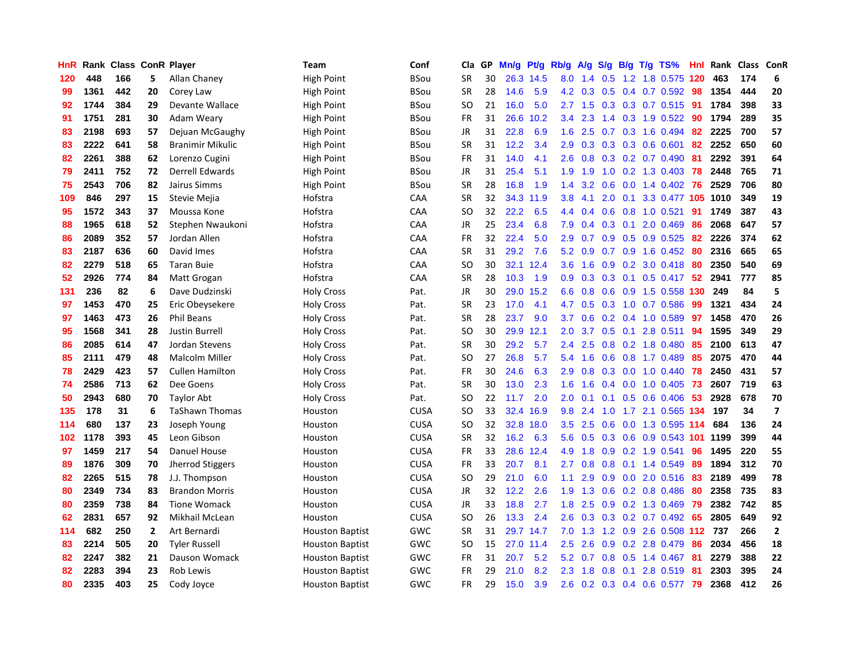| HnR | Rank | <b>Class ConR Player</b> |              |                         | Team                   | Conf        | Cla           | <b>GP</b> | Mn/g | <b>Pt/g</b> | Rb/g             | A/g             | S/g              |     | B/g T/g TS%                | Hnl | Rank | Class | <b>ConR</b>    |
|-----|------|--------------------------|--------------|-------------------------|------------------------|-------------|---------------|-----------|------|-------------|------------------|-----------------|------------------|-----|----------------------------|-----|------|-------|----------------|
| 120 | 448  | 166                      | 5.           | Allan Chaney            | High Point             | BSou        | <b>SR</b>     | 30        |      | 26.3 14.5   | 8.0              | 1.4             | 0.5              |     | 1.2 1.8 0.575 120          |     | 463  | 174   | 6              |
| 99  | 1361 | 442                      | 20           | Corey Law               | <b>High Point</b>      | BSou        | <b>SR</b>     | 28        | 14.6 | 5.9         |                  | $4.2 \quad 0.3$ |                  |     | 0.5 0.4 0.7 0.592 98       |     | 1354 | 444   | 20             |
| 92  | 1744 | 384                      | 29           | Devante Wallace         | High Point             | BSou        | SO            | 21        | 16.0 | 5.0         |                  | $2.7$ 1.5       |                  |     | $0.3$ $0.3$ $0.7$ $0.515$  | -91 | 1784 | 398   | 33             |
| 91  | 1751 | 281                      | 30           | Adam Weary              | High Point             | BSou        | <b>FR</b>     | 31        | 26.6 | 10.2        | 3.4              | 2.3             |                  |     | 1.4 0.3 1.9 0.522          | -90 | 1794 | 289   | 35             |
| 83  | 2198 | 693                      | 57           | Dejuan McGaughy         | High Point             | BSou        | <b>JR</b>     | 31        | 22.8 | 6.9         | 1.6              | 2.5             | 0.7              |     | 0.3 1.6 0.494              | 82  | 2225 | 700   | 57             |
| 83  | 2222 | 641                      | 58           | <b>Branimir Mikulic</b> | High Point             | BSou        | SR            | 31        | 12.2 | 3.4         | 2.9              | 0.3             |                  |     | $0.3$ 0.3 0.6 0.601        | 82  | 2252 | 650   | 60             |
| 82  | 2261 | 388                      | 62           | Lorenzo Cugini          | High Point             | BSou        | <b>FR</b>     | 31        | 14.0 | 4.1         | 2.6              | 0.8             |                  |     | $0.3$ 0.2 0.7 0.490        | -81 | 2292 | 391   | 64             |
| 79  | 2411 | 752                      | 72           | Derrell Edwards         | High Point             | BSou        | JR            | 31        | 25.4 | 5.1         | 1.9              | 1.9             | 1.0              |     | 0.2 1.3 0.403              | 78  | 2448 | 765   | 71             |
| 75  | 2543 | 706                      | 82           | Jairus Simms            | <b>High Point</b>      | BSou        | <b>SR</b>     | 28        | 16.8 | 1.9         | 1.4              | 3.2             | 0.6              |     | $0.0$ 1.4 $0.402$ 76       |     | 2529 | 706   | 80             |
| 109 | 846  | 297                      | 15           | Stevie Mejia            | Hofstra                | CAA         | <b>SR</b>     | 32        | 34.3 | 11.9        | 3.8 <sub>2</sub> | 4.1             |                  |     | 2.0 0.1 3.3 0.477 105 1010 |     |      | 349   | 19             |
| 95  | 1572 | 343                      | 37           | Moussa Kone             | Hofstra                | <b>CAA</b>  | SO            | 32        | 22.2 | 6.5         | 4.4              | 0.4             |                  |     | $0.6$ $0.8$ 1.0 $0.521$    | -91 | 1749 | 387   | 43             |
| 88  | 1965 | 618                      | 52           | Stephen Nwaukoni        | Hofstra                | CAA         | JR            | 25        | 23.4 | 6.8         | 7.9              | 0.4             |                  |     | $0.3$ 0.1 2.0 0.469        | 86  | 2068 | 647   | 57             |
| 86  | 2089 | 352                      | 57           | Jordan Allen            | Hofstra                | CAA         | <b>FR</b>     | 32        | 22.4 | 5.0         | 2.9              | 0.7             | 0.9 <sub>0</sub> |     | $0.5$ 0.9 0.525            | -82 | 2226 | 374   | 62             |
| 83  | 2187 | 636                      | 60           | David Imes              | Hofstra                | CAA         | <b>SR</b>     | 31        | 29.2 | 7.6         | 5.2              | 0.9             |                  |     | 0.7 0.9 1.6 0.452 80       |     | 2316 | 665   | 65             |
| 82  | 2279 | 518                      | 65           | <b>Taran Buie</b>       | Hofstra                | CAA         | <b>SO</b>     | 30        | 32.1 | 12.4        | 3.6              | 1.6             | 0.9              |     | $0.2$ 3.0 $0.418$          | -80 | 2350 | 540   | 69             |
| 52  | 2926 | 774                      | 84           | Matt Grogan             | Hofstra                | CAA         | <b>SR</b>     | 28        | 10.3 | 1.9         | 0.9 <sup>°</sup> | 0.3             | 0.3              |     | $0.1$ 0.5 0.417            | -52 | 2941 | 777   | 85             |
| 131 | 236  | 82                       | 6            | Dave Dudzinski          | <b>Holy Cross</b>      | Pat.        | JR            | 30        | 29.0 | 15.2        | 6.6              | 0.8             | 0.6              |     | 0.9 1.5 0.558 130          |     | 249  | 84    | 5              |
| 97  | 1453 | 470                      | 25           | Eric Obeysekere         | <b>Holy Cross</b>      | Pat.        | <b>SR</b>     | 23        | 17.0 | 4.1         | 4.7              | 0.5             |                  |     | $0.3$ 1.0 0.7 0.586        | 99  | 1321 | 434   | 24             |
| 97  | 1463 | 473                      | 26           | <b>Phil Beans</b>       | <b>Holy Cross</b>      | Pat.        | <b>SR</b>     | 28        | 23.7 | 9.0         | 3.7              | 0.6             |                  |     | $0.2$ 0.4 1.0 0.589        | 97  | 1458 | 470   | 26             |
| 95  | 1568 | 341                      | 28           | Justin Burrell          | <b>Holy Cross</b>      | Pat.        | SO            | 30        | 29.9 | 12.1        | $2.0^{\circ}$    | $3.7^{\circ}$   |                  |     | $0.5$ 0.1 2.8 0.511        | 94  | 1595 | 349   | 29             |
| 86  | 2085 | 614                      | 47           | Jordan Stevens          | <b>Holy Cross</b>      | Pat.        | <b>SR</b>     | 30        | 29.2 | 5.7         | $2.4^{\circ}$    | 2.5             |                  |     | $0.8$ 0.2 1.8 0.480        | 85  | 2100 | 613   | 47             |
| 85  | 2111 | 479                      | 48           | Malcolm Miller          | <b>Holy Cross</b>      | Pat.        | SO.           | 27        | 26.8 | 5.7         | 5.4              | 1.6             | 0.6              |     | 0.8 1.7 0.489              | 85  | 2075 | 470   | 44             |
| 78  | 2429 | 423                      | 57           | <b>Cullen Hamilton</b>  | <b>Holy Cross</b>      | Pat.        | <b>FR</b>     | 30        | 24.6 | 6.3         | 2.9              | 0.8             |                  |     | $0.3$ 0.0 1.0 0.440        | 78  | 2450 | 431   | 57             |
| 74  | 2586 | 713                      | 62           | Dee Goens               | <b>Holy Cross</b>      | Pat.        | <b>SR</b>     | 30        | 13.0 | 2.3         | 1.6              | 1.6             |                  |     | $0.4$ 0.0 1.0 0.405        | -73 | 2607 | 719   | 63             |
| 50  | 2943 | 680                      | 70           | Taylor Abt              | <b>Holy Cross</b>      | Pat.        | SO            | 22        | 11.7 | 2.0         | 2.0              | 0.1             |                  |     | $0.1$ $0.5$ $0.6$ $0.406$  | 53  | 2928 | 678   | 70             |
| 135 | 178  | 31                       | 6            | <b>TaShawn Thomas</b>   | Houston                | <b>CUSA</b> | SO            | 33        | 32.4 | 16.9        | 9.8              | 2.4             |                  |     | 1.0 1.7 2.1 0.565 134      |     | 197  | 34    | $\overline{7}$ |
| 114 | 680  | 137                      | 23           | Joseph Young            | Houston                | <b>CUSA</b> | SO.           | 32        | 32.8 | 18.0        | 3.5              | 2.5             |                  |     | 0.6 0.0 1.3 0.595 114      |     | 684  | 136   | 24             |
| 102 | 1178 | 393                      | 45           | Leon Gibson             | Houston                | <b>CUSA</b> | <b>SR</b>     | 32        | 16.2 | 6.3         | 5.6              | 0.5             |                  |     | 0.3 0.6 0.9 0.543 101 1199 |     |      | 399   | 44             |
| 97  | 1459 | 217                      | 54           | Danuel House            | Houston                | <b>CUSA</b> | FR            | 33        | 28.6 | 12.4        | 4.9              | 1.8             |                  |     | 0.9 0.2 1.9 0.541          | 96  | 1495 | 220   | 55             |
| 89  | 1876 | 309                      | 70           | <b>Jherrod Stiggers</b> | Houston                | <b>CUSA</b> | <b>FR</b>     | 33        | 20.7 | 8.1         | $2.7^{\circ}$    | 0.8             | 0.8 <sub>0</sub> |     | $0.1$ 1.4 0.549            | 89  | 1894 | 312   | 70             |
| 82  | 2265 | 515                      | 78           | J.J. Thompson           | Houston                | <b>CUSA</b> | SO            | 29        | 21.0 | 6.0         | 1.1              | 2.9             | 0.9 <sup>°</sup> |     | $0.0$ 2.0 $0.516$          | -83 | 2189 | 499   | 78             |
| 80  | 2349 | 734                      | 83           | <b>Brandon Morris</b>   | Houston                | <b>CUSA</b> | JR            | 32        | 12.2 | 2.6         | 1.9              | 1.3             | 0.6              |     | $0.2$ 0.8 0.486            | -80 | 2358 | 735   | 83             |
| 80  | 2359 | 738                      | 84           | <b>Tione Womack</b>     | Houston                | <b>CUSA</b> | JR            | 33        | 18.8 | 2.7         | 1.8              | 2.5             | 0.9 <sub>0</sub> |     | 0.2 1.3 0.469              | 79  | 2382 | 742   | 85             |
| 62  | 2831 | 657                      | 92           | Mikhail McLean          | Houston                | <b>CUSA</b> | <sub>SO</sub> | 26        | 13.3 | 2.4         | 2.6              | 0.3             |                  |     | $0.3$ 0.2 0.7 0.492        | 65  | 2805 | 649   | 92             |
| 114 | 682  | 250                      | $\mathbf{2}$ | Art Bernardi            | <b>Houston Baptist</b> | GWC         | <b>SR</b>     | 31        |      | 29.7 14.7   | 7.0              | 1.3             |                  |     | 1.2 0.9 2.6 0.508 112 737  |     |      | 266   | $\overline{2}$ |
| 83  | 2214 | 505                      | 20           | <b>Tyler Russell</b>    | <b>Houston Baptist</b> | GWC         | SO.           | 15        |      | 27.0 11.4   | 2.5              | 2.6             |                  |     | $0.9$ 0.2 2.8 0.479        | -86 | 2034 | 456   | 18             |
| 82  | 2247 | 382                      | 21           | Dauson Womack           | <b>Houston Baptist</b> | GWC         | FR            | 31        | 20.7 | 5.2         | 5.2              | 0.7             |                  |     | 0.8 0.5 1.4 0.467          | -81 | 2279 | 388   | 22             |
| 82  | 2283 | 394                      | 23           | <b>Rob Lewis</b>        | <b>Houston Baptist</b> | GWC         | <b>FR</b>     | 29        | 21.0 | 8.2         | 2.3              | 1.8             | 0.8              | 0.1 | 2.8 0.519                  | -81 | 2303 | 395   | 24             |
| 80  | 2335 | 403                      | 25           | Cody Joyce              | <b>Houston Baptist</b> | GWC         | <b>FR</b>     | 29        | 15.0 | 3.9         | 2.6              |                 |                  |     | 0.2 0.3 0.4 0.6 0.577      | 79  | 2368 | 412   | 26             |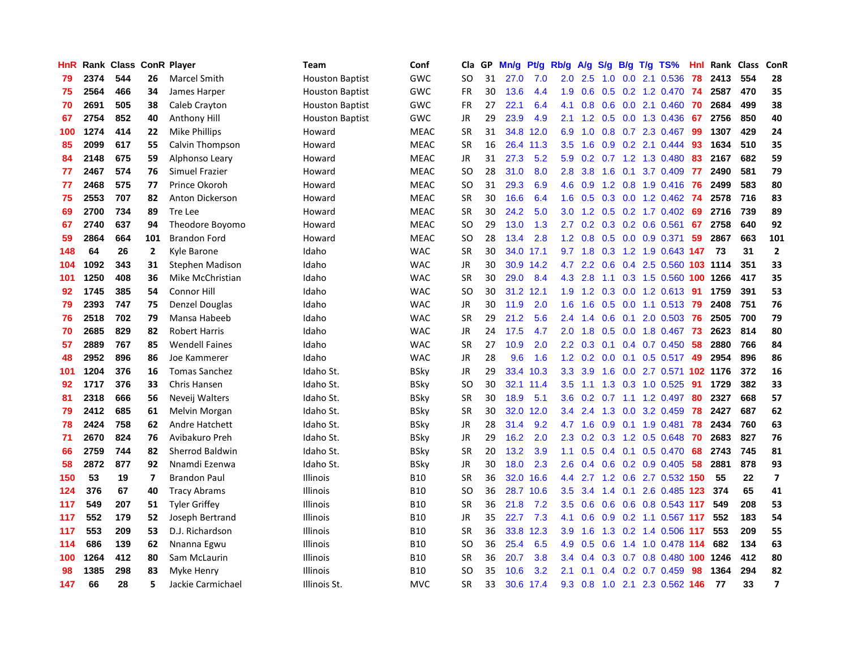| HnR |      | Rank Class ConR Player |                         |                        | Team                   | Conf        | Cla           | GP | Mn/g | <b>Pt/g</b> | Rb/g             | A/g | S/g              |     | $B/g$ T/g TS%              | Hnl | Rank     | <b>Class</b> | ConR                    |
|-----|------|------------------------|-------------------------|------------------------|------------------------|-------------|---------------|----|------|-------------|------------------|-----|------------------|-----|----------------------------|-----|----------|--------------|-------------------------|
| 79  | 2374 | 544                    | 26                      | Marcel Smith           | <b>Houston Baptist</b> | GWC         | SO            | 31 | 27.0 | 7.0         | 2.0              | 2.5 | 1.0              |     | $0.0$ 2.1 $0.536$          | 78  | 2413     | 554          | 28                      |
| 75  | 2564 | 466                    | 34                      | James Harper           | <b>Houston Baptist</b> | GWC         | FR            | 30 | 13.6 | 4.4         | 1.9              | 0.6 |                  |     | 0.5 0.2 1.2 0.470 74       |     | 2587     | 470          | 35                      |
| 70  | 2691 | 505                    | 38                      | Caleb Crayton          | <b>Houston Baptist</b> | GWC         | <b>FR</b>     | 27 | 22.1 | 6.4         | 4.1              | 0.8 |                  |     | $0.6$ $0.0$ 2.1 $0.460$    | -70 | 2684     | 499          | 38                      |
| 67  | 2754 | 852                    | 40                      | Anthony Hill           | <b>Houston Baptist</b> | <b>GWC</b>  | JR            | 29 | 23.9 | 4.9         | 2.1              | 1.2 |                  |     | 0.5 0.0 1.3 0.436          | 67  | 2756     | 850          | 40                      |
| 100 | 1274 | 414                    | 22                      | Mike Phillips          | Howard                 | MEAC        | <b>SR</b>     | 31 | 34.8 | 12.0        | 6.9              | 1.0 | 0.8              |     | 0.7 2.3 0.467              | 99  | 1307     | 429          | 24                      |
| 85  | 2099 | 617                    | 55                      | Calvin Thompson        | Howard                 | <b>MEAC</b> | <b>SR</b>     | 16 | 26.4 | 11.3        | 3.5              | 1.6 |                  |     | $0.9$ $0.2$ 2.1 $0.444$    | -93 | 1634     | 510          | 35                      |
| 84  | 2148 | 675                    | 59                      | Alphonso Leary         | Howard                 | <b>MEAC</b> | JR            | 31 | 27.3 | 5.2         | 5.9              | 0.2 |                  |     | 0.7 1.2 1.3 0.480          | 83  | 2167     | 682          | 59                      |
| 77  | 2467 | 574                    | 76                      | Simuel Frazier         | Howard                 | <b>MEAC</b> | SO            | 28 | 31.0 | 8.0         | 2.8              | 3.8 | 1.6              | 0.1 | 3.7 0.409                  | 77  | 2490     | 581          | 79                      |
| 77  | 2468 | 575                    | 77                      | Prince Okoroh          | Howard                 | <b>MEAC</b> | <sub>SO</sub> | 31 | 29.3 | 6.9         | 4.6              | 0.9 | 1.2              |     | 0.8 1.9 0.416              | -76 | 2499     | 583          | 80                      |
| 75  | 2553 | 707                    | 82                      | Anton Dickerson        | Howard                 | <b>MEAC</b> | <b>SR</b>     | 30 | 16.6 | 6.4         | 1.6              | 0.5 |                  |     | 0.3 0.0 1.2 0.462 74       |     | 2578     | 716          | 83                      |
| 69  | 2700 | 734                    | 89                      | <b>Tre Lee</b>         | Howard                 | <b>MEAC</b> | <b>SR</b>     | 30 | 24.2 | 5.0         | 3.0 <sub>2</sub> | 1.2 |                  |     | 0.5 0.2 1.7 0.402 69       |     | 2716     | 739          | 89                      |
| 67  | 2740 | 637                    | 94                      | Theodore Boyomo        | Howard                 | <b>MEAC</b> | <sub>SO</sub> | 29 | 13.0 | 1.3         | 2.7              | 0.2 |                  |     | $0.3$ 0.2 0.6 0.561        | 67  | 2758     | 640          | 92                      |
| 59  | 2864 | 664                    | 101                     | <b>Brandon Ford</b>    | Howard                 | <b>MEAC</b> | <b>SO</b>     | 28 | 13.4 | 2.8         | 1.2              | 0.8 | 0.5              |     | 0.0 0.9 0.371              | 59  | 2867     | 663          | 101                     |
| 148 | 64   | 26                     | $\mathbf{2}$            | Kyle Barone            | Idaho                  | <b>WAC</b>  | <b>SR</b>     | 30 |      | 34.0 17.1   | 9.7              | 1.8 | 0.3              |     | 1.2 1.9 0.643 147          |     | 73       | 31           | $\overline{2}$          |
| 104 | 1092 | 343                    | 31                      | <b>Stephen Madison</b> | Idaho                  | <b>WAC</b>  | JR            | 30 | 30.9 | 14.2        | 4.7              | 2.2 | 0.6              |     | $0.4$ 2.5 0.560            |     | 103 1114 | 351          | 33                      |
| 101 | 1250 | 408                    | 36                      | Mike McChristian       | Idaho                  | <b>WAC</b>  | <b>SR</b>     | 30 | 29.0 | 8.4         | 4.3              | 2.8 | 1.1              |     | 0.3 1.5 0.560 100 1266     |     |          | 417          | 35                      |
| 92  | 1745 | 385                    | 54                      | Connor Hill            | Idaho                  | <b>WAC</b>  | <sub>SO</sub> | 30 | 31.2 | 12.1        | 1.9              | 1.2 | 0.3              |     | $0.0$ 1.2 0.613            | -91 | 1759     | 391          | 53                      |
| 79  | 2393 | 747                    | 75                      | <b>Denzel Douglas</b>  | Idaho                  | <b>WAC</b>  | JR            | 30 | 11.9 | 2.0         | 1.6              | 1.6 |                  |     | 0.5 0.0 1.1 0.513 79       |     | 2408     | 751          | 76                      |
| 76  | 2518 | 702                    | 79                      | Mansa Habeeb           | Idaho                  | <b>WAC</b>  | <b>SR</b>     | 29 | 21.2 | 5.6         | $2.4^{\circ}$    | 1.4 |                  |     | 0.6 0.1 2.0 0.503 76       |     | 2505     | 700          | 79                      |
| 70  | 2685 | 829                    | 82                      | <b>Robert Harris</b>   | Idaho                  | <b>WAC</b>  | <b>JR</b>     | 24 | 17.5 | 4.7         | 2.0              | 1.8 |                  |     | 0.5 0.0 1.8 0.467 73       |     | 2623     | 814          | 80                      |
| 57  | 2889 | 767                    | 85                      | <b>Wendell Faines</b>  | Idaho                  | <b>WAC</b>  | <b>SR</b>     | 27 | 10.9 | 2.0         | 2.2              | 0.3 |                  |     | $0.1$ 0.4 0.7 0.450        | 58  | 2880     | 766          | 84                      |
| 48  | 2952 | 896                    | 86                      | Joe Kammerer           | Idaho                  | <b>WAC</b>  | JR            | 28 | 9.6  | 1.6         | 1.2              | 0.2 | 0.0 <sub>1</sub> |     | $0.1$ 0.5 0.517            | 49  | 2954     | 896          | 86                      |
| 101 | 1204 | 376                    | 16                      | <b>Tomas Sanchez</b>   | Idaho St.              | BSky        | JR            | 29 | 33.4 | 10.3        | 3.3              | 3.9 | 1.6              |     | 0.0 2.7 0.571 102 1176     |     |          | 372          | 16                      |
| 92  | 1717 | 376                    | 33                      | <b>Chris Hansen</b>    | Idaho St.              | BSky        | SO            | 30 | 32.1 | 11.4        | 3.5              | 1.1 | 1.3              |     | 0.3 1.0 0.525              | 91  | 1729     | 382          | 33                      |
| 81  | 2318 | 666                    | 56                      | Neveij Walters         | Idaho St.              | BSky        | <b>SR</b>     | 30 | 18.9 | 5.1         | 3.6              | 0.2 | 0.7              |     | 1.1 1.2 0.497              | 80  | 2327     | 668          | 57                      |
| 79  | 2412 | 685                    | 61                      | Melvin Morgan          | Idaho St.              | BSky        | <b>SR</b>     | 30 | 32.0 | 12.0        | 3.4              | 2.4 | 1.3              |     | $0.0$ 3.2 $0.459$          | 78  | 2427     | 687          | 62                      |
| 78  | 2424 | 758                    | 62                      | Andre Hatchett         | Idaho St.              | BSky        | JR            | 28 | 31.4 | 9.2         | 4.7              | 1.6 |                  |     | $0.9$ 0.1 1.9 0.481        | 78  | 2434     | 760          | 63                      |
| 71  | 2670 | 824                    | 76                      | Avibakuro Preh         | Idaho St.              | BSky        | JR            | 29 | 16.2 | 2.0         | 2.3              | 0.2 |                  |     | 0.3 1.2 0.5 0.648 70       |     | 2683     | 827          | 76                      |
| 66  | 2759 | 744                    | 82                      | Sherrod Baldwin        | Idaho St.              | BSky        | <b>SR</b>     | 20 | 13.2 | 3.9         | 1.1              | 0.5 |                  |     | $0.4$ 0.1 0.5 0.470        | 68  | 2743     | 745          | 81                      |
| 58  | 2872 | 877                    | 92                      | Nnamdi Ezenwa          | Idaho St.              | BSky        | JR            | 30 | 18.0 | 2.3         | 2.6              | 0.4 | 0.6              |     | $0.2$ 0.9 0.405            | 58  | 2881     | 878          | 93                      |
| 150 | 53   | 19                     | $\overline{\mathbf{z}}$ | <b>Brandon Paul</b>    | Illinois               | <b>B10</b>  | <b>SR</b>     | 36 | 32.0 | 16.6        | 4.4              | 2.7 |                  |     | 1.2 0.6 2.7 0.532 150      |     | 55       | 22           | $\overline{\mathbf{z}}$ |
| 124 | 376  | 67                     | 40                      | <b>Tracy Abrams</b>    | Illinois               | <b>B10</b>  | <sub>SO</sub> | 36 | 28.7 | 10.6        | 3.5              | 3.4 | 1.4              |     | $0.1$ 2.6 0.485            | 123 | 374      | 65           | 41                      |
| 117 | 549  | 207                    | 51                      | <b>Tyler Griffey</b>   | Illinois               | <b>B10</b>  | <b>SR</b>     | 36 | 21.8 | 7.2         | 3.5              | 0.6 | 0.6              |     | 0.6 0.8 0.543 117          |     | 549      | 208          | 53                      |
| 117 | 552  | 179                    | 52                      | Joseph Bertrand        | Illinois               | <b>B10</b>  | <b>JR</b>     | 35 | 22.7 | 7.3         | 4.1              | 0.6 | 0.9 <sub>0</sub> |     | 0.2 1.1 0.567 117          |     | 552      | 183          | 54                      |
| 117 | 553  | 209                    | 53                      | D.J. Richardson        | Illinois               | <b>B10</b>  | <b>SR</b>     | 36 | 33.8 | 12.3        | 3.9              | 1.6 |                  |     | 1.3 0.2 1.4 0.506 117      |     | 553      | 209          | 55                      |
| 114 | 686  | 139                    | 62                      | Nnanna Egwu            | Illinois               | <b>B10</b>  | SO            | 36 | 25.4 | 6.5         | 4.9              | 0.5 | 0.6              |     | 1.4 1.0 0.478 114          |     | 682      | 134          | 63                      |
| 100 | 1264 | 412                    | 80                      | Sam McLaurin           | Illinois               | <b>B10</b>  | <b>SR</b>     | 36 | 20.7 | 3.8         | 3.4              | 0.4 |                  |     | 0.3 0.7 0.8 0.480 100 1246 |     |          | 412          | 80                      |
| 98  | 1385 | 298                    | 83                      | Myke Henry             | Illinois               | <b>B10</b>  | SO            | 35 | 10.6 | 3.2         | 2.1              | 0.1 |                  |     | $0.4$ 0.2 0.7 0.459        | 98  | 1364     | 294          | 82                      |
| 147 | 66   | 28                     | 5                       | Jackie Carmichael      | Illinois St.           | <b>MVC</b>  | SR            | 33 |      | 30.6 17.4   | 9.3              | 0.8 | 1.0              |     | 2.1 2.3 0.562 146          |     | 77       | 33           | $\overline{7}$          |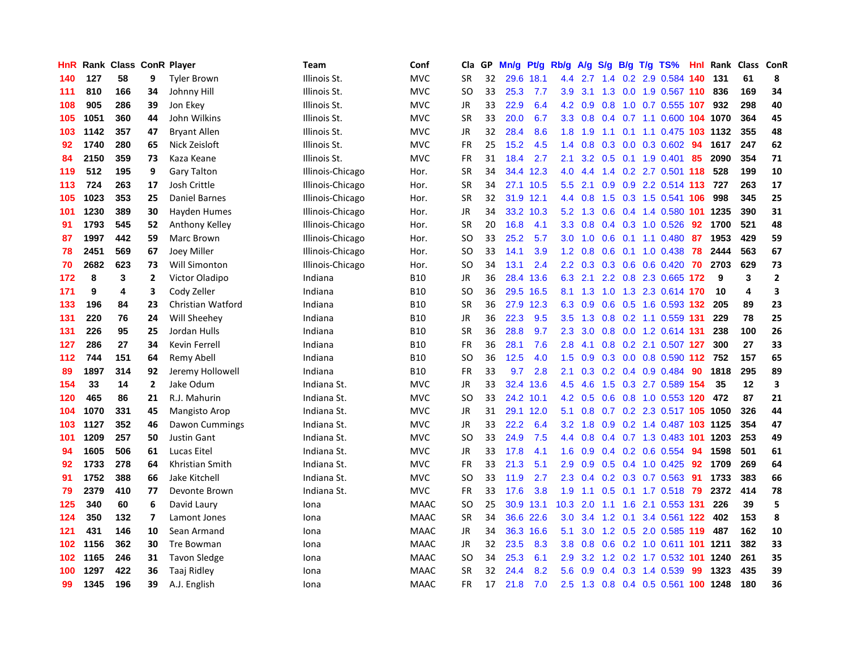| HnR |      | Rank Class ConR Player |                |                      | Team             | Conf        | Cla           | <b>GP</b> | Mn/g      | Pt/g      | Rb/g             | A/g | S/g |  | B/g T/g TS%                    | Hnl | Rank | Class | <b>ConR</b>    |
|-----|------|------------------------|----------------|----------------------|------------------|-------------|---------------|-----------|-----------|-----------|------------------|-----|-----|--|--------------------------------|-----|------|-------|----------------|
| 140 | 127  | 58                     | 9              | <b>Tyler Brown</b>   | Illinois St.     | <b>MVC</b>  | <b>SR</b>     | 32        | 29.6      | 18.1      | 4.4              | 2.7 |     |  | 1.4 0.2 2.9 0.584 140          |     | 131  | 61    | 8              |
| 111 | 810  | 166                    | 34             | Johnny Hill          | Illinois St.     | <b>MVC</b>  | <b>SO</b>     | 33        | 25.3      | 7.7       | 3.9 <sub>2</sub> |     |     |  | 3.1 1.3 0.0 1.9 0.567 110      |     | 836  | 169   | 34             |
| 108 | 905  | 286                    | 39             | Jon Ekey             | Illinois St.     | <b>MVC</b>  | JR            | 33        | 22.9      | 6.4       | 4.2              | 0.9 |     |  | 0.8 1.0 0.7 0.555 107          |     | 932  | 298   | 40             |
| 105 | 1051 | 360                    | 44             | John Wilkins         | Illinois St.     | <b>MVC</b>  | <b>SR</b>     | 33        | 20.0      | 6.7       | 3.3              | 0.8 |     |  | 0.4 0.7 1.1 0.600 104 1070     |     |      | 364   | 45             |
| 103 | 1142 | 357                    | 47             | <b>Bryant Allen</b>  | Illinois St.     | <b>MVC</b>  | JR            | 32        | 28.4      | 8.6       | 1.8              | 1.9 | 1.1 |  | 0.1 1.1 0.475 103 1132         |     |      | 355   | 48             |
| 92  | 1740 | 280                    | 65             | Nick Zeisloft        | Illinois St.     | <b>MVC</b>  | FR            | 25        | 15.2      | 4.5       | 1.4              | 0.8 |     |  | 0.3 0.0 0.3 0.602 94           |     | 1617 | 247   | 62             |
| 84  | 2150 | 359                    | 73             | Kaza Keane           | Illinois St.     | <b>MVC</b>  | <b>FR</b>     | 31        | 18.4      | 2.7       | 2.1              | 3.2 |     |  | 0.5 0.1 1.9 0.401              | 85  | 2090 | 354   | 71             |
| 119 | 512  | 195                    | 9              | <b>Gary Talton</b>   | Illinois-Chicago | Hor.        | <b>SR</b>     | 34        | 34.4      | 12.3      | 4.0              | 4.4 |     |  | 1.4 0.2 2.7 0.501 118          |     | 528  | 199   | 10             |
| 113 | 724  | 263                    | 17             | Josh Crittle         | Illinois-Chicago | Hor.        | <b>SR</b>     | 34        |           | 27.1 10.5 | 5.5              | 2.1 |     |  | 0.9 0.9 2.2 0.514 113 727      |     |      | 263   | 17             |
| 105 | 1023 | 353                    | 25             | Daniel Barnes        | Illinois-Chicago | Hor.        | SR            | 32        | 31.9 12.1 |           | 4.4              |     |     |  | 0.8 1.5 0.3 1.5 0.541 106      |     | 998  | 345   | 25             |
| 101 | 1230 | 389                    | 30             | Hayden Humes         | Illinois-Chicago | Hor.        | JR            | 34        |           | 33.2 10.3 | 5.2              | 1.3 |     |  | 0.6 0.4 1.4 0.580 101 1235     |     |      | 390   | 31             |
| 91  | 1793 | 545                    | 52             | Anthony Kelley       | Illinois-Chicago | Hor.        | <b>SR</b>     | 20        | 16.8      | 4.1       | 3.3 <sub>2</sub> | 0.8 |     |  | $0.4$ 0.3 1.0 0.526            | 92  | 1700 | 521   | 48             |
| 87  | 1997 | 442                    | 59             | Marc Brown           | Illinois-Chicago | Hor.        | <b>SO</b>     | 33        | 25.2      | 5.7       | 3.0              | 1.0 | 0.6 |  | $0.1$ 1.1 0.480                | 87  | 1953 | 429   | 59             |
| 78  | 2451 | 569                    | 67             | Joey Miller          | Illinois-Chicago | Hor.        | SO            | 33        | 14.1      | 3.9       | 1.2              | 0.8 | 0.6 |  | 0.1 1.0 0.438 78               |     | 2444 | 563   | 67             |
| 70  | 2682 | 623                    | 73             | Will Simonton        | Illinois-Chicago | Hor.        | SO            | 34        | 13.1      | 2.4       | 2.2              | 0.3 |     |  | 0.3 0.6 0.6 0.420              | 70  | 2703 | 629   | 73             |
| 172 | 8    | 3                      | $\overline{2}$ | Victor Oladipo       | Indiana          | <b>B10</b>  | JR            | 36        | 28.4      | 13.6      | 6.3              | 2.1 |     |  | 2.2 0.8 2.3 0.665 172          |     | 9    | 3     | $\overline{2}$ |
| 171 | 9    | 4                      | 3              | Cody Zeller          | Indiana          | <b>B10</b>  | <b>SO</b>     | 36        |           | 29.5 16.5 | 8.1              | 1.3 | 1.0 |  | 1.3 2.3 0.614 170              |     | 10   | 4     | 3              |
| 133 | 196  | 84                     | 23             | Christian Watford    | Indiana          | <b>B10</b>  | <b>SR</b>     | 36        |           | 27.9 12.3 | 6.3              | 0.9 |     |  | $0.6$ $0.5$ 1.6 $0.593$ 132    |     | 205  | 89    | 23             |
| 131 | 220  | 76                     | 24             | Will Sheehey         | Indiana          | <b>B10</b>  | JR            | 36        | 22.3      | 9.5       | 3.5              | 1.3 |     |  | 0.8 0.2 1.1 0.559 131          |     | 229  | 78    | 25             |
| 131 | 226  | 95                     | 25             | Jordan Hulls         | Indiana          | <b>B10</b>  | <b>SR</b>     | 36        | 28.8      | 9.7       | 2.3              | 3.0 |     |  | $0.8$ 0.0 1.2 0.614 131        |     | 238  | 100   | 26             |
| 127 | 286  | 27                     | 34             | Kevin Ferrell        | Indiana          | <b>B10</b>  | <b>FR</b>     | 36        | 28.1      | 7.6       | 2.8              | 4.1 |     |  | 0.8 0.2 2.1 0.507 127          |     | 300  | 27    | 33             |
| 112 | 744  | 151                    | 64             | Remy Abell           | Indiana          | <b>B10</b>  | <b>SO</b>     | 36        | 12.5      | 4.0       | 1.5              | 0.9 |     |  | $0.3$ 0.0 0.8 0.590 112        |     | 752  | 157   | 65             |
| 89  | 1897 | 314                    | 92             | Jeremy Hollowell     | Indiana          | <b>B10</b>  | FR            | 33        | 9.7       | 2.8       | 2.1              | 0.3 |     |  | $0.2$ 0.4 0.9 0.484            | 90  | 1818 | 295   | 89             |
| 154 | 33   | 14                     | $\overline{2}$ | Jake Odum            | Indiana St.      | <b>MVC</b>  | JR            | 33        | 32.4      | 13.6      | 4.5              | 4.6 | 1.5 |  | 0.3 2.7 0.589 154              |     | 35   | 12    | 3              |
| 120 | 465  | 86                     | 21             | R.J. Mahurin         | Indiana St.      | <b>MVC</b>  | <sub>SO</sub> | 33        | 24.2      | 10.1      | 4.2              | 0.5 | 0.6 |  | 0.8 1.0 0.553 120              |     | 472  | 87    | 21             |
| 104 | 1070 | 331                    | 45             | <b>Mangisto Arop</b> | Indiana St.      | <b>MVC</b>  | JR            | 31        | 29.1      | 12.0      | 5.1              | 0.8 |     |  | 0.7 0.2 2.3 0.517 105 1050     |     |      | 326   | 44             |
| 103 | 1127 | 352                    | 46             | Dawon Cummings       | Indiana St.      | <b>MVC</b>  | JR            | 33        | 22.2      | 6.4       | 3.2              | 1.8 |     |  | 0.9 0.2 1.4 0.487 103 1125     |     |      | 354   | 47             |
| 101 | 1209 | 257                    | 50             | <b>Justin Gant</b>   | Indiana St.      | <b>MVC</b>  | <b>SO</b>     | 33        | 24.9      | 7.5       | 4.4              | 0.8 |     |  | 0.4 0.7 1.3 0.483 101 1203     |     |      | 253   | 49             |
| 94  | 1605 | 506                    | 61             | Lucas Eitel          | Indiana St.      | <b>MVC</b>  | JR            | 33        | 17.8      | 4.1       | 1.6              | 0.9 |     |  | 0.4 0.2 0.6 0.554 94           |     | 1598 | 501   | 61             |
| 92  | 1733 | 278                    | 64             | Khristian Smith      | Indiana St.      | <b>MVC</b>  | <b>FR</b>     | 33        | 21.3      | 5.1       | 2.9              | 0.9 |     |  | $0.5$ 0.4 1.0 0.425            | 92  | 1709 | 269   | 64             |
| 91  | 1752 | 388                    | 66             | Jake Kitchell        | Indiana St.      | <b>MVC</b>  | <b>SO</b>     | 33        | 11.9      | 2.7       | 2.3              | 0.4 |     |  | 0.2 0.3 0.7 0.563 91           |     | 1733 | 383   | 66             |
| 79  | 2379 | 410                    | 77             | Devonte Brown        | Indiana St.      | <b>MVC</b>  | <b>FR</b>     | 33        | 17.6      | 3.8       | 1.9              | 1.1 |     |  | 0.5 0.1 1.7 0.518              | 79  | 2372 | 414   | 78             |
| 125 | 340  | 60                     | 6              | David Laury          | Iona             | <b>MAAC</b> | <b>SO</b>     | 25        | 30.9      | 13.1      | 10.3             | 2.0 |     |  | 1.1 1.6 2.1 0.553 131          |     | 226  | 39    | 5              |
| 124 | 350  | 132                    | $\overline{7}$ | Lamont Jones         | Iona             | <b>MAAC</b> | <b>SR</b>     | 34        |           | 36.6 22.6 | 3.0 <sub>2</sub> | 3.4 |     |  | 1.2 0.1 3.4 0.561 122          |     | 402  | 153   | 8              |
| 121 | 431  | 146                    | 10             | Sean Armand          | Iona             | <b>MAAC</b> | JR            | 34        |           | 36.3 16.6 | 5.1              |     |     |  | 3.0 1.2 0.5 2.0 0.585 119      |     | 487  | 162   | 10             |
| 102 | 1156 | 362                    | 30             | Tre Bowman           | Iona             | <b>MAAC</b> | JR            | 32        | 23.5      | 8.3       | 3.8              | 0.8 |     |  | 0.6 0.2 1.0 0.611 101 1211     |     |      | 382   | 33             |
| 102 | 1165 | 246                    | 31             | <b>Tavon Sledge</b>  | Iona             | <b>MAAC</b> | <b>SO</b>     | 34        | 25.3      | 6.1       | 2.9              | 3.2 |     |  | 1.2 0.2 1.7 0.532 101 1240     |     |      | 261   | 35             |
| 100 | 1297 | 422                    | 36             | Taaj Ridley          | Iona             | <b>MAAC</b> | <b>SR</b>     | 32        | 24.4      | 8.2       | 5.6              | 0.9 | 0.4 |  | 0.3 1.4 0.539                  | 99  | 1323 | 435   | 39             |
| 99  | 1345 | 196                    | 39             | A.J. English         | Iona             | <b>MAAC</b> | <b>FR</b>     | 17        | 21.8      | 7.0       | 2.5              |     |     |  | 1.3 0.8 0.4 0.5 0.561 100 1248 |     |      | 180   | 36             |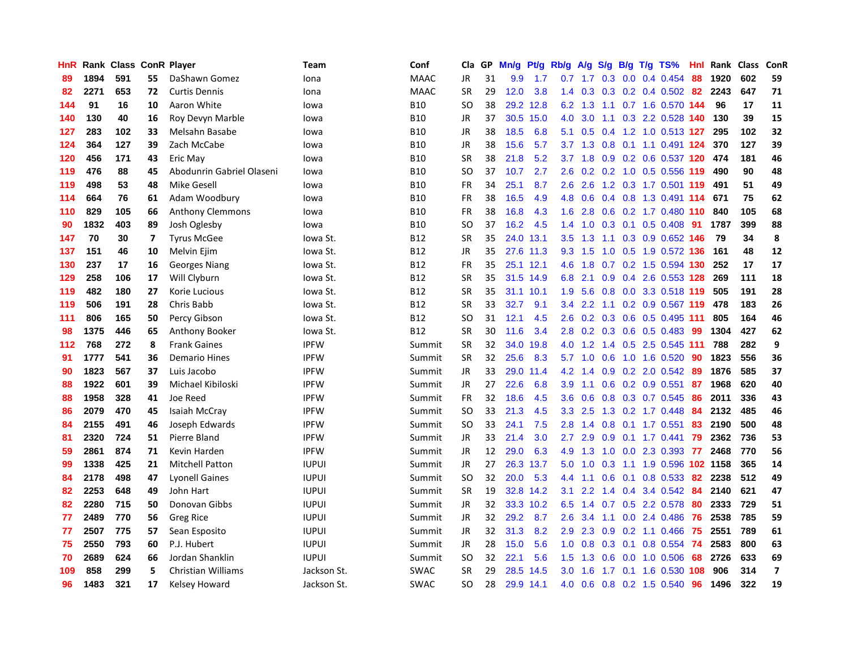| HnR |      | Rank Class ConR Player |    |                           | Team         | Conf        | Cla       | <b>GP</b> | Mn/g      | Pt/g      | Rb/g             | A/g             | S/g           |     | B/g T/g TS%               | Hnl | Rank | <b>Class</b> | ConR                     |
|-----|------|------------------------|----|---------------------------|--------------|-------------|-----------|-----------|-----------|-----------|------------------|-----------------|---------------|-----|---------------------------|-----|------|--------------|--------------------------|
| 89  | 1894 | 591                    | 55 | DaShawn Gomez             | Iona         | <b>MAAC</b> | <b>JR</b> | 31        | 9.9       | 1.7       | 0.7              | 1.7             | 0.3           |     | $0.0$ 0.4 0.454           | 88  | 1920 | 602          | 59                       |
| 82  | 2271 | 653                    | 72 | <b>Curtis Dennis</b>      | Iona         | <b>MAAC</b> | <b>SR</b> | 29        | 12.0      | 3.8       | 1.4              | 0.3             |               |     | $0.3$ 0.2 0.4 0.502 82    |     | 2243 | 647          | 71                       |
| 144 | 91   | 16                     | 10 | Aaron White               | lowa         | <b>B10</b>  | SO        | 38        | 29.2      | 12.8      | 6.2              | 1.3             |               |     | 1.1 0.7 1.6 0.570 144     |     | 96   | 17           | 11                       |
| 140 | 130  | 40                     | 16 | Roy Devyn Marble          | lowa         | <b>B10</b>  | <b>JR</b> | 37        | 30.5      | 15.0      | 4.0              | 3.0             | 1.1           |     | 0.3 2.2 0.528 140         |     | 130  | 39           | 15                       |
| 127 | 283  | 102                    | 33 | Melsahn Basabe            | lowa         | <b>B10</b>  | <b>JR</b> | 38        | 18.5      | 6.8       | 5.1              | 0.5             | $0.4^{\circ}$ |     | 1.2 1.0 0.513 127         |     | 295  | 102          | 32                       |
| 124 | 364  | 127                    | 39 | Zach McCabe               | lowa         | <b>B10</b>  | <b>JR</b> | 38        | 15.6      | 5.7       | 3.7              | 1.3             | 0.8           |     | $0.1$ 1.1 0.491 124       |     | 370  | 127          | 39                       |
| 120 | 456  | 171                    | 43 | Eric May                  | lowa         | <b>B10</b>  | <b>SR</b> | 38        | 21.8      | 5.2       | 3.7              | 1.8             | 0.9           |     | 0.2 0.6 0.537 120         |     | 474  | 181          | 46                       |
| 119 | 476  | 88                     | 45 | Abodunrin Gabriel Olaseni | lowa         | <b>B10</b>  | SO        | 37        | 10.7      | 2.7       | 2.6              | 0.2             |               |     | 0.2 1.0 0.5 0.556 119     |     | 490  | 90           | 48                       |
| 119 | 498  | 53                     | 48 | <b>Mike Gesell</b>        | lowa         | <b>B10</b>  | <b>FR</b> | 34        | 25.1      | 8.7       | 2.6              | 2.6             |               |     | 1.2 0.3 1.7 0.501 119     |     | 491  | 51           | 49                       |
| 114 | 664  | 76                     | 61 | Adam Woodbury             | lowa         | <b>B10</b>  | <b>FR</b> | 38        | 16.5      | 4.9       |                  | 4.8 0.6         |               |     | 0.4 0.8 1.3 0.491 114 671 |     |      | 75           | 62                       |
| 110 | 829  | 105                    | 66 | <b>Anthony Clemmons</b>   | lowa         | <b>B10</b>  | <b>FR</b> | 38        | 16.8      | 4.3       | 1.6              | 2.8             |               |     | 0.6 0.2 1.7 0.480 110     |     | 840  | 105          | 68                       |
| 90  | 1832 | 403                    | 89 | Josh Oglesby              | lowa         | <b>B10</b>  | SO        | 37        | 16.2      | 4.5       | $1.4^{\circ}$    | 1.0             |               |     | 0.3 0.1 0.5 0.408 91      |     | 1787 | 399          | 88                       |
| 147 | 70   | 30                     | 7  | <b>Tyrus McGee</b>        | lowa St.     | <b>B12</b>  | <b>SR</b> | 35        | 24.0      | 13.1      | $3.5^{\circ}$    | 1.3             | 1.1           |     | 0.3 0.9 0.652 146         |     | 79   | 34           | 8                        |
| 137 | 151  | 46                     | 10 | Melvin Ejim               | lowa St.     | B12         | JR        | 35        |           | 27.6 11.3 | 9.3              | 1.5             | 1.0           |     | 0.5 1.9 0.572 136         |     | 161  | 48           | 12                       |
| 130 | 237  | 17                     | 16 | Georges Niang             | lowa St.     | <b>B12</b>  | <b>FR</b> | 35        | 25.1 12.1 |           | 4.6              | 1.8             | 0.7           |     | 0.2 1.5 0.594 130         |     | 252  | 17           | 17                       |
| 129 | 258  | 106                    | 17 | Will Clyburn              | Iowa St.     | B12         | <b>SR</b> | 35        |           | 31.5 14.9 | 6.8              | 2.1             | 0.9           |     | 0.4 2.6 0.553 128         |     | 269  | 111          | 18                       |
| 119 | 482  | 180                    | 27 | Korie Lucious             | Iowa St.     | <b>B12</b>  | <b>SR</b> | 35        | 31.1      | 10.1      | 1.9 <sup>°</sup> | 5.6             | 0.8           |     | 0.0 3.3 0.518 119         |     | 505  | 191          | 28                       |
| 119 | 506  | 191                    | 28 | Chris Babb                | lowa St.     | <b>B12</b>  | <b>SR</b> | 33        | 32.7      | 9.1       | $3.4^{\circ}$    | 2.2             | 1.1           |     | 0.2 0.9 0.567 119         |     | 478  | 183          | 26                       |
| 111 | 806  | 165                    | 50 | Percy Gibson              | Iowa St.     | <b>B12</b>  | <b>SO</b> | 31        | 12.1      | 4.5       | 2.6              |                 |               |     | 0.2 0.3 0.6 0.5 0.495 111 |     | 805  | 164          | 46                       |
| 98  | 1375 | 446                    | 65 | Anthony Booker            | lowa St.     | B12         | <b>SR</b> | 30        | 11.6      | 3.4       | 2.8 <sub>1</sub> | 0.2             |               |     | $0.3$ 0.6 0.5 0.483       | -99 | 1304 | 427          | 62                       |
| 112 | 768  | 272                    | 8  | <b>Frank Gaines</b>       | <b>IPFW</b>  | Summit      | SR        | 32        | 34.0      | 19.8      | 4.0              | 1.2             |               |     | 1.4 0.5 2.5 0.545 111     |     | 788  | 282          | 9                        |
| 91  | 1777 | 541                    | 36 | <b>Demario Hines</b>      | <b>IPFW</b>  | Summit      | <b>SR</b> | 32        | 25.6      | 8.3       | 5.7              | 1.0             | 0.6           |     | 1.0 1.6 0.520             | -90 | 1823 | 556          | 36                       |
| 90  | 1823 | 567                    | 37 | Luis Jacobo               | <b>IPFW</b>  | Summit      | JR        | 33        |           | 29.0 11.4 | 4.2              | 1.4             | 0.9           |     | $0.2$ 2.0 $0.542$         | -89 | 1876 | 585          | 37                       |
| 88  | 1922 | 601                    | 39 | Michael Kibiloski         | <b>IPFW</b>  | Summit      | JR        | 27        | 22.6      | 6.8       | 3.9 <sup>°</sup> | 1.1             | 0.6           |     | $0.2$ 0.9 0.551           | -87 | 1968 | 620          | 40                       |
| 88  | 1958 | 328                    | 41 | Joe Reed                  | <b>IPFW</b>  | Summit      | <b>FR</b> | 32        | 18.6      | 4.5       | 3.6 <sup>°</sup> | 0.6             | 0.8           |     | 0.3 0.7 0.545             | 86  | 2011 | 336          | 43                       |
| 86  | 2079 | 470                    | 45 | Isaiah McCray             | <b>IPFW</b>  | Summit      | SO        | 33        | 21.3      | 4.5       | 3.3 <sub>1</sub> | 2.5             |               |     | 1.3 0.2 1.7 0.448         | -84 | 2132 | 485          | 46                       |
| 84  | 2155 | 491                    | 46 | Joseph Edwards            | <b>IPFW</b>  | Summit      | SO        | 33        | 24.1      | 7.5       | 2.8 <sub>1</sub> |                 |               |     | 1.4 0.8 0.1 1.7 0.551     | -83 | 2190 | 500          | 48                       |
| 81  | 2320 | 724                    | 51 | Pierre Bland              | <b>IPFW</b>  | Summit      | JR        | 33        | 21.4      | 3.0       | $2.7^{\circ}$    | 2.9             |               |     | $0.9$ 0.1 1.7 0.441       | -79 | 2362 | 736          | 53                       |
| 59  | 2861 | 874                    | 71 | Kevin Harden              | <b>IPFW</b>  | Summit      | <b>JR</b> | 12        | 29.0      | 6.3       | 4.9              | 1.3             | 1.0           |     | 0.0 2.3 0.393 77          |     | 2468 | 770          | 56                       |
| 99  | 1338 | 425                    | 21 | <b>Mitchell Patton</b>    | <b>IUPUI</b> | Summit      | <b>JR</b> | 27        | 26.3      | 13.7      | 5.0              | 1.0             | 0.3           |     | 1.1 1.9 0.596 102 1158    |     |      | 365          | 14                       |
| 84  | 2178 | 498                    | 47 | <b>Lyonell Gaines</b>     | <b>IUPUI</b> | Summit      | SO        | 32        | 20.0      | 5.3       | 4.4              | 1.1             | 0.6           |     | $0.1$ 0.8 0.533           | -82 | 2238 | 512          | 49                       |
| 82  | 2253 | 648                    | 49 | John Hart                 | <b>IUPUI</b> | Summit      | <b>SR</b> | 19        | 32.8      | 14.2      | 3.1              | 2.2             | $1.4^{\circ}$ | 0.4 | 3.4 0.542                 | -84 | 2140 | 621          | 47                       |
| 82  | 2280 | 715                    | 50 | Donovan Gibbs             | <b>IUPUI</b> | Summit      | JR        | 32        |           | 33.3 10.2 | 6.5              | 1.4             | 0.7           |     | 0.5 2.2 0.578             | -80 | 2333 | 729          | 51                       |
| 77  | 2489 | 770                    | 56 | Greg Rice                 | <b>IUPUI</b> | Summit      | <b>JR</b> | 32        | 29.2      | 8.7       | 2.6              | 3.4             | 1.1           |     | $0.0$ 2.4 $0.486$         | 76  | 2538 | 785          | 59                       |
| 77  | 2507 | 775                    | 57 | Sean Esposito             | <b>IUPUI</b> | Summit      | JR        | 32        | 31.3      | 8.2       | 2.9 <sup>°</sup> | 2.3             | 0.9           |     | $0.2$ 1.1 $0.466$         | -75 | 2551 | 789          | 61                       |
| 75  | 2550 | 793                    | 60 | P.J. Hubert               | <b>IUPUI</b> | Summit      | JR        | 28        | 15.0      | 5.6       |                  | $1.0 \quad 0.8$ |               |     | $0.3$ 0.1 0.8 0.554       | -74 | 2583 | 800          | 63                       |
| 70  | 2689 | 624                    | 66 | Jordan Shanklin           | <b>IUPUI</b> | Summit      | <b>SO</b> | 32        | 22.1      | 5.6       | 1.5              | 1.3             | 0.6           |     | 0.0 1.0 0.506             | -68 | 2726 | 633          | 69                       |
| 109 | 858  | 299                    | 5  | <b>Christian Williams</b> | Jackson St.  | <b>SWAC</b> | <b>SR</b> | 29        | 28.5      | 14.5      | 3.0              | 1.6             | $1.7^{\circ}$ |     | $0.1$ 1.6 0.530           | 108 | 906  | 314          | $\overline{\phantom{a}}$ |
| 96  | 1483 | 321                    | 17 | Kelsey Howard             | Jackson St.  | <b>SWAC</b> | SO        | 28        | 29.9 14.1 |           | 4.0              | 0.6             |               |     | 0.8 0.2 1.5 0.540         | 96  | 1496 | 322          | 19                       |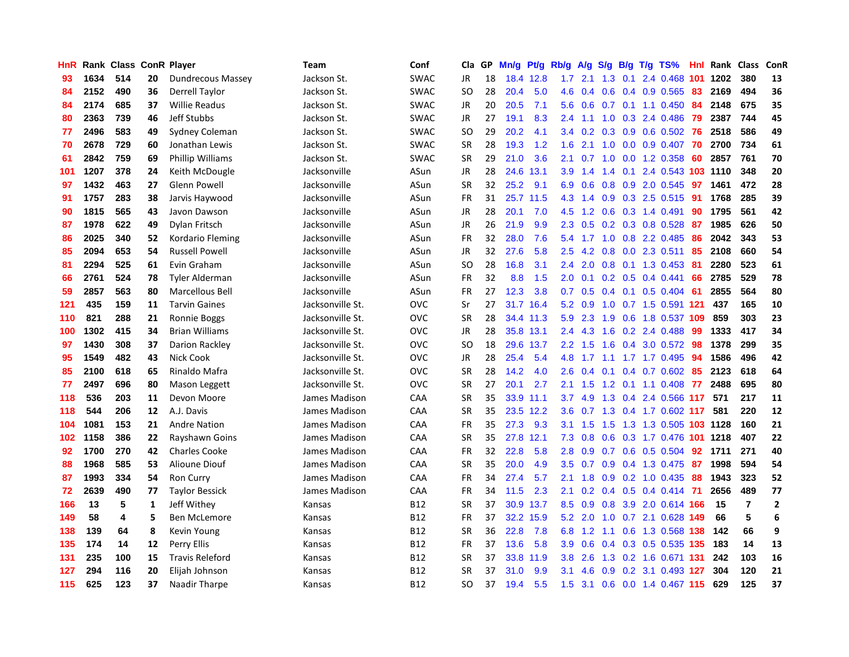| HnR |      | Rank Class |              | <b>ConR Player</b>       | Team             | Conf        | Cla.          | <b>GP</b> | Mn/g | <b>Pt/g</b> | Rb/g             | A/g     | S/g              | B/g             | $T/g$ TS%                     | Hnl | Rank | <b>Class</b>   | <b>ConR</b>    |
|-----|------|------------|--------------|--------------------------|------------------|-------------|---------------|-----------|------|-------------|------------------|---------|------------------|-----------------|-------------------------------|-----|------|----------------|----------------|
| 93  | 1634 | 514        | 20           | <b>Dundrecous Massey</b> | Jackson St.      | <b>SWAC</b> | <b>JR</b>     | 18        |      | 18.4 12.8   | 1.7 <sub>z</sub> | 2.1     |                  | $1.3 \quad 0.1$ | 2.4 0.468 101                 |     | 1202 | 380            | 13             |
| 84  | 2152 | 490        | 36           | Derrell Taylor           | Jackson St.      | <b>SWAC</b> | <sub>SO</sub> | 28        | 20.4 | 5.0         | 4.6              | 0.4     |                  |                 | 0.6 0.4 0.9 0.565 83          |     | 2169 | 494            | 36             |
| 84  | 2174 | 685        | 37           | <b>Willie Readus</b>     | Jackson St.      | <b>SWAC</b> | <b>JR</b>     | 20        | 20.5 | 7.1         | 5.6              | 0.6     |                  |                 | $0.7$ $0.1$ $1.1$ $0.450$     | -84 | 2148 | 675            | 35             |
| 80  | 2363 | 739        | 46           | Jeff Stubbs              | Jackson St.      | <b>SWAC</b> | JR            | 27        | 19.1 | 8.3         | $2.4^{\circ}$    | 1.1     | 1.0              |                 | $0.3$ 2.4 0.486               | -79 | 2387 | 744            | 45             |
| 77  | 2496 | 583        | 49           | Sydney Coleman           | Jackson St.      | <b>SWAC</b> | <b>SO</b>     | 29        | 20.2 | 4.1         | 3.4              | 0.2     | 0.3              |                 | 0.9 0.6 0.502                 | -76 | 2518 | 586            | 49             |
| 70  | 2678 | 729        | 60           | Jonathan Lewis           | Jackson St.      | <b>SWAC</b> | <b>SR</b>     | 28        | 19.3 | 1.2         | 1.6              | 2.1     |                  |                 | 1.0 0.0 0.9 0.407             | 70  | 2700 | 734            | 61             |
| 61  | 2842 | 759        | 69           | Phillip Williams         | Jackson St.      | <b>SWAC</b> | <b>SR</b>     | 29        | 21.0 | 3.6         | 2.1              | 0.7     | 1.0              |                 | 0.0 1.2 0.358                 | 60  | 2857 | 761            | 70             |
| 101 | 1207 | 378        | 24           | Keith McDougle           | Jacksonville     | ASun        | JR            | 28        | 24.6 | 13.1        | 3.9 <sup>°</sup> | 1.4     | $1.4^{\circ}$    | 0.1             | 2.4 0.543 103 1110            |     |      | 348            | 20             |
| 97  | 1432 | 463        | 27           | <b>Glenn Powell</b>      | Jacksonville     | ASun        | <b>SR</b>     | 32        | 25.2 | 9.1         | 6.9              | 0.6     | 0.8              |                 | 0.9 2.0 0.545                 | 97  | 1461 | 472            | 28             |
| 91  | 1757 | 283        | 38           | Jarvis Haywood           | Jacksonville     | ASun        | <b>FR</b>     | 31        |      | 25.7 11.5   |                  |         |                  |                 | 4.3 1.4 0.9 0.3 2.5 0.515 91  |     | 1768 | 285            | 39             |
| 90  | 1815 | 565        | 43           | Javon Dawson             | Jacksonville     | ASun        | JR            | 28        | 20.1 | 7.0         | 4.5              | 1.2     |                  |                 | 0.6 0.3 1.4 0.491 90          |     | 1795 | 561            | 42             |
| 87  | 1978 | 622        | 49           | Dylan Fritsch            | Jacksonville     | ASun        | JR            | 26        | 21.9 | 9.9         | 2.3              | 0.5     |                  |                 | $0.2$ 0.3 0.8 0.528           | -87 | 1985 | 626            | 50             |
| 86  | 2025 | 340        | 52           | Kordario Fleming         | Jacksonville     | ASun        | <b>FR</b>     | 32        | 28.0 | 7.6         | 5.4              | 1.7     | 1.0              |                 | 0.8 2.2 0.485                 | -86 | 2042 | 343            | 53             |
| 85  | 2094 | 653        | 54           | <b>Russell Powell</b>    | Jacksonville     | ASun        | JR            | 32        | 27.6 | 5.8         | $2.5^{\circ}$    | 4.2     | 0.8              |                 | $0.0$ 2.3 0.511               | -85 | 2108 | 660            | 54             |
| 81  | 2294 | 525        | 61           | Evin Graham              | Jacksonville     | ASun        | <b>SO</b>     | 28        | 16.8 | 3.1         | $2.4^{\circ}$    | 2.0     | 0.8              |                 | $0.1$ 1.3 0.453               | -81 | 2280 | 523            | 61             |
| 66  | 2761 | 524        | 78           | Tyler Alderman           | Jacksonville     | ASun        | <b>FR</b>     | 32        | 8.8  | 1.5         | 2.0              | 0.1     |                  |                 | $0.2$ 0.5 0.4 0.441           | 66  | 2785 | 529            | 78             |
| 59  | 2857 | 563        | 80           | Marcellous Bell          | Jacksonville     | ASun        | <b>FR</b>     | 27        | 12.3 | 3.8         | 0.7              | 0.5     | 0.4              | 0.1             | $0.5$ 0.404                   | -61 | 2855 | 564            | 80             |
| 121 | 435  | 159        | 11           | <b>Tarvin Gaines</b>     | Jacksonville St. | <b>OVC</b>  | Sr            | 27        | 31.7 | 16.4        | 5.2              | 0.9     |                  |                 | 1.0 0.7 1.5 0.591 121         |     | 437  | 165            | 10             |
| 110 | 821  | 288        | 21           | Ronnie Boggs             | Jacksonville St. | <b>OVC</b>  | <b>SR</b>     | 28        |      | 34.4 11.3   |                  | 5.9 2.3 |                  |                 | 1.9 0.6 1.8 0.537 109         |     | 859  | 303            | 23             |
| 100 | 1302 | 415        | 34           | <b>Brian Williams</b>    | Jacksonville St. | <b>OVC</b>  | JR            | 28        |      | 35.8 13.1   | $2.4^{\circ}$    | 4.3     |                  |                 | 1.6 0.2 2.4 0.488             | -99 | 1333 | 417            | 34             |
| 97  | 1430 | 308        | 37           | Darion Rackley           | Jacksonville St. | OVC         | SO            | 18        | 29.6 | 13.7        | $2.2^{\circ}$    | 1.5     | 1.6              |                 | 0.4 3.0 0.572 98              |     | 1378 | 299            | 35             |
| 95  | 1549 | 482        | 43           | Nick Cook                | Jacksonville St. | <b>OVC</b>  | JR            | 28        | 25.4 | 5.4         | 4.8              | 1.7     | 1.1              |                 | 1.7 1.7 0.495                 | -94 | 1586 | 496            | 42             |
| 85  | 2100 | 618        | 65           | Rinaldo Mafra            | Jacksonville St. | <b>OVC</b>  | <b>SR</b>     | 28        | 14.2 | 4.0         | 2.6              | 0.4     |                  |                 | $0.1$ 0.4 0.7 0.602 85        |     | 2123 | 618            | 64             |
| 77  | 2497 | 696        | 80           | Mason Leggett            | Jacksonville St. | <b>OVC</b>  | <b>SR</b>     | 27        | 20.1 | 2.7         | 2.1              | 1.5     | 1.2              |                 | $0.1$ 1.1 0.408               | 77  | 2488 | 695            | 80             |
| 118 | 536  | 203        | 11           | Devon Moore              | James Madison    | CAA         | <b>SR</b>     | 35        | 33.9 | 11.1        | 3.7              | 4.9     | 1.3              |                 | 0.4 2.4 0.566 117             |     | 571  | 217            | 11             |
| 118 | 544  | 206        | 12           | A.J. Davis               | James Madison    | CAA         | <b>SR</b>     | 35        |      | 23.5 12.2   | 3.6              | 0.7     |                  |                 | 1.3 0.4 1.7 0.602 117         |     | 581  | 220            | 12             |
| 104 | 1081 | 153        | 21           | <b>Andre Nation</b>      | James Madison    | CAA         | <b>FR</b>     | 35        | 27.3 | 9.3         | 3.1              | 1.5     |                  |                 | 1.5 1.3 1.3 0.505 103 1128    |     |      | 160            | 21             |
| 102 | 1158 | 386        | 22           | Rayshawn Goins           | James Madison    | CAA         | <b>SR</b>     | 35        | 27.8 | 12.1        | 7.3              | 0.8     |                  |                 | 0.6 0.3 1.7 0.476 101 1218    |     |      | 407            | 22             |
| 92  | 1700 | 270        | 42           | <b>Charles Cooke</b>     | James Madison    | CAA         | <b>FR</b>     | 32        | 22.8 | 5.8         | 2.8              | 0.9     |                  |                 | 0.7 0.6 0.5 0.504 92          |     | 1711 | 271            | 40             |
| 88  | 1968 | 585        | 53           | Alioune Diouf            | James Madison    | CAA         | <b>SR</b>     | 35        | 20.0 | 4.9         | 3.5              | 0.7     | 0.9 <sup>°</sup> |                 | 0.4 1.3 0.475                 | -87 | 1998 | 594            | 54             |
| 87  | 1993 | 334        | 54           | <b>Ron Curry</b>         | James Madison    | CAA         | <b>FR</b>     | 34        | 27.4 | 5.7         | 2.1              | 1.8     | 0.9              |                 | 0.2 1.0 0.435                 | -88 | 1943 | 323            | 52             |
| 72  | 2639 | 490        | 77           | <b>Taylor Bessick</b>    | James Madison    | CAA         | <b>FR</b>     | 34        | 11.5 | 2.3         | 2.1              | 0.2     |                  |                 | $0.4$ 0.5 0.4 0.414           | 71  | 2656 | 489            | 77             |
| 166 | 13   | 5          | $\mathbf{1}$ | Jeff Withey              | Kansas           | B12         | <b>SR</b>     | 37        | 30.9 | 13.7        | 8.5              | 0.9     | 0.8              |                 | 3.9 2.0 0.614 166             |     | 15   | $\overline{7}$ | $\overline{2}$ |
| 149 | 58   | 4          | 5            | Ben McLemore             | Kansas           | <b>B12</b>  | <b>FR</b>     | 37        | 32.2 | 15.9        | 5.2              | 2.0     | 1.0              |                 | 0.7 2.1 0.628 149             |     | 66   | 5              | $\bf 6$        |
| 138 | 139  | 64         | 8            | Kevin Young              | Kansas           | <b>B12</b>  | <b>SR</b>     | 36        | 22.8 | 7.8         | 6.8              |         |                  |                 | 1.2 1.1 0.6 1.3 0.568 138 142 |     |      | 66             | 9              |
| 135 | 174  | 14         | 12           | <b>Perry Ellis</b>       | Kansas           | <b>B12</b>  | <b>FR</b>     | 37        | 13.6 | 5.8         | 3.9 <sup>°</sup> | 0.6     |                  |                 | 0.4 0.3 0.5 0.535 135         |     | 183  | 14             | 13             |
| 131 | 235  | 100        | 15           | <b>Travis Releford</b>   | Kansas           | B12         | <b>SR</b>     | 37        | 33.8 | 11.9        | 3.8 <sub>2</sub> | 2.6     |                  |                 | 1.3 0.2 1.6 0.671 131         |     | 242  | 103            | 16             |
| 127 | 294  | 116        | 20           | Elijah Johnson           | Kansas           | <b>B12</b>  | <b>SR</b>     | 37        | 31.0 | 9.9         | 3.1              | 4.6     | 0.9              |                 | 0.2 3.1 0.493 127             |     | 304  | 120            | 21             |
| 115 | 625  | 123        | 37           | Naadir Tharpe            | Kansas           | B12         | SO            | 37        | 19.4 | 5.5         | 1.5              |         |                  |                 | 3.1 0.6 0.0 1.4 0.467 115     |     | 629  | 125            | 37             |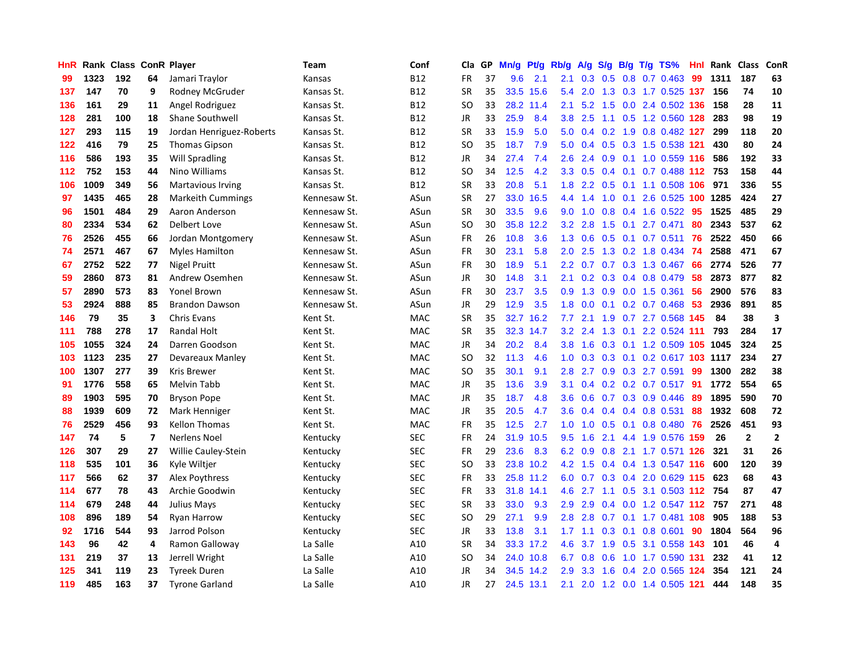| HnR |      | Rank Class ConR Player |                         |                          | Team         | Conf            | Cla           | <b>GP</b> | Mn/g | <b>Pt/g</b> | Rb/g             | A/g    | S/g              |     | B/g T/g TS%                  | Hnl | Rank | Class        | <b>ConR</b>    |
|-----|------|------------------------|-------------------------|--------------------------|--------------|-----------------|---------------|-----------|------|-------------|------------------|--------|------------------|-----|------------------------------|-----|------|--------------|----------------|
| 99  | 1323 | 192                    | 64                      | Jamari Traylor           | Kansas       | <b>B12</b>      | FR            | 37        | 9.6  | 2.1         | 2.1              | 0.3    | 0.5              |     | 0.8 0.7 0.463                | -99 | 1311 | 187          | 63             |
| 137 | 147  | 70                     | 9                       | Rodney McGruder          | Kansas St.   | B <sub>12</sub> | <b>SR</b>     | 35        | 33.5 | 15.6        | 5.4              | 2.0    |                  |     | 1.3 0.3 1.7 0.525 137 156    |     |      | 74           | 10             |
| 136 | 161  | 29                     | 11                      | Angel Rodriguez          | Kansas St.   | B12             | <sub>SO</sub> | 33        | 28.2 | 11.4        | 2.1              | 5.2    |                  |     | 1.5 0.0 2.4 0.502 136 158    |     |      | 28           | 11             |
| 128 | 281  | 100                    | 18                      | <b>Shane Southwell</b>   | Kansas St.   | <b>B12</b>      | <b>JR</b>     | 33        | 25.9 | 8.4         | 3.8              | 2.5    |                  |     | 1.1 0.5 1.2 0.560 128        |     | 283  | 98           | 19             |
| 127 | 293  | 115                    | 19                      | Jordan Henriguez-Roberts | Kansas St.   | <b>B12</b>      | <b>SR</b>     | 33        | 15.9 | 5.0         | 5.0              | 0.4    | 0.2              |     | 1.9 0.8 0.482 127            |     | 299  | 118          | 20             |
| 122 | 416  | 79                     | 25                      | <b>Thomas Gipson</b>     | Kansas St.   | B12             | <sub>SO</sub> | 35        | 18.7 | 7.9         | 5.0              | 0.4    |                  |     | 0.5 0.3 1.5 0.538 121        |     | 430  | 80           | 24             |
| 116 | 586  | 193                    | 35                      | Will Spradling           | Kansas St.   | <b>B12</b>      | JR            | 34        | 27.4 | 7.4         | 2.6              | 2.4    | 0.9 <sub>0</sub> |     | $0.1$ 1.0 0.559 116          |     | 586  | 192          | 33             |
| 112 | 752  | 153                    | 44                      | Nino Williams            | Kansas St.   | <b>B12</b>      | <b>SO</b>     | 34        | 12.5 | 4.2         | 3.3              | 0.5    | 0.4              | 0.1 | 0.7 0.488 112 753            |     |      | 158          | 44             |
| 106 | 1009 | 349                    | 56                      | <b>Martavious Irving</b> | Kansas St.   | <b>B12</b>      | <b>SR</b>     | 33        | 20.8 | 5.1         | 1.8              | 2.2    | 0.5              |     | 0.1 1.1 0.508 106 971        |     |      | 336          | 55             |
| 97  | 1435 | 465                    | 28                      | <b>Markeith Cummings</b> | Kennesaw St. | ASun            | <b>SR</b>     | 27        |      | 33.0 16.5   | 4.4              | 1.4    |                  |     | 1.0 0.1 2.6 0.525 100 1285   |     |      | 424          | 27             |
| 96  | 1501 | 484                    | 29                      | Aaron Anderson           | Kennesaw St. | ASun            | <b>SR</b>     | 30        | 33.5 | 9.6         | 9.0              | 1.0    |                  |     | 0.8 0.4 1.6 0.522 95         |     | 1525 | 485          | 29             |
| 80  | 2334 | 534                    | 62                      | Delbert Love             | Kennesaw St. | ASun            | <b>SO</b>     | 30        | 35.8 | 12.2        | 3.2              | 2.8    | 1.5              | 0.1 | 2.7 0.471                    | 80  | 2343 | 537          | 62             |
| 76  | 2526 | 455                    | 66                      | Jordan Montgomery        | Kennesaw St. | ASun            | FR            | 26        | 10.8 | 3.6         | 1.3              | 0.6    | 0.5              |     | $0.1$ 0.7 0.511              | 76  | 2522 | 450          | 66             |
| 74  | 2571 | 467                    | 67                      | <b>Myles Hamilton</b>    | Kennesaw St. | ASun            | FR            | 30        | 23.1 | 5.8         | 2.0              | 2.5    |                  |     | 1.3 0.2 1.8 0.434            | -74 | 2588 | 471          | 67             |
| 67  | 2752 | 522                    | 77                      | Nigel Pruitt             | Kennesaw St. | ASun            | <b>FR</b>     | 30        | 18.9 | 5.1         | 2.2              | 0.7    | 0.7              |     | 0.3 1.3 0.467                | 66  | 2774 | 526          | 77             |
| 59  | 2860 | 873                    | 81                      | Andrew Osemhen           | Kennesaw St. | ASun            | JR            | 30        | 14.8 | 3.1         | 2.1              | 0.2    | 0.3              |     | 0.4 0.8 0.479                | 58  | 2873 | 877          | 82             |
| 57  | 2890 | 573                    | 83                      | <b>Yonel Brown</b>       | Kennesaw St. | ASun            | <b>FR</b>     | 30        | 23.7 | 3.5         | 0.9              | 1.3    | 0.9 <sub>0</sub> |     | $0.0$ 1.5 $0.361$            | 56  | 2900 | 576          | 83             |
| 53  | 2924 | 888                    | 85                      | <b>Brandon Dawson</b>    | Kennesaw St. | ASun            | JR            | 29        | 12.9 | 3.5         | 1.8              | 0.0    |                  |     | $0.1$ 0.2 0.7 0.468          | 53  | 2936 | 891          | 85             |
| 146 | 79   | 35                     | 3                       | <b>Chris Evans</b>       | Kent St.     | <b>MAC</b>      | <b>SR</b>     | 35        |      | 32.7 16.2   | 7.7              | 2.1    |                  |     | 1.9 0.7 2.7 0.568 145        |     | 84   | 38           | 3              |
| 111 | 788  | 278                    | 17                      | Randal Holt              | Kent St.     | <b>MAC</b>      | <b>SR</b>     | 35        | 32.3 | 14.7        | 3.2              | 2.4    | 1.3              |     | $0.1$ 2.2 0.524 111          |     | 793  | 284          | 17             |
| 105 | 1055 | 324                    | 24                      | Darren Goodson           | Kent St.     | <b>MAC</b>      | <b>JR</b>     | 34        | 20.2 | 8.4         | 3.8              | 1.6    | 0.3              |     | 0.1 1.2 0.509 105 1045       |     |      | 324          | 25             |
| 103 | 1123 | 235                    | 27                      | Devareaux Manley         | Kent St.     | <b>MAC</b>      | <b>SO</b>     | 32        | 11.3 | 4.6         | 1.0              | 0.3    |                  |     | 0.3 0.1 0.2 0.617 103 1117   |     |      | 234          | 27             |
| 100 | 1307 | 277                    | 39                      | <b>Kris Brewer</b>       | Kent St.     | MAC             | <b>SO</b>     | 35        | 30.1 | 9.1         | 2.8              | 2.7    | 0.9 <sub>0</sub> |     | 0.3 2.7 0.591                | 99  | 1300 | 282          | 38             |
| 91  | 1776 | 558                    | 65                      | Melvin Tabb              | Kent St.     | <b>MAC</b>      | JR            | 35        | 13.6 | 3.9         | 3.1              | 0.4    |                  |     | $0.2$ 0.2 0.7 0.517          | -91 | 1772 | 554          | 65             |
| 89  | 1903 | 595                    | 70                      | <b>Bryson Pope</b>       | Kent St.     | <b>MAC</b>      | <b>JR</b>     | 35        | 18.7 | 4.8         | 3.6              | 0.6    |                  |     | 0.7 0.3 0.9 0.446            | 89  | 1895 | 590          | 70             |
| 88  | 1939 | 609                    | 72                      | Mark Henniger            | Kent St.     | <b>MAC</b>      | JR            | 35        | 20.5 | 4.7         | 3.6              | 0.4    |                  |     | $0.4$ 0.4 0.8 0.531          | 88  | 1932 | 608          | 72             |
| 76  | 2529 | 456                    | 93                      | <b>Kellon Thomas</b>     | Kent St.     | <b>MAC</b>      | <b>FR</b>     | 35        | 12.5 | 2.7         | 1.0 <sub>1</sub> | $-1.0$ |                  |     | 0.5 0.1 0.8 0.480 76         |     | 2526 | 451          | 93             |
| 147 | 74   | 5                      | $\overline{\mathbf{z}}$ | <b>Nerlens Noel</b>      | Kentucky     | <b>SEC</b>      | FR            | 24        | 31.9 | 10.5        | 9.5              | 1.6    | 2.1              |     | 4.4 1.9 0.576 159            |     | 26   | $\mathbf{2}$ | $\overline{2}$ |
| 126 | 307  | 29                     | 27                      | Willie Cauley-Stein      | Kentucky     | <b>SEC</b>      | <b>FR</b>     | 29        | 23.6 | 8.3         | 6.2              | 0.9    | 0.8              |     | 2.1 1.7 0.571 126            |     | 321  | 31           | 26             |
| 118 | 535  | 101                    | 36                      | Kyle Wiltjer             | Kentucky     | <b>SEC</b>      | <b>SO</b>     | 33        |      | 23.8 10.2   | 4.2              | 1.5    |                  |     | 0.4 0.4 1.3 0.547 116        |     | 600  | 120          | 39             |
| 117 | 566  | 62                     | 37                      | Alex Poythress           | Kentucky     | <b>SEC</b>      | FR            | 33        |      | 25.8 11.2   | 6.0              | 0.7    |                  |     | 0.3 0.4 2.0 0.629 115        |     | 623  | 68           | 43             |
| 114 | 677  | 78                     | 43                      | Archie Goodwin           | Kentucky     | <b>SEC</b>      | <b>FR</b>     | 33        | 31.8 | 14.1        | 4.6              | 2.7    |                  |     | 1.1 0.5 3.1 0.503 112 754    |     |      | 87           | 47             |
| 114 | 679  | 248                    | 44                      | <b>Julius Mays</b>       | Kentucky     | <b>SEC</b>      | <b>SR</b>     | 33        | 33.0 | 9.3         | 2.9              | 2.9    | $0.4^{\circ}$    |     | 0.0 1.2 0.547 112 757        |     |      | 271          | 48             |
| 108 | 896  | 189                    | 54                      | <b>Ryan Harrow</b>       | Kentucky     | <b>SEC</b>      | <sub>SO</sub> | 29        | 27.1 | 9.9         | 2.8              | 2.8    |                  |     | 0.7 0.1 1.7 0.481 108        |     | 905  | 188          | 53             |
| 92  | 1716 | 544                    | 93                      | Jarrod Polson            | Kentucky     | <b>SEC</b>      | <b>JR</b>     | 33        | 13.8 | 3.1         |                  |        |                  |     | 1.7 1.1 0.3 0.1 0.8 0.601 90 |     | 1804 | 564          | 96             |
| 143 | 96   | 42                     | 4                       | Ramon Galloway           | La Salle     | A10             | <b>SR</b>     | 34        |      | 33.3 17.2   | 4.6              |        |                  |     | 3.7 1.9 0.5 3.1 0.558 143    |     | 101  | 46           | $\overline{4}$ |
| 131 | 219  | 37                     | 13                      | Jerrell Wright           | La Salle     | A10             | <sub>SO</sub> | 34        |      | 24.0 10.8   | 6.7              | 0.8    | 0.6              |     | 1.0 1.7 0.590                | 131 | 232  | 41           | 12             |
| 125 | 341  | 119                    | 23                      | <b>Tyreek Duren</b>      | La Salle     | A10             | JR            | 34        | 34.5 | 14.2        | 2.9              | 3.3    | 1.6              | 0.4 | 2.0 0.565                    | 124 | 354  | 121          | 24             |
| 119 | 485  | 163                    | 37                      | <b>Tyrone Garland</b>    | La Salle     | A10             | <b>JR</b>     | 27        |      | 24.5 13.1   | 2.1              |        |                  |     | 2.0 1.2 0.0 1.4 0.505 121    |     | 444  | 148          | 35             |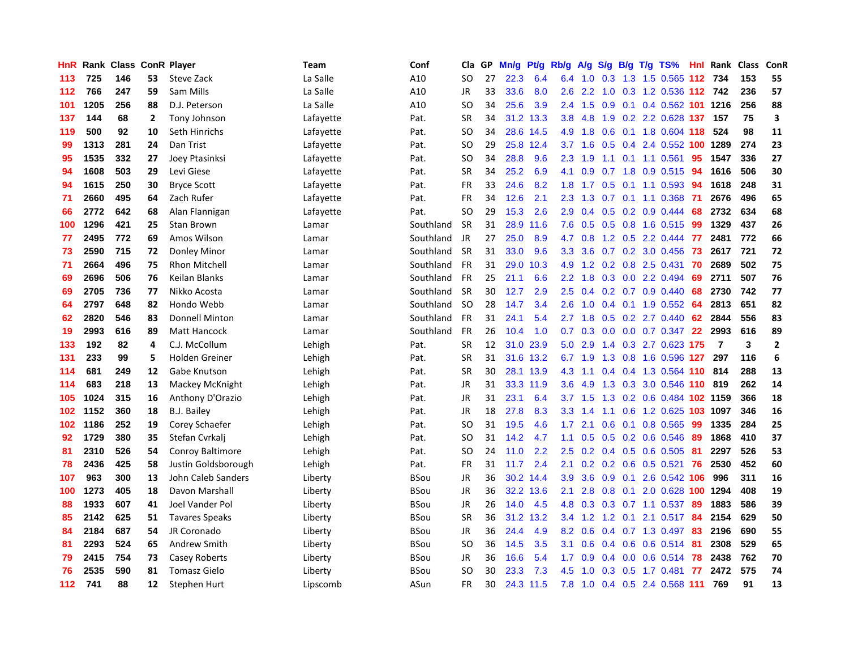| <b>HnR</b> |      | Rank Class |              | <b>ConR Player</b>      | <b>Team</b> | Conf        | Cla       | GP | Mn/g | Pt/g      | Rb/g             | A/g |               |     | S/g B/g T/g TS%               |     | Hnl Rank       | <b>Class</b> | ConR                    |
|------------|------|------------|--------------|-------------------------|-------------|-------------|-----------|----|------|-----------|------------------|-----|---------------|-----|-------------------------------|-----|----------------|--------------|-------------------------|
| 113        | 725  | 146        | 53           | Steve Zack              | La Salle    | A10         | SO        | 27 | 22.3 | 6.4       | 6.4              |     |               |     | 1.0 0.3 1.3 1.5 0.565 112 734 |     |                | 153          | 55                      |
| 112        | 766  | 247        | 59           | Sam Mills               | La Salle    | A10         | <b>JR</b> | 33 | 33.6 | 8.0       | 2.6              | 2.2 |               |     | 1.0 0.3 1.2 0.536 112 742     |     |                | 236          | 57                      |
| 101        | 1205 | 256        | 88           | D.J. Peterson           | La Salle    | A10         | SO        | 34 | 25.6 | 3.9       | $2.4^{\circ}$    | 1.5 | 0.9           |     | 0.1 0.4 0.562 101 1216        |     |                | 256          | 88                      |
| 137        | 144  | 68         | $\mathbf{2}$ | Tony Johnson            | Lafayette   | Pat.        | <b>SR</b> | 34 | 31.2 | 13.3      | 3.8 <sub>2</sub> | 4.8 | 1.9           |     | 0.2 2.2 0.628 137             |     | 157            | 75           | $\overline{\mathbf{3}}$ |
| 119        | 500  | 92         | 10           | Seth Hinrichs           | Lafayette   | Pat.        | SO        | 34 |      | 28.6 14.5 | 4.9              | 1.8 | 0.6           |     | 0.1 1.8 0.604 118             |     | 524            | 98           | 11                      |
| 99         | 1313 | 281        | 24           | Dan Trist               | Lafayette   | Pat.        | SO        | 29 | 25.8 | 12.4      | 3.7              | 1.6 | 0.5           |     | 0.4 2.4 0.552 100             |     | 1289           | 274          | 23                      |
| 95         | 1535 | 332        | 27           | Joey Ptasinksi          | Lafayette   | Pat.        | SO        | 34 | 28.8 | 9.6       | $2.3^{\circ}$    | 1.9 |               |     | 1.1 0.1 1.1 0.561             | 95  | 1547           | 336          | 27                      |
| 94         | 1608 | 503        | 29           | Levi Giese              | Lafayette   | Pat.        | <b>SR</b> | 34 | 25.2 | 6.9       | 4.1              | 0.9 |               |     | $0.7$ 1.8 0.9 0.515           | -94 | 1616           | 506          | 30                      |
| 94         | 1615 | 250        | 30           | <b>Bryce Scott</b>      | Lafayette   | Pat.        | <b>FR</b> | 33 | 24.6 | 8.2       | 1.8              | 1.7 |               |     | 0.5 0.1 1.1 0.593 94          |     | 1618           | 248          | 31                      |
| 71         | 2660 | 495        | 64           | Zach Rufer              | Lafayette   | Pat.        | <b>FR</b> | 34 | 12.6 | 2.1       | 2.3              |     |               |     | 1.3 0.7 0.1 1.1 0.368 71      |     | 2676           | 496          | 65                      |
| 66         | 2772 | 642        | 68           | Alan Flannigan          | Lafayette   | Pat.        | SO        | 29 | 15.3 | 2.6       | 2.9 <sup>°</sup> | 0.4 |               |     | $0.5$ 0.2 0.9 0.444           | -68 | 2732           | 634          | 68                      |
| 100        | 1296 | 421        | 25           | Stan Brown              | Lamar       | Southland   | <b>SR</b> | 31 | 28.9 | 11.6      | 7.6              | 0.5 |               |     | $0.5$ 0.8 1.6 0.515           | -99 | 1329           | 437          | 26                      |
| 77         | 2495 | 772        | 69           | Amos Wilson             | Lamar       | Southland   | JR        | 27 | 25.0 | 8.9       | 4.7              | 0.8 |               |     | 1.2 0.5 2.2 0.444             | 77  | 2481           | 772          | 66                      |
| 73         | 2590 | 715        | 72           | Donley Minor            | Lamar       | Southland   | <b>SR</b> | 31 | 33.0 | 9.6       | 3.3 <sub>2</sub> | 3.6 |               |     | 0.7 0.2 3.0 0.456             | 73  | 2617           | 721          | 72                      |
| 71         | 2664 | 496        | 75           | Rhon Mitchell           | Lamar       | Southland   | <b>FR</b> | 31 | 29.0 | 10.3      | 4.9              | 1.2 |               |     | $0.2$ 0.8 2.5 0.431           | 70  | 2689           | 502          | 75                      |
| 69         | 2696 | 506        | 76           | <b>Keilan Blanks</b>    | Lamar       | Southland   | <b>FR</b> | 25 | 21.1 | 6.6       | $2.2^{\circ}$    | 1.8 | 0.3           |     | 0.0 2.2 0.494                 | 69  | 2711           | 507          | 76                      |
| 69         | 2705 | 736        | 77           | Nikko Acosta            | Lamar       | Southland   | <b>SR</b> | 30 | 12.7 | 2.9       | $2.5^{\circ}$    | 0.4 |               |     | $0.2$ 0.7 0.9 0.440           | 68  | 2730           | 742          | 77                      |
| 64         | 2797 | 648        | 82           | Hondo Webb              | Lamar       | Southland   | SO.       | 28 | 14.7 | 3.4       | 2.6              | 1.0 |               |     | $0.4$ 0.1 1.9 0.552           | -64 | 2813           | 651          | 82                      |
| 62         | 2820 | 546        | 83           | <b>Donnell Minton</b>   | Lamar       | Southland   | <b>FR</b> | 31 | 24.1 | 5.4       | 2.7              | 1.8 |               |     | $0.5$ $0.2$ $2.7$ $0.440$     | 62  | 2844           | 556          | 83                      |
| 19         | 2993 | 616        | 89           | <b>Matt Hancock</b>     | Lamar       | Southland   | <b>FR</b> | 26 | 10.4 | 1.0       | 0.7              | 0.3 |               |     | $0.0$ $0.0$ $0.7$ $0.347$     | 22  | 2993           | 616          | 89                      |
| 133        | 192  | 82         | 4            | C.J. McCollum           | Lehigh      | Pat.        | <b>SR</b> | 12 |      | 31.0 23.9 | 5.0              | 2.9 | $1.4^{\circ}$ |     | 0.3 2.7 0.623 175             |     | $\overline{7}$ | 3            | $\overline{2}$          |
| 131        | 233  | 99         | 5            | Holden Greiner          | Lehigh      | Pat.        | <b>SR</b> | 31 | 31.6 | 13.2      | 6.7              | 1.9 | 1.3           |     | 0.8 1.6 0.596 127             |     | 297            | 116          | 6                       |
| 114        | 681  | 249        | 12           | Gabe Knutson            | Lehigh      | Pat.        | <b>SR</b> | 30 | 28.1 | 13.9      | 4.3              | 1.1 | $0.4^{\circ}$ |     | 0.4 1.3 0.564 110             |     | 814            | 288          | 13                      |
| 114        | 683  | 218        | 13           | Mackey McKnight         | Lehigh      | Pat.        | JR        | 31 | 33.3 | 11.9      | 3.6              | 4.9 | 1.3           |     | 0.3 3.0 0.546 110             |     | 819            | 262          | 14                      |
| 105        | 1024 | 315        | 16           | Anthony D'Orazio        | Lehigh      | Pat.        | <b>JR</b> | 31 | 23.1 | 6.4       | 3.7              | 1.5 | 1.3           |     | 0.2 0.6 0.484 102 1159        |     |                | 366          | 18                      |
| 102        | 1152 | 360        | 18           | <b>B.J. Bailey</b>      | Lehigh      | Pat.        | JR        | 18 | 27.8 | 8.3       | 3.3              | 1.4 |               |     | 1.1 0.6 1.2 0.625 103 1097    |     |                | 346          | 16                      |
| 102        | 1186 | 252        | 19           | Corey Schaefer          | Lehigh      | Pat.        | <b>SO</b> | 31 | 19.5 | 4.6       | 1.7 <sub>1</sub> | 2.1 |               |     | 0.6 0.1 0.8 0.565 99          |     | 1335           | 284          | 25                      |
| 92         | 1729 | 380        | 35           | Stefan Cvrkalj          | Lehigh      | Pat.        | <b>SO</b> | 31 | 14.2 | 4.7       | 1.1              | 0.5 |               |     | 0.5 0.2 0.6 0.546             | -89 | 1868           | 410          | 37                      |
| 81         | 2310 | 526        | 54           | <b>Conroy Baltimore</b> | Lehigh      | Pat.        | <b>SO</b> | 24 | 11.0 | 2.2       | 2.5              | 0.2 |               |     | 0.4 0.5 0.6 0.505             | -81 | 2297           | 526          | 53                      |
| 78         | 2436 | 425        | 58           | Justin Goldsborough     | Lehigh      | Pat.        | <b>FR</b> | 31 | 11.7 | 2.4       | 2.1              | 0.2 |               |     | $0.2$ 0.6 0.5 0.521           | 76  | 2530           | 452          | 60                      |
| 107        | 963  | 300        | 13           | John Caleb Sanders      | Liberty     | <b>BSou</b> | JR        | 36 | 30.2 | 14.4      | 3.9              | 3.6 | 0.9           | 0.1 | 2.6 0.542 106                 |     | 996            | 311          | 16                      |
| 100        | 1273 | 405        | 18           | Davon Marshall          | Liberty     | <b>BSou</b> | JR        | 36 | 32.2 | 13.6      | 2.1              | 2.8 | 0.8           | 0.1 | 2.0 0.628 100                 |     | 1294           | 408          | 19                      |
| 88         | 1933 | 607        | 41           | Joel Vander Pol         | Liberty     | <b>BSou</b> | <b>JR</b> | 26 | 14.0 | 4.5       | 4.8              | 0.3 | 0.3           |     | $0.7$ 1.1 $0.537$             | 89  | 1883           | 586          | 39                      |
| 85         | 2142 | 625        | 51           | <b>Tavares Speaks</b>   | Liberty     | <b>BSou</b> | <b>SR</b> | 36 | 31.2 | 13.2      | $3.4^{\circ}$    | 1.2 |               |     | 1.2 0.1 2.1 0.517 84          |     | 2154           | 629          | 50                      |
| 84         | 2184 | 687        | 54           | JR Coronado             | Liberty     | <b>BSou</b> | JR        | 36 | 24.4 | 4.9       | 8.2              | 0.6 |               |     | 0.4 0.7 1.3 0.497             | -83 | 2196           | 690          | 55                      |
| 81         | 2293 | 524        | 65           | Andrew Smith            | Liberty     | <b>BSou</b> | <b>SO</b> | 36 | 14.5 | 3.5       | 3.1              | 0.6 |               |     | 0.4 0.6 0.6 0.514 81          |     | 2308           | 529          | 65                      |
| 79         | 2415 | 754        | 73           | Casey Roberts           | Liberty     | <b>BSou</b> | JR        | 36 | 16.6 | 5.4       | 1.7 <sub>2</sub> | 0.9 |               |     | $0.4$ 0.0 0.6 0.514           | 78  | 2438           | 762          | 70                      |
| 76         | 2535 | 590        | 81           | <b>Tomasz Gielo</b>     | Liberty     | <b>BSou</b> | <b>SO</b> | 30 | 23.3 | 7.3       | 4.5              | 1.0 | 0.3           |     | 0.5 1.7 0.481                 | 77  | 2472           | 575          | 74                      |
| $112$      | 741  | 88         | 12           | Stephen Hurt            | Lipscomb    | ASun        | FR        | 30 |      | 24.3 11.5 | 7.8              |     |               |     | 1.0 0.4 0.5 2.4 0.568 111     |     | 769            | 91           | 13                      |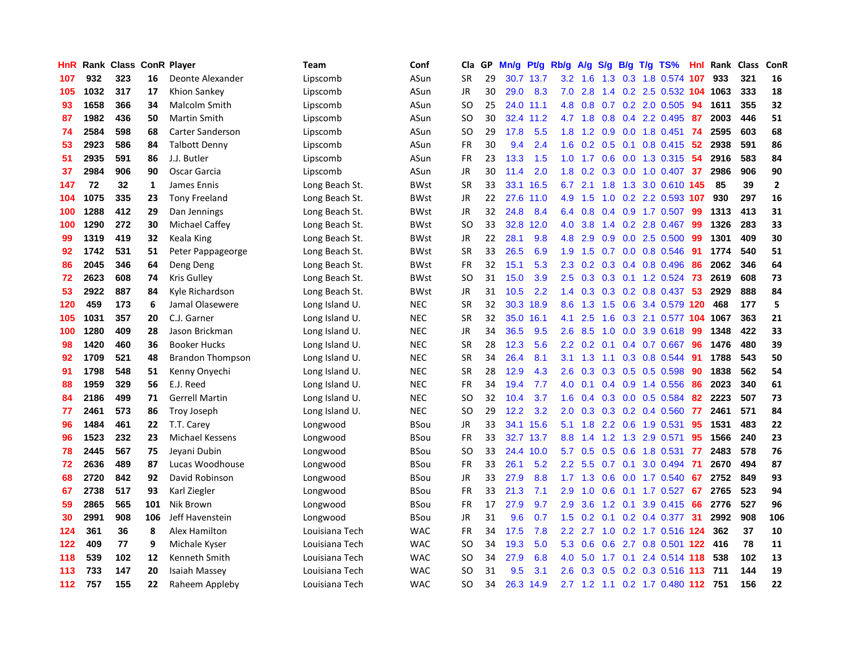| HnR |      | Rank Class ConR Player |     |                         | Team           | Conf        | Cla           | <b>GP</b> | Mn/g | Pt/g      | Rb/g          | A/g       | S/g              |                 | B/g T/g TS%                   | Hnl | Rank | <b>Class</b> | ConR           |
|-----|------|------------------------|-----|-------------------------|----------------|-------------|---------------|-----------|------|-----------|---------------|-----------|------------------|-----------------|-------------------------------|-----|------|--------------|----------------|
| 107 | 932  | 323                    | 16  | Deonte Alexander        | Lipscomb       | ASun        | <b>SR</b>     | 29        |      | 30.7 13.7 | 3.2           | $-1.6$    |                  |                 | 1.3 0.3 1.8 0.574 107         |     | 933  | 321          | 16             |
| 105 | 1032 | 317                    | 17  | Khion Sankey            | Lipscomb       | ASun        | <b>JR</b>     | 30        | 29.0 | 8.3       | 7.0           | 2.8       |                  |                 | 1.4 0.2 2.5 0.532 104 1063    |     |      | 333          | 18             |
| 93  | 1658 | 366                    | 34  | Malcolm Smith           | Lipscomb       | ASun        | SO            | 25        |      | 24.0 11.1 | 4.8           | 0.8       |                  |                 | $0.7$ $0.2$ $2.0$ $0.505$     | 94  | 1611 | 355          | 32             |
| 87  | 1982 | 436                    | 50  | <b>Martin Smith</b>     | Lipscomb       | ASun        | <sub>SO</sub> | 30        | 32.4 | 11.2      |               | 4.7 1.8   | 0.8              |                 | 0.4 2.2 0.495                 | 87  | 2003 | 446          | 51             |
| 74  | 2584 | 598                    | 68  | <b>Carter Sanderson</b> | Lipscomb       | ASun        | <b>SO</b>     | 29        | 17.8 | 5.5       | 1.8           | 1.2       | 0.9 <sub>0</sub> |                 | 0.0 1.8 0.451                 | 74  | 2595 | 603          | 68             |
| 53  | 2923 | 586                    | 84  | <b>Talbott Denny</b>    | Lipscomb       | ASun        | <b>FR</b>     | 30        | 9.4  | 2.4       | 1.6           | 0.2       |                  |                 | $0.5$ 0.1 0.8 0.415           | -52 | 2938 | 591          | 86             |
| 51  | 2935 | 591                    | 86  | J.J. Butler             | Lipscomb       | ASun        | <b>FR</b>     | 23        | 13.3 | 1.5       | 1.0           | 1.7       | 0.6              |                 | $0.0$ 1.3 0.315               | -54 | 2916 | 583          | 84             |
| 37  | 2984 | 906                    | 90  | Oscar Garcia            | Lipscomb       | ASun        | JR            | 30        | 11.4 | 2.0       | 1.8           | 0.2       | 0.3              |                 | $0.0$ 1.0 0.407               | -37 | 2986 | 906          | 90             |
| 147 | 72   | 32                     | 1   | James Ennis             | Long Beach St. | <b>BWst</b> | <b>SR</b>     | 33        | 33.1 | 16.5      | 6.7           | 2.1       |                  |                 | 1.8 1.3 3.0 0.610 145         |     | 85   | 39           | $\overline{2}$ |
| 104 | 1075 | 335                    | 23  | <b>Tony Freeland</b>    | Long Beach St. | <b>BWst</b> | JR            | 22        |      | 27.6 11.0 |               | 4.9 1.5   |                  |                 | 1.0 0.2 2.2 0.593 107         |     | 930  | 297          | 16             |
| 100 | 1288 | 412                    | 29  | Dan Jennings            | Long Beach St. | <b>BWst</b> | <b>JR</b>     | 32        | 24.8 | 8.4       | 6.4           | 0.8       |                  |                 | 0.4 0.9 1.7 0.507 99          |     | 1313 | 413          | 31             |
| 100 | 1290 | 272                    | 30  | Michael Caffey          | Long Beach St. | <b>BWst</b> | SO            | 33        | 32.8 | 12.0      | 4.0           | 3.8       |                  |                 | 1.4 0.2 2.8 0.467 99          |     | 1326 | 283          | 33             |
| 99  | 1319 | 419                    | 32  | Keala King              | Long Beach St. | <b>BWst</b> | <b>JR</b>     | 22        | 28.1 | 9.8       | 4.8           | 2.9       | 0.9 <sub>0</sub> |                 | 0.0 2.5 0.500                 | -99 | 1301 | 409          | 30             |
| 92  | 1742 | 531                    | 51  | Peter Pappageorge       | Long Beach St. | <b>BWst</b> | SR            | 33        | 26.5 | 6.9       | 1.9           | 1.5       |                  |                 | 0.7 0.0 0.8 0.546             | -91 | 1774 | 540          | 51             |
| 86  | 2045 | 346                    | 64  | Deng Deng               | Long Beach St. | <b>BWst</b> | <b>FR</b>     | 32        | 15.1 | 5.3       | 2.3           | 0.2       |                  |                 | 0.3 0.4 0.8 0.496             | -86 | 2062 | 346          | 64             |
| 72  | 2623 | 608                    | 74  | Kris Gulley             | Long Beach St. | <b>BWst</b> | SO            | 31        | 15.0 | 3.9       | 2.5           | 0.3       | 0.3              |                 | $0.1$ 1.2 0.524               | -73 | 2619 | 608          | 73             |
| 53  | 2922 | 887                    | 84  | Kyle Richardson         | Long Beach St. | <b>BWst</b> | JR            | 31        | 10.5 | 2.2       | 1.4           | 0.3       | 0.3              |                 | 0.2 0.8 0.437                 | 53  | 2929 | 888          | 84             |
| 120 | 459  | 173                    | 6   | Jamal Olasewere         | Long Island U. | <b>NEC</b>  | <b>SR</b>     | 32        | 30.3 | 18.9      | 8.6           | 1.3       |                  |                 | 1.5 0.6 3.4 0.579 120         |     | 468  | 177          | 5              |
| 105 | 1031 | 357                    | 20  | C.J. Garner             | Long Island U. | <b>NEC</b>  | <b>SR</b>     | 32        | 35.0 | 16.1      | 4.1           | 2.5       |                  |                 | 1.6 0.3 2.1 0.577 104 1067    |     |      | 363          | 21             |
| 100 | 1280 | 409                    | 28  | Jason Brickman          | Long Island U. | <b>NEC</b>  | JR            | 34        | 36.5 | 9.5       | $2.6^{\circ}$ | 8.5       |                  |                 | 1.0 0.0 3.9 0.618             | 99  | 1348 | 422          | 33             |
| 98  | 1420 | 460                    | 36  | <b>Booker Hucks</b>     | Long Island U. | <b>NEC</b>  | <b>SR</b>     | 28        | 12.3 | 5.6       | 2.2           | 0.2       | 0.1              |                 | $0.4$ 0.7 0.667               | 96  | 1476 | 480          | 39             |
| 92  | 1709 | 521                    | 48  | <b>Brandon Thompson</b> | Long Island U. | <b>NEC</b>  | <b>SR</b>     | 34        | 26.4 | 8.1       | 3.1           | 1.3       |                  |                 | 1.1 0.3 0.8 0.544             | -91 | 1788 | 543          | 50             |
| 91  | 1798 | 548                    | 51  | Kenny Onyechi           | Long Island U. | <b>NEC</b>  | <b>SR</b>     | 28        | 12.9 | 4.3       | 2.6           | 0.3       |                  |                 | $0.3$ 0.5 0.5 0.598           | -90 | 1838 | 562          | 54             |
| 88  | 1959 | 329                    | 56  | E.J. Reed               | Long Island U. | <b>NEC</b>  | <b>FR</b>     | 34        | 19.4 | 7.7       | 4.0           | 0.1       |                  |                 | $0.4$ 0.9 1.4 0.556           | -86 | 2023 | 340          | 61             |
| 84  | 2186 | 499                    | 71  | <b>Gerrell Martin</b>   | Long Island U. | <b>NEC</b>  | SO            | 32        | 10.4 | 3.7       | 1.6           | 0.4       |                  |                 | 0.3 0.0 0.5 0.584             | 82  | 2223 | 507          | 73             |
| 77  | 2461 | 573                    | 86  | Troy Joseph             | Long Island U. | <b>NEC</b>  | SO            | 29        | 12.2 | 3.2       | 2.0           | 0.3       |                  |                 | $0.3$ 0.2 0.4 0.560           | 77  | 2461 | 571          | 84             |
| 96  | 1484 | 461                    | 22  | T.T. Carey              | Longwood       | <b>BSou</b> | <b>JR</b>     | 33        |      | 34.1 15.6 | 5.1           | 1.8       |                  |                 | 2.2 0.6 1.9 0.531             | -95 | 1531 | 483          | 22             |
| 96  | 1523 | 232                    | 23  | <b>Michael Kessens</b>  | Longwood       | <b>BSou</b> | <b>FR</b>     | 33        |      | 32.7 13.7 | 8.8           | 1.4       |                  |                 | 1.2 1.3 2.9 0.571             | 95  | 1566 | 240          | 23             |
| 78  | 2445 | 567                    | 75  | Jevani Dubin            | Longwood       | <b>BSou</b> | <sub>SO</sub> | 33        | 24.4 | 10.0      | 5.7           | 0.5       |                  |                 | 0.5 0.6 1.8 0.531             | 77  | 2483 | 578          | 76             |
| 72  | 2636 | 489                    | 87  | Lucas Woodhouse         | Longwood       | <b>BSou</b> | <b>FR</b>     | 33        | 26.1 | 5.2       | $2.2^{\circ}$ | 5.5       |                  | $0.7 \quad 0.1$ | 3.0 0.494                     | -71 | 2670 | 494          | 87             |
| 68  | 2720 | 842                    | 92  | David Robinson          | Longwood       | BSou        | JR            | 33        | 27.9 | 8.8       | 1.7           | 1.3       | 0.6              |                 | 0.0 1.7 0.540                 | 67  | 2752 | 849          | 93             |
| 67  | 2738 | 517                    | 93  | Karl Ziegler            | Longwood       | <b>BSou</b> | <b>FR</b>     | 33        | 21.3 | 7.1       | 2.9           | 1.0       | 0.6              |                 | $0.1$ 1.7 $0.527$             | 67  | 2765 | 523          | 94             |
| 59  | 2865 | 565                    | 101 | Nik Brown               | Longwood       | BSou        | <b>FR</b>     | 17        | 27.9 | 9.7       | 2.9           | 3.6       | 1.2              | 0.1             | 3.9 0.415                     | 66  | 2776 | 527          | 96             |
| 30  | 2991 | 908                    | 106 | Jeff Havenstein         | Longwood       | <b>BSou</b> | <b>JR</b>     | 31        | 9.6  | 0.7       | 1.5           | 0.2       | 0.1              |                 | $0.2$ 0.4 0.377               | 31  | 2992 | 908          | 106            |
| 124 | 361  | 36                     | 8   | Alex Hamilton           | Louisiana Tech | <b>WAC</b>  | <b>FR</b>     | 34        | 17.5 | 7.8       |               | $2.2$ 2.7 |                  |                 | 1.0 0.2 1.7 0.516 124         |     | 362  | 37           | 10             |
| 122 | 409  | 77                     | 9   | Michale Kyser           | Louisiana Tech | <b>WAC</b>  | <b>SO</b>     | 34        | 19.3 | 5.0       | 5.3           | 0.6       |                  |                 | 0.6 2.7 0.8 0.501 122 416     |     |      | 78           | 11             |
| 118 | 539  | 102                    | 12  | Kenneth Smith           | Louisiana Tech | <b>WAC</b>  | SO            | 34        | 27.9 | 6.8       | 4.0           | 5.0       |                  |                 | 1.7 0.1 2.4 0.514 118         |     | 538  | 102          | 13             |
| 113 | 733  | 147                    | 20  | Isaiah Massey           | Louisiana Tech | <b>WAC</b>  | <b>SO</b>     | 31        | 9.5  | 3.1       | 2.6           | 0.3       | 0.5              |                 | 0.2 0.3 0.516 113             |     | 711  | 144          | 19             |
| 112 | 757  | 155                    | 22  | Raheem Appleby          | Louisiana Tech | <b>WAC</b>  | SO            | 34        | 26.3 | 14.9      |               |           |                  |                 | 2.7 1.2 1.1 0.2 1.7 0.480 112 |     | 751  | 156          | 22             |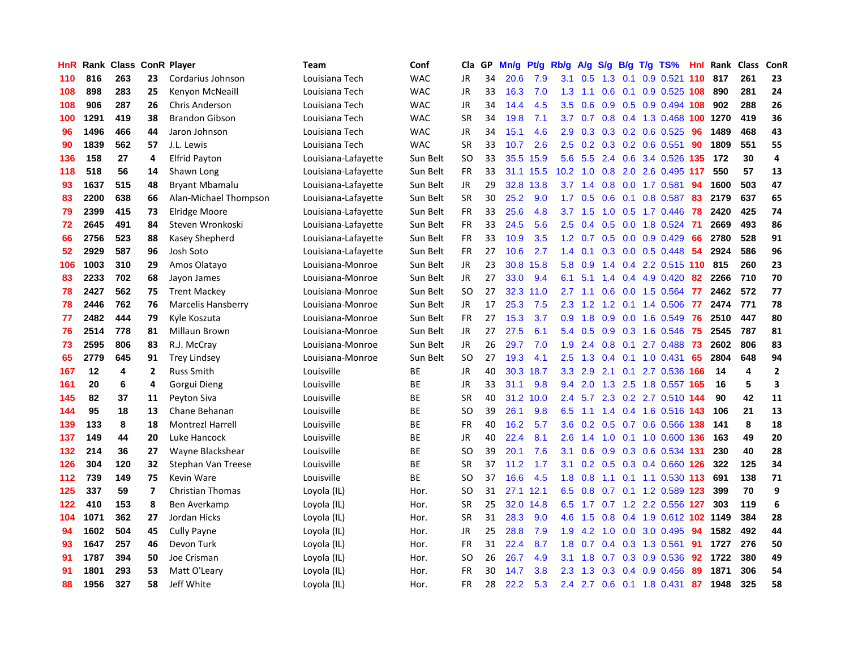| HnR | Rank |     |                | <b>Class ConR Player</b> | <b>Team</b>         | Conf       | Cla           | <b>GP</b> | Mn/g | <b>Pt/g</b> | Rb/g             | A/g             | S/g | B/g | $T/g$ TS%                     | Hnl | Rank | <b>Class</b> | ConR                    |
|-----|------|-----|----------------|--------------------------|---------------------|------------|---------------|-----------|------|-------------|------------------|-----------------|-----|-----|-------------------------------|-----|------|--------------|-------------------------|
| 110 | 816  | 263 | 23             | Cordarius Johnson        | Louisiana Tech      | <b>WAC</b> | JR            | 34        | 20.6 | 7.9         | 3.1              | 0.5             | 1.3 | 0.1 | $0.9$ 0.521                   | 110 | 817  | 261          | 23                      |
| 108 | 898  | 283 | 25             | Kenyon McNeaill          | Louisiana Tech      | <b>WAC</b> | JR            | 33        | 16.3 | 7.0         | 1.3              | 1.1             | 0.6 |     | $0.1$ 0.9 0.525 108           |     | 890  | 281          | 24                      |
| 108 | 906  | 287 | 26             | <b>Chris Anderson</b>    | Louisiana Tech      | <b>WAC</b> | JR            | 34        | 14.4 | 4.5         | 3.5              | 0.6             |     |     | $0.9$ $0.5$ $0.9$ $0.494$ 108 |     | 902  | 288          | 26                      |
| 100 | 1291 | 419 | 38             | <b>Brandon Gibson</b>    | Louisiana Tech      | <b>WAC</b> | <b>SR</b>     | 34        | 19.8 | 7.1         | 3.7              | 0.7             |     |     | 0.8 0.4 1.3 0.468 100 1270    |     |      | 419          | 36                      |
| 96  | 1496 | 466 | 44             | Jaron Johnson            | Louisiana Tech      | <b>WAC</b> | JR            | 34        | 15.1 | 4.6         | 2.9              | 0.3             |     |     | 0.3 0.2 0.6 0.525             | 96  | 1489 | 468          | 43                      |
| 90  | 1839 | 562 | 57             | J.L. Lewis               | Louisiana Tech      | <b>WAC</b> | <b>SR</b>     | 33        | 10.7 | 2.6         | 2.5              | 0.2             |     |     | $0.3$ 0.2 0.6 0.551           | 90  | 1809 | 551          | 55                      |
| 136 | 158  | 27  | 4              | <b>Elfrid Payton</b>     | Louisiana-Lafayette | Sun Belt   | <b>SO</b>     | 33        | 35.5 | 15.9        | 5.6              | 5.5             |     |     | 2.4 0.6 3.4 0.526 135         |     | 172  | 30           | $\overline{\mathbf{4}}$ |
| 118 | 518  | 56  | 14             | Shawn Long               | Louisiana-Lafayette | Sun Belt   | <b>FR</b>     | 33        | 31.1 | 15.5        | 10.2             | 1.0             | 0.8 |     | 2.0 2.6 0.495 117             |     | 550  | 57           | 13                      |
| 93  | 1637 | 515 | 48             | <b>Bryant Mbamalu</b>    | Louisiana-Lafayette | Sun Belt   | JR            | 29        | 32.8 | 13.8        | 3.7              | 1.4             | 0.8 |     | $0.0$ 1.7 $0.581$             | 94  | 1600 | 503          | 47                      |
| 83  | 2200 | 638 | 66             | Alan-Michael Thompson    | Louisiana-Lafayette | Sun Belt   | <b>SR</b>     | 30        | 25.2 | 9.0         | 1.7              | 0.5             | 0.6 |     | $0.1$ 0.8 0.587               | 83  | 2179 | 637          | 65                      |
| 79  | 2399 | 415 | 73             | <b>Elridge Moore</b>     | Louisiana-Lafayette | Sun Belt   | <b>FR</b>     | 33        | 25.6 | 4.8         |                  | $3.7 \quad 1.5$ |     |     | 1.0 0.5 1.7 0.446 78          |     | 2420 | 425          | 74                      |
| 72  | 2645 | 491 | 84             | Steven Wronkoski         | Louisiana-Lafayette | Sun Belt   | FR.           | 33        | 24.5 | 5.6         | $2.5^{\circ}$    | 0.4             |     |     | 0.5 0.0 1.8 0.524 71          |     | 2669 | 493          | 86                      |
| 66  | 2756 | 523 | 88             | Kasey Shepherd           | Louisiana-Lafayette | Sun Belt   | <b>FR</b>     | 33        | 10.9 | 3.5         | 1.2 <sub>2</sub> | 0.7             | 0.5 |     | $0.0$ 0.9 0.429               | 66  | 2780 | 528          | 91                      |
| 52  | 2929 | 587 | 96             | Josh Soto                | Louisiana-Lafayette | Sun Belt   | <b>FR</b>     | 27        | 10.6 | 2.7         | 1.4              | 0.1             |     |     | 0.3 0.0 0.5 0.448             | 54  | 2924 | 586          | 96                      |
| 106 | 1003 | 310 | 29             | Amos Olatayo             | Louisiana-Monroe    | Sun Belt   | <b>JR</b>     | 23        | 30.8 | 15.8        | 5.8              | 0.9             |     |     | 1.4 0.4 2.2 0.515 110         |     | 815  | 260          | 23                      |
| 83  | 2233 | 702 | 68             | Jayon James              | Louisiana-Monroe    | Sun Belt   | <b>JR</b>     | 27        | 33.0 | 9.4         | 6.1              | 5.1             | 1.4 |     | 0.4 4.9 0.420                 | 82  | 2266 | 710          | 70                      |
| 78  | 2427 | 562 | 75             | <b>Trent Mackey</b>      | Louisiana-Monroe    | Sun Belt   | <b>SO</b>     | 27        | 32.3 | 11.0        | 2.7              | 1.1             | 0.6 |     | 0.0 1.5 0.564                 | 77  | 2462 | 572          | 77                      |
| 78  | 2446 | 762 | 76             | Marcelis Hansberry       | Louisiana-Monroe    | Sun Belt   | <b>JR</b>     | 17        | 25.3 | 7.5         | 2.3              | 1.2             | 1.2 |     | $0.1$ 1.4 $0.506$             | 77  | 2474 | 771          | 78                      |
| 77  | 2482 | 444 | 79             | Kyle Koszuta             | Louisiana-Monroe    | Sun Belt   | FR            | 27        | 15.3 | 3.7         | 0.9              | 1.8             | 0.9 |     | 0.0 1.6 0.549                 | 76  | 2510 | 447          | 80                      |
| 76  | 2514 | 778 | 81             | Millaun Brown            | Louisiana-Monroe    | Sun Belt   | JR            | 27        | 27.5 | 6.1         | 5.4              | 0.5             |     |     | 0.9 0.3 1.6 0.546             | 75  | 2545 | 787          | 81                      |
| 73  | 2595 | 806 | 83             | R.J. McCray              | Louisiana-Monroe    | Sun Belt   | JR            | 26        | 29.7 | 7.0         | 1.9              | 2.4             | 0.8 |     | $0.1$ 2.7 0.488               | 73  | 2602 | 806          | 83                      |
| 65  | 2779 | 645 | 91             | <b>Trey Lindsey</b>      | Louisiana-Monroe    | Sun Belt   | <b>SO</b>     | 27        | 19.3 | 4.1         | 2.5              | 1.3             | 0.4 |     | $0.1$ 1.0 0.431               | 65  | 2804 | 648          | 94                      |
| 167 | 12   | 4   | $\overline{2}$ | <b>Russ Smith</b>        | Louisville          | ВE         | JR            | 40        | 30.3 | 18.7        | 3.3              | 2.9             |     |     | 2.1 0.1 2.7 0.536             | 166 | 14   | 4            | $\overline{\mathbf{2}}$ |
| 161 | 20   | 6   | 4              | Gorgui Dieng             | Louisville          | <b>BE</b>  | JR            | 33        | 31.1 | 9.8         | 9.4              | 2.0             |     |     | 1.3 2.5 1.8 0.557 165         |     | 16   | 5            | 3                       |
| 145 | 82   | 37  | 11             | Peyton Siva              | Louisville          | ВE         | <b>SR</b>     | 40        | 31.2 | 10.0        | 2.4              | 5.7             | 2.3 |     | 0.2 2.7 0.510 144             |     | 90   | 42           | 11                      |
| 144 | 95   | 18  | 13             | Chane Behanan            | Louisville          | ВE         | <sub>SO</sub> | 39        | 26.1 | 9.8         | 6.5              | 1.1             |     |     | 1.4 0.4 1.6 0.516 143         |     | 106  | 21           | 13                      |
| 139 | 133  | 8   | 18             | <b>Montrezl Harrell</b>  | Louisville          | ВE         | FR            | 40        | 16.2 | 5.7         | 3.6              | 0.2             |     |     | 0.5 0.7 0.6 0.566 138         |     | 141  | 8            | 18                      |
| 137 | 149  | 44  | 20             | Luke Hancock             | Louisville          | <b>BE</b>  | JR            | 40        | 22.4 | 8.1         | 2.6              | 1.4             |     |     | 1.0 0.1 1.0 0.600 136         |     | 163  | 49           | 20                      |
| 132 | 214  | 36  | 27             | Wayne Blackshear         | Louisville          | ВE         | <b>SO</b>     | 39        | 20.1 | 7.6         | 3.1              | 0.6             |     |     | 0.9 0.3 0.6 0.534 131         |     | 230  | 40           | 28                      |
| 126 | 304  | 120 | 32             | Stephan Van Treese       | Louisville          | <b>BE</b>  | <b>SR</b>     | 37        | 11.2 | 1.7         | 3.1              | 0.2             |     |     | 0.5 0.3 0.4 0.660 126         |     | 322  | 125          | 34                      |
| 112 | 739  | 149 | 75             | Kevin Ware               | Louisville          | <b>BE</b>  | <b>SO</b>     | 37        | 16.6 | 4.5         | 1.8              | 0.8             | 1.1 |     | $0.1$ 1.1 0.530               | 113 | 691  | 138          | 71                      |
| 125 | 337  | 59  | $\overline{7}$ | <b>Christian Thomas</b>  | Loyola (IL)         | Hor.       | SO            | 31        | 27.1 | 12.1        | 6.5              | 0.8             |     |     | 0.7 0.1 1.2 0.589 123         |     | 399  | 70           | 9                       |
| 122 | 410  | 153 | 8              | Ben Averkamp             | Loyola (IL)         | Hor.       | <b>SR</b>     | 25        | 32.0 | 14.8        | 6.5              | 1.7             | 0.7 |     | 1.2 2.2 0.556 127             |     | 303  | 119          | 6                       |
| 104 | 1071 | 362 | 27             | Jordan Hicks             | Loyola (IL)         | Hor.       | <b>SR</b>     | 31        | 28.3 | 9.0         | 4.6              | 1.5             | 0.8 |     | 0.4 1.9 0.612 102 1149        |     |      | 384          | 28                      |
| 94  | 1602 | 504 | 45             | <b>Cully Payne</b>       | Loyola (IL)         | Hor.       | JR            | 25        | 28.8 | 7.9         | 1.9              | 4.2             | 1.0 |     | $0.0$ 3.0 $0.495$             | 94  | 1582 | 492          | 44                      |
| 93  | 1647 | 257 | 46             | Devon Turk               | Loyola (IL)         | Hor.       | <b>FR</b>     | 31        | 22.4 | 8.7         | 1.8              | 0.7             |     |     | 0.4 0.3 1.3 0.561             | 91  | 1727 | 276          | 50                      |
| 91  | 1787 | 394 | 50             | Joe Crisman              | Loyola (IL)         | Hor.       | SO            | 26        | 26.7 | 4.9         | 3.1              | 1.8             |     |     | $0.7$ $0.3$ $0.9$ $0.536$     | 92  | 1722 | 380          | 49                      |
| 91  | 1801 | 293 | 53             | Matt O'Leary             | Loyola (IL)         | Hor.       | FR            | 30        | 14.7 | 3.8         | $2.3^{\circ}$    | 1.3             | 0.3 |     | $0.4$ 0.9 0.456               | 89  | 1871 | 306          | 54                      |
| 88  | 1956 | 327 | 58             | Jeff White               | Loyola (IL)         | Hor.       | <b>FR</b>     | 28        | 22.2 | 5.3         | 2.4              |                 |     |     | 2.7 0.6 0.1 1.8 0.431         | 87  | 1948 | 325          | 58                      |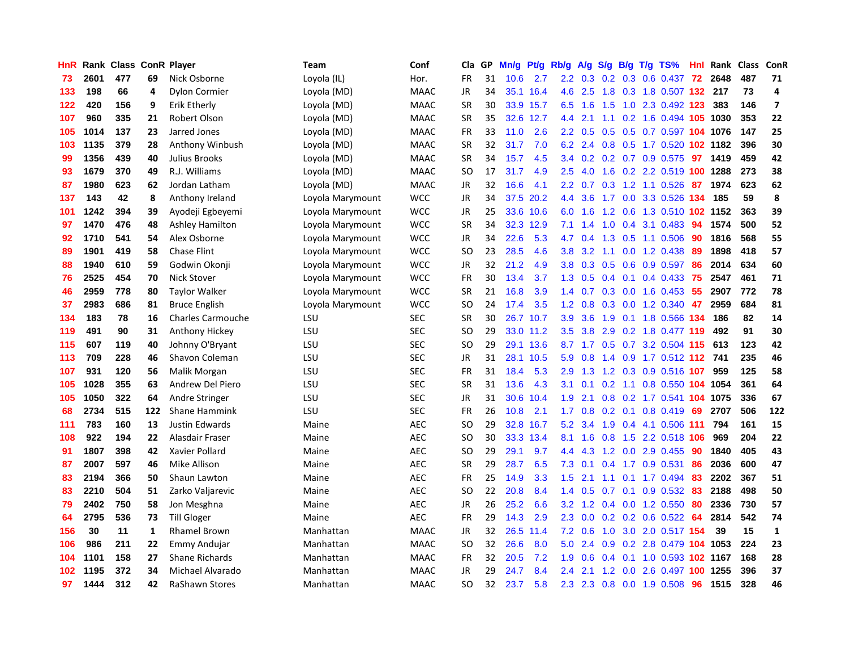| HnR | Rank | <b>Class</b> |     | <b>ConR Player</b>       | Team             | Conf        | Cla           | GP | Mn/g | <b>Pt/g</b> | Rb/g             | A/g             |     | S/g B/g | $T/g$ TS%                       | Hnl | Rank | Class | <b>ConR</b>    |
|-----|------|--------------|-----|--------------------------|------------------|-------------|---------------|----|------|-------------|------------------|-----------------|-----|---------|---------------------------------|-----|------|-------|----------------|
| 73  | 2601 | 477          | 69  | Nick Osborne             | Loyola (IL)      | Hor.        | <b>FR</b>     | 31 | 10.6 | 2.7         | $2.2^{\circ}$    |                 |     |         | $0.3$ $0.2$ $0.3$ $0.6$ $0.437$ | -72 | 2648 | 487   | 71             |
| 133 | 198  | 66           | 4   | Dylon Cormier            | Loyola (MD)      | <b>MAAC</b> | <b>JR</b>     | 34 | 35.1 | 16.4        | 4.6              | 2.5             |     |         | 1.8 0.3 1.8 0.507 132 217       |     |      | 73    | 4              |
| 122 | 420  | 156          | 9   | <b>Erik Etherly</b>      | Loyola (MD)      | <b>MAAC</b> | <b>SR</b>     | 30 | 33.9 | 15.7        | 6.5              | 1.6             |     |         | 1.5 1.0 2.3 0.492 123           |     | 383  | 146   | $\overline{7}$ |
| 107 | 960  | 335          | 21  | Robert Olson             | Loyola (MD)      | <b>MAAC</b> | <b>SR</b>     | 35 | 32.6 | 12.7        | 4.4              | 2.1             |     |         | 1.1 0.2 1.6 0.494 105 1030      |     |      | 353   | 22             |
| 105 | 1014 | 137          | 23  | Jarred Jones             | Loyola (MD)      | <b>MAAC</b> | <b>FR</b>     | 33 | 11.0 | 2.6         | $2.2\phantom{0}$ | 0.5             | 0.5 |         | 0.5 0.7 0.597 104 1076          |     |      | 147   | 25             |
| 103 | 1135 | 379          | 28  | Anthony Winbush          | Loyola (MD)      | <b>MAAC</b> | <b>SR</b>     | 32 | 31.7 | 7.0         | 6.2              | 2.4             | 0.8 |         | 0.5 1.7 0.520 102 1182          |     |      | 396   | 30             |
| 99  | 1356 | 439          | 40  | Julius Brooks            | Loyola (MD)      | <b>MAAC</b> | <b>SR</b>     | 34 | 15.7 | 4.5         | $3.4^{\circ}$    | 0.2             |     |         | $0.2$ 0.7 0.9 0.575             | 97  | 1419 | 459   | 42             |
| 93  | 1679 | 370          | 49  | R.J. Williams            | Loyola (MD)      | <b>MAAC</b> | SO            | 17 | 31.7 | 4.9         | 2.5              | 4.0             | 1.6 |         | 0.2 2.2 0.519 100 1288          |     |      | 273   | 38             |
| 87  | 1980 | 623          | 62  | Jordan Latham            | Loyola (MD)      | <b>MAAC</b> | JR            | 32 | 16.6 | 4.1         | 2.2              | 0.7             | 0.3 |         | 1.2 1.1 0.526                   | 87  | 1974 | 623   | 62             |
| 137 | 143  | 42           | 8   | Anthony Ireland          | Loyola Marymount | <b>WCC</b>  | JR            | 34 |      | 37.5 20.2   | 4.4              | 3.6             |     |         | 1.7 0.0 3.3 0.526 134           |     | 185  | 59    | 8              |
| 101 | 1242 | 394          | 39  | Ayodeji Egbeyemi         | Loyola Marymount | <b>WCC</b>  | JR            | 25 |      | 33.6 10.6   | 6.0              | 1.6             |     |         | 1.2 0.6 1.3 0.510 102 1152      |     |      | 363   | 39             |
| 97  | 1470 | 476          | 48  | <b>Ashley Hamilton</b>   | Loyola Marymount | <b>WCC</b>  | <b>SR</b>     | 34 | 32.3 | 12.9        | 7.1              | 1.4             | 1.0 |         | $0.4$ 3.1 0.483                 | -94 | 1574 | 500   | 52             |
| 92  | 1710 | 541          | 54  | Alex Osborne             | Loyola Marymount | <b>WCC</b>  | JR            | 34 | 22.6 | 5.3         | 4.7              | 0.4             | 1.3 |         | $0.5$ 1.1 0.506                 | 90  | 1816 | 568   | 55             |
| 89  | 1901 | 419          | 58  | <b>Chase Flint</b>       | Loyola Marymount | <b>WCC</b>  | SO            | 23 | 28.5 | 4.6         | 3.8 <sub>2</sub> | 3.2             |     |         | 1.1 0.0 1.2 0.438               | -89 | 1898 | 418   | 57             |
| 88  | 1940 | 610          | 59  | Godwin Okonji            | Loyola Marymount | <b>WCC</b>  | JR            | 32 | 21.2 | 4.9         | 3.8              | 0.3             | 0.5 |         | 0.6 0.9 0.597                   | -86 | 2014 | 634   | 60             |
| 76  | 2525 | 454          | 70  | <b>Nick Stover</b>       | Loyola Marymount | <b>WCC</b>  | <b>FR</b>     | 30 | 13.4 | 3.7         | 1.3              | 0.5             | 0.4 |         | $0.1$ 0.4 0.433                 | 75  | 2547 | 461   | 71             |
| 46  | 2959 | 778          | 80  | <b>Taylor Walker</b>     | Loyola Marymount | <b>WCC</b>  | <b>SR</b>     | 21 | 16.8 | 3.9         | 1.4              | 0.7             | 0.3 |         | $0.0$ 1.6 0.453                 | 55  | 2907 | 772   | 78             |
| 37  | 2983 | 686          | 81  | <b>Bruce English</b>     | Loyola Marymount | <b>WCC</b>  | <b>SO</b>     | 24 | 17.4 | 3.5         | $1.2^{\circ}$    | 0.8             |     |         | $0.3$ 0.0 1.2 0.340             | 47  | 2959 | 684   | 81             |
| 134 | 183  | 78           | 16  | <b>Charles Carmouche</b> | LSU              | <b>SEC</b>  | <b>SR</b>     | 30 |      | 26.7 10.7   | 3.9 <sup>°</sup> | 3.6             |     |         | 1.9 0.1 1.8 0.566 134           |     | 186  | 82    | 14             |
| 119 | 491  | 90           | 31  | Anthony Hickey           | LSU              | <b>SEC</b>  | SO.           | 29 |      | 33.0 11.2   | $3.5^{\circ}$    | 3.8             |     |         | 2.9 0.2 1.8 0.477 119           |     | 492  | 91    | 30             |
| 115 | 607  | 119          | 40  | Johnny O'Bryant          | LSU              | <b>SEC</b>  | <sub>SO</sub> | 29 | 29.1 | 13.6        |                  | $8.7 \quad 1.7$ |     |         | $0.5$ 0.7 3.2 0.504 115 613     |     |      | 123   | 42             |
| 113 | 709  | 228          | 46  | Shavon Coleman           | LSU              | <b>SEC</b>  | JR            | 31 | 28.1 | 10.5        | 5.9              | 0.8             |     |         | 1.4 0.9 1.7 0.512 112           |     | 741  | 235   | 46             |
| 107 | 931  | 120          | 56  | Malik Morgan             | LSU              | <b>SEC</b>  | <b>FR</b>     | 31 | 18.4 | 5.3         | 2.9              | 1.3             |     |         | 1.2 0.3 0.9 0.516 107           |     | 959  | 125   | 58             |
| 105 | 1028 | 355          | 63  | Andrew Del Piero         | LSU              | <b>SEC</b>  | <b>SR</b>     | 31 | 13.6 | 4.3         | 3.1              | 0.1             | 0.2 |         | 1.1 0.8 0.550 104 1054          |     |      | 361   | 64             |
| 105 | 1050 | 322          | 64  | Andre Stringer           | LSU              | <b>SEC</b>  | <b>JR</b>     | 31 | 30.6 | 10.4        | 1.9              | 2.1             | 0.8 |         | 0.2 1.7 0.541 104               |     | 1075 | 336   | 67             |
| 68  | 2734 | 515          | 122 | <b>Shane Hammink</b>     | LSU              | <b>SEC</b>  | <b>FR</b>     | 26 | 10.8 | 2.1         | 1.7              | 0.8             |     |         | $0.2$ 0.1 0.8 0.419             | 69  | 2707 | 506   | 122            |
| 111 | 783  | 160          | 13  | <b>Justin Edwards</b>    | Maine            | <b>AEC</b>  | SO            | 29 | 32.8 | 16.7        | 5.2              | 3.4             |     |         | 1.9 0.4 4.1 0.506 111           |     | 794  | 161   | 15             |
| 108 | 922  | 194          | 22  | Alasdair Fraser          | Maine            | <b>AEC</b>  | <b>SO</b>     | 30 | 33.3 | 13.4        | 8.1              | 1.6             |     |         | 0.8 1.5 2.2 0.518 106           |     | 969  | 204   | 22             |
| 91  | 1807 | 398          | 42  | Xavier Pollard           | Maine            | <b>AEC</b>  | <b>SO</b>     | 29 | 29.1 | 9.7         | 4.4              | 4.3             |     |         | 1.2 0.0 2.9 0.455               | 90  | 1840 | 405   | 43             |
| 87  | 2007 | 597          | 46  | Mike Allison             | Maine            | <b>AEC</b>  | <b>SR</b>     | 29 | 28.7 | 6.5         | 7.3              | 0.1             | 0.4 |         | 1.7 0.9 0.531                   | 86  | 2036 | 600   | 47             |
| 83  | 2194 | 366          | 50  | Shaun Lawton             | Maine            | <b>AEC</b>  | <b>FR</b>     | 25 | 14.9 | 3.3         | 1.5              | 2.1             | 1.1 |         | $0.1$ 1.7 0.494                 | 83  | 2202 | 367   | 51             |
| 83  | 2210 | 504          | 51  | Zarko Valjarevic         | Maine            | <b>AEC</b>  | <b>SO</b>     | 22 | 20.8 | 8.4         | 1.4              | 0.5             | 0.7 |         | $0.1$ 0.9 0.532                 | -83 | 2188 | 498   | 50             |
| 79  | 2402 | 750          | 58  | Jon Mesghna              | Maine            | <b>AEC</b>  | JR            | 26 | 25.2 | 6.6         | 3.2              | 1.2             |     |         | 0.4 0.0 1.2 0.550               | 80  | 2336 | 730   | 57             |
| 64  | 2795 | 536          | 73  | <b>Till Gloger</b>       | Maine            | <b>AEC</b>  | <b>FR</b>     | 29 | 14.3 | 2.9         | 2.3              | 0.0             |     |         | $0.2$ 0.2 0.6 0.522             | 64  | 2814 | 542   | 74             |
| 156 | 30   | 11           | 1   | <b>Rhamel Brown</b>      | Manhattan        | <b>MAAC</b> | <b>JR</b>     | 32 | 26.5 | 11.4        | 7.2              | 0.6             |     |         | 1.0 3.0 2.0 0.517 154           |     | 39   | 15    | $\mathbf{1}$   |
| 106 | 986  | 211          | 22  | <b>Emmy Andujar</b>      | Manhattan        | <b>MAAC</b> | <b>SO</b>     | 32 | 26.6 | 8.0         | 5.0              | 2.4             |     |         | 0.9 0.2 2.8 0.479 104 1053      |     |      | 224   | 23             |
| 104 | 1101 | 158          | 27  | <b>Shane Richards</b>    | Manhattan        | <b>MAAC</b> | FR            | 32 | 20.5 | 7.2         | 1.9              | 0.6             |     |         | 0.4 0.1 1.0 0.593 102 1167      |     |      | 168   | 28             |
| 102 | 1195 | 372          | 34  | Michael Alvarado         | Manhattan        | <b>MAAC</b> | <b>JR</b>     | 29 | 24.7 | 8.4         | 2.4              | 2.1             | 1.2 | 0.0     | 2.6 0.497 100 1255              |     |      | 396   | 37             |
| 97  | 1444 | 312          | 42  | <b>RaShawn Stores</b>    | Manhattan        | <b>MAAC</b> | SO            | 32 | 23.7 | 5.8         | 2.3              | 2.3             |     |         | 0.8 0.0 1.9 0.508               | 96  | 1515 | 328   | 46             |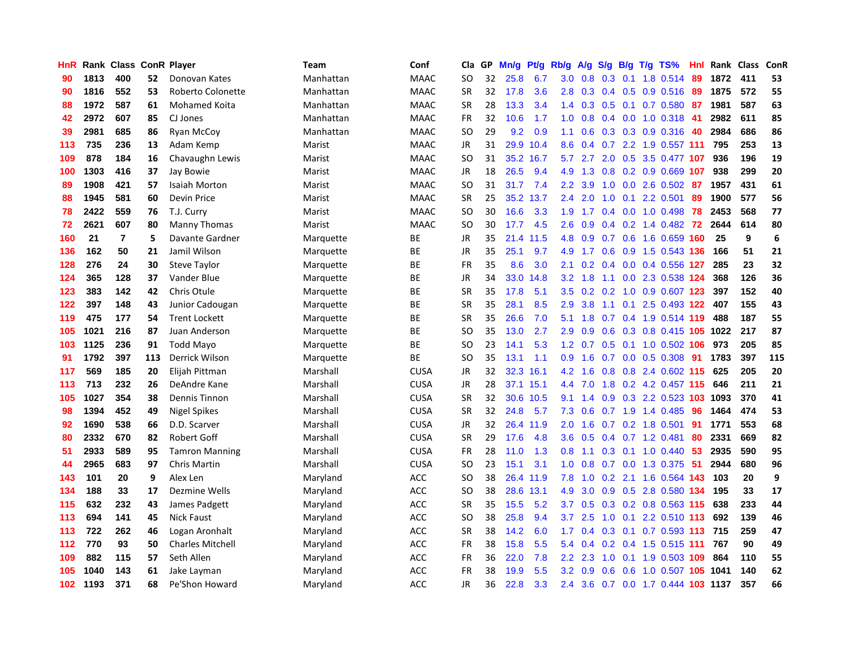| HnR              |      | Rank Class ConR Player |     |                         | <b>Team</b> | Conf        | Cla       | <b>GP</b> | Mn/g | <b>Pt/g</b> | Rb/g             | A/g | S/g              | B/g | $T/g$ TS%                  | Hnl | Rank | Class | <b>ConR</b>      |
|------------------|------|------------------------|-----|-------------------------|-------------|-------------|-----------|-----------|------|-------------|------------------|-----|------------------|-----|----------------------------|-----|------|-------|------------------|
| 90               | 1813 | 400                    | 52  | Donovan Kates           | Manhattan   | <b>MAAC</b> | <b>SO</b> | 32        | 25.8 | 6.7         | 3.0              | 0.8 | 0.3              | 0.1 | 1.8 0.514                  | -89 | 1872 | 411   | 53               |
| 90               | 1816 | 552                    | 53  | Roberto Colonette       | Manhattan   | <b>MAAC</b> | <b>SR</b> | 32        | 17.8 | 3.6         | 2.8              | 0.3 |                  |     | 0.4 0.5 0.9 0.516 89       |     | 1875 | 572   | 55               |
| 88               | 1972 | 587                    | 61  | Mohamed Koita           | Manhattan   | <b>MAAC</b> | <b>SR</b> | 28        | 13.3 | 3.4         | 1.4              | 0.3 |                  |     | 0.5 0.1 0.7 0.580 87       |     | 1981 | 587   | 63               |
| 42               | 2972 | 607                    | 85  | CJ Jones                | Manhattan   | <b>MAAC</b> | FR        | 32        | 10.6 | 1.7         | 1.0              | 0.8 |                  |     | 0.4 0.0 1.0 0.318          | -41 | 2982 | 611   | 85               |
| 39               | 2981 | 685                    | 86  | Ryan McCoy              | Manhattan   | <b>MAAC</b> | <b>SO</b> | 29        | 9.2  | 0.9         | 1.1              | 0.6 |                  |     | 0.3 0.3 0.9 0.316          | 40  | 2984 | 686   | 86               |
| 113              | 735  | 236                    | 13  | Adam Kemp               | Marist      | <b>MAAC</b> | JR        | 31        | 29.9 | 10.4        | 8.6              | 0.4 | 0.7              |     | 2.2 1.9 0.557 111          |     | 795  | 253   | 13               |
| 109              | 878  | 184                    | 16  | Chavaughn Lewis         | Marist      | <b>MAAC</b> | <b>SO</b> | 31        | 35.2 | 16.7        | 5.7              | 2.7 | 2.0              |     | 0.5 3.5 0.477 107          |     | 936  | 196   | 19               |
| 100              | 1303 | 416                    | 37  | Jay Bowie               | Marist      | <b>MAAC</b> | JR        | 18        | 26.5 | 9.4         | 4.9              | 1.3 | 0.8              |     | 0.2 0.9 0.669 107          |     | 938  | 299   | 20               |
| 89               | 1908 | 421                    | 57  | <b>Isaiah Morton</b>    | Marist      | <b>MAAC</b> | <b>SO</b> | 31        | 31.7 | 7.4         | 2.2              | 3.9 | 1.0              |     | $0.0$ 2.6 $0.502$          | -87 | 1957 | 431   | 61               |
| 88               | 1945 | 581                    | 60  | Devin Price             | Marist      | <b>MAAC</b> | <b>SR</b> | 25        | 35.2 | 13.7        | 2.4              | 2.0 |                  |     | 1.0 0.1 2.2 0.501          | 89  | 1900 | 577   | 56               |
| 78               | 2422 | 559                    | 76  | T.J. Curry              | Marist      | <b>MAAC</b> | <b>SO</b> | 30        | 16.6 | 3.3         | 1.9              | 1.7 |                  |     | 0.4 0.0 1.0 0.498 78       |     | 2453 | 568   | 77               |
| 72               | 2621 | 607                    | 80  | <b>Manny Thomas</b>     | Marist      | <b>MAAC</b> | <b>SO</b> | 30        | 17.7 | 4.5         | 2.6              | 0.9 |                  |     | $0.4$ 0.2 1.4 0.482 72     |     | 2644 | 614   | 80               |
| 160              | 21   | $\overline{7}$         | 5   | Davante Gardner         | Marquette   | ВE          | JR        | 35        | 21.4 | 11.5        | 4.8              | 0.9 |                  |     | 0.7 0.6 1.6 0.659 160      |     | 25   | 9     | $\boldsymbol{6}$ |
| 136              | 162  | 50                     | 21  | Jamil Wilson            | Marquette   | ВE          | JR        | 35        | 25.1 | 9.7         | 4.9              | 1.7 |                  |     | 0.6 0.9 1.5 0.543 136      |     | 166  | 51    | 21               |
| 128              | 276  | 24                     | 30  | Steve Taylor            | Marquette   | ВE          | <b>FR</b> | 35        | 8.6  | 3.0         | 2.1              | 0.2 |                  |     | 0.4 0.0 0.4 0.556 127      |     | 285  | 23    | 32               |
| 124              | 365  | 128                    | 37  | Vander Blue             | Marquette   | ВE          | JR        | 34        | 33.0 | 14.8        | 3.2              | 1.8 |                  |     | 1.1 0.0 2.3 0.538 124      |     | 368  | 126   | 36               |
| 123              | 383  | 142                    | 42  | Chris Otule             | Marquette   | BE          | <b>SR</b> | 35        | 17.8 | 5.1         | 3.5              | 0.2 |                  |     | 0.2 1.0 0.9 0.607 123      |     | 397  | 152   | 40               |
| 122              | 397  | 148                    | 43  | Junior Cadougan         | Marquette   | <b>BE</b>   | <b>SR</b> | 35        | 28.1 | 8.5         | 2.9              | 3.8 | 1.1              |     | 0.1 2.5 0.493 122          |     | 407  | 155   | 43               |
| 119              | 475  | 177                    | 54  | <b>Trent Lockett</b>    | Marquette   | ВE          | <b>SR</b> | 35        | 26.6 | 7.0         | 5.1              | 1.8 |                  |     | 0.7 0.4 1.9 0.514 119      |     | 488  | 187   | 55               |
| 105              | 1021 | 216                    | 87  | Juan Anderson           | Marquette   | <b>BE</b>   | <b>SO</b> | 35        | 13.0 | 2.7         | 2.9              | 0.9 |                  |     | 0.6 0.3 0.8 0.415 105 1022 |     |      | 217   | 87               |
| 103              | 1125 | 236                    | 91  | <b>Todd Mayo</b>        | Marquette   | BE          | <b>SO</b> | 23        | 14.1 | 5.3         | 1.2              | 0.7 |                  |     | $0.5$ 0.1 1.0 0.502 106    |     | 973  | 205   | 85               |
| 91               | 1792 | 397                    | 113 | Derrick Wilson          | Marquette   | BE          | <b>SO</b> | 35        | 13.1 | 1.1         | 0.9              | 1.6 |                  |     | 0.7 0.0 0.5 0.308          | 91  | 1783 | 397   | 115              |
| 117              | 569  | 185                    | 20  | Elijah Pittman          | Marshall    | <b>CUSA</b> | JR        | 32        | 32.3 | 16.1        | 4.2              | 1.6 |                  |     | 0.8 0.8 2.4 0.602 115      |     | 625  | 205   | 20               |
| 113              | 713  | 232                    | 26  | DeAndre Kane            | Marshall    | <b>CUSA</b> | JR        | 28        | 37.1 | 15.1        | 4.4              | 7.0 | 1.8              |     | 0.2 4.2 0.457 115          |     | 646  | 211   | 21               |
| 105              | 1027 | 354                    | 38  | Dennis Tinnon           | Marshall    | <b>CUSA</b> | <b>SR</b> | 32        | 30.6 | 10.5        | 9.1              | 1.4 | 0.9              |     | $0.3$ 2.2 0.523 103        |     | 1093 | 370   | 41               |
| 98               | 1394 | 452                    | 49  | <b>Nigel Spikes</b>     | Marshall    | <b>CUSA</b> | <b>SR</b> | 32        | 24.8 | 5.7         | 7.3              | 0.6 |                  |     | 0.7 1.9 1.4 0.485          | 96  | 1464 | 474   | 53               |
| 92               | 1690 | 538                    | 66  | D.D. Scarver            | Marshall    | <b>CUSA</b> | JR        | 32        |      | 26.4 11.9   | 2.0              | 1.6 |                  |     | 0.7 0.2 1.8 0.501 91       |     | 1771 | 553   | 68               |
| 80               | 2332 | 670                    | 82  | Robert Goff             | Marshall    | <b>CUSA</b> | <b>SR</b> | 29        | 17.6 | 4.8         | 3.6 <sup>°</sup> | 0.5 |                  |     | $0.4$ 0.7 1.2 0.481        | -80 | 2331 | 669   | 82               |
| 51               | 2933 | 589                    | 95  | <b>Tamron Manning</b>   | Marshall    | <b>CUSA</b> | FR        | 28        | 11.0 | 1.3         | 0.8              | 1.1 |                  |     | $0.3$ 0.1 1.0 0.440        | -53 | 2935 | 590   | 95               |
| 44               | 2965 | 683                    | 97  | Chris Martin            | Marshall    | <b>CUSA</b> | <b>SO</b> | 23        | 15.1 | 3.1         | 1.0              | 0.8 |                  |     | 0.7 0.0 1.3 0.375          | -51 | 2944 | 680   | 96               |
| 143              | 101  | 20                     | 9   | Alex Len                | Maryland    | <b>ACC</b>  | <b>SO</b> | 38        | 26.4 | 11.9        | 7.8              | 1.0 |                  |     | 0.2 2.1 1.6 0.564 143      |     | 103  | 20    | 9                |
| 134              | 188  | 33                     | 17  | Dezmine Wells           | Maryland    | ACC         | <b>SO</b> | 38        | 28.6 | 13.1        | 4.9              | 3.0 | 0.9 <sub>0</sub> |     | 0.5 2.8 0.580              | 134 | 195  | 33    | 17               |
| 115              | 632  | 232                    | 43  | James Padgett           | Maryland    | <b>ACC</b>  | <b>SR</b> | 35        | 15.5 | 5.2         | 3.7              | 0.5 | 0.3              |     | 0.2 0.8 0.563 115          |     | 638  | 233   | 44               |
| 113              | 694  | 141                    | 45  | <b>Nick Faust</b>       | Maryland    | ACC         | <b>SO</b> | 38        | 25.8 | 9.4         | 3.7              | 2.5 | 1.0              | 0.1 | 2.2 0.510 113              |     | 692  | 139   | 46               |
| 113              | 722  | 262                    | 46  | Logan Aronhalt          | Maryland    | <b>ACC</b>  | <b>SR</b> | 38        | 14.2 | 6.0         | 1.7              | 0.4 |                  |     | 0.3 0.1 0.7 0.593 113 715  |     |      | 259   | 47               |
| 112              | 770  | 93                     | 50  | <b>Charles Mitchell</b> | Maryland    | ACC         | FR        | 38        | 15.8 | 5.5         | 5.4              | 0.4 |                  |     | 0.2 0.4 1.5 0.515 111 767  |     |      | 90    | 49               |
| 109              | 882  | 115                    | 57  | Seth Allen              | Maryland    | <b>ACC</b>  | FR        | 36        | 22.0 | 7.8         | $2.2\phantom{0}$ | 2.3 | 1.0              |     | $0.1$ 1.9 0.503 109        |     | 864  | 110   | 55               |
| 105              | 1040 | 143                    | 61  | Jake Layman             | Maryland    | <b>ACC</b>  | FR        | 38        | 19.9 | 5.5         | 3.2              | 0.9 | 0.6              |     | 0.6 1.0 0.507 105 1041     |     |      | 140   | 62               |
| 102 <sub>1</sub> | 1193 | 371                    | 68  | Pe'Shon Howard          | Maryland    | <b>ACC</b>  | JR        | 36        | 22.8 | 3.3         | 2.4              | 3.6 |                  |     | 0.7 0.0 1.7 0.444 103 1137 |     |      | 357   | 66               |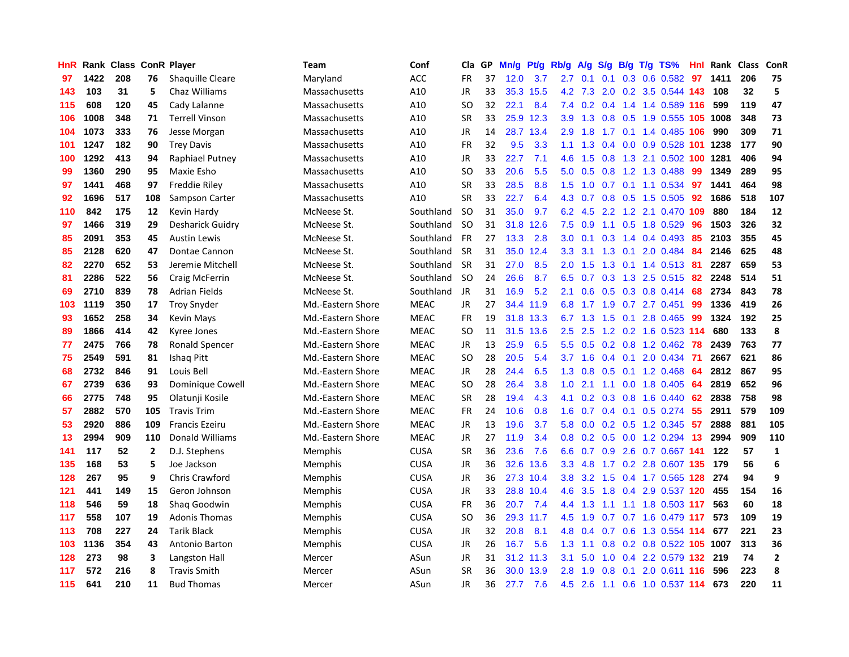| HnR |      | Rank Class ConR Player |                |                         | Team              | Conf        | Cla       | <b>GP</b> | Mn/g | <b>Pt/g</b> | Rb/g             | A/g           | S/g              |     | $B/g$ T/g TS%                    | Hnl | Rank | <b>Class</b> | ConR           |
|-----|------|------------------------|----------------|-------------------------|-------------------|-------------|-----------|-----------|------|-------------|------------------|---------------|------------------|-----|----------------------------------|-----|------|--------------|----------------|
| 97  | 1422 | 208                    | 76             | <b>Shaquille Cleare</b> | Maryland          | <b>ACC</b>  | <b>FR</b> | 37        | 12.0 | 3.7         | 2.7              | 0.1           | 0.1              |     | 0.3 0.6 0.582                    | 97  | 1411 | 206          | 75             |
| 143 | 103  | 31                     | 5              | Chaz Williams           | Massachusetts     | A10         | JR        | 33        |      | 35.3 15.5   |                  | 4.2 7.3       |                  |     | 2.0 0.2 3.5 0.544 143            |     | 108  | 32           | 5              |
| 115 | 608  | 120                    | 45             | Cady Lalanne            | Massachusetts     | A10         | SO.       | 32        | 22.1 | 8.4         | 7.4              | 0.2           |                  |     | 0.4 1.4 1.4 0.589 116            |     | 599  | 119          | 47             |
| 106 | 1008 | 348                    | 71             | <b>Terrell Vinson</b>   | Massachusetts     | A10         | <b>SR</b> | 33        |      | 25.9 12.3   | 3.9 <sup>°</sup> | 1.3           | 0.8              |     | 0.5 1.9 0.555 105 1008           |     |      | 348          | 73             |
| 104 | 1073 | 333                    | 76             | Jesse Morgan            | Massachusetts     | A10         | JR        | 14        |      | 28.7 13.4   | 2.9              | 1.8           |                  |     | 1.7 0.1 1.4 0.485 106            |     | 990  | 309          | 71             |
| 101 | 1247 | 182                    | 90             | <b>Trey Davis</b>       | Massachusetts     | A10         | FR        | 32        | 9.5  | 3.3         | 1.1              | 1.3           |                  |     | 0.4 0.0 0.9 0.528 101 1238       |     |      | 177          | 90             |
| 100 | 1292 | 413                    | 94             | Raphiael Putney         | Massachusetts     | A10         | JR        | 33        | 22.7 | 7.1         | 4.6              | 1.5           | 0.8              |     | 1.3 2.1 0.502 100 1281           |     |      | 406          | 94             |
| 99  | 1360 | 290                    | 95             | Maxie Esho              | Massachusetts     | A10         | SO        | 33        | 20.6 | 5.5         | 5.0              | 0.5           | 0.8              |     | 1.2 1.3 0.488                    | 99  | 1349 | 289          | 95             |
| 97  | 1441 | 468                    | 97             | <b>Freddie Riley</b>    | Massachusetts     | A10         | <b>SR</b> | 33        | 28.5 | 8.8         | 1.5              | 1.0           |                  |     | $0.7$ 0.1 1.1 0.534              | 97  | 1441 | 464          | 98             |
| 92  | 1696 | 517                    | 108            | Sampson Carter          | Massachusetts     | A10         | <b>SR</b> | 33        | 22.7 | 6.4         | 4.3              | 0.7           |                  |     | 0.8 0.5 1.5 0.505 92             |     | 1686 | 518          | 107            |
| 110 | 842  | 175                    | 12             | Kevin Hardy             | McNeese St.       | Southland   | <b>SO</b> | 31        | 35.0 | 9.7         | 6.2              | 4.5           |                  |     | 2.2 1.2 2.1 0.470 109            |     | 880  | 184          | 12             |
| 97  | 1466 | 319                    | 29             | Desharick Guidry        | McNeese St.       | Southland   | -SO       | 31        | 31.8 | 12.6        | 7.5              | 0.9           |                  |     | 1.1 0.5 1.8 0.529                | -96 | 1503 | 326          | 32             |
| 85  | 2091 | 353                    | 45             | <b>Austin Lewis</b>     | McNeese St.       | Southland   | <b>FR</b> | 27        | 13.3 | 2.8         | 3.0              | 0.1           | 0.3              |     | $1.4$ 0.4 0.493                  | -85 | 2103 | 355          | 45             |
| 85  | 2128 | 620                    | 47             | Dontae Cannon           | McNeese St.       | Southland   | <b>SR</b> | 31        | 35.0 | 12.4        | 3.3              | 3.1           | 1.3              |     | $0.1$ 2.0 0.484 84               |     | 2146 | 625          | 48             |
| 82  | 2270 | 652                    | 53             | Jeremie Mitchell        | McNeese St.       | Southland   | <b>SR</b> | 31        | 27.0 | 8.5         | 2.0              | 1.5           | 1.3              |     | 0.1 1.4 0.513 81                 |     | 2287 | 659          | 53             |
| 81  | 2286 | 522                    | 56             | Craig McFerrin          | McNeese St.       | Southland   | -SO       | 24        | 26.6 | 8.7         | 6.5              | 0.7           | 0.3 <sub>0</sub> |     | $1.3$ 2.5 0.515                  | 82  | 2248 | 514          | 51             |
| 69  | 2710 | 839                    | 78             | <b>Adrian Fields</b>    | McNeese St.       | Southland   | JR        | 31        | 16.9 | 5.2         | 2.1              | 0.6           | 0.5              |     | 0.3 0.8 0.414                    | 68  | 2734 | 843          | 78             |
| 103 | 1119 | 350                    | 17             | <b>Troy Snyder</b>      | Md.-Eastern Shore | <b>MEAC</b> | JR        | 27        |      | 34.4 11.9   | 6.8              | 1.7           | 1.9              |     | $0.7$ 2.7 $0.451$                | 99  | 1336 | 419          | 26             |
| 93  | 1652 | 258                    | 34             | <b>Kevin Mays</b>       | Md.-Eastern Shore | <b>MEAC</b> | <b>FR</b> | 19        |      | 31.8 13.3   |                  |               |                  |     | 6.7 1.3 1.5 0.1 2.8 0.465 99     |     | 1324 | 192          | 25             |
| 89  | 1866 | 414                    | 42             | Kyree Jones             | Md.-Eastern Shore | <b>MEAC</b> | <b>SO</b> | 11        | 31.5 | 13.6        | $2.5^{\circ}$    | 2.5           |                  |     | 1.2 0.2 1.6 0.523 114            |     | 680  | 133          | 8              |
| 77  | 2475 | 766                    | 78             | <b>Ronald Spencer</b>   | Md.-Eastern Shore | <b>MEAC</b> | JR        | 13        | 25.9 | 6.5         | 5.5              | 0.5           |                  |     | $0.2$ 0.8 1.2 0.462              | -78 | 2439 | 763          | 77             |
| 75  | 2549 | 591                    | 81             | Ishaq Pitt              | Md.-Eastern Shore | <b>MEAC</b> | <b>SO</b> | 28        | 20.5 | 5.4         | 3.7              | 1.6           | 0.4              | 0.1 | 2.0 0.434                        | 71  | 2667 | 621          | 86             |
| 68  | 2732 | 846                    | 91             | Louis Bell              | Md.-Eastern Shore | <b>MEAC</b> | JR        | 28        | 24.4 | 6.5         | 1.3              | 0.8           | 0.5              |     | 0.1 1.2 0.468                    | 64  | 2812 | 867          | 95             |
| 67  | 2739 | 636                    | 93             | Dominique Cowell        | Md.-Eastern Shore | <b>MEAC</b> | SO.       | 28        | 26.4 | 3.8         | 1.0              | 2.1           |                  |     | 1.1 0.0 1.8 0.405                | 64  | 2819 | 652          | 96             |
| 66  | 2775 | 748                    | 95             | Olatunji Kosile         | Md.-Eastern Shore | <b>MEAC</b> | <b>SR</b> | 28        | 19.4 | 4.3         | 4.1              | 0.2           | 0.3              |     | 0.8 1.6 0.440                    | 62  | 2838 | 758          | 98             |
| 57  | 2882 | 570                    | 105            | <b>Travis Trim</b>      | Md.-Eastern Shore | <b>MEAC</b> | <b>FR</b> | 24        | 10.6 | 0.8         | 1.6              | 0.7           |                  |     | $0.4$ 0.1 0.5 0.274              | 55  | 2911 | 579          | 109            |
| 53  | 2920 | 886                    | 109            | <b>Francis Ezeiru</b>   | Md.-Eastern Shore | <b>MEAC</b> | JR        | 13        | 19.6 | 3.7         | 5.8              |               |                  |     | $0.0$ $0.2$ $0.5$ 1.2 $0.345$ 57 |     | 2888 | 881          | 105            |
| 13  | 2994 | 909                    | 110            | <b>Donald Williams</b>  | Md.-Eastern Shore | <b>MEAC</b> | JR        | 27        | 11.9 | 3.4         | 0.8 <sub>0</sub> |               |                  |     | 0.2 0.5 0.0 1.2 0.294 13         |     | 2994 | 909          | 110            |
| 141 | 117  | 52                     | $\overline{2}$ | D.J. Stephens           | <b>Memphis</b>    | <b>CUSA</b> | <b>SR</b> | 36        | 23.6 | 7.6         | 6.6              | 0.7           |                  |     | 0.9 2.6 0.7 0.667 141            |     | 122  | 57           | $\mathbf{1}$   |
| 135 | 168  | 53                     | 5              | Joe Jackson             | Memphis           | <b>CUSA</b> | JR        | 36        | 32.6 | 13.6        | 3.3 <sub>2</sub> | 4.8           |                  |     | 1.7 0.2 2.8 0.607 135            |     | 179  | 56           | 6              |
| 128 | 267  | 95                     | 9              | <b>Chris Crawford</b>   | <b>Memphis</b>    | <b>CUSA</b> | JR        | 36        | 27.3 | 10.4        | 3.8 <sub>2</sub> | $3.2^{\circ}$ | 1.5              |     | 0.4 1.7 0.565 128                |     | 274  | 94           | 9              |
| 121 | 441  | 149                    | 15             | Geron Johnson           | <b>Memphis</b>    | <b>CUSA</b> | <b>JR</b> | 33        | 28.8 | 10.4        | 4.6              | 3.5           |                  |     | 1.8 0.4 2.9 0.537 120            |     | 455  | 154          | 16             |
| 118 | 546  | 59                     | 18             | Shag Goodwin            | <b>Memphis</b>    | <b>CUSA</b> | <b>FR</b> | 36        | 20.7 | 7.4         | 4.4              | 1.3           |                  |     | 1.1 1.1 1.8 0.503 117            |     | 563  | 60           | 18             |
| 117 | 558  | 107                    | 19             | <b>Adonis Thomas</b>    | <b>Memphis</b>    | <b>CUSA</b> | SO        | 36        | 29.3 | 11.7        | 4.5              | 1.9           | 0.7              |     | 0.7 1.6 0.479 117                |     | 573  | 109          | 19             |
| 113 | 708  | 227                    | 24             | <b>Tarik Black</b>      | Memphis           | <b>CUSA</b> | <b>JR</b> | 32        | 20.8 | 8.1         | 4.8              | 0.4           |                  |     | 0.7 0.6 1.3 0.554 114 677        |     |      | 221          | 23             |
| 103 | 1136 | 354                    | 43             | Antonio Barton          | Memphis           | <b>CUSA</b> | JR        | 26        | 16.7 | 5.6         | 1.3              | $-1.1$        |                  |     | 0.8 0.2 0.8 0.522 105 1007       |     |      | 313          | 36             |
| 128 | 273  | 98                     | 3              | Langston Hall           | Mercer            | ASun        | JR        | 31        |      | 31.2 11.3   | 3.1              | 5.0           | 1.0 <sub>1</sub> |     | 0.4 2.2 0.579 132 219            |     |      | 74           | $\overline{2}$ |
| 117 | 572  | 216                    | 8              | <b>Travis Smith</b>     | Mercer            | ASun        | <b>SR</b> | 36        | 30.0 | 13.9        | 2.8              | 1.9           | 0.8              | 0.1 | 2.0 0.611 116                    |     | 596  | 223          | 8              |
| 115 | 641  | 210                    | 11             | <b>Bud Thomas</b>       | Mercer            | ASun        | <b>JR</b> | 36        | 27.7 | 7.6         |                  | $4.5$ 2.6     |                  |     | 1.1 0.6 1.0 0.537 114            |     | 673  | 220          | 11             |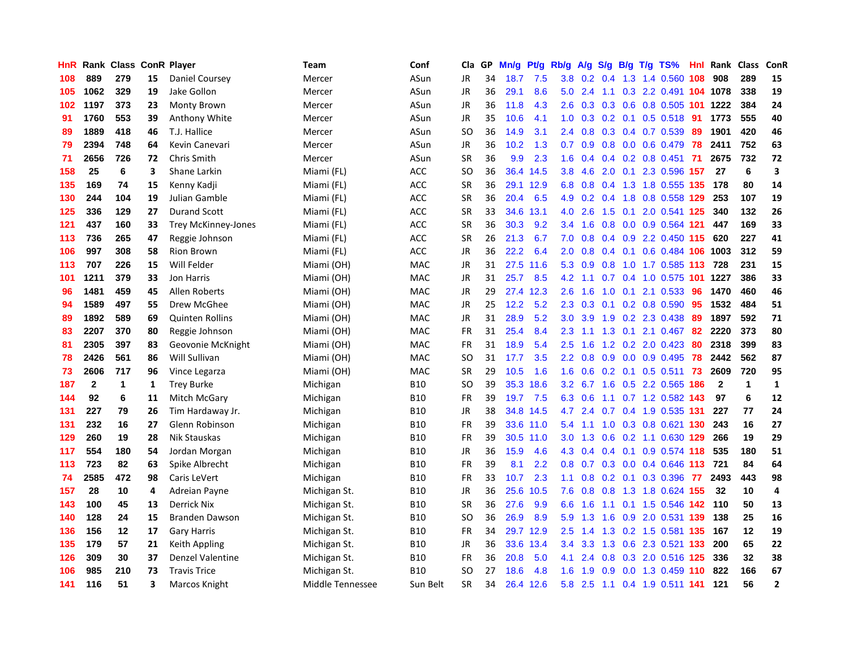| HnR |              | <b>Rank Class</b> |    | <b>ConR Player</b>         | Team             | Conf       | Cla       | <b>GP</b> | Mn/g | <b>Pt/g</b> | Rb/g             | A/g             | S/g | B/g | $T/g$ TS%                  | Hnl | Rank         | <b>Class</b> | ConR                    |
|-----|--------------|-------------------|----|----------------------------|------------------|------------|-----------|-----------|------|-------------|------------------|-----------------|-----|-----|----------------------------|-----|--------------|--------------|-------------------------|
| 108 | 889          | 279               | 15 | Daniel Coursey             | Mercer           | ASun       | JR        | 34        | 18.7 | 7.5         | 3.8 <sub>2</sub> | 0.2             | 0.4 |     | 1.3 1.4 0.560 108          |     | 908          | 289          | 15                      |
| 105 | 1062         | 329               | 19 | Jake Gollon                | Mercer           | ASun       | JR        | 36        | 29.1 | 8.6         | 5.0              | 2.4             |     |     | 1.1 0.3 2.2 0.491 104 1078 |     |              | 338          | 19                      |
| 102 | 1197         | 373               | 23 | Monty Brown                | Mercer           | ASun       | JR        | 36        | 11.8 | 4.3         | 2.6              | 0.3             |     |     | 0.3 0.6 0.8 0.505 101 1222 |     |              | 384          | 24                      |
| 91  | 1760         | 553               | 39 | Anthony White              | Mercer           | ASun       | JR        | 35        | 10.6 | 4.1         | 1.0              | 0.3             |     |     | $0.2$ 0.1 0.5 0.518        | -91 | 1773         | 555          | 40                      |
| 89  | 1889         | 418               | 46 | T.J. Hallice               | Mercer           | ASun       | <b>SO</b> | 36        | 14.9 | 3.1         | 2.4              | 0.8             |     |     | $0.3$ 0.4 0.7 0.539        | 89  | 1901         | 420          | 46                      |
| 79  | 2394         | 748               | 64 | Kevin Canevari             | Mercer           | ASun       | JR        | 36        | 10.2 | 1.3         | 0.7              | 0.9             |     |     | $0.8$ 0.0 0.6 0.479        | 78  | 2411         | 752          | 63                      |
| 71  | 2656         | 726               | 72 | Chris Smith                | Mercer           | ASun       | <b>SR</b> | 36        | 9.9  | 2.3         | 1.6              | 0.4             |     |     | $0.4$ 0.2 0.8 0.451        | 71  | 2675         | 732          | 72                      |
| 158 | 25           | 6                 | 3  | Shane Larkin               | Miami (FL)       | <b>ACC</b> | SO        | 36        | 36.4 | 14.5        | 3.8 <sub>2</sub> | 4.6             | 2.0 | 0.1 | 2.3 0.596 157              |     | 27           | 6            | $\overline{\mathbf{3}}$ |
| 135 | 169          | 74                | 15 | Kenny Kadji                | Miami (FL)       | <b>ACC</b> | <b>SR</b> | 36        | 29.1 | 12.9        | 6.8              | 0.8             |     |     | 0.4 1.3 1.8 0.555 135      |     | 178          | 80           | 14                      |
| 130 | 244          | 104               | 19 | Julian Gamble              | Miami (FL)       | <b>ACC</b> | <b>SR</b> | 36        | 20.4 | 6.5         | 4.9              |                 |     |     | 0.2 0.4 1.8 0.8 0.558 129  |     | 253          | 107          | 19                      |
| 125 | 336          | 129               | 27 | <b>Durand Scott</b>        | Miami (FL)       | <b>ACC</b> | <b>SR</b> | 33        | 34.6 | 13.1        | 4.0              | 2.6             |     |     | 1.5 0.1 2.0 0.541 125      |     | 340          | 132          | 26                      |
| 121 | 437          | 160               | 33 | <b>Trey McKinney-Jones</b> | Miami (FL)       | ACC        | <b>SR</b> | 36        | 30.3 | 9.2         | $3.4^{\circ}$    | 1.6             |     |     | 0.8 0.0 0.9 0.564 121      |     | 447          | 169          | 33                      |
| 113 | 736          | 265               | 47 | Reggie Johnson             | Miami (FL)       | ACC        | <b>SR</b> | 26        | 21.3 | 6.7         | 7.0              | 0.8             |     |     | $0.4$ 0.9 2.2 0.450 115    |     | 620          | 227          | 41                      |
| 106 | 997          | 308               | 58 | <b>Rion Brown</b>          | Miami (FL)       | ACC        | JR        | 36        | 22.2 | 6.4         | 2.0              | 0.8             |     |     | 0.4 0.1 0.6 0.484 106 1003 |     |              | 312          | 59                      |
| 113 | 707          | 226               | 15 | Will Felder                | Miami (OH)       | <b>MAC</b> | JR        | 31        | 27.5 | 11.6        | 5.3              | 0.9             | 0.8 |     | 1.0 1.7 0.585 113          |     | 728          | 231          | 15                      |
| 101 | 1211         | 379               | 33 | Jon Harris                 | Miami (OH)       | <b>MAC</b> | JR        | 31        | 25.7 | 8.5         | 4.2              | 1.1             |     |     | $0.7$ 0.4 1.0 0.575 101    |     | 1227         | 386          | 33                      |
| 96  | 1481         | 459               | 45 | Allen Roberts              | Miami (OH)       | <b>MAC</b> | JR        | 29        | 27.4 | 12.3        | 2.6              | 1.6             | 1.0 | 0.1 | 2.1 0.533                  | 96  | 1470         | 460          | 46                      |
| 94  | 1589         | 497               | 55 | Drew McGhee                | Miami (OH)       | <b>MAC</b> | JR        | 25        | 12.2 | 5.2         | 2.3              | 0.3             |     |     | $0.1$ 0.2 0.8 0.590        | -95 | 1532         | 484          | 51                      |
| 89  | 1892         | 589               | 69 | <b>Quinten Rollins</b>     | Miami (OH)       | <b>MAC</b> | JR        | 31        | 28.9 | 5.2         | 3.0 <sub>1</sub> | 3.9             |     |     | 1.9 0.2 2.3 0.438 89       |     | 1897         | 592          | 71                      |
| 83  | 2207         | 370               | 80 | Reggie Johnson             | Miami (OH)       | <b>MAC</b> | <b>FR</b> | 31        | 25.4 | 8.4         | $2.3^{\circ}$    | 1.1             |     |     | 1.3 0.1 2.1 0.467 82       |     | 2220         | 373          | 80                      |
| 81  | 2305         | 397               | 83 | Geovonie McKnight          | Miami (OH)       | MAC        | FR        | 31        | 18.9 | 5.4         | 2.5              | 1.6             |     |     | 1.2 0.2 2.0 0.423          | 80  | 2318         | 399          | 83                      |
| 78  | 2426         | 561               | 86 | Will Sullivan              | Miami (OH)       | MAC        | SO.       | 31        | 17.7 | 3.5         | $2.2^{\circ}$    | 0.8             |     |     | $0.9$ 0.0 0.9 0.495        | 78  | 2442         | 562          | 87                      |
| 73  | 2606         | 717               | 96 | Vince Legarza              | Miami (OH)       | MAC        | <b>SR</b> | 29        | 10.5 | 1.6         | 1.6              | 0.6             |     |     | $0.2$ 0.1 0.5 0.511        | 73  | 2609         | 720          | 95                      |
| 187 | $\mathbf{2}$ | 1                 | 1  | <b>Trey Burke</b>          | Michigan         | <b>B10</b> | SO        | 39        | 35.3 | 18.6        |                  | $3.2 \quad 6.7$ | 1.6 |     | 0.5 2.2 0.565 186          |     | $\mathbf{2}$ | $\mathbf{1}$ | $\mathbf{1}$            |
| 144 | 92           | 6                 | 11 | Mitch McGary               | Michigan         | <b>B10</b> | <b>FR</b> | 39        | 19.7 | 7.5         | 6.3              | 0.6             |     |     | 1.1 0.7 1.2 0.582 143      |     | 97           | 6            | 12                      |
| 131 | 227          | 79                | 26 | Tim Hardaway Jr.           | Michigan         | <b>B10</b> | JR        | 38        | 34.8 | 14.5        |                  | 4.7 2.4         |     |     | 0.7 0.4 1.9 0.535 131      |     | 227          | 77           | 24                      |
| 131 | 232          | 16                | 27 | Glenn Robinson             | Michigan         | <b>B10</b> | <b>FR</b> | 39        |      | 33.6 11.0   | 5.4              |                 |     |     | 1.1 1.0 0.3 0.8 0.621 130  |     | 243          | 16           | 27                      |
| 129 | 260          | 19                | 28 | Nik Stauskas               | Michigan         | <b>B10</b> | <b>FR</b> | 39        | 30.5 | 11.0        | 3.0 <sub>1</sub> | 1.3             |     |     | 0.6 0.2 1.1 0.630 129      |     | 266          | 19           | 29                      |
| 117 | 554          | 180               | 54 | Jordan Morgan              | Michigan         | <b>B10</b> | <b>JR</b> | 36        | 15.9 | 4.6         | 4.3              | 0.4             |     |     | $0.4$ 0.1 0.9 0.574 118    |     | 535          | 180          | 51                      |
| 113 | 723          | 82                | 63 | Spike Albrecht             | Michigan         | <b>B10</b> | <b>FR</b> | 39        | 8.1  | 2.2         | 0.8              | 0.7             |     |     | $0.3$ 0.0 0.4 0.646 113    |     | 721          | 84           | 64                      |
| 74  | 2585         | 472               | 98 | Caris LeVert               | Michigan         | <b>B10</b> | <b>FR</b> | 33        | 10.7 | 2.3         | 1.1              | 0.8             |     |     | 0.2 0.1 0.3 0.396          | -77 | 2493         | 443          | 98                      |
| 157 | 28           | 10                | 4  | Adreian Payne              | Michigan St.     | <b>B10</b> | JR        | 36        | 25.6 | 10.5        | 7.6              | 0.8             | 0.8 |     | 1.3 1.8 0.624 155          |     | 32           | 10           | $\overline{4}$          |
| 143 | 100          | 45                | 13 | <b>Derrick Nix</b>         | Michigan St.     | <b>B10</b> | <b>SR</b> | 36        | 27.6 | 9.9         | 6.6              | 1.6             |     |     | 1.1 0.1 1.5 0.546 142 110  |     |              | 50           | 13                      |
| 140 | 128          | 24                | 15 | Branden Dawson             | Michigan St.     | <b>B10</b> | <b>SO</b> | 36        | 26.9 | 8.9         | 5.9              | 1.3             | 1.6 |     | 0.9 2.0 0.531 139          |     | 138          | 25           | 16                      |
| 136 | 156          | 12                | 17 | <b>Gary Harris</b>         | Michigan St.     | <b>B10</b> | FR        | 34        |      | 29.7 12.9   | 2.5              | 1.4             |     |     | 1.3 0.2 1.5 0.581 135 167  |     |              | 12           | 19                      |
| 135 | 179          | 57                | 21 | Keith Appling              | Michigan St.     | <b>B10</b> | JR        | 36        | 33.6 | 13.4        | $3.4^{\circ}$    | 3.3             |     |     | 1.3 0.6 2.3 0.521 133      |     | 200          | 65           | 22                      |
| 126 | 309          | 30                | 37 | Denzel Valentine           | Michigan St.     | <b>B10</b> | FR        | 36        | 20.8 | 5.0         | 4.1              | 2.4             |     |     | 0.8 0.3 2.0 0.516 125      |     | 336          | 32           | 38                      |
| 106 | 985          | 210               | 73 | <b>Travis Trice</b>        | Michigan St.     | <b>B10</b> | <b>SO</b> | 27        | 18.6 | 4.8         | 1.6              | 1.9             | 0.9 |     | 0.0 1.3 0.459 110          |     | 822          | 166          | 67                      |
| 141 | 116          | 51                | 3  | Marcos Knight              | Middle Tennessee | Sun Belt   | SR        | 34        | 26.4 | 12.6        | 5.8              | 2.5             |     |     | 1.1 0.4 1.9 0.511 141      |     | 121          | 56           | $\overline{2}$          |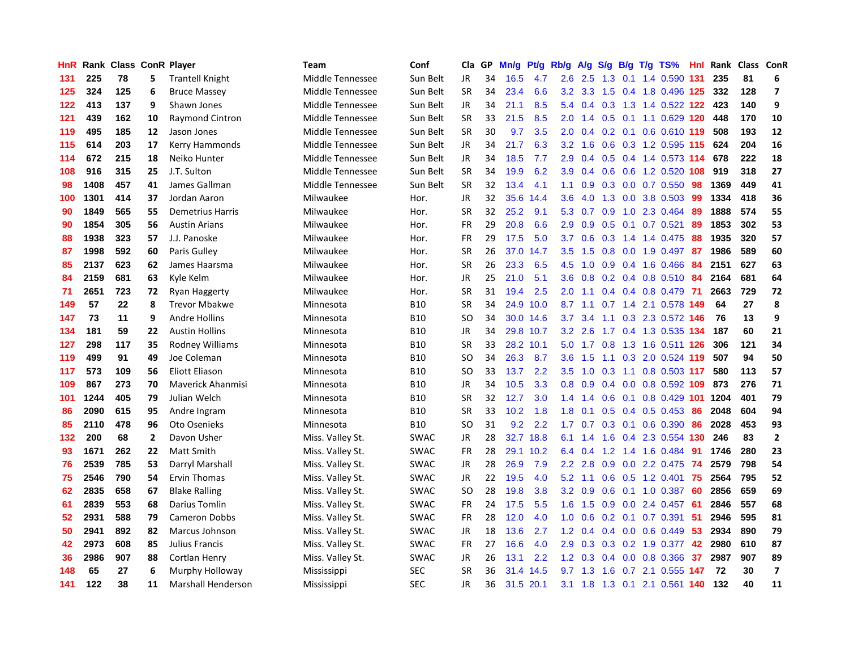| HnR |      | Rank Class ConR Player |                |                           | Team             | Conf        | Cla       | GP | Mn/g | Pt/g      | Rb/g             | A/g             | S/g |  | $B/g$ T/g TS%             | Hnl | Rank | Class ConR |                         |
|-----|------|------------------------|----------------|---------------------------|------------------|-------------|-----------|----|------|-----------|------------------|-----------------|-----|--|---------------------------|-----|------|------------|-------------------------|
| 131 | 225  | 78                     | 5              | <b>Trantell Knight</b>    | Middle Tennessee | Sun Belt    | <b>JR</b> | 34 | 16.5 | 4.7       | 2.6              | 2.5             | 1.3 |  | $0.1$ 1.4 0.590           | 131 | 235  | 81         | 6                       |
| 125 | 324  | 125                    | 6              | <b>Bruce Massey</b>       | Middle Tennessee | Sun Belt    | <b>SR</b> | 34 | 23.4 | 6.6       | 3.2              | 3.3             |     |  | 1.5 0.4 1.8 0.496 125     |     | 332  | 128        | $\overline{\mathbf{z}}$ |
| 122 | 413  | 137                    | 9              | Shawn Jones               | Middle Tennessee | Sun Belt    | JR        | 34 | 21.1 | 8.5       | 5.4              | 0.4             |     |  | 0.3 1.3 1.4 0.522 122 423 |     |      | 140        | 9                       |
| 121 | 439  | 162                    | 10             | <b>Raymond Cintron</b>    | Middle Tennessee | Sun Belt    | <b>SR</b> | 33 | 21.5 | 8.5       | 2.0 <sub>1</sub> | 1.4             |     |  | $0.5$ 0.1 1.1 0.629 120   |     | 448  | 170        | 10                      |
| 119 | 495  | 185                    | 12             | Jason Jones               | Middle Tennessee | Sun Belt    | <b>SR</b> | 30 | 9.7  | 3.5       | 2.0              | 0.4             |     |  | $0.2$ 0.1 0.6 0.610 119   |     | 508  | 193        | 12                      |
| 115 | 614  | 203                    | 17             | Kerry Hammonds            | Middle Tennessee | Sun Belt    | JR        | 34 | 21.7 | 6.3       | 3.2              | 1.6             | 0.6 |  | 0.3 1.2 0.595 115         |     | 624  | 204        | 16                      |
| 114 | 672  | 215                    | 18             | Neiko Hunter              | Middle Tennessee | Sun Belt    | JR        | 34 | 18.5 | 7.7       | 2.9              | 0.4             |     |  | $0.5$ 0.4 1.4 0.573 114   |     | 678  | 222        | 18                      |
| 108 | 916  | 315                    | 25             | J.T. Sulton               | Middle Tennessee | Sun Belt    | <b>SR</b> | 34 | 19.9 | 6.2       | 3.9              | 0.4             | 0.6 |  | $0.6$ 1.2 $0.520$         | 108 | 919  | 318        | 27                      |
| 98  | 1408 | 457                    | 41             | James Gallman             | Middle Tennessee | Sun Belt    | <b>SR</b> | 32 | 13.4 | 4.1       | 1.1              | 0.9             | 0.3 |  | $0.0$ 0.7 0.550           | 98  | 1369 | 449        | 41                      |
| 100 | 1301 | 414                    | 37             | Jordan Aaron              | Milwaukee        | Hor.        | JR        | 32 | 35.6 | 14.4      | 3.6              | 4.0             |     |  | 1.3 0.0 3.8 0.503 99      |     | 1334 | 418        | 36                      |
| 90  | 1849 | 565                    | 55             | <b>Demetrius Harris</b>   | Milwaukee        | Hor.        | <b>SR</b> | 32 | 25.2 | 9.1       |                  | $5.3 \quad 0.7$ |     |  | 0.9 1.0 2.3 0.464 89      |     | 1888 | 574        | 55                      |
| 90  | 1854 | 305                    | 56             | <b>Austin Arians</b>      | Milwaukee        | Hor.        | <b>FR</b> | 29 | 20.8 | 6.6       | 2.9              | 0.9             |     |  | $0.5$ 0.1 0.7 0.521       | -89 | 1853 | 302        | 53                      |
| 88  | 1938 | 323                    | 57             | J.J. Panoske              | Milwaukee        | Hor.        | FR        | 29 | 17.5 | 5.0       | 3.7              | 0.6             |     |  | $0.3$ 1.4 1.4 0.475       | 88  | 1935 | 320        | 57                      |
| 87  | 1998 | 592                    | 60             | Paris Gulley              | Milwaukee        | Hor.        | <b>SR</b> | 26 | 37.0 | 14.7      | 3.5              | 1.5             | 0.8 |  | $0.0$ 1.9 $0.497$         | 87  | 1986 | 589        | 60                      |
| 85  | 2137 | 623                    | 62             | James Haarsma             | Milwaukee        | Hor.        | <b>SR</b> | 26 | 23.3 | 6.5       | 4.5              | 1.0             |     |  | 0.9 0.4 1.6 0.466         | -84 | 2151 | 627        | 63                      |
| 84  | 2159 | 681                    | 63             | Kyle Kelm                 | Milwaukee        | Hor.        | JR        | 25 | 21.0 | 5.1       | 3.6              | 0.8             |     |  | $0.2$ 0.4 0.8 0.510       | -84 | 2164 | 681        | 64                      |
| 71  | 2651 | 723                    | 72             | Ryan Haggerty             | Milwaukee        | Hor.        | <b>SR</b> | 31 | 19.4 | 2.5       | 2.0              | 1.1             |     |  | 0.4 0.4 0.8 0.479         | 71  | 2663 | 729        | 72                      |
| 149 | 57   | 22                     | 8              | <b>Trevor Mbakwe</b>      | Minnesota        | <b>B10</b>  | <b>SR</b> | 34 | 24.9 | 10.0      | 8.7              | 1.1             |     |  | 0.7 1.4 2.1 0.578 149     |     | 64   | 27         | 8                       |
| 147 | 73   | 11                     | 9              | <b>Andre Hollins</b>      | Minnesota        | <b>B10</b>  | <b>SO</b> | 34 |      | 30.0 14.6 | 3.7              | 3.4             |     |  | 1.1 0.3 2.3 0.572 146     |     | 76   | 13         | 9                       |
| 134 | 181  | 59                     | 22             | <b>Austin Hollins</b>     | Minnesota        | <b>B10</b>  | <b>JR</b> | 34 |      | 29.8 10.7 | 3.2              | 2.6             |     |  | 1.7 0.4 1.3 0.535 134     |     | 187  | 60         | 21                      |
| 127 | 298  | 117                    | 35             | Rodney Williams           | Minnesota        | <b>B10</b>  | <b>SR</b> | 33 | 28.2 | 10.1      | 5.0              | 1.7             |     |  | 0.8 1.3 1.6 0.511 126     |     | 306  | 121        | 34                      |
| 119 | 499  | 91                     | 49             | Joe Coleman               | Minnesota        | <b>B10</b>  | <b>SO</b> | 34 | 26.3 | 8.7       | 3.6              | 1.5             |     |  | 1.1 0.3 2.0 0.524 119     |     | 507  | 94         | 50                      |
| 117 | 573  | 109                    | 56             | <b>Eliott Eliason</b>     | Minnesota        | <b>B10</b>  | <b>SO</b> | 33 | 13.7 | 2.2       | 3.5              | 1.0             | 0.3 |  | 1.1 0.8 0.503 117         |     | 580  | 113        | 57                      |
| 109 | 867  | 273                    | 70             | Maverick Ahanmisi         | Minnesota        | <b>B10</b>  | JR        | 34 | 10.5 | 3.3       | 0.8              | 0.9             | 0.4 |  | 0.0 0.8 0.592 109         |     | 873  | 276        | 71                      |
| 101 | 1244 | 405                    | 79             | Julian Welch              | Minnesota        | <b>B10</b>  | <b>SR</b> | 32 | 12.7 | 3.0       | 1.4              | 1.4             | 0.6 |  | 0.1 0.8 0.429 101 1204    |     |      | 401        | 79                      |
| 86  | 2090 | 615                    | 95             | Andre Ingram              | Minnesota        | <b>B10</b>  | <b>SR</b> | 33 | 10.2 | 1.8       | 1.8              | 0.1             | 0.5 |  | $0.4$ 0.5 0.453           | 86  | 2048 | 604        | 94                      |
| 85  | 2110 | 478                    | 96             | Oto Osenieks              | Minnesota        | <b>B10</b>  | <b>SO</b> | 31 | 9.2  | 2.2       | 1.7              | 0.7             |     |  | $0.3$ 0.1 0.6 0.390       | 86  | 2028 | 453        | 93                      |
| 132 | 200  | 68                     | $\overline{2}$ | Davon Usher               | Miss. Valley St. | <b>SWAC</b> | JR        | 28 | 32.7 | 18.8      | 6.1              | 1.4             |     |  | 1.6 0.4 2.3 0.554 130     |     | 246  | 83         | $\overline{2}$          |
| 93  | 1671 | 262                    | 22             | Matt Smith                | Miss. Valley St. | <b>SWAC</b> | FR        | 28 | 29.1 | 10.2      | 6.4              | 0.4             |     |  | 1.2 1.4 1.6 0.484         | 91  | 1746 | 280        | 23                      |
| 76  | 2539 | 785                    | 53             | Darryl Marshall           | Miss. Valley St. | SWAC        | <b>JR</b> | 28 | 26.9 | 7.9       | $2.2\phantom{0}$ | 2.8             | 0.9 |  | 0.0 2.2 0.475 74          |     | 2579 | 798        | 54                      |
| 75  | 2546 | 790                    | 54             | <b>Ervin Thomas</b>       | Miss. Valley St. | SWAC        | <b>JR</b> | 22 | 19.5 | 4.0       | 5.2              | 1.1             | 0.6 |  | $0.5$ 1.2 0.401           | 75  | 2564 | 795        | 52                      |
| 62  | 2835 | 658                    | 67             | <b>Blake Ralling</b>      | Miss. Valley St. | <b>SWAC</b> | <b>SO</b> | 28 | 19.8 | 3.8       | 3.2              | 0.9             |     |  | 0.6 0.1 1.0 0.387         | 60  | 2856 | 659        | 69                      |
| 61  | 2839 | 553                    | 68             | <b>Darius Tomlin</b>      | Miss. Valley St. | SWAC        | <b>FR</b> | 24 | 17.5 | 5.5       | 1.6              | 1.5             | 0.9 |  | 0.0 2.4 0.457             | 61  | 2846 | 557        | 68                      |
| 52  | 2931 | 588                    | 79             | <b>Cameron Dobbs</b>      | Miss. Valley St. | SWAC        | <b>FR</b> | 28 | 12.0 | 4.0       | 1.0              | 0.6             | 0.2 |  | $0.1$ 0.7 0.391           | 51  | 2946 | 595        | 81                      |
| 50  | 2941 | 892                    | 82             | Marcus Johnson            | Miss. Valley St. | SWAC        | <b>JR</b> | 18 | 13.6 | 2.7       | 1.2              | 0.4             |     |  | $0.4$ 0.0 0.6 0.449       | 53  | 2934 | 890        | 79                      |
| 42  | 2973 | 608                    | 85             | Julius Francis            | Miss. Valley St. | SWAC        | FR        | 27 | 16.6 | 4.0       | 2.9              | 0.3             |     |  | 0.3 0.2 1.9 0.377 42      |     | 2980 | 610        | 87                      |
| 36  | 2986 | 907                    | 88             | Cortlan Henry             | Miss. Valley St. | SWAC        | JR        | 26 | 13.1 | 2.2       | 1.2              | 0.3             |     |  | $0.4$ 0.0 0.8 0.366       | 37  | 2987 | 907        | 89                      |
| 148 | 65   | 27                     | 6              | Murphy Holloway           | Mississippi      | <b>SEC</b>  | <b>SR</b> | 36 | 31.4 | 14.5      | 9.7              | 1.3             | 1.6 |  | 0.7 2.1 0.555 147         |     | 72   | 30         | $\overline{7}$          |
| 141 | 122  | 38                     | 11             | <b>Marshall Henderson</b> | Mississippi      | <b>SEC</b>  | JR        | 36 | 31.5 | 20.1      | 3.1              |                 |     |  | 1.8 1.3 0.1 2.1 0.561 140 |     | 132  | 40         | 11                      |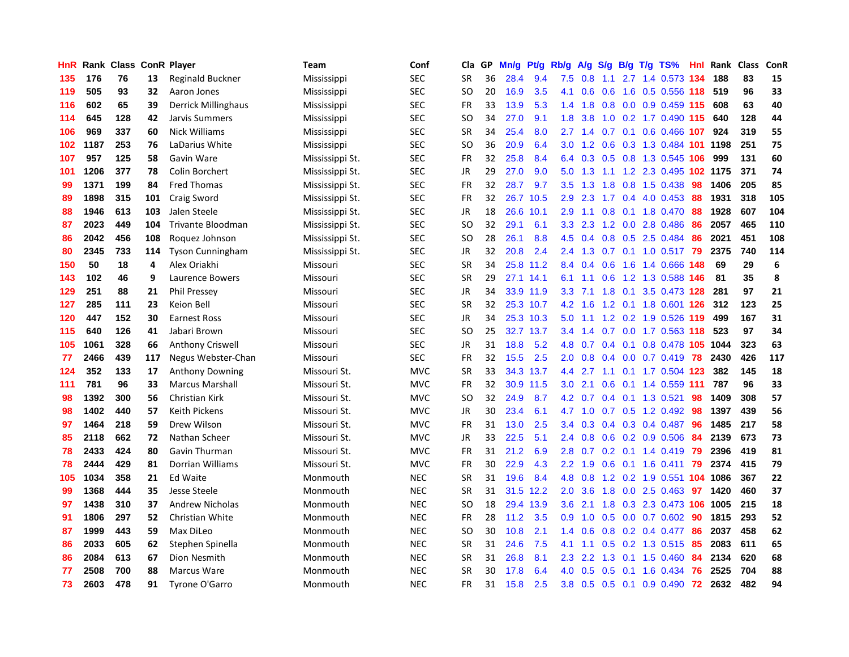| HnR | Rank | <b>Class</b> |     | <b>ConR Player</b>         | Team            | Conf       | Cla           | <b>GP</b> | Mn/g | <b>Pt/g</b> | Rb/g             | A/g | S/g |     | B/g T/g TS%                | Hnl | Rank | <b>Class</b> | <b>ConR</b> |
|-----|------|--------------|-----|----------------------------|-----------------|------------|---------------|-----------|------|-------------|------------------|-----|-----|-----|----------------------------|-----|------|--------------|-------------|
| 135 | 176  | 76           | 13  | Reginald Buckner           | Mississippi     | <b>SEC</b> | <b>SR</b>     | 36        | 28.4 | 9.4         | 7.5              | 0.8 | 1.1 |     | 2.7 1.4 0.573 134          |     | 188  | 83           | 15          |
| 119 | 505  | 93           | 32  | Aaron Jones                | Mississippi     | <b>SEC</b> | <sub>SO</sub> | 20        | 16.9 | 3.5         | 4.1              | 0.6 |     |     | 0.6 1.6 0.5 0.556 118      |     | 519  | 96           | 33          |
| 116 | 602  | 65           | 39  | <b>Derrick Millinghaus</b> | Mississippi     | <b>SEC</b> | <b>FR</b>     | 33        | 13.9 | 5.3         | $1.4^{\circ}$    | 1.8 |     |     | 0.8 0.0 0.9 0.459 115      |     | 608  | 63           | 40          |
| 114 | 645  | 128          | 42  | Jarvis Summers             | Mississippi     | <b>SEC</b> | <b>SO</b>     | 34        | 27.0 | 9.1         | 1.8              | 3.8 |     |     | 1.0 0.2 1.7 0.490 115      |     | 640  | 128          | 44          |
| 106 | 969  | 337          | 60  | Nick Williams              | Mississippi     | <b>SEC</b> | <b>SR</b>     | 34        | 25.4 | 8.0         | 2.7              | 1.4 | 0.7 |     | $0.1$ 0.6 0.466 107        |     | 924  | 319          | 55          |
| 102 | 1187 | 253          | 76  | LaDarius White             | Mississippi     | <b>SEC</b> | SO            | 36        | 20.9 | 6.4         | 3.0 <sub>2</sub> | 1.2 |     |     | 0.6 0.3 1.3 0.484 101 1198 |     |      | 251          | 75          |
| 107 | 957  | 125          | 58  | Gavin Ware                 | Mississippi St. | <b>SEC</b> | <b>FR</b>     | 32        | 25.8 | 8.4         | 6.4              | 0.3 |     |     | $0.5$ 0.8 1.3 0.545        | 106 | 999  | 131          | 60          |
| 101 | 1206 | 377          | 78  | Colin Borchert             | Mississippi St. | <b>SEC</b> | JR            | 29        | 27.0 | 9.0         | 5.0              | 1.3 | 1.1 |     | 1.2 2.3 0.495 102 1175     |     |      | 371          | 74          |
| 99  | 1371 | 199          | 84  | <b>Fred Thomas</b>         | Mississippi St. | <b>SEC</b> | <b>FR</b>     | 32        | 28.7 | 9.7         | 3.5              | 1.3 | 1.8 |     | 0.8 1.5 0.438              | 98  | 1406 | 205          | 85          |
| 89  | 1898 | 315          | 101 | Craig Sword                | Mississippi St. | <b>SEC</b> | <b>FR</b>     | 32        |      | 26.7 10.5   | 2.9              | 2.3 |     |     | 1.7 0.4 4.0 0.453 88       |     | 1931 | 318          | 105         |
| 88  | 1946 | 613          | 103 | Jalen Steele               | Mississippi St. | <b>SEC</b> | JR            | 18        |      | 26.6 10.1   | 2.9              | 1.1 |     |     | 0.8 0.1 1.8 0.470 88       |     | 1928 | 607          | 104         |
| 87  | 2023 | 449          | 104 | Trivante Bloodman          | Mississippi St. | <b>SEC</b> | SO            | 32        | 29.1 | 6.1         | 3.3 <sub>2</sub> | 2.3 |     |     | 1.2 0.0 2.8 0.486          | -86 | 2057 | 465          | 110         |
| 86  | 2042 | 456          | 108 | Roquez Johnson             | Mississippi St. | <b>SEC</b> | <b>SO</b>     | 28        | 26.1 | 8.8         | 4.5              | 0.4 | 0.8 |     | 0.5 2.5 0.484              | -86 | 2021 | 451          | 108         |
| 80  | 2345 | 733          | 114 | <b>Tyson Cunningham</b>    | Mississippi St. | <b>SEC</b> | JR            | 32        | 20.8 | 2.4         | 2.4              | 1.3 |     |     | $0.7$ 0.1 1.0 0.517        | 79  | 2375 | 740          | 114         |
| 150 | 50   | 18           | 4   | Alex Oriakhi               | Missouri        | <b>SEC</b> | <b>SR</b>     | 34        |      | 25.8 11.2   | 8.4              | 0.4 | 0.6 |     | 1.6 1.4 0.666              | 148 | 69   | 29           | 6           |
| 143 | 102  | 46           | 9   | Laurence Bowers            | Missouri        | <b>SEC</b> | <b>SR</b>     | 29        |      | 27.1 14.1   | 6.1              | 1.1 | 0.6 |     | 1.2 1.3 0.588 146          |     | 81   | 35           | 8           |
| 129 | 251  | 88           | 21  | <b>Phil Pressey</b>        | Missouri        | <b>SEC</b> | <b>JR</b>     | 34        |      | 33.9 11.9   | 3.3 <sub>2</sub> | 7.1 | 1.8 | 0.1 | 3.5 0.473 128              |     | 281  | 97           | 21          |
| 127 | 285  | 111          | 23  | Keion Bell                 | Missouri        | <b>SEC</b> | <b>SR</b>     | 32        |      | 25.3 10.7   | 4.2              | 1.6 |     |     | 1.2 0.1 1.8 0.601 126 312  |     |      | 123          | 25          |
| 120 | 447  | 152          | 30  | <b>Earnest Ross</b>        | Missouri        | <b>SEC</b> | JR            | 34        |      | 25.3 10.3   | 5.0              |     |     |     | 1.1 1.2 0.2 1.9 0.526 119  |     | 499  | 167          | 31          |
| 115 | 640  | 126          | 41  | Jabari Brown               | Missouri        | <b>SEC</b> | SO            | 25        |      | 32.7 13.7   | $3.4^{\circ}$    | 1.4 |     |     | 0.7 0.0 1.7 0.563 118      |     | 523  | 97           | 34          |
| 105 | 1061 | 328          | 66  | Anthony Criswell           | Missouri        | <b>SEC</b> | JR            | 31        | 18.8 | 5.2         | 4.8              | 0.7 |     |     | 0.4 0.1 0.8 0.478 105 1044 |     |      | 323          | 63          |
| 77  | 2466 | 439          | 117 | Negus Webster-Chan         | Missouri        | <b>SEC</b> | <b>FR</b>     | 32        | 15.5 | 2.5         | 2.0              | 0.8 |     |     | $0.4$ 0.0 0.7 0.419        | 78  | 2430 | 426          | 117         |
| 124 | 352  | 133          | 17  | Anthony Downing            | Missouri St.    | <b>MVC</b> | <b>SR</b>     | 33        |      | 34.3 13.7   | 4.4              | 2.7 |     |     | 1.1 0.1 1.7 0.504 123      |     | 382  | 145          | 18          |
| 111 | 781  | 96           | 33  | <b>Marcus Marshall</b>     | Missouri St.    | <b>MVC</b> | <b>FR</b>     | 32        | 30.9 | 11.5        | 3.0 <sub>2</sub> | 2.1 | 0.6 |     | 0.1 1.4 0.559 111          |     | 787  | 96           | 33          |
| 98  | 1392 | 300          | 56  | Christian Kirk             | Missouri St.    | <b>MVC</b> | SO            | 32        | 24.9 | 8.7         | 4.2              | 0.7 |     |     | 0.4 0.1 1.3 0.521          | 98  | 1409 | 308          | 57          |
| 98  | 1402 | 440          | 57  | <b>Keith Pickens</b>       | Missouri St.    | <b>MVC</b> | <b>JR</b>     | 30        | 23.4 | 6.1         | 4.7              | 1.0 |     |     | 0.7 0.5 1.2 0.492 98       |     | 1397 | 439          | 56          |
| 97  | 1464 | 218          | 59  | Drew Wilson                | Missouri St.    | <b>MVC</b> | <b>FR</b>     | 31        | 13.0 | 2.5         | 3.4              | 0.3 |     |     | 0.4 0.3 0.4 0.487 96       |     | 1485 | 217          | 58          |
| 85  | 2118 | 662          | 72  | Nathan Scheer              | Missouri St.    | <b>MVC</b> | <b>JR</b>     | 33        | 22.5 | 5.1         | $2.4^{\circ}$    | 0.8 |     |     | $0.6$ 0.2 0.9 0.506        | -84 | 2139 | 673          | 73          |
| 78  | 2433 | 424          | 80  | Gavin Thurman              | Missouri St.    | <b>MVC</b> | <b>FR</b>     | 31        | 21.2 | 6.9         | 2.8              | 0.7 |     |     | 0.2 0.1 1.4 0.419 79       |     | 2396 | 419          | 81          |
| 78  | 2444 | 429          | 81  | Dorrian Williams           | Missouri St.    | <b>MVC</b> | <b>FR</b>     | 30        | 22.9 | 4.3         | $2.2^{\circ}$    | 1.9 | 0.6 |     | $0.1$ 1.6 0.411            | 79  | 2374 | 415          | 79          |
| 105 | 1034 | 358          | 21  | Ed Waite                   | Monmouth        | <b>NEC</b> | <b>SR</b>     | 31        | 19.6 | 8.4         | 4.8              | 0.8 |     |     | 1.2 0.2 1.9 0.551 104      |     | 1086 | 367          | 22          |
| 99  | 1368 | 444          | 35  | Jesse Steele               | Monmouth        | <b>NEC</b> | <b>SR</b>     | 31        | 31.5 | 12.2        | 2.0              | 3.6 | 1.8 |     | $0.0$ 2.5 0.463            | 97  | 1420 | 460          | 37          |
| 97  | 1438 | 310          | 37  | <b>Andrew Nicholas</b>     | Monmouth        | <b>NEC</b> | SO            | 18        | 29.4 | 13.9        | 3.6              | 2.1 | 1.8 |     | 0.3 2.3 0.473 106          |     | 1005 | 215          | 18          |
| 91  | 1806 | 297          | 52  | Christian White            | Monmouth        | <b>NEC</b> | <b>FR</b>     | 28        | 11.2 | 3.5         | 0.9 <sub>0</sub> | 1.0 | 0.5 |     | $0.0$ 0.7 0.602            | 90  | 1815 | 293          | 52          |
| 87  | 1999 | 443          | 59  | Max DiLeo                  | Monmouth        | <b>NEC</b> | <sub>SO</sub> | 30        | 10.8 | 2.1         | 1.4              | 0.6 |     |     | 0.8 0.2 0.4 0.477          | 86  | 2037 | 458          | 62          |
| 86  | 2033 | 605          | 62  | Stephen Spinella           | Monmouth        | <b>NEC</b> | <b>SR</b>     | 31        | 24.6 | 7.5         | 4.1              | 1.1 |     |     | 0.5 0.2 1.3 0.515 85       |     | 2083 | 611          | 65          |
| 86  | 2084 | 613          | 67  | Dion Nesmith               | Monmouth        | <b>NEC</b> | <b>SR</b>     | 31        | 26.8 | 8.1         | 2.3              | 2.2 | 1.3 |     | $0.1$ 1.5 0.460            | 84  | 2134 | 620          | 68          |
| 77  | 2508 | 700          | 88  | Marcus Ware                | Monmouth        | <b>NEC</b> | <b>SR</b>     | 30        | 17.8 | 6.4         | 4.0              | 0.5 | 0.5 | 0.1 | 1.6 0.434                  | 76  | 2525 | 704          | 88          |
| 73  | 2603 | 478          | 91  | Tyrone O'Garro             | Monmouth        | <b>NEC</b> | <b>FR</b>     | 31        | 15.8 | 2.5         | 3.8              | 0.5 |     |     | $0.5$ 0.1 0.9 0.490        | 72  | 2632 | 482          | 94          |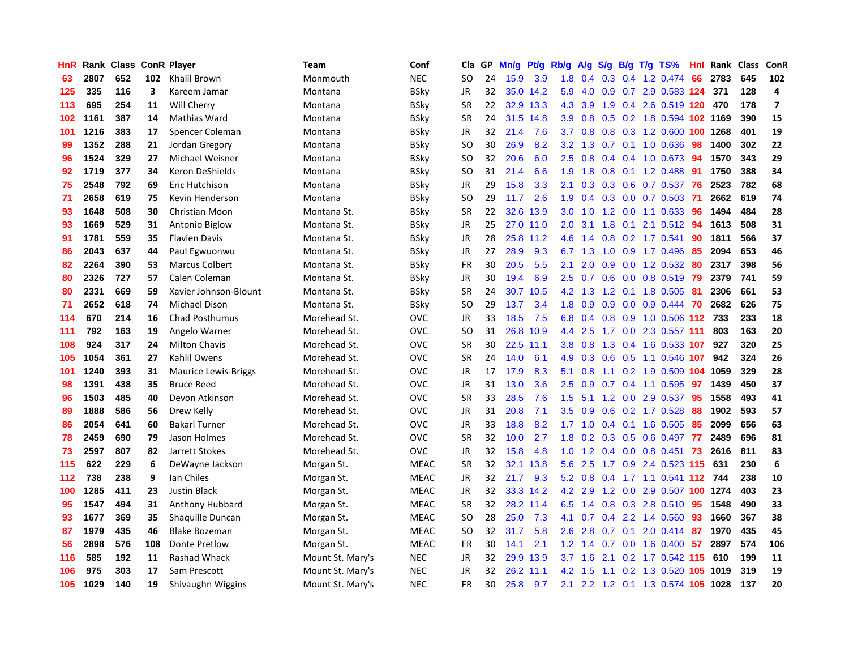| HnR. |      | Rank Class ConR Player |     |                             | Team             | Conf        | Cla       | GP | Mn/g | <b>Pt/g</b> | Rb/g             | A/g            | S/g              |  | B/g T/g TS%                        | Hnl | Rank     | Class | <b>ConR</b>             |
|------|------|------------------------|-----|-----------------------------|------------------|-------------|-----------|----|------|-------------|------------------|----------------|------------------|--|------------------------------------|-----|----------|-------|-------------------------|
| 63   | 2807 | 652                    | 102 | <b>Khalil Brown</b>         | Monmouth         | <b>NEC</b>  | <b>SO</b> | 24 | 15.9 | 3.9         |                  |                |                  |  | 1.8 0.4 0.3 0.4 1.2 0.474 66       |     | 2783     | 645   | 102                     |
| 125  | 335  | 116                    | 3   | Kareem Jamar                | Montana          | <b>BSky</b> | <b>JR</b> | 32 |      | 35.0 14.2   |                  | $5.9$ 4.0      |                  |  | 0.9 0.7 2.9 0.583 124              |     | 371      | 128   | 4                       |
| 113  | 695  | 254                    | 11  | Will Cherry                 | Montana          | <b>BSky</b> | <b>SR</b> | 22 |      | 32.9 13.3   | 4.3              | 3.9            |                  |  | 1.9 0.4 2.6 0.519 120 470          |     |          | 178   | $\overline{\mathbf{z}}$ |
| 102  | 1161 | 387                    | 14  | Mathias Ward                | Montana          | <b>BSky</b> | <b>SR</b> | 24 |      | 31.5 14.8   | 3.9 <sup>°</sup> | 0.8            |                  |  | 0.5 0.2 1.8 0.594 102 1169         |     |          | 390   | 15                      |
| 101  | 1216 | 383                    | 17  | Spencer Coleman             | Montana          | BSky        | JR        | 32 | 21.4 | 7.6         | 3.7 <sub>2</sub> | 0.8            |                  |  | $0.8$ 0.3 1.2 0.600                |     | 100 1268 | 401   | 19                      |
| 99   | 1352 | 288                    | 21  | Jordan Gregory              | Montana          | BSky        | SO        | 30 | 26.9 | 8.2         | 3.2              | 1.3            |                  |  | 0.7 0.1 1.0 0.636                  | -98 | 1400     | 302   | 22                      |
| 96   | 1524 | 329                    | 27  | Michael Weisner             | Montana          | <b>BSky</b> | SO        | 32 | 20.6 | 6.0         | 2.5              | 0.8            |                  |  | $0.4$ 0.4 1.0 0.673                | -94 | 1570     | 343   | 29                      |
| 92   | 1719 | 377                    | 34  | Keron DeShields             | Montana          | <b>BSky</b> | SO        | 31 | 21.4 | 6.6         | 1.9              | 1.8            | 0.8              |  | 0.1 1.2 0.488                      | -91 | 1750     | 388   | 34                      |
| 75   | 2548 | 792                    | 69  | Eric Hutchison              | Montana          | <b>BSky</b> | JR        | 29 | 15.8 | 3.3         | 2.1              | 0.3            |                  |  | 0.3 0.6 0.7 0.537                  | -76 | 2523     | 782   | 68                      |
| 71   | 2658 | 619                    | 75  | Kevin Henderson             | Montana          | <b>BSky</b> | SO        | 29 | 11.7 | 2.6         |                  |                |                  |  | 1.9 0.4 0.3 0.0 0.7 0.503 71       |     | 2662     | 619   | 74                      |
| 93   | 1648 | 508                    | 30  | Christian Moon              | Montana St.      | <b>BSky</b> | SR.       | 22 | 32.6 | 13.9        | 3.0 <sub>1</sub> | $-1.0$         |                  |  | 1.2 0.0 1.1 0.633 96               |     | 1494     | 484   | 28                      |
| 93   | 1669 | 529                    | 31  | Antonio Biglow              | Montana St.      | <b>BSky</b> | JR        | 25 |      | 27.0 11.0   | 2.0 <sub>1</sub> | 3.1            | 1.8              |  | 0.1 2.1 0.512 94                   |     | 1613     | 508   | 31                      |
| 91   | 1781 | 559                    | 35  | <b>Flavien Davis</b>        | Montana St.      | <b>BSky</b> | <b>JR</b> | 28 | 25.8 | 11.2        | 4.6              | 1.4            | 0.8              |  | $0.2$ 1.7 0.541                    | 90  | 1811     | 566   | 37                      |
| 86   | 2043 | 637                    | 44  | Paul Egwuonwu               | Montana St.      | BSky        | JR        | 27 | 28.9 | 9.3         | 6.7              | 1.3            | 1.0              |  | 0.9 1.7 0.496                      | 85  | 2094     | 653   | 46                      |
| 82   | 2264 | 390                    | 53  | <b>Marcus Colbert</b>       | Montana St.      | <b>BSky</b> | <b>FR</b> | 30 | 20.5 | 5.5         | 2.1              | 2.0            | 0.9 <sub>0</sub> |  | $0.0$ 1.2 0.532                    | -80 | 2317     | 398   | 56                      |
| 80   | 2326 | 727                    | 57  | Calen Coleman               | Montana St.      | BSky        | JR        | 30 | 19.4 | 6.9         |                  | $2.5\quad 0.7$ | 0.6              |  | $0.0$ 0.8 0.519                    | 79  | 2379     | 741   | 59                      |
| 80   | 2331 | 669                    | 59  | Xavier Johnson-Blount       | Montana St.      | <b>BSky</b> | <b>SR</b> | 24 | 30.7 | 10.5        |                  | 4.2 1.3        | 1.2              |  | 0.1 1.8 0.505                      | -81 | 2306     | 661   | 53                      |
| 71   | 2652 | 618                    | 74  | <b>Michael Dison</b>        | Montana St.      | <b>BSky</b> | <b>SO</b> | 29 | 13.7 | 3.4         | 1.8              | 0.9            | 0.9              |  | 0.0 0.9 0.444 70                   |     | 2682     | 626   | 75                      |
| 114  | 670  | 214                    | 16  | <b>Chad Posthumus</b>       | Morehead St.     | <b>OVC</b>  | JR        | 33 | 18.5 | 7.5         |                  |                |                  |  | 6.8 0.4 0.8 0.9 1.0 0.506 112 733  |     |          | 233   | 18                      |
| 111  | 792  | 163                    | 19  | Angelo Warner               | Morehead St.     | <b>OVC</b>  | <b>SO</b> | 31 |      | 26.8 10.9   | 4.4              | 2.5            |                  |  | 1.7 0.0 2.3 0.557 111              |     | 803      | 163   | 20                      |
| 108  | 924  | 317                    | 24  | <b>Milton Chavis</b>        | Morehead St.     | <b>OVC</b>  | <b>SR</b> | 30 | 22.5 | 11.1        | 3.8              | 0.8            | 1.3              |  | 0.4 1.6 0.533 107                  |     | 927      | 320   | 25                      |
| 105  | 1054 | 361                    | 27  | Kahlil Owens                | Morehead St.     | <b>OVC</b>  | <b>SR</b> | 24 | 14.0 | 6.1         | 4.9              | 0.3            | 0.6              |  | 0.5 1.1 0.546 107                  |     | 942      | 324   | 26                      |
| 101  | 1240 | 393                    | 31  | <b>Maurice Lewis-Briggs</b> | Morehead St.     | <b>OVC</b>  | JR        | 17 | 17.9 | 8.3         | 5.1              | 0.8            |                  |  | 1.1 0.2 1.9 0.509 104              |     | 1059     | 329   | 28                      |
| 98   | 1391 | 438                    | 35  | <b>Bruce Reed</b>           | Morehead St.     | <b>OVC</b>  | JR        | 31 | 13.0 | 3.6         | $2.5\,$          | 0.9            | 0.7              |  | 0.4 1.1 0.595                      | 97  | 1439     | 450   | 37                      |
| 96   | 1503 | 485                    | 40  | Devon Atkinson              | Morehead St.     | <b>OVC</b>  | SR        | 33 | 28.5 | 7.6         | 1.5              | 5.1            | 1.2              |  | 0.0 2.9 0.537                      | -95 | 1558     | 493   | 41                      |
| 89   | 1888 | 586                    | 56  | Drew Kelly                  | Morehead St.     | <b>OVC</b>  | JR        | 31 | 20.8 | 7.1         | 3.5              | 0.9            | 0.6              |  | $0.2$ 1.7 0.528                    | -88 | 1902     | 593   | 57                      |
| 86   | 2054 | 641                    | 60  | Bakari Turner               | Morehead St.     | <b>OVC</b>  | JR        | 33 | 18.8 | 8.2         |                  |                |                  |  | 1.7 1.0 0.4 0.1 1.6 0.505 85       |     | 2099     | 656   | 63                      |
| 78   | 2459 | 690                    | 79  | Jason Holmes                | Morehead St.     | <b>OVC</b>  | <b>SR</b> | 32 | 10.0 | 2.7         |                  |                |                  |  | 1.8 0.2 0.3 0.5 0.6 0.497 77       |     | 2489     | 696   | 81                      |
| 73   | 2597 | 807                    | 82  | Jarrett Stokes              | Morehead St.     | <b>OVC</b>  | JR        | 32 | 15.8 | 4.8         | 1.0 <sub>1</sub> | 1.2            |                  |  | 0.4 0.0 0.8 0.451 73               |     | 2616     | 811   | 83                      |
| 115  | 622  | 229                    | 6   | DeWayne Jackson             | Morgan St.       | <b>MEAC</b> | <b>SR</b> | 32 | 32.1 | 13.8        | 5.6              | 2.5            |                  |  | 1.7 0.9 2.4 0.523 115              |     | 631      | 230   | 6                       |
| 112  | 738  | 238                    | 9   | lan Chiles                  | Morgan St.       | <b>MEAC</b> | JR        | 32 | 21.7 | 9.3         | 5.2              | 0.8            | 0.4              |  | 1.7 1.1 0.541 112 744              |     |          | 238   | 10                      |
| 100  | 1285 | 411                    | 23  | <b>Justin Black</b>         | Morgan St.       | <b>MEAC</b> | JR        | 32 |      | 33.3 14.2   | 4.2              | 2.9            | 1.2              |  | 0.0 2.9 0.507 100 1274             |     |          | 403   | 23                      |
| 95   | 1547 | 494                    | 31  | <b>Anthony Hubbard</b>      | Morgan St.       | <b>MEAC</b> | <b>SR</b> | 32 |      | 28.2 11.4   | 6.5              | 1.4            | 0.8              |  | $0.3$ 2.8 $0.510$                  | -95 | 1548     | 490   | 33                      |
| 93   | 1677 | 369                    | 35  | Shaguille Duncan            | Morgan St.       | <b>MEAC</b> | <b>SO</b> | 28 | 25.0 | 7.3         | 4.1              | 0.7            | 0.4              |  | 2.2 1.4 0.560                      | 93  | 1660     | 367   | 38                      |
| 87   | 1979 | 435                    | 46  | <b>Blake Bozeman</b>        | Morgan St.       | <b>MEAC</b> | SO        | 32 | 31.7 | 5.8         | 2.6              | 2.8            | 0.7              |  | $0.1$ 2.0 0.414 87                 |     | 1970     | 435   | 45                      |
| 56   | 2898 | 576                    | 108 | Donte Pretlow               | Morgan St.       | <b>MEAC</b> | <b>FR</b> | 30 | 14.1 | 2.1         |                  |                |                  |  | 1.2 1.4 0.7 0.0 1.6 0.400 57 2897  |     |          | 574   | 106                     |
| 116  | 585  | 192                    | 11  | <b>Rashad Whack</b>         | Mount St. Mary's | <b>NEC</b>  | JR        | 32 | 29.9 | 13.9        | 3.7              | 1.6            | 2.1              |  | 0.2 1.7 0.542 115 610              |     |          | 199   | 11                      |
| 106  | 975  | 303                    | 17  | Sam Prescott                | Mount St. Mary's | <b>NEC</b>  | <b>JR</b> | 32 | 26.2 | 11.1        | 4.2              | 1.5            | 1.1              |  | 0.2 1.3 0.520                      |     | 105 1019 | 319   | 19                      |
| 105  | 1029 | 140                    | 19  | Shivaughn Wiggins           | Mount St. Mary's | <b>NEC</b>  | FR        | 30 | 25.8 | 9.7         |                  |                |                  |  | 2.1 2.2 1.2 0.1 1.3 0.574 105 1028 |     |          | 137   | 20                      |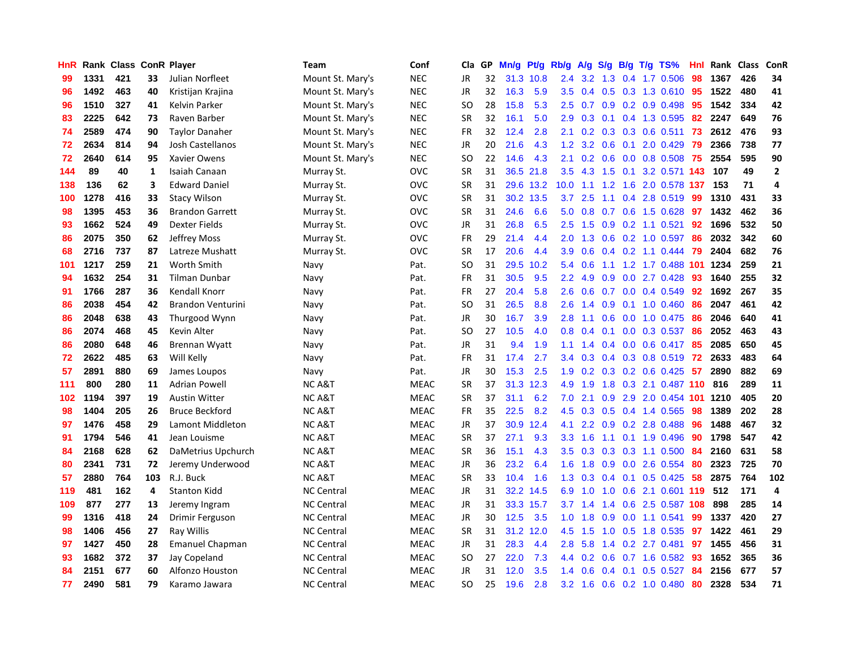| HnR |      | Rank Class ConR Player |              |                          | Team              | Conf        | Cla       | <b>GP</b> | Mn/g | Pt/g      | Rb/g             | A/g             | S/g           |     | B/g T/g TS%               | Hnl | Rank | <b>Class</b> | <b>ConR</b>  |
|-----|------|------------------------|--------------|--------------------------|-------------------|-------------|-----------|-----------|------|-----------|------------------|-----------------|---------------|-----|---------------------------|-----|------|--------------|--------------|
| 99  | 1331 | 421                    | 33           | Julian Norfleet          | Mount St. Mary's  | <b>NEC</b>  | JR        | 32        |      | 31.3 10.8 | 2.4              | 3.2             |               |     | 1.3 0.4 1.7 0.506         | -98 | 1367 | 426          | 34           |
| 96  | 1492 | 463                    | 40           | Kristijan Krajina        | Mount St. Mary's  | <b>NEC</b>  | JR        | 32        | 16.3 | 5.9       | 3.5              |                 |               |     | 0.4 0.5 0.3 1.3 0.610 95  |     | 1522 | 480          | 41           |
| 96  | 1510 | 327                    | 41           | Kelvin Parker            | Mount St. Mary's  | <b>NEC</b>  | SO        | 28        | 15.8 | 5.3       | $2.5\,$          | 0.7             |               |     | $0.9$ $0.2$ $0.9$ $0.498$ | 95  | 1542 | 334          | 42           |
| 83  | 2225 | 642                    | 73           | Raven Barber             | Mount St. Mary's  | <b>NEC</b>  | <b>SR</b> | 32        | 16.1 | 5.0       | 2.9              | 0.3             |               |     | $0.1$ 0.4 1.3 0.595       | 82  | 2247 | 649          | 76           |
| 74  | 2589 | 474                    | 90           | <b>Taylor Danaher</b>    | Mount St. Mary's  | <b>NEC</b>  | <b>FR</b> | 32        | 12.4 | 2.8       | 2.1              | 0.2             |               |     | $0.3$ 0.3 0.6 0.511       | 73  | 2612 | 476          | 93           |
| 72  | 2634 | 814                    | 94           | Josh Castellanos         | Mount St. Mary's  | <b>NEC</b>  | JR        | 20        | 21.6 | 4.3       | 1.2              | 3.2             | 0.6           | 0.1 | 2.0 0.429                 | 79  | 2366 | 738          | 77           |
| 72  | 2640 | 614                    | 95           | Xavier Owens             | Mount St. Mary's  | <b>NEC</b>  | <b>SO</b> | 22        | 14.6 | 4.3       | 2.1              | 0.2             | 0.6           |     | $0.0$ 0.8 0.508           | 75  | 2554 | 595          | 90           |
| 144 | 89   | 40                     | $\mathbf{1}$ | Isaiah Canaan            | Murray St.        | <b>OVC</b>  | <b>SR</b> | 31        | 36.5 | 21.8      | 3.5              | 4.3             | 1.5           | 0.1 | 3.2 0.571 143             |     | 107  | 49           | $\mathbf{2}$ |
| 138 | 136  | 62                     | 3            | <b>Edward Daniel</b>     | Murray St.        | <b>OVC</b>  | <b>SR</b> | 31        |      | 29.6 13.2 | 10.0             | 1.1             | 1.2           |     | 1.6 2.0 0.578 137         |     | 153  | 71           | 4            |
| 100 | 1278 | 416                    | 33           | <b>Stacy Wilson</b>      | Murray St.        | <b>OVC</b>  | <b>SR</b> | 31        |      | 30.2 13.5 | 3.7              | 2.5             |               |     | 1.1 0.4 2.8 0.519 99      |     | 1310 | 431          | 33           |
| 98  | 1395 | 453                    | 36           | <b>Brandon Garrett</b>   | Murray St.        | <b>OVC</b>  | <b>SR</b> | 31        | 24.6 | 6.6       | 5.0              | 0.8             |               |     | 0.7 0.6 1.5 0.628         | 97  | 1432 | 462          | 36           |
| 93  | 1662 | 524                    | 49           | Dexter Fields            | Murray St.        | <b>OVC</b>  | JR        | 31        | 26.8 | 6.5       | $2.5\,$          | 1.5             | 0.9           |     | $0.2$ 1.1 0.521           | 92  | 1696 | 532          | 50           |
| 86  | 2075 | 350                    | 62           | Jeffrey Moss             | Murray St.        | <b>OVC</b>  | <b>FR</b> | 29        | 21.4 | 4.4       | 2.0              | 1.3             | 0.6           |     | $0.2$ 1.0 0.597           | 86  | 2032 | 342          | 60           |
| 68  | 2716 | 737                    | 87           | Latreze Mushatt          | Murray St.        | OVC         | <b>SR</b> | 17        | 20.6 | 4.4       | 3.9              | 0.6             |               |     | $0.4$ 0.2 1.1 0.444       | 79  | 2404 | 682          | 76           |
| 101 | 1217 | 259                    | 21           | Worth Smith              | Navy              | Pat.        | <b>SO</b> | 31        | 29.5 | 10.2      | 5.4              | 0.6             |               |     | 1.1 1.2 1.7 0.488 101     |     | 1234 | 259          | 21           |
| 94  | 1632 | 254                    | 31           | Tilman Dunbar            | Navy              | Pat.        | <b>FR</b> | 31        | 30.5 | 9.5       | $2.2\phantom{0}$ | 4.9             | 0.9           |     | $0.0$ 2.7 $0.428$         | -93 | 1640 | 255          | 32           |
| 91  | 1766 | 287                    | 36           | Kendall Knorr            | Navy              | Pat.        | <b>FR</b> | 27        | 20.4 | 5.8       | 2.6              | 0.6             | 0.7           |     | $0.0$ 0.4 0.549           | 92  | 1692 | 267          | 35           |
| 86  | 2038 | 454                    | 42           | <b>Brandon Venturini</b> | Navy              | Pat.        | <b>SO</b> | 31        | 26.5 | 8.8       | 2.6              | 1.4             |               |     | $0.9$ 0.1 1.0 0.460       | 86  | 2047 | 461          | 42           |
| 86  | 2048 | 638                    | 43           | Thurgood Wynn            | Navy              | Pat.        | JR        | 30        | 16.7 | 3.9       | 2.8              | 1.1             |               |     | 0.6 0.0 1.0 0.475 86      |     | 2046 | 640          | 41           |
| 86  | 2074 | 468                    | 45           | Kevin Alter              | Navy              | Pat.        | <b>SO</b> | 27        | 10.5 | 4.0       | 0.8              | 0.4             |               |     | $0.1$ 0.0 0.3 0.537       | -86 | 2052 | 463          | 43           |
| 86  | 2080 | 648                    | 46           | <b>Brennan Wyatt</b>     | Navy              | Pat.        | <b>JR</b> | 31        | 9.4  | 1.9       | 1.1              | 1.4             |               |     | 0.4 0.0 0.6 0.417         | 85  | 2085 | 650          | 45           |
| 72  | 2622 | 485                    | 63           | Will Kelly               | Navy              | Pat.        | FR        | 31        | 17.4 | 2.7       | 3.4              | 0.3             |               |     | $0.4$ 0.3 0.8 0.519       | 72  | 2633 | 483          | 64           |
| 57  | 2891 | 880                    | 69           | James Loupos             | Navy              | Pat.        | JR        | 30        | 15.3 | 2.5       | 1.9              | 0.2             | 0.3           |     | $0.2$ 0.6 0.425           | 57  | 2890 | 882          | 69           |
| 111 | 800  | 280                    | 11           | <b>Adrian Powell</b>     | NC A&T            | <b>MEAC</b> | <b>SR</b> | 37        | 31.3 | 12.3      | 4.9              | 1.9             | 1.8           |     | 0.3 2.1 0.487 110         |     | 816  | 289          | 11           |
| 102 | 1194 | 397                    | 19           | <b>Austin Witter</b>     | <b>NCA&amp;T</b>  | <b>MEAC</b> | <b>SR</b> | 37        | 31.1 | 6.2       | 7.0              | 2.1             | 0.9           |     | 2.9 2.0 0.454 101         |     | 1210 | 405          | 20           |
| 98  | 1404 | 205                    | 26           | <b>Bruce Beckford</b>    | NC A&T            | <b>MEAC</b> | FR        | 35        | 22.5 | 8.2       | 4.5              | 0.3             |               |     | $0.5$ 0.4 1.4 0.565       | 98  | 1389 | 202          | 28           |
| 97  | 1476 | 458                    | 29           | Lamont Middleton         | <b>NCA&amp;T</b>  | <b>MEAC</b> | <b>JR</b> | 37        | 30.9 | 12.4      | 4.1              | 2.2             |               |     | 0.9 0.2 2.8 0.488 96      |     | 1488 | 467          | 32           |
| 91  | 1794 | 546                    | 41           | Jean Louisme             | NC A&T            | <b>MEAC</b> | <b>SR</b> | 37        | 27.1 | 9.3       | 3.3 <sub>2</sub> | 1.6             |               |     | 1.1 0.1 1.9 0.496         | -90 | 1798 | 547          | 42           |
| 84  | 2168 | 628                    | 62           | DaMetrius Upchurch       | <b>NCA&amp;T</b>  | <b>MEAC</b> | <b>SR</b> | 36        | 15.1 | 4.3       | 3.5              | 0.3             |               |     | 0.3 0.3 1.1 0.500         | 84  | 2160 | 631          | 58           |
| 80  | 2341 | 731                    | 72           | Jeremy Underwood         | <b>NC A&amp;T</b> | <b>MEAC</b> | JR        | 36        | 23.2 | 6.4       | 1.6              | 1.8             | 0.9           |     | $0.0$ 2.6 0.554           | -80 | 2323 | 725          | 70           |
| 57  | 2880 | 764                    | 103          | R.J. Buck                | <b>NC A&amp;T</b> | <b>MEAC</b> | <b>SR</b> | 33        | 10.4 | 1.6       | 1.3              | 0.3             | $0.4^{\circ}$ |     | $0.1$ 0.5 0.425           | 58  | 2875 | 764          | 102          |
| 119 | 481  | 162                    | 4            | <b>Stanton Kidd</b>      | <b>NC Central</b> | <b>MEAC</b> | JR        | 31        |      | 32.2 14.5 | 6.9              | 1.0             | 1.0           |     | 0.6 2.1 0.601 119         |     | 512  | 171          | 4            |
| 109 | 877  | 277                    | 13           | Jeremy Ingram            | <b>NC Central</b> | <b>MEAC</b> | <b>JR</b> | 31        |      | 33.3 15.7 |                  | $3.7 \quad 1.4$ | 1.4           |     | 0.6 2.5 0.587 108         |     | 898  | 285          | 14           |
| 99  | 1316 | 418                    | 24           | Drimir Ferguson          | <b>NC Central</b> | <b>MEAC</b> | JR        | 30        | 12.5 | 3.5       | 1.0              | 1.8             | 0.9           |     | $0.0$ 1.1 0.541           | 99  | 1337 | 420          | 27           |
| 98  | 1406 | 456                    | 27           | Ray Willis               | <b>NC Central</b> | <b>MEAC</b> | <b>SR</b> | 31        |      | 31.2 12.0 |                  | 4.5 1.5         |               |     | 1.0 0.5 1.8 0.535         | 97  | 1422 | 461          | 29           |
| 97  | 1427 | 450                    | 28           | <b>Emanuel Chapman</b>   | <b>NC Central</b> | <b>MEAC</b> | <b>JR</b> | 31        | 28.3 | 4.4       | 2.8              | 5.8             |               |     | 1.4 0.2 2.7 0.481         | 97  | 1455 | 456          | 31           |
| 93  | 1682 | 372                    | 37           | Jay Copeland             | <b>NC Central</b> | <b>MEAC</b> | <b>SO</b> | 27        | 22.0 | 7.3       | 4.4              | 0.2             | 0.6           |     | $0.7$ 1.6 0.582           | -93 | 1652 | 365          | 36           |
| 84  | 2151 | 677                    | 60           | Alfonzo Houston          | <b>NC Central</b> | <b>MEAC</b> | JR        | 31        | 12.0 | 3.5       | 1.4              | 0.6             | 0.4           | 0.1 | $0.5$ 0.527               | 84  | 2156 | 677          | 57           |
| 77  | 2490 | 581                    | 79           | Karamo Jawara            | <b>NC Central</b> | <b>MEAC</b> | SO        | 25        | 19.6 | 2.8       | 3.2              | 1.6             |               |     | $0.6$ 0.2 1.0 0.480       | 80  | 2328 | 534          | 71           |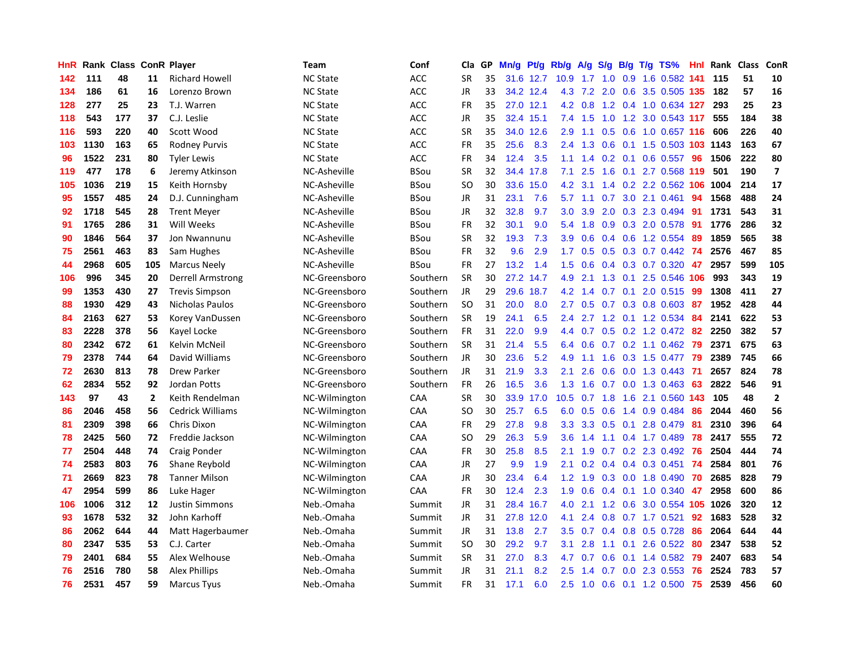| HnR | Rank | <b>Class</b> |              | <b>ConR Player</b>      | Team            | Conf        | Cla           | <b>GP</b> | Mn/g | <b>Pt/g</b> | Rb/g             | A/g             | S/g              |     | B/g T/g TS%                   | Hnl | Rank | <b>Class</b> | ConR                    |
|-----|------|--------------|--------------|-------------------------|-----------------|-------------|---------------|-----------|------|-------------|------------------|-----------------|------------------|-----|-------------------------------|-----|------|--------------|-------------------------|
| 142 | 111  | 48           | 11           | <b>Richard Howell</b>   | <b>NC State</b> | <b>ACC</b>  | <b>SR</b>     | 35        |      | 31.6 12.7   | 10.9             | $1.7 \quad 1.0$ |                  |     | 0.9 1.6 0.582 141             |     | 115  | 51           | 10                      |
| 134 | 186  | 61           | 16           | Lorenzo Brown           | <b>NC State</b> | <b>ACC</b>  | <b>JR</b>     | 33        |      | 34.2 12.4   |                  |                 |                  |     | 4.3 7.2 2.0 0.6 3.5 0.505 135 |     | 182  | 57           | 16                      |
| 128 | 277  | 25           | 23           | T.J. Warren             | <b>NC State</b> | <b>ACC</b>  | <b>FR</b>     | 35        |      | 27.0 12.1   |                  | 4.2 0.8         |                  |     | 1.2 0.4 1.0 0.634 127         |     | 293  | 25           | 23                      |
| 118 | 543  | 177          | 37           | C.J. Leslie             | <b>NC State</b> | ACC         | JR            | 35        |      | 32.4 15.1   | 7.4              | 1.5             | 1.0              |     | 1.2 3.0 0.543 117             |     | 555  | 184          | 38                      |
| 116 | 593  | 220          | 40           | Scott Wood              | <b>NC State</b> | <b>ACC</b>  | <b>SR</b>     | 35        | 34.0 | 12.6        | 2.9              | 1.1             | 0.5              |     | 0.6 1.0 0.657 116             |     | 606  | 226          | 40                      |
| 103 | 1130 | 163          | 65           | <b>Rodney Purvis</b>    | <b>NC State</b> | <b>ACC</b>  | <b>FR</b>     | 35        | 25.6 | 8.3         | 2.4              | 1.3             | 0.6              |     | 0.1 1.5 0.503 103 1143        |     |      | 163          | 67                      |
| 96  | 1522 | 231          | 80           | <b>Tyler Lewis</b>      | <b>NC State</b> | ACC         | <b>FR</b>     | 34        | 12.4 | 3.5         | 1.1              | 1.4             | 0.2 <sub>0</sub> |     | $0.1$ 0.6 0.557               | 96  | 1506 | 222          | 80                      |
| 119 | 477  | 178          | 6            | Jeremy Atkinson         | NC-Asheville    | BSou        | <b>SR</b>     | 32        | 34.4 | 17.8        | 7.1              | 2.5             | 1.6              | 0.1 | 2.7 0.568 119                 |     | 501  | 190          | $\overline{\mathbf{z}}$ |
| 105 | 1036 | 219          | 15           | Keith Hornsby           | NC-Asheville    | BSou        | SO            | 30        | 33.6 | 15.0        | 4.2              | 3.1             | $1.4^{\circ}$    |     | 0.2 2.2 0.562 106             |     | 1004 | 214          | 17                      |
| 95  | 1557 | 485          | 24           | D.J. Cunningham         | NC-Asheville    | <b>BSou</b> | JR            | 31        | 23.1 | 7.6         | 5.7              | 1.1             | 0.7              |     | 3.0 2.1 0.461                 | 94  | 1568 | 488          | 24                      |
| 92  | 1718 | 545          | 28           | <b>Trent Meyer</b>      | NC-Asheville    | <b>BSou</b> | JR            | 32        | 32.8 | 9.7         | 3.0              | 3.9             |                  |     | 2.0 0.3 2.3 0.494 91          |     | 1731 | 543          | 31                      |
| 91  | 1765 | 286          | 31           | Will Weeks              | NC-Asheville    | BSou        | <b>FR</b>     | 32        | 30.1 | 9.0         | 5.4              | 1.8             |                  |     | 0.9 0.3 2.0 0.578             | -91 | 1776 | 286          | 32                      |
| 90  | 1846 | 564          | 37           | Jon Nwannunu            | NC-Asheville    | <b>BSou</b> | <b>SR</b>     | 32        | 19.3 | 7.3         | 3.9              | 0.6             | 0.4              |     | 0.6 1.2 0.554                 | 89  | 1859 | 565          | 38                      |
| 75  | 2561 | 463          | 83           | Sam Hughes              | NC-Asheville    | BSou        | <b>FR</b>     | 32        | 9.6  | 2.9         | 1.7              | 0.5             | 0.5              |     | $0.3$ 0.7 0.442               | 74  | 2576 | 467          | 85                      |
| 44  | 2968 | 605          | 105          | <b>Marcus Neely</b>     | NC-Asheville    | <b>BSou</b> | <b>FR</b>     | 27        | 13.2 | 1.4         | 1.5              | 0.6             | $0.4^{\circ}$    |     | 0.3 0.7 0.320                 | 47  | 2957 | 599          | 105                     |
| 106 | 996  | 345          | 20           | Derrell Armstrong       | NC-Greensboro   | Southern    | <b>SR</b>     | 30        | 27.2 | 14.7        | 4.9              | 2.1             | 1.3              | 0.1 | 2.5 0.546 106                 |     | 993  | 343          | 19                      |
| 99  | 1353 | 430          | 27           | <b>Trevis Simpson</b>   | NC-Greensboro   | Southern    | <b>JR</b>     | 29        | 29.6 | 18.7        | 4.2              | 1.4             | 0.7              | 0.1 | 2.0 0.515                     | -99 | 1308 | 411          | 27                      |
| 88  | 1930 | 429          | 43           | <b>Nicholas Paulos</b>  | NC-Greensboro   | Southern    | <b>SO</b>     | 31        | 20.0 | 8.0         | 2.7              | 0.5             |                  |     | 0.7 0.3 0.8 0.603 87          |     | 1952 | 428          | 44                      |
| 84  | 2163 | 627          | 53           | Korey VanDussen         | NC-Greensboro   | Southern    | <b>SR</b>     | 19        | 24.1 | 6.5         | $2.4^{\circ}$    |                 |                  |     | 2.7 1.2 0.1 1.2 0.534         | -84 | 2141 | 622          | 53                      |
| 83  | 2228 | 378          | 56           | Kayel Locke             | NC-Greensboro   | Southern    | <b>FR</b>     | 31        | 22.0 | 9.9         | 4.4              | 0.7             |                  |     | 0.5 0.2 1.2 0.472 82          |     | 2250 | 382          | 57                      |
| 80  | 2342 | 672          | 61           | Kelvin McNeil           | NC-Greensboro   | Southern    | <b>SR</b>     | 31        | 21.4 | 5.5         | 6.4              | 0.6             |                  |     | $0.7$ $0.2$ 1.1 $0.462$       | -79 | 2371 | 675          | 63                      |
| 79  | 2378 | 744          | 64           | David Williams          | NC-Greensboro   | Southern    | JR            | 30        | 23.6 | 5.2         | 4.9              | 1.1             | 1.6              |     | 0.3 1.5 0.477                 | 79  | 2389 | 745          | 66                      |
| 72  | 2630 | 813          | 78           | <b>Drew Parker</b>      | NC-Greensboro   | Southern    | JR            | 31        | 21.9 | 3.3         | 2.1              | 2.6             | 0.6              |     | $0.0$ 1.3 0.443               | -71 | 2657 | 824          | 78                      |
| 62  | 2834 | 552          | 92           | Jordan Potts            | NC-Greensboro   | Southern    | FR            | 26        | 16.5 | 3.6         | 1.3              | 1.6             | 0.7              |     | $0.0$ 1.3 0.463               | 63  | 2822 | 546          | 91                      |
| 143 | 97   | 43           | $\mathbf{2}$ | Keith Rendelman         | NC-Wilmington   | CAA         | <b>SR</b>     | 30        | 33.9 | 17.0        | 10.5             | 0.7             | 1.8              | 1.6 | 2.1 0.560                     | 143 | 105  | 48           | $\mathbf 2$             |
| 86  | 2046 | 458          | 56           | <b>Cedrick Williams</b> | NC-Wilmington   | CAA         | <sub>SO</sub> | 30        | 25.7 | 6.5         | 6.0              | 0.5             | 0.6              |     | 1.4 0.9 0.484                 | -86 | 2044 | 460          | 56                      |
| 81  | 2309 | 398          | 66           | Chris Dixon             | NC-Wilmington   | CAA         | <b>FR</b>     | 29        | 27.8 | 9.8         | 3.3 <sub>2</sub> | 3.3             |                  |     | $0.5$ 0.1 2.8 0.479           | -81 | 2310 | 396          | 64                      |
| 78  | 2425 | 560          | 72           | Freddie Jackson         | NC-Wilmington   | CAA         | SO            | 29        | 26.3 | 5.9         | 3.6              | 1.4             |                  |     | 1.1 0.4 1.7 0.489             | 78  | 2417 | 555          | 72                      |
| 77  | 2504 | 448          | 74           | Craig Ponder            | NC-Wilmington   | CAA         | <b>FR</b>     | 30        | 25.8 | 8.5         | 2.1              | 1.9             |                  |     | $0.7$ $0.2$ $2.3$ $0.492$     | -76 | 2504 | 444          | 74                      |
| 74  | 2583 | 803          | 76           | Shane Reybold           | NC-Wilmington   | CAA         | JR            | 27        | 9.9  | 1.9         | 2.1              | 0.2             |                  |     | 0.4 0.4 0.3 0.451             | 74  | 2584 | 801          | 76                      |
| 71  | 2669 | 823          | 78           | <b>Tanner Milson</b>    | NC-Wilmington   | CAA         | JR            | 30        | 23.4 | 6.4         | 1.2              | 1.9             |                  |     | $0.3$ 0.0 1.8 0.490           | 70  | 2685 | 828          | 79                      |
| 47  | 2954 | 599          | 86           | Luke Hager              | NC-Wilmington   | <b>CAA</b>  | <b>FR</b>     | 30        | 12.4 | 2.3         | 1.9              | 0.6             |                  |     | $0.4$ 0.1 1.0 0.340           | 47  | 2958 | 600          | 86                      |
| 106 | 1006 | 312          | 12           | <b>Justin Simmons</b>   | Neb.-Omaha      | Summit      | JR            | 31        | 28.4 | 16.7        | 4.0              | 2.1             | 1.2              |     | 0.6 3.0 0.554 105             |     | 1026 | 320          | 12                      |
| 93  | 1678 | 532          | 32           | John Karhoff            | Neb.-Omaha      | Summit      | JR            | 31        | 27.8 | 12.0        | 4.1              | 2.4             | 0.8              |     | $0.7$ 1.7 0.521               | 92  | 1683 | 528          | 32                      |
| 86  | 2062 | 644          | 44           | Matt Hagerbaumer        | Neb.-Omaha      | Summit      | JR            | 31        | 13.8 | 2.7         | 3.5              | 0.7             |                  |     | $0.4$ 0.8 0.5 0.728           | -86 | 2064 | 644          | 44                      |
| 80  | 2347 | 535          | 53           | C.J. Carter             | Neb.-Omaha      | Summit      | SO            | 30        | 29.2 | 9.7         | 3.1              | 2.8             |                  |     | $1.1$ 0.1 2.6 0.522           | -80 | 2347 | 538          | 52                      |
| 79  | 2401 | 684          | 55           | Alex Welhouse           | Neb.-Omaha      | Summit      | <b>SR</b>     | 31        | 27.0 | 8.3         | 4.7              | 0.7             | 0.6 <sup>°</sup> |     | $0.1$ 1.4 0.582               | -79 | 2407 | 683          | 54                      |
| 76  | 2516 | 780          | 58           | <b>Alex Phillips</b>    | Neb.-Omaha      | Summit      | <b>JR</b>     | 31        | 21.1 | 8.2         | 2.5              | 1.4             |                  |     | 0.7 0.0 2.3 0.553             | 76  | 2524 | 783          | 57                      |
| 76  | 2531 | 457          | 59           | <b>Marcus Tyus</b>      | Neb.-Omaha      | Summit      | FR            | 31        | 17.1 | 6.0         | 2.5              | 1.0             |                  |     | 0.6 0.1 1.2 0.500             | 75  | 2539 | 456          | 60                      |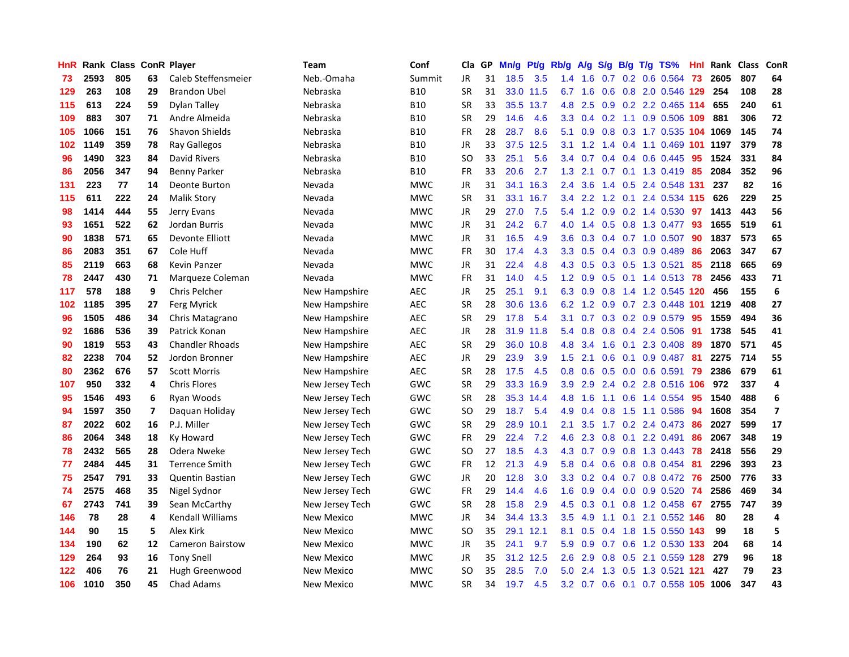| HnR | Rank | <b>Class ConR Player</b> |    |                         | Team              | Conf       | Cla       | <b>GP</b> | Mn/g | Pt/g      | Rb/g             | A/g |     |     | $S/g$ B/g T/g TS%      | Hnl | Rank | <b>Class</b> | <b>ConR</b>             |
|-----|------|--------------------------|----|-------------------------|-------------------|------------|-----------|-----------|------|-----------|------------------|-----|-----|-----|------------------------|-----|------|--------------|-------------------------|
| 73  | 2593 | 805                      | 63 | Caleb Steffensmeier     | Neb.-Omaha        | Summit     | JR        | 31        | 18.5 | 3.5       | 1.4              | 1.6 | 0.7 |     | $0.2$ 0.6 0.564        | 73  | 2605 | 807          | 64                      |
| 129 | 263  | 108                      | 29 | <b>Brandon Ubel</b>     | Nebraska          | <b>B10</b> | <b>SR</b> | 31        |      | 33.0 11.5 | 6.7              | 1.6 |     |     | 0.6 0.8 2.0 0.546 129  |     | 254  | 108          | 28                      |
| 115 | 613  | 224                      | 59 | Dylan Talley            | Nebraska          | <b>B10</b> | <b>SR</b> | 33        | 35.5 | 13.7      | 4.8              | 2.5 |     |     | 0.9 0.2 2.2 0.465 114  |     | 655  | 240          | 61                      |
| 109 | 883  | 307                      | 71 | Andre Almeida           | Nebraska          | <b>B10</b> | <b>SR</b> | 29        | 14.6 | 4.6       | 3.3 <sub>2</sub> | 0.4 |     |     | 0.2 1.1 0.9 0.506 109  |     | 881  | 306          | 72                      |
| 105 | 1066 | 151                      | 76 | <b>Shavon Shields</b>   | Nebraska          | <b>B10</b> | FR        | 28        | 28.7 | 8.6       | 5.1              | 0.9 | 0.8 |     | 0.3 1.7 0.535 104      |     | 1069 | 145          | 74                      |
| 102 | 1149 | 359                      | 78 | Ray Gallegos            | Nebraska          | <b>B10</b> | JR        | 33        | 37.5 | 12.5      | 3.1              | 1.2 | 1.4 |     | 0.4 1.1 0.469 101      |     | 1197 | 379          | 78                      |
| 96  | 1490 | 323                      | 84 | David Rivers            | Nebraska          | <b>B10</b> | <b>SO</b> | 33        | 25.1 | 5.6       | 3.4              | 0.7 |     |     | 0.4 0.4 0.6 0.445      | 95  | 1524 | 331          | 84                      |
| 86  | 2056 | 347                      | 94 | Benny Parker            | Nebraska          | <b>B10</b> | <b>FR</b> | 33        | 20.6 | 2.7       | 1.3              | 2.1 |     |     | $0.7$ 0.1 1.3 0.419    | 85  | 2084 | 352          | 96                      |
| 131 | 223  | 77                       | 14 | Deonte Burton           | Nevada            | <b>MWC</b> | JR        | 31        | 34.1 | 16.3      | $2.4^{\circ}$    | 3.6 |     |     | 1.4 0.5 2.4 0.548 131  |     | 237  | 82           | 16                      |
| 115 | 611  | 222                      | 24 | <b>Malik Story</b>      | Nevada            | <b>MWC</b> | <b>SR</b> | 31        | 33.1 | 16.7      | $3.4^{\circ}$    | 2.2 |     |     | 1.2 0.1 2.4 0.534 115  |     | 626  | 229          | 25                      |
| 98  | 1414 | 444                      | 55 | Jerry Evans             | Nevada            | <b>MWC</b> | JR        | 29        | 27.0 | 7.5       | 5.4              |     |     |     | 1.2 0.9 0.2 1.4 0.530  | 97  | 1413 | 443          | 56                      |
| 93  | 1651 | 522                      | 62 | Jordan Burris           | Nevada            | <b>MWC</b> | JR        | 31        | 24.2 | 6.7       | 4.0              | 1.4 |     |     | $0.5$ 0.8 1.3 0.477    | -93 | 1655 | 519          | 61                      |
| 90  | 1838 | 571                      | 65 | Devonte Elliott         | Nevada            | <b>MWC</b> | JR        | 31        | 16.5 | 4.9       | 3.6 <sup>°</sup> | 0.3 |     |     | $0.4$ 0.7 1.0 0.507    | -90 | 1837 | 573          | 65                      |
| 86  | 2083 | 351                      | 67 | Cole Huff               | Nevada            | <b>MWC</b> | <b>FR</b> | 30        | 17.4 | 4.3       | 3.3 <sub>2</sub> | 0.5 |     |     | $0.4$ 0.3 0.9 0.489    | 86  | 2063 | 347          | 67                      |
| 85  | 2119 | 663                      | 68 | Kevin Panzer            | Nevada            | <b>MWC</b> | JR        | 31        | 22.4 | 4.8       | 4.3              | 0.5 |     |     | 0.3 0.5 1.3 0.521      | 85  | 2118 | 665          | 69                      |
| 78  | 2447 | 430                      | 71 | Marqueze Coleman        | Nevada            | <b>MWC</b> | <b>FR</b> | 31        | 14.0 | 4.5       | $1.2^{\circ}$    | 0.9 | 0.5 |     | $0.1$ 1.4 0.513        | 78  | 2456 | 433          | 71                      |
| 117 | 578  | 188                      | 9  | Chris Pelcher           | New Hampshire     | <b>AEC</b> | JR        | 25        | 25.1 | 9.1       | 6.3              | 0.9 | 0.8 |     | 1.4 1.2 0.545 120      |     | 456  | 155          | 6                       |
| 102 | 1185 | 395                      | 27 | Ferg Myrick             | New Hampshire     | <b>AEC</b> | <b>SR</b> | 28        | 30.6 | 13.6      | 6.2              | 1.2 | 0.9 |     | $0.7$ 2.3 0.448 101    |     | 1219 | 408          | 27                      |
| 96  | 1505 | 486                      | 34 | Chris Matagrano         | New Hampshire     | <b>AEC</b> | <b>SR</b> | 29        | 17.8 | 5.4       | 3.1              | 0.7 |     |     | 0.3 0.2 0.9 0.579      | -95 | 1559 | 494          | 36                      |
| 92  | 1686 | 536                      | 39 | Patrick Konan           | New Hampshire     | <b>AEC</b> | JR        | 28        |      | 31.9 11.8 | 5.4              | 0.8 |     |     | $0.8$ 0.4 2.4 0.506    | -91 | 1738 | 545          | 41                      |
| 90  | 1819 | 553                      | 43 | <b>Chandler Rhoads</b>  | New Hampshire     | <b>AEC</b> | <b>SR</b> | 29        | 36.0 | 10.8      | 4.8              | 3.4 | 1.6 |     | $0.1$ 2.3 0.408        | -89 | 1870 | 571          | 45                      |
| 82  | 2238 | 704                      | 52 | Jordon Bronner          | New Hampshire     | <b>AEC</b> | JR        | 29        | 23.9 | 3.9       | 1.5              | 2.1 | 0.6 |     | $0.1$ 0.9 0.487        | -81 | 2275 | 714          | 55                      |
| 80  | 2362 | 676                      | 57 | <b>Scott Morris</b>     | New Hampshire     | <b>AEC</b> | <b>SR</b> | 28        | 17.5 | 4.5       | 0.8              | 0.6 |     |     | $0.5$ 0.0 0.6 0.591    | 79  | 2386 | 679          | 61                      |
| 107 | 950  | 332                      | 4  | <b>Chris Flores</b>     | New Jersey Tech   | GWC        | <b>SR</b> | 29        | 33.3 | 16.9      | 3.9 <sup>°</sup> | 2.9 | 2.4 |     | 0.2 2.8 0.516 106      |     | 972  | 337          | $\overline{4}$          |
| 95  | 1546 | 493                      | 6  | Ryan Woods              | New Jersey Tech   | GWC        | <b>SR</b> | 28        | 35.3 | 14.4      | 4.8              | 1.6 | 1.1 |     | 0.6 1.4 0.554          | 95  | 1540 | 488          | 6                       |
| 94  | 1597 | 350                      | 7  | Daguan Holiday          | New Jersey Tech   | GWC        | SO        | 29        | 18.7 | 5.4       | 4.9              | 0.4 | 0.8 |     | 1.5 1.1 0.586          | 94  | 1608 | 354          | $\overline{\mathbf{z}}$ |
| 87  | 2022 | 602                      | 16 | P.J. Miller             | New Jersey Tech   | GWC        | <b>SR</b> | 29        | 28.9 | 10.1      | 2.1              | 3.5 |     |     | 1.7 0.2 2.4 0.473      | -86 | 2027 | 599          | 17                      |
| 86  | 2064 | 348                      | 18 | Ky Howard               | New Jersey Tech   | GWC        | <b>FR</b> | 29        | 22.4 | 7.2       | 4.6              | 2.3 |     |     | $0.8$ 0.1 2.2 0.491    | -86 | 2067 | 348          | 19                      |
| 78  | 2432 | 565                      | 28 | Odera Nweke             | New Jersey Tech   | GWC        | SO        | 27        | 18.5 | 4.3       | 4.3              | 0.7 |     |     | 0.9 0.8 1.3 0.443      | -78 | 2418 | 556          | 29                      |
| 77  | 2484 | 445                      | 31 | <b>Terrence Smith</b>   | New Jersey Tech   | GWC        | <b>FR</b> | 12        | 21.3 | 4.9       | 5.8              | 0.4 | 0.6 |     | 0.8 0.8 0.454          | -81 | 2296 | 393          | 23                      |
| 75  | 2547 | 791                      | 33 | <b>Quentin Bastian</b>  | New Jersey Tech   | GWC        | JR        | 20        | 12.8 | 3.0       | 3.3 <sub>2</sub> | 0.2 |     |     | $0.4$ 0.7 0.8 0.472    | -76 | 2500 | 776          | 33                      |
| 74  | 2575 | 468                      | 35 | Nigel Sydnor            | New Jersey Tech   | GWC        | <b>FR</b> | 29        | 14.4 | 4.6       | 1.6              | 0.9 |     |     | $0.4$ 0.0 0.9 0.520    | 74  | 2586 | 469          | 34                      |
| 67  | 2743 | 741                      | 39 | Sean McCarthy           | New Jersey Tech   | GWC        | <b>SR</b> | 28        | 15.8 | 2.9       | 4.5              | 0.3 | 0.1 |     | 0.8 1.2 0.458          | 67  | 2755 | 747          | 39                      |
| 146 | 78   | 28                       | 4  | <b>Kendall Williams</b> | <b>New Mexico</b> | <b>MWC</b> | <b>JR</b> | 34        | 34.4 | 13.3      | 3.5              | 4.9 | 1.1 | 0.1 | 2.1 0.552 146          |     | 80   | 28           | 4                       |
| 144 | 90   | 15                       | 5  | Alex Kirk               | New Mexico        | <b>MWC</b> | SO        | 35        | 29.1 | 12.1      | 8.1              | 0.5 | 0.4 |     | 1.8 1.5 0.550 143      |     | 99   | 18           | 5                       |
| 134 | 190  | 62                       | 12 | <b>Cameron Bairstow</b> | <b>New Mexico</b> | <b>MWC</b> | JR        | 35        | 24.1 | 9.7       | 5.9              | 0.9 |     |     | 0.7 0.6 1.2 0.530 133  |     | 204  | 68           | 14                      |
| 129 | 264  | 93                       | 16 | <b>Tony Snell</b>       | <b>New Mexico</b> | <b>MWC</b> | JR        | 35        | 31.2 | 12.5      | 2.6              | 2.9 | 0.8 |     | 0.5 2.1 0.559 128      |     | 279  | 96           | 18                      |
| 122 | 406  | 76                       | 21 | Hugh Greenwood          | <b>New Mexico</b> | <b>MWC</b> | <b>SO</b> | 35        | 28.5 | 7.0       | 5.0              | 2.4 | 1.3 |     | 0.5 1.3 0.521          | 121 | 427  | 79           | 23                      |
| 106 | 1010 | 350                      | 45 | <b>Chad Adams</b>       | New Mexico        | <b>MWC</b> | SR        | 34        | 19.7 | 4.5       | 3.2              | 0.7 | 0.6 |     | 0.1 0.7 0.558 105 1006 |     |      | 347          | 43                      |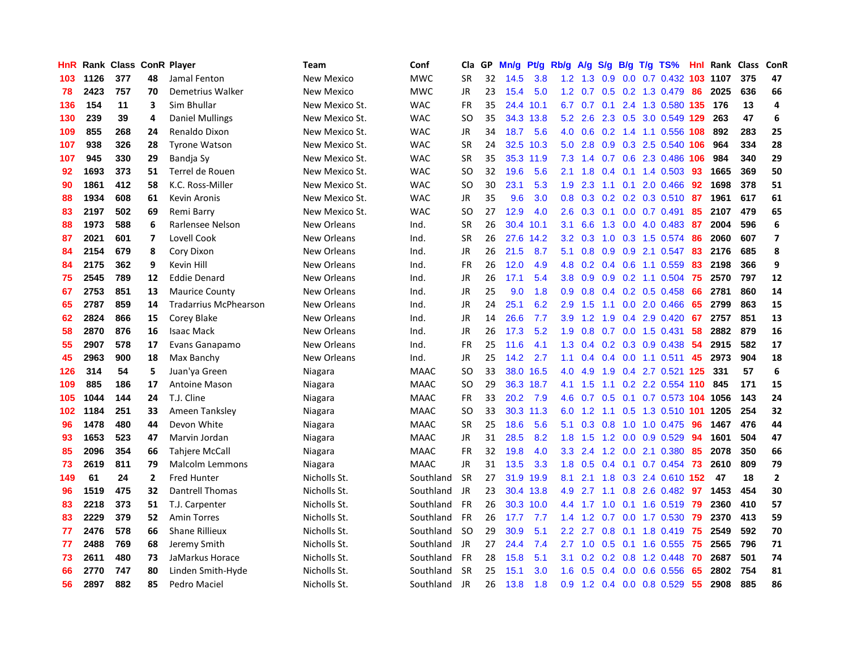| HnR. |      | Rank Class ConR Player |                |                              | Team           | Conf        | Cla       | GP | Mn/g | <b>Pt/g</b> | Rb/g             | A/g             | S/g |  | B/g T/g TS%                  | Hnl | Rank | Class | <b>ConR</b>             |
|------|------|------------------------|----------------|------------------------------|----------------|-------------|-----------|----|------|-------------|------------------|-----------------|-----|--|------------------------------|-----|------|-------|-------------------------|
| 103  | 1126 | 377                    | 48             | Jamal Fenton                 | New Mexico     | <b>MWC</b>  | <b>SR</b> | 32 | 14.5 | 3.8         |                  | $1.2 \quad 1.3$ | 0.9 |  | 0.0 0.7 0.432 103 1107       |     |      | 375   | 47                      |
| 78   | 2423 | 757                    | 70             | Demetrius Walker             | New Mexico     | <b>MWC</b>  | <b>JR</b> | 23 | 15.4 | 5.0         |                  |                 |     |  | 1.2 0.7 0.5 0.2 1.3 0.479 86 |     | 2025 | 636   | 66                      |
| 136  | 154  | 11                     | 3              | Sim Bhullar                  | New Mexico St. | <b>WAC</b>  | <b>FR</b> | 35 | 24.4 | 10.1        |                  | $6.7\quad 0.7$  |     |  | 0.1 2.4 1.3 0.580 135 176    |     |      | 13    | 4                       |
| 130  | 239  | 39                     | 4              | <b>Daniel Mullings</b>       | New Mexico St. | <b>WAC</b>  | <b>SO</b> | 35 | 34.3 | 13.8        | 5.2              | 2.6             |     |  | 2.3 0.5 3.0 0.549 129        |     | 263  | 47    | 6                       |
| 109  | 855  | 268                    | 24             | Renaldo Dixon                | New Mexico St. | <b>WAC</b>  | JR        | 34 | 18.7 | 5.6         | 4.0              | 0.6             | 0.2 |  | 1.4 1.1 0.556 108            |     | 892  | 283   | 25                      |
| 107  | 938  | 326                    | 28             | <b>Tyrone Watson</b>         | New Mexico St. | <b>WAC</b>  | <b>SR</b> | 24 | 32.5 | 10.3        | 5.0              | 2.8             |     |  | 0.9 0.3 2.5 0.540            | 106 | 964  | 334   | 28                      |
| 107  | 945  | 330                    | 29             | Bandja Sy                    | New Mexico St. | <b>WAC</b>  | <b>SR</b> | 35 | 35.3 | 11.9        | 7.3              | 1.4             | 0.7 |  | 0.6 2.3 0.486                | 106 | 984  | 340   | 29                      |
| 92   | 1693 | 373                    | 51             | Terrel de Rouen              | New Mexico St. | <b>WAC</b>  | SO        | 32 | 19.6 | 5.6         | 2.1              | 1.8             | 0.4 |  | $0.1$ 1.4 0.503              | -93 | 1665 | 369   | 50                      |
| 90   | 1861 | 412                    | 58             | K.C. Ross-Miller             | New Mexico St. | <b>WAC</b>  | <b>SO</b> | 30 | 23.1 | 5.3         | 1.9              | 2.3             | 1.1 |  | $0.1$ 2.0 0.466              | -92 | 1698 | 378   | 51                      |
| 88   | 1934 | 608                    | 61             | Kevin Aronis                 | New Mexico St. | <b>WAC</b>  | JR        | 35 | 9.6  | 3.0         |                  |                 |     |  | 0.8 0.3 0.2 0.2 0.3 0.510 87 |     | 1961 | 617   | 61                      |
| 83   | 2197 | 502                    | 69             | Remi Barry                   | New Mexico St. | <b>WAC</b>  | <b>SO</b> | 27 | 12.9 | 4.0         | $2.6^{\circ}$    | 0.3             |     |  | $0.1$ 0.0 0.7 0.491 85       |     | 2107 | 479   | 65                      |
| 88   | 1973 | 588                    | 6              | Rarlensee Nelson             | New Orleans    | Ind.        | <b>SR</b> | 26 | 30.4 | 10.1        | 3.1              | 6.6             |     |  | 1.3 0.0 4.0 0.483 87         |     | 2004 | 596   | 6                       |
| 87   | 2021 | 601                    | 7              | Lovell Cook                  | New Orleans    | Ind.        | <b>SR</b> | 26 | 27.6 | 14.2        | 3.2              | 0.3             | 1.0 |  | $0.3$ 1.5 0.574              | -86 | 2060 | 607   | $\overline{\mathbf{z}}$ |
| 84   | 2154 | 679                    | 8              | Cory Dixon                   | New Orleans    | Ind.        | JR        | 26 | 21.5 | 8.7         | 5.1              | 0.8             | 0.9 |  | 0.9 2.1 0.547                | 83  | 2176 | 685   | 8                       |
| 84   | 2175 | 362                    | 9              | Kevin Hill                   | New Orleans    | Ind.        | <b>FR</b> | 26 | 12.0 | 4.9         | 4.8              | 0.2             | 0.4 |  | $0.6$ 1.1 0.559              | 83  | 2198 | 366   | 9                       |
| 75   | 2545 | 789                    | 12             | Eddie Denard                 | New Orleans    | Ind.        | JR        | 26 | 17.1 | 5.4         | 3.8 <sub>1</sub> | 0.9             | 0.9 |  | $0.2$ 1.1 0.504              | 75  | 2570 | 797   | 12                      |
| 67   | 2753 | 851                    | 13             | <b>Maurice County</b>        | New Orleans    | Ind.        | JR        | 25 | 9.0  | 1.8         | 0.9 <sup>°</sup> | 0.8             |     |  | $0.4$ 0.2 0.5 0.458          | 66  | 2781 | 860   | 14                      |
| 65   | 2787 | 859                    | 14             | <b>Tradarrius McPhearson</b> | New Orleans    | Ind.        | JR        | 24 | 25.1 | 6.2         | 2.9 <sup>°</sup> | 1.5             | 1.1 |  | $0.0$ 2.0 0.466              | 65  | 2799 | 863   | 15                      |
| 62   | 2824 | 866                    | 15             | Corey Blake                  | New Orleans    | Ind.        | JR        | 14 | 26.6 | 7.7         | 3.9 <sup>°</sup> | 1.2             |     |  | 1.9 0.4 2.9 0.420            | -67 | 2757 | 851   | 13                      |
| 58   | 2870 | 876                    | 16             | <b>Isaac Mack</b>            | New Orleans    | Ind.        | JR        | 26 | 17.3 | 5.2         | 1.9 <sup>°</sup> | 0.8             |     |  | $0.7$ $0.0$ 1.5 $0.431$      | -58 | 2882 | 879   | 16                      |
| 55   | 2907 | 578                    | 17             | Evans Ganapamo               | New Orleans    | Ind.        | <b>FR</b> | 25 | 11.6 | 4.1         | 1.3              | 0.4             |     |  | $0.2$ $0.3$ $0.9$ $0.438$    | -54 | 2915 | 582   | 17                      |
| 45   | 2963 | 900                    | 18             | Max Banchy                   | New Orleans    | Ind.        | JR        | 25 | 14.2 | 2.7         | 1.1              | 0.4             |     |  | $0.4$ 0.0 1.1 0.511          | 45  | 2973 | 904   | 18                      |
| 126  | 314  | 54                     | 5              | Juan'ya Green                | Niagara        | MAAC        | SO        | 33 |      | 38.0 16.5   | 4.0              | 4.9             | 1.9 |  | 0.4 2.7 0.521 125            |     | 331  | 57    | 6                       |
| 109  | 885  | 186                    | 17             | <b>Antoine Mason</b>         | Niagara        | <b>MAAC</b> | SO        | 29 | 36.3 | 18.7        | 4.1              | 1.5             | 1.1 |  | $0.2$ 2.2 0.554 110          |     | 845  | 171   | 15                      |
| 105  | 1044 | 144                    | 24             | T.J. Cline                   | Niagara        | <b>MAAC</b> | <b>FR</b> | 33 | 20.2 | 7.9         | 4.6              | 0.7             | 0.5 |  | 0.1 0.7 0.573 104 1056       |     |      | 143   | 24                      |
| 102  | 1184 | 251                    | 33             | Ameen Tanksley               | Niagara        | <b>MAAC</b> | SO        | 33 |      | 30.3 11.3   | 6.0              | 1.2             | 1.1 |  | 0.5 1.3 0.510 101 1205       |     |      | 254   | 32                      |
| 96   | 1478 | 480                    | 44             | Devon White                  | Niagara        | MAAC        | <b>SR</b> | 25 | 18.6 | 5.6         | 5.1              |                 |     |  | 0.3 0.8 1.0 1.0 0.475 96     |     | 1467 | 476   | 44                      |
| 93   | 1653 | 523                    | 47             | Marvin Jordan                | Niagara        | <b>MAAC</b> | <b>JR</b> | 31 | 28.5 | 8.2         | 1.8              | 1.5             |     |  | 1.2 0.0 0.9 0.529            | 94  | 1601 | 504   | 47                      |
| 85   | 2096 | 354                    | 66             | Tahjere McCall               | Niagara        | <b>MAAC</b> | <b>FR</b> | 32 | 19.8 | 4.0         | 3.3              | 2.4             | 1.2 |  | $0.0$ 2.1 $0.380$            | 85  | 2078 | 350   | 66                      |
| 73   | 2619 | 811                    | 79             | Malcolm Lemmons              | Niagara        | <b>MAAC</b> | <b>JR</b> | 31 | 13.5 | 3.3         | 1.8              | 0.5             | 0.4 |  | $0.1$ 0.7 0.454              | -73 | 2610 | 809   | 79                      |
| 149  | 61   | 24                     | $\overline{2}$ | <b>Fred Hunter</b>           | Nicholls St.   | Southland   | <b>SR</b> | 27 | 31.9 | 19.9        | 8.1              | 2.1             | 1.8 |  | 0.3 2.4 0.610 152            |     | 47   | 18    | $\mathbf{2}$            |
| 96   | 1519 | 475                    | 32             | Dantrell Thomas              | Nicholls St.   | Southland   | <b>JR</b> | 23 | 30.4 | 13.8        | 4.9              | 2.7             | 1.1 |  | $0.8$ 2.6 0.482              | -97 | 1453 | 454   | 30                      |
| 83   | 2218 | 373                    | 51             | T.J. Carpenter               | Nicholls St.   | Southland   | <b>FR</b> | 26 | 30.3 | 10.0        |                  | 4.4 1.7         | 1.0 |  | $0.1$ 1.6 0.519              | 79  | 2360 | 410   | 57                      |
| 83   | 2229 | 379                    | 52             | <b>Amin Torres</b>           | Nicholls St.   | Southland   | <b>FR</b> | 26 | 17.7 | 7.7         | 1.4              | 1.2             | 0.7 |  | $0.0$ 1.7 $0.530$            | 79  | 2370 | 413   | 59                      |
| 77   | 2476 | 578                    | 66             | <b>Shane Rillieux</b>        | Nicholls St.   | Southland   | <b>SO</b> | 29 | 30.9 | 5.1         | 2.2 <sub>2</sub> | 2.7             |     |  | 0.8 0.1 1.8 0.419            | -75 | 2549 | 592   | 70                      |
| 77   | 2488 | 769                    | 68             | Jeremy Smith                 | Nicholls St.   | Southland   | <b>JR</b> | 27 | 24.4 | 7.4         | 2.7              | 1.0             |     |  | 0.5 0.1 1.6 0.555 75         |     | 2565 | 796   | 71                      |
| 73   | 2611 | 480                    | 73             | JaMarkus Horace              | Nicholls St.   | Southland   | <b>FR</b> | 28 | 15.8 | 5.1         | 3.1              | 0.2             |     |  | $0.2$ 0.8 1.2 0.448          | 70  | 2687 | 501   | 74                      |
| 66   | 2770 | 747                    | 80             | Linden Smith-Hyde            | Nicholls St.   | Southland   | <b>SR</b> | 25 | 15.1 | 3.0         | 1.6              | 0.5             | 0.4 |  | $0.0$ 0.6 0.556              | 65  | 2802 | 754   | 81                      |
| 56   | 2897 | 882                    | 85             | Pedro Maciel                 | Nicholls St.   | Southland   | JR        | 26 | 13.8 | 1.8         | 0.9 <sub>0</sub> |                 |     |  | 1.2 0.4 0.0 0.8 0.529        | 55  | 2908 | 885   | 86                      |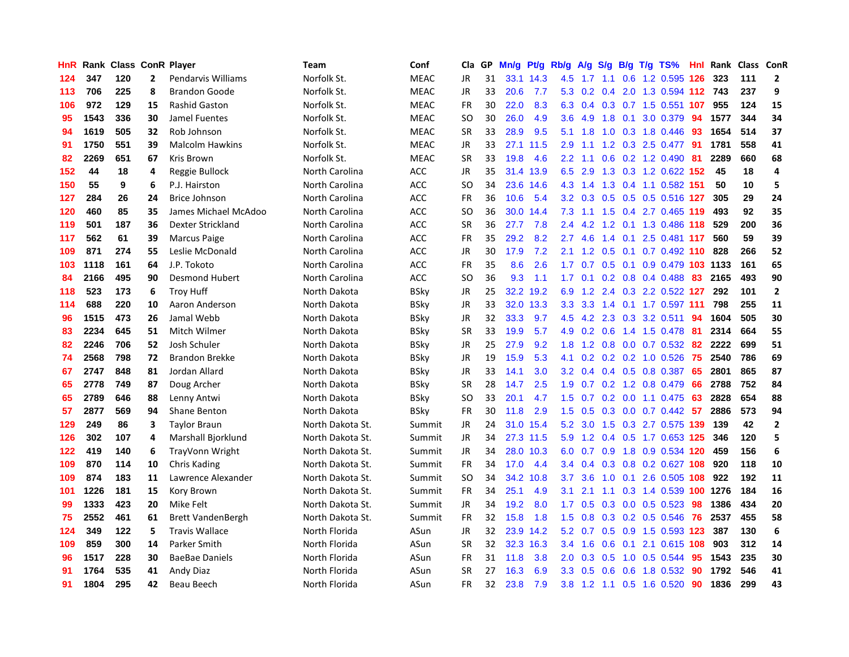| HnR |      | Rank Class ConR Player |              |                          | <b>Team</b>      | Conf        | Cla           | <b>GP</b> | Mn/g | <b>Pt/g</b> | Rb/g             | A/g             |               |     | $S/g$ B/g T/g TS%                 | Hnl | Rank | Class ConR |                         |
|-----|------|------------------------|--------------|--------------------------|------------------|-------------|---------------|-----------|------|-------------|------------------|-----------------|---------------|-----|-----------------------------------|-----|------|------------|-------------------------|
| 124 | 347  | 120                    | $\mathbf{2}$ | Pendarvis Williams       | Norfolk St.      | <b>MEAC</b> | JR            | 31        |      | 33.1 14.3   | 4.5              | 1.7             | 1.1           |     | 0.6 1.2 0.595 126                 |     | 323  | 111        | $\overline{\mathbf{2}}$ |
| 113 | 706  | 225                    | 8            | <b>Brandon Goode</b>     | Norfolk St.      | <b>MEAC</b> | JR            | 33        | 20.6 | 7.7         |                  |                 |               |     | 5.3 0.2 0.4 2.0 1.3 0.594 112 743 |     |      | 237        | 9                       |
| 106 | 972  | 129                    | 15           | <b>Rashid Gaston</b>     | Norfolk St.      | <b>MEAC</b> | <b>FR</b>     | 30        | 22.0 | 8.3         | 6.3              |                 |               |     | 0.4 0.3 0.7 1.5 0.551 107         |     | 955  | 124        | 15                      |
| 95  | 1543 | 336                    | 30           | Jamel Fuentes            | Norfolk St.      | <b>MEAC</b> | SO            | 30        | 26.0 | 4.9         | 3.6              | 4.9             | 1.8           |     | $0.1$ 3.0 0.379                   | -94 | 1577 | 344        | 34                      |
| 94  | 1619 | 505                    | 32           | Rob Johnson              | Norfolk St.      | <b>MEAC</b> | <b>SR</b>     | 33        | 28.9 | 9.5         | 5.1              | 1.8             |               |     | 1.0 0.3 1.8 0.446                 | -93 | 1654 | 514        | 37                      |
| 91  | 1750 | 551                    | 39           | <b>Malcolm Hawkins</b>   | Norfolk St.      | <b>MEAC</b> | JR            | 33        | 27.1 | 11.5        | 2.9              | 1.1             |               |     | 1.2 0.3 2.5 0.477 91              |     | 1781 | 558        | 41                      |
| 82  | 2269 | 651                    | 67           | Kris Brown               | Norfolk St.      | <b>MEAC</b> | <b>SR</b>     | 33        | 19.8 | 4.6         | 2.2              | 1.1             |               |     | $0.6$ $0.2$ 1.2 $0.490$           | -81 | 2289 | 660        | 68                      |
| 152 | 44   | 18                     | 4            | Reggie Bullock           | North Carolina   | <b>ACC</b>  | JR            | 35        | 31.4 | 13.9        | 6.5              | 2.9             |               |     | 1.3 0.3 1.2 0.622 152             |     | 45   | 18         | 4                       |
| 150 | 55   | 9                      | 6            | P.J. Hairston            | North Carolina   | <b>ACC</b>  | SO            | 34        | 23.6 | 14.6        |                  | $4.3 \quad 1.4$ |               |     | 1.3 0.4 1.1 0.582 151             |     | 50   | 10         | 5                       |
| 127 | 284  | 26                     | 24           | <b>Brice Johnson</b>     | North Carolina   | <b>ACC</b>  | <b>FR</b>     | 36        | 10.6 | 5.4         |                  | $3.2 \quad 0.3$ |               |     | 0.5 0.5 0.5 0.516 127             |     | 305  | 29         | 24                      |
| 120 | 460  | 85                     | 35           | James Michael McAdoo     | North Carolina   | <b>ACC</b>  | SO            | 36        |      | 30.0 14.4   |                  |                 |               |     | 7.3 1.1 1.5 0.4 2.7 0.465 119     |     | 493  | 92         | 35                      |
| 119 | 501  | 187                    | 36           | Dexter Strickland        | North Carolina   | <b>ACC</b>  | <b>SR</b>     | 36        | 27.7 | 7.8         | $2.4^{\circ}$    |                 |               |     | 4.2 1.2 0.1 1.3 0.486 118         |     | 529  | 200        | 36                      |
| 117 | 562  | 61                     | 39           | Marcus Paige             | North Carolina   | <b>ACC</b>  | FR            | 35        | 29.2 | 8.2         | $2.7^{\circ}$    | 4.6             |               |     | 1.4 0.1 2.5 0.481 117             |     | 560  | 59         | 39                      |
| 109 | 871  | 274                    | 55           | Leslie McDonald          | North Carolina   | <b>ACC</b>  | JR            | 30        | 17.9 | 7.2         | 2.1              | 1.2             | 0.5           |     | 0.1 0.7 0.492 110                 |     | 828  | 266        | 52                      |
| 103 | 1118 | 161                    | 64           | J.P. Tokoto              | North Carolina   | <b>ACC</b>  | <b>FR</b>     | 35        | 8.6  | 2.6         | 1.7              | 0.7             |               |     | 0.5 0.1 0.9 0.479 103 1133        |     |      | 161        | 65                      |
| 84  | 2166 | 495                    | 90           | <b>Desmond Hubert</b>    | North Carolina   | <b>ACC</b>  | <sub>SO</sub> | 36        | 9.3  | 1.1         | $1.7^{\circ}$    | 0.1             |               |     | $0.2$ 0.8 0.4 0.488               | 83  | 2165 | 493        | 90                      |
| 118 | 523  | 173                    | 6            | <b>Troy Huff</b>         | North Dakota     | BSky        | JR            | 25        | 32.2 | 19.2        | 6.9              | 1.2             |               |     | 2.4 0.3 2.2 0.522 127             |     | 292  | 101        | $\overline{2}$          |
| 114 | 688  | 220                    | 10           | Aaron Anderson           | North Dakota     | <b>BSky</b> | JR            | 33        | 32.0 | 13.3        | 3.3              | 3.3             | $1.4^{\circ}$ |     | 0.1 1.7 0.597 111                 |     | 798  | 255        | 11                      |
| 96  | 1515 | 473                    | 26           | Jamal Webb               | North Dakota     | BSky        | JR            | 32        | 33.3 | 9.7         |                  |                 |               |     | 4.5 4.2 2.3 0.3 3.2 0.511         | 94  | 1604 | 505        | 30                      |
| 83  | 2234 | 645                    | 51           | Mitch Wilmer             | North Dakota     | <b>BSky</b> | <b>SR</b>     | 33        | 19.9 | 5.7         |                  |                 |               |     | 4.9 0.2 0.6 1.4 1.5 0.478 81      |     | 2314 | 664        | 55                      |
| 82  | 2246 | 706                    | 52           | Josh Schuler             | North Dakota     | BSky        | JR            | 25        | 27.9 | 9.2         | 1.8              | 1.2             |               |     | 0.8 0.0 0.7 0.532 82              |     | 2222 | 699        | 51                      |
| 74  | 2568 | 798                    | 72           | <b>Brandon Brekke</b>    | North Dakota     | BSky        | JR            | 19        | 15.9 | 5.3         | 4.1              | 0.2             |               |     | 0.2 0.2 1.0 0.526                 | 75  | 2540 | 786        | 69                      |
| 67  | 2747 | 848                    | 81           | Jordan Allard            | North Dakota     | BSky        | JR            | 33        | 14.1 | 3.0         | 3.2              | 0.4             |               |     | 0.4 0.5 0.8 0.387                 | 65  | 2801 | 865        | 87                      |
| 65  | 2778 | 749                    | 87           | Doug Archer              | North Dakota     | <b>BSky</b> | <b>SR</b>     | 28        | 14.7 | 2.5         | 1.9              | 0.7             |               |     | 0.2 1.2 0.8 0.479                 | 66  | 2788 | 752        | 84                      |
| 65  | 2789 | 646                    | 88           | Lenny Antwi              | North Dakota     | BSky        | SO            | 33        | 20.1 | 4.7         | 1.5              | 0.7             |               |     | $0.2$ 0.0 1.1 0.475               | 63  | 2828 | 654        | 88                      |
| 57  | 2877 | 569                    | 94           | Shane Benton             | North Dakota     | BSky        | FR            | 30        | 11.8 | 2.9         | 1.5              | 0.5             |               |     | 0.3 0.0 0.7 0.442 57              |     | 2886 | 573        | 94                      |
| 129 | 249  | 86                     | 3            | <b>Taylor Braun</b>      | North Dakota St. | Summit      | JR            | 24        |      | 31.0 15.4   | 5.2              | 3.0             |               |     | 1.5 0.3 2.7 0.575 139             |     | 139  | 42         | $\overline{2}$          |
| 126 | 302  | 107                    | 4            | Marshall Bjorklund       | North Dakota St. | Summit      | JR            | 34        |      | 27.3 11.5   | 5.9              |                 |               |     | 1.2 0.4 0.5 1.7 0.653 125         |     | 346  | 120        | 5                       |
| 122 | 419  | 140                    | 6            | TrayVonn Wright          | North Dakota St. | Summit      | JR            | 34        |      | 28.0 10.3   | 6.0              | 0.7             |               |     | 0.9 1.8 0.9 0.534 120             |     | 459  | 156        | 6                       |
| 109 | 870  | 114                    | 10           | Chris Kading             | North Dakota St. | Summit      | FR            | 34        | 17.0 | 4.4         | $3.4^{\circ}$    | 0.4             |               |     | 0.3 0.8 0.2 0.627 108 920         |     |      | 118        | 10                      |
| 109 | 874  | 183                    | 11           | Lawrence Alexander       | North Dakota St. | Summit      | <b>SO</b>     | 34        | 34.2 | 10.8        | 3.7              | 3.6             | 1.0           | 0.1 | 2.6 0.505 108                     |     | 922  | 192        | 11                      |
| 101 | 1226 | 181                    | 15           | Kory Brown               | North Dakota St. | Summit      | FR            | 34        | 25.1 | 4.9         | 3.1              | 2.1             |               |     | 1.1 0.3 1.4 0.539 100 1276        |     |      | 184        | 16                      |
| 99  | 1333 | 423                    | 20           | Mike Felt                | North Dakota St. | Summit      | JR            | 34        | 19.2 | 8.0         | 1.7              | 0.5             | 0.3           |     | $0.0$ 0.5 0.523                   | 98  | 1386 | 434        | 20                      |
| 75  | 2552 | 461                    | 61           | <b>Brett VandenBergh</b> | North Dakota St. | Summit      | <b>FR</b>     | 32        | 15.8 | 1.8         | 1.5              | 0.8             | 0.3           |     | $0.2$ 0.5 0.546                   | -76 | 2537 | 455        | 58                      |
| 124 | 349  | 122                    | 5            | <b>Travis Wallace</b>    | North Florida    | ASun        | JR            | 32        |      | 23.9 14.2   | 5.2              | 0.7             | 0.5           |     | 0.9 1.5 0.593 123                 |     | 387  | 130        | 6                       |
| 109 | 859  | 300                    | 14           | Parker Smith             | North Florida    | ASun        | <b>SR</b>     | 32        |      | 32.3 16.3   | 3.4              | 1.6             |               |     | 0.6 0.1 2.1 0.615 108             |     | 903  | 312        | 14                      |
| 96  | 1517 | 228                    | 30           | <b>BaeBae Daniels</b>    | North Florida    | ASun        | <b>FR</b>     | 31        | 11.8 | 3.8         | $2.0^{\circ}$    | 0.3             |               |     | $0.5$ 1.0 0.5 0.544               | -95 | 1543 | 235        | 30                      |
| 91  | 1764 | 535                    | 41           | Andy Diaz                | North Florida    | ASun        | SR            | 27        | 16.3 | 6.9         | 3.3 <sub>2</sub> | 0.5             |               |     | 0.6 0.6 1.8 0.532                 | -90 | 1792 | 546        | 41                      |
| 91  | 1804 | 295                    | 42           | <b>Beau Beech</b>        | North Florida    | ASun        | <b>FR</b>     | 32        | 23.8 | 7.9         |                  |                 |               |     | 3.8 1.2 1.1 0.5 1.6 0.520         | 90  | 1836 | 299        | 43                      |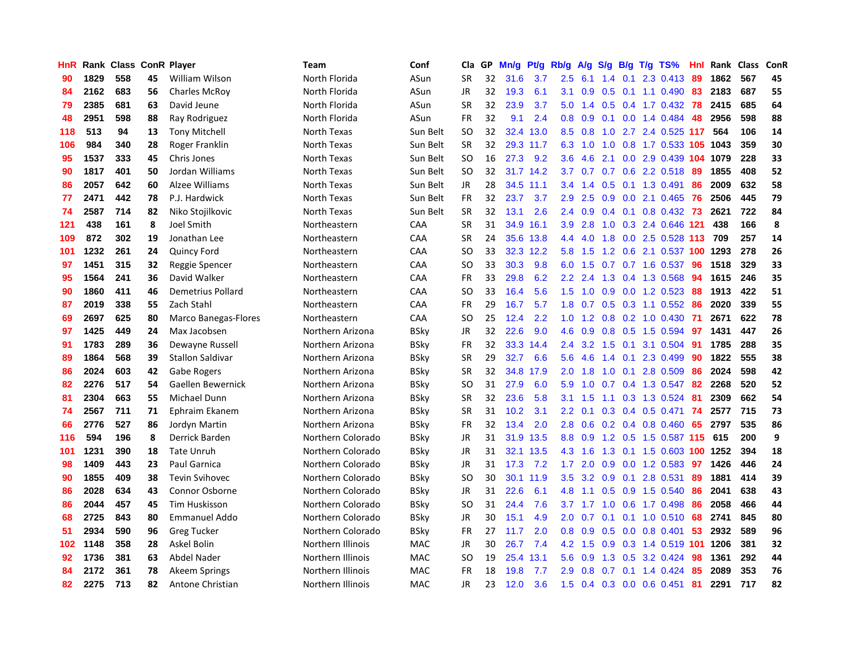| HnR |      | Rank Class ConR Player |    |                             | <b>Team</b>       | Conf        | Cla           | <b>GP</b> | Mn/g | <b>Pt/g</b> | Rb/g             | A/g     | S/g |             | B/g T/g TS%                | Hnl | Rank | <b>Class</b> | ConR |
|-----|------|------------------------|----|-----------------------------|-------------------|-------------|---------------|-----------|------|-------------|------------------|---------|-----|-------------|----------------------------|-----|------|--------------|------|
| 90  | 1829 | 558                    | 45 | William Wilson              | North Florida     | ASun        | <b>SR</b>     | 32        | 31.6 | 3.7         | 2.5              | 6.1     | 1.4 | 0.1         | 2.3 0.413                  | -89 | 1862 | 567          | 45   |
| 84  | 2162 | 683                    | 56 | <b>Charles McRoy</b>        | North Florida     | ASun        | <b>JR</b>     | 32        | 19.3 | 6.1         | 3.1              | 0.9     |     |             | $0.5$ 0.1 1.1 0.490 83     |     | 2183 | 687          | 55   |
| 79  | 2385 | 681                    | 63 | David Jeune                 | North Florida     | ASun        | <b>SR</b>     | 32        | 23.9 | 3.7         | 5.0              | 1.4     |     |             | 0.5 0.4 1.7 0.432 78       |     | 2415 | 685          | 64   |
| 48  | 2951 | 598                    | 88 | Ray Rodriguez               | North Florida     | ASun        | <b>FR</b>     | 32        | 9.1  | 2.4         | 0.8              | 0.9     |     |             | $0.1$ 0.0 1.4 0.484        | 48  | 2956 | 598          | 88   |
| 118 | 513  | 94                     | 13 | <b>Tony Mitchell</b>        | North Texas       | Sun Belt    | <b>SO</b>     | 32        | 32.4 | 13.0        | 8.5              | 0.8     | 1.0 |             | 2.7 2.4 0.525 117          |     | 564  | 106          | 14   |
| 106 | 984  | 340                    | 28 | Roger Franklin              | North Texas       | Sun Belt    | <b>SR</b>     | 32        | 29.3 | 11.7        | 6.3              | 1.0     | 1.0 |             | 0.8 1.7 0.533 105 1043     |     |      | 359          | 30   |
| 95  | 1537 | 333                    | 45 | Chris Jones                 | North Texas       | Sun Belt    | <b>SO</b>     | 16        | 27.3 | 9.2         | 3.6              | 4.6     |     |             | 2.1 0.0 2.9 0.439 104      |     | 1079 | 228          | 33   |
| 90  | 1817 | 401                    | 50 | Jordan Williams             | North Texas       | Sun Belt    | <b>SO</b>     | 32        |      | 31.7 14.2   | 3.7              | 0.7     | 0.7 |             | 0.6 2.2 0.518              | -89 | 1855 | 408          | 52   |
| 86  | 2057 | 642                    | 60 | Alzee Williams              | North Texas       | Sun Belt    | JR            | 28        | 34.5 | 11.1        | $3.4^{\circ}$    | 1.4     | 0.5 |             | 0.1 1.3 0.491              | 86  | 2009 | 632          | 58   |
| 77  | 2471 | 442                    | 78 | P.J. Hardwick               | North Texas       | Sun Belt    | <b>FR</b>     | 32        | 23.7 | 3.7         | 2.9              | 2.5     | 0.9 |             | 0.0 2.1 0.465 76           |     | 2506 | 445          | 79   |
| 74  | 2587 | 714                    | 82 | Niko Stojilkovic            | North Texas       | Sun Belt    | <b>SR</b>     | 32        | 13.1 | 2.6         | $2.4^{\circ}$    | 0.9     |     |             | 0.4 0.1 0.8 0.432 73       |     | 2621 | 722          | 84   |
| 121 | 438  | 161                    | 8  | Joel Smith                  | Northeastern      | CAA         | <b>SR</b>     | 31        | 34.9 | 16.1        | 3.9 <sup>°</sup> | 2.8     |     |             | 1.0 0.3 2.4 0.646 121      |     | 438  | 166          | 8    |
| 109 | 872  | 302                    | 19 | Jonathan Lee                | Northeastern      | CAA         | <b>SR</b>     | 24        |      | 35.6 13.8   | 4.4              | 4.0     | 1.8 |             | 0.0 2.5 0.528 113 709      |     |      | 257          | 14   |
| 101 | 1232 | 261                    | 24 | <b>Quincy Ford</b>          | Northeastern      | CAA         | <b>SO</b>     | 33        |      | 32.3 12.2   | 5.8              | 1.5     |     |             | 1.2 0.6 2.1 0.537 100 1293 |     |      | 278          | 26   |
| 97  | 1451 | 315                    | 32 | Reggie Spencer              | Northeastern      | CAA         | <b>SO</b>     | 33        | 30.3 | 9.8         | 6.0              | 1.5     |     |             | 0.7 0.7 1.6 0.537          | 96  | 1518 | 329          | 33   |
| 95  | 1564 | 241                    | 36 | David Walker                | Northeastern      | CAA         | <b>FR</b>     | 33        | 29.8 | 6.2         | 2.2              | 2.4     | 1.3 |             | 0.4 1.3 0.568              | 94  | 1615 | 246          | 35   |
| 90  | 1860 | 411                    | 46 | Demetrius Pollard           | Northeastern      | CAA         | <sub>SO</sub> | 33        | 16.4 | 5.6         | 1.5              | 1.0     | 0.9 |             | $0.0$ 1.2 0.523            | 88  | 1913 | 422          | 51   |
| 87  | 2019 | 338                    | 55 | Zach Stahl                  | Northeastern      | CAA         | <b>FR</b>     | 29        | 16.7 | 5.7         | 1.8              | 0.7     | 0.5 |             | 0.3 1.1 0.552              | -86 | 2020 | 339          | 55   |
| 69  | 2697 | 625                    | 80 | <b>Marco Banegas-Flores</b> | Northeastern      | CAA         | <sub>SO</sub> | 25        | 12.4 | 2.2         | 1.0              | 1.2     |     |             | 0.8 0.2 1.0 0.430 71       |     | 2671 | 622          | 78   |
| 97  | 1425 | 449                    | 24 | Max Jacobsen                | Northern Arizona  | <b>BSky</b> | JR            | 32        | 22.6 | 9.0         | 4.6              | 0.9     |     |             | 0.8 0.5 1.5 0.594          | 97  | 1431 | 447          | 26   |
| 91  | 1783 | 289                    | 36 | Dewayne Russell             | Northern Arizona  | BSky        | FR            | 32        | 33.3 | 14.4        | $2.4^{\circ}$    | 3.2     |     | $1.5 \t0.1$ | 3.1 0.504                  | -91 | 1785 | 288          | 35   |
| 89  | 1864 | 568                    | 39 | <b>Stallon Saldivar</b>     | Northern Arizona  | BSky        | <b>SR</b>     | 29        | 32.7 | 6.6         | 5.6              | 4.6     | 1.4 | 0.1         | 2.3 0.499                  | 90  | 1822 | 555          | 38   |
| 86  | 2024 | 603                    | 42 | <b>Gabe Rogers</b>          | Northern Arizona  | BSky        | <b>SR</b>     | 32        | 34.8 | 17.9        | 2.0              | 1.8     | 1.0 |             | $0.1$ 2.8 0.509            | 86  | 2024 | 598          | 42   |
| 82  | 2276 | 517                    | 54 | Gaellen Bewernick           | Northern Arizona  | <b>BSky</b> | SO.           | 31        | 27.9 | 6.0         | 5.9              | 1.0     | 0.7 |             | 0.4 1.3 0.547              | 82  | 2268 | 520          | 52   |
| 81  | 2304 | 663                    | 55 | Michael Dunn                | Northern Arizona  | BSky        | SR            | 32        | 23.6 | 5.8         | 3.1              | 1.5     | 1.1 |             | 0.3 1.3 0.524              | -81 | 2309 | 662          | 54   |
| 74  | 2567 | 711                    | 71 | Ephraim Ekanem              | Northern Arizona  | BSky        | <b>SR</b>     | 31        | 10.2 | 3.1         | 2.2              | 0.1     |     |             | 0.3 0.4 0.5 0.471          | 74  | 2577 | 715          | 73   |
| 66  | 2776 | 527                    | 86 | Jordyn Martin               | Northern Arizona  | BSky        | FR            | 32        | 13.4 | 2.0         | 2.8              | 0.6     |     |             | $0.2$ 0.4 0.8 0.460        | -65 | 2797 | 535          | 86   |
| 116 | 594  | 196                    | 8  | Derrick Barden              | Northern Colorado | BSky        | JR            | 31        |      | 31.9 13.5   |                  | 8.8 0.9 |     |             | 1.2 0.5 1.5 0.587 115 615  |     |      | 200          | 9    |
| 101 | 1231 | 390                    | 18 | <b>Tate Unruh</b>           | Northern Colorado | BSky        | JR            | 31        | 32.1 | 13.5        | 4.3              | 1.6     |     |             | 1.3 0.1 1.5 0.603 100 1252 |     |      | 394          | 18   |
| 98  | 1409 | 443                    | 23 | <b>Paul Garnica</b>         | Northern Colorado | BSky        | JR            | 31        | 17.3 | 7.2         | $1.7^{\circ}$    | 2.0     |     |             | 0.9 0.0 1.2 0.583 97       |     | 1426 | 446          | 24   |
| 90  | 1855 | 409                    | 38 | <b>Tevin Svihovec</b>       | Northern Colorado | BSky        | SO            | 30        | 30.1 | 11.9        | 3.5              | 3.2     | 0.9 | 0.1         | 2.8 0.531                  | 89  | 1881 | 414          | 39   |
| 86  | 2028 | 634                    | 43 | Connor Osborne              | Northern Colorado | <b>BSky</b> | JR            | 31        | 22.6 | 6.1         | 4.8              | 1.1     | 0.5 |             | 0.9 1.5 0.540              | -86 | 2041 | 638          | 43   |
| 86  | 2044 | 457                    | 45 | <b>Tim Huskisson</b>        | Northern Colorado | <b>BSky</b> | SO.           | 31        | 24.4 | 7.6         | 3.7              | 1.7     | 1.0 |             | $0.6$ 1.7 0.498            | -86 | 2058 | 466          | 44   |
| 68  | 2725 | 843                    | 80 | <b>Emmanuel Addo</b>        | Northern Colorado | BSky        | JR            | 30        | 15.1 | 4.9         | 2.0              | 0.7     | 0.1 |             | $0.1$ 1.0 0.510            | -68 | 2741 | 845          | 80   |
| 51  | 2934 | 590                    | 96 | <b>Greg Tucker</b>          | Northern Colorado | <b>BSky</b> | <b>FR</b>     | 27        | 11.7 | 2.0         | 0.8              | 0.9     | 0.5 |             | $0.0$ 0.8 0.401            | 53  | 2932 | 589          | 96   |
| 102 | 1148 | 358                    | 28 | <b>Askel Bolin</b>          | Northern Illinois | <b>MAC</b>  | JR            | 30        | 26.7 | 7.4         |                  | 4.2 1.5 |     |             | 0.9 0.3 1.4 0.519 101 1206 |     |      | 381          | 32   |
| 92  | 1736 | 381                    | 63 | Abdel Nader                 | Northern Illinois | <b>MAC</b>  | SO            | 19        | 25.4 | 13.1        | 5.6              | 0.9     |     |             | 1.3 0.5 3.2 0.424          | -98 | 1361 | 292          | 44   |
| 84  | 2172 | 361                    | 78 | Akeem Springs               | Northern Illinois | <b>MAC</b>  | FR            | 18        | 19.8 | 7.7         | $2.9^{\circ}$    | 0.8     |     |             | 0.7 0.1 1.4 0.424 85       |     | 2089 | 353          | 76   |
| 82  | 2275 | 713                    | 82 | Antone Christian            | Northern Illinois | <b>MAC</b>  | <b>JR</b>     | 23        | 12.0 | 3.6         | 1.5              |         |     |             | 0.4 0.3 0.0 0.6 0.451      | 81  | 2291 | 717          | 82   |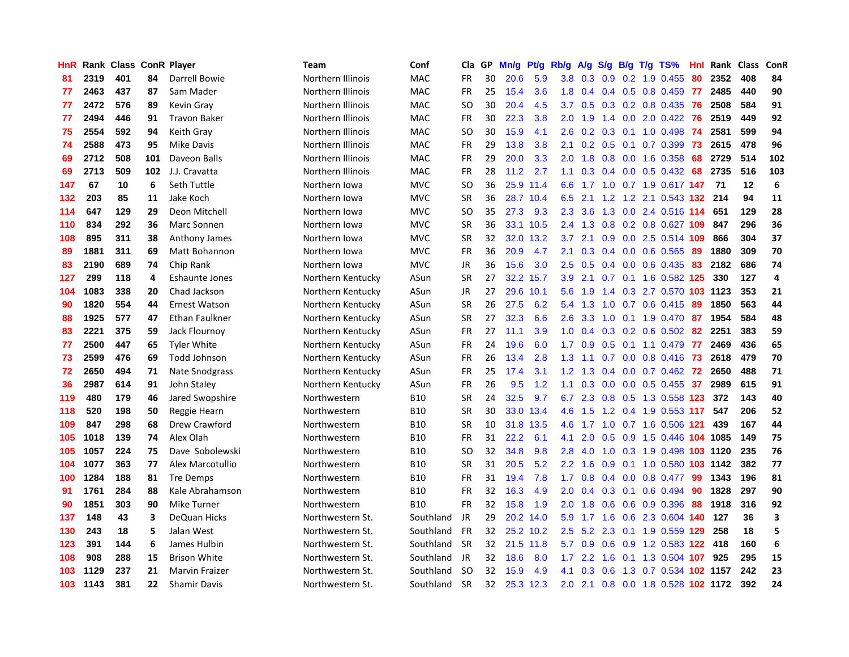| HnR |      | Rank Class ConR Player |     |                       | <b>Team</b>       | Conf       | Cla       | GP | Mn/g | <b>Pt/g</b> | Rb/g             | A/g             | S/g           | B/g | $T/g$ TS%                          | Hnl | Rank | <b>Class</b> | ConR                    |
|-----|------|------------------------|-----|-----------------------|-------------------|------------|-----------|----|------|-------------|------------------|-----------------|---------------|-----|------------------------------------|-----|------|--------------|-------------------------|
| 81  | 2319 | 401                    | 84  | Darrell Bowie         | Northern Illinois | MAC        | FR        | 30 | 20.6 | 5.9         | 3.8              | 0.3             | 0.9           |     | 0.2 1.9 0.455                      | -80 | 2352 | 408          | 84                      |
| 77  | 2463 | 437                    | 87  | Sam Mader             | Northern Illinois | <b>MAC</b> | <b>FR</b> | 25 | 15.4 | 3.6         |                  | $1.8 \quad 0.4$ |               |     | 0.4 0.5 0.8 0.459 77               |     | 2485 | 440          | 90                      |
| 77  | 2472 | 576                    | 89  | Kevin Gray            | Northern Illinois | <b>MAC</b> | SO        | 30 | 20.4 | 4.5         | 3.7              | 0.5             |               |     | 0.3 0.2 0.8 0.435 76               |     | 2508 | 584          | 91                      |
| 77  | 2494 | 446                    | 91  | <b>Travon Baker</b>   | Northern Illinois | MAC        | <b>FR</b> | 30 | 22.3 | 3.8         | 2.0              | 1.9             |               |     | 1.4 0.0 2.0 0.422                  | -76 | 2519 | 449          | 92                      |
| 75  | 2554 | 592                    | 94  | Keith Gray            | Northern Illinois | MAC        | SO.       | 30 | 15.9 | 4.1         | 2.6              | 0.2             |               |     | 0.3 0.1 1.0 0.498                  | -74 | 2581 | 599          | 94                      |
| 74  | 2588 | 473                    | 95  | Mike Davis            | Northern Illinois | MAC        | <b>FR</b> | 29 | 13.8 | 3.8         | 2.1              | 0.2             |               |     | $0.5$ 0.1 0.7 0.399                | 73  | 2615 | 478          | 96                      |
| 69  | 2712 | 508                    | 101 | Daveon Balls          | Northern Illinois | MAC        | <b>FR</b> | 29 | 20.0 | 3.3         | 2.0              | 1.8             |               |     | 0.8 0.0 1.6 0.358                  | 68  | 2729 | 514          | 102                     |
| 69  | 2713 | 509                    | 102 | J.J. Cravatta         | Northern Illinois | <b>MAC</b> | <b>FR</b> | 28 | 11.2 | 2.7         | 1.1              | 0.3             |               |     | $0.4$ 0.0 0.5 0.432                | 68  | 2735 | 516          | 103                     |
| 147 | 67   | 10                     | 6   | Seth Tuttle           | Northern Iowa     | <b>MVC</b> | <b>SO</b> | 36 | 25.9 | 11.4        | 6.6              | 1.7             | 1.0           |     | 0.7 1.9 0.617 147                  |     | -71  | 12           | $\boldsymbol{6}$        |
| 132 | 203  | 85                     | 11  | Jake Koch             | Northern Iowa     | <b>MVC</b> | <b>SR</b> | 36 |      | 28.7 10.4   | 6.5              | 2.1             |               |     | 1.2 1.2 2.1 0.543 132 214          |     |      | 94           | 11                      |
| 114 | 647  | 129                    | 29  | Deon Mitchell         | Northern Iowa     | <b>MVC</b> | <b>SO</b> | 35 | 27.3 | 9.3         | 2.3              | 3.6             |               |     | 1.3 0.0 2.4 0.516 114              |     | 651  | 129          | 28                      |
| 110 | 834  | 292                    | 36  | Marc Sonnen           | Northern Iowa     | <b>MVC</b> | <b>SR</b> | 36 |      | 33.1 10.5   | $2.4^{\circ}$    | 1.3             |               |     | 0.8 0.2 0.8 0.627 109              |     | 847  | 296          | 36                      |
| 108 | 895  | 311                    | 38  | Anthony James         | Northern Iowa     | <b>MVC</b> | <b>SR</b> | 32 | 32.0 | 13.2        | 3.7              | 2.1             | 0.9           |     | 0.0 2.5 0.514 109                  |     | 866  | 304          | 37                      |
| 89  | 1881 | 311                    | 69  | Matt Bohannon         | Northern Iowa     | <b>MVC</b> | <b>FR</b> | 36 | 20.9 | 4.7         | 2.1              | 0.3             |               |     | $0.4$ 0.0 0.6 0.565                | -89 | 1880 | 309          | 70                      |
| 83  | 2190 | 689                    | 74  | Chip Rank             | Northern Iowa     | <b>MVC</b> | JR        | 36 | 15.6 | 3.0         | 2.5              | 0.5             |               |     | $0.4$ 0.0 0.6 0.435                | 83  | 2182 | 686          | 74                      |
| 127 | 299  | 118                    | 4   | <b>Eshaunte Jones</b> | Northern Kentucky | ASun       | <b>SR</b> | 27 | 32.2 | 15.7        | 3.9 <sup>°</sup> | 2.1             | 0.7           |     | 0.1 1.6 0.582 125                  |     | 330  | 127          | $\overline{4}$          |
| 104 | 1083 | 338                    | 20  | Chad Jackson          | Northern Kentucky | ASun       | JR        | 27 | 29.6 | 10.1        | 5.6              | 1.9             | $1.4^{\circ}$ |     | 0.3 2.7 0.570 103 1123             |     |      | 353          | 21                      |
| 90  | 1820 | 554                    | 44  | <b>Ernest Watson</b>  | Northern Kentucky | ASun       | <b>SR</b> | 26 | 27.5 | 6.2         | 5.4              | 1.3             | 1.0           |     | $0.7$ 0.6 0.415                    | -89 | 1850 | 563          | 44                      |
| 88  | 1925 | 577                    | 47  | Ethan Faulkner        | Northern Kentucky | ASun       | <b>SR</b> | 27 | 32.3 | 6.6         | 2.6              | 3.3             |               |     | 1.0 0.1 1.9 0.470 87               |     | 1954 | 584          | 48                      |
| 83  | 2221 | 375                    | 59  | Jack Flournoy         | Northern Kentucky | ASun       | FR        | 27 | 11.1 | 3.9         | 1.0              | 0.4             |               |     | 0.3 0.2 0.6 0.502 82               |     | 2251 | 383          | 59                      |
| 77  | 2500 | 447                    | 65  | <b>Tyler White</b>    | Northern Kentucky | ASun       | FR        | 24 | 19.6 | 6.0         | 1.7              | 0.9             |               |     | $0.5$ 0.1 1.1 0.479                | 77  | 2469 | 436          | 65                      |
| 73  | 2599 | 476                    | 69  | <b>Todd Johnson</b>   | Northern Kentucky | ASun       | FR        | 26 | 13.4 | 2.8         | 1.3              | 1.1             |               |     | 0.7 0.0 0.8 0.416                  | 73  | 2618 | 479          | 70                      |
| 72  | 2650 | 494                    | 71  | Nate Snodgrass        | Northern Kentucky | ASun       | FR        | 25 | 17.4 | 3.1         | 1.2              | 1.3             |               |     | $0.4$ 0.0 0.7 0.462                | 72  | 2650 | 488          | 71                      |
| 36  | 2987 | 614                    | 91  | John Staley           | Northern Kentucky | ASun       | FR        | 26 | 9.5  | 1.2         | 1.1              | 0.3             | 0.0           |     | $0.0$ 0.5 0.455                    | 37  | 2989 | 615          | 91                      |
| 119 | 480  | 179                    | 46  | Jared Swopshire       | Northwestern      | <b>B10</b> | SR        | 24 | 32.5 | 9.7         | 6.7              | 2.3             | 0.8           |     | 0.5 1.3 0.558 123                  |     | 372  | 143          | 40                      |
| 118 | 520  | 198                    | 50  | Reggie Hearn          | Northwestern      | <b>B10</b> | <b>SR</b> | 30 | 33.0 | 13.4        | 4.6              | 1.5             | 1.2           |     | 0.4 1.9 0.553 117                  |     | 547  | 206          | 52                      |
| 109 | 847  | 298                    | 68  | Drew Crawford         | Northwestern      | <b>B10</b> | <b>SR</b> | 10 | 31.8 | 13.5        | 4.6              | 1.7             |               |     | 1.0 0.7 1.6 0.506 121              |     | 439  | 167          | 44                      |
| 105 | 1018 | 139                    | 74  | Alex Olah             | Northwestern      | <b>B10</b> | <b>FR</b> | 31 | 22.2 | 6.1         | 4.1              | 2.0             |               |     | 0.5 0.9 1.5 0.446 104 1085         |     |      | 149          | 75                      |
| 105 | 1057 | 224                    | 75  | Dave Sobolewski       | Northwestern      | <b>B10</b> | SO.       | 32 | 34.8 | 9.8         | 2.8              | 4.0             |               |     | 1.0 0.3 1.9 0.498 103 1120         |     |      | 235          | 76                      |
| 104 | 1077 | 363                    | 77  | Alex Marcotullio      | Northwestern      | <b>B10</b> | <b>SR</b> | 31 | 20.5 | 5.2         | $2.2^{\circ}$    | 1.6             | 0.9           |     | 0.1 1.0 0.580 103 1142             |     |      | 382          | 77                      |
| 100 | 1284 | 188                    | 81  | Tre Demps             | Northwestern      | <b>B10</b> | <b>FR</b> | 31 | 19.4 | 7.8         | 1.7              | 0.8             | 0.4           |     | $0.0$ $0.8$ $0.477$                | -99 | 1343 | 196          | 81                      |
| 91  | 1761 | 284                    | 88  | Kale Abrahamson       | Northwestern      | <b>B10</b> | <b>FR</b> | 32 | 16.3 | 4.9         | 2.0              | 0.4             |               |     | $0.3$ 0.1 0.6 0.494                | 90  | 1828 | 297          | 90                      |
| 90  | 1851 | 303                    | 90  | Mike Turner           | Northwestern      | <b>B10</b> | <b>FR</b> | 32 | 15.8 | 1.9         | 2.0              | 1.8             | 0.6           |     | $0.6$ 0.9 0.396                    | -88 | 1918 | 316          | 92                      |
| 137 | 148  | 43                     | 3   | DeQuan Hicks          | Northwestern St.  | Southland  | JR        | 29 | 20.2 | 14.0        | 5.9              | 1.7             | 1.6           |     | 0.6 2.3 0.604 140                  |     | 127  | 36           | $\overline{\mathbf{3}}$ |
| 130 | 243  | 18                     | 5   | Jalan West            | Northwestern St.  | Southland  | <b>FR</b> | 32 | 25.2 | 10.2        | $2.5^{\circ}$    | 5.2             | 2.3           |     | 0.1 1.9 0.559 129                  |     | 258  | 18           | 5                       |
| 123 | 391  | 144                    | 6   | James Hulbin          | Northwestern St.  | Southland  | <b>SR</b> | 32 | 21.5 | 11.8        | 5.7              | 0.9             |               |     | 0.6 0.9 1.2 0.583 122 418          |     |      | 160          | $\boldsymbol{6}$        |
| 108 | 908  | 288                    | 15  | <b>Brison White</b>   | Northwestern St.  | Southland  | JR        | 32 | 18.6 | 8.0         | 1.7 <sub>1</sub> | 2.2             |               |     | 1.6 0.1 1.3 0.504 107              |     | 925  | 295          | 15                      |
| 103 | 1129 | 237                    | 21  | <b>Marvin Fraizer</b> | Northwestern St.  | Southland  | -SO       | 32 | 15.9 | 4.9         | 4.1              | 0.3             | 0.6           |     | 1.3 0.7 0.534 102 1157             |     |      | 242          | 23                      |
| 103 | 1143 | 381                    | 22  | <b>Shamir Davis</b>   | Northwestern St.  | Southland  | <b>SR</b> | 32 |      | 25.3 12.3   |                  |                 |               |     | 2.0 2.1 0.8 0.0 1.8 0.528 102 1172 |     |      | 392          | 24                      |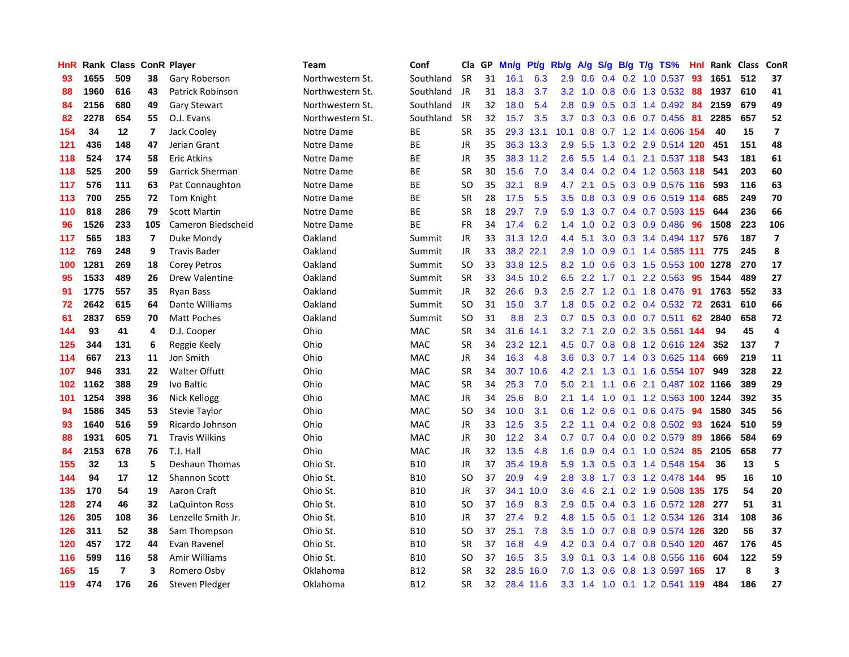| HnR |      | Rank Class ConR Player |                |                        | <b>Team</b>      | Conf       | Cla       | GP | Mn/g | <b>Pt/g</b> | Rb/g             | A/g | S/g              |  | $B/g$ T/g TS%                 | Hnl | Rank Class |     | ConR                    |
|-----|------|------------------------|----------------|------------------------|------------------|------------|-----------|----|------|-------------|------------------|-----|------------------|--|-------------------------------|-----|------------|-----|-------------------------|
| 93  | 1655 | 509                    | 38             | Gary Roberson          | Northwestern St. | Southland  | <b>SR</b> | 31 | 16.1 | 6.3         | 2.9              | 0.6 | 0.4              |  | 0.2 1.0 0.537                 | 93  | 1651       | 512 | 37                      |
| 88  | 1960 | 616                    | 43             | Patrick Robinson       | Northwestern St. | Southland  | JR        | 31 | 18.3 | 3.7         | 3.2              | 1.0 |                  |  | 0.8 0.6 1.3 0.532 88          |     | 1937       | 610 | 41                      |
| 84  | 2156 | 680                    | 49             | <b>Gary Stewart</b>    | Northwestern St. | Southland  | JR        | 32 | 18.0 | 5.4         | 2.8              | 0.9 |                  |  | 0.5 0.3 1.4 0.492 84          |     | 2159       | 679 | 49                      |
| 82  | 2278 | 654                    | 55             | O.J. Evans             | Northwestern St. | Southland  | <b>SR</b> | 32 | 15.7 | 3.5         | 3.7              | 0.3 |                  |  | 0.3 0.6 0.7 0.456 81          |     | 2285       | 657 | 52                      |
| 154 | 34   | 12                     | 7              | Jack Cooley            | Notre Dame       | ВE         | <b>SR</b> | 35 | 29.3 | 13.1        | 10.1             | 0.8 |                  |  | 0.7 1.2 1.4 0.606 154         |     | 40         | 15  | $\overline{7}$          |
| 121 | 436  | 148                    | 47             | Jerian Grant           | Notre Dame       | <b>BE</b>  | JR        | 35 |      | 36.3 13.3   | 2.9              | 5.5 |                  |  | 1.3 0.2 2.9 0.514 120         |     | 451        | 151 | 48                      |
| 118 | 524  | 174                    | 58             | <b>Eric Atkins</b>     | Notre Dame       | BE         | JR        | 35 |      | 38.3 11.2   | 2.6              | 5.5 |                  |  | 1.4 0.1 2.1 0.537 118         |     | 543        | 181 | 61                      |
| 118 | 525  | 200                    | 59             | <b>Garrick Sherman</b> | Notre Dame       | <b>BE</b>  | <b>SR</b> | 30 | 15.6 | 7.0         | 3.4              | 0.4 |                  |  | $0.2$ 0.4 1.2 0.563 118       |     | 541        | 203 | 60                      |
| 117 | 576  | 111                    | 63             | Pat Connaughton        | Notre Dame       | <b>BE</b>  | <b>SO</b> | 35 | 32.1 | 8.9         | 4.7              | 2.1 | 0.5              |  | 0.3 0.9 0.576 116             |     | 593        | 116 | 63                      |
| 113 | 700  | 255                    | 72             | Tom Knight             | Notre Dame       | <b>BE</b>  | <b>SR</b> | 28 | 17.5 | 5.5         | 3.5              | 0.8 |                  |  | 0.3 0.9 0.6 0.519 114         |     | 685        | 249 | 70                      |
| 110 | 818  | 286                    | 79             | <b>Scott Martin</b>    | Notre Dame       | <b>BE</b>  | <b>SR</b> | 18 | 29.7 | 7.9         | 5.9              |     |                  |  | 1.3 0.7 0.4 0.7 0.593 115 644 |     |            | 236 | 66                      |
| 96  | 1526 | 233                    | 105            | Cameron Biedscheid     | Notre Dame       | <b>BE</b>  | <b>FR</b> | 34 | 17.4 | 6.2         | $1.4^{\circ}$    | 1.0 |                  |  | 0.2 0.3 0.9 0.486 96          |     | 1508       | 223 | 106                     |
| 117 | 565  | 183                    | $\overline{7}$ | Duke Mondy             | Oakland          | Summit     | <b>JR</b> | 33 | 31.3 | 12.0        | 4.4              | 5.1 | 3.0 <sub>2</sub> |  | 0.3 3.4 0.494 117             |     | 576        | 187 | $\overline{\mathbf{z}}$ |
| 112 | 769  | 248                    | 9              | <b>Travis Bader</b>    | Oakland          | Summit     | JR        | 33 |      | 38.2 22.1   | 2.9              | 1.0 | 0.9              |  | 0.1 1.4 0.585 111             |     | 775        | 245 | 8                       |
| 100 | 1281 | 269                    | 18             | <b>Corey Petros</b>    | Oakland          | Summit     | <b>SO</b> | 33 |      | 33.8 12.5   | 8.2              | 1.0 | 0.6              |  | 0.3 1.5 0.553 100 1278        |     |            | 270 | 17                      |
| 95  | 1533 | 489                    | 26             | Drew Valentine         | Oakland          | Summit     | <b>SR</b> | 33 | 34.5 | 10.2        | 6.5              |     |                  |  | 2.2 1.7 0.1 2.2 0.563         | 95  | 1544       | 489 | 27                      |
| 91  | 1775 | 557                    | 35             | <b>Ryan Bass</b>       | Oakland          | Summit     | JR        | 32 | 26.6 | 9.3         | $2.5^{\circ}$    | 2.7 | 1.2              |  | 0.1 1.8 0.476                 | -91 | 1763       | 552 | 33                      |
| 72  | 2642 | 615                    | 64             | Dante Williams         | Oakland          | Summit     | <b>SO</b> | 31 | 15.0 | 3.7         | 1.8              | 0.5 |                  |  | 0.2 0.2 0.4 0.532 72          |     | 2631       | 610 | 66                      |
| 61  | 2837 | 659                    | 70             | <b>Matt Poches</b>     | Oakland          | Summit     | SO        | 31 | 8.8  | 2.3         | 0.7              | 0.5 |                  |  | $0.3$ 0.0 0.7 0.511           | -62 | 2840       | 658 | 72                      |
| 144 | 93   | 41                     | 4              | D.J. Cooper            | Ohio             | <b>MAC</b> | <b>SR</b> | 34 |      | 31.6 14.1   | 3.2              | 7.1 |                  |  | 2.0 0.2 3.5 0.561 144         |     | 94         | 45  | $\overline{a}$          |
| 125 | 344  | 131                    | 6              | Reggie Keely           | Ohio             | <b>MAC</b> | <b>SR</b> | 34 | 23.2 | 12.1        | 4.5              | 0.7 |                  |  | $0.8$ 0.8 1.2 0.616 124       |     | 352        | 137 | $\overline{7}$          |
| 114 | 667  | 213                    | 11             | Jon Smith              | Ohio             | MAC        | JR        | 34 | 16.3 | 4.8         | 3.6              | 0.3 | 0.7              |  | 1.4 0.3 0.625 114             |     | 669        | 219 | 11                      |
| 107 | 946  | 331                    | 22             | <b>Walter Offutt</b>   | Ohio             | <b>MAC</b> | <b>SR</b> | 34 | 30.7 | 10.6        | 4.2              | 2.1 | 1.3              |  | 0.1 1.6 0.554 107             |     | 949        | 328 | 22                      |
| 102 | 1162 | 388                    | 29             | Ivo Baltic             | Ohio             | <b>MAC</b> | <b>SR</b> | 34 | 25.3 | 7.0         | 5.0              | 2.1 | 1.1              |  | 0.6 2.1 0.487 102 1166        |     |            | 389 | 29                      |
| 101 | 1254 | 398                    | 36             | Nick Kellogg           | Ohio             | <b>MAC</b> | JR        | 34 | 25.6 | 8.0         | 2.1              | 1.4 | 1.0              |  | 0.1 1.2 0.563 100 1244        |     |            | 392 | 35                      |
| 94  | 1586 | 345                    | 53             | Stevie Taylor          | Ohio             | <b>MAC</b> | SO        | 34 | 10.0 | 3.1         | 0.6              | 1.2 | 0.6              |  | 0.1 0.6 0.475 94              |     | 1580       | 345 | 56                      |
| 93  | 1640 | 516                    | 59             | Ricardo Johnson        | Ohio             | <b>MAC</b> | JR        | 33 | 12.5 | 3.5         | $2.2^{\circ}$    | 1.1 |                  |  | $0.4$ 0.2 0.8 0.502 93        |     | 1624       | 510 | 59                      |
| 88  | 1931 | 605                    | 71             | <b>Travis Wilkins</b>  | Ohio             | MAC        | JR        | 30 | 12.2 | 3.4         | 0.7              | 0.7 |                  |  | 0.4 0.0 0.2 0.579 89          |     | 1866       | 584 | 69                      |
| 84  | 2153 | 678                    | 76             | T.J. Hall              | Ohio             | MAC        | JR        | 32 | 13.5 | 4.8         | 1.6              | 0.9 |                  |  | 0.4 0.1 1.0 0.524 85          |     | 2105       | 658 | 77                      |
| 155 | 32   | 13                     | 5              | Deshaun Thomas         | Ohio St.         | <b>B10</b> | JR        | 37 | 35.4 | 19.8        | 5.9              | 1.3 |                  |  | 0.5 0.3 1.4 0.548 154         |     | 36         | 13  | 5                       |
| 144 | 94   | 17                     | 12             | <b>Shannon Scott</b>   | Ohio St.         | <b>B10</b> | <b>SO</b> | 37 | 20.9 | 4.9         | 2.8              | 3.8 |                  |  | 1.7 0.3 1.2 0.478 144         |     | 95         | 16  | 10                      |
| 135 | 170  | 54                     | 19             | Aaron Craft            | Ohio St.         | <b>B10</b> | JR        | 37 | 34.1 | 10.0        | 3.6              | 4.6 |                  |  | 2.1 0.2 1.9 0.508 135         |     | 175        | 54  | 20                      |
| 128 | 274  | 46                     | 32             | LaQuinton Ross         | Ohio St.         | <b>B10</b> | SO        | 37 | 16.9 | 8.3         | 2.9              | 0.5 |                  |  | 0.4 0.3 1.6 0.572 128         |     | 277        | 51  | 31                      |
| 126 | 305  | 108                    | 36             | Lenzelle Smith Jr.     | Ohio St.         | <b>B10</b> | JR        | 37 | 27.4 | 9.2         | 4.8              | 1.5 | 0.5              |  | 0.1 1.2 0.534 126             |     | 314        | 108 | 36                      |
| 126 | 311  | 52                     | 38             | Sam Thompson           | Ohio St.         | <b>B10</b> | <b>SO</b> | 37 | 25.1 | 7.8         | 3.5              | 1.0 |                  |  | 0.7 0.8 0.9 0.574 126         |     | 320        | 56  | 37                      |
| 120 | 457  | 172                    | 44             | Evan Ravenel           | Ohio St.         | <b>B10</b> | <b>SR</b> | 37 | 16.8 | 4.9         | 4.2              | 0.3 |                  |  | 0.4 0.7 0.8 0.540 120         |     | 467        | 176 | 45                      |
| 116 | 599  | 116                    | 58             | Amir Williams          | Ohio St.         | <b>B10</b> | SO        | 37 | 16.5 | 3.5         | 3.9 <sub>2</sub> | 0.1 |                  |  | 0.3 1.4 0.8 0.556 116         |     | 604        | 122 | 59                      |
| 165 | 15   | $\overline{7}$         | 3              | Romero Osby            | Oklahoma         | <b>B12</b> | <b>SR</b> | 32 | 28.5 | 16.0        | 7.0              | 1.3 | 0.6              |  | 0.8 1.3 0.597 165             |     | 17         | 8   | $\overline{\mathbf{3}}$ |
| 119 | 474  | 176                    | 26             | Steven Pledger         | Oklahoma         | <b>B12</b> | SR        | 32 |      | 28.4 11.6   | 3.3 <sub>2</sub> |     |                  |  | 1.4 1.0 0.1 1.2 0.541 119     |     | 484        | 186 | 27                      |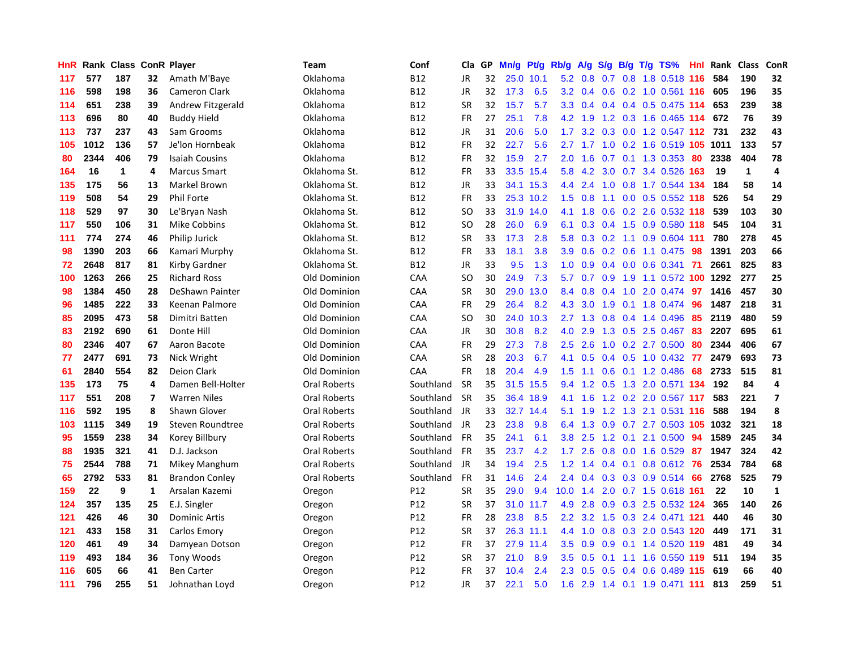| HnR |      | <b>Rank Class</b> |                | <b>ConR Player</b>    | Team                | Conf       | Cla           | <b>GP</b> | Mn/g      | <b>Pt/g</b> | Rb/g             | A/g             | S/g |  | $B/g$ T/g TS%                 | Hnl | Rank | <b>Class</b> | ConR                    |
|-----|------|-------------------|----------------|-----------------------|---------------------|------------|---------------|-----------|-----------|-------------|------------------|-----------------|-----|--|-------------------------------|-----|------|--------------|-------------------------|
| 117 | 577  | 187               | 32             | Amath M'Baye          | Oklahoma            | <b>B12</b> | JR            | 32        | 25.0 10.1 |             |                  | $5.2 \quad 0.8$ |     |  | 0.7 0.8 1.8 0.518 116         |     | 584  | 190          | 32                      |
| 116 | 598  | 198               | 36             | <b>Cameron Clark</b>  | Oklahoma            | <b>B12</b> | JR            | 32        | 17.3      | 6.5         | 3.2              |                 |     |  | 0.4 0.6 0.2 1.0 0.561 116     |     | 605  | 196          | 35                      |
| 114 | 651  | 238               | 39             | Andrew Fitzgerald     | Oklahoma            | <b>B12</b> | <b>SR</b>     | 32        | 15.7      | 5.7         | 3.3 <sub>2</sub> | 0.4             |     |  | $0.4$ 0.4 0.5 0.475 114       |     | 653  | 239          | 38                      |
| 113 | 696  | 80                | 40             | <b>Buddy Hield</b>    | Oklahoma            | <b>B12</b> | FR            | 27        | 25.1      | 7.8         |                  | 4.2 1.9         |     |  | 1.2 0.3 1.6 0.465 114         |     | 672  | 76           | 39                      |
| 113 | 737  | 237               | 43             | Sam Grooms            | Oklahoma            | <b>B12</b> | JR            | 31        | 20.6      | 5.0         | 1.7              | 3.2             |     |  | 0.3 0.0 1.2 0.547 112         |     | 731  | 232          | 43                      |
| 105 | 1012 | 136               | 57             | Je'lon Hornbeak       | Oklahoma            | <b>B12</b> | FR            | 32        | 22.7      | 5.6         | 2.7              | 1.7             |     |  | 1.0 0.2 1.6 0.519 105 1011    |     |      | 133          | 57                      |
| 80  | 2344 | 406               | 79             | <b>Isaiah Cousins</b> | Oklahoma            | <b>B12</b> | <b>FR</b>     | 32        | 15.9      | 2.7         | 2.0              | 1.6             | 0.7 |  | $0.1$ 1.3 0.353               | 80  | 2338 | 404          | 78                      |
| 164 | 16   | $\mathbf{1}$      | 4              | <b>Marcus Smart</b>   | Oklahoma St.        | <b>B12</b> | FR            | 33        | 33.5      | 15.4        | 5.8              | 4.2             | 3.0 |  | 0.7 3.4 0.526 163             |     | 19   | $\mathbf 1$  | 4                       |
| 135 | 175  | 56                | 13             | Markel Brown          | Oklahoma St.        | <b>B12</b> | JR            | 33        | 34.1      | 15.3        | 4.4              | 2.4             |     |  | 1.0 0.8 1.7 0.544 134         |     | 184  | 58           | 14                      |
| 119 | 508  | 54                | 29             | Phil Forte            | Oklahoma St.        | <b>B12</b> | FR            | 33        |           | 25.3 10.2   | 1.5              | 0.8             |     |  | 1.1 0.0 0.5 0.552 118         |     | 526  | 54           | 29                      |
| 118 | 529  | 97                | 30             | Le'Bryan Nash         | Oklahoma St.        | <b>B12</b> | <sub>SO</sub> | 33        |           | 31.9 14.0   | 4.1              | 1.8             |     |  | $0.6$ $0.2$ $2.6$ $0.532$ 118 |     | 539  | 103          | 30                      |
| 117 | 550  | 106               | 31             | <b>Mike Cobbins</b>   | Oklahoma St.        | <b>B12</b> | <b>SO</b>     | 28        | 26.0      | 6.9         | 6.1              | 0.3             |     |  | 0.4 1.5 0.9 0.580 118         |     | 545  | 104          | 31                      |
| 111 | 774  | 274               | 46             | Philip Jurick         | Oklahoma St.        | <b>B12</b> | <b>SR</b>     | 33        | 17.3      | 2.8         | 5.8              | 0.3             | 0.2 |  | 1.1 0.9 0.604 111             |     | 780  | 278          | 45                      |
| 98  | 1390 | 203               | 66             | Kamari Murphy         | Oklahoma St.        | <b>B12</b> | FR            | 33        | 18.1      | 3.8         | 3.9              | 0.6             |     |  | $0.2$ 0.6 1.1 0.475           | 98  | 1391 | 203          | 66                      |
| 72  | 2648 | 817               | 81             | Kirby Gardner         | Oklahoma St.        | <b>B12</b> | JR            | 33        | 9.5       | 1.3         | 1.0              | 0.9             |     |  | $0.4$ 0.0 0.6 0.341           | -71 | 2661 | 825          | 83                      |
| 100 | 1263 | 266               | 25             | <b>Richard Ross</b>   | Old Dominion        | CAA        | <b>SO</b>     | 30        | 24.9      | 7.3         | 5.7              | 0.7             | 0.9 |  | 1.9 1.1 0.572 100 1292        |     |      | 277          | 25                      |
| 98  | 1384 | 450               | 28             | DeShawn Painter       | Old Dominion        | CAA        | <b>SR</b>     | 30        | 29.0      | 13.0        | 8.4              | 0.8             | 0.4 |  | 1.0 2.0 0.474                 | 97  | 1416 | 457          | 30                      |
| 96  | 1485 | 222               | 33             | Keenan Palmore        | Old Dominion        | CAA        | FR            | 29        | 26.4      | 8.2         | 4.3              | 3.0             | 1.9 |  | 0.1 1.8 0.474 96              |     | 1487 | 218          | 31                      |
| 85  | 2095 | 473               | 58             | Dimitri Batten        | Old Dominion        | CAA        | <b>SO</b>     | 30        | 24.0      | 10.3        |                  | $2.7$ 1.3       |     |  | $0.8$ 0.4 1.4 0.496           | -85 | 2119 | 480          | 59                      |
| 83  | 2192 | 690               | 61             | Donte Hill            | Old Dominion        | CAA        | JR            | 30        | 30.8      | 8.2         | 4.0              | 2.9             |     |  | 1.3 0.5 2.5 0.467 83          |     | 2207 | 695          | 61                      |
| 80  | 2346 | 407               | 67             | Aaron Bacote          | Old Dominion        | CAA        | <b>FR</b>     | 29        | 27.3      | 7.8         | 2.5              | 2.6             | 1.0 |  | 0.2 2.7 0.500                 | 80  | 2344 | 406          | 67                      |
| 77  | 2477 | 691               | 73             | Nick Wright           | Old Dominion        | CAA        | <b>SR</b>     | 28        | 20.3      | 6.7         | 4.1              | 0.5             |     |  | 0.4 0.5 1.0 0.432             | 77  | 2479 | 693          | 73                      |
| 61  | 2840 | 554               | 82             | Deion Clark           | Old Dominion        | CAA        | FR            | 18        | 20.4      | 4.9         | 1.5              | 1.1             | 0.6 |  | 0.1 1.2 0.486                 | 68  | 2733 | 515          | 81                      |
| 135 | 173  | 75                | 4              | Damen Bell-Holter     | Oral Roberts        | Southland  | <b>SR</b>     | 35        | 31.5      | 15.5        | 9.4              | 1.2             |     |  | 0.5 1.3 2.0 0.571 134         |     | 192  | 84           | 4                       |
| 117 | 551  | 208               | $\overline{7}$ | <b>Warren Niles</b>   | <b>Oral Roberts</b> | Southland  | <b>SR</b>     | 35        | 36.4      | 18.9        | 4.1              | 1.6             |     |  | 1.2 0.2 2.0 0.567 117         |     | 583  | 221          | $\overline{\mathbf{z}}$ |
| 116 | 592  | 195               | 8              | Shawn Glover          | <b>Oral Roberts</b> | Southland  | JR            | 33        | 32.7      | 14.4        | 5.1              | 1.9             |     |  | 1.2 1.3 2.1 0.531 116         |     | 588  | 194          | 8                       |
| 103 | 1115 | 349               | 19             | Steven Roundtree      | Oral Roberts        | Southland  | JR            | 23        | 23.8      | 9.8         | 6.4              | 1.3             |     |  | 0.9 0.7 2.7 0.503 105 1032    |     |      | 321          | 18                      |
| 95  | 1559 | 238               | 34             | Korey Billbury        | Oral Roberts        | Southland  | <b>FR</b>     | 35        | 24.1      | 6.1         | 3.8              | 2.5             |     |  | 1.2 0.1 2.1 0.500             | -94 | 1589 | 245          | 34                      |
| 88  | 1935 | 321               | 41             | D.J. Jackson          | Oral Roberts        | Southland  | <b>FR</b>     | 35        | 23.7      | 4.2         | 1.7 <sub>z</sub> | 2.6             | 0.8 |  | $0.0$ 1.6 0.529               | -87 | 1947 | 324          | 42                      |
| 75  | 2544 | 788               | 71             | Mikey Manghum         | Oral Roberts        | Southland  | JR            | 34        | 19.4      | 2.5         | 1.2              | 1.4             | 0.4 |  | 0.1 0.8 0.612 76              |     | 2534 | 784          | 68                      |
| 65  | 2792 | 533               | 81             | <b>Brandon Conley</b> | <b>Oral Roberts</b> | Southland  | FR            | 31        | 14.6      | 2.4         | 2.4              | 0.4             |     |  | 0.3 0.3 0.9 0.514             | 66  | 2768 | 525          | 79                      |
| 159 | 22   | 9                 | 1              | Arsalan Kazemi        | Oregon              | P12        | <b>SR</b>     | 35        | 29.0      | 9.4         | 10.0             | 1.4             | 2.0 |  | 0.7 1.5 0.618 161             |     | 22   | 10           | $\mathbf{1}$            |
| 124 | 357  | 135               | 25             | E.J. Singler          | Oregon              | P12        | <b>SR</b>     | 37        | 31.0      | 11.7        | 4.9              | 2.8             | 0.9 |  | 0.3 2.5 0.532 124             |     | 365  | 140          | 26                      |
| 121 | 426  | 46                | 30             | <b>Dominic Artis</b>  | Oregon              | P12        | FR            | 28        | 23.8      | 8.5         | 2.2              | 3.2             | 1.5 |  | 0.3 2.4 0.471 121             |     | 440  | 46           | 30                      |
| 121 | 433  | 158               | 31             | Carlos Emory          | Oregon              | P12        | <b>SR</b>     | 37        |           | 26.3 11.1   | 4.4              |                 |     |  | 1.0 0.8 0.3 2.0 0.543 120     |     | 449  | 171          | 31                      |
| 120 | 461  | 49                | 34             | Damyean Dotson        | Oregon              | P12        | <b>FR</b>     | 37        | 27.9      | 11.4        | 3.5              | 0.9             | 0.9 |  | 0.1 1.4 0.520 119             |     | 481  | 49           | 34                      |
| 119 | 493  | 184               | 36             | <b>Tony Woods</b>     | Oregon              | P12        | <b>SR</b>     | 37        | 21.0      | 8.9         | 3.5              | 0.5             | 0.1 |  | 1.1 1.6 0.550 119             |     | 511  | 194          | 35                      |
| 116 | 605  | 66                | 41             | <b>Ben Carter</b>     | Oregon              | P12        | <b>FR</b>     | 37        | 10.4      | 2.4         | 2.3              | 0.5             | 0.5 |  | 0.4 0.6 0.489 115             |     | 619  | 66           | 40                      |
| 111 | 796  | 255               | 51             | Johnathan Loyd        | Oregon              | P12        | <b>JR</b>     | 37        | 22.1      | 5.0         | 1.6              |                 |     |  | 2.9 1.4 0.1 1.9 0.471 111     |     | 813  | 259          | 51                      |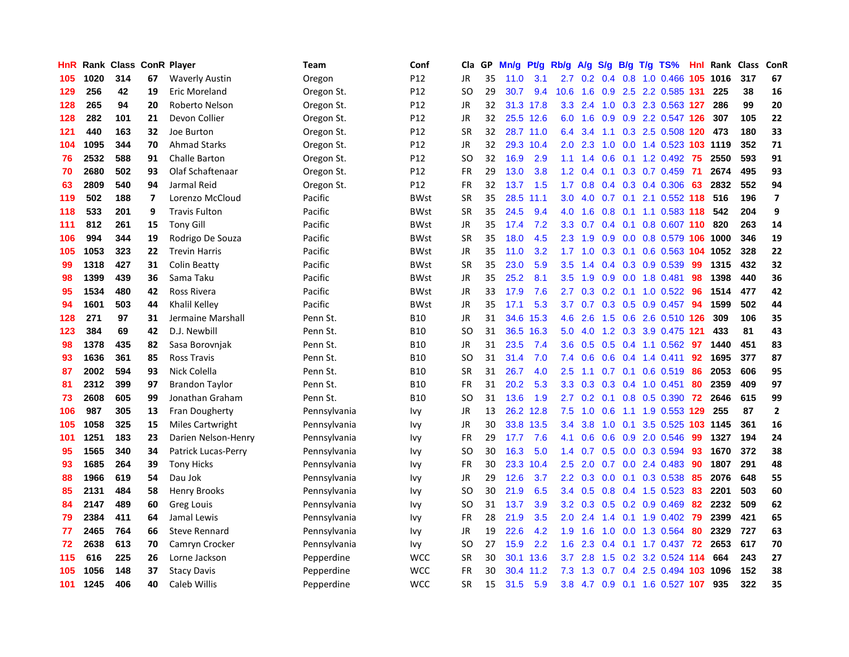| HnR | Rank | <b>Class</b> |                         | <b>ConR Player</b>      | Team         | Conf        | Cla.          | <b>GP</b> | Mn/g | <b>Pt/g</b> | Rb/g             | A/g | S/g              |     | B/g T/g TS%                        | Hnl | Rank | <b>Class</b> | <b>ConR</b>    |
|-----|------|--------------|-------------------------|-------------------------|--------------|-------------|---------------|-----------|------|-------------|------------------|-----|------------------|-----|------------------------------------|-----|------|--------------|----------------|
| 105 | 1020 | 314          | 67                      | <b>Waverly Austin</b>   | Oregon       | P12         | <b>JR</b>     | 35        | 11.0 | 3.1         |                  |     |                  |     | 2.7 0.2 0.4 0.8 1.0 0.466 105 1016 |     |      | 317          | 67             |
| 129 | 256  | 42           | 19                      | Eric Moreland           | Oregon St.   | P12         | SO            | 29        | 30.7 | 9.4         | 10.6             | 1.6 |                  |     | 0.9 2.5 2.2 0.585 131              |     | 225  | 38           | 16             |
| 128 | 265  | 94           | 20                      | Roberto Nelson          | Oregon St.   | P12         | JR            | 32        |      | 31.3 17.8   | 3.3 <sub>2</sub> | 2.4 | 1.0              |     | 0.3 2.3 0.563 127                  |     | 286  | 99           | 20             |
| 128 | 282  | 101          | 21                      | Devon Collier           | Oregon St.   | P12         | <b>JR</b>     | 32        |      | 25.5 12.6   | 6.0              | 1.6 | 0.9              |     | 0.9 2.2 0.547 126                  |     | 307  | 105          | 22             |
| 121 | 440  | 163          | 32                      | Joe Burton              | Oregon St.   | P12         | <b>SR</b>     | 32        | 28.7 | 11.0        | 6.4              | 3.4 | 1.1              |     | 0.3 2.5 0.508 120                  |     | 473  | 180          | 33             |
| 104 | 1095 | 344          | 70                      | <b>Ahmad Starks</b>     | Oregon St.   | P12         | JR            | 32        |      | 29.3 10.4   | 2.0              | 2.3 | 1.0              |     | 0.0 1.4 0.523 103 1119             |     |      | 352          | 71             |
| 76  | 2532 | 588          | 91                      | <b>Challe Barton</b>    | Oregon St.   | P12         | <b>SO</b>     | 32        | 16.9 | 2.9         | 1.1              | 1.4 | 0.6              |     | $0.1$ 1.2 0.492                    | 75  | 2550 | 593          | 91             |
| 70  | 2680 | 502          | 93                      | Olaf Schaftenaar        | Oregon St.   | P12         | <b>FR</b>     | 29        | 13.0 | 3.8         | 1.2              | 0.4 | 0.1              |     | $0.3$ 0.7 0.459                    | -71 | 2674 | 495          | 93             |
| 63  | 2809 | 540          | 94                      | Jarmal Reid             | Oregon St.   | P12         | <b>FR</b>     | 32        | 13.7 | 1.5         | 1.7              | 0.8 |                  |     | $0.4$ 0.3 0.4 0.306                | 63  | 2832 | 552          | 94             |
| 119 | 502  | 188          | $\overline{\mathbf{z}}$ | Lorenzo McCloud         | Pacific      | <b>BWst</b> | SR            | 35        | 28.5 | 11.1        | 3.0 <sub>2</sub> | 4.0 |                  |     | 0.7 0.1 2.1 0.552 118              |     | 516  | 196          | $\overline{7}$ |
| 118 | 533  | 201          | 9                       | <b>Travis Fulton</b>    | Pacific      | <b>BWst</b> | <b>SR</b>     | 35        | 24.5 | 9.4         | 4.0              | 1.6 |                  |     | 0.8 0.1 1.1 0.583 118              |     | 542  | 204          | 9              |
| 111 | 812  | 261          | 15                      | <b>Tony Gill</b>        | Pacific      | <b>BWst</b> | <b>JR</b>     | 35        | 17.4 | 7.2         | 3.3 <sub>2</sub> | 0.7 |                  |     | $0.4$ 0.1 0.8 0.607 110            |     | 820  | 263          | 14             |
| 106 | 994  | 344          | 19                      | Rodrigo De Souza        | Pacific      | <b>BWst</b> | <b>SR</b>     | 35        | 18.0 | 4.5         | 2.3              | 1.9 | 0.9 <sub>0</sub> |     | $0.0$ 0.8 0.579 106                |     | 1000 | 346          | 19             |
| 105 | 1053 | 323          | 22                      | <b>Trevin Harris</b>    | Pacific      | <b>BWst</b> | JR            | 35        | 11.0 | 3.2         | 1.7              | 1.0 |                  |     | $0.3$ 0.1 0.6 0.563 104            |     | 1052 | 328          | 22             |
| 99  | 1318 | 427          | 31                      | <b>Colin Beatty</b>     | Pacific      | <b>BWst</b> | <b>SR</b>     | 35        | 23.0 | 5.9         | 3.5              | 1.4 | $0.4^{\circ}$    |     | $0.3$ 0.9 0.539                    | 99  | 1315 | 432          | 32             |
| 98  | 1399 | 439          | 36                      | Sama Taku               | Pacific      | <b>BWst</b> | JR            | 35        | 25.2 | 8.1         | 3.5              | 1.9 | 0.9              |     | $0.0$ 1.8 $0.481$                  | 98  | 1398 | 440          | 36             |
| 95  | 1534 | 480          | 42                      | Ross Rivera             | Pacific      | <b>BWst</b> | JR            | 33        | 17.9 | 7.6         | $2.7^{\circ}$    | 0.3 | 0.2              |     | $0.1$ 1.0 0.522                    | -96 | 1514 | 477          | 42             |
| 94  | 1601 | 503          | 44                      | Khalil Kelley           | Pacific      | <b>BWst</b> | JR            | 35        | 17.1 | 5.3         | 3.7              | 0.7 |                  |     | $0.3$ $0.5$ $0.9$ $0.457$          | -94 | 1599 | 502          | 44             |
| 128 | 271  | 97           | 31                      | Jermaine Marshall       | Penn St.     | <b>B10</b>  | JR            | 31        | 34.6 | 15.3        | 4.6              | 2.6 |                  |     | 1.5 0.6 2.6 0.510 126              |     | 309  | 106          | 35             |
| 123 | 384  | 69           | 42                      | D.J. Newbill            | Penn St.     | <b>B10</b>  | SO            | 31        | 36.5 | 16.3        | 5.0              | 4.0 |                  |     | 1.2 0.3 3.9 0.475 121              |     | 433  | 81           | 43             |
| 98  | 1378 | 435          | 82                      | Sasa Borovnjak          | Penn St.     | <b>B10</b>  | JR            | 31        | 23.5 | 7.4         | 3.6              | 0.5 | 0.5              |     | $0.4$ 1.1 0.562                    | -97 | 1440 | 451          | 83             |
| 93  | 1636 | 361          | 85                      | <b>Ross Travis</b>      | Penn St.     | <b>B10</b>  | SO            | 31        | 31.4 | 7.0         | 7.4              | 0.6 | 0.6              |     | $0.4$ 1.4 0.411                    | 92  | 1695 | 377          | 87             |
| 87  | 2002 | 594          | 93                      | Nick Colella            | Penn St.     | <b>B10</b>  | <b>SR</b>     | 31        | 26.7 | 4.0         | 2.5              | 1.1 | 0.7              |     | $0.1$ 0.6 0.519                    | 86  | 2053 | 606          | 95             |
| 81  | 2312 | 399          | 97                      | <b>Brandon Taylor</b>   | Penn St.     | <b>B10</b>  | <b>FR</b>     | 31        | 20.2 | 5.3         | 3.3              | 0.3 | 0.3              |     | $0.4$ 1.0 0.451                    | 80  | 2359 | 409          | 97             |
| 73  | 2608 | 605          | 99                      | Jonathan Graham         | Penn St.     | <b>B10</b>  | SO            | 31        | 13.6 | 1.9         | $2.7^{\circ}$    | 0.2 |                  |     | $0.1$ 0.8 0.5 0.390                | 72  | 2646 | 615          | 99             |
| 106 | 987  | 305          | 13                      | Fran Dougherty          | Pennsylvania | Ivy         | JR            | 13        |      | 26.2 12.8   | 7.5              | 1.0 | 0.6              |     | 1.1 1.9 0.553 129                  |     | 255  | 87           | $\overline{2}$ |
| 105 | 1058 | 325          | 15                      | <b>Miles Cartwright</b> | Pennsylvania | Ivy         | JR            | 30        |      | 33.8 13.5   | 3.4              | 3.8 |                  |     | 1.0 0.1 3.5 0.525 103 1145         |     |      | 361          | 16             |
| 101 | 1251 | 183          | 23                      | Darien Nelson-Henry     | Pennsylvania | Ivy         | <b>FR</b>     | 29        | 17.7 | 7.6         | 4.1              | 0.6 |                  |     | 0.6 0.9 2.0 0.546                  | 99  | 1327 | 194          | 24             |
| 95  | 1565 | 340          | 34                      | Patrick Lucas-Perry     | Pennsylvania | Ivy         | <sub>SO</sub> | 30        | 16.3 | 5.0         | 1.4              | 0.7 |                  |     | 0.5 0.0 0.3 0.594                  | 93  | 1670 | 372          | 38             |
| 93  | 1685 | 264          | 39                      | <b>Tony Hicks</b>       | Pennsylvania | Ivy         | <b>FR</b>     | 30        | 23.3 | 10.4        | $2.5\,$          | 2.0 | 0.7              |     | $0.0$ 2.4 $0.483$                  | 90  | 1807 | 291          | 48             |
| 88  | 1966 | 619          | 54                      | Dau Jok                 | Pennsylvania | Ivy         | JR            | 29        | 12.6 | 3.7         | $2.2^{\circ}$    | 0.3 | 0.0 <sub>1</sub> |     | $0.1$ $0.3$ $0.538$                | 85  | 2076 | 648          | 55             |
| 85  | 2131 | 484          | 58                      | Henry Brooks            | Pennsylvania | Ivy         | <sub>SO</sub> | 30        | 21.9 | 6.5         | 3.4              | 0.5 | 0.8              |     | $0.4$ 1.5 0.523                    | 83  | 2201 | 503          | 60             |
| 84  | 2147 | 489          | 60                      | Greg Louis              | Pennsylvania | Ivy         | SO            | 31        | 13.7 | 3.9         | 3.2              | 0.3 | 0.5              |     | $0.2$ 0.9 0.469                    | 82  | 2232 | 509          | 62             |
| 79  | 2384 | 411          | 64                      | Jamal Lewis             | Pennsylvania | Ivy         | <b>FR</b>     | 28        | 21.9 | 3.5         | 2.0              | 2.4 | $1.4^{\circ}$    |     | $0.1$ 1.9 0.402                    | 79  | 2399 | 421          | 65             |
| 77  | 2465 | 764          | 66                      | <b>Steve Rennard</b>    | Pennsylvania | Ivy         | JR            | 19        | 22.6 | 4.2         | 1.9              | 1.6 | 1.0              |     | 0.0 1.3 0.564                      | 80  | 2329 | 727          | 63             |
| 72  | 2638 | 613          | 70                      | Camryn Crocker          | Pennsylvania | lvy         | SO            | 27        | 15.9 | 2.2         | 1.6              | 2.3 |                  |     | 0.4 0.1 1.7 0.437 72               |     | 2653 | 617          | 70             |
| 115 | 616  | 225          | 26                      | Lorne Jackson           | Pepperdine   | <b>WCC</b>  | SR            | 30        | 30.1 | 13.6        | 3.7              | 2.8 | 1.5              |     | 0.2 3.2 0.524 114                  |     | 664  | 243          | 27             |
| 105 | 1056 | 148          | 37                      | <b>Stacy Davis</b>      | Pepperdine   | <b>WCC</b>  | <b>FR</b>     | 30        | 30.4 | 11.2        | 7.3              | 1.3 | 0.7              | 0.4 | 2.5 0.494 103                      |     | 1096 | 152          | 38             |
| 101 | 1245 | 406          | 40                      | Caleb Willis            | Pepperdine   | <b>WCC</b>  | SR            | 15        | 31.5 | 5.9         | 3.8              | 4.7 | 0.9              |     | 0.1 1.6 0.527 107                  |     | 935  | 322          | 35             |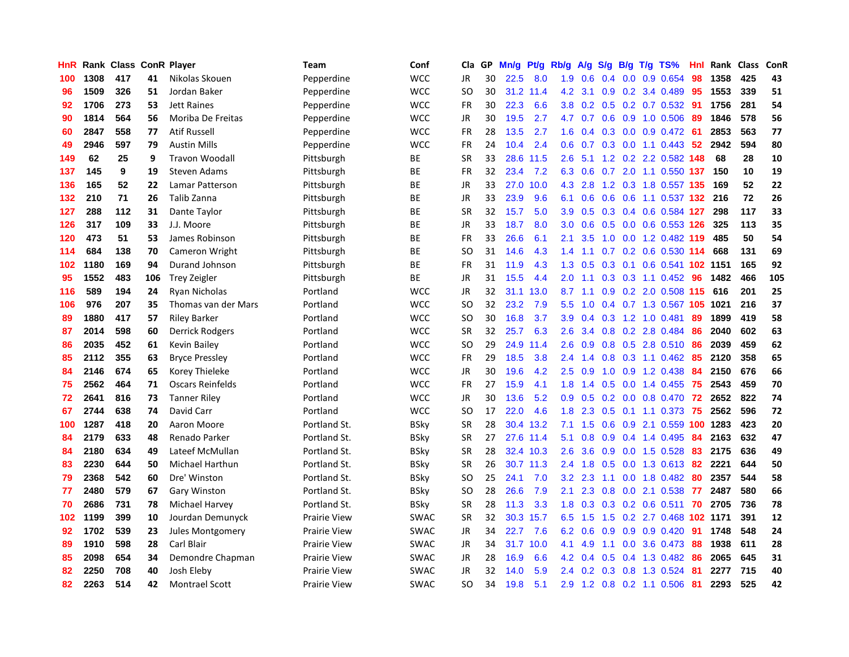| HnR |      | Rank Class ConR Player |     |                         | Team                | Conf        | Cla       | GP | Mn/g | Pt/g      | Rb/g             | A/g           | S/g              |  | B/g T/g TS%                | Hnl | Rank | <b>Class</b> | <b>ConR</b> |
|-----|------|------------------------|-----|-------------------------|---------------------|-------------|-----------|----|------|-----------|------------------|---------------|------------------|--|----------------------------|-----|------|--------------|-------------|
| 100 | 1308 | 417                    | 41  | Nikolas Skouen          | Pepperdine          | <b>WCC</b>  | JR        | 30 | 22.5 | 8.0       |                  | $1.9\quad0.6$ |                  |  | $0.4$ 0.0 0.9 0.654        | 98  | 1358 | 425          | 43          |
| 96  | 1509 | 326                    | 51  | Jordan Baker            | Pepperdine          | <b>WCC</b>  | SO.       | 30 | 31.2 | 11.4      | 4.2              | 3.1           |                  |  | $0.9$ 0.2 3.4 0.489        | -95 | 1553 | 339          | 51          |
| 92  | 1706 | 273                    | 53  | <b>Jett Raines</b>      | Pepperdine          | <b>WCC</b>  | FR        | 30 | 22.3 | 6.6       | 3.8              | 0.2           |                  |  | $0.5$ 0.2 0.7 0.532        | -91 | 1756 | 281          | 54          |
| 90  | 1814 | 564                    | 56  | Moriba De Freitas       | Pepperdine          | <b>WCC</b>  | <b>JR</b> | 30 | 19.5 | 2.7       |                  | 4.7 0.7       |                  |  | 0.6 0.9 1.0 0.506          | -89 | 1846 | 578          | 56          |
| 60  | 2847 | 558                    | 77  | <b>Atif Russell</b>     | Pepperdine          | <b>WCC</b>  | <b>FR</b> | 28 | 13.5 | 2.7       | 1.6              | 0.4           |                  |  | 0.3 0.0 0.9 0.472          | -61 | 2853 | 563          | 77          |
| 49  | 2946 | 597                    | 79  | <b>Austin Mills</b>     | Pepperdine          | <b>WCC</b>  | FR        | 24 | 10.4 | 2.4       | 0.6              | 0.7           |                  |  | $0.3$ 0.0 1.1 0.443        | 52  | 2942 | 594          | 80          |
| 149 | 62   | 25                     | 9   | Travon Woodall          | Pittsburgh          | ВE          | <b>SR</b> | 33 | 28.6 | 11.5      | 2.6              | 5.1           |                  |  | 1.2 0.2 2.2 0.582          | 148 | 68   | 28           | 10          |
| 137 | 145  | 9                      | 19  | Steven Adams            | Pittsburgh          | BE          | FR        | 32 | 23.4 | 7.2       | 6.3              | 0.6           | 0.7              |  | 2.0 1.1 0.550 137          |     | 150  | 10           | 19          |
| 136 | 165  | 52                     | 22  | Lamar Patterson         | Pittsburgh          | ВE          | JR        | 33 | 27.0 | 10.0      | 4.3              | 2.8           |                  |  | 1.2 0.3 1.8 0.557 135      |     | 169  | 52           | 22          |
| 132 | 210  | 71                     | 26  | Talib Zanna             | Pittsburgh          | BE          | JR        | 33 | 23.9 | 9.6       | 6.1              | 0.6           |                  |  | 0.6 0.6 1.1 0.537 132 216  |     |      | 72           | 26          |
| 127 | 288  | 112                    | 31  | Dante Taylor            | Pittsburgh          | <b>BE</b>   | <b>SR</b> | 32 | 15.7 | 5.0       | 3.9 <sup>°</sup> | 0.5           |                  |  | 0.3 0.4 0.6 0.584 127      |     | 298  | 117          | 33          |
| 126 | 317  | 109                    | 33  | J.J. Moore              | Pittsburgh          | BE          | JR        | 33 | 18.7 | 8.0       | 3.0 <sub>1</sub> | 0.6           |                  |  | $0.5$ 0.0 0.6 0.553 126    |     | 325  | 113          | 35          |
| 120 | 473  | 51                     | 53  | James Robinson          | Pittsburgh          | BE          | FR        | 33 | 26.6 | 6.1       | 2.1              | 3.5           | 1.0              |  | 0.0 1.2 0.482 119          |     | 485  | 50           | 54          |
| 114 | 684  | 138                    | 70  | Cameron Wright          | Pittsburgh          | ВE          | <b>SO</b> | 31 | 14.6 | 4.3       | 1.4              | 1.1           |                  |  | 0.7 0.2 0.6 0.530 114      |     | 668  | 131          | 69          |
| 102 | 1180 | 169                    | 94  | Durand Johnson          | Pittsburgh          | ВE          | <b>FR</b> | 31 | 11.9 | 4.3       | 1.3              | 0.5           | 0.3              |  | 0.1 0.6 0.541 102 1151     |     |      | 165          | 92          |
| 95  | 1552 | 483                    | 106 | <b>Trey Zeigler</b>     | Pittsburgh          | BE          | JR        | 31 | 15.5 | 4.4       | 2.0 <sub>1</sub> | $-1.1$        | 0.3              |  | $0.3$ 1.1 0.452            | -96 | 1482 | 466          | 105         |
| 116 | 589  | 194                    | 24  | Ryan Nicholas           | Portland            | <b>WCC</b>  | <b>JR</b> | 32 | 31.1 | 13.0      | 8.7              | 1.1           | 0.9              |  | 0.2 2.0 0.508 115 616      |     |      | 201          | 25          |
| 106 | 976  | 207                    | 35  | Thomas van der Mars     | Portland            | <b>WCC</b>  | <b>SO</b> | 32 | 23.2 | 7.9       | 5.5              | 1.0           |                  |  | 0.4 0.7 1.3 0.567 105 1021 |     |      | 216          | 37          |
| 89  | 1880 | 417                    | 57  | <b>Riley Barker</b>     | Portland            | <b>WCC</b>  | <b>SO</b> | 30 | 16.8 | 3.7       | 3.9 <sup>°</sup> |               |                  |  | 0.4 0.3 1.2 1.0 0.481      | -89 | 1899 | 419          | 58          |
| 87  | 2014 | 598                    | 60  | Derrick Rodgers         | Portland            | <b>WCC</b>  | <b>SR</b> | 32 | 25.7 | 6.3       | 2.6              | 3.4           |                  |  | 0.8 0.2 2.8 0.484          | -86 | 2040 | 602          | 63          |
| 86  | 2035 | 452                    | 61  | Kevin Bailey            | Portland            | <b>WCC</b>  | <b>SO</b> | 29 | 24.9 | 11.4      | 2.6              | 0.9           | 0.8              |  | 0.5 2.8 0.510              | 86  | 2039 | 459          | 62          |
| 85  | 2112 | 355                    | 63  | <b>Bryce Pressley</b>   | Portland            | <b>WCC</b>  | FR        | 29 | 18.5 | 3.8       | 2.4              | 1.4           |                  |  | $0.8$ 0.3 1.1 0.462        | -85 | 2120 | 358          | 65          |
| 84  | 2146 | 674                    | 65  | Korey Thieleke          | Portland            | <b>WCC</b>  | JR        | 30 | 19.6 | 4.2       | $2.5\,$          | 0.9           | 1.0              |  | 0.9 1.2 0.438              | 84  | 2150 | 676          | 66          |
| 75  | 2562 | 464                    | 71  | <b>Oscars Reinfelds</b> | Portland            | <b>WCC</b>  | FR        | 27 | 15.9 | 4.1       | 1.8              | 1.4           | 0.5              |  | 0.0 1.4 0.455              | 75  | 2543 | 459          | 70          |
| 72  | 2641 | 816                    | 73  | <b>Tanner Riley</b>     | Portland            | <b>WCC</b>  | JR        | 30 | 13.6 | 5.2       | 0.9              | 0.5           | 0.2              |  | $0.0$ 0.8 0.470            | 72  | 2652 | 822          | 74          |
| 67  | 2744 | 638                    | 74  | David Carr              | Portland            | <b>WCC</b>  | <b>SO</b> | 17 | 22.0 | 4.6       | 1.8              | 2.3           |                  |  | 0.5 0.1 1.1 0.373 75       |     | 2562 | 596          | 72          |
| 100 | 1287 | 418                    | 20  | Aaron Moore             | Portland St.        | <b>BSky</b> | <b>SR</b> | 28 |      | 30.4 13.2 | 7.1              | 1.5           |                  |  | 0.6 0.9 2.1 0.559 100 1283 |     |      | 423          | 20          |
| 84  | 2179 | 633                    | 48  | Renado Parker           | Portland St.        | BSky        | <b>SR</b> | 27 |      | 27.6 11.4 | 5.1              | 0.8           |                  |  | $0.9$ 0.4 1.4 0.495        | -84 | 2163 | 632          | 47          |
| 84  | 2180 | 634                    | 49  | Lateef McMullan         | Portland St.        | BSky        | <b>SR</b> | 28 |      | 32.4 10.3 | 2.6              | 3.6           | 0.9 <sup>°</sup> |  | $0.0$ 1.5 0.528            | -83 | 2175 | 636          | 49          |
| 83  | 2230 | 644                    | 50  | Michael Harthun         | Portland St.        | <b>BSky</b> | <b>SR</b> | 26 | 30.7 | 11.3      | $2.4^{\circ}$    | 1.8           | 0.5              |  | $0.0$ 1.3 0.613            | -82 | 2221 | 644          | 50          |
| 79  | 2368 | 542                    | 60  | Dre' Winston            | Portland St.        | <b>BSky</b> | SO        | 25 | 24.1 | 7.0       | 3.2              | 2.3           | 1.1              |  | $0.0$ 1.8 $0.482$          | 80  | 2357 | 544          | 58          |
| 77  | 2480 | 579                    | 67  | <b>Gary Winston</b>     | Portland St.        | BSky        | <b>SO</b> | 28 | 26.6 | 7.9       | 2.1              | 2.3           | 0.8              |  | $0.0$ 2.1 $0.538$          | -77 | 2487 | 580          | 66          |
| 70  | 2686 | 731                    | 78  | Michael Harvey          | Portland St.        | <b>BSky</b> | <b>SR</b> | 28 | 11.3 | 3.3       | 1.8              | 0.3           | 0.3              |  | $0.2$ 0.6 0.511            | 70  | 2705 | 736          | 78          |
| 102 | 1199 | 399                    | 10  | Jourdan Demunyck        | <b>Prairie View</b> | SWAC        | <b>SR</b> | 32 | 30.3 | 15.7      | 6.5              | 1.5           | 1.5              |  | 0.2 2.7 0.468 102 1171     |     |      | 391          | 12          |
| 92  | 1702 | 539                    | 23  | Jules Montgomery        | <b>Prairie View</b> | <b>SWAC</b> | JR        | 34 | 22.7 | 7.6       |                  | 6.2 0.6       | 0.9              |  | $0.9$ $0.9$ $0.420$        | -91 | 1748 | 548          | 24          |
| 89  | 1910 | 598                    | 28  | Carl Blair              | <b>Prairie View</b> | <b>SWAC</b> | <b>JR</b> | 34 |      | 31.7 10.0 | 4.1              | 4.9           | 1.1              |  | 0.0 3.6 0.473              | 88  | 1938 | 611          | 28          |
| 85  | 2098 | 654                    | 34  | Demondre Chapman        | <b>Prairie View</b> | <b>SWAC</b> | JR        | 28 | 16.9 | 6.6       | 4.2              | 0.4           | 0.5              |  | 0.4 1.3 0.482              | -86 | 2065 | 645          | 31          |
| 82  | 2250 | 708                    | 40  | Josh Eleby              | <b>Prairie View</b> | <b>SWAC</b> | JR        | 32 | 14.0 | 5.9       | $2.4^{\circ}$    | 0.2           | 0.3              |  | 0.8 1.3 0.524              | 81  | 2277 | 715          | 40          |
| 82  | 2263 | 514                    | 42  | <b>Montrael Scott</b>   | <b>Prairie View</b> | <b>SWAC</b> | SO        | 34 | 19.8 | 5.1       | 2.9 <sup>°</sup> |               |                  |  | 1.2 0.8 0.2 1.1 0.506      | 81  | 2293 | 525          | 42          |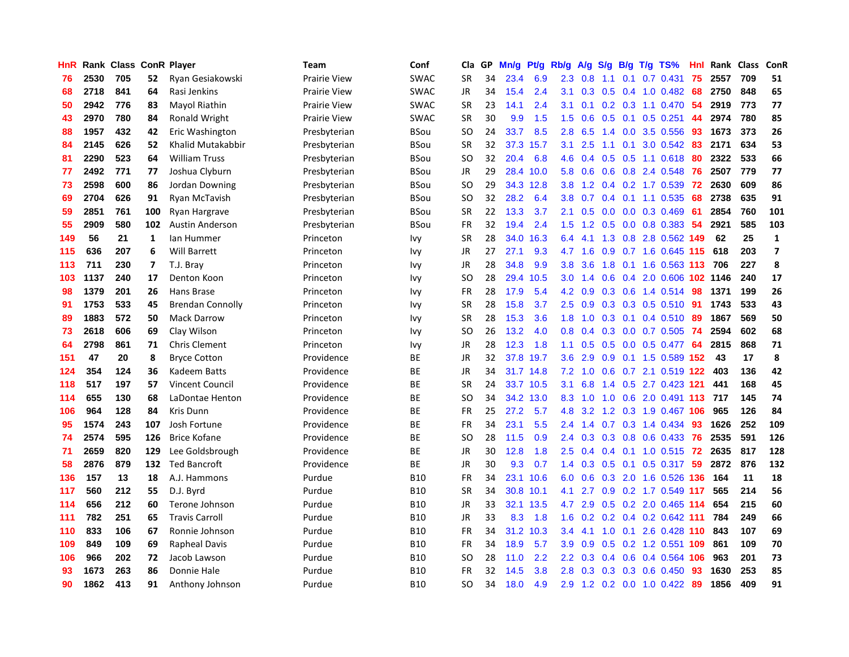| HnR |      | Rank Class ConR Player |     |                         | Team                | Conf        | Cla           | <b>GP</b> | Mn/g      | <b>Pt/g</b> | Rb/g             | A/g | S/g              |     | $B/g$ T/g TS%             | Hnl |      | Rank Class | <b>ConR</b>             |
|-----|------|------------------------|-----|-------------------------|---------------------|-------------|---------------|-----------|-----------|-------------|------------------|-----|------------------|-----|---------------------------|-----|------|------------|-------------------------|
| 76  | 2530 | 705                    | 52  | Ryan Gesiakowski        | <b>Prairie View</b> | <b>SWAC</b> | <b>SR</b>     | 34        | 23.4      | 6.9         | 2.3              | 0.8 | 1.1              | 0.1 | $0.7$ 0.431               | 75  | 2557 | 709        | 51                      |
| 68  | 2718 | 841                    | 64  | Rasi Jenkins            | <b>Prairie View</b> | <b>SWAC</b> | JR            | 34        | 15.4      | 2.4         | 3.1              | 0.3 |                  |     | 0.5 0.4 1.0 0.482 68      |     | 2750 | 848        | 65                      |
| 50  | 2942 | 776                    | 83  | Mayol Riathin           | <b>Prairie View</b> | <b>SWAC</b> | <b>SR</b>     | 23        | 14.1      | 2.4         | 3.1              | 0.1 |                  |     | $0.2$ 0.3 1.1 0.470       | -54 | 2919 | 773        | 77                      |
| 43  | 2970 | 780                    | 84  | Ronald Wright           | Prairie View        | <b>SWAC</b> | <b>SR</b>     | 30        | 9.9       | 1.5         | 1.5              | 0.6 |                  |     | $0.5$ 0.1 0.5 0.251       | 44  | 2974 | 780        | 85                      |
| 88  | 1957 | 432                    | 42  | Eric Washington         | Presbyterian        | BSou        | <sub>SO</sub> | 24        | 33.7      | 8.5         | 2.8              | 6.5 |                  |     | 1.4 0.0 3.5 0.556         | 93  | 1673 | 373        | 26                      |
| 84  | 2145 | 626                    | 52  | Khalid Mutakabbir       | Presbyterian        | BSou        | <b>SR</b>     | 32        | 37.3      | 15.7        | 3.1              | 2.5 | 1.1              |     | $0.1$ 3.0 $0.542$         | -83 | 2171 | 634        | 53                      |
| 81  | 2290 | 523                    | 64  | <b>William Truss</b>    | Presbyterian        | BSou        | <sub>SO</sub> | 32        | 20.4      | 6.8         | 4.6              | 0.4 | 0.5              |     | $0.5$ 1.1 0.618           | -80 | 2322 | 533        | 66                      |
| 77  | 2492 | 771                    | 77  | Joshua Clyburn          | Presbyterian        | BSou        | JR            | 29        | 28.4      | 10.0        | 5.8              | 0.6 |                  |     | 0.6 0.8 2.4 0.548         | 76  | 2507 | 779        | 77                      |
| 73  | 2598 | 600                    | 86  | Jordan Downing          | Presbyterian        | <b>BSou</b> | <sub>SO</sub> | 29        | 34.3      | 12.8        | 3.8              | 1.2 |                  |     | 0.4 0.2 1.7 0.539         | 72  | 2630 | 609        | 86                      |
| 69  | 2704 | 626                    | 91  | Ryan McTavish           | Presbyterian        | BSou        | SO            | 32        | 28.2      | 6.4         | 3.8 <sub>2</sub> | 0.7 |                  |     | $0.4$ 0.1 1.1 0.535       | -68 | 2738 | 635        | 91                      |
| 59  | 2851 | 761                    | 100 | Ryan Hargrave           | Presbyterian        | <b>BSou</b> | <b>SR</b>     | 22        | 13.3      | 3.7         | 2.1              | 0.5 |                  |     | $0.0$ $0.0$ $0.3$ $0.469$ | -61 | 2854 | 760        | 101                     |
| 55  | 2909 | 580                    | 102 | <b>Austin Anderson</b>  | Presbyterian        | BSou        | FR            | 32        | 19.4      | 2.4         | 1.5              | 1.2 |                  |     | $0.5$ 0.0 0.8 0.383       | -54 | 2921 | 585        | 103                     |
| 149 | 56   | 21                     | 1   | lan Hummer              | Princeton           | Ivy         | <b>SR</b>     | 28        | 34.0      | 16.3        | 6.4              | 4.1 | 1.3              |     | 0.8 2.8 0.562 149         |     | 62   | 25         | $\mathbf{1}$            |
| 115 | 636  | 207                    | 6   | <b>Will Barrett</b>     | Princeton           | Ivy         | JR            | 27        | 27.1      | 9.3         | 4.7              | 1.6 | 0.9              |     | 0.7 1.6 0.645 115         |     | 618  | 203        | $\overline{\mathbf{z}}$ |
| 113 | 711  | 230                    | 7   | T.J. Bray               | Princeton           | Ivy         | JR            | 28        | 34.8      | 9.9         | 3.8              | 3.6 | 1.8              |     | 0.1 1.6 0.563 113         |     | 706  | 227        | 8                       |
| 103 | 1137 | 240                    | 17  | Denton Koon             | Princeton           | Ivy         | SO            | 28        | 29.4      | 10.5        | 3.0 <sub>2</sub> | 1.4 | 0.6              |     | 0.4 2.0 0.606 102 1146    |     |      | 240        | 17                      |
| 98  | 1379 | 201                    | 26  | Hans Brase              | Princeton           | Ivy         | FR            | 28        | 17.9      | 5.4         | 4.2              | 0.9 | 0.3              |     | 0.6 1.4 0.514             | -98 | 1371 | 199        | 26                      |
| 91  | 1753 | 533                    | 45  | <b>Brendan Connolly</b> | Princeton           | Ivy         | <b>SR</b>     | 28        | 15.8      | 3.7         | 2.5              | 0.9 |                  |     | 0.3 0.3 0.5 0.510 91      |     | 1743 | 533        | 43                      |
| 89  | 1883 | 572                    | 50  | <b>Mack Darrow</b>      | Princeton           | Ivy         | <b>SR</b>     | 28        | 15.3      | 3.6         | 1.8              |     |                  |     | 1.0 0.3 0.1 0.4 0.510 89  |     | 1867 | 569        | 50                      |
| 73  | 2618 | 606                    | 69  | Clay Wilson             | Princeton           | Ivy         | SO            | 26        | 13.2      | 4.0         | 0.8              | 0.4 |                  |     | 0.3 0.0 0.7 0.505 74      |     | 2594 | 602        | 68                      |
| 64  | 2798 | 861                    | 71  | <b>Chris Clement</b>    | Princeton           | Ivy         | JR            | 28        | 12.3      | 1.8         | 1.1              | 0.5 |                  |     | 0.5 0.0 0.5 0.477         | -64 | 2815 | 868        | 71                      |
| 151 | 47   | 20                     | 8   | <b>Bryce Cotton</b>     | Providence          | BE          | JR            | 32        | 37.8      | 19.7        | 3.6              | 2.9 | 0.9 <sub>0</sub> |     | 0.1 1.5 0.589 152         |     | 43   | 17         | 8                       |
| 124 | 354  | 124                    | 36  | Kadeem Batts            | Providence          | BE          | JR            | 34        | 31.7 14.8 |             | 7.2              | 1.0 |                  |     | 0.6 0.7 2.1 0.519 122     |     | 403  | 136        | 42                      |
| 118 | 517  | 197                    | 57  | <b>Vincent Council</b>  | Providence          | ВE          | <b>SR</b>     | 24        | 33.7      | 10.5        | 3.1              | 6.8 | $1.4^{\circ}$    |     | 0.5 2.7 0.423 121         |     | 441  | 168        | 45                      |
| 114 | 655  | 130                    | 68  | LaDontae Henton         | Providence          | ВE          | <sub>SO</sub> | 34        | 34.2      | 13.0        | 8.3              | 1.0 | 1.0              |     | 0.6 2.0 0.491 113 717     |     |      | 145        | 74                      |
| 106 | 964  | 128                    | 84  | Kris Dunn               | Providence          | <b>BE</b>   | <b>FR</b>     | 25        | 27.2      | 5.7         | 4.8              | 3.2 |                  |     | 1.2 0.3 1.9 0.467 106     |     | 965  | 126        | 84                      |
| 95  | 1574 | 243                    | 107 | Josh Fortune            | Providence          | BE          | FR            | 34        | 23.1      | 5.5         | $2.4^{\circ}$    |     |                  |     | 1.4 0.7 0.3 1.4 0.434 93  |     | 1626 | 252        | 109                     |
| 74  | 2574 | 595                    | 126 | <b>Brice Kofane</b>     | Providence          | <b>BE</b>   | <sub>SO</sub> | 28        | 11.5      | 0.9         | $2.4^{\circ}$    | 0.3 |                  |     | 0.3 0.8 0.6 0.433 76      |     | 2535 | 591        | 126                     |
| 71  | 2659 | 820                    | 129 | Lee Goldsbrough         | Providence          | BE          | JR            | 30        | 12.8      | 1.8         | 2.5              | 0.4 |                  |     | 0.4 0.1 1.0 0.515 72      |     | 2635 | 817        | 128                     |
| 58  | 2876 | 879                    | 132 | <b>Ted Bancroft</b>     | Providence          | ВE          | <b>JR</b>     | 30        | 9.3       | 0.7         | 1.4              | 0.3 | 0.5              |     | $0.1$ 0.5 0.317           | -59 | 2872 | 876        | 132                     |
| 136 | 157  | 13                     | 18  | A.J. Hammons            | Purdue              | <b>B10</b>  | <b>FR</b>     | 34        | 23.1      | 10.6        | 6.0              | 0.6 | 0.3              |     | 2.0 1.6 0.526 136         |     | 164  | 11         | 18                      |
| 117 | 560  | 212                    | 55  | D.J. Byrd               | Purdue              | <b>B10</b>  | <b>SR</b>     | 34        | 30.8      | 10.1        | 4.1              | 2.7 | 0.9 <sub>0</sub> |     | 0.2 1.7 0.549             | 117 | 565  | 214        | 56                      |
| 114 | 656  | 212                    | 60  | Terone Johnson          | Purdue              | <b>B10</b>  | JR            | 33        | 32.1      | 13.5        | 4.7              | 2.9 | 0.5              |     | 0.2 2.0 0.465 114         |     | 654  | 215        | 60                      |
| 111 | 782  | 251                    | 65  | <b>Travis Carroll</b>   | Purdue              | <b>B10</b>  | <b>JR</b>     | 33        | 8.3       | 1.8         | 1.6              | 0.2 |                  |     | $0.2$ 0.4 0.2 0.642 111   |     | 784  | 249        | 66                      |
| 110 | 833  | 106                    | 67  | Ronnie Johnson          | Purdue              | <b>B10</b>  | <b>FR</b>     | 34        | 31.2      | 10.3        | $3.4^{\circ}$    | 4.1 |                  |     | 1.0 0.1 2.6 0.428 110 843 |     |      | 107        | 69                      |
| 109 | 849  | 109                    | 69  | <b>Rapheal Davis</b>    | Purdue              | <b>B10</b>  | <b>FR</b>     | 34        | 18.9      | 5.7         | 3.9 <sup>°</sup> | 0.9 |                  |     | 0.5 0.2 1.2 0.551 109     |     | 861  | 109        | 70                      |
| 106 | 966  | 202                    | 72  | Jacob Lawson            | Purdue              | <b>B10</b>  | <sub>SO</sub> | 28        | 11.0      | 2.2         | $2.2^{\circ}$    | 0.3 |                  |     | 0.4 0.6 0.4 0.564 106     |     | 963  | 201        | 73                      |
| 93  | 1673 | 263                    | 86  | Donnie Hale             | Purdue              | <b>B10</b>  | <b>FR</b>     | 32        | 14.5      | 3.8         | 2.8              | 0.3 | 0.3              |     | 0.3 0.6 0.450             | 93  | 1630 | 253        | 85                      |
| 90  | 1862 | 413                    | 91  | Anthony Johnson         | Purdue              | <b>B10</b>  | SO            | 34        | 18.0      | 4.9         | 2.9              |     |                  |     | 1.2 0.2 0.0 1.0 0.422 89  |     | 1856 | 409        | 91                      |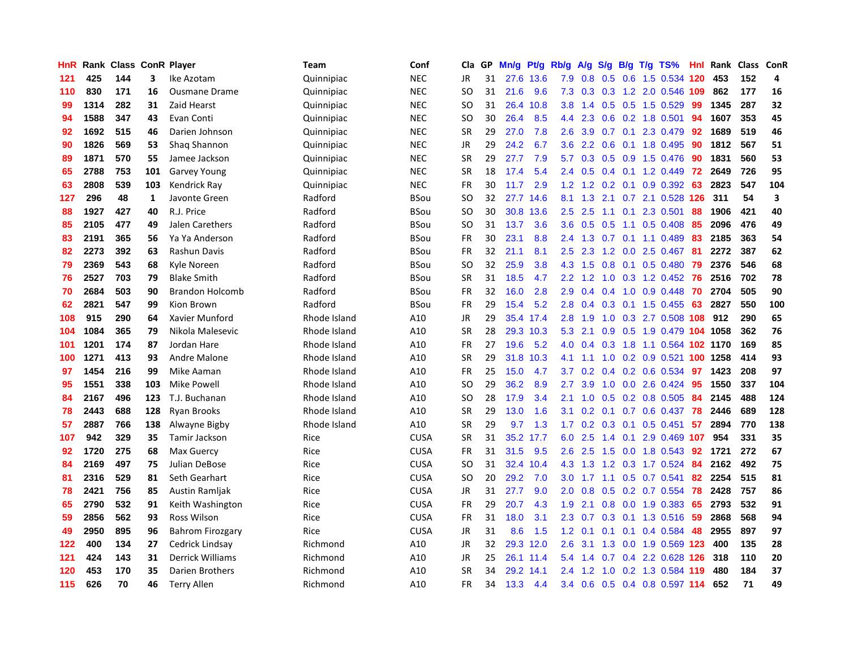| HnR | Rank |     |     | <b>Class ConR Player</b> | Team         | Conf        | Cla       | <b>GP</b> | Mn/g | <b>Pt/g</b> | Rb/g             | A/g | S/g | B/g | $T/g$ TS%                  | Hnl | Rank | <b>Class</b> | <b>ConR</b> |
|-----|------|-----|-----|--------------------------|--------------|-------------|-----------|-----------|------|-------------|------------------|-----|-----|-----|----------------------------|-----|------|--------------|-------------|
| 121 | 425  | 144 | 3   | Ike Azotam               | Quinnipiac   | <b>NEC</b>  | <b>JR</b> | 31        | 27.6 | 13.6        | 7.9              | 0.8 | 0.5 |     | 0.6 1.5 0.534 120          |     | 453  | 152          | 4           |
| 110 | 830  | 171 | 16  | <b>Ousmane Drame</b>     | Quinnipiac   | <b>NEC</b>  | SO.       | 31        | 21.6 | 9.6         | 7.3              | 0.3 |     |     | 0.3 1.2 2.0 0.546 109      |     | 862  | 177          | 16          |
| 99  | 1314 | 282 | 31  | Zaid Hearst              | Quinnipiac   | <b>NEC</b>  | SO        | 31        | 26.4 | 10.8        | 3.8 <sub>2</sub> | 1.4 |     |     | $0.5$ 0.5 1.5 0.529        | 99  | 1345 | 287          | 32          |
| 94  | 1588 | 347 | 43  | Evan Conti               | Quinnipiac   | <b>NEC</b>  | <b>SO</b> | 30        | 26.4 | 8.5         | 4.4              | 2.3 | 0.6 |     | 0.2 1.8 0.501              | 94  | 1607 | 353          | 45          |
| 92  | 1692 | 515 | 46  | Darien Johnson           | Quinnipiac   | <b>NEC</b>  | <b>SR</b> | 29        | 27.0 | 7.8         | 2.6              | 3.9 | 0.7 |     | 0.1 2.3 0.479              | 92  | 1689 | 519          | 46          |
| 90  | 1826 | 569 | 53  | Shaq Shannon             | Quinnipiac   | <b>NEC</b>  | JR        | 29        | 24.2 | 6.7         | 3.6              | 2.2 | 0.6 |     | 0.1 1.8 0.495              | 90  | 1812 | 567          | 51          |
| 89  | 1871 | 570 | 55  | Jamee Jackson            | Quinnipiac   | <b>NEC</b>  | <b>SR</b> | 29        | 27.7 | 7.9         | 5.7              | 0.3 |     |     | $0.5$ 0.9 1.5 0.476        | -90 | 1831 | 560          | 53          |
| 65  | 2788 | 753 | 101 | <b>Garvey Young</b>      | Quinnipiac   | <b>NEC</b>  | <b>SR</b> | 18        | 17.4 | 5.4         | $2.4^{\circ}$    | 0.5 |     |     | 0.4 0.1 1.2 0.449          | 72  | 2649 | 726          | 95          |
| 63  | 2808 | 539 | 103 | Kendrick Ray             | Quinnipiac   | <b>NEC</b>  | <b>FR</b> | 30        | 11.7 | 2.9         | 1.2              | 1.2 | 0.2 |     | $0.1$ 0.9 0.392            | 63  | 2823 | 547          | 104         |
| 127 | 296  | 48  | 1   | Javonte Green            | Radford      | <b>BSou</b> | SO        | 32        | 27.7 | 14.6        | 8.1              | 1.3 |     |     | 2.1 0.7 2.1 0.528 126 311  |     |      | 54           | 3           |
| 88  | 1927 | 427 | 40  | R.J. Price               | Radford      | <b>BSou</b> | SO        | 30        | 30.8 | 13.6        | $2.5^{\circ}$    | 2.5 |     |     | 1.1 0.1 2.3 0.501 88       |     | 1906 | 421          | 40          |
| 85  | 2105 | 477 | 49  | Jalen Carethers          | Radford      | <b>BSou</b> | SO        | 31        | 13.7 | 3.6         | 3.6 <sup>°</sup> | 0.5 | 0.5 |     | 1.1 0.5 0.408              | -85 | 2096 | 476          | 49          |
| 83  | 2191 | 365 | 56  | Ya Ya Anderson           | Radford      | <b>BSou</b> | <b>FR</b> | 30        | 23.1 | 8.8         | 2.4              | 1.3 | 0.7 |     | $0.1$ 1.1 0.489            | -83 | 2185 | 363          | 54          |
| 82  | 2273 | 392 | 63  | Rashun Davis             | Radford      | <b>BSou</b> | <b>FR</b> | 32        | 21.1 | 8.1         | $2.5^{\circ}$    | 2.3 |     |     | 1.2 0.0 2.5 0.467          | -81 | 2272 | 387          | 62          |
| 79  | 2369 | 543 | 68  | Kyle Noreen              | Radford      | <b>BSou</b> | SO        | 32        | 25.9 | 3.8         | 4.3              | 1.5 | 0.8 |     | $0.1$ 0.5 0.480            | 79  | 2376 | 546          | 68          |
| 76  | 2527 | 703 | 79  | <b>Blake Smith</b>       | Radford      | BSou        | <b>SR</b> | 31        | 18.5 | 4.7         | $2.2^{\circ}$    | 1.2 | 1.0 |     | $0.3$ 1.2 0.452            | 76  | 2516 | 702          | 78          |
| 70  | 2684 | 503 | 90  | <b>Brandon Holcomb</b>   | Radford      | <b>BSou</b> | <b>FR</b> | 32        | 16.0 | 2.8         | 2.9              | 0.4 | 0.4 |     | $1.0$ 0.9 0.448            | 70  | 2704 | 505          | 90          |
| 62  | 2821 | 547 | 99  | Kion Brown               | Radford      | <b>BSou</b> | <b>FR</b> | 29        | 15.4 | 5.2         | 2.8              | 0.4 | 0.3 |     | $0.1$ 1.5 0.455            | 63  | 2827 | 550          | 100         |
| 108 | 915  | 290 | 64  | Xavier Munford           | Rhode Island | A10         | JR        | 29        |      | 35.4 17.4   | 2.8              | 1.9 |     |     | 1.0 0.3 2.7 0.508 108 912  |     |      | 290          | 65          |
| 104 | 1084 | 365 | 79  | Nikola Malesevic         | Rhode Island | A10         | <b>SR</b> | 28        | 29.3 | 10.3        | 5.3              | 2.1 |     |     | 0.9 0.5 1.9 0.479 104 1058 |     |      | 362          | 76          |
| 101 | 1201 | 174 | 87  | Jordan Hare              | Rhode Island | A10         | FR        | 27        | 19.6 | 5.2         | 4.0              | 0.4 | 0.3 |     | 1.8 1.1 0.564 102 1170     |     |      | 169          | 85          |
| 100 | 1271 | 413 | 93  | Andre Malone             | Rhode Island | A10         | <b>SR</b> | 29        | 31.8 | 10.3        | 4.1              | 1.1 |     |     | 1.0 0.2 0.9 0.521 100 1258 |     |      | 414          | 93          |
| 97  | 1454 | 216 | 99  | Mike Aaman               | Rhode Island | A10         | <b>FR</b> | 25        | 15.0 | 4.7         | 3.7              | 0.2 |     |     | 0.4 0.2 0.6 0.534          | 97  | 1423 | 208          | 97          |
| 95  | 1551 | 338 | 103 | <b>Mike Powell</b>       | Rhode Island | A10         | SO        | 29        | 36.2 | 8.9         | 2.7              | 3.9 | 1.0 |     | $0.0$ 2.6 0.424            | 95  | 1550 | 337          | 104         |
| 84  | 2167 | 496 | 123 | T.J. Buchanan            | Rhode Island | A10         | <b>SO</b> | 28        | 17.9 | 3.4         | 2.1              | 1.0 | 0.5 |     | 0.2 0.8 0.505              | 84  | 2145 | 488          | 124         |
| 78  | 2443 | 688 | 128 | Ryan Brooks              | Rhode Island | A10         | <b>SR</b> | 29        | 13.0 | 1.6         | 3.1              | 0.2 |     |     | 0.1 0.7 0.6 0.437 78       |     | 2446 | 689          | 128         |
| 57  | 2887 | 766 | 138 | Alwayne Bigby            | Rhode Island | A10         | <b>SR</b> | 29        | 9.7  | 1.3         | $1.7^{\circ}$    |     |     |     | 0.2 0.3 0.1 0.5 0.451 57   |     | 2894 | 770          | 138         |
| 107 | 942  | 329 | 35  | Tamir Jackson            | Rice         | <b>CUSA</b> | <b>SR</b> | 31        | 35.2 | 17.7        | 6.0              | 2.5 |     |     | 1.4 0.1 2.9 0.469 107      |     | 954  | 331          | 35          |
| 92  | 1720 | 275 | 68  | <b>Max Guercy</b>        | Rice         | <b>CUSA</b> | FR        | 31        | 31.5 | 9.5         | 2.6              | 2.5 | 1.5 |     | 0.0 1.8 0.543 92           |     | 1721 | 272          | 67          |
| 84  | 2169 | 497 | 75  | Julian DeBose            | Rice         | <b>CUSA</b> | SO        | 31        | 32.4 | 10.4        | 4.3              | 1.3 | 1.2 |     | 0.3 1.7 0.524              | -84 | 2162 | 492          | 75          |
| 81  | 2316 | 529 | 81  | Seth Gearhart            | Rice         | <b>CUSA</b> | SO        | 20        | 29.2 | 7.0         | 3.0 <sub>2</sub> | 1.7 |     |     | 1.1 0.5 0.7 0.541          | 82  | 2254 | 515          | 81          |
| 78  | 2421 | 756 | 85  | Austin Ramljak           | Rice         | <b>CUSA</b> | JR        | 31        | 27.7 | 9.0         | 2.0              | 0.8 | 0.5 |     | 0.2 0.7 0.554              | 78  | 2428 | 757          | 86          |
| 65  | 2790 | 532 | 91  | Keith Washington         | Rice         | <b>CUSA</b> | <b>FR</b> | 29        | 20.7 | 4.3         | 1.9              | 2.1 | 0.8 |     | $0.0$ 1.9 $0.383$          | 65  | 2793 | 532          | 91          |
| 59  | 2856 | 562 | 93  | Ross Wilson              | Rice         | <b>CUSA</b> | <b>FR</b> | 31        | 18.0 | 3.1         | 2.3              | 0.7 | 0.3 |     | $0.1$ 1.3 0.516            | 59  | 2868 | 568          | 94          |
| 49  | 2950 | 895 | 96  | <b>Bahrom Firozgary</b>  | Rice         | <b>CUSA</b> | JR        | 31        | 8.6  | 1.5         | 1.2              | 0.1 |     |     | 0.1 0.1 0.4 0.584          | 48  | 2955 | 897          | 97          |
| 122 | 400  | 134 | 27  | Cedrick Lindsay          | Richmond     | A10         | JR        | 32        |      | 29.3 12.0   | 2.6              | 3.1 |     |     | 1.3 0.0 1.9 0.569 123      |     | 400  | 135          | 28          |
| 121 | 424  | 143 | 31  | Derrick Williams         | Richmond     | A10         | JR        | 25        |      | 26.1 11.4   | 5.4              | 1.4 |     |     | $0.7$ 0.4 2.2 0.628 126    |     | 318  | 110          | 20          |
| 120 | 453  | 170 | 35  | Darien Brothers          | Richmond     | A10         | <b>SR</b> | 34        | 29.2 | 14.1        | 2.4              | 1.2 | 1.0 |     | 0.2 1.3 0.584 119          |     | 480  | 184          | 37          |
| 115 | 626  | 70  | 46  | <b>Terry Allen</b>       | Richmond     | A10         | FR        | 34        | 13.3 | 4.4         | 3.4              | 0.6 |     |     | 0.5 0.4 0.8 0.597 114      |     | 652  | 71           | 49          |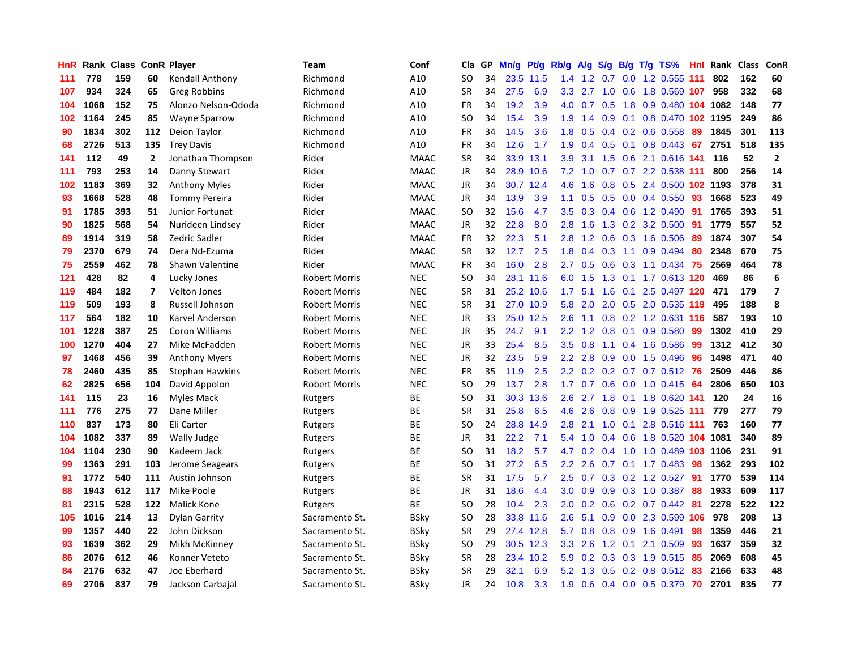| HnR | Rank | <b>Class</b> |                | <b>ConR Player</b>     | Team                 | Conf        | Cla           | GP | Mn/g | <b>Pt/g</b> | Rb/g             | A/g | S/g              | B/g | $T/g$ TS%                  | Hnl | Rank | <b>Class</b> | <b>ConR</b>             |
|-----|------|--------------|----------------|------------------------|----------------------|-------------|---------------|----|------|-------------|------------------|-----|------------------|-----|----------------------------|-----|------|--------------|-------------------------|
| 111 | 778  | 159          | 60             | Kendall Anthony        | Richmond             | A10         | SO            | 34 | 23.5 | 11.5        | 1.4              | 1.2 | 0.7              |     | 0.0 1.2 0.555 111          |     | 802  | 162          | 60                      |
| 107 | 934  | 324          | 65             | Greg Robbins           | Richmond             | A10         | <b>SR</b>     | 34 | 27.5 | 6.9         | 3.3              | 2.7 |                  |     | 1.0 0.6 1.8 0.569 107      |     | 958  | 332          | 68                      |
| 104 | 1068 | 152          | 75             | Alonzo Nelson-Ododa    | Richmond             | A10         | FR            | 34 | 19.2 | 3.9         | 4.0              | 0.7 |                  |     | 0.5 1.8 0.9 0.480 104 1082 |     |      | 148          | 77                      |
| 102 | 1164 | 245          | 85             | Wayne Sparrow          | Richmond             | A10         | <b>SO</b>     | 34 | 15.4 | 3.9         | 1.9              | 1.4 | 0.9              |     | 0.1 0.8 0.470 102 1195     |     |      | 249          | 86                      |
| 90  | 1834 | 302          | 112            | Deion Taylor           | Richmond             | A10         | FR            | 34 | 14.5 | 3.6         | 1.8              | 0.5 | $0.4^{\circ}$    |     | 0.2 0.6 0.558              | 89  | 1845 | 301          | 113                     |
| 68  | 2726 | 513          | 135            | <b>Trey Davis</b>      | Richmond             | A10         | FR            | 34 | 12.6 | 1.7         | 1.9              | 0.4 | 0.5              |     | $0.1$ 0.8 0.443            | 67  | 2751 | 518          | 135                     |
| 141 | 112  | 49           | $\overline{2}$ | Jonathan Thompson      | Rider                | <b>MAAC</b> | <b>SR</b>     | 34 | 33.9 | 13.1        | 3.9              | 3.1 | 1.5              |     | 0.6 2.1 0.616              | 141 | 116  | 52           | $\overline{2}$          |
| 111 | 793  | 253          | 14             | Danny Stewart          | Rider                | <b>MAAC</b> | JR            | 34 | 28.9 | 10.6        | 7.2              | 1.0 |                  |     | 0.7 0.7 2.2 0.538 111      |     | 800  | 256          | 14                      |
| 102 | 1183 | 369          | 32             | <b>Anthony Myles</b>   | Rider                | <b>MAAC</b> | JR            | 34 | 30.7 | 12.4        | 4.6              | 1.6 | 0.8              |     | 0.5 2.4 0.500 102 1193     |     |      | 378          | 31                      |
| 93  | 1668 | 528          | 48             | <b>Tommy Pereira</b>   | Rider                | <b>MAAC</b> | JR            | 34 | 13.9 | 3.9         | 1.1              | 0.5 |                  |     | $0.5$ 0.0 0.4 0.550        | -93 | 1668 | 523          | 49                      |
| 91  | 1785 | 393          | 51             | Junior Fortunat        | Rider                | <b>MAAC</b> | <b>SO</b>     | 32 | 15.6 | 4.7         | 3.5              | 0.3 |                  |     | $0.4$ 0.6 1.2 0.490        | -91 | 1765 | 393          | 51                      |
| 90  | 1825 | 568          | 54             | Nurideen Lindsey       | Rider                | <b>MAAC</b> | JR            | 32 | 22.8 | 8.0         | 2.8              | 1.6 |                  |     | 1.3 0.2 3.2 0.500          | -91 | 1779 | 557          | 52                      |
| 89  | 1914 | 319          | 58             | Zedric Sadler          | Rider                | <b>MAAC</b> | <b>FR</b>     | 32 | 22.3 | 5.1         | 2.8              | 1.2 | 0.6              |     | 0.3 1.6 0.506              | -89 | 1874 | 307          | 54                      |
| 79  | 2370 | 679          | 74             | Dera Nd-Ezuma          | Rider                | <b>MAAC</b> | <b>SR</b>     | 32 | 12.7 | 2.5         | 1.8              | 0.4 | 0.3              |     | 1.1 0.9 0.494              | 80  | 2348 | 670          | 75                      |
| 75  | 2559 | 462          | 78             | Shawn Valentine        | Rider                | <b>MAAC</b> | <b>FR</b>     | 34 | 16.0 | 2.8         | 2.7              | 0.5 | 0.6              |     | 0.3 1.1 0.434              | 75  | 2569 | 464          | 78                      |
| 121 | 428  | 82           | 4              | Lucky Jones            | <b>Robert Morris</b> | <b>NEC</b>  | <b>SO</b>     | 34 | 28.1 | 11.6        | 6.0              | 1.5 | 1.3              |     | 0.1 1.7 0.613 120          |     | 469  | 86           | 6                       |
| 119 | 484  | 182          | $\overline{7}$ | <b>Velton Jones</b>    | <b>Robert Morris</b> | <b>NEC</b>  | <b>SR</b>     | 31 | 25.2 | 10.6        | 1.7              | 5.1 | 1.6              | 0.1 | 2.5 0.497 120              |     | 471  | 179          | $\overline{\mathbf{z}}$ |
| 119 | 509  | 193          | 8              | Russell Johnson        | <b>Robert Morris</b> | <b>NEC</b>  | <b>SR</b>     | 31 |      | 27.0 10.9   | 5.8              | 2.0 |                  |     | 2.0 0.5 2.0 0.535 119      |     | 495  | 188          | 8                       |
| 117 | 564  | 182          | 10             | Karvel Anderson        | <b>Robert Morris</b> | <b>NEC</b>  | JR            | 33 | 25.0 | 12.5        | 2.6              | 1.1 |                  |     | 0.8 0.2 1.2 0.631 116      |     | 587  | 193          | 10                      |
| 101 | 1228 | 387          | 25             | Coron Williams         | <b>Robert Morris</b> | <b>NEC</b>  | JR            | 35 | 24.7 | 9.1         | $2.2\phantom{0}$ | 1.2 | 0.8              |     | $0.1$ 0.9 0.580            | 99  | 1302 | 410          | 29                      |
| 100 | 1270 | 404          | 27             | Mike McFadden          | <b>Robert Morris</b> | <b>NEC</b>  | <b>JR</b>     | 33 | 25.4 | 8.5         | 3.5              | 0.8 | 1.1              |     | 0.4 1.6 0.586              | 99  | 1312 | 412          | 30                      |
| 97  | 1468 | 456          | 39             | <b>Anthony Myers</b>   | <b>Robert Morris</b> | <b>NEC</b>  | JR            | 32 | 23.5 | 5.9         | 2.2              | 2.8 | 0.9              |     | $0.0$ 1.5 $0.496$          | 96  | 1498 | 471          | 40                      |
| 78  | 2460 | 435          | 85             | <b>Stephan Hawkins</b> | <b>Robert Morris</b> | <b>NEC</b>  | <b>FR</b>     | 35 | 11.9 | 2.5         | 2.2              | 0.2 | 0.2              |     | $0.7$ 0.7 0.512            | -76 | 2509 | 446          | 86                      |
| 62  | 2825 | 656          | 104            | David Appolon          | <b>Robert Morris</b> | <b>NEC</b>  | SO            | 29 | 13.7 | 2.8         | 1.7              | 0.7 | 0.6              |     | $0.0$ 1.0 $0.415$          | 64  | 2806 | 650          | 103                     |
| 141 | 115  | 23           | 16             | <b>Myles Mack</b>      | Rutgers              | <b>BE</b>   | <b>SO</b>     | 31 | 30.3 | 13.6        | 2.6              | 2.7 | 1.8              |     | $0.1$ 1.8 $0.620$          | 141 | 120  | 24           | 16                      |
| 111 | 776  | 275          | 77             | Dane Miller            | Rutgers              | ВE          | <b>SR</b>     | 31 | 25.8 | 6.5         | 4.6              | 2.6 |                  |     | 0.8 0.9 1.9 0.525 111      |     | 779  | 277          | 79                      |
| 110 | 837  | 173          | 80             | Eli Carter             | Rutgers              | <b>BE</b>   | <b>SO</b>     | 24 | 28.8 | 14.9        | 2.8              | 2.1 |                  |     | 1.0 0.1 2.8 0.516 111      |     | 763  | 160          | 77                      |
| 104 | 1082 | 337          | 89             | Wally Judge            | Rutgers              | ВE          | JR            | 31 | 22.2 | 7.1         | 5.4              | 1.0 |                  |     | 0.4 0.6 1.8 0.520 104 1081 |     |      | 340          | 89                      |
| 104 | 1104 | 230          | 90             | Kadeem Jack            | Rutgers              | ВE          | <sub>SO</sub> | 31 | 18.2 | 5.7         | 4.7              | 0.2 | 0.4              |     | 1.0 1.0 0.489 103 1106     |     |      | 231          | 91                      |
| 99  | 1363 | 291          | 103            | Jerome Seagears        | Rutgers              | <b>BE</b>   | <b>SO</b>     | 31 | 27.2 | 6.5         | $2.2\phantom{0}$ | 2.6 | 0.7              |     | $0.1$ 1.7 0.483            | 98  | 1362 | 293          | 102                     |
| 91  | 1772 | 540          | 111            | Austin Johnson         | Rutgers              | BE          | <b>SR</b>     | 31 | 17.5 | 5.7         | 2.5              | 0.7 | 0.3              |     | $0.2$ 1.2 $0.527$          | 91  | 1770 | 539          | 114                     |
| 88  | 1943 | 612          | 117            | Mike Poole             | Rutgers              | <b>BE</b>   | JR            | 31 | 18.6 | 4.4         | 3.0 <sub>2</sub> | 0.9 | 0.9 <sub>0</sub> |     | 0.3 1.0 0.387              | 88  | 1933 | 609          | 117                     |
| 81  | 2315 | 528          | 122            | <b>Malick Kone</b>     | Rutgers              | <b>BE</b>   | <sub>SO</sub> | 28 | 10.4 | 2.3         | 2.0              | 0.2 | 0.6              |     | 0.2 0.7 0.442              | 81  | 2278 | 522          | 122                     |
| 105 | 1016 | 214          | 13             | <b>Dylan Garrity</b>   | Sacramento St.       | <b>BSky</b> | <sub>SO</sub> | 28 | 33.8 | 11.6        | 2.6              | 5.1 | 0.9 <sub>0</sub> |     | 0.0 2.3 0.599 106          |     | 978  | 208          | 13                      |
| 99  | 1357 | 440          | 22             | John Dickson           | Sacramento St.       | <b>BSky</b> | <b>SR</b>     | 29 |      | 27.4 12.8   | 5.7              | 0.8 |                  |     | 0.8 0.9 1.6 0.491          | 98  | 1359 | 446          | 21                      |
| 93  | 1639 | 362          | 29             | Mikh McKinney          | Sacramento St.       | <b>BSky</b> | <b>SO</b>     | 29 |      | 30.5 12.3   | 3.3              | 2.6 |                  |     | 1.2 0.1 2.1 0.509          | 93  | 1637 | 359          | 32                      |
| 86  | 2076 | 612          | 46             | Konner Veteto          | Sacramento St.       | <b>BSky</b> | <b>SR</b>     | 28 | 23.4 | 10.2        | 5.9              | 0.2 | 0.3              |     | 0.3 1.9 0.515              | 85  | 2069 | 608          | 45                      |
| 84  | 2176 | 632          | 47             | Joe Eberhard           | Sacramento St.       | <b>BSky</b> | <b>SR</b>     | 29 | 32.1 | 6.9         | 5.2              | 1.3 | 0.5              |     | 0.2 0.8 0.512              | 83  | 2166 | 633          | 48                      |
| 69  | 2706 | 837          | 79             | Jackson Carbajal       | Sacramento St.       | <b>BSky</b> | JR            | 24 | 10.8 | 3.3         | 1.9              | 0.6 |                  |     | 0.4 0.0 0.5 0.379          | 70  | 2701 | 835          | 77                      |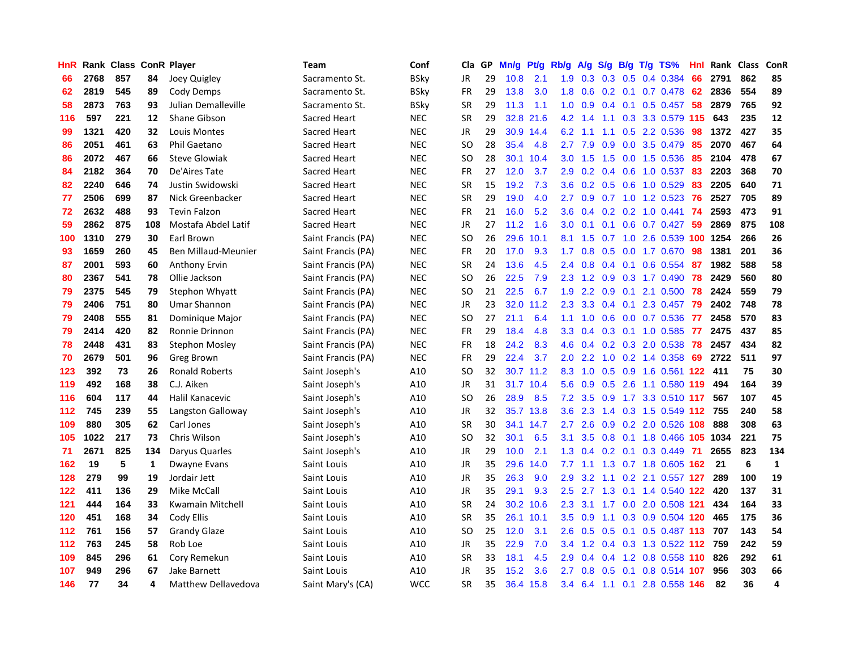| HnR |      | Rank Class ConR Player |     |                            | Team               | Conf        | Cla.          | <b>GP</b> | Mn/g | <b>Pt/g</b> | Rb/g             | A/g            | S/g | B/g | $T/g$ TS%                  | Hnl | Rank | <b>Class</b> | ConR                    |
|-----|------|------------------------|-----|----------------------------|--------------------|-------------|---------------|-----------|------|-------------|------------------|----------------|-----|-----|----------------------------|-----|------|--------------|-------------------------|
| 66  | 2768 | 857                    | 84  | Joey Quigley               | Sacramento St.     | BSky        | <b>JR</b>     | 29        | 10.8 | 2.1         |                  | $1.9\quad 0.3$ |     |     | 0.3 0.5 0.4 0.384          | 66  | 2791 | 862          | 85                      |
| 62  | 2819 | 545                    | 89  | Cody Demps                 | Sacramento St.     | <b>BSky</b> | <b>FR</b>     | 29        | 13.8 | 3.0         | 1.8              | 0.6            |     |     | $0.2$ 0.1 0.7 0.478 62     |     | 2836 | 554          | 89                      |
| 58  | 2873 | 763                    | 93  | Julian Demalleville        | Sacramento St.     | BSky        | <b>SR</b>     | 29        | 11.3 | 1.1         | 1.0              | 0.9            |     |     | $0.4$ 0.1 0.5 0.457 58     |     | 2879 | 765          | 92                      |
| 116 | 597  | 221                    | 12  | Shane Gibson               | Sacred Heart       | <b>NEC</b>  | <b>SR</b>     | 29        | 32.8 | 21.6        | 4.2              | 1.4            |     |     | 1.1 0.3 3.3 0.579 115      |     | 643  | 235          | 12                      |
| 99  | 1321 | 420                    | 32  | Louis Montes               | Sacred Heart       | <b>NEC</b>  | JR            | 29        | 30.9 | 14.4        | 6.2              | $-1.1$         | 1.1 |     | 0.5 2.2 0.536              | 98  | 1372 | 427          | 35                      |
| 86  | 2051 | 461                    | 63  | <b>Phil Gaetano</b>        | Sacred Heart       | <b>NEC</b>  | SO            | 28        | 35.4 | 4.8         | 2.7              | 7.9            | 0.9 |     | 0.0 3.5 0.479              | 85  | 2070 | 467          | 64                      |
| 86  | 2072 | 467                    | 66  | <b>Steve Glowiak</b>       | Sacred Heart       | <b>NEC</b>  | <b>SO</b>     | 28        | 30.1 | 10.4        | 3.0 <sub>2</sub> | 1.5            | 1.5 |     | $0.0$ 1.5 0.536            | 85  | 2104 | 478          | 67                      |
| 84  | 2182 | 364                    | 70  | De'Aires Tate              | Sacred Heart       | <b>NEC</b>  | <b>FR</b>     | 27        | 12.0 | 3.7         | 2.9              | 0.2            |     |     | 0.4 0.6 1.0 0.537          | 83  | 2203 | 368          | 70                      |
| 82  | 2240 | 646                    | 74  | Justin Swidowski           | Sacred Heart       | <b>NEC</b>  | <b>SR</b>     | 15        | 19.2 | 7.3         | 3.6              | 0.2            |     |     | $0.5$ 0.6 1.0 0.529        | -83 | 2205 | 640          | 71                      |
| 77  | 2506 | 699                    | 87  | Nick Greenbacker           | Sacred Heart       | <b>NEC</b>  | <b>SR</b>     | 29        | 19.0 | 4.0         | $2.7^{\circ}$    | 0.9            |     |     | 0.7 1.0 1.2 0.523 76       |     | 2527 | 705          | 89                      |
| 72  | 2632 | 488                    | 93  | <b>Tevin Falzon</b>        | Sacred Heart       | <b>NEC</b>  | <b>FR</b>     | 21        | 16.0 | 5.2         | 3.6              | 0.4            |     |     | $0.2$ 0.2 1.0 0.441 74     |     | 2593 | 473          | 91                      |
| 59  | 2862 | 875                    | 108 | Mostafa Abdel Latif        | Sacred Heart       | <b>NEC</b>  | JR            | 27        | 11.2 | 1.6         | 3.0 <sub>2</sub> | 0.1            |     |     | $0.1$ 0.6 0.7 0.427 59     |     | 2869 | 875          | 108                     |
| 100 | 1310 | 279                    | 30  | Earl Brown                 | Saint Francis (PA) | <b>NEC</b>  | <b>SO</b>     | 26        | 29.6 | 10.1        | 8.1              | 1.5            | 0.7 |     | 1.0 2.6 0.539 100 1254     |     |      | 266          | 26                      |
| 93  | 1659 | 260                    | 45  | <b>Ben Millaud-Meunier</b> | Saint Francis (PA) | <b>NEC</b>  | <b>FR</b>     | 20        | 17.0 | 9.3         | 1.7              | 0.8            | 0.5 |     | $0.0$ 1.7 $0.670$          | -98 | 1381 | 201          | 36                      |
| 87  | 2001 | 593                    | 60  | Anthony Ervin              | Saint Francis (PA) | <b>NEC</b>  | <b>SR</b>     | 24        | 13.6 | 4.5         | $2.4^{\circ}$    | 0.8            | 0.4 | 0.1 | $0.6$ 0.554                | -87 | 1982 | 588          | 58                      |
| 80  | 2367 | 541                    | 78  | Ollie Jackson              | Saint Francis (PA) | <b>NEC</b>  | SO            | 26        | 22.5 | 7.9         | 2.3              | 1.2            | 0.9 |     | 0.3 1.7 0.490              | 78  | 2429 | 560          | 80                      |
| 79  | 2375 | 545                    | 79  | Stephon Whyatt             | Saint Francis (PA) | <b>NEC</b>  | <sub>SO</sub> | 21        | 22.5 | 6.7         | 1.9              | 2.2            | 0.9 | 0.1 | 2.1 0.500                  | 78  | 2424 | 559          | 79                      |
| 79  | 2406 | 751                    | 80  | <b>Umar Shannon</b>        | Saint Francis (PA) | <b>NEC</b>  | JR            | 23        | 32.0 | 11.2        | 2.3              | 3.3            |     |     | $0.4$ 0.1 2.3 0.457        | 79  | 2402 | 748          | 78                      |
| 79  | 2408 | 555                    | 81  | Dominique Major            | Saint Francis (PA) | <b>NEC</b>  | <b>SO</b>     | 27        | 21.1 | 6.4         | 1.1              | 1.0            |     |     | 0.6 0.0 0.7 0.536 77       |     | 2458 | 570          | 83                      |
| 79  | 2414 | 420                    | 82  | Ronnie Drinnon             | Saint Francis (PA) | <b>NEC</b>  | <b>FR</b>     | 29        | 18.4 | 4.8         | 3.3 <sub>2</sub> | 0.4            |     |     | $0.3$ 0.1 1.0 0.585        | -77 | 2475 | 437          | 85                      |
| 78  | 2448 | 431                    | 83  | Stephon Mosley             | Saint Francis (PA) | <b>NEC</b>  | <b>FR</b>     | 18        | 24.2 | 8.3         | 4.6              | 0.4            |     |     | 0.2 0.3 2.0 0.538          | 78  | 2457 | 434          | 82                      |
| 70  | 2679 | 501                    | 96  | Greg Brown                 | Saint Francis (PA) | <b>NEC</b>  | <b>FR</b>     | 29        | 22.4 | 3.7         | 2.0              | 2.2            | 1.0 |     | $0.2$ 1.4 $0.358$          | 69  | 2722 | 511          | 97                      |
| 123 | 392  | 73                     | 26  | <b>Ronald Roberts</b>      | Saint Joseph's     | A10         | SO.           | 32        | 30.7 | 11.2        | 8.3              | 1.0            | 0.5 |     | 0.9 1.6 0.561 122          |     | -411 | 75           | 30                      |
| 119 | 492  | 168                    | 38  | C.J. Aiken                 | Saint Joseph's     | A10         | JR            | 31        | 31.7 | 10.4        | 5.6              | 0.9            | 0.5 |     | 2.6 1.1 0.580 119          |     | 494  | 164          | 39                      |
| 116 | 604  | 117                    | 44  | Halil Kanacevic            | Saint Joseph's     | A10         | SO            | 26        | 28.9 | 8.5         | 7.2              | 3.5            |     |     | 0.9 1.7 3.3 0.510 117      |     | 567  | 107          | 45                      |
| 112 | 745  | 239                    | 55  | Langston Galloway          | Saint Joseph's     | A10         | JR            | 32        |      | 35.7 13.8   | 3.6              | 2.3            |     |     | 1.4 0.3 1.5 0.549 112 755  |     |      | 240          | 58                      |
| 109 | 880  | 305                    | 62  | Carl Jones                 | Saint Joseph's     | A10         | <b>SR</b>     | 30        |      | 34.1 14.7   | $2.7^{\circ}$    | 2.6            |     |     | 0.9 0.2 2.0 0.526 108      |     | 888  | 308          | 63                      |
| 105 | 1022 | 217                    | 73  | Chris Wilson               | Saint Joseph's     | A10         | <sub>SO</sub> | 32        | 30.1 | 6.5         | 3.1              | 3.5            |     |     | 0.8 0.1 1.8 0.466 105 1034 |     |      | 221          | 75                      |
| 71  | 2671 | 825                    | 134 | Daryus Quarles             | Saint Joseph's     | A10         | <b>JR</b>     | 29        | 10.0 | 2.1         | 1.3              | 0.4            |     |     | $0.2$ 0.1 0.3 0.449        | -71 | 2655 | 823          | 134                     |
| 162 | 19   | 5                      | 1   | Dwayne Evans               | Saint Louis        | A10         | <b>JR</b>     | 35        | 29.6 | 14.0        | 7.7              | 1.1            |     |     | 1.3 0.7 1.8 0.605 162      |     | 21   | 6            | $\mathbf{1}$            |
| 128 | 279  | 99                     | 19  | Jordair Jett               | Saint Louis        | A10         | JR            | 35        | 26.3 | 9.0         | 2.9              | 3.2            |     |     | 1.1 0.2 2.1 0.557 127      |     | 289  | 100          | 19                      |
| 122 | 411  | 136                    | 29  | Mike McCall                | Saint Louis        | A10         | <b>JR</b>     | 35        | 29.1 | 9.3         | 2.5              | 2.7            | 1.3 |     | 0.1 1.4 0.540              | 122 | 420  | 137          | 31                      |
| 121 | 444  | 164                    | 33  | Kwamain Mitchell           | Saint Louis        | A10         | <b>SR</b>     | 24        | 30.2 | 10.6        | 2.3              | 3.1            | 1.7 |     | 0.0 2.0 0.508 121          |     | 434  | 164          | 33                      |
| 120 | 451  | 168                    | 34  | Cody Ellis                 | Saint Louis        | A10         | <b>SR</b>     | 35        | 26.1 | 10.1        | 3.5              | 0.9            | 1.1 |     | 0.3 0.9 0.504 120          |     | 465  | 175          | 36                      |
| 112 | 761  | 156                    | 57  | <b>Grandy Glaze</b>        | Saint Louis        | A10         | <sub>SO</sub> | 25        | 12.0 | 3.1         | 2.6              | 0.5            |     |     | 0.5 0.1 0.5 0.487 113 707  |     |      | 143          | 54                      |
| 112 | 763  | 245                    | 58  | Rob Loe                    | Saint Louis        | A10         | <b>JR</b>     | 35        | 22.9 | 7.0         | $3.4^{\circ}$    | 1.2            |     |     | 0.4 0.3 1.3 0.522 112 759  |     |      | 242          | 59                      |
| 109 | 845  | 296                    | 61  | Cory Remekun               | Saint Louis        | A10         | <b>SR</b>     | 33        | 18.1 | 4.5         | 2.9              | 0.4            |     |     | 0.4 1.2 0.8 0.558 110 826  |     |      | 292          | 61                      |
| 107 | 949  | 296                    | 67  | <b>Jake Barnett</b>        | Saint Louis        | A10         | <b>JR</b>     | 35        | 15.2 | 3.6         | 2.7              | 0.8            | 0.5 | 0.1 | 0.8 0.514 107              |     | 956  | 303          | 66                      |
| 146 | 77   | 34                     | 4   | Matthew Dellavedova        | Saint Mary's (CA)  | <b>WCC</b>  | <b>SR</b>     | 35        | 36.4 | 15.8        | 3.4              |                |     |     | 6.4 1.1 0.1 2.8 0.558 146  |     | 82   | 36           | $\overline{\mathbf{A}}$ |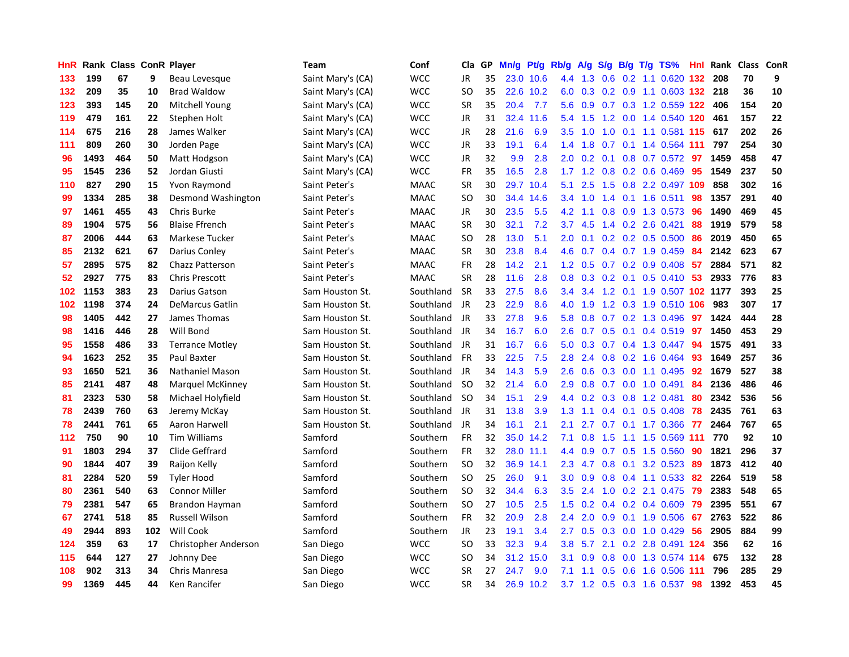| HnR |      | Rank Class ConR Player |     |                        | <b>Team</b>       | Conf        | Cla           | <b>GP</b> | Mn/g      | <b>Pt/g</b> | Rb/g             | A/g         |     |  | S/g B/g T/g TS%                   | Hnl | Rank | Class | ConR |
|-----|------|------------------------|-----|------------------------|-------------------|-------------|---------------|-----------|-----------|-------------|------------------|-------------|-----|--|-----------------------------------|-----|------|-------|------|
| 133 | 199  | 67                     | 9   | Beau Levesque          | Saint Mary's (CA) | <b>WCC</b>  | JR            | 35        |           | 23.0 10.6   | 4.4              | 1.3         | 0.6 |  | $0.2$ 1.1 $0.620$                 | 132 | 208  | 70    | 9    |
| 132 | 209  | 35                     | 10  | <b>Brad Waldow</b>     | Saint Mary's (CA) | <b>WCC</b>  | SO            | 35        |           | 22.6 10.2   |                  |             |     |  | 6.0 0.3 0.2 0.9 1.1 0.603 132 218 |     |      | 36    | 10   |
| 123 | 393  | 145                    | 20  | Mitchell Young         | Saint Mary's (CA) | WCC         | <b>SR</b>     | 35        | 20.4      | 7.7         | 5.6              | 0.9         |     |  | 0.7 0.3 1.2 0.559 122 406         |     |      | 154   | 20   |
| 119 | 479  | 161                    | 22  | Stephen Holt           | Saint Mary's (CA) | WCC         | <b>JR</b>     | 31        | 32.4      | 11.6        | 5.4              | 1.5         |     |  | 1.2 0.0 1.4 0.540 120             |     | 461  | 157   | 22   |
| 114 | 675  | 216                    | 28  | James Walker           | Saint Mary's (CA) | <b>WCC</b>  | JR            | 28        | 21.6      | 6.9         | 3.5              | 1.0         | 1.0 |  | 0.1 1.1 0.581 115 617             |     |      | 202   | 26   |
| 111 | 809  | 260                    | 30  | Jorden Page            | Saint Mary's (CA) | WCC         | JR            | 33        | 19.1      | 6.4         | 1.4              | 1.8         | 0.7 |  | 0.1 1.4 0.564 111                 |     | 797  | 254   | 30   |
| 96  | 1493 | 464                    | 50  | Matt Hodgson           | Saint Mary's (CA) | <b>WCC</b>  | JR            | 32        | 9.9       | 2.8         | 2.0              | 0.2         |     |  | $0.1$ 0.8 0.7 0.572               | 97  | 1459 | 458   | 47   |
| 95  | 1545 | 236                    | 52  | Jordan Giusti          | Saint Mary's (CA) | <b>WCC</b>  | <b>FR</b>     | 35        | 16.5      | 2.8         |                  | $1.7$ $1.2$ |     |  | $0.8$ 0.2 0.6 0.469               | 95  | 1549 | 237   | 50   |
| 110 | 827  | 290                    | 15  | Yvon Raymond           | Saint Peter's     | <b>MAAC</b> | <b>SR</b>     | 30        | 29.7      | 10.4        | 5.1              | 2.5         | 1.5 |  | 0.8 2.2 0.497 109                 |     | 858  | 302   | 16   |
| 99  | 1334 | 285                    | 38  | Desmond Washington     | Saint Peter's     | <b>MAAC</b> | SO            | 30        | 34.4      | 14.6        | $3.4^{\circ}$    | 1.0         |     |  | 1.4 0.1 1.6 0.511                 | -98 | 1357 | 291   | 40   |
| 97  | 1461 | 455                    | 43  | Chris Burke            | Saint Peter's     | <b>MAAC</b> | <b>JR</b>     | 30        | 23.5      | 5.5         | 4.2              | 1.1         |     |  | 0.8 0.9 1.3 0.573 96              |     | 1490 | 469   | 45   |
| 89  | 1904 | 575                    | 56  | <b>Blaise Ffrench</b>  | Saint Peter's     | <b>MAAC</b> | <b>SR</b>     | 30        | 32.1      | 7.2         | 3.7              | 4.5         |     |  | 1.4 0.2 2.6 0.421                 | -88 | 1919 | 579   | 58   |
| 87  | 2006 | 444                    | 63  | Markese Tucker         | Saint Peter's     | <b>MAAC</b> | <b>SO</b>     | 28        | 13.0      | 5.1         | 2.0              | 0.1         |     |  | $0.2$ 0.2 0.5 0.500               | 86  | 2019 | 450   | 65   |
| 85  | 2132 | 621                    | 67  | Darius Conley          | Saint Peter's     | <b>MAAC</b> | <b>SR</b>     | 30        | 23.8      | 8.4         | 4.6              | 0.7         |     |  | $0.4$ 0.7 1.9 0.459               | -84 | 2142 | 623   | 67   |
| 57  | 2895 | 575                    | 82  | Chazz Patterson        | Saint Peter's     | <b>MAAC</b> | <b>FR</b>     | 28        | 14.2      | 2.1         | 1.2              | 0.5         |     |  | $0.7$ $0.2$ $0.9$ $0.408$         | 57  | 2884 | 571   | 82   |
| 52  | 2927 | 775                    | 83  | <b>Chris Prescott</b>  | Saint Peter's     | <b>MAAC</b> | <b>SR</b>     | 28        | 11.6      | 2.8         | 0.8 <sub>0</sub> | 0.3         |     |  | $0.2$ 0.1 0.5 0.410               | -53 | 2933 | 776   | 83   |
| 102 | 1153 | 383                    | 23  | Darius Gatson          | Sam Houston St.   | Southland   | <b>SR</b>     | 33        | 27.5      | 8.6         | 3.4              | 3.4         |     |  | 1.2 0.1 1.9 0.507 102 1177        |     |      | 393   | 25   |
| 102 | 1198 | 374                    | 24  | <b>DeMarcus Gatlin</b> | Sam Houston St.   | Southland   | JR            | 23        | 22.9      | 8.6         | 4.0              | 1.9         |     |  | 1.2 0.3 1.9 0.510 106             |     | 983  | 307   | 17   |
| 98  | 1405 | 442                    | 27  | James Thomas           | Sam Houston St.   | Southland   | JR            | 33        | 27.8      | 9.6         | 5.8              | 0.8         |     |  | 0.7 0.2 1.3 0.496 97              |     | 1424 | 444   | 28   |
| 98  | 1416 | 446                    | 28  | Will Bond              | Sam Houston St.   | Southland   | JR            | 34        | 16.7      | 6.0         | 2.6              | 0.7         |     |  | 0.5 0.1 0.4 0.519 97              |     | 1450 | 453   | 29   |
| 95  | 1558 | 486                    | 33  | <b>Terrance Motley</b> | Sam Houston St.   | Southland   | JR            | 31        | 16.7      | 6.6         | 5.0              | 0.3         |     |  | 0.7 0.4 1.3 0.447 94              |     | 1575 | 491   | 33   |
| 94  | 1623 | 252                    | 35  | Paul Baxter            | Sam Houston St.   | Southland   | <b>FR</b>     | 33        | 22.5      | 7.5         | 2.8              | 2.4         | 0.8 |  | 0.2 1.6 0.464                     | -93 | 1649 | 257   | 36   |
| 93  | 1650 | 521                    | 36  | <b>Nathaniel Mason</b> | Sam Houston St.   | Southland   | JR            | 34        | 14.3      | 5.9         | 2.6              | 0.6         |     |  | $0.3$ 0.0 1.1 0.495               | 92  | 1679 | 527   | 38   |
| 85  | 2141 | 487                    | 48  | Marquel McKinney       | Sam Houston St.   | Southland   | <b>SO</b>     | 32        | 21.4      | 6.0         | 2.9              | 0.8         |     |  | $0.7$ 0.0 1.0 0.491               | -84 | 2136 | 486   | 46   |
| 81  | 2323 | 530                    | 58  | Michael Holyfield      | Sam Houston St.   | Southland   | <b>SO</b>     | 34        | 15.1      | 2.9         | 4.4              | 0.2         | 0.3 |  | $0.8$ 1.2 0.481                   | 80  | 2342 | 536   | 56   |
| 78  | 2439 | 760                    | 63  | Jeremy McKay           | Sam Houston St.   | Southland   | JR            | 31        | 13.8      | 3.9         | 1.3              | 1.1         |     |  | $0.4$ 0.1 0.5 0.408               | 78  | 2435 | 761   | 63   |
| 78  | 2441 | 761                    | 65  | Aaron Harwell          | Sam Houston St.   | Southland   | JR            | 34        | 16.1      | 2.1         | 2.1              | 2.7         |     |  | 0.7 0.1 1.7 0.366 77              |     | 2464 | 767   | 65   |
| 112 | 750  | 90                     | 10  | <b>Tim Williams</b>    | Samford           | Southern    | <b>FR</b>     | 32        |           | 35.0 14.2   | 7.1              | 0.8         |     |  | 1.5 1.1 1.5 0.569 111             |     | 770  | 92    | 10   |
| 91  | 1803 | 294                    | 37  | Clide Geffrard         | Samford           | Southern    | FR            | 32        | 28.0 11.1 |             | 4.4              | 0.9         |     |  | 0.7 0.5 1.5 0.560                 | 90  | 1821 | 296   | 37   |
| 90  | 1844 | 407                    | 39  | Raijon Kelly           | Samford           | Southern    | <b>SO</b>     | 32        | 36.9      | 14.1        | 2.3              | 4.7         | 0.8 |  | $0.1$ 3.2 0.523                   | -89 | 1873 | 412   | 40   |
| 81  | 2284 | 520                    | 59  | <b>Tyler Hood</b>      | Samford           | Southern    | <b>SO</b>     | 25        | 26.0      | 9.1         | 3.0 <sub>2</sub> | 0.9         | 0.8 |  | $0.4$ 1.1 0.533                   | -82 | 2264 | 519   | 58   |
| 80  | 2361 | 540                    | 63  | <b>Connor Miller</b>   | Samford           | Southern    | <b>SO</b>     | 32        | 34.4      | 6.3         | 3.5              | 2.4         | 1.0 |  | 0.2 2.1 0.475                     | -79 | 2383 | 548   | 65   |
| 79  | 2381 | 547                    | 65  | Brandon Hayman         | Samford           | Southern    | <b>SO</b>     | 27        | 10.5      | 2.5         | $1.5^{\circ}$    | 0.2         | 0.4 |  | $0.2$ 0.4 0.609                   | 79  | 2395 | 551   | 67   |
| 67  | 2741 | 518                    | 85  | <b>Russell Wilson</b>  | Samford           | Southern    | <b>FR</b>     | 32        | 20.9      | 2.8         | $2.4^{\circ}$    | 2.0         | 0.9 |  | 0.1 1.9 0.506                     | 67  | 2763 | 522   | 86   |
| 49  | 2944 | 893                    | 102 | Will Cook              | Samford           | Southern    | <b>JR</b>     | 23        | 19.1      | 3.4         | 2.7              | 0.5         |     |  | $0.3$ 0.0 1.0 0.429               | -56 | 2905 | 884   | 99   |
| 124 | 359  | 63                     | 17  | Christopher Anderson   | San Diego         | <b>WCC</b>  | <b>SO</b>     | 33        | 32.3      | 9.4         | 3.8              | 5.7         |     |  | 2.1 0.2 2.8 0.491 124             |     | 356  | 62    | 16   |
| 115 | 644  | 127                    | 27  | Johnny Dee             | San Diego         | <b>WCC</b>  | <sub>SO</sub> | 34        | 31.2      | 15.0        | 3.1              | 0.9         | 0.8 |  | 0.0 1.3 0.574 114                 |     | 675  | 132   | 28   |
| 108 | 902  | 313                    | 34  | Chris Manresa          | San Diego         | <b>WCC</b>  | <b>SR</b>     | 27        | 24.7      | 9.0         | 7.1              | 1.1         | 0.5 |  | 0.6 1.6 0.506 111                 |     | 796  | 285   | 29   |
| 99  | 1369 | 445                    | 44  | Ken Rancifer           | San Diego         | <b>WCC</b>  | <b>SR</b>     | 34        |           | 26.9 10.2   |                  |             |     |  | 3.7 1.2 0.5 0.3 1.6 0.537         | 98  | 1392 | 453   | 45   |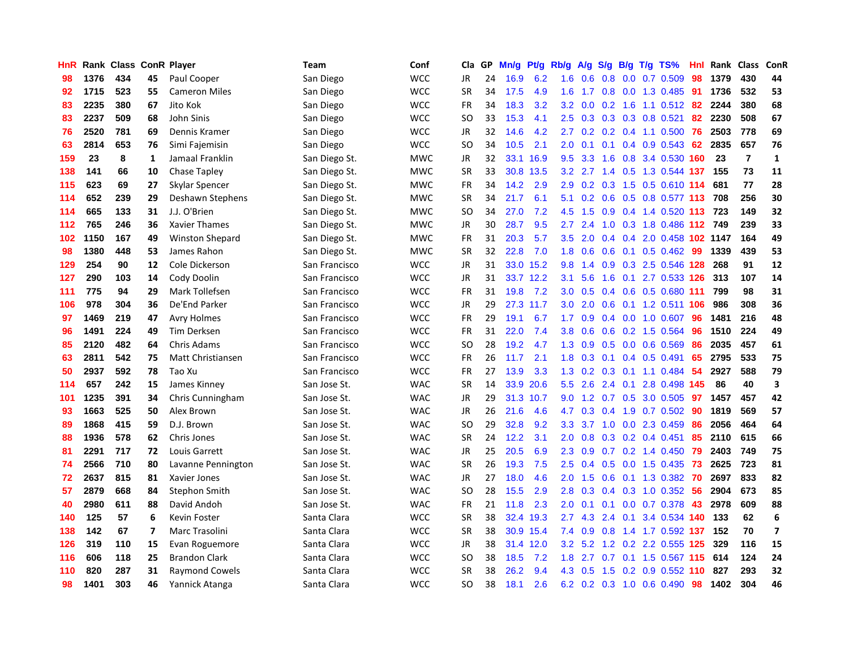| HnR |      | Rank Class ConR Player |                          |                        | Team          | Conf       | Cla           | <b>GP</b> | Mn/g | <b>Pt/g</b> | Rb/g             | A/g         | S/g              |     | B/g T/g TS%                   | Hnl | Rank | <b>Class</b>   | ConR             |
|-----|------|------------------------|--------------------------|------------------------|---------------|------------|---------------|-----------|------|-------------|------------------|-------------|------------------|-----|-------------------------------|-----|------|----------------|------------------|
| 98  | 1376 | 434                    | 45                       | Paul Cooper            | San Diego     | <b>WCC</b> | JR            | 24        | 16.9 | 6.2         | 1.6              | 0.6         |                  |     | 0.8 0.0 0.7 0.509             | 98  | 1379 | 430            | 44               |
| 92  | 1715 | 523                    | 55                       | <b>Cameron Miles</b>   | San Diego     | <b>WCC</b> | <b>SR</b>     | 34        | 17.5 | 4.9         | 1.6              |             |                  |     | 1.7 0.8 0.0 1.3 0.485 91      |     | 1736 | 532            | 53               |
| 83  | 2235 | 380                    | 67                       | Jito Kok               | San Diego     | <b>WCC</b> | FR            | 34        | 18.3 | 3.2         | 3.2              | 0.0         |                  |     | $0.2$ 1.6 1.1 0.512 82        |     | 2244 | 380            | 68               |
| 83  | 2237 | 509                    | 68                       | John Sinis             | San Diego     | <b>WCC</b> | <b>SO</b>     | 33        | 15.3 | 4.1         | 2.5              | 0.3         |                  |     | 0.3 0.3 0.8 0.521             | 82  | 2230 | 508            | 67               |
| 76  | 2520 | 781                    | 69                       | Dennis Kramer          | San Diego     | <b>WCC</b> | JR            | 32        | 14.6 | 4.2         | 2.7              | 0.2         |                  |     | $0.2$ 0.4 1.1 0.500           | 76  | 2503 | 778            | 69               |
| 63  | 2814 | 653                    | 76                       | Simi Fajemisin         | San Diego     | <b>WCC</b> | <b>SO</b>     | 34        | 10.5 | 2.1         | 2.0              | 0.1         |                  |     | $0.1$ 0.4 0.9 0.543           | 62  | 2835 | 657            | 76               |
| 159 | 23   | 8                      | $\mathbf{1}$             | Jamaal Franklin        | San Diego St. | <b>MWC</b> | JR            | 32        | 33.1 | 16.9        | 9.5              | 3.3         | 1.6              |     | 0.8 3.4 0.530                 | 160 | 23   | $\overline{7}$ | $\mathbf{1}$     |
| 138 | 141  | 66                     | 10                       | Chase Tapley           | San Diego St. | <b>MWC</b> | <b>SR</b>     | 33        | 30.8 | 13.5        | 3.2              |             |                  |     | 2.7 1.4 0.5 1.3 0.544 137     |     | 155  | 73             | 11               |
| 115 | 623  | 69                     | 27                       | Skylar Spencer         | San Diego St. | <b>MWC</b> | FR            | 34        | 14.2 | 2.9         | 2.9              | 0.2         |                  |     | 0.3 1.5 0.5 0.610 114         |     | 681  | 77             | 28               |
| 114 | 652  | 239                    | 29                       | Deshawn Stephens       | San Diego St. | <b>MWC</b> | <b>SR</b>     | 34        | 21.7 | 6.1         | 5.1              |             |                  |     | 0.2 0.6 0.5 0.8 0.577 113 708 |     |      | 256            | 30               |
| 114 | 665  | 133                    | 31                       | J.J. O'Brien           | San Diego St. | <b>MWC</b> | <b>SO</b>     | 34        | 27.0 | 7.2         | 4.5              | 1.5         |                  |     | 0.9 0.4 1.4 0.520 113 723     |     |      | 149            | 32               |
| 112 | 765  | 246                    | 36                       | Xavier Thames          | San Diego St. | <b>MWC</b> | JR            | 30        | 28.7 | 9.5         | 2.7              | 2.4         |                  |     | 1.0 0.3 1.8 0.486 112 749     |     |      | 239            | 33               |
| 102 | 1150 | 167                    | 49                       | <b>Winston Shepard</b> | San Diego St. | <b>MWC</b> | FR            | 31        | 20.3 | 5.7         | 3.5              | 2.0         | 0.4              |     | 0.4 2.0 0.458 102 1147        |     |      | 164            | 49               |
| 98  | 1380 | 448                    | 53                       | James Rahon            | San Diego St. | <b>MWC</b> | <b>SR</b>     | 32        | 22.8 | 7.0         | 1.8              | 0.6         |                  |     | 0.6 0.1 0.5 0.462 99          |     | 1339 | 439            | 53               |
| 129 | 254  | 90                     | 12                       | Cole Dickerson         | San Francisco | <b>WCC</b> | JR            | 31        |      | 33.0 15.2   | 9.8              | 1.4         | 0.9 <sub>0</sub> |     | 0.3 2.5 0.546 128             |     | 268  | 91             | 12               |
| 127 | 290  | 103                    | 14                       | Cody Doolin            | San Francisco | <b>WCC</b> | JR            | 31        |      | 33.7 12.2   | 3.1              | 5.6         | 1.6              | 0.1 | 2.7 0.533 126                 |     | 313  | 107            | 14               |
| 111 | 775  | 94                     | 29                       | Mark Tollefsen         | San Francisco | <b>WCC</b> | <b>FR</b>     | 31        | 19.8 | 7.2         | 3.0 <sub>2</sub> | 0.5         |                  |     | 0.4 0.6 0.5 0.680 111         |     | 799  | 98             | 31               |
| 106 | 978  | 304                    | 36                       | De'End Parker          | San Francisco | <b>WCC</b> | JR            | 29        |      | 27.3 11.7   |                  | $3.0$ $2.0$ |                  |     | 0.6 0.1 1.2 0.511 106         |     | 986  | 308            | 36               |
| 97  | 1469 | 219                    | 47                       | <b>Avry Holmes</b>     | San Francisco | <b>WCC</b> | <b>FR</b>     | 29        | 19.1 | 6.7         | 1.7 <sub>z</sub> | 0.9         |                  |     | 0.4 0.0 1.0 0.607 96          |     | 1481 | 216            | 48               |
| 96  | 1491 | 224                    | 49                       | Tim Derksen            | San Francisco | <b>WCC</b> | FR            | 31        | 22.0 | 7.4         | 3.8              | 0.6         |                  |     | 0.6 0.2 1.5 0.564             | -96 | 1510 | 224            | 49               |
| 85  | 2120 | 482                    | 64                       | <b>Chris Adams</b>     | San Francisco | <b>WCC</b> | <b>SO</b>     | 28        | 19.2 | 4.7         | 1.3              | 0.9         |                  |     | 0.5 0.0 0.6 0.569             | 86  | 2035 | 457            | 61               |
| 63  | 2811 | 542                    | 75                       | Matt Christiansen      | San Francisco | <b>WCC</b> | FR            | 26        | 11.7 | 2.1         | 1.8              | 0.3         |                  |     | $0.1$ 0.4 0.5 0.491           | 65  | 2795 | 533            | 75               |
| 50  | 2937 | 592                    | 78                       | Tao Xu                 | San Francisco | <b>WCC</b> | <b>FR</b>     | 27        | 13.9 | 3.3         | 1.3              | 0.2         |                  |     | $0.3$ 0.1 1.1 0.484           | -54 | 2927 | 588            | 79               |
| 114 | 657  | 242                    | 15                       | James Kinney           | San Jose St.  | <b>WAC</b> | <b>SR</b>     | 14        | 33.9 | 20.6        | 5.5              | 2.6         |                  |     | 2.4 0.1 2.8 0.498 145         |     | 86   | 40             | 3                |
| 101 | 1235 | 391                    | 34                       | Chris Cunningham       | San Jose St.  | <b>WAC</b> | JR            | 29        | 31.3 | 10.7        | 9.0              | 1.2         |                  |     | 0.7 0.5 3.0 0.505             | 97  | 1457 | 457            | 42               |
| 93  | 1663 | 525                    | 50                       | Alex Brown             | San Jose St.  | <b>WAC</b> | JR            | 26        | 21.6 | 4.6         | 4.7              |             |                  |     | 0.3 0.4 1.9 0.7 0.502 90      |     | 1819 | 569            | 57               |
| 89  | 1868 | 415                    | 59                       | D.J. Brown             | San Jose St.  | <b>WAC</b> | <b>SO</b>     | 29        | 32.8 | 9.2         | 3.3 <sub>2</sub> |             |                  |     | 3.7 1.0 0.0 2.3 0.459 86      |     | 2056 | 464            | 64               |
| 88  | 1936 | 578                    | 62                       | Chris Jones            | San Jose St.  | <b>WAC</b> | <b>SR</b>     | 24        | 12.2 | 3.1         | 2.0              | 0.8         |                  |     | $0.3$ 0.2 0.4 0.451           | -85 | 2110 | 615            | 66               |
| 81  | 2291 | 717                    | 72                       | Louis Garrett          | San Jose St.  | <b>WAC</b> | <b>JR</b>     | 25        | 20.5 | 6.9         | 2.3              | 0.9         |                  |     | $0.7$ $0.2$ 1.4 $0.450$       | 79  | 2403 | 749            | 75               |
| 74  | 2566 | 710                    | 80                       | Lavanne Pennington     | San Jose St.  | <b>WAC</b> | <b>SR</b>     | 26        | 19.3 | 7.5         | 2.5              | 0.4         | 0.5              |     | $0.0$ 1.5 0.435               | 73  | 2625 | 723            | 81               |
| 72  | 2637 | 815                    | 81                       | Xavier Jones           | San Jose St.  | <b>WAC</b> | JR            | 27        | 18.0 | 4.6         | 2.0              | 1.5         | 0.6              |     | 0.1 1.3 0.382 70              |     | 2697 | 833            | 82               |
| 57  | 2879 | 668                    | 84                       | Stephon Smith          | San Jose St.  | <b>WAC</b> | <b>SO</b>     | 28        | 15.5 | 2.9         | 2.8              | 0.3         |                  |     | $0.4$ 0.3 1.0 0.352           | -56 | 2904 | 673            | 85               |
| 40  | 2980 | 611                    | 88                       | David Andoh            | San Jose St.  | <b>WAC</b> | FR            | 21        | 11.8 | 2.3         | 2.0              | 0.1         | 0.1              |     | $0.0$ 0.7 0.378               | 43  | 2978 | 609            | 88               |
| 140 | 125  | 57                     | 6                        | Kevin Foster           | Santa Clara   | <b>WCC</b> | <b>SR</b>     | 38        | 32.4 | 19.3        | $2.7^{\circ}$    | 4.3         |                  |     | 2.4 0.1 3.4 0.534 140         |     | 133  | 62             | $\boldsymbol{6}$ |
| 138 | 142  | 67                     | $\overline{\phantom{a}}$ | Marc Trasolini         | Santa Clara   | <b>WCC</b> | <b>SR</b>     | 38        |      | 30.9 15.4   | 7.4              |             |                  |     | 0.9 0.8 1.4 1.7 0.592 137 152 |     |      | 70             | $\overline{7}$   |
| 126 | 319  | 110                    | 15                       | Evan Roguemore         | Santa Clara   | <b>WCC</b> | <b>JR</b>     | 38        |      | 31.4 12.0   | 3.2              | 5.2         |                  |     | 1.2 0.2 2.2 0.555 125         |     | 329  | 116            | 15               |
| 116 | 606  | 118                    | 25                       | <b>Brandon Clark</b>   | Santa Clara   | <b>WCC</b> | <sub>SO</sub> | 38        | 18.5 | 7.2         | 1.8              | 2.7         |                  |     | 0.7 0.1 1.5 0.567 115 614     |     |      | 124            | 24               |
| 110 | 820  | 287                    | 31                       | <b>Raymond Cowels</b>  | Santa Clara   | <b>WCC</b> | <b>SR</b>     | 38        | 26.2 | 9.4         | 4.3              | 0.5         | 1.5              |     | 0.2 0.9 0.552 110             |     | 827  | 293            | 32               |
| 98  | 1401 | 303                    | 46                       | Yannick Atanga         | Santa Clara   | <b>WCC</b> | SO            | 38        | 18.1 | 2.6         |                  |             |                  |     | 6.2 0.2 0.3 1.0 0.6 0.490     | 98  | 1402 | 304            | 46               |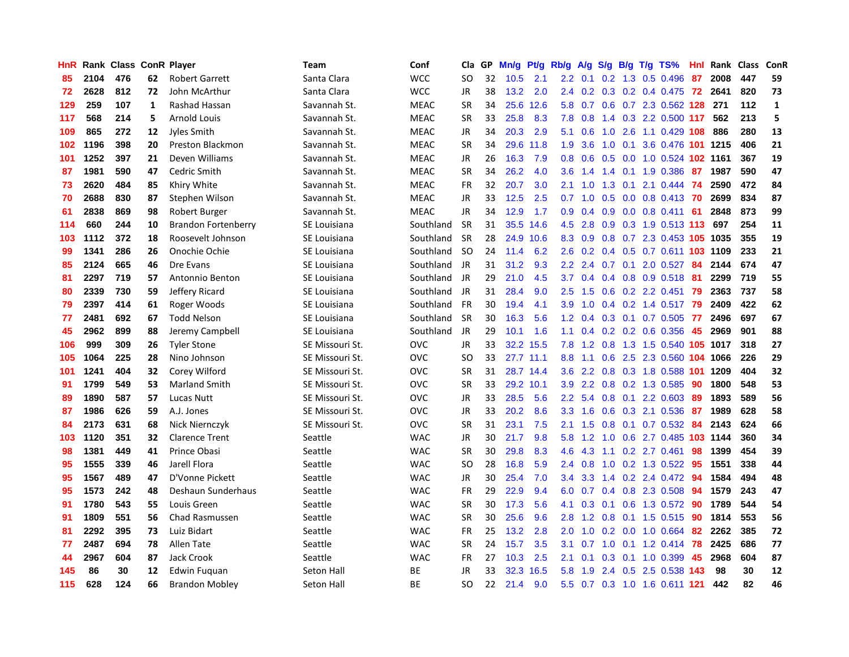| HnR |      | Rank Class ConR Player |    |                            | Team                | Conf        | Cla.          | <b>GP</b> | Mn/g      | Pt/g      | Rb/g             | A/g             | S/g |     | B/g T/g TS%                          | Hnl | Rank | <b>Class</b> | <b>ConR</b>  |
|-----|------|------------------------|----|----------------------------|---------------------|-------------|---------------|-----------|-----------|-----------|------------------|-----------------|-----|-----|--------------------------------------|-----|------|--------------|--------------|
| 85  | 2104 | 476                    | 62 | <b>Robert Garrett</b>      | Santa Clara         | <b>WCC</b>  | <b>SO</b>     | 32        | 10.5      | 2.1       |                  | $2.2 \quad 0.1$ |     |     | $0.2$ 1.3 0.5 0.496                  | 87  | 2008 | 447          | 59           |
| 72  | 2628 | 812                    | 72 | John McArthur              | Santa Clara         | <b>WCC</b>  | <b>JR</b>     | 38        | 13.2      | 2.0       | $2.4^{\circ}$    |                 |     |     | 0.2 0.3 0.2 0.4 0.475 72 2641        |     |      | 820          | 73           |
| 129 | 259  | 107                    | 1  | <b>Rashad Hassan</b>       | Savannah St.        | <b>MEAC</b> | <b>SR</b>     | 34        | 25.6      | 12.6      | 5.8              | 0.7             |     |     | 0.6 0.7 2.3 0.562 128 271            |     |      | 112          | $\mathbf{1}$ |
| 117 | 568  | 214                    | 5  | <b>Arnold Louis</b>        | Savannah St.        | <b>MEAC</b> | <b>SR</b>     | 33        | 25.8      | 8.3       | 7.8              | 0.8             |     |     | 1.4 0.3 2.2 0.500 117                |     | 562  | 213          | 5            |
| 109 | 865  | 272                    | 12 | Jyles Smith                | Savannah St.        | <b>MEAC</b> | JR            | 34        | 20.3      | 2.9       | 5.1              | 0.6             | 1.0 |     | 2.6 1.1 0.429 108                    |     | 886  | 280          | 13           |
| 102 | 1196 | 398                    | 20 | Preston Blackmon           | Savannah St.        | <b>MEAC</b> | SR            | 34        | 29.6      | 11.8      | 1.9              | 3.6             | 1.0 | 0.1 | 3.6 0.476 101 1215                   |     |      | 406          | 21           |
| 101 | 1252 | 397                    | 21 | Deven Williams             | Savannah St.        | <b>MEAC</b> | JR            | 26        | 16.3      | 7.9       | 0.8              | 0.6             | 0.5 |     | 0.0 1.0 0.524 102 1161               |     |      | 367          | 19           |
| 87  | 1981 | 590                    | 47 | Cedric Smith               | Savannah St.        | <b>MEAC</b> | <b>SR</b>     | 34        | 26.2      | 4.0       | 3.6              | 1.4             |     |     | 1.4 0.1 1.9 0.386                    | -87 | 1987 | 590          | 47           |
| 73  | 2620 | 484                    | 85 | Khiry White                | Savannah St.        | <b>MEAC</b> | <b>FR</b>     | 32        | 20.7      | 3.0       | 2.1              | 1.0             | 1.3 | 0.1 | 2.1 0.444 74                         |     | 2590 | 472          | 84           |
| 70  | 2688 | 830                    | 87 | Stephen Wilson             | Savannah St.        | <b>MEAC</b> | JR            | 33        | 12.5      | 2.5       | 0.7              | 1.0             |     |     | 0.5 0.0 0.8 0.413 70                 |     | 2699 | 834          | 87           |
| 61  | 2838 | 869                    | 98 | Robert Burger              | Savannah St.        | <b>MEAC</b> | <b>JR</b>     | 34        | 12.9      | 1.7       | 0.9 <sub>0</sub> | 0.4             |     |     | 0.9 0.0 0.8 0.411 61                 |     | 2848 | 873          | 99           |
| 114 | 660  | 244                    | 10 | <b>Brandon Fortenberry</b> | SE Louisiana        | Southland   | <b>SR</b>     | 31        | 35.5      | 14.6      | 4.5              | 2.8             |     |     | $0.9$ $0.3$ $1.9$ $0.513$ <b>113</b> |     | 697  | 254          | 11           |
| 103 | 1112 | 372                    | 18 | Roosevelt Johnson          | SE Louisiana        | Southland   | <b>SR</b>     | 28        | 24.9      | 10.6      | 8.3              | 0.9             | 0.8 |     | 0.7 2.3 0.453 105 1035               |     |      | 355          | 19           |
| 99  | 1341 | 286                    | 26 | Onochie Ochie              | SE Louisiana        | Southland   | <b>SO</b>     | 24        | 11.4      | 6.2       | 2.6              | 0.2             |     |     | 0.4 0.5 0.7 0.611 103 1109           |     |      | 233          | 21           |
| 85  | 2124 | 665                    | 46 | Dre Evans                  | SE Louisiana        | Southland   | JR.           | 31        | 31.2      | 9.3       | 2.2              | 2.4             |     |     | 0.7 0.1 2.0 0.527                    | 84  | 2144 | 674          | 47           |
| 81  | 2297 | 719                    | 57 | Antonnio Benton            | <b>SE Louisiana</b> | Southland   | JR.           | 29        | 21.0      | 4.5       |                  | $3.7 \quad 0.4$ |     |     | 0.4 0.8 0.9 0.518 81                 |     | 2299 | 719          | 55           |
| 80  | 2339 | 730                    | 59 | Jeffery Ricard             | SE Louisiana        | Southland   | JR            | 31        | 28.4      | 9.0       | $2.5^{\circ}$    | 1.5             |     |     | $0.6$ $0.2$ $2.2$ $0.451$            | -79 | 2363 | 737          | 58           |
| 79  | 2397 | 414                    | 61 | Roger Woods                | SE Louisiana        | Southland   | <b>FR</b>     | 30        | 19.4      | 4.1       | 3.9 <sup>°</sup> | 1.0             |     |     | 0.4 0.2 1.4 0.517 79                 |     | 2409 | 422          | 62           |
| 77  | 2481 | 692                    | 67 | <b>Todd Nelson</b>         | SE Louisiana        | Southland   | <b>SR</b>     | 30        | 16.3      | 5.6       | 1.2              | 0.4             |     |     | 0.3 0.1 0.7 0.505 77                 |     | 2496 | 697          | 67           |
| 45  | 2962 | 899                    | 88 | Jeremy Campbell            | SE Louisiana        | Southland   | <b>JR</b>     | 29        | 10.1      | 1.6       | 1.1              | $0.4^{\circ}$   |     |     | $0.2$ 0.2 0.6 0.356                  | -45 | 2969 | 901          | 88           |
| 106 | 999  | 309                    | 26 | <b>Tyler Stone</b>         | SE Missouri St.     | OVC         | <b>JR</b>     | 33        | 32.2      | 15.5      | 7.8              | 1.2             |     |     | 0.8 1.3 1.5 0.540 105 1017           |     |      | 318          | 27           |
| 105 | 1064 | 225                    | 28 | Nino Johnson               | SE Missouri St.     | OVC         | <b>SO</b>     | 33        | 27.7 11.1 |           | 8.8              | 1.1             | 0.6 |     | 2.5 2.3 0.560 104 1066               |     |      | 226          | 29           |
| 101 | 1241 | 404                    | 32 | Corey Wilford              | SE Missouri St.     | <b>OVC</b>  | SR            | 31        |           | 28.7 14.4 | 3.6              | $2.2^{\circ}$   |     |     | 0.8 0.3 1.8 0.588 101 1209           |     |      | 404          | 32           |
| 91  | 1799 | 549                    | 53 | <b>Marland Smith</b>       | SE Missouri St.     | <b>OVC</b>  | <b>SR</b>     | 33        | 29.2      | 10.1      | 3.9 <sup>°</sup> | 2.2             |     |     | 0.8 0.2 1.3 0.585                    | 90  | 1800 | 548          | 53           |
| 89  | 1890 | 587                    | 57 | <b>Lucas Nutt</b>          | SE Missouri St.     | <b>OVC</b>  | JR            | 33        | 28.5      | 5.6       | 2.2              | 5.4             | 0.8 | 0.1 | 2.2 0.603                            | -89 | 1893 | 589          | 56           |
| 87  | 1986 | 626                    | 59 | A.J. Jones                 | SE Missouri St.     | <b>OVC</b>  | JR            | 33        | 20.2      | 8.6       | 3.3              | 1.6             | 0.6 |     | 0.3 2.1 0.536                        | 87  | 1989 | 628          | 58           |
| 84  | 2173 | 631                    | 68 | Nick Niernczyk             | SE Missouri St.     | <b>OVC</b>  | <b>SR</b>     | 31        | 23.1      | 7.5       | 2.1              | 1.5             |     |     | 0.8 0.1 0.7 0.532 84                 |     | 2143 | 624          | 66           |
| 103 | 1120 | 351                    | 32 | <b>Clarence Trent</b>      | Seattle             | <b>WAC</b>  | JR            | 30        | 21.7      | 9.8       | 5.8              | 1.2             |     |     | 1.0 0.6 2.7 0.485 103 1144           |     |      | 360          | 34           |
| 98  | 1381 | 449                    | 41 | Prince Obasi               | Seattle             | <b>WAC</b>  | <b>SR</b>     | 30        | 29.8      | 8.3       | 4.6              | 4.3             |     |     | 1.1 0.2 2.7 0.461 98                 |     | 1399 | 454          | 39           |
| 95  | 1555 | 339                    | 46 | Jarell Flora               | Seattle             | <b>WAC</b>  | <sub>SO</sub> | 28        | 16.8      | 5.9       | 2.4              | 0.8             | 1.0 |     | 0.2 1.3 0.522 95                     |     | 1551 | 338          | 44           |
| 95  | 1567 | 489                    | 47 | D'Vonne Pickett            | Seattle             | <b>WAC</b>  | JR            | 30        | 25.4      | 7.0       | 3.4              | 3.3             |     |     | 1.4 0.2 2.4 0.472 94                 |     | 1584 | 494          | 48           |
| 95  | 1573 | 242                    | 48 | Deshaun Sunderhaus         | Seattle             | <b>WAC</b>  | FR            | 29        | 22.9      | 9.4       | 6.0              | 0.7             |     |     | 0.4 0.8 2.3 0.508 94                 |     | 1579 | 243          | 47           |
| 91  | 1780 | 543                    | 55 | Louis Green                | Seattle             | <b>WAC</b>  | <b>SR</b>     | 30        | 17.3      | 5.6       | 4.1              | 0.3             | 0.1 |     | 0.6 1.3 0.572 90                     |     | 1789 | 544          | 54           |
| 91  | 1809 | 551                    | 56 | Chad Rasmussen             | Seattle             | <b>WAC</b>  | <b>SR</b>     | 30        | 25.6      | 9.6       | 2.8              | 1.2             | 0.8 |     | 0.1 1.5 0.515 90                     |     | 1814 | 553          | 56           |
| 81  | 2292 | 395                    | 73 | Luiz Bidart                | Seattle             | <b>WAC</b>  | <b>FR</b>     | 25        | 13.2      | 2.8       | 2.0              | 1.0             |     |     | $0.2$ 0.0 1.0 0.664 82               |     | 2262 | 385          | 72           |
| 77  | 2487 | 694                    | 78 | <b>Allen Tate</b>          | Seattle             | <b>WAC</b>  | <b>SR</b>     | 24        | 15.7      | 3.5       | 3.1              | 0.7             |     |     | 1.0 0.1 1.2 0.414 78                 |     | 2425 | 686          | 77           |
| 44  | 2967 | 604                    | 87 | Jack Crook                 | Seattle             | <b>WAC</b>  | <b>FR</b>     | 27        | 10.3      | 2.5       | 2.1              | 0.1             |     |     | $0.3$ 0.1 1.0 0.399                  | -45 | 2968 | 604          | 87           |
| 145 | 86   | 30                     | 12 | Edwin Fuguan               | Seton Hall          | ВE          | JR            | 33        | 32.3      | 16.5      | 5.8              | 1.9             |     |     | 2.4 0.5 2.5 0.538 143                |     | 98   | 30           | 12           |
| 115 | 628  | 124                    | 66 | <b>Brandon Mobley</b>      | Seton Hall          | <b>BE</b>   | <b>SO</b>     | 22        | 21.4      | 9.0       | 5.5              |                 |     |     | 0.7 0.3 1.0 1.6 0.611 121            |     | 442  | 82           | 46           |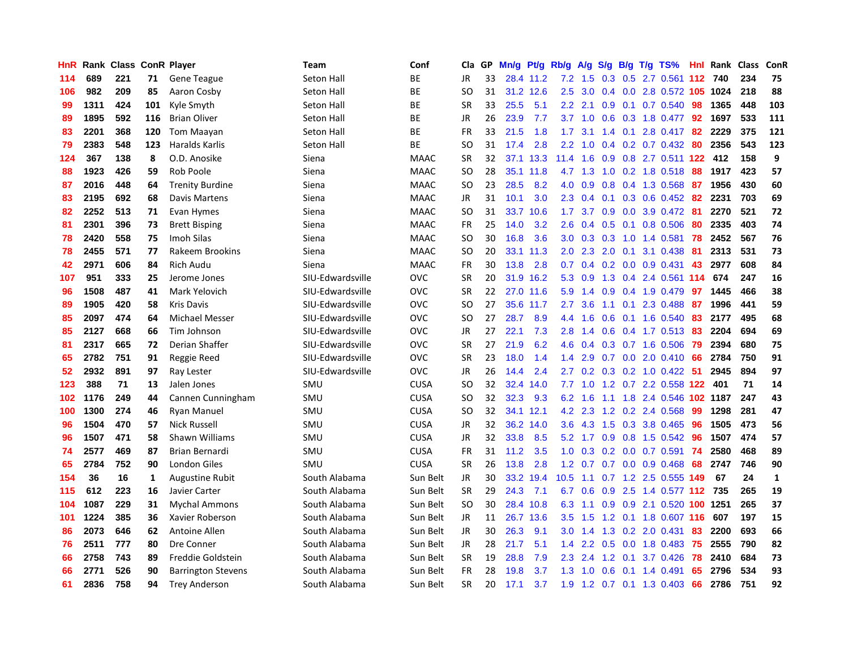| HnR |      | Rank Class |     | <b>ConR Player</b>        | <b>Team</b>      | Conf        | Cla           | GP. | Mn/g | Pt/g      | Rb/g             | A/g             |                  |     | S/g B/g T/g TS%              |     | Hnl Rank | <b>Class</b> | ConR         |
|-----|------|------------|-----|---------------------------|------------------|-------------|---------------|-----|------|-----------|------------------|-----------------|------------------|-----|------------------------------|-----|----------|--------------|--------------|
| 114 | 689  | 221        | 71  | <b>Gene Teague</b>        | Seton Hall       | ВE          | JR            | 33  |      | 28.4 11.2 |                  | $7.2$ 1.5       |                  |     | 0.3 0.5 2.7 0.561 112 740    |     |          | 234          | 75           |
| 106 | 982  | 209        | 85  | Aaron Cosby               | Seton Hall       | ВE          | SO            | 31  |      | 31.2 12.6 | $2.5^{\circ}$    | 3.0             |                  |     | 0.4 0.0 2.8 0.572 105 1024   |     |          | 218          | 88           |
| 99  | 1311 | 424        | 101 | Kyle Smyth                | Seton Hall       | ВE          | <b>SR</b>     | 33  | 25.5 | 5.1       | $2.2^{\circ}$    | 2.1             |                  |     | $0.9$ 0.1 0.7 0.540          | 98  | 1365     | 448          | 103          |
| 89  | 1895 | 592        | 116 | <b>Brian Oliver</b>       | Seton Hall       | <b>BE</b>   | <b>JR</b>     | 26  | 23.9 | 7.7       | 3.7              | 1.0             | 0.6              |     | 0.3 1.8 0.477                | 92  | 1697     | 533          | 111          |
| 83  | 2201 | 368        | 120 | <b>Tom Maayan</b>         | Seton Hall       | BE          | <b>FR</b>     | 33  | 21.5 | 1.8       | 1.7              | 3.1             |                  |     | 1.4 0.1 2.8 0.417 82         |     | 2229     | 375          | 121          |
| 79  | 2383 | 548        | 123 | <b>Haralds Karlis</b>     | Seton Hall       | <b>BE</b>   | <b>SO</b>     | 31  | 17.4 | 2.8       | 2.2              | 1.0             |                  |     | $0.4$ 0.2 0.7 0.432          | -80 | 2356     | 543          | 123          |
| 124 | 367  | 138        | 8   | O.D. Anosike              | Siena            | <b>MAAC</b> | <b>SR</b>     | 32  | 37.1 | 13.3      | 11.4             | 1.6             | 0.9              |     | 0.8 2.7 0.511 122            |     | 412      | 158          | 9            |
| 88  | 1923 | 426        | 59  | Rob Poole                 | Siena            | <b>MAAC</b> | <sub>SO</sub> | 28  | 35.1 | 11.8      | 4.7              | 1.3             | 1.0              |     | 0.2 1.8 0.518                | 88  | 1917     | 423          | 57           |
| 87  | 2016 | 448        | 64  | <b>Trenity Burdine</b>    | Siena            | <b>MAAC</b> | <sub>SO</sub> | 23  | 28.5 | 8.2       | 4.0              | 0.9             | 0.8              |     | 0.4 1.3 0.568 87             |     | 1956     | 430          | 60           |
| 83  | 2195 | 692        | 68  | Davis Martens             | Siena            | <b>MAAC</b> | JR            | 31  | 10.1 | 3.0       |                  | $2.3 \quad 0.4$ |                  |     | 0.1 0.3 0.6 0.452 82         |     | 2231     | 703          | 69           |
| 82  | 2252 | 513        | 71  | Evan Hymes                | Siena            | <b>MAAC</b> | <b>SO</b>     | 31  | 33.7 | 10.6      | 1.7 <sub>z</sub> | 3.7             |                  |     | $0.9$ $0.0$ $3.9$ $0.472$ 81 |     | 2270     | 521          | 72           |
| 81  | 2301 | 396        | 73  | <b>Brett Bisping</b>      | Siena            | <b>MAAC</b> | FR            | 25  | 14.0 | 3.2       | 2.6              | 0.4             |                  |     | $0.5$ 0.1 0.8 0.506          | -80 | 2335     | 403          | 74           |
| 78  | 2420 | 558        | 75  | Imoh Silas                | Siena            | <b>MAAC</b> | <sub>SO</sub> | 30  | 16.8 | 3.6       | 3.0 <sub>2</sub> | 0.3             | 0.3              |     | 1.0 1.4 0.581                | 78  | 2452     | 567          | 76           |
| 78  | 2455 | 571        | 77  | Rakeem Brookins           | Siena            | <b>MAAC</b> | SO            | 20  | 33.1 | 11.3      | 2.0 <sub>1</sub> | 2.3             | 2.0              | 0.1 | 3.1 0.438                    | -81 | 2313     | 531          | 73           |
| 42  | 2971 | 606        | 84  | <b>Rich Audu</b>          | Siena            | <b>MAAC</b> | <b>FR</b>     | 30  | 13.8 | 2.8       | 0.7              | 0.4             | 0.2              |     | $0.0$ 0.9 0.431              | 43  | 2977     | 608          | 84           |
| 107 | 951  | 333        | 25  | Jerome Jones              | SIU-Edwardsville | <b>OVC</b>  | <b>SR</b>     | 20  | 31.9 | 16.2      | 5.3              | 0.9             | 1.3              |     | 0.4 2.4 0.561 114            |     | 674      | 247          | 16           |
| 96  | 1508 | 487        | 41  | Mark Yelovich             | SIU-Edwardsville | OVC         | <b>SR</b>     | 22  | 27.0 | 11.6      | 5.9              | 1.4             | 0.9              |     | 0.4 1.9 0.479                | 97  | 1445     | 466          | 38           |
| 89  | 1905 | 420        | 58  | <b>Kris Davis</b>         | SIU-Edwardsville | OVC         | <b>SO</b>     | 27  |      | 35.6 11.7 | 2.7              | 3.6             |                  |     | $1.1$ 0.1 2.3 0.488          | -87 | 1996     | 441          | 59           |
| 85  | 2097 | 474        | 64  | <b>Michael Messer</b>     | SIU-Edwardsville | OVC         | SO            | 27  | 28.7 | 8.9       | 4.4              | 1.6             |                  |     | $0.6$ $0.1$ 1.6 $0.540$      | -83 | 2177     | 495          | 68           |
| 85  | 2127 | 668        | 66  | Tim Johnson               | SIU-Edwardsville | OVC         | JR            | 27  | 22.1 | 7.3       | 2.8              | 1.4             |                  |     | 0.6 0.4 1.7 0.513 83         |     | 2204     | 694          | 69           |
| 81  | 2317 | 665        | 72  | Derian Shaffer            | SIU-Edwardsville | OVC         | <b>SR</b>     | 27  | 21.9 | 6.2       | 4.6              | 0.4             |                  |     | $0.3$ 0.7 1.6 0.506          | -79 | 2394     | 680          | 75           |
| 65  | 2782 | 751        | 91  | Reggie Reed               | SIU-Edwardsville | OVC         | <b>SR</b>     | 23  | 18.0 | 1.4       | 1.4              | 2.9             |                  |     | 0.7 0.0 2.0 0.410            | 66  | 2784     | 750          | 91           |
| 52  | 2932 | 891        | 97  | Ray Lester                | SIU-Edwardsville | OVC         | JR            | 26  | 14.4 | 2.4       | 2.7              | 0.2             |                  |     | 0.3 0.2 1.0 0.422            | 51  | 2945     | 894          | 97           |
| 123 | 388  | 71         | 13  | Jalen Jones               | SMU              | <b>CUSA</b> | <b>SO</b>     | 32  | 32.4 | 14.0      | 7.7              | 1.0             |                  |     | 1.2 0.7 2.2 0.558 122        |     | 401      | 71           | 14           |
| 102 | 1176 | 249        | 44  | Cannen Cunningham         | SMU              | <b>CUSA</b> | <b>SO</b>     | 32  | 32.3 | 9.3       | 6.2              | 1.6             |                  |     | 1.1 1.8 2.4 0.546 102 1187   |     |          | 247          | 43           |
| 100 | 1300 | 274        | 46  | Ryan Manuel               | SMU              | <b>CUSA</b> | <b>SO</b>     | 32  | 34.1 | 12.1      |                  | 4.2 2.3         |                  |     | 1.2 0.2 2.4 0.568            | -99 | 1298     | 281          | 47           |
| 96  | 1504 | 470        | 57  | <b>Nick Russell</b>       | SMU              | <b>CUSA</b> | JR            | 32  | 36.2 | 14.0      | 3.6              |                 |                  |     | 4.3 1.5 0.3 3.8 0.465 96     |     | 1505     | 473          | 56           |
| 96  | 1507 | 471        | 58  | Shawn Williams            | SMU              | <b>CUSA</b> | JR            | 32  | 33.8 | 8.5       | 5.2              |                 |                  |     | 1.7 0.9 0.8 1.5 0.542 96     |     | 1507     | 474          | 57           |
| 74  | 2577 | 469        | 87  | Brian Bernardi            | SMU              | <b>CUSA</b> | FR            | 31  | 11.2 | 3.5       | 1.0              | 0.3             |                  |     | $0.2$ 0.0 0.7 0.591          | -74 | 2580     | 468          | 89           |
| 65  | 2784 | 752        | 90  | London Giles              | SMU              | <b>CUSA</b> | <b>SR</b>     | 26  | 13.8 | 2.8       | 1.2              | 0.7             |                  |     | $0.7$ $0.0$ $0.9$ $0.468$    | 68  | 2747     | 746          | 90           |
| 154 | 36   | 16         | 1   | <b>Augustine Rubit</b>    | South Alabama    | Sun Belt    | JR            | 30  | 33.2 | 19.4      | 10.5             | 1.1             | 0.7              |     | 1.2 2.5 0.555 149            |     | 67       | 24           | $\mathbf{1}$ |
| 115 | 612  | 223        | 16  | Javier Carter             | South Alabama    | Sun Belt    | <b>SR</b>     | 29  | 24.3 | 7.1       | 6.7              | 0.6             | 0.9              |     | 2.5 1.4 0.577 112            |     | 735      | 265          | 19           |
| 104 | 1087 | 229        | 31  | <b>Mychal Ammons</b>      | South Alabama    | Sun Belt    | <b>SO</b>     | 30  | 28.4 | 10.8      | 6.3              | 1.1             | 0.9 <sup>°</sup> |     | 0.9 2.1 0.520 100 1251       |     |          | 265          | 37           |
| 101 | 1224 | 385        | 36  | Xavier Roberson           | South Alabama    | Sun Belt    | JR            | 11  | 26.7 | 13.6      | 3.5              | 1.5             | 1.2              |     | 0.1 1.8 0.607 116            |     | 607      | 197          | 15           |
| 86  | 2073 | 646        | 62  | Antoine Allen             | South Alabama    | Sun Belt    | JR            | 30  | 26.3 | 9.1       | 3.0 <sub>2</sub> | 1.4             |                  |     | 1.3 0.2 2.0 0.431            | 83  | 2200     | 693          | 66           |
| 76  | 2511 | 777        | 80  | Dre Conner                | South Alabama    | Sun Belt    | JR            | 28  | 21.7 | 5.1       | $1.4^{\circ}$    | 2.2             |                  |     | 0.5 0.0 1.8 0.483 75         |     | 2555     | 790          | 82           |
| 66  | 2758 | 743        | 89  | Freddie Goldstein         | South Alabama    | Sun Belt    | <b>SR</b>     | 19  | 28.8 | 7.9       | $2.3^{\circ}$    | 2.4             |                  |     | 1.2 0.1 3.7 0.426            | 78  | 2410     | 684          | 73           |
| 66  | 2771 | 526        | 90  | <b>Barrington Stevens</b> | South Alabama    | Sun Belt    | <b>FR</b>     | 28  | 19.8 | 3.7       | 1.3              | 1.0             | 0.6              |     | $0.1$ 1.4 0.491              | 65  | 2796     | 534          | 93           |
| 61  | 2836 | 758        | 94  | <b>Trey Anderson</b>      | South Alabama    | Sun Belt    | <b>SR</b>     | 20  | 17.1 | 3.7       | 1.9              |                 |                  |     | 1.2 0.7 0.1 1.3 0.403        | 66  | 2786     | 751          | 92           |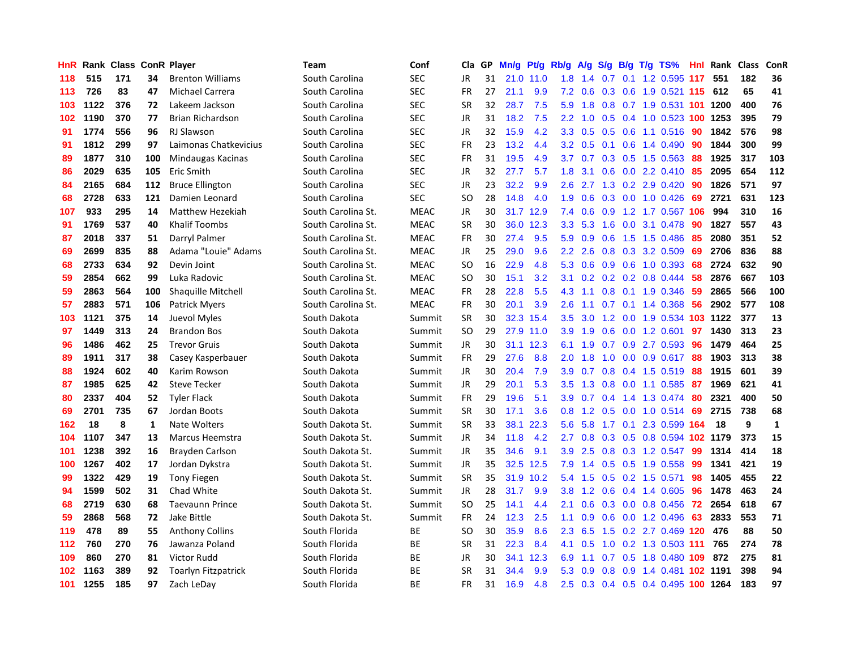| HnR | Rank | <b>Class ConR Player</b> |     |                            | Team               | Conf        | Cla       | <b>GP</b> | Mn/g | <b>Pt/g</b> | Rb/g             | A/g    | S/g |  | B/g T/g TS%                        | Hnl | Rank | <b>Class</b> | ConR |
|-----|------|--------------------------|-----|----------------------------|--------------------|-------------|-----------|-----------|------|-------------|------------------|--------|-----|--|------------------------------------|-----|------|--------------|------|
| 118 | 515  | 171                      | 34  | <b>Brenton Williams</b>    | South Carolina     | <b>SEC</b>  | JR        | 31        |      | 21.0 11.0   | 1.8              | 1.4    |     |  | 0.7 0.1 1.2 0.595 117              |     | 551  | 182          | 36   |
| 113 | 726  | 83                       | 47  | <b>Michael Carrera</b>     | South Carolina     | <b>SEC</b>  | <b>FR</b> | 27        | 21.1 | 9.9         | 7.2              | 0.6    |     |  | 0.3 0.6 1.9 0.521 115 612          |     |      | 65           | 41   |
| 103 | 1122 | 376                      | 72  | Lakeem Jackson             | South Carolina     | <b>SEC</b>  | <b>SR</b> | 32        | 28.7 | 7.5         | 5.9              | 1.8    |     |  | 0.8 0.7 1.9 0.531 101 1200         |     |      | 400          | 76   |
| 102 | 1190 | 370                      | 77  | <b>Brian Richardson</b>    | South Carolina     | <b>SEC</b>  | JR        | 31        | 18.2 | 7.5         | $2.2^{\circ}$    | 1.0    |     |  | 0.5 0.4 1.0 0.523 100 1253         |     |      | 395          | 79   |
| 91  | 1774 | 556                      | 96  | <b>RJ Slawson</b>          | South Carolina     | <b>SEC</b>  | JR        | 32        | 15.9 | 4.2         | 3.3 <sub>2</sub> | 0.5    | 0.5 |  | $0.6$ 1.1 0.516                    | 90  | 1842 | 576          | 98   |
| 91  | 1812 | 299                      | 97  | Laimonas Chatkevicius      | South Carolina     | SEC         | FR        | 23        | 13.2 | 4.4         | 3.2              | 0.5    |     |  | $0.1$ 0.6 1.4 0.490                | 90  | 1844 | 300          | 99   |
| 89  | 1877 | 310                      | 100 | Mindaugas Kacinas          | South Carolina     | <b>SEC</b>  | <b>FR</b> | 31        | 19.5 | 4.9         | 3.7              | 0.7    |     |  | $0.3$ 0.5 1.5 0.563                | -88 | 1925 | 317          | 103  |
| 86  | 2029 | 635                      | 105 | Eric Smith                 | South Carolina     | <b>SEC</b>  | JR        | 32        | 27.7 | 5.7         | 1.8              | 3.1    |     |  | 0.6 0.0 2.2 0.410                  | -85 | 2095 | 654          | 112  |
| 84  | 2165 | 684                      | 112 | <b>Bruce Ellington</b>     | South Carolina     | <b>SEC</b>  | JR        | 23        | 32.2 | 9.9         | 2.6              | 2.7    |     |  | 1.3 0.2 2.9 0.420                  | 90  | 1826 | 571          | 97   |
| 68  | 2728 | 633                      | 121 | Damien Leonard             | South Carolina     | <b>SEC</b>  | SO        | 28        | 14.8 | 4.0         | 1.9              | 0.6    |     |  | 0.3 0.0 1.0 0.426 69               |     | 2721 | 631          | 123  |
| 107 | 933  | 295                      | 14  | Matthew Hezekiah           | South Carolina St. | <b>MEAC</b> | JR        | 30        | 31.7 | 12.9        | 7.4              | 0.6    |     |  | 0.9 1.2 1.7 0.567 106              |     | 994  | 310          | 16   |
| 91  | 1769 | 537                      | 40  | <b>Khalif Toombs</b>       | South Carolina St. | <b>MEAC</b> | <b>SR</b> | 30        | 36.0 | 12.3        | 3.3 <sub>2</sub> | 5.3    |     |  | 1.6 0.0 3.1 0.478                  | 90  | 1827 | 557          | 43   |
| 87  | 2018 | 337                      | 51  | Darryl Palmer              | South Carolina St. | <b>MEAC</b> | FR        | 30        | 27.4 | 9.5         | 5.9              | 0.9    | 0.6 |  | 1.5 1.5 0.486                      | 85  | 2080 | 351          | 52   |
| 69  | 2699 | 835                      | 88  | Adama "Louie" Adams        | South Carolina St. | <b>MEAC</b> | JR        | 25        | 29.0 | 9.6         | 2.2              | 2.6    |     |  | 0.8 0.3 3.2 0.509                  | 69  | 2706 | 836          | 88   |
| 68  | 2733 | 634                      | 92  | Devin Joint                | South Carolina St. | <b>MEAC</b> | <b>SO</b> | 16        | 22.9 | 4.8         | 5.3              | 0.6    |     |  | 0.9 0.6 1.0 0.393                  | 68  | 2724 | 632          | 90   |
| 59  | 2854 | 662                      | 99  | Luka Radovic               | South Carolina St. | <b>MEAC</b> | SO.       | 30        | 15.1 | 3.2         | 3.1              | 0.2    |     |  | $0.2$ 0.2 0.8 0.444                | 58  | 2876 | 667          | 103  |
| 59  | 2863 | 564                      | 100 | Shaquille Mitchell         | South Carolina St. | <b>MEAC</b> | <b>FR</b> | 28        | 22.8 | 5.5         | 4.3              | $-1.1$ | 0.8 |  | 0.1 1.9 0.346                      | -59 | 2865 | 566          | 100  |
| 57  | 2883 | 571                      | 106 | <b>Patrick Myers</b>       | South Carolina St. | <b>MEAC</b> | <b>FR</b> | 30        | 20.1 | 3.9         | 2.6              | 1.1    | 0.7 |  | $0.1$ 1.4 0.368                    | 56  | 2902 | 577          | 108  |
| 103 | 1121 | 375                      | 14  | Juevol Myles               | South Dakota       | Summit      | <b>SR</b> | 30        |      | 32.3 15.4   | 3.5              |        |     |  | 3.0 1.2 0.0 1.9 0.534 103 1122     |     |      | 377          | 13   |
| 97  | 1449 | 313                      | 24  | <b>Brandon Bos</b>         | South Dakota       | Summit      | <b>SO</b> | 29        |      | 27.9 11.0   | 3.9 <sup>°</sup> | 1.9    |     |  | $0.6$ 0.0 1.2 0.601                | 97  | 1430 | 313          | 23   |
| 96  | 1486 | 462                      | 25  | <b>Trevor Gruis</b>        | South Dakota       | Summit      | JR        | 30        | 31.1 | 12.3        | 6.1              | 1.9    |     |  | $0.7$ $0.9$ 2.7 $0.593$            | -96 | 1479 | 464          | 25   |
| 89  | 1911 | 317                      | 38  | Casey Kasperbauer          | South Dakota       | Summit      | FR        | 29        | 27.6 | 8.8         | 2.0              | 1.8    | 1.0 |  | $0.0$ 0.9 0.617                    | 88  | 1903 | 313          | 38   |
| 88  | 1924 | 602                      | 40  | Karim Rowson               | South Dakota       | Summit      | JR        | 30        | 20.4 | 7.9         | 3.9 <sub>2</sub> | 0.7    |     |  | 0.8 0.4 1.5 0.519                  | 88  | 1915 | 601          | 39   |
| 87  | 1985 | 625                      | 42  | <b>Steve Tecker</b>        | South Dakota       | Summit      | JR        | 29        | 20.1 | 5.3         | 3.5              | 1.3    |     |  | 0.8 0.0 1.1 0.585                  | 87  | 1969 | 621          | 41   |
| 80  | 2337 | 404                      | 52  | <b>Tyler Flack</b>         | South Dakota       | Summit      | FR        | 29        | 19.6 | 5.1         | 3.9              | 0.7    |     |  | 0.4 1.4 1.3 0.474 80               |     | 2321 | 400          | 50   |
| 69  | 2701 | 735                      | 67  | Jordan Boots               | South Dakota       | Summit      | <b>SR</b> | 30        | 17.1 | 3.6         | 0.8              | 1.2    | 0.5 |  | $0.0$ 1.0 0.514                    | -69 | 2715 | 738          | 68   |
| 162 | 18   | 8                        | 1   | Nate Wolters               | South Dakota St.   | Summit      | <b>SR</b> | 33        | 38.1 | 22.3        | 5.6              | 5.8    |     |  | 1.7 0.1 2.3 0.599 164              |     | -18  | 9            | 1    |
| 104 | 1107 | 347                      | 13  | Marcus Heemstra            | South Dakota St.   | Summit      | JR        | 34        | 11.8 | 4.2         | $2.7^{\circ}$    |        |     |  | 0.8 0.3 0.5 0.8 0.594 102 1179     |     |      | 373          | 15   |
| 101 | 1238 | 392                      | 16  | Brayden Carlson            | South Dakota St.   | Summit      | JR        | 35        | 34.6 | 9.1         | 3.9 <sub>2</sub> | 2.5    |     |  | $0.8$ 0.3 1.2 0.547                | -99 | 1314 | 414          | 18   |
| 100 | 1267 | 402                      | 17  | Jordan Dykstra             | South Dakota St.   | Summit      | JR        | 35        | 32.5 | 12.5        | 7.9              | 1.4    |     |  | $0.5$ 0.5 1.9 0.558                | -99 | 1341 | 421          | 19   |
| 99  | 1322 | 429                      | 19  | <b>Tony Fiegen</b>         | South Dakota St.   | Summit      | <b>SR</b> | 35        | 31.9 | 10.2        | 5.4              | 1.5    | 0.5 |  | 0.2 1.5 0.571                      | 98  | 1405 | 455          | 22   |
| 94  | 1599 | 502                      | 31  | Chad White                 | South Dakota St.   | Summit      | JR        | 28        | 31.7 | 9.9         | 3.8              | 1.2    |     |  | $0.6$ 0.4 1.4 0.605                | 96  | 1478 | 463          | 24   |
| 68  | 2719 | 630                      | 68  | <b>Taevaunn Prince</b>     | South Dakota St.   | Summit      | <b>SO</b> | 25        | 14.1 | 4.4         | 2.1              | 0.6    |     |  | $0.3$ 0.0 0.8 0.456                | 72  | 2654 | 618          | 67   |
| 59  | 2868 | 568                      | 72  | Jake Bittle                | South Dakota St.   | Summit      | FR        | 24        | 12.3 | 2.5         | 1.1              | 0.9    | 0.6 |  | 0.0 1.2 0.496                      | 63  | 2833 | 553          | 71   |
| 119 | 478  | 89                       | 55  | <b>Anthony Collins</b>     | South Florida      | BE          | <b>SO</b> | 30        | 35.9 | 8.6         | 2.3              | 6.5    | 1.5 |  | 0.2 2.7 0.469 120                  |     | 476  | 88           | 50   |
| 112 | 760  | 270                      | 76  | Jawanza Poland             | South Florida      | BE          | <b>SR</b> | 31        | 22.3 | 8.4         | 4.1              | 0.5    |     |  | 1.0 0.2 1.3 0.503 111              |     | 765  | 274          | 78   |
| 109 | 860  | 270                      | 81  | Victor Rudd                | South Florida      | BE          | JR        | 30        | 34.1 | 12.3        | 6.9              | 1.1    |     |  | 0.7 0.5 1.8 0.480 109 872          |     |      | 275          | 81   |
| 102 | 1163 | 389                      | 92  | <b>Toarlyn Fitzpatrick</b> | South Florida      | ВE          | SR        | 31        | 34.4 | 9.9         | 5.3              | 0.9    |     |  | 0.8 0.9 1.4 0.481 102 1191         |     |      | 398          | 94   |
| 101 | 1255 | 185                      | 97  | Zach LeDay                 | South Florida      | <b>BE</b>   | <b>FR</b> | 31        | 16.9 | 4.8         |                  |        |     |  | 2.5 0.3 0.4 0.5 0.4 0.495 100 1264 |     |      | 183          | 97   |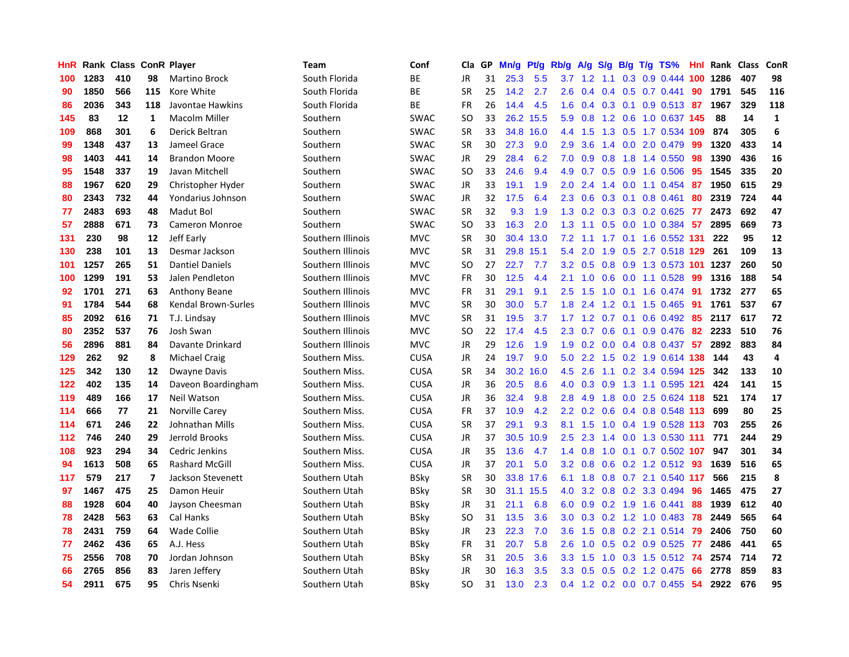| HnR |      | Rank Class |     | <b>ConR Player</b>         | Team              | Conf        | Cla       | <b>GP</b> | Mn/g | <b>Pt/g</b> | Rb/g             | A/g             | S/g              |  | B/g T/g TS%                  | Hnl | Rank | <b>Class</b> | <b>ConR</b>             |
|-----|------|------------|-----|----------------------------|-------------------|-------------|-----------|-----------|------|-------------|------------------|-----------------|------------------|--|------------------------------|-----|------|--------------|-------------------------|
| 100 | 1283 | 410        | 98  | <b>Martino Brock</b>       | South Florida     | ВE          | JR        | 31        | 25.3 | 5.5         |                  | $3.7 \quad 1.2$ |                  |  | 1.1 0.3 0.9 0.444 100 1286   |     |      | 407          | 98                      |
| 90  | 1850 | 566        | 115 | Kore White                 | South Florida     | <b>BE</b>   | <b>SR</b> | 25        | 14.2 | 2.7         | 2.6              |                 |                  |  | $0.4$ 0.4 0.5 0.7 0.441      | 90  | 1791 | 545          | 116                     |
| 86  | 2036 | 343        | 118 | Javontae Hawkins           | South Florida     | BE          | <b>FR</b> | 26        | 14.4 | 4.5         | 1.6              | 0.4             |                  |  | 0.3 0.1 0.9 0.513 87         |     | 1967 | 329          | 118                     |
| 145 | 83   | 12         | 1   | <b>Macolm Miller</b>       | Southern          | <b>SWAC</b> | <b>SO</b> | 33        | 26.2 | 15.5        |                  | $5.9\quad0.8$   |                  |  | 1.2 0.6 1.0 0.637 145        |     | 88   | 14           | $\mathbf{1}$            |
| 109 | 868  | 301        | 6   | Derick Beltran             | Southern          | <b>SWAC</b> | <b>SR</b> | 33        | 34.8 | 16.0        | 4.4              | 1.5             |                  |  | 1.3 0.5 1.7 0.534 109        |     | 874  | 305          | 6                       |
| 99  | 1348 | 437        | 13  | Jameel Grace               | Southern          | SWAC        | SR        | 30        | 27.3 | 9.0         | 2.9              | 3.6             |                  |  | 1.4 0.0 2.0 0.479            | -99 | 1320 | 433          | 14                      |
| 98  | 1403 | 441        | 14  | <b>Brandon Moore</b>       | Southern          | <b>SWAC</b> | JR        | 29        | 28.4 | 6.2         | 7.0              | 0.9             | 0.8              |  | 1.8 1.4 0.550                | 98  | 1390 | 436          | 16                      |
| 95  | 1548 | 337        | 19  | Javan Mitchell             | Southern          | SWAC        | <b>SO</b> | 33        | 24.6 | 9.4         | 4.9              | 0.7             |                  |  | 0.5 0.9 1.6 0.506            | -95 | 1545 | 335          | 20                      |
| 88  | 1967 | 620        | 29  | Christopher Hyder          | Southern          | <b>SWAC</b> | JR        | 33        | 19.1 | 1.9         | 2.0              | 2.4             | 1.4              |  | $0.0$ 1.1 $0.454$            | -87 | 1950 | 615          | 29                      |
| 80  | 2343 | 732        | 44  | Yondarius Johnson          | Southern          | <b>SWAC</b> | JR        | 32        | 17.5 | 6.4         | 2.3              | 0.6             |                  |  | $0.3$ 0.1 0.8 0.461          | 80  | 2319 | 724          | 44                      |
| 77  | 2483 | 693        | 48  | Madut Bol                  | Southern          | <b>SWAC</b> | <b>SR</b> | 32        | 9.3  | 1.9         |                  |                 |                  |  | 1.3 0.2 0.3 0.3 0.2 0.625 77 |     | 2473 | 692          | 47                      |
| 57  | 2888 | 671        | 73  | <b>Cameron Monroe</b>      | Southern          | <b>SWAC</b> | <b>SO</b> | 33        | 16.3 | 2.0         | 1.3              | 1.1             |                  |  | 0.5 0.0 1.0 0.384 57         |     | 2895 | 669          | 73                      |
| 131 | 230  | 98         | 12  | Jeff Early                 | Southern Illinois | <b>MVC</b>  | <b>SR</b> | 30        | 30.4 | 13.0        | 7.2              | 1.1             |                  |  | 1.7 0.1 1.6 0.552 131        |     | 222  | 95           | 12                      |
| 130 | 238  | 101        | 13  | Desmar Jackson             | Southern Illinois | <b>MVC</b>  | <b>SR</b> | 31        | 29.8 | 15.1        | 5.4              | 2.0             | 1.9              |  | 0.5 2.7 0.518 129            |     | 261  | 109          | 13                      |
| 101 | 1257 | 265        | 51  | <b>Dantiel Daniels</b>     | Southern Illinois | <b>MVC</b>  | SO        | 27        | 22.7 | 7.7         | 3.2              | 0.5             | 0.8              |  | 0.9 1.3 0.573 101            |     | 1237 | 260          | 50                      |
| 100 | 1299 | 191        | 53  | Jalen Pendleton            | Southern Illinois | <b>MVC</b>  | <b>FR</b> | 30        | 12.5 | 4.4         | 2.1              | 1.0             | 0.6              |  | $0.0$ 1.1 0.528              | 99  | 1316 | 188          | 54                      |
| 92  | 1701 | 271        | 63  | <b>Anthony Beane</b>       | Southern Illinois | <b>MVC</b>  | <b>FR</b> | 31        | 29.1 | 9.1         | $2.5^{\circ}$    | 1.5             | 1.0              |  | 0.1 1.6 0.474 91             |     | 1732 | 277          | 65                      |
| 91  | 1784 | 544        | 68  | <b>Kendal Brown-Surles</b> | Southern Illinois | <b>MVC</b>  | <b>SR</b> | 30        | 30.0 | 5.7         | 1.8              | 2.4             | 1.2              |  | $0.1$ 1.5 0.465              | -91 | 1761 | 537          | 67                      |
| 85  | 2092 | 616        | 71  | T.J. Lindsay               | Southern Illinois | <b>MVC</b>  | <b>SR</b> | 31        | 19.5 | 3.7         |                  |                 |                  |  | 1.7 1.2 0.7 0.1 0.6 0.492 85 |     | 2117 | 617          | 72                      |
| 80  | 2352 | 537        | 76  | Josh Swan                  | Southern Illinois | <b>MVC</b>  | SO.       | 22        | 17.4 | 4.5         | 2.3              | 0.7             |                  |  | 0.6 0.1 0.9 0.476 82         |     | 2233 | 510          | 76                      |
| 56  | 2896 | 881        | 84  | Davante Drinkard           | Southern Illinois | <b>MVC</b>  | JR        | 29        | 12.6 | 1.9         |                  | $1.9 \quad 0.2$ |                  |  | $0.0$ 0.4 0.8 0.437 57       |     | 2892 | 883          | 84                      |
| 129 | 262  | 92         | 8   | <b>Michael Craig</b>       | Southern Miss.    | <b>CUSA</b> | JR        | 24        | 19.7 | 9.0         | 5.0              | 2.2             | 1.5              |  | 0.2 1.9 0.614 138            |     | 144  | 43           | $\overline{\mathbf{4}}$ |
| 125 | 342  | 130        | 12  | Dwayne Davis               | Southern Miss.    | <b>CUSA</b> | SR        | 34        | 30.2 | 16.0        | 4.5              | 2.6             |                  |  | 1.1 0.2 3.4 0.594 125        |     | 342  | 133          | 10                      |
| 122 | 402  | 135        | 14  | Daveon Boardingham         | Southern Miss.    | <b>CUSA</b> | JR        | 36        | 20.5 | 8.6         | 4.0              | 0.3             | 0.9 <sup>°</sup> |  | 1.3 1.1 0.595 121            |     | 424  | 141          | 15                      |
| 119 | 489  | 166        | 17  | Neil Watson                | Southern Miss.    | <b>CUSA</b> | JR        | 36        | 32.4 | 9.8         | 2.8              | 4.9             | 1.8              |  | $0.0$ 2.5 0.624 118          |     | 521  | 174          | 17                      |
| 114 | 666  | 77         | 21  | Norville Carey             | Southern Miss.    | <b>CUSA</b> | FR        | 37        | 10.9 | 4.2         | 2.2              | 0.2             | 0.6              |  | 0.4 0.8 0.548 113            |     | 699  | 80           | 25                      |
| 114 | 671  | 246        | 22  | Johnathan Mills            | Southern Miss.    | <b>CUSA</b> | <b>SR</b> | 37        | 29.1 | 9.3         | 8.1              | 1.5             |                  |  | 1.0 0.4 1.9 0.528 113 703    |     |      | 255          | 26                      |
| 112 | 746  | 240        | 29  | Jerrold Brooks             | Southern Miss.    | <b>CUSA</b> | JR        | 37        | 30.5 | 10.9        | 2.5              | 2.3             |                  |  | 1.4 0.0 1.3 0.530 111        |     | 771  | 244          | 29                      |
| 108 | 923  | 294        | 34  | Cedric Jenkins             | Southern Miss.    | <b>CUSA</b> | JR        | 35        | 13.6 | 4.7         | 1.4              | 0.8             |                  |  | 1.0 0.1 0.7 0.502 <b>107</b> |     | 947  | 301          | 34                      |
| 94  | 1613 | 508        | 65  | <b>Rashard McGill</b>      | Southern Miss.    | <b>CUSA</b> | JR        | 37        | 20.1 | 5.0         | 3.2              | 0.8             |                  |  | 0.6 0.2 1.2 0.512 93         |     | 1639 | 516          | 65                      |
| 117 | 579  | 217        | 7   | Jackson Stevenett          | Southern Utah     | <b>BSky</b> | <b>SR</b> | 30        | 33.8 | 17.6        | 6.1              | 1.8             | 0.8              |  | 0.7 2.1 0.540 117            |     | 566  | 215          | 8                       |
| 97  | 1467 | 475        | 25  | Damon Heuir                | Southern Utah     | <b>BSky</b> | SR        | 30        | 31.1 | 15.5        | 4.0              | 3.2             |                  |  | 0.8 0.2 3.3 0.494            | 96  | 1465 | 475          | 27                      |
| 88  | 1928 | 604        | 40  | Jayson Cheesman            | Southern Utah     | <b>BSky</b> | JR        | 31        | 21.1 | 6.8         | 6.0              | 0.9             |                  |  | $0.2$ 1.9 1.6 0.441          | 88  | 1939 | 612          | 40                      |
| 78  | 2428 | 563        | 63  | Cal Hanks                  | Southern Utah     | BSky        | SO.       | 31        | 13.5 | 3.6         | 3.0 <sub>2</sub> | 0.3             |                  |  | 0.2 1.2 1.0 0.483            | -78 | 2449 | 565          | 64                      |
| 78  | 2431 | 759        | 64  | <b>Wade Collie</b>         | Southern Utah     | <b>BSky</b> | JR        | 23        | 22.3 | 7.0         | 3.6              | 1.5             | 0.8              |  | 0.2 2.1 0.514 79             |     | 2406 | 750          | 60                      |
| 77  | 2462 | 436        | 65  | A.J. Hess                  | Southern Utah     | BSky        | FR        | 31        | 20.7 | 5.8         | 2.6              | 1.0             |                  |  | 0.5 0.2 0.9 0.525 77         |     | 2486 | 441          | 65                      |
| 75  | 2556 | 708        | 70  | Jordan Johnson             | Southern Utah     | <b>BSky</b> | <b>SR</b> | 31        | 20.5 | 3.6         | 3.3 <sub>2</sub> | 1.5             |                  |  | 1.0 0.3 1.5 0.512 74         |     | 2574 | 714          | 72                      |
| 66  | 2765 | 856        | 83  | Jaren Jeffery              | Southern Utah     | BSky        | JR        | 30        | 16.3 | 3.5         | 3.3 <sub>2</sub> | 0.5             |                  |  | 0.5 0.2 1.2 0.475            | -66 | 2778 | 859          | 83                      |
| 54  | 2911 | 675        | 95  | Chris Nsenki               | Southern Utah     | <b>BSkv</b> | <b>SO</b> | 31        | 13.0 | 2.3         |                  |                 |                  |  | 0.4 1.2 0.2 0.0 0.7 0.455 54 |     | 2922 | 676          | 95                      |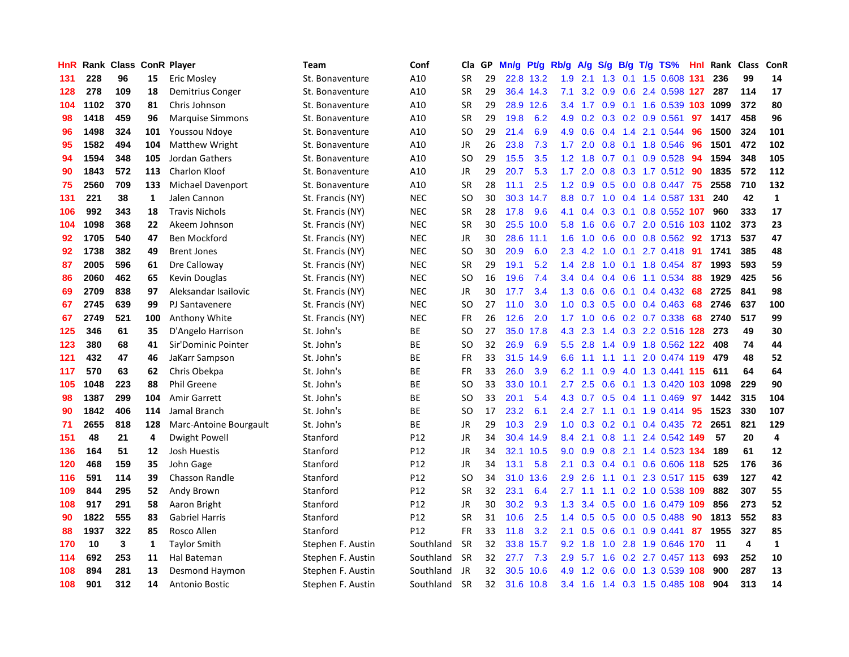| HnR |      | Rank Class |              | <b>ConR Player</b>      | <b>Team</b>       | Conf            | Cla       | <b>GP</b> | Mn/g | <b>Pt/g</b> | Rb/g             | A/g | S/g | B/g | $T/g$ TS%                  | Hnl | Rank | Class | <b>ConR</b>  |
|-----|------|------------|--------------|-------------------------|-------------------|-----------------|-----------|-----------|------|-------------|------------------|-----|-----|-----|----------------------------|-----|------|-------|--------------|
| 131 | 228  | 96         | 15           | Eric Mosley             | St. Bonaventure   | A10             | <b>SR</b> | 29        |      | 22.8 13.2   | 1.9              | 2.1 | 1.3 |     | 0.1 1.5 0.608 131          |     | 236  | 99    | 14           |
| 128 | 278  | 109        | 18           | Demitrius Conger        | St. Bonaventure   | A10             | <b>SR</b> | 29        |      | 36.4 14.3   | 7.1              |     |     |     | 3.2 0.9 0.6 2.4 0.598 127  |     | 287  | 114   | 17           |
| 104 | 1102 | 370        | 81           | Chris Johnson           | St. Bonaventure   | A10             | <b>SR</b> | 29        | 28.9 | 12.6        | $3.4^{\circ}$    | 1.7 |     |     | 0.9 0.1 1.6 0.539 103 1099 |     |      | 372   | 80           |
| 98  | 1418 | 459        | 96           | <b>Marquise Simmons</b> | St. Bonaventure   | A10             | <b>SR</b> | 29        | 19.8 | 6.2         | 4.9              | 0.2 |     |     | $0.3$ 0.2 0.9 0.561        | 97  | 1417 | 458   | 96           |
| 96  | 1498 | 324        | 101          | Youssou Ndoye           | St. Bonaventure   | A10             | <b>SO</b> | 29        | 21.4 | 6.9         | 4.9              | 0.6 | 0.4 | 1.4 | 2.1 0.544                  | 96  | 1500 | 324   | 101          |
| 95  | 1582 | 494        | 104          | <b>Matthew Wright</b>   | St. Bonaventure   | A10             | JR        | 26        | 23.8 | 7.3         | 1.7              | 2.0 | 0.8 |     | 0.1 1.8 0.546              | 96  | 1501 | 472   | 102          |
| 94  | 1594 | 348        | 105          | Jordan Gathers          | St. Bonaventure   | A10             | SO.       | 29        | 15.5 | 3.5         | 1.2              | 1.8 | 0.7 |     | $0.1$ 0.9 0.528            | 94  | 1594 | 348   | 105          |
| 90  | 1843 | 572        | 113          | <b>Charlon Kloof</b>    | St. Bonaventure   | A10             | JR        | 29        | 20.7 | 5.3         | 1.7              | 2.0 | 0.8 |     | $0.3$ 1.7 $0.512$          | -90 | 1835 | 572   | 112          |
| 75  | 2560 | 709        | 133          | Michael Davenport       | St. Bonaventure   | A10             | <b>SR</b> | 28        | 11.1 | 2.5         | 1.2              | 0.9 | 0.5 |     | $0.0$ 0.8 0.447            | -75 | 2558 | 710   | 132          |
| 131 | 221  | 38         | $\mathbf{1}$ | Jalen Cannon            | St. Francis (NY)  | <b>NEC</b>      | <b>SO</b> | 30        | 30.3 | 14.7        | 8.8              | 0.7 |     |     | 1.0 0.4 1.4 0.587 131      |     | 240  | 42    | $\mathbf{1}$ |
| 106 | 992  | 343        | 18           | <b>Travis Nichols</b>   | St. Francis (NY)  | <b>NEC</b>      | <b>SR</b> | 28        | 17.8 | 9.6         | 4.1              | 0.4 |     |     | 0.3 0.1 0.8 0.552 107      |     | 960  | 333   | 17           |
| 104 | 1098 | 368        | 22           | Akeem Johnson           | St. Francis (NY)  | <b>NEC</b>      | <b>SR</b> | 30        | 25.5 | 10.0        | 5.8              | 1.6 |     |     | 0.6 0.7 2.0 0.516 103 1102 |     |      | 373   | 23           |
| 92  | 1705 | 540        | 47           | Ben Mockford            | St. Francis (NY)  | <b>NEC</b>      | JR        | 30        | 28.6 | 11.1        | 1.6              | 1.0 | 0.6 |     | 0.0 0.8 0.562 92           |     | 1713 | 537   | 47           |
| 92  | 1738 | 382        | 49           | <b>Brent Jones</b>      | St. Francis (NY)  | <b>NEC</b>      | <b>SO</b> | 30        | 20.9 | 6.0         | 2.3              | 4.2 | 1.0 |     | $0.1$ 2.7 $0.418$          | -91 | 1741 | 385   | 48           |
| 87  | 2005 | 596        | 61           | Dre Calloway            | St. Francis (NY)  | <b>NEC</b>      | <b>SR</b> | 29        | 19.1 | 5.2         | 1.4              | 2.8 | 1.0 |     | 0.1 1.8 0.454              | 87  | 1993 | 593   | 59           |
| 86  | 2060 | 462        | 65           | Kevin Douglas           | St. Francis (NY)  | <b>NEC</b>      | SO.       | 16        | 19.6 | 7.4         | 3.4              | 0.4 |     |     | $0.4$ 0.6 1.1 0.534        | -88 | 1929 | 425   | 56           |
| 69  | 2709 | 838        | 97           | Aleksandar Isailovic    | St. Francis (NY)  | <b>NEC</b>      | JR        | 30        | 17.7 | 3.4         | 1.3              | 0.6 | 0.6 |     | $0.1$ 0.4 0.432            | 68  | 2725 | 841   | 98           |
| 67  | 2745 | 639        | 99           | PJ Santavenere          | St. Francis (NY)  | <b>NEC</b>      | <b>SO</b> | 27        | 11.0 | 3.0         | 1.0              | 0.3 | 0.5 |     | $0.0$ 0.4 0.463            | 68  | 2746 | 637   | 100          |
| 67  | 2749 | 521        | 100          | Anthony White           | St. Francis (NY)  | <b>NEC</b>      | <b>FR</b> | 26        | 12.6 | 2.0         |                  |     |     |     | 1.7 1.0 0.6 0.2 0.7 0.338  | 68  | 2740 | 517   | 99           |
| 125 | 346  | 61         | 35           | D'Angelo Harrison       | St. John's        | <b>BE</b>       | <b>SO</b> | 27        |      | 35.0 17.8   | 4.3              | 2.3 |     |     | 1.4 0.3 2.2 0.516 128 273  |     |      | 49    | 30           |
| 123 | 380  | 68         | 41           | Sir'Dominic Pointer     | St. John's        | ВE              | SO        | 32        | 26.9 | 6.9         | 5.5 <sub>1</sub> | 2.8 |     |     | 1.4 0.9 1.8 0.562 122      |     | 408  | 74    | 44           |
| 121 | 432  | 47         | 46           | JaKarr Sampson          | St. John's        | BE              | <b>FR</b> | 33        | 31.5 | 14.9        | 6.6              | 1.1 | 1.1 |     | 1.1 2.0 0.474 119          |     | 479  | 48    | 52           |
| 117 | 570  | 63         | 62           | Chris Obekpa            | St. John's        | ВE              | <b>FR</b> | 33        | 26.0 | 3.9         | 6.2              | 1.1 | 0.9 |     | 4.0 1.3 0.441 115          |     | 611  | 64    | 64           |
| 105 | 1048 | 223        | 88           | <b>Phil Greene</b>      | St. John's        | <b>BE</b>       | <b>SO</b> | 33        | 33.0 | 10.1        | 2.7              | 2.5 | 0.6 |     | $0.1$ 1.3 0.420            | 103 | 1098 | 229   | 90           |
| 98  | 1387 | 299        | 104          | <b>Amir Garrett</b>     | St. John's        | <b>BE</b>       | <b>SO</b> | 33        | 20.1 | 5.4         | 4.3              | 0.7 | 0.5 |     | 0.4 1.1 0.469              | 97  | 1442 | 315   | 104          |
| 90  | 1842 | 406        | 114          | Jamal Branch            | St. John's        | <b>BE</b>       | <b>SO</b> | 17        | 23.2 | 6.1         | $2.4^{\circ}$    | 2.7 | 1.1 |     | $0.1$ 1.9 0.414            | 95  | 1523 | 330   | 107          |
| 71  | 2655 | 818        | 128          | Marc-Antoine Bourgault  | St. John's        | ВE              | JR        | 29        | 10.3 | 2.9         | 1.0 <sub>1</sub> | 0.3 |     |     | 0.2 0.1 0.4 0.435 72 2651  |     |      | 821   | 129          |
| 151 | 48   | 21         | 4            | Dwight Powell           | Stanford          | P12             | JR        | 34        | 30.4 | 14.9        | 8.4              | 2.1 |     |     | 0.8 1.1 2.4 0.542 149      |     | 57   | 20    | 4            |
| 136 | 164  | 51         | 12           | <b>Josh Huestis</b>     | Stanford          | P12             | JR        | 34        | 32.1 | 10.5        | 9.0              | 0.9 |     |     | 0.8 2.1 1.4 0.523 134      |     | 189  | 61    | 12           |
| 120 | 468  | 159        | 35           | John Gage               | Stanford          | P12             | <b>JR</b> | 34        | 13.1 | 5.8         | 2.1              | 0.3 |     |     | 0.4 0.1 0.6 0.606 118      |     | 525  | 176   | 36           |
| 116 | 591  | 114        | 39           | Chasson Randle          | Stanford          | P12             | <b>SO</b> | 34        | 31.0 | 13.6        | 2.9              | 2.6 | 1.1 | 0.1 | 2.3 0.517 115              |     | 639  | 127   | 42           |
| 109 | 844  | 295        | 52           | Andy Brown              | Stanford          | P12             | SR        | 32        | 23.1 | 6.4         | 2.7              | 1.1 |     |     | 1.1 0.2 1.0 0.538 109      |     | 882  | 307   | 55           |
| 108 | 917  | 291        | 58           | Aaron Bright            | Stanford          | P12             | JR        | 30        | 30.2 | 9.3         | 1.3              | 3.4 | 0.5 |     | 0.0 1.6 0.479 109          |     | 856  | 273   | 52           |
| 90  | 1822 | 555        | 83           | <b>Gabriel Harris</b>   | Stanford          | P12             | <b>SR</b> | 31        | 10.6 | 2.5         | 1.4              | 0.5 | 0.5 |     | 0.0 0.5 0.488              | 90  | 1813 | 552   | 83           |
| 88  | 1937 | 322        | 85           | Rosco Allen             | Stanford          | P <sub>12</sub> | <b>FR</b> | 33        | 11.8 | 3.2         | 2.1              | 0.5 | 0.6 |     | $0.1$ 0.9 0.441            | 87  | 1955 | 327   | 85           |
| 170 | 10   | 3          | 1            | <b>Taylor Smith</b>     | Stephen F. Austin | Southland       | <b>SR</b> | 32        | 33.8 | 15.7        | 9.2              | 1.8 |     |     | 1.0 2.8 1.9 0.646 170      |     | - 11 | 4     | $\mathbf{1}$ |
| 114 | 692  | 253        | 11           | Hal Bateman             | Stephen F. Austin | Southland       | <b>SR</b> | 32        | 27.7 | 7.3         | 2.9              | 5.7 | 1.6 |     | 0.2 2.7 0.457 113          |     | 693  | 252   | 10           |
| 108 | 894  | 281        | 13           | Desmond Haymon          | Stephen F. Austin | Southland       | JR        | 32        | 30.5 | 10.6        | 4.9              | 1.2 | 0.6 |     | 0.0 1.3 0.539 108          |     | 900  | 287   | 13           |
| 108 | 901  | 312        | 14           | <b>Antonio Bostic</b>   | Stephen F. Austin | Southland       | <b>SR</b> | 32        |      | 31.6 10.8   | $3.4^{\circ}$    | 1.6 |     |     | 1.4 0.3 1.5 0.485 108      |     | 904  | 313   | 14           |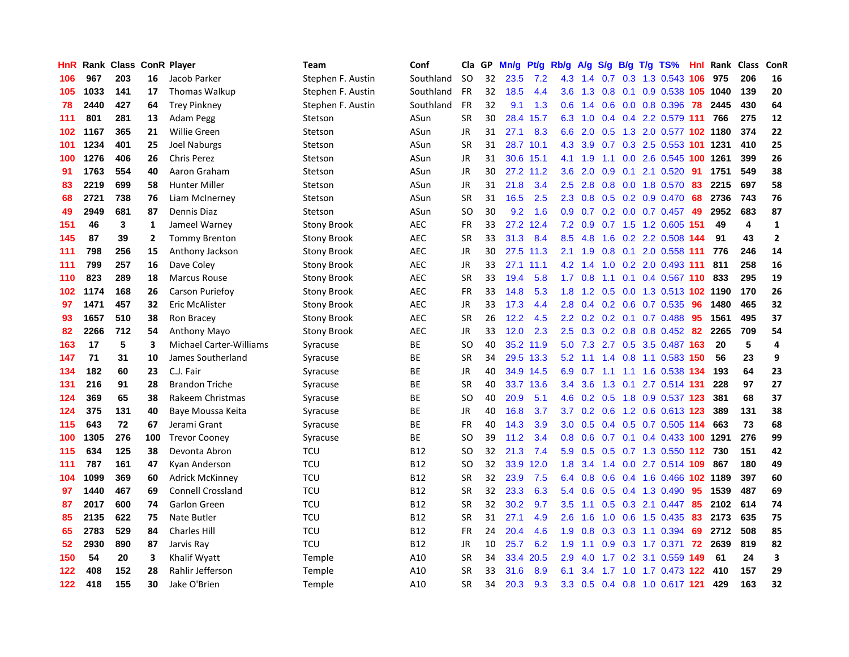| HnR |      | Rank Class ConR Player |                |                                | Team               | Conf       | Cla       | <b>GP</b> | Mn/g | <b>Pt/g</b> | Rb/g             | A/g |                  |     | $S/g$ B/g T/g TS%              | <b>Hnl</b> | Rank | <b>Class</b> | <b>ConR</b>    |
|-----|------|------------------------|----------------|--------------------------------|--------------------|------------|-----------|-----------|------|-------------|------------------|-----|------------------|-----|--------------------------------|------------|------|--------------|----------------|
| 106 | 967  | 203                    | 16             | Jacob Parker                   | Stephen F. Austin  | Southland  | <b>SO</b> | 32        | 23.5 | 7.2         | 4.3              | 1.4 | 0.7              |     | 0.3 1.3 0.543 106              |            | 975  | 206          | 16             |
| 105 | 1033 | 141                    | 17             | <b>Thomas Walkup</b>           | Stephen F. Austin  | Southland  | FR        | 32        | 18.5 | 4.4         | 3.6              |     |                  |     | 1.3 0.8 0.1 0.9 0.538 105 1040 |            |      | 139          | 20             |
| 78  | 2440 | 427                    | 64             | <b>Trey Pinkney</b>            | Stephen F. Austin  | Southland  | FR        | 32        | 9.1  | 1.3         | 0.6              | 1.4 |                  |     | $0.6$ 0.0 0.8 0.396            | 78         | 2445 | 430          | 64             |
| 111 | 801  | 281                    | 13             | Adam Pegg                      | Stetson            | ASun       | <b>SR</b> | 30        | 28.4 | 15.7        | 6.3              | 1.0 |                  |     | 0.4 0.4 2.2 0.579 111          |            | 766  | 275          | 12             |
| 102 | 1167 | 365                    | 21             | <b>Willie Green</b>            | Stetson            | ASun       | <b>JR</b> | 31        | 27.1 | 8.3         | 6.6              | 2.0 | 0.5              |     | 1.3 2.0 0.577 102 1180         |            |      | 374          | 22             |
| 101 | 1234 | 401                    | 25             | <b>Joel Naburgs</b>            | Stetson            | ASun       | <b>SR</b> | 31        | 28.7 | 10.1        | 4.3              | 3.9 |                  |     | $0.7$ $0.3$ $2.5$ $0.553$ 101  |            | 1231 | 410          | 25             |
| 100 | 1276 | 406                    | 26             | <b>Chris Perez</b>             | Stetson            | ASun       | JR        | 31        | 30.6 | 15.1        | 4.1              | 1.9 |                  |     | 1.1 0.0 2.6 0.545              | 100        | 1261 | 399          | 26             |
| 91  | 1763 | 554                    | 40             | Aaron Graham                   | Stetson            | ASun       | JR        | 30        | 27.2 | 11.2        | 3.6              | 2.0 | 0.9 <sub>0</sub> | 0.1 | 2.1 0.520                      | 91         | 1751 | 549          | 38             |
| 83  | 2219 | 699                    | 58             | <b>Hunter Miller</b>           | Stetson            | ASun       | JR        | 31        | 21.8 | 3.4         | 2.5              | 2.8 | 0.8              |     | 0.0 1.8 0.570                  | 83         | 2215 | 697          | 58             |
| 68  | 2721 | 738                    | 76             | Liam McInerney                 | Stetson            | ASun       | <b>SR</b> | 31        | 16.5 | 2.5         | 2.3              | 0.8 |                  |     | $0.5$ 0.2 0.9 0.470            | -68        | 2736 | 743          | 76             |
| 49  | 2949 | 681                    | 87             | Dennis Diaz                    | Stetson            | ASun       | <b>SO</b> | 30        | 9.2  | 1.6         | 0.9 <sub>0</sub> |     |                  |     | 0.7 0.2 0.0 0.7 0.457 49       |            | 2952 | 683          | 87             |
| 151 | 46   | 3                      | $\mathbf{1}$   | Jameel Warney                  | <b>Stony Brook</b> | <b>AEC</b> | FR        | 33        | 27.2 | 12.4        | 7.2              | 0.9 |                  |     | 0.7 1.5 1.2 0.605 151          |            | 49   | 4            | $\mathbf{1}$   |
| 145 | 87   | 39                     | $\overline{2}$ | <b>Tommy Brenton</b>           | <b>Stony Brook</b> | <b>AEC</b> | <b>SR</b> | 33        | 31.3 | 8.4         | 8.5              | 4.8 | 1.6              |     | 0.2 2.2 0.508 144              |            | 91   | 43           | $\overline{2}$ |
| 111 | 798  | 256                    | 15             | Anthony Jackson                | <b>Stony Brook</b> | <b>AEC</b> | JR        | 30        | 27.5 | 11.3        | 2.1              | 1.9 |                  |     | 0.8 0.1 2.0 0.558 111          |            | 776  | 246          | 14             |
| 111 | 799  | 257                    | 16             | Dave Coley                     | <b>Stony Brook</b> | <b>AEC</b> | JR        | 33        | 27.1 | 11.1        | 4.2              | 1.4 | 1.0              |     | 0.2 2.0 0.493                  | -111       | 811  | 258          | 16             |
| 110 | 823  | 289                    | 18             | <b>Marcus Rouse</b>            | <b>Stony Brook</b> | <b>AEC</b> | <b>SR</b> | 33        | 19.4 | 5.8         | 1.7 <sub>2</sub> | 0.8 |                  |     | 1.1 0.1 0.4 0.567 110          |            | 833  | 295          | 19             |
| 102 | 1174 | 168                    | 26             | Carson Puriefoy                | Stony Brook        | <b>AEC</b> | FR        | 33        | 14.8 | 5.3         | 1.8              | 1.2 | 0.5              |     | 0.0 1.3 0.513 102 1190         |            |      | 170          | 26             |
| 97  | 1471 | 457                    | 32             | Eric McAlister                 | <b>Stony Brook</b> | <b>AEC</b> | JR        | 33        | 17.3 | 4.4         | 2.8              | 0.4 |                  |     | $0.2$ 0.6 0.7 0.535            | 96         | 1480 | 465          | 32             |
| 93  | 1657 | 510                    | 38             | Ron Bracey                     | Stony Brook        | <b>AEC</b> | <b>SR</b> | 26        | 12.2 | 4.5         | $2.2^{\circ}$    |     |                  |     | 0.2 0.2 0.1 0.7 0.488 95       |            | 1561 | 495          | 37             |
| 82  | 2266 | 712                    | 54             | <b>Anthony Mayo</b>            | Stony Brook        | <b>AEC</b> | JR        | 33        | 12.0 | 2.3         | $2.5^{\circ}$    | 0.3 |                  |     | 0.2 0.8 0.8 0.452 82           |            | 2265 | 709          | 54             |
| 163 | 17   | 5                      | 3              | <b>Michael Carter-Williams</b> | Syracuse           | <b>BE</b>  | <b>SO</b> | 40        |      | 35.2 11.9   | 5.0              | 7.3 |                  |     | 2.7 0.5 3.5 0.487 163          |            | 20   | 5            | 4              |
| 147 | 71   | 31                     | 10             | James Southerland              | Syracuse           | BE         | <b>SR</b> | 34        | 29.5 | 13.3        | 5.2              | 1.1 | $1.4^{\circ}$    |     | 0.8 1.1 0.583 150              |            | 56   | 23           | 9              |
| 134 | 182  | 60                     | 23             | C.J. Fair                      | Syracuse           | <b>BE</b>  | JR        | 40        |      | 34.9 14.5   | 6.9              | 0.7 |                  |     | 1.1 1.1 1.6 0.538 134          |            | 193  | 64           | 23             |
| 131 | 216  | 91                     | 28             | <b>Brandon Triche</b>          | Syracuse           | ВE         | <b>SR</b> | 40        | 33.7 | 13.6        | $3.4^{\circ}$    | 3.6 | 1.3              |     | $0.1$ 2.7 0.514 131            |            | 228  | 97           | 27             |
| 124 | 369  | 65                     | 38             | Rakeem Christmas               | Syracuse           | <b>BE</b>  | SO        | 40        | 20.9 | 5.1         | 4.6              | 0.2 | 0.5              |     | 1.8 0.9 0.537 123              |            | 381  | 68           | 37             |
| 124 | 375  | 131                    | 40             | Baye Moussa Keita              | Syracuse           | ВE         | JR        | 40        | 16.8 | 3.7         | 3.7              |     |                  |     | $0.2$ 0.6 1.2 0.6 0.613 123    |            | 389  | 131          | 38             |
| 115 | 643  | 72                     | 67             | Jerami Grant                   | Syracuse           | <b>BE</b>  | <b>FR</b> | 40        | 14.3 | 3.9         | 3.0 <sub>2</sub> |     |                  |     | 0.5 0.4 0.5 0.7 0.505 114      |            | 663  | 73           | 68             |
| 100 | 1305 | 276                    | 100            | <b>Trevor Cooney</b>           | Syracuse           | <b>BE</b>  | SO        | 39        | 11.2 | 3.4         | 0.8              | 0.6 |                  |     | 0.7 0.1 0.4 0.433 100 1291     |            |      | 276          | 99             |
| 115 | 634  | 125                    | 38             | Devonta Abron                  | <b>TCU</b>         | <b>B12</b> | <b>SO</b> | 32        | 21.3 | 7.4         | 5.9              | 0.5 | 0.5              |     | 0.7 1.3 0.550 112 730          |            |      | 151          | 42             |
| 111 | 787  | 161                    | 47             | Kyan Anderson                  | <b>TCU</b>         | <b>B12</b> | <b>SO</b> | 32        | 33.9 | 12.0        | 1.8              | 3.4 | 1.4              |     | 0.0 2.7 0.514 109              |            | 867  | 180          | 49             |
| 104 | 1099 | 369                    | 60             | <b>Adrick McKinney</b>         | <b>TCU</b>         | <b>B12</b> | <b>SR</b> | 32        | 23.9 | 7.5         | 6.4              | 0.8 | 0.6              |     | 0.4 1.6 0.466 102 1189         |            |      | 397          | 60             |
| 97  | 1440 | 467                    | 69             | <b>Connell Crossland</b>       | <b>TCU</b>         | <b>B12</b> | <b>SR</b> | 32        | 23.3 | 6.3         | 5.4              | 0.6 |                  |     | 0.5 0.4 1.3 0.490              | 95         | 1539 | 487          | 69             |
| 87  | 2017 | 600                    | 74             | Garlon Green                   | <b>TCU</b>         | <b>B12</b> | <b>SR</b> | 32        | 30.2 | 9.7         | 3.5              | 1.1 | 0.5              |     | 0.3 2.1 0.447                  | 85         | 2102 | 614          | 74             |
| 85  | 2135 | 622                    | 75             | Nate Butler                    | <b>TCU</b>         | <b>B12</b> | <b>SR</b> | 31        | 27.1 | 4.9         | 2.6              | 1.6 | 1.0              |     | $0.6$ 1.5 0.435                | -83        | 2173 | 635          | 75             |
| 65  | 2783 | 529                    | 84             | <b>Charles Hill</b>            | <b>TCU</b>         | <b>B12</b> | FR        | 24        | 20.4 | 4.6         | 1.9              | 0.8 |                  |     | 0.3 0.3 1.1 0.394              | 69         | 2712 | 508          | 85             |
| 52  | 2930 | 890                    | 87             | Jarvis Ray                     | TCU                | <b>B12</b> | JR        | 10        | 25.7 | 6.2         | 1.9              | 1.1 |                  |     | 0.9 0.3 1.7 0.371              | 72         | 2639 | 819          | 82             |
| 150 | 54   | 20                     | 3              | Khalif Wyatt                   | Temple             | A10        | <b>SR</b> | 34        | 33.4 | 20.5        | 2.9              | 4.0 |                  |     | 1.7 0.2 3.1 0.559 149          |            | 61   | 24           | 3              |
| 122 | 408  | 152                    | 28             | Rahlir Jefferson               | Temple             | A10        | <b>SR</b> | 33        | 31.6 | 8.9         | 6.1              | 3.4 | 1.7              |     | 1.0 1.7 0.473 122              |            | 410  | 157          | 29             |
| 122 | 418  | 155                    | 30             | Jake O'Brien                   | Temple             | A10        | SR        | 34        | 20.3 | 9.3         | 3.3 <sub>2</sub> | 0.5 |                  |     | 0.4 0.8 1.0 0.617 121          |            | 429  | 163          | 32             |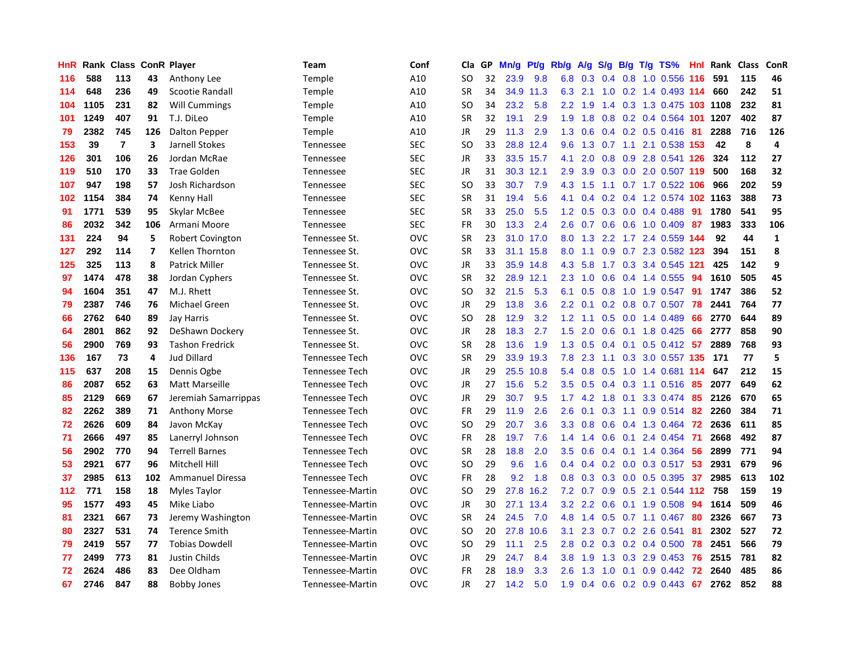| HnR | Rank | <b>Class ConR Player</b> |                |                         | <b>Team</b>           | Conf       | Cla           | GP. | Mn/g | Pt/g      | Rb/g             | A/g       | S/g              |     | B/g T/g TS%                   | Hnl | Rank | <b>Class</b> | ConR           |
|-----|------|--------------------------|----------------|-------------------------|-----------------------|------------|---------------|-----|------|-----------|------------------|-----------|------------------|-----|-------------------------------|-----|------|--------------|----------------|
| 116 | 588  | 113                      | 43             | Anthony Lee             | Temple                | A10        | SO            | 32  | 23.9 | 9.8       |                  |           |                  |     | 6.8 0.3 0.4 0.8 1.0 0.556 116 |     | 591  | 115          | 46             |
| 114 | 648  | 236                      | 49             | Scootie Randall         | Temple                | A10        | <b>SR</b>     | 34  | 34.9 | 11.3      | 6.3              | 2.1       |                  |     | 1.0 0.2 1.4 0.493 114         |     | 660  | 242          | 51             |
| 104 | 1105 | 231                      | 82             | <b>Will Cummings</b>    | Temple                | A10        | SO            | 34  | 23.2 | 5.8       | $2.2^{\circ}$    | 1.9       |                  |     | 1.4 0.3 1.3 0.475 103 1108    |     |      | 232          | 81             |
| 101 | 1249 | 407                      | 91             | T.J. DiLeo              | Temple                | A10        | <b>SR</b>     | 32  | 19.1 | 2.9       | 1.9              | 1.8       | 0.8              |     | 0.2 0.4 0.564 101 1207        |     |      | 402          | 87             |
| 79  | 2382 | 745                      | 126            | <b>Dalton Pepper</b>    | Temple                | A10        | JR            | 29  | 11.3 | 2.9       | 1.3              | 0.6       |                  |     | $0.4$ 0.2 0.5 0.416           | -81 | 2288 | 716          | 126            |
| 153 | 39   | $\overline{7}$           | 3              | Jarnell Stokes          | Tennessee             | <b>SEC</b> | <b>SO</b>     | 33  |      | 28.8 12.4 | 9.6              | 1.3       | 0.7              |     | 1.1 2.1 0.538 153             |     | 42   | 8            | $\overline{a}$ |
| 126 | 301  | 106                      | 26             | Jordan McRae            | Tennessee             | <b>SEC</b> | JR            | 33  | 33.5 | 15.7      | 4.1              | 2.0       | 0.8              |     | 0.9 2.8 0.541 126             |     | 324  | 112          | 27             |
| 119 | 510  | 170                      | 33             | <b>Trae Golden</b>      | Tennessee             | <b>SEC</b> | JR            | 31  | 30.3 | 12.1      | 2.9              | 3.9       | 0.3              |     | 0.0 2.0 0.507 119             |     | 500  | 168          | 32             |
| 107 | 947  | 198                      | 57             | Josh Richardson         | Tennessee             | <b>SEC</b> | <sub>SO</sub> | 33  | 30.7 | 7.9       | 4.3              | 1.5       |                  |     | 1.1 0.7 1.7 0.522 106         |     | 966  | 202          | 59             |
| 102 | 1154 | 384                      | 74             | Kenny Hall              | Tennessee             | <b>SEC</b> | <b>SR</b>     | 31  | 19.4 | 5.6       | 4.1              | 0.4       |                  |     | 0.2 0.4 1.2 0.574 102 1163    |     |      | 388          | 73             |
| 91  | 1771 | 539                      | 95             | Skylar McBee            | Tennessee             | <b>SEC</b> | <b>SR</b>     | 33  | 25.0 | 5.5       | 1.2 <sub>1</sub> | 0.5       |                  |     | $0.3$ 0.0 0.4 0.488           | -91 | 1780 | 541          | 95             |
| 86  | 2032 | 342                      | 106            | Armani Moore            | Tennessee             | <b>SEC</b> | <b>FR</b>     | 30  | 13.3 | 2.4       | 2.6              | 0.7       |                  |     | $0.6$ 0.6 1.0 0.409           | -87 | 1983 | 333          | 106            |
| 131 | 224  | 94                       | 5              | <b>Robert Covington</b> | Tennessee St.         | <b>OVC</b> | <b>SR</b>     | 23  |      | 31.0 17.0 | 8.0              | 1.3       | 2.2              |     | 1.7 2.4 0.559 144             |     | 92   | 44           | $\mathbf{1}$   |
| 127 | 292  | 114                      | $\overline{7}$ | Kellen Thornton         | Tennessee St.         | <b>OVC</b> | <b>SR</b>     | 33  | 31.1 | 15.8      | 8.0              | 1.1       | 0.9 <sup>°</sup> |     | 0.7 2.3 0.582 123             |     | 394  | 151          | 8              |
| 125 | 325  | 113                      | 8              | <b>Patrick Miller</b>   | Tennessee St.         | <b>OVC</b> | JR            | 33  | 35.9 | 14.8      | 4.3              | 5.8       | 1.7              |     | 0.3 3.4 0.545                 | 121 | 425  | 142          | 9              |
| 97  | 1474 | 478                      | 38             | Jordan Cyphers          | Tennessee St.         | <b>OVC</b> | <b>SR</b>     | 32  | 28.9 | 12.1      | 2.3              | 1.0       | 0.6              |     | 0.4 1.4 0.555                 | -94 | 1610 | 505          | 45             |
| 94  | 1604 | 351                      | 47             | M.J. Rhett              | Tennessee St.         | <b>OVC</b> | <sub>SO</sub> | 32  | 21.5 | 5.3       | 6.1              | 0.5       | 0.8              |     | 1.0 1.9 0.547                 | -91 | 1747 | 386          | 52             |
| 79  | 2387 | 746                      | 76             | Michael Green           | Tennessee St.         | <b>OVC</b> | <b>JR</b>     | 29  | 13.8 | 3.6       | $2.2^{\circ}$    | 0.1       |                  |     | $0.2$ 0.8 0.7 0.507           | 78  | 2441 | 764          | 77             |
| 66  | 2762 | 640                      | 89             | Jay Harris              | Tennessee St.         | <b>OVC</b> | <sub>SO</sub> | 28  | 12.9 | 3.2       | 1.2              | $-1.1$    |                  |     | 0.5 0.0 1.4 0.489             | 66  | 2770 | 644          | 89             |
| 64  | 2801 | 862                      | 92             | DeShawn Dockery         | Tennessee St.         | <b>OVC</b> | JR            | 28  | 18.3 | 2.7       | 1.5              | 2.0       |                  |     | 0.6 0.1 1.8 0.425             | -66 | 2777 | 858          | 90             |
| 56  | 2900 | 769                      | 93             | <b>Tashon Fredrick</b>  | Tennessee St.         | OVC        | <b>SR</b>     | 28  | 13.6 | 1.9       | 1.3              | 0.5       |                  |     | $0.4$ 0.1 0.5 0.412 57        |     | 2889 | 768          | 93             |
| 136 | 167  | 73                       | 4              | <b>Jud Dillard</b>      | Tennessee Tech        | <b>OVC</b> | <b>SR</b>     | 29  | 33.9 | 19.3      | 7.8              | 2.3       | 1.1              |     | 0.3 3.0 0.557 135             |     | 171  | 77           | 5              |
| 115 | 637  | 208                      | 15             | Dennis Ogbe             | <b>Tennessee Tech</b> | <b>OVC</b> | JR            | 29  | 25.5 | 10.8      | 5.4              | 0.8       | 0.5              |     | 1.0 1.4 0.681 114             |     | 647  | 212          | 15             |
| 86  | 2087 | 652                      | 63             | Matt Marseille          | Tennessee Tech        | <b>OVC</b> | JR            | 27  | 15.6 | 5.2       | 3.5              | 0.5       | 0.4              |     | $0.3$ 1.1 $0.516$             | -85 | 2077 | 649          | 62             |
| 85  | 2129 | 669                      | 67             | Jeremiah Samarrippas    | Tennessee Tech        | <b>OVC</b> | JR            | 29  | 30.7 | 9.5       |                  | $1.7$ 4.2 | 1.8              | 0.1 | 3.3 0.474                     | -85 | 2126 | 670          | 65             |
| 82  | 2262 | 389                      | 71             | <b>Anthony Morse</b>    | Tennessee Tech        | <b>OVC</b> | <b>FR</b>     | 29  | 11.9 | 2.6       | 2.6              | 0.1       | 0.3              |     | 1.1 0.9 0.514 82              |     | 2260 | 384          | 71             |
| 72  | 2626 | 609                      | 84             | Javon McKay             | Tennessee Tech        | <b>OVC</b> | SO            | 29  | 20.7 | 3.6       | 3.3 <sub>2</sub> | 0.8       |                  |     | 0.6 0.4 1.3 0.464 72          |     | 2636 | 611          | 85             |
| 71  | 2666 | 497                      | 85             | Lanerryl Johnson        | <b>Tennessee Tech</b> | <b>OVC</b> | <b>FR</b>     | 28  | 19.7 | 7.6       | 1.4              | 1.4       |                  |     | 0.6 0.1 2.4 0.454 71          |     | 2668 | 492          | 87             |
| 56  | 2902 | 770                      | 94             | <b>Terrell Barnes</b>   | Tennessee Tech        | <b>OVC</b> | <b>SR</b>     | 28  | 18.8 | 2.0       | 3.5              | 0.6       |                  |     | 0.4 0.1 1.4 0.364 56          |     | 2899 | 771          | 94             |
| 53  | 2921 | 677                      | 96             | <b>Mitchell Hill</b>    | <b>Tennessee Tech</b> | OVC        | <b>SO</b>     | 29  | 9.6  | 1.6       | $0.4^{\circ}$    | 0.4       |                  |     | 0.2 0.0 0.3 0.517 53          |     | 2931 | 679          | 96             |
| 37  | 2985 | 613                      | 102            | <b>Ammanuel Diressa</b> | Tennessee Tech        | <b>OVC</b> | <b>FR</b>     | 28  | 9.2  | 1.8       | 0.8              | 0.3       |                  |     | 0.3 0.0 0.5 0.395             | 37  | 2985 | 613          | 102            |
| 112 | 771  | 158                      | 18             | Myles Taylor            | Tennessee-Martin      | <b>OVC</b> | <b>SO</b>     | 29  | 27.8 | 16.2      | 7.2              | 0.7       | 0.9              |     | 0.5 2.1 0.544 112 758         |     |      | 159          | 19             |
| 95  | 1577 | 493                      | 45             | Mike Liabo              | Tennessee-Martin      | <b>OVC</b> | JR            | 30  | 27.1 | 13.4      | 3.2              | 2.2       | 0.6              |     | $0.1$ 1.9 0.508               | 94  | 1614 | 509          | 46             |
| 81  | 2321 | 667                      | 73             | Jeremy Washington       | Tennessee-Martin      | <b>OVC</b> | <b>SR</b>     | 24  | 24.5 | 7.0       | 4.8              | 1.4       | 0.5              |     | $0.7$ 1.1 0.467               | -80 | 2326 | 667          | 73             |
| 80  | 2327 | 531                      | 74             | <b>Terence Smith</b>    | Tennessee-Martin      | <b>OVC</b> | <sub>SO</sub> | 20  | 27.8 | 10.6      | 3.1              | 2.3       | 0.7              |     | $0.2$ 2.6 0.541               | -81 | 2302 | 527          | 72             |
| 79  | 2419 | 557                      | 77             | <b>Tobias Dowdell</b>   | Tennessee-Martin      | <b>OVC</b> | SO            | 29  | 11.1 | 2.5       | 2.8              | 0.2       |                  |     | $0.3$ 0.2 0.4 0.500           | 78  | 2451 | 566          | 79             |
| 77  | 2499 | 773                      | 81             | Justin Childs           | Tennessee-Martin      | <b>OVC</b> | <b>JR</b>     | 29  | 24.7 | 8.4       | 3.8 <sub>2</sub> | 1.9       |                  |     | 1.3 0.3 2.9 0.453             | -76 | 2515 | 781          | 82             |
| 72  | 2624 | 486                      | 83             | Dee Oldham              | Tennessee-Martin      | <b>OVC</b> | <b>FR</b>     | 28  | 18.9 | 3.3       | 2.6              | 1.3       | 1.0              |     | $0.1$ 0.9 0.442               | -72 | 2640 | 485          | 86             |
| 67  | 2746 | 847                      | 88             | <b>Bobby Jones</b>      | Tennessee-Martin      | OVC        | <b>JR</b>     | 27  | 14.2 | 5.0       | 1.9              |           |                  |     | 0.4 0.6 0.2 0.9 0.443         | 67  | 2762 | 852          | 88             |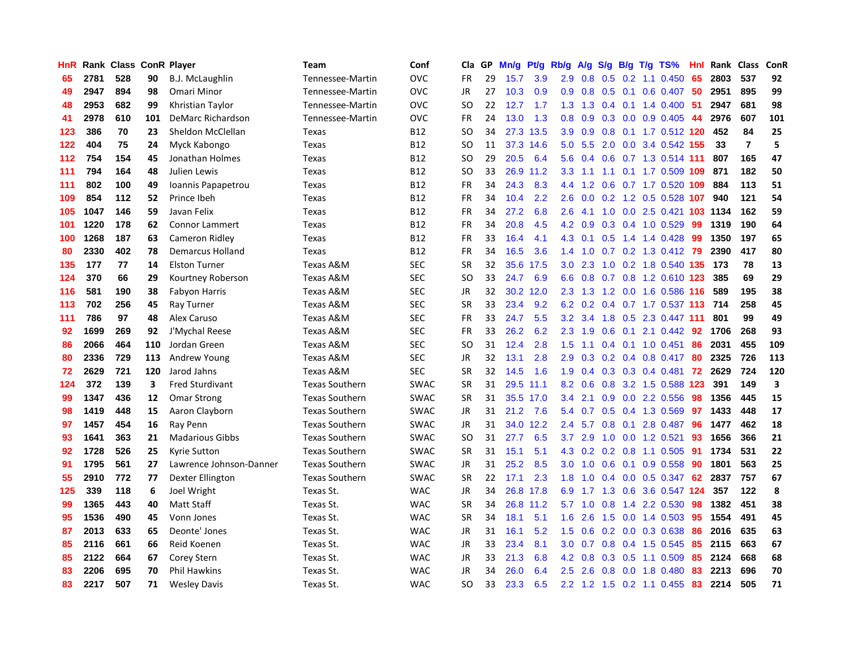| HnR |      | Rank Class ConR Player |     |                         | Team                  | Conf        | Cla           | <b>GP</b> | Mn/g | <b>Pt/g</b> | Rb/g             | A/g            | S/g              |     | B/g T/g TS%                         | Hnl | Rank | <b>Class</b>   | <b>ConR</b> |
|-----|------|------------------------|-----|-------------------------|-----------------------|-------------|---------------|-----------|------|-------------|------------------|----------------|------------------|-----|-------------------------------------|-----|------|----------------|-------------|
| 65  | 2781 | 528                    | 90  | <b>B.J. McLaughlin</b>  | Tennessee-Martin      | <b>OVC</b>  | FR            | 29        | 15.7 | 3.9         | 2.9              | 0.8            |                  |     | $0.5$ 0.2 1.1 0.450                 | 65  | 2803 | 537            | 92          |
| 49  | 2947 | 894                    | 98  | Omari Minor             | Tennessee-Martin      | <b>OVC</b>  | JR            | 27        | 10.3 | 0.9         |                  | $0.9\quad 0.8$ |                  |     | 0.5 0.1 0.6 0.407 50                |     | 2951 | 895            | 99          |
| 48  | 2953 | 682                    | 99  | Khristian Taylor        | Tennessee-Martin      | <b>OVC</b>  | SO            | 22        | 12.7 | 1.7         | 1.3              | 1.3            |                  |     | $0.4$ 0.1 1.4 0.400                 | -51 | 2947 | 681            | 98          |
| 41  | 2978 | 610                    | 101 | DeMarc Richardson       | Tennessee-Martin      | <b>OVC</b>  | <b>FR</b>     | 24        | 13.0 | 1.3         | 0.8              | 0.9            |                  |     | $0.3$ 0.0 0.9 0.405                 | -44 | 2976 | 607            | 101         |
| 123 | 386  | 70                     | 23  | Sheldon McClellan       | Texas                 | <b>B12</b>  | <b>SO</b>     | 34        | 27.3 | 13.5        | 3.9              | 0.9            | 0.8              |     | 0.1 1.7 0.512 120                   |     | 452  | 84             | 25          |
| 122 | 404  | 75                     | 24  | Myck Kabongo            | Texas                 | <b>B12</b>  | SO.           | 11        | 37.3 | 14.6        | 5.0              | 5.5            |                  |     | 2.0 0.0 3.4 0.542 155               |     | 33   | $\overline{7}$ | 5           |
| 112 | 754  | 154                    | 45  | Jonathan Holmes         | Texas                 | <b>B12</b>  | <b>SO</b>     | 29        | 20.5 | 6.4         | 5.6              | 0.4            |                  |     | 0.6 0.7 1.3 0.514 111               |     | 807  | 165            | 47          |
| 111 | 794  | 164                    | 48  | Julien Lewis            | Texas                 | <b>B12</b>  | <b>SO</b>     | 33        | 26.9 | 11.2        | 3.3              | 1.1            | 1.1              |     | 0.1 1.7 0.509 109                   |     | 871  | 182            | 50          |
| 111 | 802  | 100                    | 49  | Ioannis Papapetrou      | Texas                 | <b>B12</b>  | FR            | 34        | 24.3 | 8.3         | 4.4              | 1.2            |                  |     | 0.6 0.7 1.7 0.520 109               |     | 884  | 113            | 51          |
| 109 | 854  | 112                    | 52  | Prince Ibeh             | Texas                 | <b>B12</b>  | FR            | 34        | 10.4 | 2.2         | 2.6              |                |                  |     | $0.0$ $0.2$ $1.2$ $0.5$ $0.528$ 107 |     | 940  | 121            | 54          |
| 105 | 1047 | 146                    | 59  | Javan Felix             | Texas                 | <b>B12</b>  | <b>FR</b>     | 34        | 27.2 | 6.8         | 2.6              | 4.1            |                  |     | 1.0 0.0 2.5 0.421 103 1134          |     |      | 162            | 59          |
| 101 | 1220 | 178                    | 62  | <b>Connor Lammert</b>   | Texas                 | B12         | FR            | 34        | 20.8 | 4.5         | 4.2              | 0.9            |                  |     | $0.3$ 0.4 1.0 0.529                 | -99 | 1319 | 190            | 64          |
| 100 | 1268 | 187                    | 63  | Cameron Ridley          | Texas                 | <b>B12</b>  | FR            | 33        | 16.4 | 4.1         | 4.3              | 0.1            | 0.5              |     | 1.4 1.4 0.428                       | -99 | 1350 | 197            | 65          |
| 80  | 2330 | 402                    | 78  | Demarcus Holland        | Texas                 | B12         | FR            | 34        | 16.5 | 3.6         | 1.4              | 1.0            |                  |     | 0.7 0.2 1.3 0.412 79                |     | 2390 | 417            | 80          |
| 135 | 177  | 77                     | 14  | <b>Elston Turner</b>    | Texas A&M             | <b>SEC</b>  | <b>SR</b>     | 32        | 35.6 | 17.5        | 3.0 <sub>2</sub> | 2.3            | 1.0              |     | 0.2 1.8 0.540 135 173               |     |      | 78             | 13          |
| 124 | 370  | 66                     | 29  | Kourtney Roberson       | Texas A&M             | <b>SEC</b>  | <sub>SO</sub> | 33        | 24.7 | 6.9         | 6.6              | 0.8            |                  |     | 0.7 0.8 1.2 0.610 123               |     | 385  | 69             | 29          |
| 116 | 581  | 190                    | 38  | <b>Fabyon Harris</b>    | Texas A&M             | <b>SEC</b>  | <b>JR</b>     | 32        | 30.2 | 12.0        | 2.3              | 1.3            |                  |     | 1.2 0.0 1.6 0.586 116               |     | 589  | 195            | 38          |
| 113 | 702  | 256                    | 45  | Ray Turner              | Texas A&M             | <b>SEC</b>  | <b>SR</b>     | 33        | 23.4 | 9.2         | 6.2              | 0.2            |                  |     | 0.4 0.7 1.7 0.537 113 714           |     |      | 258            | 45          |
| 111 | 786  | 97                     | 48  | Alex Caruso             | Texas A&M             | <b>SEC</b>  | <b>FR</b>     | 33        | 24.7 | 5.5         | 3.2              | 3.4            |                  |     | 1.8 0.5 2.3 0.447 111               |     | 801  | 99             | 49          |
| 92  | 1699 | 269                    | 92  | J'Mychal Reese          | Texas A&M             | <b>SEC</b>  | FR            | 33        | 26.2 | 6.2         | 2.3              | 1.9            |                  |     | 0.6 0.1 2.1 0.442 92                |     | 1706 | 268            | 93          |
| 86  | 2066 | 464                    | 110 | Jordan Green            | Texas A&M             | <b>SEC</b>  | <b>SO</b>     | 31        | 12.4 | 2.8         | 1.5              | 1.1            |                  |     | $0.4$ 0.1 1.0 0.451                 | 86  | 2031 | 455            | 109         |
| 80  | 2336 | 729                    | 113 | Andrew Young            | Texas A&M             | <b>SEC</b>  | JR            | 32        | 13.1 | 2.8         | 2.9              | 0.3            |                  |     | 0.2 0.4 0.8 0.417 80                |     | 2325 | 726            | 113         |
| 72  | 2629 | 721                    | 120 | Jarod Jahns             | Texas A&M             | <b>SEC</b>  | <b>SR</b>     | 32        | 14.5 | 1.6         | 1.9              | 0.4            | 0.3              |     | $0.3$ 0.4 0.481                     | 72  | 2629 | 724            | 120         |
| 124 | 372  | 139                    | 3   | <b>Fred Sturdivant</b>  | <b>Texas Southern</b> | <b>SWAC</b> | <b>SR</b>     | 31        | 29.5 | 11.1        | 8.2              | 0.6            | 0.8              |     | 3.2 1.5 0.588 123                   |     | 391  | 149            | 3           |
| 99  | 1347 | 436                    | 12  | <b>Omar Strong</b>      | <b>Texas Southern</b> | <b>SWAC</b> | <b>SR</b>     | 31        | 35.5 | 17.0        | 3.4              | 2.1            | 0.9 <sub>0</sub> |     | $0.0$ 2.2 $0.556$                   | 98  | 1356 | 445            | 15          |
| 98  | 1419 | 448                    | 15  | Aaron Clayborn          | <b>Texas Southern</b> | <b>SWAC</b> | JR            | 31        | 21.2 | 7.6         | 5.4              | 0.7            |                  |     | 0.5 0.4 1.3 0.569                   | 97  | 1433 | 448            | 17          |
| 97  | 1457 | 454                    | 16  | Ray Penn                | <b>Texas Southern</b> | <b>SWAC</b> | JR            | 31        |      | 34.0 12.2   | $2.4^{\circ}$    | 5.7            |                  |     | 0.8 0.1 2.8 0.487 96                |     | 1477 | 462            | 18          |
| 93  | 1641 | 363                    | 21  | <b>Madarious Gibbs</b>  | <b>Texas Southern</b> | <b>SWAC</b> | <sub>SO</sub> | 31        | 27.7 | 6.5         | 3.7              | 2.9            |                  |     | 1.0 0.0 1.2 0.521                   | 93  | 1656 | 366            | 21          |
| 92  | 1728 | 526                    | 25  | <b>Kyrie Sutton</b>     | <b>Texas Southern</b> | SWAC        | <b>SR</b>     | 31        | 15.1 | 5.1         | 4.3              | 0.2            |                  |     | 0.2 0.8 1.1 0.505                   | 91  | 1734 | 531            | 22          |
| 91  | 1795 | 561                    | 27  | Lawrence Johnson-Danner | <b>Texas Southern</b> | <b>SWAC</b> | JR            | 31        | 25.2 | 8.5         | 3.0 <sub>2</sub> | 1.0            | 0.6              |     | $0.1$ 0.9 0.558                     | 90  | 1801 | 563            | 25          |
| 55  | 2910 | 772                    | 77  | Dexter Ellington        | <b>Texas Southern</b> | <b>SWAC</b> | <b>SR</b>     | 22        | 17.1 | 2.3         | 1.8              | 1.0            |                  |     | 0.4 0.0 0.5 0.347                   | 62  | 2837 | 757            | 67          |
| 125 | 339  | 118                    | 6   | Joel Wright             | Texas St.             | <b>WAC</b>  | <b>JR</b>     | 34        | 26.8 | 17.8        | 6.9              | 1.7            | 1.3              |     | 0.6 3.6 0.547 124                   |     | 357  | 122            | 8           |
| 99  | 1365 | 443                    | 40  | <b>Matt Staff</b>       | Texas St.             | <b>WAC</b>  | <b>SR</b>     | 34        | 26.8 | 11.2        |                  | $5.7$ 1.0      | 0.8              | 1.4 | 2.2 0.530                           | 98  | 1382 | 451            | 38          |
| 95  | 1536 | 490                    | 45  | Vonn Jones              | Texas St.             | <b>WAC</b>  | <b>SR</b>     | 34        | 18.1 | 5.1         | 1.6              | 2.6            |                  |     | 1.5 0.0 1.4 0.503 95                |     | 1554 | 491            | 45          |
| 87  | 2013 | 633                    | 65  | Deonte' Jones           | Texas St.             | <b>WAC</b>  | JR            | 31        | 16.1 | 5.2         | 1.5              |                |                  |     | 0.6 0.2 0.0 0.3 0.638               | -86 | 2016 | 635            | 63          |
| 85  | 2116 | 661                    | 66  | Reid Koenen             | Texas St.             | <b>WAC</b>  | JR            | 33        | 23.4 | 8.1         | 3.0 <sub>2</sub> | 0.7            |                  |     | $0.8$ 0.4 1.5 0.545                 | 85  | 2115 | 663            | 67          |
| 85  | 2122 | 664                    | 67  | <b>Corey Stern</b>      | Texas St.             | <b>WAC</b>  | JR            | 33        | 21.3 | 6.8         | 4.2              | 0.8            |                  |     | $0.3$ $0.5$ 1.1 $0.509$             | 85  | 2124 | 668            | 68          |
| 83  | 2206 | 695                    | 70  | Phil Hawkins            | Texas St.             | <b>WAC</b>  | JR            | 34        | 26.0 | 6.4         | 2.5              | 2.6            | 0.8              |     | 0.0 1.8 0.480                       | 83  | 2213 | 696            | 70          |
| 83  | 2217 | 507                    | 71  | <b>Wesley Davis</b>     | Texas St.             | <b>WAC</b>  | SO.           | 33        | 23.3 | 6.5         |                  |                |                  |     | 2.2 1.2 1.5 0.2 1.1 0.455           | 83  | 2214 | 505            | 71          |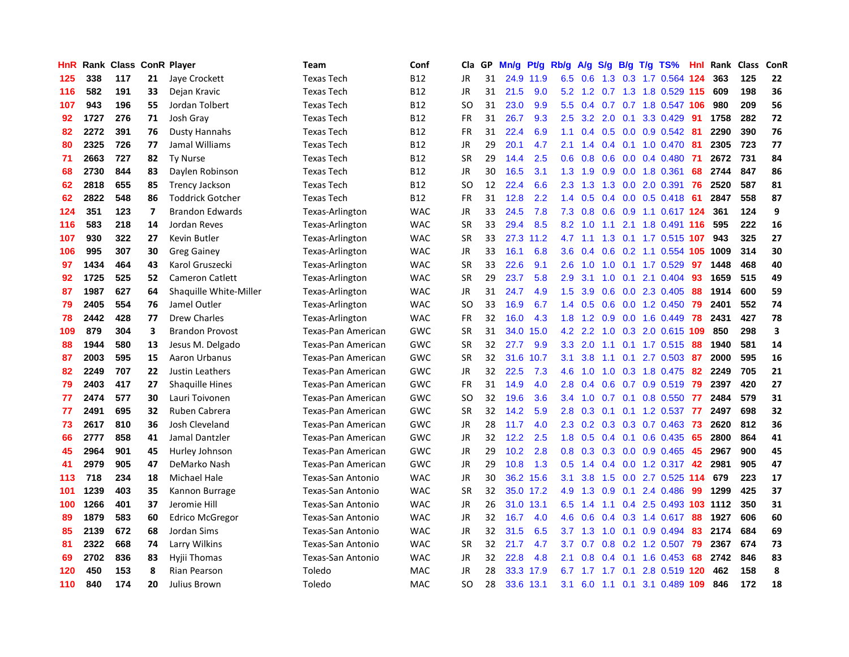| HnR | Rank | <b>Class</b> |                | <b>ConR Player</b>      | <b>Team</b>        | Conf       | Cla           | <b>GP</b> | Mn/g | <b>Pt/g</b> | Rb/g             | A/g | S/g           |               | B/g T/g TS%               | Hnl | Rank | <b>Class</b> | ConR |
|-----|------|--------------|----------------|-------------------------|--------------------|------------|---------------|-----------|------|-------------|------------------|-----|---------------|---------------|---------------------------|-----|------|--------------|------|
| 125 | 338  | 117          | 21             | Jaye Crockett           | <b>Texas Tech</b>  | <b>B12</b> | JR            | 31        | 24.9 | 11.9        | 6.5              | 0.6 |               |               | 1.3 0.3 1.7 0.564 124     |     | 363  | 125          | 22   |
| 116 | 582  | 191          | 33             | Dejan Kravic            | <b>Texas Tech</b>  | <b>B12</b> | JR            | 31        | 21.5 | 9.0         | 5.2              |     |               |               | 1.2 0.7 1.3 1.8 0.529 115 |     | 609  | 198          | 36   |
| 107 | 943  | 196          | 55             | Jordan Tolbert          | <b>Texas Tech</b>  | <b>B12</b> | SO            | 31        | 23.0 | 9.9         | 5.5              | 0.4 |               |               | 0.7 0.7 1.8 0.547 106     |     | 980  | 209          | 56   |
| 92  | 1727 | 276          | 71             | Josh Gray               | <b>Texas Tech</b>  | <b>B12</b> | FR            | 31        | 26.7 | 9.3         | 2.5              | 3.2 | 2.0           |               | $0.1$ 3.3 0.429           | -91 | 1758 | 282          | 72   |
| 82  | 2272 | 391          | 76             | <b>Dusty Hannahs</b>    | <b>Texas Tech</b>  | <b>B12</b> | <b>FR</b>     | 31        | 22.4 | 6.9         | 1.1              | 0.4 | 0.5           |               | 0.0 0.9 0.542             | -81 | 2290 | 390          | 76   |
| 80  | 2325 | 726          | 77             | Jamal Williams          | <b>Texas Tech</b>  | <b>B12</b> | JR            | 29        | 20.1 | 4.7         | 2.1              | 1.4 |               |               | 0.4 0.1 1.0 0.470         | -81 | 2305 | 723          | 77   |
| 71  | 2663 | 727          | 82             | <b>Ty Nurse</b>         | <b>Texas Tech</b>  | <b>B12</b> | <b>SR</b>     | 29        | 14.4 | 2.5         | 0.6              | 0.8 | 0.6           |               | $0.0$ 0.4 0.480           | -71 | 2672 | 731          | 84   |
| 68  | 2730 | 844          | 83             | Daylen Robinson         | <b>Texas Tech</b>  | <b>B12</b> | JR            | 30        | 16.5 | 3.1         | 1.3              | 1.9 | 0.9           |               | 0.0 1.8 0.361             | 68  | 2744 | 847          | 86   |
| 62  | 2818 | 655          | 85             | <b>Trency Jackson</b>   | <b>Texas Tech</b>  | <b>B12</b> | <sub>SO</sub> | 12        | 22.4 | 6.6         | 2.3              | 1.3 | 1.3           |               | $0.0$ 2.0 $0.391$         | 76  | 2520 | 587          | 81   |
| 62  | 2822 | 548          | 86             | <b>Toddrick Gotcher</b> | <b>Texas Tech</b>  | <b>B12</b> | FR            | 31        | 12.8 | 2.2         | 1.4              | 0.5 |               |               | 0.4 0.0 0.5 0.418 61      |     | 2847 | 558          | 87   |
| 124 | 351  | 123          | $\overline{7}$ | <b>Brandon Edwards</b>  | Texas-Arlington    | <b>WAC</b> | JR            | 33        | 24.5 | 7.8         | 7.3              | 0.8 |               |               | 0.6 0.9 1.1 0.617 124     |     | 361  | 124          | 9    |
| 116 | 583  | 218          | 14             | Jordan Reves            | Texas-Arlington    | <b>WAC</b> | <b>SR</b>     | 33        | 29.4 | 8.5         | 8.2              | 1.0 | 1.1           |               | 2.1 1.8 0.491 116         |     | 595  | 222          | 16   |
| 107 | 930  | 322          | 27             | Kevin Butler            | Texas-Arlington    | <b>WAC</b> | <b>SR</b>     | 33        | 27.3 | 11.2        | 4.7              | 1.1 | 1.3           |               | 0.1 1.7 0.515 107         |     | 943  | 325          | 27   |
| 106 | 995  | 307          | 30             | <b>Greg Gainey</b>      | Texas-Arlington    | <b>WAC</b> | JR            | 33        | 16.1 | 6.8         | 3.6              | 0.4 | 0.6           |               | 0.2 1.1 0.554 105 1009    |     |      | 314          | 30   |
| 97  | 1434 | 464          | 43             | Karol Gruszecki         | Texas-Arlington    | <b>WAC</b> | <b>SR</b>     | 33        | 22.6 | 9.1         | 2.6              | 1.0 | 1.0           |               | $0.1$ 1.7 0.529           | 97  | 1448 | 468          | 40   |
| 92  | 1725 | 525          | 52             | <b>Cameron Catlett</b>  | Texas-Arlington    | <b>WAC</b> | <b>SR</b>     | 29        | 23.7 | 5.8         | 2.9              | 3.1 | 1.0           | 0.1           | 2.1 0.404                 | 93  | 1659 | 515          | 49   |
| 87  | 1987 | 627          | 64             | Shaquille White-Miller  | Texas-Arlington    | <b>WAC</b> | JR            | 31        | 24.7 | 4.9         | 1.5              | 3.9 | 0.6           |               | 0.0 2.3 0.405             | 88  | 1914 | 600          | 59   |
| 79  | 2405 | 554          | 76             | Jamel Outler            | Texas-Arlington    | <b>WAC</b> | <sub>SO</sub> | 33        | 16.9 | 6.7         | 1.4              | 0.5 | 0.6           |               | 0.0 1.2 0.450             | 79  | 2401 | 552          | 74   |
| 78  | 2442 | 428          | 77             | <b>Drew Charles</b>     | Texas-Arlington    | <b>WAC</b> | <b>FR</b>     | 32        | 16.0 | 4.3         | 1.8              | 1.2 |               |               | $0.9$ 0.0 1.6 0.449       | 78  | 2431 | 427          | 78   |
| 109 | 879  | 304          | 3              | <b>Brandon Provost</b>  | Texas-Pan American | GWC        | <b>SR</b>     | 31        | 34.0 | 15.0        | 4.2              | 2.2 |               |               | 1.0 0.3 2.0 0.615 109     |     | 850  | 298          | 3    |
| 88  | 1944 | 580          | 13             | Jesus M. Delgado        | Texas-Pan American | GWC        | <b>SR</b>     | 32        | 27.7 | 9.9         | 3.3 <sub>2</sub> | 2.0 |               |               | 1.1 0.1 1.7 0.515         | -88 | 1940 | 581          | 14   |
| 87  | 2003 | 595          | 15             | Aaron Urbanus           | Texas-Pan American | <b>GWC</b> | <b>SR</b>     | 32        | 31.6 | 10.7        | 3.1              | 3.8 | 1.1           | 0.1           | 2.7 0.503                 | -87 | 2000 | 595          | 16   |
| 82  | 2249 | 707          | 22             | Justin Leathers         | Texas-Pan American | GWC        | JR            | 32        | 22.5 | 7.3         | 4.6              | 1.0 | 1.0           |               | 0.3 1.8 0.475             | 82  | 2249 | 705          | 21   |
| 79  | 2403 | 417          | 27             | <b>Shaquille Hines</b>  | Texas-Pan American | GWC        | <b>FR</b>     | 31        | 14.9 | 4.0         | 2.8              | 0.4 | 0.6           |               | $0.7$ 0.9 0.519           | 79  | 2397 | 420          | 27   |
| 77  | 2474 | 577          | 30             | Lauri Toivonen          | Texas-Pan American | GWC        | <b>SO</b>     | 32        | 19.6 | 3.6         | 3.4              | 1.0 | 0.7           | 0.1           | 0.8 0.550                 | 77  | 2484 | 579          | 31   |
| 77  | 2491 | 695          | 32             | Ruben Cabrera           | Texas-Pan American | GWC        | <b>SR</b>     | 32        | 14.2 | 5.9         | 2.8              | 0.3 | 0.1           |               | $0.1$ 1.2 0.537           | 77  | 2497 | 698          | 32   |
| 73  | 2617 | 810          | 36             | Josh Cleveland          | Texas-Pan American | <b>GWC</b> | JR            | 28        | 11.7 | 4.0         | 2.3              | 0.2 |               |               | 0.3 0.3 0.7 0.463 73      |     | 2620 | 812          | 36   |
| 66  | 2777 | 858          | 41             | Jamal Dantzler          | Texas-Pan American | GWC        | JR            | 32        | 12.2 | 2.5         | 1.8              | 0.5 |               |               | $0.4$ 0.1 0.6 0.435 65    |     | 2800 | 864          | 41   |
| 45  | 2964 | 901          | 45             | Hurley Johnson          | Texas-Pan American | GWC        | JR            | 29        | 10.2 | 2.8         | 0.8              | 0.3 |               |               | 0.3 0.0 0.9 0.465 45      |     | 2967 | 900          | 45   |
| 41  | 2979 | 905          | 47             | DeMarko Nash            | Texas-Pan American | GWC        | JR            | 29        | 10.8 | 1.3         | 0.5              | 1.4 |               |               | 0.4 0.0 1.2 0.317 42      |     | 2981 | 905          | 47   |
| 113 | 718  | 234          | 18             | <b>Michael Hale</b>     | Texas-San Antonio  | <b>WAC</b> | JR            | 30        | 36.2 | 15.6        | 3.1              | 3.8 | 1.5           |               | $0.0$ 2.7 $0.525$         | 114 | 679  | 223          | 17   |
| 101 | 1239 | 403          | 35             | Kannon Burrage          | Texas-San Antonio  | <b>WAC</b> | SR            | 32        |      | 35.0 17.2   | 4.9              | 1.3 | 0.9           | 0.1           | 2.4 0.486                 | 99  | 1299 | 425          | 37   |
| 100 | 1266 | 401          | 37             | Jeromie Hill            | Texas-San Antonio  | <b>WAC</b> | JR            | 26        | 31.0 | 13.1        | 6.5              | 1.4 | 1.1           | $0.4^{\circ}$ | 2.5 0.493 103 1112        |     |      | 350          | 31   |
| 89  | 1879 | 583          | 60             | <b>Edrico McGregor</b>  | Texas-San Antonio  | <b>WAC</b> | JR            | 32        | 16.7 | 4.0         | 4.6              | 0.6 | $0.4^{\circ}$ |               | 0.3 1.4 0.617             | 88  | 1927 | 606          | 60   |
| 85  | 2139 | 672          | 68             | Jordan Sims             | Texas-San Antonio  | <b>WAC</b> | JR            | 32        | 31.5 | 6.5         | 3.7              | 1.3 | 1.0           | 0.1           | 0.9 0.494                 | 83  | 2174 | 684          | 69   |
| 81  | 2322 | 668          | 74             | Larry Wilkins           | Texas-San Antonio  | <b>WAC</b> | <b>SR</b>     | 32        | 21.7 | 4.7         | 3.7              | 0.7 |               |               | 0.8 0.2 1.2 0.507 79      |     | 2367 | 674          | 73   |
| 69  | 2702 | 836          | 83             | Hyjii Thomas            | Texas-San Antonio  | <b>WAC</b> | JR            | 32        | 22.8 | 4.8         | 2.1              | 0.8 |               |               | $0.4$ 0.1 1.6 0.453       | 68  | 2742 | 846          | 83   |
| 120 | 450  | 153          | 8              | Rian Pearson            | Toledo             | MAC        | JR            | 28        | 33.3 | 17.9        | 6.7              | 1.7 | $-1.7$        | 0.1           | 2.8 0.519 120             |     | 462  | 158          | 8    |
| 110 | 840  | 174          | 20             | <b>Julius Brown</b>     | Toledo             | <b>MAC</b> | SO.           | 28        | 33.6 | 13.1        | 3.1              |     |               |               | 6.0 1.1 0.1 3.1 0.489 109 |     | 846  | 172          | 18   |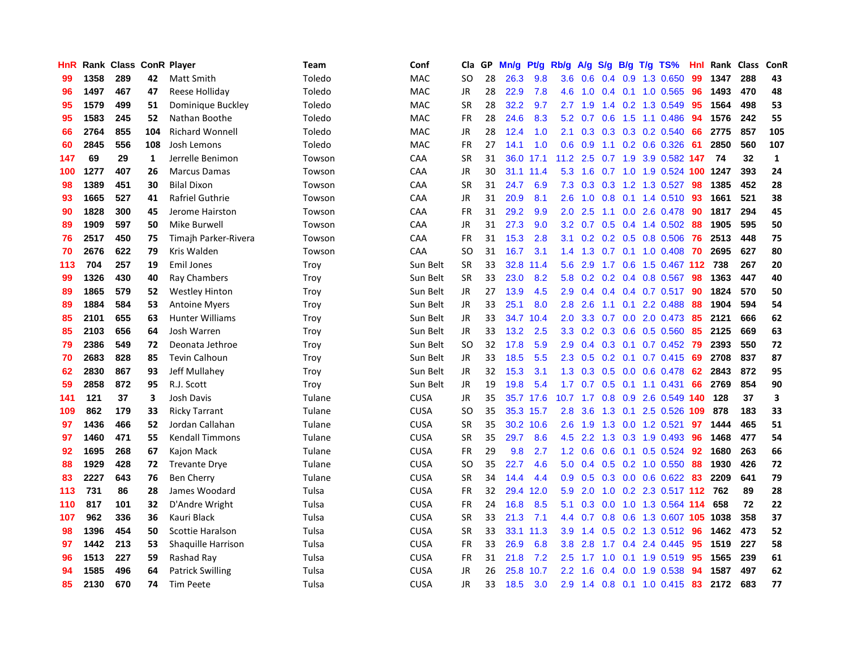| HnR |      | Rank Class ConR Player |              |                         | Team   | Conf        | Cla       | GP | Mn/g | <b>Pt/g</b> | Rb/g             | A/g            |                  |  | S/g B/g T/g TS%            | Hnl | Rank | <b>Class</b> | ConR         |
|-----|------|------------------------|--------------|-------------------------|--------|-------------|-----------|----|------|-------------|------------------|----------------|------------------|--|----------------------------|-----|------|--------------|--------------|
| 99  | 1358 | 289                    | 42           | Matt Smith              | Toledo | <b>MAC</b>  | <b>SO</b> | 28 | 26.3 | 9.8         | 3.6 <sub>2</sub> | 0.6            |                  |  | 0.4 0.9 1.3 0.650          | 99  | 1347 | 288          | 43           |
| 96  | 1497 | 467                    | 47           | Reese Holliday          | Toledo | MAC         | JR        | 28 | 22.9 | 7.8         | 4.6              |                |                  |  | 1.0 0.4 0.1 1.0 0.565      | -96 | 1493 | 470          | 48           |
| 95  | 1579 | 499                    | 51           | Dominique Buckley       | Toledo | <b>MAC</b>  | <b>SR</b> | 28 | 32.2 | 9.7         | 2.7              | 1.9            |                  |  | 1.4 0.2 1.3 0.549          | 95  | 1564 | 498          | 53           |
| 95  | 1583 | 245                    | 52           | Nathan Boothe           | Toledo | MAC         | <b>FR</b> | 28 | 24.6 | 8.3         | 5.2              | 0.7            |                  |  | 0.6 1.5 1.1 0.486          | 94  | 1576 | 242          | 55           |
| 66  | 2764 | 855                    | 104          | <b>Richard Wonnell</b>  | Toledo | MAC         | JR        | 28 | 12.4 | 1.0         | 2.1              | 0.3            |                  |  | 0.3 0.3 0.2 0.540          | 66  | 2775 | 857          | 105          |
| 60  | 2845 | 556                    | 108          | Josh Lemons             | Toledo | MAC         | FR        | 27 | 14.1 | 1.0         | 0.6              | 0.9            |                  |  | 1.1 0.2 0.6 0.326          | -61 | 2850 | 560          | 107          |
| 147 | 69   | 29                     | $\mathbf{1}$ | Jerrelle Benimon        | Towson | CAA         | <b>SR</b> | 31 | 36.0 | 17.1        | 11.2             | 2.5            |                  |  | 0.7 1.9 3.9 0.582 147      |     | 74   | 32           | $\mathbf{1}$ |
| 100 | 1277 | 407                    | 26           | <b>Marcus Damas</b>     | Towson | CAA         | JR        | 30 |      | 31.1 11.4   | 5.3              | 1.6            |                  |  | 0.7 1.0 1.9 0.524 100 1247 |     |      | 393          | 24           |
| 98  | 1389 | 451                    | 30           | <b>Bilal Dixon</b>      | Towson | CAA         | <b>SR</b> | 31 | 24.7 | 6.9         | 7.3              | 0.3            |                  |  | 0.3 1.2 1.3 0.527          | -98 | 1385 | 452          | 28           |
| 93  | 1665 | 527                    | 41           | Rafriel Guthrie         | Towson | CAA         | JR        | 31 | 20.9 | 8.1         | 2.6              |                |                  |  | 1.0 0.8 0.1 1.4 0.510 93   |     | 1661 | 521          | 38           |
| 90  | 1828 | 300                    | 45           | Jerome Hairston         | Towson | CAA         | <b>FR</b> | 31 | 29.2 | 9.9         | 2.0 <sub>1</sub> | 2.5            |                  |  | 1.1 0.0 2.6 0.478 90       |     | 1817 | 294          | 45           |
| 89  | 1909 | 597                    | 50           | Mike Burwell            | Towson | CAA         | JR        | 31 | 27.3 | 9.0         | 3.2 <sub>2</sub> | 0.7            |                  |  | 0.5 0.4 1.4 0.502 88       |     | 1905 | 595          | 50           |
| 76  | 2517 | 450                    | 75           | Timajh Parker-Rivera    | Towson | CAA         | FR        | 31 | 15.3 | 2.8         | 3.1              | 0.2            |                  |  | $0.2$ 0.5 0.8 0.506        | -76 | 2513 | 448          | 75           |
| 70  | 2676 | 622                    | 79           | Kris Walden             | Towson | CAA         | <b>SO</b> | 31 | 16.7 | 3.1         | 1.4              | 1.3            | 0.7              |  | $0.1$ 1.0 0.408            | -70 | 2695 | 627          | 80           |
| 113 | 704  | 257                    | 19           | <b>Emil Jones</b>       | Troy   | Sun Belt    | <b>SR</b> | 33 | 32.8 | 11.4        | 5.6              | 2.9            | 1.7              |  | 0.6 1.5 0.467 112 738      |     |      | 267          | 20           |
| 99  | 1326 | 430                    | 40           | Ray Chambers            | Troy   | Sun Belt    | SR        | 33 | 23.0 | 8.2         | 5.8              | 0.2            | 0.2              |  | 0.4 0.8 0.567              | 98  | 1363 | 447          | 40           |
| 89  | 1865 | 579                    | 52           | <b>Westley Hinton</b>   | Troy   | Sun Belt    | <b>JR</b> | 27 | 13.9 | 4.5         | 2.9              | 0.4            |                  |  | 0.4 0.4 0.7 0.517          | 90  | 1824 | 570          | 50           |
| 89  | 1884 | 584                    | 53           | <b>Antoine Myers</b>    | Troy   | Sun Belt    | JR        | 33 | 25.1 | 8.0         | 2.8              | 2.6            |                  |  | $1.1$ 0.1 2.2 0.488        | 88  | 1904 | 594          | 54           |
| 85  | 2101 | 655                    | 63           | <b>Hunter Williams</b>  | Troy   | Sun Belt    | JR        | 33 | 34.7 | 10.4        | 2.0 <sub>1</sub> | 3.3            |                  |  | 0.7 0.0 2.0 0.473 85       |     | 2121 | 666          | 62           |
| 85  | 2103 | 656                    | 64           | Josh Warren             | Troy   | Sun Belt    | JR        | 33 | 13.2 | 2.5         | 3.3              | 0.2            |                  |  | $0.3$ 0.6 0.5 0.560        | -85 | 2125 | 669          | 63           |
| 79  | 2386 | 549                    | 72           | Deonata Jethroe         | Troy   | Sun Belt    | <b>SO</b> | 32 | 17.8 | 5.9         | 2.9              | 0.4            | 0.3              |  | 0.1 0.7 0.452 79           |     | 2393 | 550          | 72           |
| 70  | 2683 | 828                    | 85           | Tevin Calhoun           | Troy   | Sun Belt    | JR        | 33 | 18.5 | 5.5         | 2.3              | 0.5            |                  |  | $0.2$ 0.1 0.7 0.415        | 69  | 2708 | 837          | 87           |
| 62  | 2830 | 867                    | 93           | Jeff Mullahey           | Troy   | Sun Belt    | JR        | 32 | 15.3 | 3.1         | 1.3              | 0.3            | 0.5              |  | $0.0$ 0.6 0.478            | 62  | 2843 | 872          | 95           |
| 59  | 2858 | 872                    | 95           | R.J. Scott              | Troy   | Sun Belt    | JR        | 19 | 19.8 | 5.4         | 1.7              | 0.7            | 0.5              |  | $0.1$ 1.1 0.431            | 66  | 2769 | 854          | 90           |
| 141 | 121  | 37                     | 3            | Josh Davis              | Tulane | <b>CUSA</b> | JR        | 35 |      | 35.7 17.6   | 10.7             | 1.7            | 0.8              |  | 0.9 2.6 0.549 140          |     | 128  | 37           | 3            |
| 109 | 862  | 179                    | 33           | <b>Ricky Tarrant</b>    | Tulane | <b>CUSA</b> | <b>SO</b> | 35 |      | 35.3 15.7   | 2.8              | 3.6            |                  |  | 1.3 0.1 2.5 0.526 109      |     | 878  | 183          | 33           |
| 97  | 1436 | 466                    | 52           | Jordan Callahan         | Tulane | <b>CUSA</b> | <b>SR</b> | 35 |      | 30.2 10.6   | 2.6              | 1.9            |                  |  | 1.3 0.0 1.2 0.521 97       |     | 1444 | 465          | 51           |
| 97  | 1460 | 471                    | 55           | <b>Kendall Timmons</b>  | Tulane | CUSA        | <b>SR</b> | 35 | 29.7 | 8.6         | 4.5              | $2.2^{\circ}$  |                  |  | 1.3 0.3 1.9 0.493          | -96 | 1468 | 477          | 54           |
| 92  | 1695 | 268                    | 67           | Kajon Mack              | Tulane | CUSA        | <b>FR</b> | 29 | 9.8  | 2.7         | 1.2 <sub>1</sub> | 0.6            | 0.6              |  | 0.1 0.5 0.524 92           |     | 1680 | 263          | 66           |
| 88  | 1929 | 428                    | 72           | <b>Trevante Drye</b>    | Tulane | CUSA        | <b>SO</b> | 35 | 22.7 | 4.6         | 5.0              | 0.4            |                  |  | 0.5 0.2 1.0 0.550          | 88  | 1930 | 426          | 72           |
| 83  | 2227 | 643                    | 76           | <b>Ben Cherry</b>       | Tulane | CUSA        | <b>SR</b> | 34 | 14.4 | 4.4         |                  | $0.9\quad 0.5$ |                  |  | 0.3 0.0 0.6 0.622 83       |     | 2209 | 641          | 79           |
| 113 | 731  | 86                     | 28           | James Woodard           | Tulsa  | <b>CUSA</b> | <b>FR</b> | 32 | 29.4 | 12.0        | 5.9              | 2.0            | 1.0              |  | 0.2 2.3 0.517 112 762      |     |      | 89           | 28           |
| 110 | 817  | 101                    | 32           | D'Andre Wright          | Tulsa  | CUSA        | <b>FR</b> | 24 | 16.8 | 8.5         | 5.1              | 0.3            | 0.0 <sub>1</sub> |  | 1.0 1.3 0.564 114          |     | 658  | 72           | 22           |
| 107 | 962  | 336                    | 36           | Kauri Black             | Tulsa  | <b>CUSA</b> | <b>SR</b> | 33 | 21.3 | 7.1         | 4.4              | 0.7            |                  |  | 0.8 0.6 1.3 0.607 105 1038 |     |      | 358          | 37           |
| 98  | 1396 | 454                    | 50           | <b>Scottie Haralson</b> | Tulsa  | <b>CUSA</b> | <b>SR</b> | 33 |      | 33.1 11.3   | 3.9 <sub>2</sub> |                |                  |  | 1.4 0.5 0.2 1.3 0.512 96   |     | 1462 | 473          | 52           |
| 97  | 1442 | 213                    | 53           | Shaquille Harrison      | Tulsa  | <b>CUSA</b> | <b>FR</b> | 33 | 26.9 | 6.8         | 3.8 <sub>2</sub> | 2.8            |                  |  | 1.7 0.4 2.4 0.445          | -95 | 1519 | 227          | 58           |
| 96  | 1513 | 227                    | 59           | Rashad Ray              | Tulsa  | CUSA        | FR        | 31 | 21.8 | 7.2         | 2.5              | 1.7            | 1.0              |  | $0.1$ 1.9 $0.519$          | -95 | 1565 | 239          | 61           |
| 94  | 1585 | 496                    | 64           | <b>Patrick Swilling</b> | Tulsa  | <b>CUSA</b> | JR        | 26 | 25.8 | 10.7        | $2.2\phantom{0}$ | 1.6            | 0.4              |  | 0.0 1.9 0.538              | 94  | 1587 | 497          | 62           |
| 85  | 2130 | 670                    | 74           | Tim Peete               | Tulsa  | <b>CUSA</b> | <b>JR</b> | 33 | 18.5 | 3.0         | 2.9 <sup>°</sup> |                |                  |  | 1.4 0.8 0.1 1.0 0.415      | 83  | 2172 | 683          | 77           |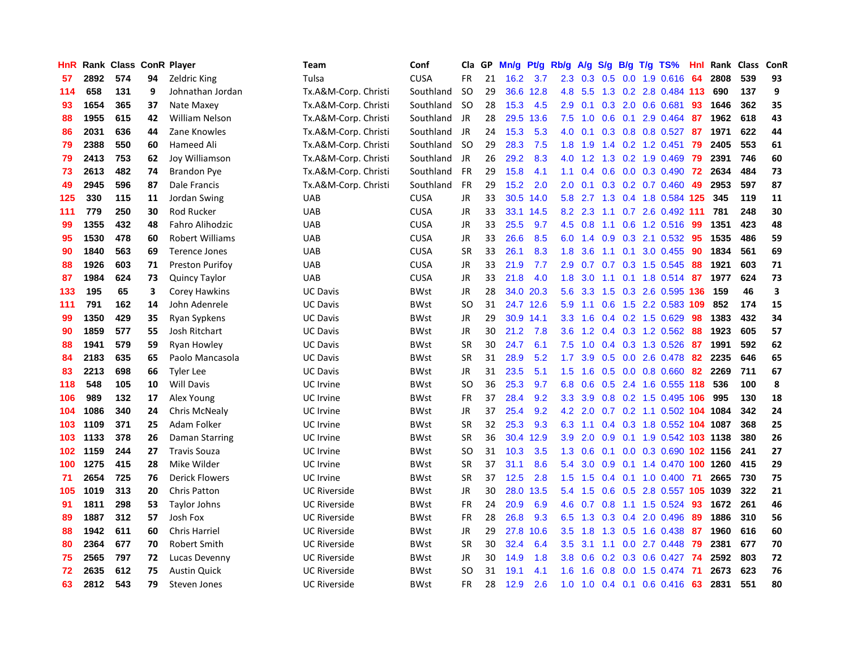| HnR |      | Rank Class ConR Player |    |                        | Team                 | Conf        | Cla           | <b>GP</b> | Mn/g | <b>Pt/g</b> | Rb/g             | A/g       |                  |  | S/g B/g T/g TS%                    | Hnl | Rank | <b>Class</b> | ConR |
|-----|------|------------------------|----|------------------------|----------------------|-------------|---------------|-----------|------|-------------|------------------|-----------|------------------|--|------------------------------------|-----|------|--------------|------|
| 57  | 2892 | 574                    | 94 | Zeldric King           | Tulsa                | <b>CUSA</b> | FR            | 21        | 16.2 | 3.7         | 2.3              | 0.3       | 0.5              |  | $0.0$ 1.9 $0.616$                  | 64  | 2808 | 539          | 93   |
| 114 | 658  | 131                    | 9  | Johnathan Jordan       | Tx.A&M-Corp. Christi | Southland   | <b>SO</b>     | 29        |      | 36.6 12.8   |                  | 4.8 5.5   |                  |  | 1.3 0.2 2.8 0.484 113              |     | 690  | 137          | 9    |
| 93  | 1654 | 365                    | 37 | Nate Maxey             | Tx.A&M-Corp. Christi | Southland   | <b>SO</b>     | 28        | 15.3 | 4.5         | 2.9              | 0.1       |                  |  | $0.3$ 2.0 0.6 0.681                | 93  | 1646 | 362          | 35   |
| 88  | 1955 | 615                    | 42 | <b>William Nelson</b>  | Tx.A&M-Corp. Christi | Southland   | JR            | 28        | 29.5 | 13.6        | 7.5              | 1.0       |                  |  | $0.6$ 0.1 2.9 0.464                | -87 | 1962 | 618          | 43   |
| 86  | 2031 | 636                    | 44 | Zane Knowles           | Tx.A&M-Corp. Christi | Southland   | JR            | 24        | 15.3 | 5.3         | 4.0              | 0.1       |                  |  | 0.3 0.8 0.8 0.527 87               |     | 1971 | 622          | 44   |
| 79  | 2388 | 550                    | 60 | Hameed Ali             | Tx.A&M-Corp. Christi | Southland   | <b>SO</b>     | 29        | 28.3 | 7.5         | 1.8              | 1.9       |                  |  | 1.4 0.2 1.2 0.451                  | 79  | 2405 | 553          | 61   |
| 79  | 2413 | 753                    | 62 | Joy Williamson         | Tx.A&M-Corp. Christi | Southland   | JR            | 26        | 29.2 | 8.3         | 4.0              | 1.2       |                  |  | 1.3 0.2 1.9 0.469                  | 79  | 2391 | 746          | 60   |
| 73  | 2613 | 482                    | 74 | Brandon Pye            | Tx.A&M-Corp. Christi | Southland   | <b>FR</b>     | 29        | 15.8 | 4.1         | 1.1              | 0.4       |                  |  | 0.6 0.0 0.3 0.490                  | 72  | 2634 | 484          | 73   |
| 49  | 2945 | 596                    | 87 | Dale Francis           | Tx.A&M-Corp. Christi | Southland   | <b>FR</b>     | 29        | 15.2 | 2.0         | 2.0              | 0.1       |                  |  | 0.3 0.2 0.7 0.460                  | 49  | 2953 | 597          | 87   |
| 125 | 330  | 115                    | 11 | Jordan Swing           | <b>UAB</b>           | <b>CUSA</b> | JR            | 33        | 30.5 | 14.0        | 5.8              |           |                  |  | 2.7 1.3 0.4 1.8 0.584 125          |     | 345  | 119          | 11   |
| 111 | 779  | 250                    | 30 | Rod Rucker             | <b>UAB</b>           | <b>CUSA</b> | JR            | 33        | 33.1 | 14.5        |                  | 8.2 2.3   |                  |  | 1.1 0.7 2.6 0.492 111              |     | 781  | 248          | 30   |
| 99  | 1355 | 432                    | 48 | Fahro Alihodzic        | <b>UAB</b>           | <b>CUSA</b> | JR            | 33        | 25.5 | 9.7         | 4.5              | 0.8       |                  |  | 1.1 0.6 1.2 0.516 99               |     | 1351 | 423          | 48   |
| 95  | 1530 | 478                    | 60 | <b>Robert Williams</b> | <b>UAB</b>           | <b>CUSA</b> | <b>JR</b>     | 33        | 26.6 | 8.5         | 6.0              | 1.4       | 0.9              |  | 0.3 2.1 0.532 95                   |     | 1535 | 486          | 59   |
| 90  | 1840 | 563                    | 69 | <b>Terence Jones</b>   | <b>UAB</b>           | <b>CUSA</b> | <b>SR</b>     | 33        | 26.1 | 8.3         | 1.8              | 3.6       |                  |  | 1.1 0.1 3.0 0.455                  | 90  | 1834 | 561          | 69   |
| 88  | 1926 | 603                    | 71 | <b>Preston Purifoy</b> | <b>UAB</b>           | <b>CUSA</b> | JR            | 33        | 21.9 | 7.7         | 2.9              | 0.7       |                  |  | 0.7 0.3 1.5 0.545                  | 88  | 1921 | 603          | 71   |
| 87  | 1984 | 624                    | 73 | Quincy Taylor          | <b>UAB</b>           | <b>CUSA</b> | JR            | 33        | 21.8 | 4.0         | 1.8              | 3.0       |                  |  | 1.1 0.1 1.8 0.514 87               |     | 1977 | 624          | 73   |
| 133 | 195  | 65                     | 3  | Corey Hawkins          | <b>UC Davis</b>      | <b>BWst</b> | JR            | 28        | 34.0 | 20.3        | 5.6              | 3.3       | 1.5              |  | 0.3 2.6 0.595 136                  |     | 159  | 46           | 3    |
| 111 | 791  | 162                    | 14 | John Adenrele          | <b>UC Davis</b>      | <b>BWst</b> | <sub>SO</sub> | 31        |      | 24.7 12.6   | 5.9              | 1.1       | 0.6              |  | 1.5 2.2 0.583 109                  |     | 852  | 174          | 15   |
| 99  | 1350 | 429                    | 35 | Ryan Sypkens           | <b>UC Davis</b>      | <b>BWst</b> | JR            | 29        |      | 30.9 14.1   | 3.3              |           |                  |  | 1.6 0.4 0.2 1.5 0.629 98           |     | 1383 | 432          | 34   |
| 90  | 1859 | 577                    | 55 | Josh Ritchart          | <b>UC Davis</b>      | <b>BWst</b> | JR            | 30        | 21.2 | 7.8         | 3.6              | 1.2       |                  |  | 0.4 0.3 1.2 0.562 88               |     | 1923 | 605          | 57   |
| 88  | 1941 | 579                    | 59 | Ryan Howley            | <b>UC Davis</b>      | <b>BWst</b> | <b>SR</b>     | 30        | 24.7 | 6.1         | 7.5              | 1.0       |                  |  | 0.4 0.3 1.3 0.526                  | 87  | 1991 | 592          | 62   |
| 84  | 2183 | 635                    | 65 | Paolo Mancasola        | <b>UC Davis</b>      | <b>BWst</b> | <b>SR</b>     | 31        | 28.9 | 5.2         | 1.7              | 3.9       |                  |  | 0.5 0.0 2.6 0.478 82               |     | 2235 | 646          | 65   |
| 83  | 2213 | 698                    | 66 | <b>Tyler Lee</b>       | <b>UC Davis</b>      | <b>BWst</b> | JR            | 31        | 23.5 | 5.1         | 1.5              | 1.6       |                  |  | 0.5 0.0 0.8 0.660                  | 82  | 2269 | 711          | 67   |
| 118 | 548  | 105                    | 10 | <b>Will Davis</b>      | UC Irvine            | <b>BWst</b> | <b>SO</b>     | 36        | 25.3 | 9.7         | 6.8              | 0.6       |                  |  | $0.5$ 2.4 1.6 0.555 118            |     | 536  | 100          | 8    |
| 106 | 989  | 132                    | 17 | Alex Young             | UC Irvine            | <b>BWst</b> | FR            | 37        | 28.4 | 9.2         | 3.3              | 3.9       |                  |  | 0.8 0.2 1.5 0.495 106              |     | 995  | 130          | 18   |
| 104 | 1086 | 340                    | 24 | Chris McNealy          | UC Irvine            | <b>BWst</b> | JR            | 37        | 25.4 | 9.2         |                  | $4.2$ 2.0 |                  |  | 0.7 0.2 1.1 0.502 104 1084         |     |      | 342          | 24   |
| 103 | 1109 | 371                    | 25 | Adam Folker            | UC Irvine            | <b>BWst</b> | <b>SR</b>     | 32        | 25.3 | 9.3         |                  |           |                  |  | 6.3 1.1 0.4 0.3 1.8 0.552 104 1087 |     |      | 368          | 25   |
| 103 | 1133 | 378                    | 26 | Daman Starring         | UC Irvine            | <b>BWst</b> | <b>SR</b>     | 36        | 30.4 | 12.9        | 3.9              | 2.0       |                  |  | 0.9 0.1 1.9 0.542 103 1138         |     |      | 380          | 26   |
| 102 | 1159 | 244                    | 27 | <b>Travis Souza</b>    | UC Irvine            | <b>BWst</b> | SO            | 31        | 10.3 | 3.5         | 1.3              | 0.6       |                  |  | 0.1 0.0 0.3 0.690 102 1156         |     |      | 241          | 27   |
| 100 | 1275 | 415                    | 28 | Mike Wilder            | UC Irvine            | <b>BWst</b> | <b>SR</b>     | 37        | 31.1 | 8.6         | 5.4              | 3.0       | 0.9 <sub>0</sub> |  | 0.1 1.4 0.470 100 1260             |     |      | 415          | 29   |
| 71  | 2654 | 725                    | 76 | <b>Derick Flowers</b>  | UC Irvine            | <b>BWst</b> | <b>SR</b>     | 37        | 12.5 | 2.8         | 1.5              | 1.5       |                  |  | $0.4$ 0.1 1.0 0.400                | -71 | 2665 | 730          | 75   |
| 105 | 1019 | 313                    | 20 | <b>Chris Patton</b>    | <b>UC Riverside</b>  | <b>BWst</b> | JR            | 30        | 28.0 | 13.5        | 5.4              | 1.5       | 0.6              |  | 0.5 2.8 0.557 105 1039             |     |      | 322          | 21   |
| 91  | 1811 | 298                    | 53 | <b>Taylor Johns</b>    | <b>UC Riverside</b>  | <b>BWst</b> | FR            | 24        | 20.9 | 6.9         | 4.6              | 0.7       | 0.8              |  | 1.1 1.5 0.524                      | -93 | 1672 | 261          | 46   |
| 89  | 1887 | 312                    | 57 | Josh Fox               | <b>UC Riverside</b>  | <b>BWst</b> | FR            | 28        | 26.8 | 9.3         | 6.5              | 1.3       | 0.3              |  | 0.4 2.0 0.496                      | -89 | 1886 | 310          | 56   |
| 88  | 1942 | 611                    | 60 | <b>Chris Harriel</b>   | <b>UC Riverside</b>  | <b>BWst</b> | JR            | 29        | 27.8 | 10.6        | 3.5              | 1.8       |                  |  | 1.3 0.5 1.6 0.438 87               |     | 1960 | 616          | 60   |
| 80  | 2364 | 677                    | 70 | Robert Smith           | <b>UC Riverside</b>  | <b>BWst</b> | <b>SR</b>     | 30        | 32.4 | 6.4         | 3.5              | 3.1       |                  |  | 1.1 0.0 2.7 0.448 79               |     | 2381 | 677          | 70   |
| 75  | 2565 | 797                    | 72 | Lucas Devenny          | <b>UC Riverside</b>  | <b>BWst</b> | JR            | 30        | 14.9 | 1.8         | 3.8 <sub>2</sub> | 0.6       |                  |  | 0.2 0.3 0.6 0.427 74               |     | 2592 | 803          | 72   |
| 72  | 2635 | 612                    | 75 | <b>Austin Quick</b>    | <b>UC Riverside</b>  | <b>BWst</b> | <b>SO</b>     | 31        | 19.1 | 4.1         | 1.6              | 1.6       | 0.8              |  | 0.0 1.5 0.474                      | -71 | 2673 | 623          | 76   |
| 63  | 2812 | 543                    | 79 | Steven Jones           | <b>UC Riverside</b>  | <b>BWst</b> | FR            | 28        | 12.9 | 2.6         | 1.0              |           |                  |  | 1.0 0.4 0.1 0.6 0.416              | 63  | 2831 | 551          | 80   |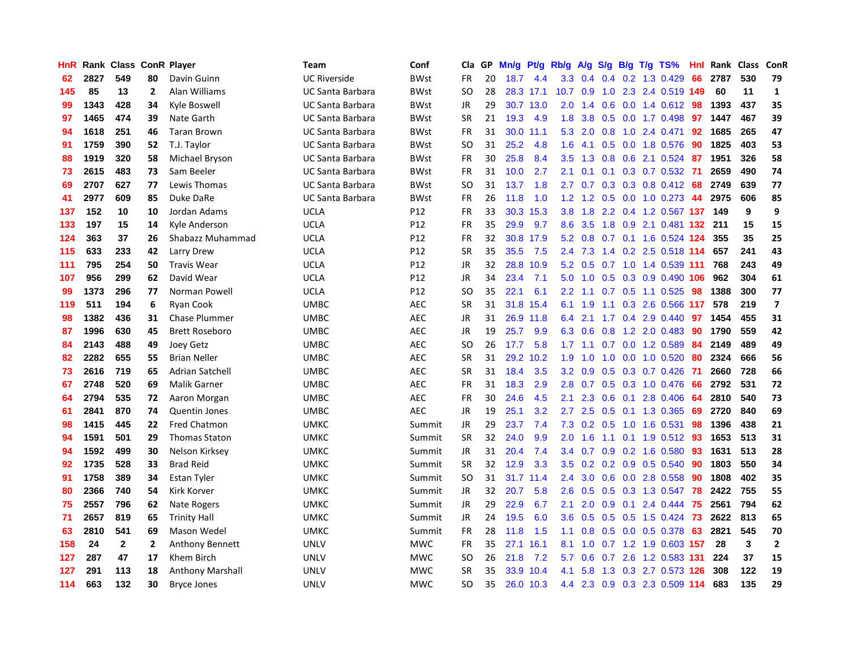| HnR |      | Rank Class ConR Player |                |                         | Team                    | Conf        | Cla           | GP | Mn/g | <b>Pt/g</b> | Rb/g          | A/g             |     |     | $S/g$ B/g T/g TS%         | Hnl |      | Rank Class | ConR                    |
|-----|------|------------------------|----------------|-------------------------|-------------------------|-------------|---------------|----|------|-------------|---------------|-----------------|-----|-----|---------------------------|-----|------|------------|-------------------------|
| 62  | 2827 | 549                    | 80             | Davin Guinn             | <b>UC Riverside</b>     | <b>BWst</b> | <b>FR</b>     | 20 | 18.7 | 4.4         | 3.3           | 0.4             | 0.4 |     | 0.2 1.3 0.429             | 66  | 2787 | 530        | 79                      |
| 145 | 85   | 13                     | $\mathbf{2}$   | Alan Williams           | <b>UC Santa Barbara</b> | <b>BWst</b> | SO            | 28 |      | 28.3 17.1   | 10.7          | 0.9             |     |     | 1.0 2.3 2.4 0.519 149     |     | 60   | 11         | 1                       |
| 99  | 1343 | 428                    | 34             | Kyle Boswell            | UC Santa Barbara        | BWst        | JR            | 29 |      | 30.7 13.0   | 2.0           | 1.4             |     |     | 0.6 0.0 1.4 0.612 98      |     | 1393 | 437        | 35                      |
| 97  | 1465 | 474                    | 39             | Nate Garth              | <b>UC Santa Barbara</b> | <b>BWst</b> | <b>SR</b>     | 21 | 19.3 | 4.9         | 1.8           | 3.8             |     |     | $0.5$ 0.0 1.7 0.498       | 97  | 1447 | 467        | 39                      |
| 94  | 1618 | 251                    | 46             | <b>Taran Brown</b>      | <b>UC Santa Barbara</b> | <b>BWst</b> | FR            | 31 | 30.0 | 11.1        | 5.3           | 2.0             | 0.8 |     | 1.0 2.4 0.471             | 92  | 1685 | 265        | 47                      |
| 91  | 1759 | 390                    | 52             | T.J. Taylor             | <b>UC Santa Barbara</b> | <b>BWst</b> | <b>SO</b>     | 31 | 25.2 | 4.8         | 1.6           | 4.1             | 0.5 |     | 0.0 1.8 0.576             | 90  | 1825 | 403        | 53                      |
| 88  | 1919 | 320                    | 58             | Michael Bryson          | <b>UC Santa Barbara</b> | <b>BWst</b> | FR            | 30 | 25.8 | 8.4         | 3.5           | 1.3             | 0.8 |     | 0.6 2.1 0.524             | 87  | 1951 | 326        | 58                      |
| 73  | 2615 | 483                    | 73             | Sam Beeler              | <b>UC Santa Barbara</b> | <b>BWst</b> | <b>FR</b>     | 31 | 10.0 | 2.7         | 2.1           | 0.1             |     |     | $0.1$ $0.3$ $0.7$ $0.532$ | 71  | 2659 | 490        | 74                      |
| 69  | 2707 | 627                    | 77             | Lewis Thomas            | <b>UC Santa Barbara</b> | <b>BWst</b> | <sub>SO</sub> | 31 | 13.7 | 1.8         | 2.7           | 0.7             | 0.3 |     | 0.3 0.8 0.412 68          |     | 2749 | 639        | 77                      |
| 41  | 2977 | 609                    | 85             | Duke DaRe               | <b>UC Santa Barbara</b> | <b>BWst</b> | <b>FR</b>     | 26 | 11.8 | 1.0         | 1.2           | 1.2             |     |     | 0.5 0.0 1.0 0.273 44      |     | 2975 | 606        | 85                      |
| 137 | 152  | 10                     | 10             | Jordan Adams            | UCLA                    | P12         | <b>FR</b>     | 33 |      | 30.3 15.3   | 3.8           | 1.8             |     |     | 2.2 0.4 1.2 0.567 137 149 |     |      | 9          | 9                       |
| 133 | 197  | 15                     | 14             | Kyle Anderson           | <b>UCLA</b>             | P12         | <b>FR</b>     | 35 | 29.9 | 9.7         | 8.6           | 3.5             |     |     | 1.8 0.9 2.1 0.481 132 211 |     |      | 15         | 15                      |
| 124 | 363  | 37                     | 26             | Shabazz Muhammad        | <b>UCLA</b>             | P12         | <b>FR</b>     | 32 | 30.8 | 17.9        | 5.2           | 0.8             |     |     | 0.7 0.1 1.6 0.524 124     |     | 355  | 35         | 25                      |
| 115 | 633  | 233                    | 42             | Larry Drew              | <b>UCLA</b>             | P12         | <b>SR</b>     | 35 | 35.5 | 7.5         | 2.4           | 7.3             |     |     | 1.4 0.2 2.5 0.518 114     |     | 657  | 241        | 43                      |
| 111 | 795  | 254                    | 50             | <b>Travis Wear</b>      | <b>UCLA</b>             | P12         | JR            | 32 | 28.8 | 10.9        | 5.2           | 0.5             |     |     | 0.7 1.0 1.4 0.539 111     |     | 768  | 243        | 49                      |
| 107 | 956  | 299                    | 62             | David Wear              | <b>UCLA</b>             | P12         | JR            | 34 | 23.4 | 7.1         | 5.0           | 1.0             |     |     | 0.5 0.3 0.9 0.490 106     |     | 962  | 304        | 61                      |
| 99  | 1373 | 296                    | 77             | Norman Powell           | <b>UCLA</b>             | P12         | SO            | 35 | 22.1 | 6.1         | $2.2^{\circ}$ | 1.1             |     |     | $0.7$ $0.5$ 1.1 $0.525$   | -98 | 1388 | 300        | 77                      |
| 119 | 511  | 194                    | 6              | <b>Ryan Cook</b>        | <b>UMBC</b>             | <b>AEC</b>  | <b>SR</b>     | 31 | 31.8 | 15.4        | 6.1           | 1.9             | 1.1 |     | 0.3 2.6 0.566 117         |     | 578  | 219        | $\overline{\mathbf{z}}$ |
| 98  | 1382 | 436                    | 31             | <b>Chase Plummer</b>    | <b>UMBC</b>             | <b>AEC</b>  | JR            | 31 |      | 26.9 11.8   | 6.4           | 2.1             |     |     | 1.7 0.4 2.9 0.440         | 97  | 1454 | 455        | 31                      |
| 87  | 1996 | 630                    | 45             | <b>Brett Roseboro</b>   | <b>UMBC</b>             | <b>AEC</b>  | JR            | 19 | 25.7 | 9.9         | 6.3           | 0.6             |     |     | 0.8 1.2 2.0 0.483 90      |     | 1790 | 559        | 42                      |
| 84  | 2143 | 488                    | 49             | Joey Getz               | <b>UMBC</b>             | <b>AEC</b>  | SO            | 26 | 17.7 | 5.8         |               | $1.7 \quad 1.1$ |     |     | $0.7$ 0.0 1.2 0.589       | 84  | 2149 | 489        | 49                      |
| 82  | 2282 | 655                    | 55             | <b>Brian Neller</b>     | <b>UMBC</b>             | <b>AEC</b>  | <b>SR</b>     | 31 | 29.2 | 10.2        | 1.9           | 1.0             | 1.0 |     | $0.0$ 1.0 $0.520$         | 80  | 2324 | 666        | 56                      |
| 73  | 2616 | 719                    | 65             | Adrian Satchell         | <b>UMBC</b>             | <b>AEC</b>  | <b>SR</b>     | 31 | 18.4 | 3.5         | 3.2           | 0.9             |     |     | $0.5$ $0.3$ $0.7$ $0.426$ | -71 | 2660 | 728        | 66                      |
| 67  | 2748 | 520                    | 69             | <b>Malik Garner</b>     | <b>UMBC</b>             | <b>AEC</b>  | <b>FR</b>     | 31 | 18.3 | 2.9         | 2.8           | 0.7             |     |     | $0.5$ $0.3$ $1.0$ $0.476$ | -66 | 2792 | 531        | 72                      |
| 64  | 2794 | 535                    | 72             | Aaron Morgan            | <b>UMBC</b>             | <b>AEC</b>  | <b>FR</b>     | 30 | 24.6 | 4.5         | 2.1           | 2.3             | 0.6 | 0.1 | 2.8 0.406                 | -64 | 2810 | 540        | 73                      |
| 61  | 2841 | 870                    | 74             | <b>Quentin Jones</b>    | <b>UMBC</b>             | <b>AEC</b>  | JR            | 19 | 25.1 | 3.2         | 2.7           | 2.5             |     |     | 0.5 0.1 1.3 0.365         | -69 | 2720 | 840        | 69                      |
| 98  | 1415 | 445                    | 22             | <b>Fred Chatmon</b>     | <b>UMKC</b>             | Summit      | JR            | 29 | 23.7 | 7.4         | 7.3           |                 |     |     | 0.2 0.5 1.0 1.6 0.531 98  |     | 1396 | 438        | 21                      |
| 94  | 1591 | 501                    | 29             | <b>Thomas Staton</b>    | UMKC                    | Summit      | <b>SR</b>     | 32 | 24.0 | 9.9         | 2.0           | 1.6             |     |     | 1.1 0.1 1.9 0.512 93      |     | 1653 | 513        | 31                      |
| 94  | 1592 | 499                    | 30             | Nelson Kirksey          | UMKC                    | Summit      | JR            | 31 | 20.4 | 7.4         | 3.4           | 0.7             |     |     | $0.9$ 0.2 1.6 0.580       | -93 | 1631 | 513        | 28                      |
| 92  | 1735 | 528                    | 33             | <b>Brad Reid</b>        | <b>UMKC</b>             | Summit      | <b>SR</b>     | 32 | 12.9 | 3.3         | 3.5           | 0.2             |     |     | 0.2 0.9 0.5 0.540         | 90  | 1803 | 550        | 34                      |
| 91  | 1758 | 389                    | 34             | Estan Tyler             | <b>UMKC</b>             | Summit      | <b>SO</b>     | 31 | 31.7 | 11.4        | 2.4           | 3.0             |     |     | $0.6$ $0.0$ 2.8 $0.558$   | 90  | 1808 | 402        | 35                      |
| 80  | 2366 | 740                    | 54             | Kirk Korver             | <b>UMKC</b>             | Summit      | JR            | 32 | 20.7 | 5.8         | 2.6           | 0.5             |     |     | 0.5 0.3 1.3 0.547         | 78  | 2422 | 755        | 55                      |
| 75  | 2557 | 796                    | 62             | Nate Rogers             | <b>UMKC</b>             | Summit      | JR            | 29 | 22.9 | 6.7         | 2.1           | 2.0             | 0.9 | 0.1 | 2.4 0.444                 | 75  | 2561 | 794        | 62                      |
| 71  | 2657 | 819                    | 65             | <b>Trinity Hall</b>     | <b>UMKC</b>             | Summit      | <b>JR</b>     | 24 | 19.5 | 6.0         | 3.6           | 0.5             | 0.5 |     | 0.5 1.5 0.424             | -73 | 2622 | 813        | 65                      |
| 63  | 2810 | 541                    | 69             | Mason Wedel             | UMKC                    | Summit      | FR            | 28 | 11.8 | 1.5         | 1.1           | 0.8             |     |     | 0.5 0.0 0.5 0.378         | 63  | 2821 | 545        | 70                      |
| 158 | 24   | 2                      | $\overline{2}$ | <b>Anthony Bennett</b>  | UNLV                    | <b>MWC</b>  | <b>FR</b>     | 35 | 27.1 | 16.1        | 8.1           | 1.0             |     |     | 0.7 1.2 1.9 0.603 157     |     | 28   | 3          | $\overline{2}$          |
| 127 | 287  | 47                     | 17             | Khem Birch              | <b>UNLV</b>             | <b>MWC</b>  | SO            | 26 | 21.8 | 7.2         | 5.7           | 0.6             |     |     | 0.7 2.6 1.2 0.583 131     |     | 224  | 37         | 15                      |
| 127 | 291  | 113                    | 18             | <b>Anthony Marshall</b> | UNLV                    | <b>MWC</b>  | <b>SR</b>     | 35 |      | 33.9 10.4   | 4.1           | 5.8             | 1.3 |     | 0.3 2.7 0.573 126         |     | 308  | 122        | 19                      |
| 114 | 663  | 132                    | 30             | <b>Bryce Jones</b>      | <b>UNLV</b>             | <b>MWC</b>  | SO            | 35 |      | 26.0 10.3   | 4.4           |                 |     |     | 2.3 0.9 0.3 2.3 0.509 114 |     | 683  | 135        | 29                      |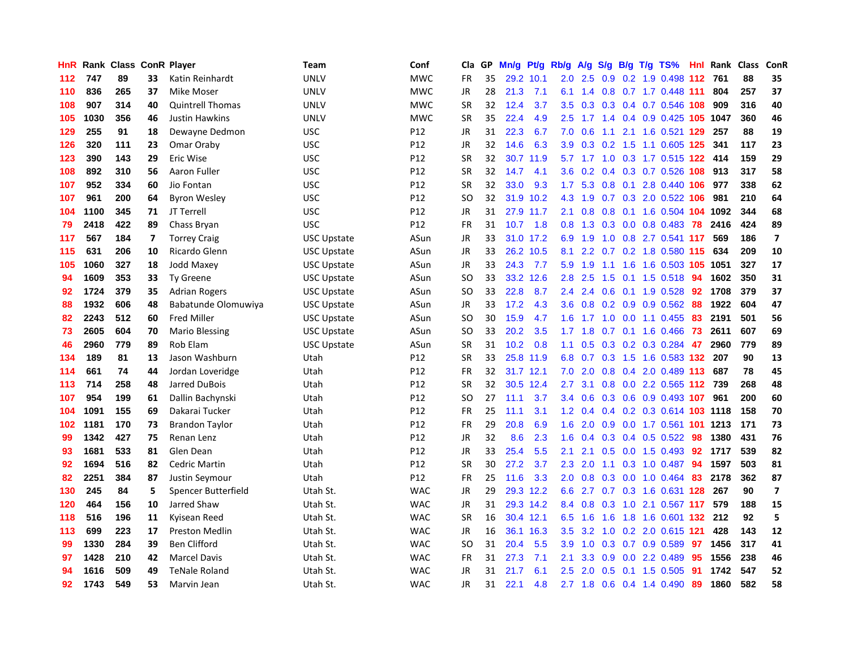| HnR |      | Rank Class ConR Player |    |                         | Team               | Conf       | Cla           | <b>GP</b> | Mn/g      | Pt/g      | Rb/g             | A/g       |     |  | S/g B/g T/g TS%                | Hnl | Rank | <b>Class</b> | <b>ConR</b>             |
|-----|------|------------------------|----|-------------------------|--------------------|------------|---------------|-----------|-----------|-----------|------------------|-----------|-----|--|--------------------------------|-----|------|--------------|-------------------------|
| 112 | 747  | 89                     | 33 | Katin Reinhardt         | <b>UNLV</b>        | <b>MWC</b> | <b>FR</b>     | 35        | 29.2 10.1 |           | 2.0              | 2.5       | 0.9 |  | 0.2 1.9 0.498 112 761          |     |      | 88           | 35                      |
| 110 | 836  | 265                    | 37 | <b>Mike Moser</b>       | UNLV               | <b>MWC</b> | JR            | 28        | 21.3      | 7.1       | 6.1              |           |     |  | 1.4 0.8 0.7 1.7 0.448 111      |     | 804  | 257          | 37                      |
| 108 | 907  | 314                    | 40 | <b>Quintrell Thomas</b> | <b>UNLV</b>        | <b>MWC</b> | <b>SR</b>     | 32        | 12.4      | 3.7       | 3.5              | 0.3       |     |  | 0.3 0.4 0.7 0.546 108          |     | 909  | 316          | 40                      |
| 105 | 1030 | 356                    | 46 | <b>Justin Hawkins</b>   | <b>UNLV</b>        | <b>MWC</b> | <b>SR</b>     | 35        | 22.4      | 4.9       | 2.5              |           |     |  | 1.7 1.4 0.4 0.9 0.425 105 1047 |     |      | 360          | 46                      |
| 129 | 255  | 91                     | 18 | Dewayne Dedmon          | <b>USC</b>         | P12        | <b>JR</b>     | 31        | 22.3      | 6.7       | 7.0              | 0.6       | 1.1 |  | 2.1 1.6 0.521 129              |     | 257  | 88           | 19                      |
| 126 | 320  | 111                    | 23 | Omar Oraby              | <b>USC</b>         | P12        | JR            | 32        | 14.6      | 6.3       | 3.9              | 0.3       |     |  | 0.2 1.5 1.1 0.605 125          |     | 341  | 117          | 23                      |
| 123 | 390  | 143                    | 29 | Eric Wise               | <b>USC</b>         | P12        | <b>SR</b>     | 32        | 30.7      | 11.9      |                  | $5.7$ 1.7 |     |  | 1.0 0.3 1.7 0.515 122          |     | 414  | 159          | 29                      |
| 108 | 892  | 310                    | 56 | Aaron Fuller            | <b>USC</b>         | P12        | <b>SR</b>     | 32        | 14.7      | 4.1       | 3.6              | 0.2       |     |  | 0.4 0.3 0.7 0.526 108          |     | 913  | 317          | 58                      |
| 107 | 952  | 334                    | 60 | Jio Fontan              | <b>USC</b>         | P12        | <b>SR</b>     | 32        | 33.0      | 9.3       | 1.7              | 5.3       | 0.8 |  | 0.1 2.8 0.440 106              |     | 977  | 338          | 62                      |
| 107 | 961  | 200                    | 64 | <b>Byron Wesley</b>     | <b>USC</b>         | P12        | <sub>SO</sub> | 32        |           | 31.9 10.2 |                  | 4.3 1.9   |     |  | 0.7 0.3 2.0 0.522 106          |     | 981  | 210          | 64                      |
| 104 | 1100 | 345                    | 71 | JT Terrell              | <b>USC</b>         | P12        | <b>JR</b>     | 31        |           | 27.9 11.7 | 2.1              | 0.8       |     |  | 0.8 0.1 1.6 0.504 104 1092     |     |      | 344          | 68                      |
| 79  | 2418 | 422                    | 89 | Chass Bryan             | <b>USC</b>         | P12        | <b>FR</b>     | 31        | 10.7      | 1.8       | 0.8              | 1.3       |     |  | 0.3 0.0 0.8 0.483 78           |     | 2416 | 424          | 89                      |
| 117 | 567  | 184                    | 7  | <b>Torrey Craig</b>     | <b>USC Upstate</b> | ASun       | <b>JR</b>     | 33        |           | 31.0 17.2 | 6.9              | 1.9       | 1.0 |  | 0.8 2.7 0.541 117              |     | 569  | 186          | $\overline{7}$          |
| 115 | 631  | 206                    | 10 | Ricardo Glenn           | <b>USC Upstate</b> | ASun       | JR            | 33        |           | 26.2 10.5 | 8.1              | 2.2       |     |  | 0.7 0.2 1.8 0.580 115          |     | 634  | 209          | 10                      |
| 105 | 1060 | 327                    | 18 | <b>Jodd Maxey</b>       | <b>USC Upstate</b> | ASun       | JR            | 33        | 24.3      | 7.7       | 5.9              | 1.9       |     |  | 1.1 1.6 1.6 0.503 105          |     | 1051 | 327          | 17                      |
| 94  | 1609 | 353                    | 33 | <b>Ty Greene</b>        | USC Upstate        | ASun       | SO            | 33        | 33.2      | 12.6      | 2.8              | 2.5       | 1.5 |  | $0.1$ 1.5 0.518                | -94 | 1602 | 350          | 31                      |
| 92  | 1724 | 379                    | 35 | <b>Adrian Rogers</b>    | <b>USC Upstate</b> | ASun       | SO            | 33        | 22.8      | 8.7       | $2.4^{\circ}$    | 2.4       | 0.6 |  | $0.1$ 1.9 0.528                | 92  | 1708 | 379          | 37                      |
| 88  | 1932 | 606                    | 48 | Babatunde Olomuwiya     | <b>USC Upstate</b> | ASun       | JR            | 33        | 17.2      | 4.3       | 3.6              | 0.8       |     |  | $0.2$ 0.9 0.9 0.562 88         |     | 1922 | 604          | 47                      |
| 82  | 2243 | 512                    | 60 | <b>Fred Miller</b>      | <b>USC Upstate</b> | ASun       | <sub>SO</sub> | 30        | 15.9      | 4.7       |                  |           |     |  | 1.6 1.7 1.0 0.0 1.1 0.455      | 83  | 2191 | 501          | 56                      |
| 73  | 2605 | 604                    | 70 | Mario Blessing          | <b>USC Upstate</b> | ASun       | SO            | 33        | 20.2      | 3.5       |                  | $1.7$ 1.8 |     |  | 0.7 0.1 1.6 0.466 73           |     | 2611 | 607          | 69                      |
| 46  | 2960 | 779                    | 89 | Rob Elam                | <b>USC Upstate</b> | ASun       | <b>SR</b>     | 31        | 10.2      | 0.8       | 1.1              | 0.5       |     |  | $0.3$ 0.2 0.3 0.284            | -47 | 2960 | 779          | 89                      |
| 134 | 189  | 81                     | 13 | Jason Washburn          | Utah               | P12        | <b>SR</b>     | 33        | 25.8      | 11.9      | 6.8              | 0.7       |     |  | 0.3 1.5 1.6 0.583 132          |     | 207  | 90           | 13                      |
| 114 | 661  | 74                     | 44 | Jordan Loveridge        | Utah               | P12        | <b>FR</b>     | 32        | 31.7 12.1 |           | 7.0              | 2.0       |     |  | 0.8 0.4 2.0 0.489 113          |     | 687  | 78           | 45                      |
| 113 | 714  | 258                    | 48 | Jarred DuBois           | Utah               | P12        | <b>SR</b>     | 32        | 30.5      | 12.4      | 2.7              | 3.1       | 0.8 |  | 0.0 2.2 0.565 112 739          |     |      | 268          | 48                      |
| 107 | 954  | 199                    | 61 | Dallin Bachynski        | Utah               | P12        | <sub>SO</sub> | 27        | 11.1      | 3.7       | $3.4^{\circ}$    | 0.6       |     |  | 0.3 0.6 0.9 0.493 107          |     | 961  | 200          | 60                      |
| 104 | 1091 | 155                    | 69 | Dakarai Tucker          | Utah               | P12        | <b>FR</b>     | 25        | 11.1      | 3.1       | 1.2 <sub>1</sub> | 0.4       |     |  | 0.4 0.2 0.3 0.614 103 1118     |     |      | 158          | 70                      |
| 102 | 1181 | 170                    | 73 | <b>Brandon Taylor</b>   | Utah               | P12        | <b>FR</b>     | 29        | 20.8      | 6.9       | 1.6              | 2.0       |     |  | 0.9 0.0 1.7 0.561 101 1213     |     |      | 171          | 73                      |
| 99  | 1342 | 427                    | 75 | Renan Lenz              | Utah               | P12        | JR            | 32        | 8.6       | 2.3       | 1.6              | 0.4       |     |  | 0.3 0.4 0.5 0.522 98           |     | 1380 | 431          | 76                      |
| 93  | 1681 | 533                    | 81 | Glen Dean               | Utah               | P12        | JR            | 33        | 25.4      | 5.5       | 2.1              | 2.1       |     |  | $0.5$ 0.0 1.5 0.493            | 92  | 1717 | 539          | 82                      |
| 92  | 1694 | 516                    | 82 | <b>Cedric Martin</b>    | Utah               | P12        | <b>SR</b>     | 30        | 27.2      | 3.7       | 2.3              | 2.0       | 1.1 |  | $0.3$ 1.0 0.487                | -94 | 1597 | 503          | 81                      |
| 82  | 2251 | 384                    | 87 | Justin Seymour          | Utah               | P12        | FR            | 25        | 11.6      | 3.3       | 2.0              | 0.8       |     |  | $0.3$ 0.0 1.0 0.464            | 83  | 2178 | 362          | 87                      |
| 130 | 245  | 84                     | 5  | Spencer Butterfield     | Utah St.           | <b>WAC</b> | JR            | 29        |           | 29.3 12.2 | 6.6              | 2.7       |     |  | 0.7 0.3 1.6 0.631 128          |     | 267  | 90           | $\overline{\mathbf{z}}$ |
| 120 | 464  | 156                    | 10 | Jarred Shaw             | Utah St.           | <b>WAC</b> | JR            | 31        |           | 29.3 14.2 | 8.4              | 0.8       | 0.3 |  | 1.0 2.1 0.567 117              |     | 579  | 188          | 15                      |
| 118 | 516  | 196                    | 11 | Kyisean Reed            | Utah St.           | <b>WAC</b> | <b>SR</b>     | 16        |           | 30.4 12.1 | 6.5              | 1.6       | 1.6 |  | 1.8 1.6 0.601 132 212          |     |      | 92           | 5                       |
| 113 | 699  | 223                    | 17 | Preston Medlin          | Utah St.           | <b>WAC</b> | JR            | 16        |           | 36.1 16.3 | 3.5              |           |     |  | 3.2 1.0 0.2 2.0 0.615 121      |     | 428  | 143          | 12                      |
| 99  | 1330 | 284                    | 39 | <b>Ben Clifford</b>     | Utah St.           | <b>WAC</b> | <sub>SO</sub> | 31        | 20.4      | 5.5       | 3.9              | 1.0       |     |  | $0.3$ 0.7 0.9 0.589            | 97  | 1456 | 317          | 41                      |
| 97  | 1428 | 210                    | 42 | <b>Marcel Davis</b>     | Utah St.           | <b>WAC</b> | FR            | 31        | 27.3      | 7.1       | 2.1              | 3.3       | 0.9 |  | 0.0 2.2 0.489                  | 95  | 1556 | 238          | 46                      |
| 94  | 1616 | 509                    | 49 | <b>TeNale Roland</b>    | Utah St.           | <b>WAC</b> | JR            | 31        | 21.7      | 6.1       | $2.5\,$          | 2.0       | 0.5 |  | $0.1$ 1.5 0.505                | 91  | 1742 | 547          | 52                      |
| 92  | 1743 | 549                    | 53 | Marvin Jean             | Utah St.           | <b>WAC</b> | <b>JR</b>     | 31        | 22.1      | 4.8       |                  | $2.7$ 1.8 |     |  | 0.6 0.4 1.4 0.490              | 89  | 1860 | 582          | 58                      |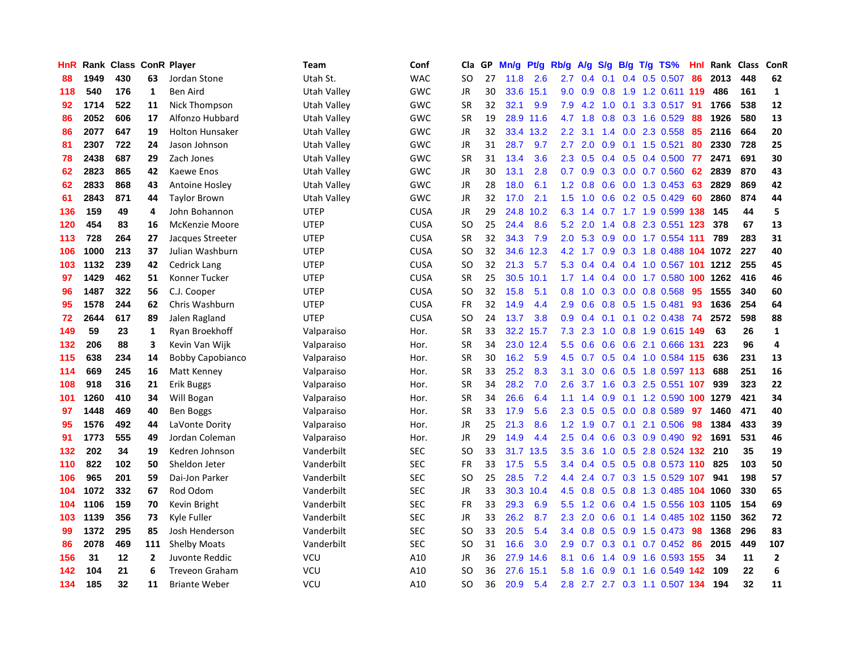| HnR |      | Rank Class ConR Player |              |                         | Team        | Conf        | Cla           | <b>GP</b> | Mn/g | <b>Pt/g</b> | Rb/g             | A/g            | S/g              |     | $B/g$ T/g TS%                       | Hnl | Rank  | <b>Class</b> | ConR           |
|-----|------|------------------------|--------------|-------------------------|-------------|-------------|---------------|-----------|------|-------------|------------------|----------------|------------------|-----|-------------------------------------|-----|-------|--------------|----------------|
| 88  | 1949 | 430                    | 63           | Jordan Stone            | Utah St.    | <b>WAC</b>  | SO            | 27        | 11.8 | 2.6         | 2.7              | 0.4            | 0.1              |     | $0.4$ 0.5 0.507                     | 86  | 2013  | 448          | 62             |
| 118 | 540  | 176                    | 1            | Ben Aird                | Utah Valley | GWC         | JR            | 30        | 33.6 | 15.1        |                  | $9.0\quad 0.9$ |                  |     | 0.8 1.9 1.2 0.611 119               |     | 486   | 161          | $\mathbf{1}$   |
| 92  | 1714 | 522                    | 11           | <b>Nick Thompson</b>    | Utah Valley | GWC         | <b>SR</b>     | 32        | 32.1 | 9.9         | 7.9              | 4.2            | 1.0              |     | 0.1 3.3 0.517 91                    |     | 1766  | 538          | 12             |
| 86  | 2052 | 606                    | 17           | Alfonzo Hubbard         | Utah Valley | GWC         | <b>SR</b>     | 19        |      | 28.9 11.6   |                  | 4.7 1.8        | 0.8              |     | 0.3 1.6 0.529                       | 88  | 1926  | 580          | 13             |
| 86  | 2077 | 647                    | 19           | <b>Holton Hunsaker</b>  | Utah Valley | GWC         | <b>JR</b>     | 32        | 33.4 | 13.2        | 2.2              | 3.1            |                  |     | 1.4 0.0 2.3 0.558                   | 85  | 2116  | 664          | 20             |
| 81  | 2307 | 722                    | 24           | Jason Johnson           | Utah Valley | GWC         | JR            | 31        | 28.7 | 9.7         | 2.7              | 2.0            | 0.9              |     | 0.1 1.5 0.521                       | 80  | 2330  | 728          | 25             |
| 78  | 2438 | 687                    | 29           | Zach Jones              | Utah Valley | GWC         | <b>SR</b>     | 31        | 13.4 | 3.6         | 2.3              | 0.5            |                  |     | $0.4$ 0.5 0.4 0.500                 | 77  | 2471  | 691          | 30             |
| 62  | 2823 | 865                    | 42           | Kaewe Enos              | Utah Valley | GWC         | JR            | 30        | 13.1 | 2.8         | 0.7              | 0.9            |                  |     | 0.3 0.0 0.7 0.560                   | 62  | 2839  | 870          | 43             |
| 62  | 2833 | 868                    | 43           | Antoine Hosley          | Utah Valley | GWC         | JR            | 28        | 18.0 | 6.1         | 1.2              | 0.8            | 0.6              |     | $0.0$ 1.3 0.453                     | 63  | 2829  | 869          | 42             |
| 61  | 2843 | 871                    | 44           | <b>Taylor Brown</b>     | Utah Valley | GWC         | JR            | 32        | 17.0 | 2.1         | 1.5              | 1.0            |                  |     | $0.6$ $0.2$ $0.5$ $0.429$           | 60  | 2860  | 874          | 44             |
| 136 | 159  | 49                     | 4            | John Bohannon           | <b>UTEP</b> | <b>CUSA</b> | <b>JR</b>     | 29        | 24.8 | 10.2        | 6.3              | 1.4            |                  |     | 0.7 1.7 1.9 0.599 138               |     | - 145 | 44           | 5              |
| 120 | 454  | 83                     | 16           | McKenzie Moore          | <b>UTEP</b> | <b>CUSA</b> | <sub>SO</sub> | 25        | 24.4 | 8.6         | 5.2              | 2.0            |                  |     | 1.4 0.8 2.3 0.551 123               |     | 378   | 67           | 13             |
| 113 | 728  | 264                    | 27           | Jacques Streeter        | <b>UTEP</b> | <b>CUSA</b> | <b>SR</b>     | 32        | 34.3 | 7.9         | 2.0              | 5.3            | 0.9              |     | 0.0 1.7 0.554 111                   |     | 789   | 283          | 31             |
| 106 | 1000 | 213                    | 37           | Julian Washburn         | <b>UTEP</b> | <b>CUSA</b> | SO            | 32        | 34.6 | 12.3        | 4.2              | 1.7            | 0.9 <sub>0</sub> |     | 0.3 1.8 0.488 104 1072              |     |       | 227          | 40             |
| 103 | 1132 | 239                    | 42           | <b>Cedrick Lang</b>     | <b>UTEP</b> | <b>CUSA</b> | SO.           | 32        | 21.3 | 5.7         | 5.3              | 0.4            |                  |     | 0.4 0.4 1.0 0.567 101               |     | 1212  | 255          | 45             |
| 97  | 1429 | 462                    | 51           | Konner Tucker           | <b>UTEP</b> | <b>CUSA</b> | SR            | 25        | 30.5 | 10.1        |                  | $1.7$ 1.4      |                  |     | 0.4 0.0 1.7 0.580 100 1262          |     |       | 416          | 46             |
| 96  | 1487 | 322                    | 56           | C.J. Cooper             | <b>UTEP</b> | <b>CUSA</b> | <sub>SO</sub> | 32        | 15.8 | 5.1         | 0.8              | 1.0            | 0.3              |     | $0.0$ 0.8 0.568                     | 95  | 1555  | 340          | 60             |
| 95  | 1578 | 244                    | 62           | Chris Washburn          | <b>UTEP</b> | <b>CUSA</b> | <b>FR</b>     | 32        | 14.9 | 4.4         | 2.9              | 0.6            |                  |     | $0.8$ 0.5 1.5 0.481                 | 93  | 1636  | 254          | 64             |
| 72  | 2644 | 617                    | 89           | Jalen Ragland           | <b>UTEP</b> | <b>CUSA</b> | SO            | 24        | 13.7 | 3.8         | 0.9 <sup>°</sup> |                |                  |     | 0.4 0.1 0.1 0.2 0.438 74            |     | 2572  | 598          | 88             |
| 149 | 59   | 23                     | 1            | Ryan Broekhoff          | Valparaiso  | Hor.        | <b>SR</b>     | 33        |      | 32.2 15.7   | 7.3              | 2.3            |                  |     | 1.0 0.8 1.9 0.615 149               |     | 63    | 26           | $\mathbf{1}$   |
| 132 | 206  | 88                     | 3            | Kevin Van Wijk          | Valparaiso  | Hor.        | SR            | 34        | 23.0 | 12.4        | 5.5              | 0.6            | 0.6              |     | 0.6 2.1 0.666 131                   |     | 223   | 96           | $\overline{a}$ |
| 115 | 638  | 234                    | 14           | <b>Bobby Capobianco</b> | Valparaiso  | Hor.        | <b>SR</b>     | 30        | 16.2 | 5.9         | 4.5              | 0.7            |                  |     | $0.5$ 0.4 1.0 0.584 115             |     | 636   | 231          | 13             |
| 114 | 669  | 245                    | 16           | Matt Kenney             | Valparaiso  | Hor.        | <b>SR</b>     | 33        | 25.2 | 8.3         | 3.1              | 3.0            | 0.6              |     | 0.5 1.8 0.597 113                   |     | 688   | 251          | 16             |
| 108 | 918  | 316                    | 21           | Erik Buggs              | Valparaiso  | Hor.        | <b>SR</b>     | 34        | 28.2 | 7.0         | 2.6              | 3.7            | 1.6              |     | 0.3 2.5 0.551 107                   |     | 939   | 323          | 22             |
| 101 | 1260 | 410                    | 34           | Will Bogan              | Valparaiso  | Hor.        | <b>SR</b>     | 34        | 26.6 | 6.4         | 1.1              | 1.4            | 0.9              |     | 0.1 1.2 0.590 100 1279              |     |       | 421          | 34             |
| 97  | 1448 | 469                    | 40           | <b>Ben Boggs</b>        | Valparaiso  | Hor.        | <b>SR</b>     | 33        | 17.9 | 5.6         | 2.3              | 0.5            |                  |     | $0.5$ 0.0 0.8 0.589                 | 97  | 1460  | 471          | 40             |
| 95  | 1576 | 492                    | 44           | LaVonte Dority          | Valparaiso  | Hor.        | <b>JR</b>     | 25        | 21.3 | 8.6         | $1.2^{\circ}$    | 1.9            |                  |     | 0.7 0.1 2.1 0.506 98                |     | 1384  | 433          | 39             |
| 91  | 1773 | 555                    | 49           | Jordan Coleman          | Valparaiso  | Hor.        | JR            | 29        | 14.9 | 4.4         | $2.5^{\circ}$    | 0.4            |                  |     | $0.6$ $0.3$ $0.9$ $0.490$ <b>92</b> |     | 1691  | 531          | 46             |
| 132 | 202  | 34                     | 19           | Kedren Johnson          | Vanderbilt  | <b>SEC</b>  | <b>SO</b>     | 33        | 31.7 | 13.5        | 3.5              | 3.6            |                  |     | 1.0 0.5 2.8 0.524 132 210           |     |       | 35           | 19             |
| 110 | 822  | 102                    | 50           | Sheldon Jeter           | Vanderbilt  | <b>SEC</b>  | FR            | 33        | 17.5 | 5.5         | 3.4              | 0.4            | 0.5              |     | 0.5 0.8 0.573 110 825               |     |       | 103          | 50             |
| 106 | 965  | 201                    | 59           | Dai-Jon Parker          | Vanderbilt  | <b>SEC</b>  | SO            | 25        | 28.5 | 7.2         | 4.4              | 2.4            |                  |     | 0.7 0.3 1.5 0.529 107               |     | 941   | 198          | 57             |
| 104 | 1072 | 332                    | 67           | Rod Odom                | Vanderbilt  | <b>SEC</b>  | JR            | 33        | 30.3 | 10.4        | 4.5              | 0.8            | 0.5              |     | 0.8 1.3 0.485 104 1060              |     |       | 330          | 65             |
| 104 | 1106 | 159                    | 70           | Kevin Bright            | Vanderbilt  | <b>SEC</b>  | FR            | 33        | 29.3 | 6.9         | 5.5              | 1.2            | 0.6              |     | 0.4 1.5 0.556 103 1105              |     |       | 154          | 69             |
| 103 | 1139 | 356                    | 73           | Kyle Fuller             | Vanderbilt  | <b>SEC</b>  | JR            | 33        | 26.2 | 8.7         | 2.3              | 2.0            | 0.6              |     | 0.1 1.4 0.485 102 1150              |     |       | 362          | 72             |
| 99  | 1372 | 295                    | 85           | Josh Henderson          | Vanderbilt  | <b>SEC</b>  | <sub>SO</sub> | 33        | 20.5 | 5.4         | 3.4              | 0.8            |                  |     | 0.5 0.9 1.5 0.473 98                |     | 1368  | 296          | 83             |
| 86  | 2078 | 469                    | 111          | <b>Shelby Moats</b>     | Vanderbilt  | <b>SEC</b>  | <sub>SO</sub> | 31        | 16.6 | 3.0         | 2.9              | 0.7            |                  |     | 0.3 0.1 0.7 0.452 86                |     | 2015  | 449          | 107            |
| 156 | 31   | 12                     | $\mathbf{2}$ | Juvonte Reddic          | VCU         | A10         | JR            | 36        | 27.9 | 14.6        | 8.1              | 0.6            |                  |     | 1.4 0.9 1.6 0.593 155               |     | 34    | 11           | $\overline{2}$ |
| 142 | 104  | 21                     | 6            | <b>Treveon Graham</b>   | VCU         | A10         | <sub>SO</sub> | 36        | 27.6 | 15.1        | 5.8              | 1.6            | 0.9              | 0.1 | 1.6 0.549 142                       |     | 109   | 22           | 6              |
| 134 | 185  | 32                     | 11           | <b>Briante Weber</b>    | <b>VCU</b>  | A10         | SO            | 36        | 20.9 | 5.4         |                  |                |                  |     | 2.8 2.7 2.7 0.3 1.1 0.507 134       |     | 194   | 32           | 11             |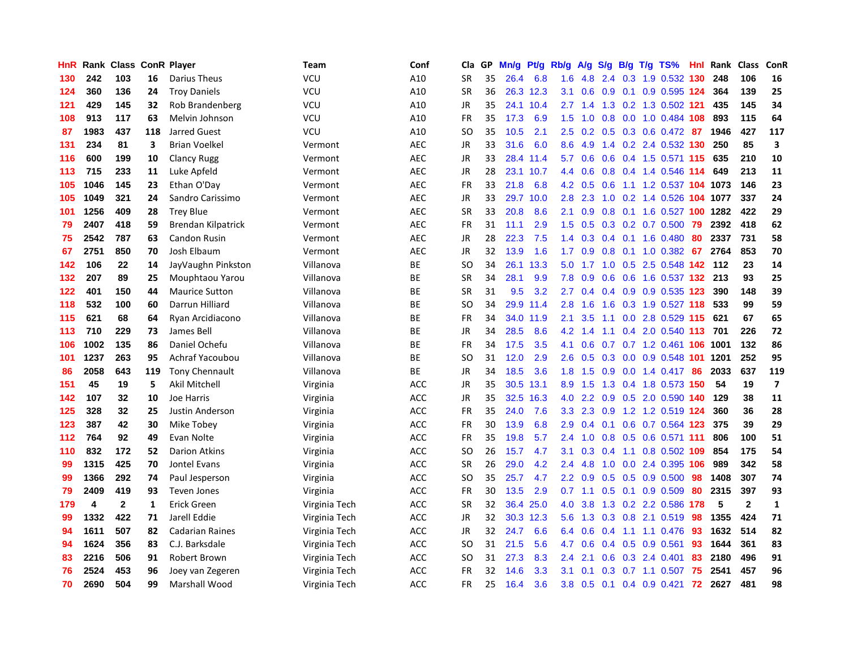| HnR | Rank | <b>Class</b> |              | <b>ConR Player</b>     | Team          | Conf       | Cla           | <b>GP</b> | Mn/g | <b>Pt/g</b> | Rb/g             | A/g | S/g           | B/g | $T/g$ TS%                  | Hnl | Rank | <b>Class</b> | ConR                    |
|-----|------|--------------|--------------|------------------------|---------------|------------|---------------|-----------|------|-------------|------------------|-----|---------------|-----|----------------------------|-----|------|--------------|-------------------------|
| 130 | 242  | 103          | 16           | Darius Theus           | VCU           | A10        | <b>SR</b>     | 35        | 26.4 | 6.8         | 1.6              | 4.8 | $2.4^{\circ}$ |     | 0.3 1.9 0.532 130          |     | 248  | 106          | 16                      |
| 124 | 360  | 136          | 24           | <b>Troy Daniels</b>    | VCU           | A10        | <b>SR</b>     | 36        |      | 26.3 12.3   | 3.1              | 0.6 |               |     | 0.9 0.1 0.9 0.595 124      |     | 364  | 139          | 25                      |
| 121 | 429  | 145          | 32           | Rob Brandenberg        | VCU           | A10        | JR            | 35        | 24.1 | 10.4        | 2.7              | 1.4 |               |     | 1.3 0.2 1.3 0.502 121      |     | 435  | 145          | 34                      |
| 108 | 913  | 117          | 63           | Melvin Johnson         | VCU           | A10        | <b>FR</b>     | 35        | 17.3 | 6.9         | 1.5              | 1.0 | 0.8           |     | $0.0$ 1.0 0.484 108        |     | 893  | 115          | 64                      |
| 87  | 1983 | 437          | 118          | <b>Jarred Guest</b>    | <b>VCU</b>    | A10        | <sub>SO</sub> | 35        | 10.5 | 2.1         | 2.5              | 0.2 | 0.5           |     | $0.3$ 0.6 0.472            | -87 | 1946 | 427          | 117                     |
| 131 | 234  | 81           | 3            | <b>Brian Voelkel</b>   | Vermont       | <b>AEC</b> | JR            | 33        | 31.6 | 6.0         | 8.6              | 4.9 |               |     | 1.4 0.2 2.4 0.532 130      |     | 250  | 85           | $\overline{\mathbf{3}}$ |
| 116 | 600  | 199          | 10           | <b>Clancy Rugg</b>     | Vermont       | <b>AEC</b> | JR            | 33        | 28.4 | 11.4        | 5.7              | 0.6 | 0.6           |     | 0.4 1.5 0.571 115          |     | 635  | 210          | 10                      |
| 113 | 715  | 233          | 11           | Luke Apfeld            | Vermont       | <b>AEC</b> | JR            | 28        | 23.1 | 10.7        | 4.4              | 0.6 | 0.8           |     | 0.4 1.4 0.546 114          |     | 649  | 213          | 11                      |
| 105 | 1046 | 145          | 23           | Ethan O'Day            | Vermont       | <b>AEC</b> | <b>FR</b>     | 33        | 21.8 | 6.8         | 4.2              | 0.5 | 0.6           |     | 1.1 1.2 0.537 104 1073     |     |      | 146          | 23                      |
| 105 | 1049 | 321          | 24           | Sandro Carissimo       | Vermont       | <b>AEC</b> | JR            | 33        | 29.7 | 10.0        | 2.8              | 2.3 |               |     | 1.0 0.2 1.4 0.526 104 1077 |     |      | 337          | 24                      |
| 101 | 1256 | 409          | 28           | <b>Trey Blue</b>       | Vermont       | <b>AEC</b> | <b>SR</b>     | 33        | 20.8 | 8.6         | 2.1              | 0.9 |               |     | 0.8 0.1 1.6 0.527 100 1282 |     |      | 422          | 29                      |
| 79  | 2407 | 418          | 59           | Brendan Kilpatrick     | Vermont       | <b>AEC</b> | <b>FR</b>     | 31        | 11.1 | 2.9         | $1.5^{\circ}$    | 0.5 |               |     | $0.3$ 0.2 0.7 0.500        | -79 | 2392 | 418          | 62                      |
| 75  | 2542 | 787          | 63           | Candon Rusin           | Vermont       | <b>AEC</b> | JR            | 28        | 22.3 | 7.5         | 1.4              | 0.3 | 0.4           |     | $0.1$ 1.6 0.480            | 80  | 2337 | 731          | 58                      |
| 67  | 2751 | 850          | 70           | Josh Elbaum            | Vermont       | <b>AEC</b> | JR            | 32        | 13.9 | 1.6         | 1.7              | 0.9 | 0.8           |     | $0.1$ 1.0 0.382            | 67  | 2764 | 853          | 70                      |
| 142 | 106  | 22           | 14           | JayVaughn Pinkston     | Villanova     | <b>BE</b>  | <b>SO</b>     | 34        | 26.1 | 13.3        | 5.0              | 1.7 | 1.0           |     | 0.5 2.5 0.548 142          |     | 112  | 23           | 14                      |
| 132 | 207  | 89           | 25           | Mouphtaou Yarou        | Villanova     | BE         | SR            | 34        | 28.1 | 9.9         | 7.8              | 0.9 | 0.6           |     | 0.6 1.6 0.537 132          |     | 213  | 93           | 25                      |
| 122 | 401  | 150          | 44           | <b>Maurice Sutton</b>  | Villanova     | <b>BE</b>  | <b>SR</b>     | 31        | 9.5  | 3.2         | 2.7              | 0.4 | 0.4           |     | 0.9 0.9 0.535 123          |     | 390  | 148          | 39                      |
| 118 | 532  | 100          | 60           | Darrun Hilliard        | Villanova     | ВE         | <sub>SO</sub> | 34        | 29.9 | 11.4        | 2.8              | 1.6 | 1.6           |     | 0.3 1.9 0.527 118          |     | 533  | 99           | 59                      |
| 115 | 621  | 68           | 64           | Ryan Arcidiacono       | Villanova     | <b>BE</b>  | <b>FR</b>     | 34        | 34.0 | 11.9        | 2.1              | 3.5 |               |     | 1.1 0.0 2.8 0.529 115 621  |     |      | 67           | 65                      |
| 113 | 710  | 229          | 73           | James Bell             | Villanova     | ВE         | JR            | 34        | 28.5 | 8.6         | 4.2              | 1.4 |               |     | 1.1 0.4 2.0 0.540 113 701  |     |      | 226          | 72                      |
| 106 | 1002 | 135          | 86           | Daniel Ochefu          | Villanova     | BE         | <b>FR</b>     | 34        | 17.5 | 3.5         | 4.1              | 0.6 |               |     | 0.7 0.7 1.2 0.461 106 1001 |     |      | 132          | 86                      |
| 101 | 1237 | 263          | 95           | Achraf Yacoubou        | Villanova     | ВE         | SO            | 31        | 12.0 | 2.9         | 2.6              | 0.5 | 0.3           |     | 0.0 0.9 0.548 101          |     | 1201 | 252          | 95                      |
| 86  | 2058 | 643          | 119          | Tony Chennault         | Villanova     | <b>BE</b>  | JR            | 34        | 18.5 | 3.6         | 1.8              | 1.5 | 0.9           |     | $0.0$ 1.4 $0.417$          | 86  | 2033 | 637          | 119                     |
| 151 | 45   | 19           | 5            | Akil Mitchell          | Virginia      | <b>ACC</b> | JR            | 35        | 30.5 | 13.1        | 8.9              | 1.5 | 1.3           |     | 0.4 1.8 0.573 150          |     | 54   | 19           | $\overline{\mathbf{z}}$ |
| 142 | 107  | 32           | 10           | <b>Joe Harris</b>      | Virginia      | <b>ACC</b> | <b>JR</b>     | 35        | 32.5 | 16.3        | 4.0              | 2.2 | 0.9           |     | 0.5 2.0 0.590              | 140 | 129  | 38           | 11                      |
| 125 | 328  | 32           | 25           | Justin Anderson        | Virginia      | <b>ACC</b> | <b>FR</b>     | 35        | 24.0 | 7.6         | 3.3 <sub>2</sub> | 2.3 | 0.9           |     | 1.2 1.2 0.519 124          |     | 360  | 36           | 28                      |
| 123 | 387  | 42           | 30           | Mike Tobey             | Virginia      | <b>ACC</b> | <b>FR</b>     | 30        | 13.9 | 6.8         | 2.9              | 0.4 |               |     | 0.1 0.6 0.7 0.564 123      |     | 375  | 39           | 29                      |
| 112 | 764  | 92           | 49           | Evan Nolte             | Virginia      | <b>ACC</b> | <b>FR</b>     | 35        | 19.8 | 5.7         | $2.4^{\circ}$    | 1.0 |               |     | 0.8 0.5 0.6 0.571 111      |     | 806  | 100          | 51                      |
| 110 | 832  | 172          | 52           | <b>Darion Atkins</b>   | Virginia      | <b>ACC</b> | <sub>SO</sub> | 26        | 15.7 | 4.7         | 3.1              | 0.3 | 0.4           |     | 1.1 0.8 0.502 109          |     | 854  | 175          | 54                      |
| 99  | 1315 | 425          | 70           | Jontel Evans           | Virginia      | <b>ACC</b> | <b>SR</b>     | 26        | 29.0 | 4.2         | 2.4              | 4.8 | 1.0           |     | 0.0 2.4 0.395              | 106 | 989  | 342          | 58                      |
| 99  | 1366 | 292          | 74           | Paul Jesperson         | Virginia      | <b>ACC</b> | SO            | 35        | 25.7 | 4.7         | $2.2^{\circ}$    | 0.9 | 0.5           |     | $0.5$ 0.9 0.500            | 98  | 1408 | 307          | 74                      |
| 79  | 2409 | 419          | 93           | <b>Teven Jones</b>     | Virginia      | ACC        | <b>FR</b>     | 30        | 13.5 | 2.9         | 0.7              | 1.1 | 0.5           |     | $0.1$ 0.9 0.509            | 80  | 2315 | 397          | 93                      |
| 179 | 4    | $\mathbf{2}$ | $\mathbf{1}$ | <b>Erick Green</b>     | Virginia Tech | <b>ACC</b> | <b>SR</b>     | 32        | 36.4 | 25.0        | 4.0              | 3.8 | 1.3           |     | 0.2 2.2 0.586 178          |     | 5    | $\mathbf{2}$ | $\mathbf{1}$            |
| 99  | 1332 | 422          | 71           | Jarell Eddie           | Virginia Tech | <b>ACC</b> | <b>JR</b>     | 32        | 30.3 | 12.3        | 5.6              | 1.3 | 0.3           |     | 0.8 2.1 0.519              | 98  | 1355 | 424          | 71                      |
| 94  | 1611 | 507          | 82           | <b>Cadarian Raines</b> | Virginia Tech | <b>ACC</b> | JR            | 32        | 24.7 | 6.6         | 6.4              | 0.6 |               |     | 0.4 1.1 1.1 0.476 93       |     | 1632 | 514          | 82                      |
| 94  | 1624 | 356          | 83           | C.J. Barksdale         | Virginia Tech | <b>ACC</b> | <sub>SO</sub> | 31        | 21.5 | 5.6         | 4.7              | 0.6 |               |     | $0.4$ 0.5 0.9 0.561        | -93 | 1644 | 361          | 83                      |
| 83  | 2216 | 506          | 91           | Robert Brown           | Virginia Tech | <b>ACC</b> | SO            | 31        | 27.3 | 8.3         | 2.4              | 2.1 | 0.6           |     | $0.3$ 2.4 $0.401$          | 83  | 2180 | 496          | 91                      |
| 76  | 2524 | 453          | 96           | Joey van Zegeren       | Virginia Tech | <b>ACC</b> | <b>FR</b>     | 32        | 14.6 | 3.3         | 3.1              | 0.1 | 0.3           |     | $0.7$ 1.1 0.507            | 75  | 2541 | 457          | 96                      |
| 70  | 2690 | 504          | 99           | Marshall Wood          | Virginia Tech | <b>ACC</b> | <b>FR</b>     | 25        | 16.4 | 3.6         | 3.8              | 0.5 |               |     | $0.1$ 0.4 0.9 0.421        | 72  | 2627 | 481          | 98                      |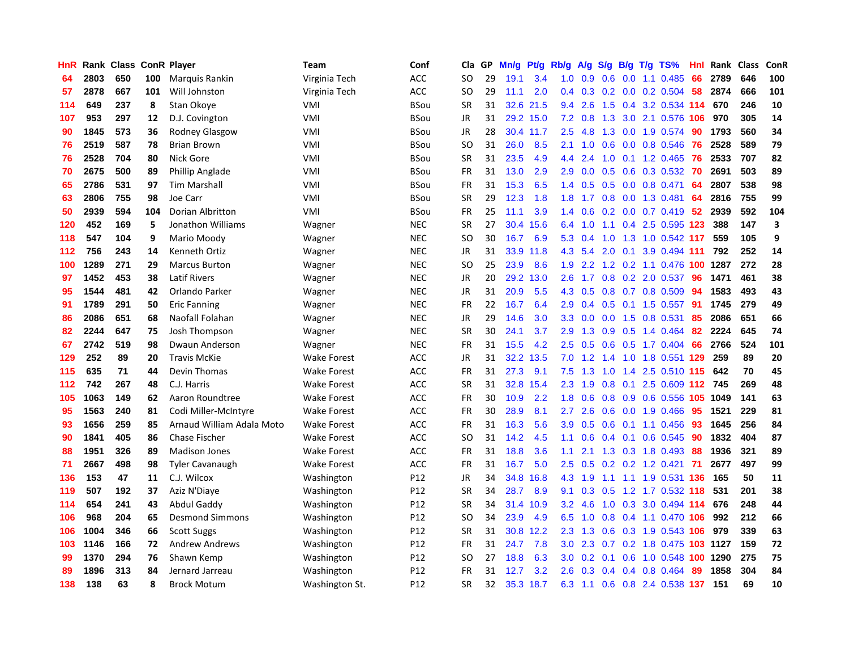| <b>HnR</b> |      | Rank Class ConR Player |     |                           | Team               | Conf            | Cla       | GP | Mn/g | <b>Pt/g</b> | Rb/g             | A/g             | S/g           |     | $B/g$ T/g TS%              | Hnl | Rank | <b>Class</b> | ConR |
|------------|------|------------------------|-----|---------------------------|--------------------|-----------------|-----------|----|------|-------------|------------------|-----------------|---------------|-----|----------------------------|-----|------|--------------|------|
| 64         | 2803 | 650                    | 100 | Marquis Rankin            | Virginia Tech      | ACC             | SO        | 29 | 19.1 | 3.4         | 1.0              | 0.9             | 0.6           |     | $0.0$ 1.1 $0.485$          | 66  | 2789 | 646          | 100  |
| 57         | 2878 | 667                    | 101 | Will Johnston             | Virginia Tech      | ACC             | SO        | 29 | 11.1 | 2.0         | $0.4^{\circ}$    | 0.3             |               |     | $0.2$ 0.0 0.2 0.504        | 58  | 2874 | 666          | 101  |
| 114        | 649  | 237                    | 8   | Stan Okoye                | VMI                | <b>BSou</b>     | <b>SR</b> | 31 |      | 32.6 21.5   | $9.4^{\circ}$    | 2.6             |               |     | 1.5 0.4 3.2 0.534 114      |     | 670  | 246          | 10   |
| 107        | 953  | 297                    | 12  | D.J. Covington            | VMI                | <b>BSou</b>     | JR        | 31 |      | 29.2 15.0   | 7.2              | 0.8             | 1.3           |     | 3.0 2.1 0.576 106          |     | 970  | 305          | 14   |
| 90         | 1845 | 573                    | 36  | <b>Rodney Glasgow</b>     | VMI                | <b>BSou</b>     | <b>JR</b> | 28 |      | 30.4 11.7   | $2.5\,$          | 4.8             | 1.3           |     | 0.0 1.9 0.574              | 90  | 1793 | 560          | 34   |
| 76         | 2519 | 587                    | 78  | <b>Brian Brown</b>        | VMI                | <b>BSou</b>     | <b>SO</b> | 31 | 26.0 | 8.5         | 2.1              | 1.0             | 0.6           |     | $0.0$ 0.8 0.546            | 76  | 2528 | 589          | 79   |
| 76         | 2528 | 704                    | 80  | Nick Gore                 | VMI                | <b>BSou</b>     | <b>SR</b> | 31 | 23.5 | 4.9         | 4.4              | 2.4             | 1.0           |     | $0.1$ 1.2 0.465            | 76  | 2533 | 707          | 82   |
| 70         | 2675 | 500                    | 89  | Phillip Anglade           | VMI                | <b>BSou</b>     | FR        | 31 | 13.0 | 2.9         | 2.9              | 0.0             | 0.5           |     | 0.6 0.3 0.532              | 70  | 2691 | 503          | 89   |
| 65         | 2786 | 531                    | 97  | <b>Tim Marshall</b>       | VMI                | <b>BSou</b>     | FR        | 31 | 15.3 | 6.5         | $1.4^{\circ}$    | 0.5             | 0.5           |     | $0.0$ 0.8 0.471            | 64  | 2807 | 538          | 98   |
| 63         | 2806 | 755                    | 98  | Joe Carr                  | VMI                | <b>BSou</b>     | <b>SR</b> | 29 | 12.3 | 1.8         | 1.8              | 1.7             |               |     | 0.8 0.0 1.3 0.481          | 64  | 2816 | 755          | 99   |
| 50         | 2939 | 594                    | 104 | <b>Dorian Albritton</b>   | VMI                | <b>BSou</b>     | <b>FR</b> | 25 | 11.1 | 3.9         | $1.4^{\circ}$    | 0.6             |               |     | $0.2$ 0.0 0.7 0.419 52     |     | 2939 | 592          | 104  |
| 120        | 452  | 169                    | 5   | Jonathon Williams         | Wagner             | <b>NEC</b>      | <b>SR</b> | 27 | 30.4 | 15.6        | 6.4              | 1.0             |               |     | 1.1 0.4 2.5 0.595 123      |     | 388  | 147          | 3    |
| 118        | 547  | 104                    | 9   | Mario Moody               | Wagner             | <b>NEC</b>      | <b>SO</b> | 30 | 16.7 | 6.9         | 5.3              | 0.4             | 1.0           |     | 1.3 1.0 0.542 117          |     | 559  | 105          | 9    |
| 112        | 756  | 243                    | 14  | Kenneth Ortiz             | Wagner             | <b>NEC</b>      | JR        | 31 | 33.9 | 11.8        | 4.3              | 5.4             | 2.0           | 0.1 | 3.9 0.494 111              |     | 792  | 252          | 14   |
| 100        | 1289 | 271                    | 29  | <b>Marcus Burton</b>      | Wagner             | <b>NEC</b>      | <b>SO</b> | 25 | 23.9 | 8.6         | 1.9              | 2.2             | 1.2           |     | 0.2 1.1 0.476 100          |     | 1287 | 272          | 28   |
| 97         | 1452 | 453                    | 38  | <b>Latif Rivers</b>       | Wagner             | <b>NEC</b>      | JR        | 20 | 29.2 | 13.0        | 2.6              | 1.7             | 0.8           |     | 0.2 2.0 0.537              | 96  | 1471 | 461          | 38   |
| 95         | 1544 | 481                    | 42  | Orlando Parker            | Wagner             | <b>NEC</b>      | <b>JR</b> | 31 | 20.9 | 5.5         | 4.3              | 0.5             | 0.8           |     | $0.7$ 0.8 0.509            | 94  | 1583 | 493          | 43   |
| 91         | 1789 | 291                    | 50  | <b>Eric Fanning</b>       | Wagner             | <b>NEC</b>      | <b>FR</b> | 22 | 16.7 | 6.4         | 2.9 <sup>°</sup> | 0.4             |               |     | $0.5$ 0.1 1.5 0.557        | 91  | 1745 | 279          | 49   |
| 86         | 2086 | 651                    | 68  | Naofall Folahan           | Wagner             | <b>NEC</b>      | JR        | 29 | 14.6 | 3.0         |                  | $3.3 \quad 0.0$ |               |     | 0.0 1.5 0.8 0.531          | 85  | 2086 | 651          | 66   |
| 82         | 2244 | 647                    | 75  | Josh Thompson             | Wagner             | <b>NEC</b>      | <b>SR</b> | 30 | 24.1 | 3.7         | 2.9 <sup>°</sup> | 1.3             |               |     | 0.9 0.5 1.4 0.464          | -82 | 2224 | 645          | 74   |
| 67         | 2742 | 519                    | 98  | Dwaun Anderson            | Wagner             | <b>NEC</b>      | FR        | 31 | 15.5 | 4.2         | $2.5\,$          | 0.5             |               |     | 0.6 0.5 1.7 0.404          | 66  | 2766 | 524          | 101  |
| 129        | 252  | 89                     | 20  | <b>Travis McKie</b>       | <b>Wake Forest</b> | <b>ACC</b>      | JR        | 31 | 32.2 | 13.5        | 7.0              | 1.2             | $1.4^{\circ}$ |     | 1.0 1.8 0.551 129          |     | 259  | 89           | 20   |
| 115        | 635  | 71                     | 44  | Devin Thomas              | <b>Wake Forest</b> | <b>ACC</b>      | <b>FR</b> | 31 | 27.3 | 9.1         | 7.5              | 1.3             | 1.0           |     | 1.4 2.5 0.510              | 115 | 642  | 70           | 45   |
| 112        | 742  | 267                    | 48  | C.J. Harris               | <b>Wake Forest</b> | <b>ACC</b>      | <b>SR</b> | 31 | 32.8 | 15.4        | 2.3              | 1.9             | 0.8           | 0.1 | 2.5 0.609                  | 112 | 745  | 269          | 48   |
| 105        | 1063 | 149                    | 62  | Aaron Roundtree           | <b>Wake Forest</b> | <b>ACC</b>      | FR        | 30 | 10.9 | 2.2         | 1.8              | 0.6             | 0.8           |     | 0.9 0.6 0.556 105 1049     |     |      | 141          | 63   |
| 95         | 1563 | 240                    | 81  | Codi Miller-McIntyre      | <b>Wake Forest</b> | <b>ACC</b>      | <b>FR</b> | 30 | 28.9 | 8.1         | $2.7^{\circ}$    | 2.6             |               |     | 0.6 0.0 1.9 0.466          | 95  | 1521 | 229          | 81   |
| 93         | 1656 | 259                    | 85  | Arnaud William Adala Moto | <b>Wake Forest</b> | <b>ACC</b>      | FR        | 31 | 16.3 | 5.6         | 3.9 <sup>°</sup> | 0.5             |               |     | 0.6 0.1 1.1 0.456          | -93 | 1645 | 256          | 84   |
| 90         | 1841 | 405                    | 86  | <b>Chase Fischer</b>      | <b>Wake Forest</b> | <b>ACC</b>      | <b>SO</b> | 31 | 14.2 | 4.5         | 1.1              | 0.6             |               |     | $0.4$ 0.1 0.6 0.545        | -90 | 1832 | 404          | 87   |
| 88         | 1951 | 326                    | 89  | <b>Madison Jones</b>      | Wake Forest        | <b>ACC</b>      | FR        | 31 | 18.8 | 3.6         | 1.1              | 2.1             |               |     | 1.3 0.3 1.8 0.493          | -88 | 1936 | 321          | 89   |
| 71         | 2667 | 498                    | 98  | <b>Tyler Cavanaugh</b>    | <b>Wake Forest</b> | <b>ACC</b>      | <b>FR</b> | 31 | 16.7 | 5.0         | $2.5\,$          | 0.5             |               |     | $0.2$ 0.2 1.2 0.421        | 71  | 2677 | 497          | 99   |
| 136        | 153  | 47                     | 11  | C.J. Wilcox               | Washington         | P <sub>12</sub> | JR        | 34 | 34.8 | 16.8        | 4.3              | 1.9             | 1.1           |     | 1.1 1.9 0.531 136          |     | 165  | 50           | 11   |
| 119        | 507  | 192                    | 37  | Aziz N'Diaye              | Washington         | P12             | <b>SR</b> | 34 | 28.7 | 8.9         | 9.1              | 0.3             | 0.5           |     | 1.2 1.7 0.532 118          |     | 531  | 201          | 38   |
| 114        | 654  | 241                    | 43  | Abdul Gaddy               | Washington         | P12             | <b>SR</b> | 34 | 31.4 | 10.9        | 3.2              | 4.6             | 1.0           |     | 0.3 3.0 0.494 114          |     | 676  | 248          | 44   |
| 106        | 968  | 204                    | 65  | <b>Desmond Simmons</b>    | Washington         | P <sub>12</sub> | <b>SO</b> | 34 | 23.9 | 4.9         | 6.5              | 1.0             | 0.8           |     | 0.4 1.1 0.470              | 106 | 992  | 212          | 66   |
| 106        | 1004 | 346                    | 66  | <b>Scott Suggs</b>        | Washington         | P <sub>12</sub> | <b>SR</b> | 31 |      | 30.8 12.2   | 2.3              | 1.3             | 0.6           |     | 0.3 1.9 0.543 106          |     | 979  | 339          | 63   |
| 103        | 1146 | 166                    | 72  | <b>Andrew Andrews</b>     | Washington         | P12             | <b>FR</b> | 31 | 24.7 | 7.8         | 3.0 <sub>2</sub> | 2.3             |               |     | 0.7 0.2 1.8 0.475 103 1127 |     |      | 159          | 72   |
| 99         | 1370 | 294                    | 76  | Shawn Kemp                | Washington         | P12             | SO        | 27 | 18.8 | 6.3         | 3.0 <sub>1</sub> | 0.2             | 0.1           |     | 0.6 1.0 0.548 100 1290     |     |      | 275          | 75   |
| 89         | 1896 | 313                    | 84  | Jernard Jarreau           | Washington         | P <sub>12</sub> | <b>FR</b> | 31 | 12.7 | 3.2         | 2.6              | 0.3             | 0.4           | 0.4 | $0.8$ 0.464                | 89  | 1858 | 304          | 84   |
| 138        | 138  | 63                     | 8   | <b>Brock Motum</b>        | Washington St.     | P12             | <b>SR</b> | 32 |      | 35.3 18.7   | 6.3              | 1.1             |               |     | 0.6 0.8 2.4 0.538 137      |     | 151  | 69           | 10   |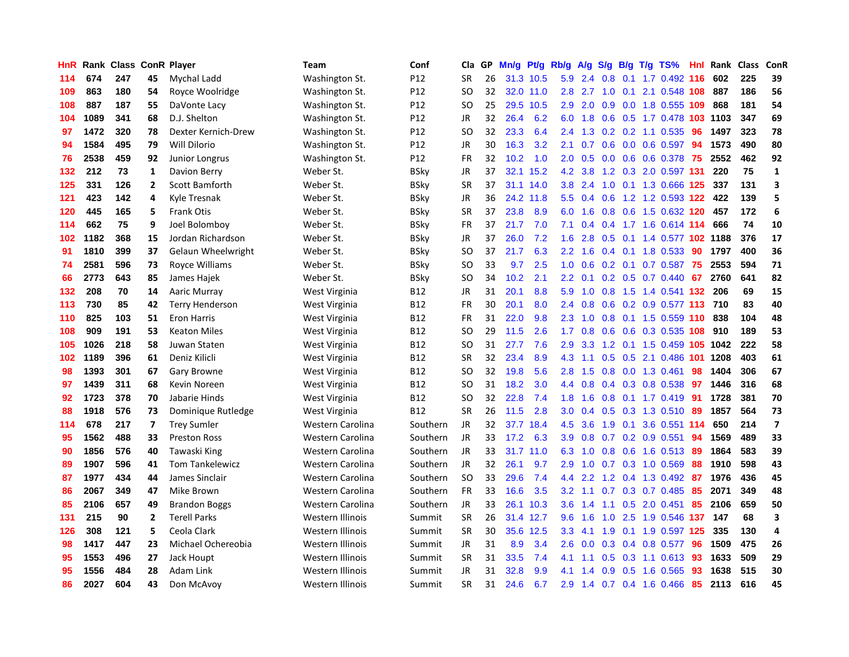| HnR | Rank | Class |                | <b>ConR Player</b>     | Team                    | Conf        | Cla           | <b>GP</b> | Mn/g | <b>Pt/g</b> | Rb/g             | A/g     | S/g              | B/g | $T/g$ TS%                  | Hnl | Rank | <b>Class</b> | ConR                    |
|-----|------|-------|----------------|------------------------|-------------------------|-------------|---------------|-----------|------|-------------|------------------|---------|------------------|-----|----------------------------|-----|------|--------------|-------------------------|
| 114 | 674  | 247   | 45             | Mychal Ladd            | Washington St.          | P12         | <b>SR</b>     | 26        |      | 31.3 10.5   |                  | 5.9 2.4 | 0.8              |     | 0.1 1.7 0.492 116          |     | 602  | 225          | 39                      |
| 109 | 863  | 180   | 54             | Royce Woolridge        | Washington St.          | P12         | SO            | 32        |      | 32.0 11.0   | 2.8              | 2.7     |                  |     | 1.0 0.1 2.1 0.548 108      |     | 887  | 186          | 56                      |
| 108 | 887  | 187   | 55             | DaVonte Lacy           | Washington St.          | P12         | SO            | 25        | 29.5 | 10.5        | 2.9              | 2.0     |                  |     | 0.9 0.0 1.8 0.555 109      |     | 868  | 181          | 54                      |
| 104 | 1089 | 341   | 68             | D.J. Shelton           | Washington St.          | P12         | JR            | 32        | 26.4 | 6.2         | 6.0              | 1.8     | 0.6              |     | 0.5 1.7 0.478 103 1103     |     |      | 347          | 69                      |
| 97  | 1472 | 320   | 78             | Dexter Kernich-Drew    | Washington St.          | P12         | <sub>SO</sub> | 32        | 23.3 | 6.4         | 2.4              | 1.3     |                  |     | $0.2$ 0.2 1.1 0.535        | 96  | 1497 | 323          | 78                      |
| 94  | 1584 | 495   | 79             | Will Dilorio           | Washington St.          | P12         | JR            | 30        | 16.3 | 3.2         | 2.1              | 0.7     | 0.6              |     | $0.0$ 0.6 0.597            | 94  | 1573 | 490          | 80                      |
| 76  | 2538 | 459   | 92             | <b>Junior Longrus</b>  | Washington St.          | P12         | <b>FR</b>     | 32        | 10.2 | 1.0         | 2.0              | 0.5     | 0.0 <sub>1</sub> |     | 0.6 0.6 0.378              | -75 | 2552 | 462          | 92                      |
| 132 | 212  | 73    | $\mathbf{1}$   | Davion Berry           | Weber St.               | BSky        | JR            | 37        | 32.1 | 15.2        | 4.2              | 3.8     | 1.2              |     | 0.3 2.0 0.597 131          |     | 220  | 75           | $\mathbf{1}$            |
| 125 | 331  | 126   | $\overline{2}$ | <b>Scott Bamforth</b>  | Weber St.               | <b>BSky</b> | <b>SR</b>     | 37        | 31.1 | 14.0        | 3.8              | 2.4     | 1.0              |     | 0.1 1.3 0.666 125          |     | 337  | 131          | 3                       |
| 121 | 423  | 142   | 4              | Kyle Tresnak           | Weber St.               | BSky        | JR            | 36        | 24.2 | 11.8        | 5.5              | 0.4     | 0.6              |     | 1.2 1.2 0.593 122 422      |     |      | 139          | 5                       |
| 120 | 445  | 165   | 5              | <b>Frank Otis</b>      | Weber St.               | <b>BSky</b> | <b>SR</b>     | 37        | 23.8 | 8.9         | 6.0              | 1.6     |                  |     | 0.8 0.6 1.5 0.632 120      |     | 457  | 172          | 6                       |
| 114 | 662  | 75    | 9              | Joel Bolomboy          | Weber St.               | BSky        | FR            | 37        | 21.7 | 7.0         | 7.1              | 0.4     |                  |     | $0.4$ 1.7 1.6 0.614 114    |     | 666  | 74           | ${\bf 10}$              |
| 102 | 1182 | 368   | 15             | Jordan Richardson      | Weber St.               | BSky        | JR            | 37        | 26.0 | 7.2         | 1.6              | 2.8     | 0.5              |     | 0.1 1.4 0.577 102 1188     |     |      | 376          | 17                      |
| 91  | 1810 | 399   | 37             | Gelaun Wheelwright     | Weber St.               | BSky        | SO.           | 37        | 21.7 | 6.3         | 2.2              | 1.6     |                  |     | $0.4$ 0.1 1.8 0.533        | 90  | 1797 | 400          | 36                      |
| 74  | 2581 | 596   | 73             | Royce Williams         | Weber St.               | <b>BSky</b> | <sub>SO</sub> | 33        | 9.7  | 2.5         | 1.0              | 0.6     | 0.2              |     | $0.1$ 0.7 0.587            | 75  | 2553 | 594          | ${\bf 71}$              |
| 66  | 2773 | 643   | 85             | James Hajek            | Weber St.               | BSky        | SO            | 34        | 10.2 | 2.1         | 2.2              | 0.1     |                  |     | $0.2$ 0.5 0.7 0.440        | 67  | 2760 | 641          | 82                      |
| 132 | 208  | 70    | 14             | Aaric Murray           | West Virginia           | B12         | <b>JR</b>     | 31        | 20.1 | 8.8         | 5.9              | 1.0     | 0.8              |     | 1.5 1.4 0.541 132          |     | 206  | 69           | 15                      |
| 113 | 730  | 85    | 42             | <b>Terry Henderson</b> | West Virginia           | <b>B12</b>  | <b>FR</b>     | 30        | 20.1 | 8.0         | $2.4^{\circ}$    | 0.8     | 0.6              |     | 0.2 0.9 0.577 113 710      |     |      | 83           | 40                      |
| 110 | 825  | 103   | 51             | <b>Eron Harris</b>     | West Virginia           | B12         | <b>FR</b>     | 31        | 22.0 | 9.8         | 2.3              | 1.0     |                  |     | 0.8 0.1 1.5 0.559 110 838  |     |      | 104          | 48                      |
| 108 | 909  | 191   | 53             | <b>Keaton Miles</b>    | West Virginia           | B12         | <sub>SO</sub> | 29        | 11.5 | 2.6         | 1.7 <sup>2</sup> | 0.8     |                  |     | 0.6 0.6 0.3 0.535 108      |     | 910  | 189          | 53                      |
| 105 | 1026 | 218   | 58             | Juwan Staten           | West Virginia           | B12         | SO            | 31        | 27.7 | 7.6         | 2.9              | 3.3     |                  |     | 1.2 0.1 1.5 0.459 105 1042 |     |      | 222          | 58                      |
| 102 | 1189 | 396   | 61             | Deniz Kilicli          | West Virginia           | B12         | <b>SR</b>     | 32        | 23.4 | 8.9         | 4.3              | 1.1     | 0.5              |     | 0.5 2.1 0.486 101          |     | 1208 | 403          | 61                      |
| 98  | 1393 | 301   | 67             | Gary Browne            | West Virginia           | B12         | SO            | 32        | 19.8 | 5.6         | 2.8              | 1.5     |                  |     | 0.8 0.0 1.3 0.461          | 98  | 1404 | 306          | 67                      |
| 97  | 1439 | 311   | 68             | Kevin Noreen           | West Virginia           | <b>B12</b>  | <b>SO</b>     | 31        | 18.2 | 3.0         | 4.4              | 0.8     | 0.4              |     | 0.3 0.8 0.538              | 97  | 1446 | 316          | 68                      |
| 92  | 1723 | 378   | 70             | Jabarie Hinds          | West Virginia           | B12         | <sub>SO</sub> | 32        | 22.8 | 7.4         | 1.8              | 1.6     | 0.8              |     | $0.1$ 1.7 0.419            | -91 | 1728 | 381          | 70                      |
| 88  | 1918 | 576   | 73             | Dominique Rutledge     | West Virginia           | <b>B12</b>  | <b>SR</b>     | 26        | 11.5 | 2.8         | 3.0 <sub>2</sub> | 0.4     | 0.5              |     | 0.3 1.3 0.510              | -89 | 1857 | 564          | 73                      |
| 114 | 678  | 217   | 7              | <b>Trey Sumler</b>     | Western Carolina        | Southern    | JR            | 32        | 37.7 | 18.4        | 4.5              | 3.6     |                  |     | 1.9 0.1 3.6 0.551 114      |     | 650  | 214          | $\overline{\mathbf{z}}$ |
| 95  | 1562 | 488   | 33             | Preston Ross           | Western Carolina        | Southern    | <b>JR</b>     | 33        | 17.2 | 6.3         | 3.9              | 0.8     |                  |     | $0.7$ 0.2 0.9 0.551        | -94 | 1569 | 489          | 33                      |
| 90  | 1856 | 576   | 40             | Tawaski King           | Western Carolina        | Southern    | JR            | 33        | 31.7 | 11.0        | 6.3              | 1.0     |                  |     | 0.8 0.6 1.6 0.513 89       |     | 1864 | 583          | 39                      |
| 89  | 1907 | 596   | 41             | <b>Tom Tankelewicz</b> | Western Carolina        | Southern    | <b>JR</b>     | 32        | 26.1 | 9.7         | 2.9              | 1.0     |                  |     | 0.7 0.3 1.0 0.569          | 88  | 1910 | 598          | 43                      |
| 87  | 1977 | 434   | 44             | James Sinclair         | Western Carolina        | Southern    | <b>SO</b>     | 33        | 29.6 | 7.4         | 4.4              | 2.2     | 1.2              |     | 0.4 1.3 0.492              | -87 | 1976 | 436          | 45                      |
| 86  | 2067 | 349   | 47             | Mike Brown             | Western Carolina        | Southern    | FR            | 33        | 16.6 | 3.5         | 3.2              | 1.1     | 0.7              |     | 0.3 0.7 0.485              | 85  | 2071 | 349          | 48                      |
| 85  | 2106 | 657   | 49             | <b>Brandon Boggs</b>   | <b>Western Carolina</b> | Southern    | JR            | 33        | 26.1 | 10.3        | 3.6              | 1.4     | 1.1              |     | $0.5$ 2.0 0.451            | 85  | 2106 | 659          | 50                      |
| 131 | 215  | 90    | $\mathbf{2}$   | <b>Terell Parks</b>    | Western Illinois        | Summit      | <b>SR</b>     | 26        | 31.4 | 12.7        | 9.6              | 1.6     | 1.0              |     | 2.5 1.9 0.546 137          |     | 147  | 68           | 3                       |
| 126 | 308  | 121   | 5              | Ceola Clark            | Western Illinois        | Summit      | <b>SR</b>     | 30        | 35.6 | 12.5        | 3.3 <sub>2</sub> | 4.1     | 1.9              |     | 0.1 1.9 0.597 125          |     | 335  | 130          | 4                       |
| 98  | 1417 | 447   | 23             | Michael Ochereobia     | Western Illinois        | Summit      | JR            | 31        | 8.9  | 3.4         | 2.6              | 0.0     |                  |     | $0.3$ 0.4 0.8 0.577        | -96 | 1509 | 475          | 26                      |
| 95  | 1553 | 496   | 27             | Jack Houpt             | Western Illinois        | Summit      | <b>SR</b>     | 31        | 33.5 | 7.4         | 4.1              | 1.1     |                  |     | $0.5$ $0.3$ 1.1 $0.613$    | -93 | 1633 | 509          | 29                      |
| 95  | 1556 | 484   | 28             | Adam Link              | Western Illinois        | Summit      | JR            | 31        | 32.8 | 9.9         | 4.1              | 1.4     | 0.9              |     | 0.5 1.6 0.565              | 93  | 1638 | 515          | 30                      |
| 86  | 2027 | 604   | 43             | Don McAvoy             | Western Illinois        | Summit      | <b>SR</b>     | 31        | 24.6 | 6.7         | 2.9              | 1.4     |                  |     | 0.7 0.4 1.6 0.466          | 85  | 2113 | 616          | 45                      |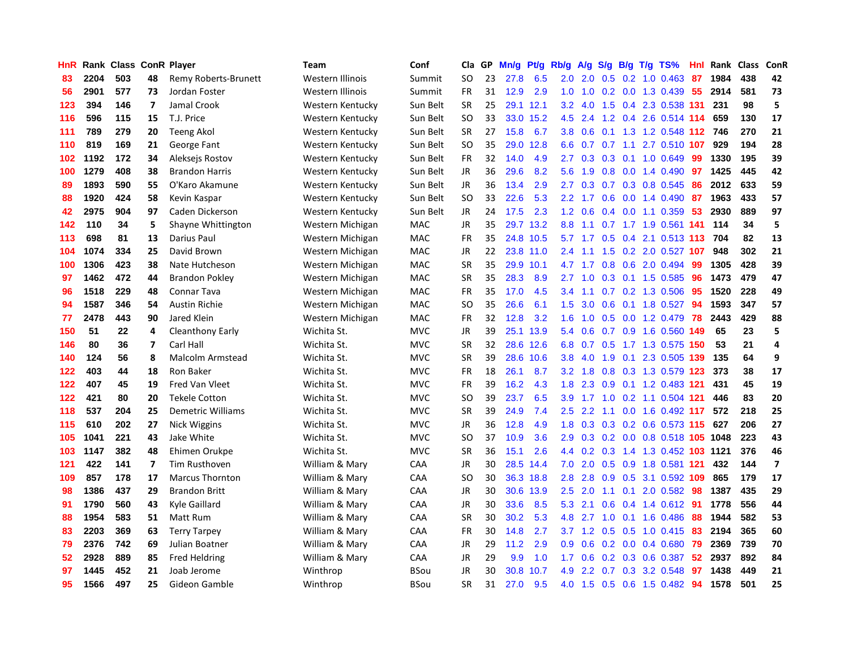| HnR |      | Rank Class ConR Player |                |                          | <b>Team</b>      | Conf        | Cla       | GP | Mn/g | <b>Pt/g</b> | Rb/g             | A/g             | S/g              |                 | $B/g$ T/g TS%                  | Hnl | Rank | <b>Class</b> | ConR           |
|-----|------|------------------------|----------------|--------------------------|------------------|-------------|-----------|----|------|-------------|------------------|-----------------|------------------|-----------------|--------------------------------|-----|------|--------------|----------------|
| 83  | 2204 | 503                    | 48             | Remy Roberts-Brunett     | Western Illinois | Summit      | <b>SO</b> | 23 | 27.8 | 6.5         | 2.0              | 2.0             | 0.5              |                 | $0.2$ 1.0 0.463                | 87  | 1984 | 438          | 42             |
| 56  | 2901 | 577                    | 73             | Jordan Foster            | Western Illinois | Summit      | FR        | 31 | 12.9 | 2.9         | 1.0              | 1.0             |                  |                 | 0.2 0.0 1.3 0.439              | 55  | 2914 | 581          | 73             |
| 123 | 394  | 146                    | $\overline{7}$ | Jamal Crook              | Western Kentucky | Sun Belt    | <b>SR</b> | 25 |      | 29.1 12.1   | 3.2              | 4.0             |                  |                 | 1.5 0.4 2.3 0.538 131          |     | 231  | 98           | 5              |
| 116 | 596  | 115                    | 15             | T.J. Price               | Western Kentucky | Sun Belt    | <b>SO</b> | 33 | 33.0 | 15.2        | 4.5              | 2.4             |                  |                 | 1.2 0.4 2.6 0.514 114          |     | 659  | 130          | 17             |
| 111 | 789  | 279                    | 20             | <b>Teeng Akol</b>        | Western Kentucky | Sun Belt    | <b>SR</b> | 27 | 15.8 | 6.7         | 3.8              | 0.6             |                  |                 | 0.1 1.3 1.2 0.548 112 746      |     |      | 270          | 21             |
| 110 | 819  | 169                    | 21             | George Fant              | Western Kentucky | Sun Belt    | <b>SO</b> | 35 | 29.0 | 12.8        | 6.6              | 0.7             | 0.7              | 1.1             | 2.7 0.510 107                  |     | 929  | 194          | 28             |
| 102 | 1192 | 172                    | 34             | Aleksejs Rostov          | Western Kentucky | Sun Belt    | FR        | 32 | 14.0 | 4.9         | 2.7              | 0.3             | 0.3              |                 | 0.1 1.0 0.649                  | 99  | 1330 | 195          | 39             |
| 100 | 1279 | 408                    | 38             | <b>Brandon Harris</b>    | Western Kentucky | Sun Belt    | JR        | 36 | 29.6 | 8.2         | 5.6              | 1.9             | 0.8              |                 | 0.0 1.4 0.490                  | 97  | 1425 | 445          | 42             |
| 89  | 1893 | 590                    | 55             | O'Karo Akamune           | Western Kentucky | Sun Belt    | <b>JR</b> | 36 | 13.4 | 2.9         | 2.7              | 0.3             |                  |                 | 0.7 0.3 0.8 0.545              | 86  | 2012 | 633          | 59             |
| 88  | 1920 | 424                    | 58             | Kevin Kaspar             | Western Kentucky | Sun Belt    | <b>SO</b> | 33 | 22.6 | 5.3         | 2.2              | 1.7             | 0.6              |                 | $0.0$ 1.4 $0.490$              | 87  | 1963 | 433          | 57             |
| 42  | 2975 | 904                    | 97             | Caden Dickerson          | Western Kentucky | Sun Belt    | JR        | 24 | 17.5 | 2.3         |                  | $1.2 \quad 0.6$ |                  |                 | $0.4$ 0.0 1.1 0.359            | 53  | 2930 | 889          | 97             |
| 142 | 110  | 34                     | 5              | Shayne Whittington       | Western Michigan | <b>MAC</b>  | JR        | 35 | 29.7 | 13.2        | 8.8              | 1.1             |                  |                 | 0.7 1.7 1.9 0.561 141          |     | 114  | 34           | 5              |
| 113 | 698  | 81                     | 13             | Darius Paul              | Western Michigan | MAC         | FR        | 35 |      | 24.8 10.5   | 5.7              | 1.7             |                  |                 | 0.5 0.4 2.1 0.513 113 704      |     |      | 82           | 13             |
| 104 | 1074 | 334                    | 25             | David Brown              | Western Michigan | <b>MAC</b>  | JR        | 22 | 23.8 | 11.0        | 2.4              | 1.1             | 1.5              |                 | 0.2 2.0 0.527 107              |     | 948  | 302          | 21             |
| 100 | 1306 | 423                    | 38             | Nate Hutcheson           | Western Michigan | <b>MAC</b>  | <b>SR</b> | 35 | 29.9 | 10.1        | 4.7              | 1.7             | 0.8              |                 | 0.6 2.0 0.494                  | 99  | 1305 | 428          | 39             |
| 97  | 1462 | 472                    | 44             | <b>Brandon Pokley</b>    | Western Michigan | <b>MAC</b>  | <b>SR</b> | 35 | 28.3 | 8.9         | 2.7              | 1.0             | 0.3              |                 | $0.1$ 1.5 0.585                | 96  | 1473 | 479          | 47             |
| 96  | 1518 | 229                    | 48             | <b>Connar Tava</b>       | Western Michigan | <b>MAC</b>  | <b>FR</b> | 35 | 17.0 | 4.5         | 3.4              | 1.1             | 0.7              |                 | 0.2 1.3 0.506                  | 95  | 1520 | 228          | 49             |
| 94  | 1587 | 346                    | 54             | <b>Austin Richie</b>     | Western Michigan | MAC         | <b>SO</b> | 35 | 26.6 | 6.1         | 1.5              | 3.0             | 0.6              |                 | 0.1 1.8 0.527                  | 94  | 1593 | 347          | 57             |
| 77  | 2478 | 443                    | 90             | Jared Klein              | Western Michigan | MAC         | FR        | 32 | 12.8 | 3.2         | 1.6              | 1.0             |                  |                 | 0.5 0.0 1.2 0.479 78           |     | 2443 | 429          | 88             |
| 150 | 51   | 22                     | 4              | Cleanthony Early         | Wichita St.      | <b>MVC</b>  | JR        | 39 | 25.1 | 13.9        | 5.4              | 0.6             |                  |                 | 0.7 0.9 1.6 0.560 149          |     | 65   | 23           | 5              |
| 146 | 80   | 36                     | $\overline{7}$ | Carl Hall                | Wichita St.      | <b>MVC</b>  | <b>SR</b> | 32 | 28.6 | 12.6        | 6.8              | 0.7             |                  |                 | 0.5 1.7 1.3 0.575 150          |     | 53   | 21           | $\overline{a}$ |
| 140 | 124  | 56                     | 8              | <b>Malcolm Armstead</b>  | Wichita St.      | <b>MVC</b>  | <b>SR</b> | 39 | 28.6 | 10.6        | 3.8              | 4.0             | 1.9              |                 | 0.1 2.3 0.505 139              |     | 135  | 64           | 9              |
| 122 | 403  | 44                     | 18             | Ron Baker                | Wichita St.      | <b>MVC</b>  | FR        | 18 | 26.1 | 8.7         | 3.2              | 1.8             | 0.8              |                 | 0.3 1.3 0.579 123              |     | 373  | 38           | 17             |
| 122 | 407  | 45                     | 19             | <b>Fred Van Vleet</b>    | Wichita St.      | <b>MVC</b>  | FR        | 39 | 16.2 | 4.3         | 1.8              | 2.3             | 0.9 <sub>0</sub> |                 | $0.1$ 1.2 0.483                | 121 | 431  | 45           | 19             |
| 122 | 421  | 80                     | 20             | <b>Tekele Cotton</b>     | Wichita St.      | <b>MVC</b>  | <b>SO</b> | 39 | 23.7 | 6.5         | 3.9              | 1.7             | 1.0              |                 | 0.2 1.1 0.504 121              |     | 446  | 83           | 20             |
| 118 | 537  | 204                    | 25             | <b>Demetric Williams</b> | Wichita St.      | <b>MVC</b>  | <b>SR</b> | 39 | 24.9 | 7.4         | 2.5              | 2.2             | 1.1              |                 | 0.0 1.6 0.492 117              |     | 572  | 218          | 25             |
| 115 | 610  | 202                    | 27             | Nick Wiggins             | Wichita St.      | <b>MVC</b>  | JR        | 36 | 12.8 | 4.9         | 1.8              | 0.3             |                  |                 | 0.3 0.2 0.6 0.573 115 627      |     |      | 206          | 27             |
| 105 | 1041 | 221                    | 43             | Jake White               | Wichita St.      | <b>MVC</b>  | <b>SO</b> | 37 | 10.9 | 3.6         | 2.9              |                 |                  |                 | 0.3 0.2 0.0 0.8 0.518 105 1048 |     |      | 223          | 43             |
| 103 | 1147 | 382                    | 48             | Ehimen Orukpe            | Wichita St.      | <b>MVC</b>  | <b>SR</b> | 36 | 15.1 | 2.6         | 4.4              | 0.2             |                  |                 | 0.3 1.4 1.3 0.452 103 1121     |     |      | 376          | 46             |
| 121 | 422  | 141                    | $\overline{7}$ | <b>Tim Rusthoven</b>     | William & Mary   | CAA         | JR        | 30 | 28.5 | 14.4        | 7.0              | 2.0             |                  |                 | 0.5 0.9 1.8 0.581 121          |     | 432  | 144          | $\overline{7}$ |
| 109 | 857  | 178                    | 17             | <b>Marcus Thornton</b>   | William & Mary   | CAA         | <b>SO</b> | 30 | 36.3 | 18.8        | 2.8              | 2.8             | 0.9              |                 | 0.5 3.1 0.592 109              |     | 865  | 179          | 17             |
| 98  | 1386 | 437                    | 29             | <b>Brandon Britt</b>     | William & Mary   | CAA         | JR        | 30 | 30.6 | 13.9        | 2.5              | 2.0             |                  | $1.1 \quad 0.1$ | 2.0 0.582                      | 98  | 1387 | 435          | 29             |
| 91  | 1790 | 560                    | 43             | Kyle Gaillard            | William & Mary   | CAA         | JR        | 30 | 33.6 | 8.5         | 5.3              | 2.1             | 0.6              |                 | $0.4$ 1.4 0.612                | 91  | 1778 | 556          | 44             |
| 88  | 1954 | 583                    | 51             | Matt Rum                 | William & Mary   | CAA         | <b>SR</b> | 30 | 30.2 | 5.3         | 4.8              | 2.7             | 1.0              |                 | $0.1$ 1.6 0.486                | 88  | 1944 | 582          | 53             |
| 83  | 2203 | 369                    | 63             | <b>Terry Tarpey</b>      | William & Mary   | CAA         | <b>FR</b> | 30 | 14.8 | 2.7         | 3.7              | 1.2             | 0.5              |                 | $0.5$ 1.0 0.415                | -83 | 2194 | 365          | 60             |
| 79  | 2376 | 742                    | 69             | Julian Boatner           | William & Mary   | CAA         | JR        | 29 | 11.2 | 2.9         | 0.9 <sub>0</sub> | 0.6             |                  |                 | $0.2$ 0.0 0.4 0.680            | 79  | 2369 | 739          | 70             |
| 52  | 2928 | 889                    | 85             | <b>Fred Heldring</b>     | William & Mary   | CAA         | JR        | 29 | 9.9  | 1.0         | 1.7 <sub>z</sub> | 0.6             |                  |                 | 0.2 0.3 0.6 0.387              | 52  | 2937 | 892          | 84             |
| 97  | 1445 | 452                    | 21             | Joab Jerome              | Winthrop         | <b>BSou</b> | <b>JR</b> | 30 | 30.8 | 10.7        | 4.9              | 2.2             |                  |                 | 0.7 0.3 3.2 0.548              | 97  | 1438 | 449          | 21             |
| 95  | 1566 | 497                    | 25             | Gideon Gamble            | Winthrop         | <b>BSou</b> | <b>SR</b> | 31 | 27.0 | 9.5         | 4.0              | 1.5             |                  |                 | 0.5 0.6 1.5 0.482              | 94  | 1578 | 501          | 25             |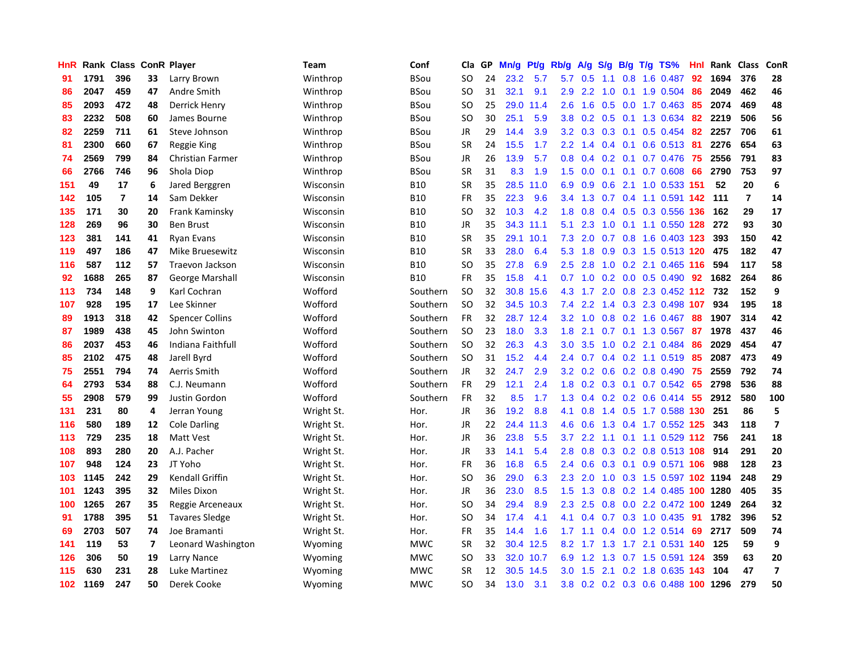| HnR              |      | Rank Class     |                         | <b>ConR Player</b>      | Team       | Conf       | Cla           | <b>GP</b> | Mn/g | <b>Pt/g</b> | Rb/g             | A/g | S/g |     | B/g T/g TS%                          | Hnl | Rank | Class          | ConR           |
|------------------|------|----------------|-------------------------|-------------------------|------------|------------|---------------|-----------|------|-------------|------------------|-----|-----|-----|--------------------------------------|-----|------|----------------|----------------|
| 91               | 1791 | 396            | 33                      | Larry Brown             | Winthrop   | BSou       | SO.           | 24        | 23.2 | 5.7         | 5.7              | 0.5 | 1.1 |     | 0.8 1.6 0.487                        | 92  | 1694 | 376            | 28             |
| 86               | 2047 | 459            | 47                      | Andre Smith             | Winthrop   | BSou       | SO            | 31        | 32.1 | 9.1         | 2.9 <sup>°</sup> | 2.2 |     |     | 1.0 0.1 1.9 0.504                    | -86 | 2049 | 462            | 46             |
| 85               | 2093 | 472            | 48                      | Derrick Henry           | Winthrop   | BSou       | SO            | 25        | 29.0 | 11.4        | $2.6\,$          | 1.6 |     |     | $0.5$ 0.0 1.7 0.463                  | -85 | 2074 | 469            | 48             |
| 83               | 2232 | 508            | 60                      | James Bourne            | Winthrop   | BSou       | <sub>SO</sub> | 30        | 25.1 | 5.9         | 3.8              | 0.2 | 0.5 |     | 0.1 1.3 0.634                        | -82 | 2219 | 506            | 56             |
| 82               | 2259 | 711            | 61                      | Steve Johnson           | Winthrop   | BSou       | JR            | 29        | 14.4 | 3.9         | 3.2              | 0.3 | 0.3 | 0.1 | $0.5$ 0.454                          | 82  | 2257 | 706            | 61             |
| 81               | 2300 | 660            | 67                      | Reggie King             | Winthrop   | BSou       | <b>SR</b>     | 24        | 15.5 | 1.7         | 2.2              | 1.4 |     |     | $0.4$ 0.1 0.6 0.513                  | -81 | 2276 | 654            | 63             |
| 74               | 2569 | 799            | 84                      | <b>Christian Farmer</b> | Winthrop   | BSou       | JR            | 26        | 13.9 | 5.7         | 0.8              | 0.4 | 0.2 |     | $0.1$ 0.7 0.476                      | -75 | 2556 | 791            | 83             |
| 66               | 2766 | 746            | 96                      | Shola Diop              | Winthrop   | BSou       | <b>SR</b>     | 31        | 8.3  | 1.9         | $1.5^{\circ}$    | 0.0 | 0.1 |     | $0.1$ 0.7 0.608                      | 66  | 2790 | 753            | 97             |
| 151              | 49   | 17             | 6                       | Jared Berggren          | Wisconsin  | <b>B10</b> | <b>SR</b>     | 35        | 28.5 | 11.0        | 6.9              | 0.9 | 0.6 |     | 2.1 1.0 0.533 151                    |     | 52   | 20             | 6              |
| 142              | 105  | $\overline{7}$ | 14                      | Sam Dekker              | Wisconsin  | <b>B10</b> | FR            | 35        | 22.3 | 9.6         | $3.4^{\circ}$    | 1.3 |     |     | 0.7  0.4  1.1  0.591 <b>142  111</b> |     |      | $\overline{7}$ | 14             |
| 135              | 171  | 30             | 20                      | Frank Kaminsky          | Wisconsin  | <b>B10</b> | SO            | 32        | 10.3 | 4.2         | 1.8              | 0.8 |     |     | 0.4 0.5 0.3 0.556 136                |     | 162  | 29             | 17             |
| 128              | 269  | 96             | 30                      | <b>Ben Brust</b>        | Wisconsin  | <b>B10</b> | JR            | 35        | 34.3 | 11.1        | 5.1              | 2.3 | 1.0 |     | 0.1 1.1 0.550 128 272                |     |      | 93             | 30             |
| 123              | 381  | 141            | 41                      | <b>Ryan Evans</b>       | Wisconsin  | <b>B10</b> | <b>SR</b>     | 35        | 29.1 | 10.1        | 7.3              | 2.0 | 0.7 |     | 0.8 1.6 0.403 123                    |     | 393  | 150            | 42             |
| 119              | 497  | 186            | 47                      | <b>Mike Bruesewitz</b>  | Wisconsin  | <b>B10</b> | <b>SR</b>     | 33        | 28.0 | 6.4         | 5.3              | 1.8 | 0.9 |     | 0.3 1.5 0.513 120                    |     | 475  | 182            | 47             |
| 116              | 587  | 112            | 57                      | Traevon Jackson         | Wisconsin  | <b>B10</b> | <b>SO</b>     | 35        | 27.8 | 6.9         | 2.5              | 2.8 | 1.0 |     | 0.2 2.1 0.465 116                    |     | 594  | 117            | 58             |
| 92               | 1688 | 265            | 87                      | <b>George Marshall</b>  | Wisconsin  | <b>B10</b> | <b>FR</b>     | 35        | 15.8 | 4.1         | 0.7              | 1.0 |     |     | $0.2$ 0.0 0.5 0.490                  | 92  | 1682 | 264            | 86             |
| 113              | 734  | 148            | 9                       | Karl Cochran            | Wofford    | Southern   | <b>SO</b>     | 32        | 30.8 | 15.6        | 4.3              | 1.7 | 2.0 |     | 0.8 2.3 0.452 112 732                |     |      | 152            | 9              |
| 107              | 928  | 195            | 17                      | Lee Skinner             | Wofford    | Southern   | <b>SO</b>     | 32        |      | 34.5 10.3   | 7.4              | 2.2 |     |     | 1.4 0.3 2.3 0.498 107                |     | 934  | 195            | 18             |
| 89               | 1913 | 318            | 42                      | <b>Spencer Collins</b>  | Wofford    | Southern   | FR            | 32        |      | 28.7 12.4   | 3.2              | 1.0 |     |     | 0.8 0.2 1.6 0.467 88                 |     | 1907 | 314            | 42             |
| 87               | 1989 | 438            | 45                      | John Swinton            | Wofford    | Southern   | <b>SO</b>     | 23        | 18.0 | 3.3         | 1.8              | 2.1 |     |     | 0.7 0.1 1.3 0.567 87                 |     | 1978 | 437            | 46             |
| 86               | 2037 | 453            | 46                      | Indiana Faithfull       | Wofford    | Southern   | <b>SO</b>     | 32        | 26.3 | 4.3         | 3.0 <sub>2</sub> | 3.5 | 1.0 |     | 0.2 2.1 0.484                        | 86  | 2029 | 454            | 47             |
| 85               | 2102 | 475            | 48                      | Jarell Byrd             | Wofford    | Southern   | <b>SO</b>     | 31        | 15.2 | 4.4         | 2.4              | 0.7 |     |     | $0.4$ 0.2 1.1 0.519                  | 85  | 2087 | 473            | 49             |
| 75               | 2551 | 794            | 74                      | Aerris Smith            | Wofford    | Southern   | JR            | 32        | 24.7 | 2.9         | 3.2              | 0.2 | 0.6 |     | 0.2 0.8 0.490                        | 75  | 2559 | 792            | 74             |
| 64               | 2793 | 534            | 88                      | C.J. Neumann            | Wofford    | Southern   | FR            | 29        | 12.1 | 2.4         | 1.8              | 0.2 | 0.3 |     | $0.1$ 0.7 0.542                      | -65 | 2798 | 536            | 88             |
| 55               | 2908 | 579            | 99                      | Justin Gordon           | Wofford    | Southern   | FR            | 32        | 8.5  | 1.7         | 1.3              | 0.4 |     |     | 0.2 0.2 0.6 0.414                    | 55  | 2912 | 580            | 100            |
| 131              | 231  | 80             | 4                       | Jerran Young            | Wright St. | Hor.       | <b>JR</b>     | 36        | 19.2 | 8.8         | 4.1              | 0.8 |     |     | 1.4 0.5 1.7 0.588 130 251            |     |      | 86             | 5              |
| 116              | 580  | 189            | 12                      | <b>Cole Darling</b>     | Wright St. | Hor.       | JR            | 22        | 24.4 | 11.3        | 4.6              | 0.6 |     |     | 1.3 0.4 1.7 0.552 125                |     | 343  | 118            | $\overline{7}$ |
| 113              | 729  | 235            | 18                      | Matt Vest               | Wright St. | Hor.       | <b>JR</b>     | 36        | 23.8 | 5.5         | 3.7              | 2.2 |     |     | 1.1 0.1 1.1 0.529 112 756            |     |      | 241            | 18             |
| 108              | 893  | 280            | 20                      | A.J. Pacher             | Wright St. | Hor.       | <b>JR</b>     | 33        | 14.1 | 5.4         | 2.8              | 0.8 |     |     | 0.3 0.2 0.8 0.513 108 914            |     |      | 291            | 20             |
| 107              | 948  | 124            | 23                      | JT Yoho                 | Wright St. | Hor.       | <b>FR</b>     | 36        | 16.8 | 6.5         | $2.4^{\circ}$    | 0.6 | 0.3 |     | 0.1 0.9 0.571 106                    |     | 988  | 128            | 23             |
| 103              | 1145 | 242            | 29                      | Kendall Griffin         | Wright St. | Hor.       | SO            | 36        | 29.0 | 6.3         | 2.3              | 2.0 | 1.0 |     | 0.3 1.5 0.597 102 1194               |     |      | 248            | 29             |
| 101              | 1243 | 395            | 32                      | Miles Dixon             | Wright St. | Hor.       | JR            | 36        | 23.0 | 8.5         | 1.5              | 1.3 | 0.8 |     | 0.2 1.4 0.485 100 1280               |     |      | 405            | 35             |
| 100              | 1265 | 267            | 35                      | Reggie Arceneaux        | Wright St. | Hor.       | SO.           | 34        | 29.4 | 8.9         | 2.3              | 2.5 | 0.8 |     | 0.0 2.2 0.472 100 1249               |     |      | 264            | 32             |
| 91               | 1788 | 395            | 51                      | <b>Tavares Sledge</b>   | Wright St. | Hor.       | <sub>SO</sub> | 34        | 17.4 | 4.1         | 4.1              | 0.4 |     |     | 0.7 0.3 1.0 0.435                    | -91 | 1782 | 396            | 52             |
| 69               | 2703 | 507            | 74                      | Joe Bramanti            | Wright St. | Hor.       | <b>FR</b>     | 35        | 14.4 | 1.6         | 1.7              | 1.1 |     |     | $0.4$ 0.0 1.2 0.514                  | 69  | 2717 | 509            | 74             |
| 141              | 119  | 53             | $\overline{\mathbf{z}}$ | Leonard Washington      | Wyoming    | MWC        | <b>SR</b>     | 32        |      | 30.4 12.5   | 8.2              |     |     |     | 1.7 1.3 1.7 2.1 0.531 140            |     | 125  | 59             | 9              |
| 126              | 306  | 50             | 19                      | Larry Nance             | Wyoming    | <b>MWC</b> | SO            | 33        |      | 32.0 10.7   | 6.9              | 1.2 |     |     | 1.3 0.7 1.5 0.591 124                |     | 359  | 63             | 20             |
| 115              | 630  | 231            | 28                      | Luke Martinez           | Wyoming    | <b>MWC</b> | <b>SR</b>     | 12        | 30.5 | 14.5        | 3.0 <sub>2</sub> | 1.5 | 2.1 |     | 0.2 1.8 0.635 143                    |     | 104  | 47             | $\overline{7}$ |
| 102 <sub>1</sub> | 1169 | 247            | 50                      | Derek Cooke             | Wyoming    | <b>MWC</b> | SO            | 34        | 13.0 | 3.1         |                  |     |     |     | 3.8 0.2 0.2 0.3 0.6 0.488 100 1296   |     |      | 279            | 50             |